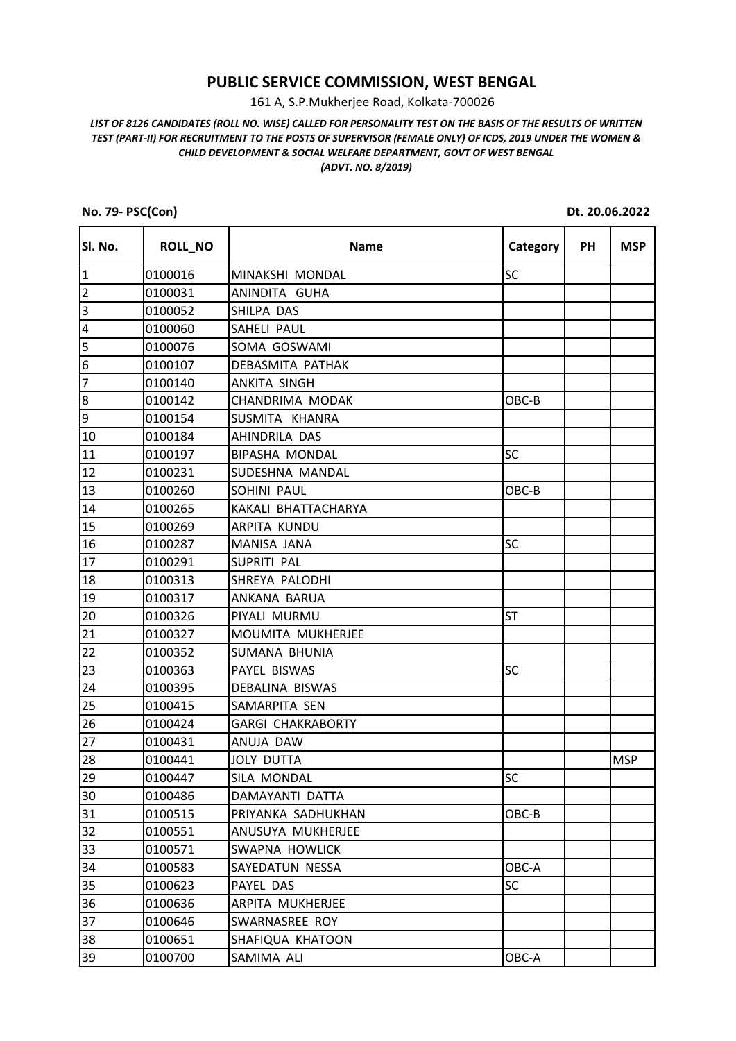## **PUBLIC SERVICE COMMISSION, WEST BENGAL**

161 A, S.P.Mukherjee Road, Kolkata-700026

## *LIST OF 8126 CANDIDATES (ROLL NO. WISE) CALLED FOR PERSONALITY TEST ON THE BASIS OF THE RESULTS OF WRITTEN TEST (PART-II) FOR RECRUITMENT TO THE POSTS OF SUPERVISOR (FEMALE ONLY) OF ICDS, 2019 UNDER THE WOMEN & CHILD DEVELOPMENT & SOCIAL WELFARE DEPARTMENT, GOVT OF WEST BENGAL (ADVT. NO. 8/2019)*

**No. 79- PSC(Con) Dt. 20.06.2022**

| SI. No.          | <b>ROLL_NO</b> | <b>Name</b>              | Category  | <b>PH</b> | <b>MSP</b> |
|------------------|----------------|--------------------------|-----------|-----------|------------|
| $\vert$ 1        | 0100016        | MINAKSHI MONDAL          | <b>SC</b> |           |            |
| $\overline{2}$   | 0100031        | ANINDITA GUHA            |           |           |            |
| 3                | 0100052        | SHILPA DAS               |           |           |            |
| 4                | 0100060        | SAHELI PAUL              |           |           |            |
| 5                | 0100076        | SOMA GOSWAMI             |           |           |            |
| $\boldsymbol{6}$ | 0100107        | DEBASMITA PATHAK         |           |           |            |
| $\overline{7}$   | 0100140        | ANKITA SINGH             |           |           |            |
| 8                | 0100142        | CHANDRIMA MODAK          | OBC-B     |           |            |
| 9                | 0100154        | SUSMITA KHANRA           |           |           |            |
| 10               | 0100184        | AHINDRILA DAS            |           |           |            |
| 11               | 0100197        | <b>BIPASHA MONDAL</b>    | <b>SC</b> |           |            |
| 12               | 0100231        | SUDESHNA MANDAL          |           |           |            |
| 13               | 0100260        | SOHINI PAUL              | OBC-B     |           |            |
| 14               | 0100265        | KAKALI BHATTACHARYA      |           |           |            |
| 15               | 0100269        | ARPITA KUNDU             |           |           |            |
| 16               | 0100287        | MANISA JANA              | SC        |           |            |
| 17               | 0100291        | SUPRITI PAL              |           |           |            |
| 18               | 0100313        | SHREYA PALODHI           |           |           |            |
| 19               | 0100317        | ANKANA BARUA             |           |           |            |
| 20               | 0100326        | PIYALI MURMU             | <b>ST</b> |           |            |
| 21               | 0100327        | MOUMITA MUKHERJEE        |           |           |            |
| 22               | 0100352        | SUMANA BHUNIA            |           |           |            |
| 23               | 0100363        | PAYEL BISWAS             | <b>SC</b> |           |            |
| 24               | 0100395        | DEBALINA BISWAS          |           |           |            |
| 25               | 0100415        | SAMARPITA SEN            |           |           |            |
| 26               | 0100424        | <b>GARGI CHAKRABORTY</b> |           |           |            |
| 27               | 0100431        | ANUJA DAW                |           |           |            |
| 28               | 0100441        | <b>JOLY DUTTA</b>        |           |           | <b>MSP</b> |
| 29               | 0100447        | SILA MONDAL              | <b>SC</b> |           |            |
| 30               | 0100486        | DAMAYANTI DATTA          |           |           |            |
| 31               | 0100515        | PRIYANKA SADHUKHAN       | OBC-B     |           |            |
| 32               | 0100551        | ANUSUYA MUKHERJEE        |           |           |            |
| 33               | 0100571        | SWAPNA HOWLICK           |           |           |            |
| 34               | 0100583        | SAYEDATUN NESSA          | OBC-A     |           |            |
| 35               | 0100623        | PAYEL DAS                | <b>SC</b> |           |            |
| 36               | 0100636        | ARPITA MUKHERJEE         |           |           |            |
| 37               | 0100646        | SWARNASREE ROY           |           |           |            |
| 38               | 0100651        | SHAFIQUA KHATOON         |           |           |            |
| 39               | 0100700        | SAMIMA ALI               | OBC-A     |           |            |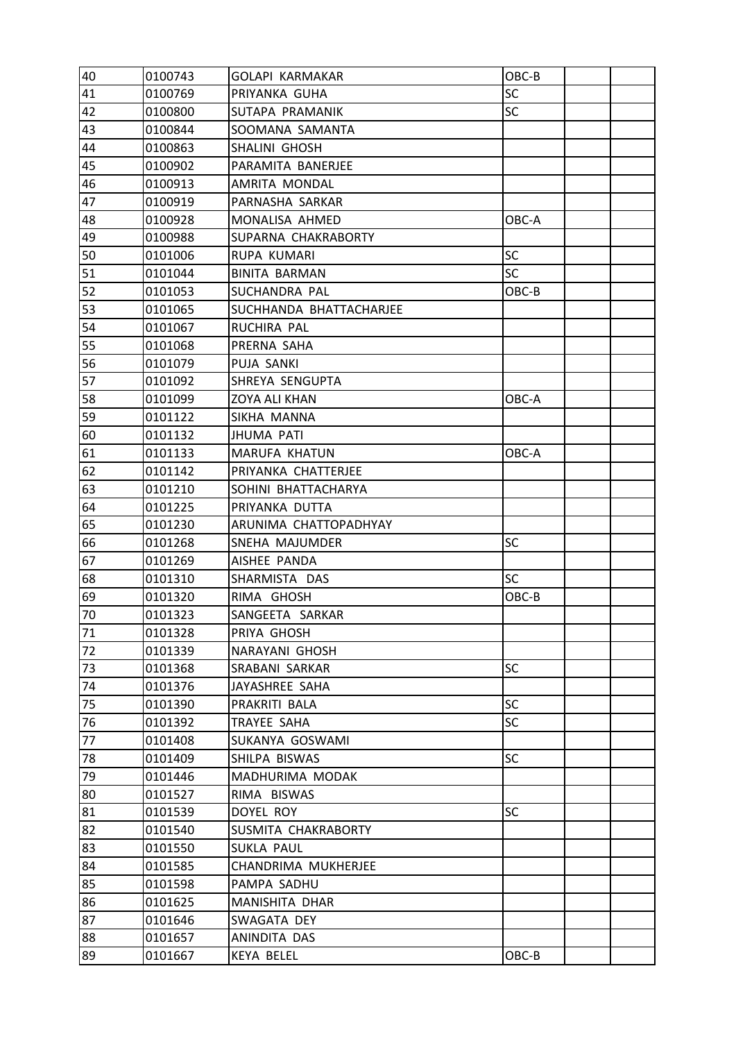| 40 | 0100743 | <b>GOLAPI KARMAKAR</b>  | OBC-B     |  |
|----|---------|-------------------------|-----------|--|
| 41 | 0100769 | PRIYANKA GUHA           | SC        |  |
| 42 | 0100800 | SUTAPA PRAMANIK         | <b>SC</b> |  |
| 43 | 0100844 | SOOMANA SAMANTA         |           |  |
| 44 | 0100863 | SHALINI GHOSH           |           |  |
| 45 | 0100902 | PARAMITA BANERJEE       |           |  |
| 46 | 0100913 | AMRITA MONDAL           |           |  |
| 47 | 0100919 | PARNASHA SARKAR         |           |  |
| 48 | 0100928 | MONALISA AHMED          | OBC-A     |  |
| 49 | 0100988 | SUPARNA CHAKRABORTY     |           |  |
| 50 | 0101006 | RUPA KUMARI             | SC        |  |
| 51 | 0101044 | <b>BINITA BARMAN</b>    | <b>SC</b> |  |
| 52 | 0101053 | SUCHANDRA PAL           | OBC-B     |  |
| 53 | 0101065 | SUCHHANDA BHATTACHARJEE |           |  |
| 54 | 0101067 | RUCHIRA PAL             |           |  |
| 55 | 0101068 | PRERNA SAHA             |           |  |
| 56 | 0101079 | PUJA SANKI              |           |  |
| 57 | 0101092 | SHREYA SENGUPTA         |           |  |
| 58 | 0101099 | <b>ZOYA ALI KHAN</b>    | OBC-A     |  |
| 59 | 0101122 | SIKHA MANNA             |           |  |
| 60 | 0101132 | <b>JHUMA PATI</b>       |           |  |
| 61 | 0101133 | MARUFA KHATUN           | OBC-A     |  |
| 62 | 0101142 | PRIYANKA CHATTERJEE     |           |  |
| 63 | 0101210 | SOHINI BHATTACHARYA     |           |  |
| 64 | 0101225 | PRIYANKA DUTTA          |           |  |
| 65 | 0101230 | ARUNIMA CHATTOPADHYAY   |           |  |
| 66 | 0101268 | SNEHA MAJUMDER          | SC        |  |
| 67 | 0101269 | AISHEE PANDA            |           |  |
| 68 | 0101310 | SHARMISTA DAS           | <b>SC</b> |  |
| 69 | 0101320 | RIMA GHOSH              | OBC-B     |  |
| 70 | 0101323 | SANGEETA SARKAR         |           |  |
| 71 | 0101328 | PRIYA GHOSH             |           |  |
| 72 | 0101339 | NARAYANI GHOSH          |           |  |
| 73 | 0101368 | SRABANI SARKAR          | SC        |  |
| 74 | 0101376 | JAYASHREE SAHA          |           |  |
| 75 | 0101390 | PRAKRITI BALA           | <b>SC</b> |  |
| 76 | 0101392 | TRAYEE SAHA             | <b>SC</b> |  |
| 77 | 0101408 | SUKANYA GOSWAMI         |           |  |
| 78 | 0101409 | SHILPA BISWAS           | <b>SC</b> |  |
| 79 | 0101446 | MADHURIMA MODAK         |           |  |
| 80 | 0101527 | RIMA BISWAS             |           |  |
| 81 | 0101539 | DOYEL ROY               | <b>SC</b> |  |
| 82 | 0101540 | SUSMITA CHAKRABORTY     |           |  |
| 83 | 0101550 | <b>SUKLA PAUL</b>       |           |  |
| 84 | 0101585 | CHANDRIMA MUKHERJEE     |           |  |
| 85 | 0101598 | PAMPA SADHU             |           |  |
| 86 | 0101625 | MANISHITA DHAR          |           |  |
| 87 | 0101646 | SWAGATA DEY             |           |  |
| 88 | 0101657 | ANINDITA DAS            |           |  |
| 89 | 0101667 | KEYA BELEL              | OBC-B     |  |
|    |         |                         |           |  |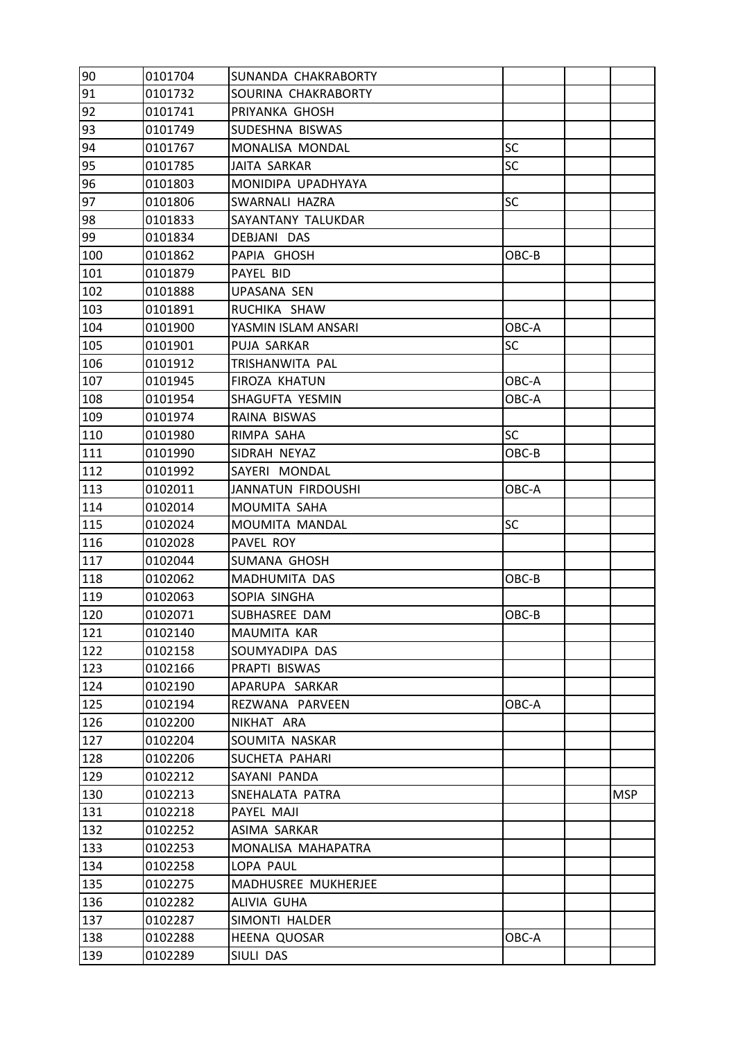| 90  | 0101704 | SUNANDA CHAKRABORTY |           |            |
|-----|---------|---------------------|-----------|------------|
| 91  | 0101732 | SOURINA CHAKRABORTY |           |            |
| 92  | 0101741 | PRIYANKA GHOSH      |           |            |
| 93  | 0101749 | SUDESHNA BISWAS     |           |            |
| 94  | 0101767 | MONALISA MONDAL     | SC        |            |
| 95  | 0101785 | JAITA SARKAR        | <b>SC</b> |            |
| 96  | 0101803 | MONIDIPA UPADHYAYA  |           |            |
| 97  | 0101806 | SWARNALI HAZRA      | SC        |            |
| 98  | 0101833 | SAYANTANY TALUKDAR  |           |            |
| 99  | 0101834 | DEBJANI DAS         |           |            |
| 100 | 0101862 | PAPIA GHOSH         | OBC-B     |            |
| 101 | 0101879 | PAYEL BID           |           |            |
| 102 | 0101888 | <b>UPASANA SEN</b>  |           |            |
| 103 | 0101891 | RUCHIKA SHAW        |           |            |
| 104 | 0101900 | YASMIN ISLAM ANSARI | OBC-A     |            |
| 105 | 0101901 | PUJA SARKAR         | <b>SC</b> |            |
| 106 | 0101912 | TRISHANWITA PAL     |           |            |
| 107 | 0101945 | FIROZA KHATUN       | OBC-A     |            |
| 108 | 0101954 | SHAGUFTA YESMIN     | OBC-A     |            |
| 109 | 0101974 | RAINA BISWAS        |           |            |
| 110 | 0101980 | RIMPA SAHA          | SC        |            |
| 111 | 0101990 | SIDRAH NEYAZ        | OBC-B     |            |
| 112 | 0101992 | SAYERI MONDAL       |           |            |
| 113 | 0102011 | JANNATUN FIRDOUSHI  | OBC-A     |            |
| 114 | 0102014 | MOUMITA SAHA        |           |            |
| 115 | 0102024 | MOUMITA MANDAL      | <b>SC</b> |            |
| 116 | 0102028 | PAVEL ROY           |           |            |
| 117 | 0102044 | SUMANA GHOSH        |           |            |
| 118 | 0102062 | MADHUMITA DAS       | OBC-B     |            |
| 119 | 0102063 | SOPIA SINGHA        |           |            |
| 120 | 0102071 | SUBHASREE DAM       | OBC-B     |            |
| 121 | 0102140 | MAUMITA KAR         |           |            |
| 122 | 0102158 | SOUMYADIPA DAS      |           |            |
| 123 | 0102166 | PRAPTI BISWAS       |           |            |
| 124 | 0102190 | APARUPA SARKAR      |           |            |
| 125 | 0102194 | REZWANA PARVEEN     | OBC-A     |            |
| 126 | 0102200 | NIKHAT ARA          |           |            |
| 127 | 0102204 | SOUMITA NASKAR      |           |            |
| 128 | 0102206 | SUCHETA PAHARI      |           |            |
| 129 | 0102212 | SAYANI PANDA        |           |            |
| 130 | 0102213 | SNEHALATA PATRA     |           | <b>MSP</b> |
| 131 | 0102218 | PAYEL MAJI          |           |            |
| 132 | 0102252 | ASIMA SARKAR        |           |            |
| 133 | 0102253 | MONALISA MAHAPATRA  |           |            |
| 134 | 0102258 | LOPA PAUL           |           |            |
| 135 | 0102275 | MADHUSREE MUKHERJEE |           |            |
| 136 | 0102282 | ALIVIA GUHA         |           |            |
| 137 | 0102287 | SIMONTI HALDER      |           |            |
| 138 | 0102288 | <b>HEENA QUOSAR</b> | OBC-A     |            |
| 139 | 0102289 | SIULI DAS           |           |            |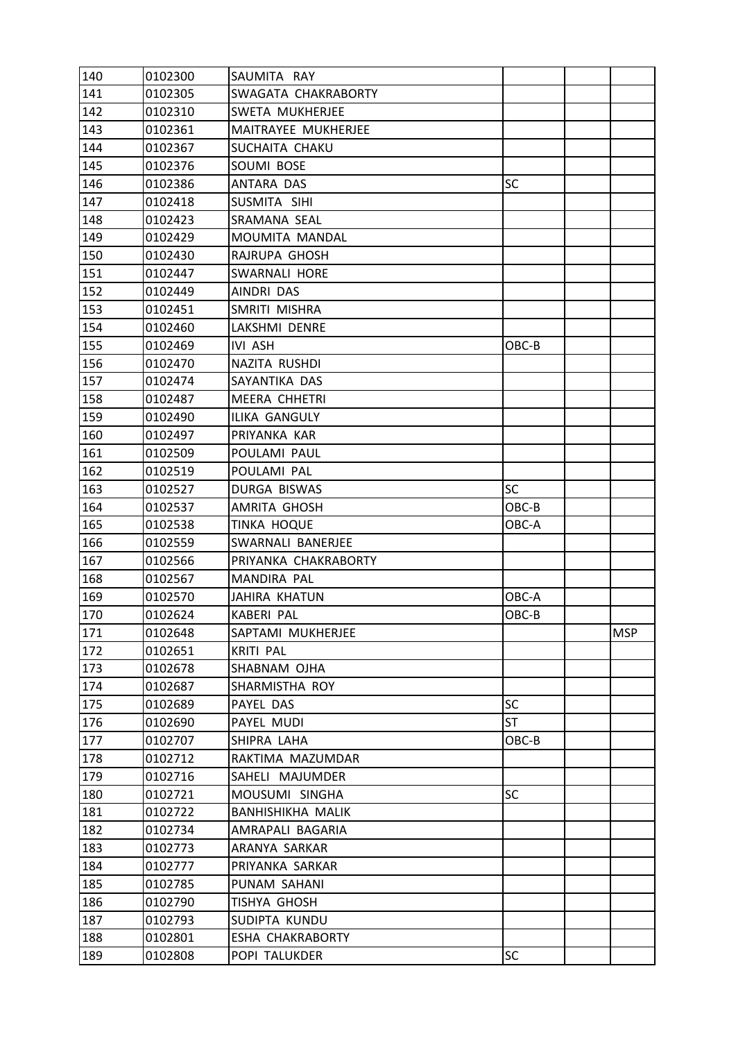| 140 | 0102300 | SAUMITA RAY          |           |            |
|-----|---------|----------------------|-----------|------------|
| 141 | 0102305 | SWAGATA CHAKRABORTY  |           |            |
| 142 | 0102310 | SWETA MUKHERJEE      |           |            |
| 143 | 0102361 | MAITRAYEE MUKHERJEE  |           |            |
| 144 | 0102367 | SUCHAITA CHAKU       |           |            |
| 145 | 0102376 | SOUMI BOSE           |           |            |
| 146 | 0102386 | ANTARA DAS           | SC        |            |
| 147 | 0102418 | SUSMITA SIHI         |           |            |
| 148 | 0102423 | SRAMANA SEAL         |           |            |
| 149 | 0102429 | MOUMITA MANDAL       |           |            |
| 150 | 0102430 | RAJRUPA GHOSH        |           |            |
| 151 | 0102447 | SWARNALI HORE        |           |            |
| 152 | 0102449 | AINDRI DAS           |           |            |
| 153 | 0102451 | SMRITI MISHRA        |           |            |
| 154 | 0102460 | LAKSHMI DENRE        |           |            |
| 155 | 0102469 | IVI ASH              | OBC-B     |            |
| 156 | 0102470 | NAZITA RUSHDI        |           |            |
| 157 | 0102474 | SAYANTIKA DAS        |           |            |
| 158 | 0102487 | <b>MEERA CHHETRI</b> |           |            |
| 159 | 0102490 | <b>ILIKA GANGULY</b> |           |            |
| 160 | 0102497 | PRIYANKA KAR         |           |            |
| 161 | 0102509 | POULAMI PAUL         |           |            |
| 162 | 0102519 | POULAMI PAL          |           |            |
| 163 | 0102527 | DURGA BISWAS         | <b>SC</b> |            |
| 164 | 0102537 | AMRITA GHOSH         | OBC-B     |            |
| 165 | 0102538 | TINKA HOQUE          | OBC-A     |            |
| 166 | 0102559 | SWARNALI BANERJEE    |           |            |
| 167 | 0102566 | PRIYANKA CHAKRABORTY |           |            |
| 168 | 0102567 | MANDIRA PAL          |           |            |
| 169 | 0102570 | <b>JAHIRA KHATUN</b> | OBC-A     |            |
| 170 | 0102624 | <b>KABERI PAL</b>    | OBC-B     |            |
| 171 | 0102648 | SAPTAMI MUKHERJEE    |           | <b>MSP</b> |
| 172 | 0102651 | <b>KRITI PAL</b>     |           |            |
| 173 | 0102678 | SHABNAM OJHA         |           |            |
| 174 | 0102687 | SHARMISTHA ROY       |           |            |
| 175 | 0102689 | PAYEL DAS            | <b>SC</b> |            |
| 176 | 0102690 | PAYEL MUDI           | ST        |            |
| 177 | 0102707 | SHIPRA LAHA          | OBC-B     |            |
| 178 | 0102712 | RAKTIMA MAZUMDAR     |           |            |
| 179 | 0102716 | SAHELI MAJUMDER      |           |            |
| 180 | 0102721 | MOUSUMI SINGHA       | SC        |            |
| 181 | 0102722 | BANHISHIKHA MALIK    |           |            |
| 182 | 0102734 | AMRAPALI BAGARIA     |           |            |
| 183 | 0102773 | ARANYA SARKAR        |           |            |
| 184 | 0102777 | PRIYANKA SARKAR      |           |            |
| 185 | 0102785 | PUNAM SAHANI         |           |            |
| 186 | 0102790 | TISHYA GHOSH         |           |            |
| 187 | 0102793 | SUDIPTA KUNDU        |           |            |
| 188 | 0102801 | ESHA CHAKRABORTY     |           |            |
| 189 | 0102808 | POPI TALUKDER        | <b>SC</b> |            |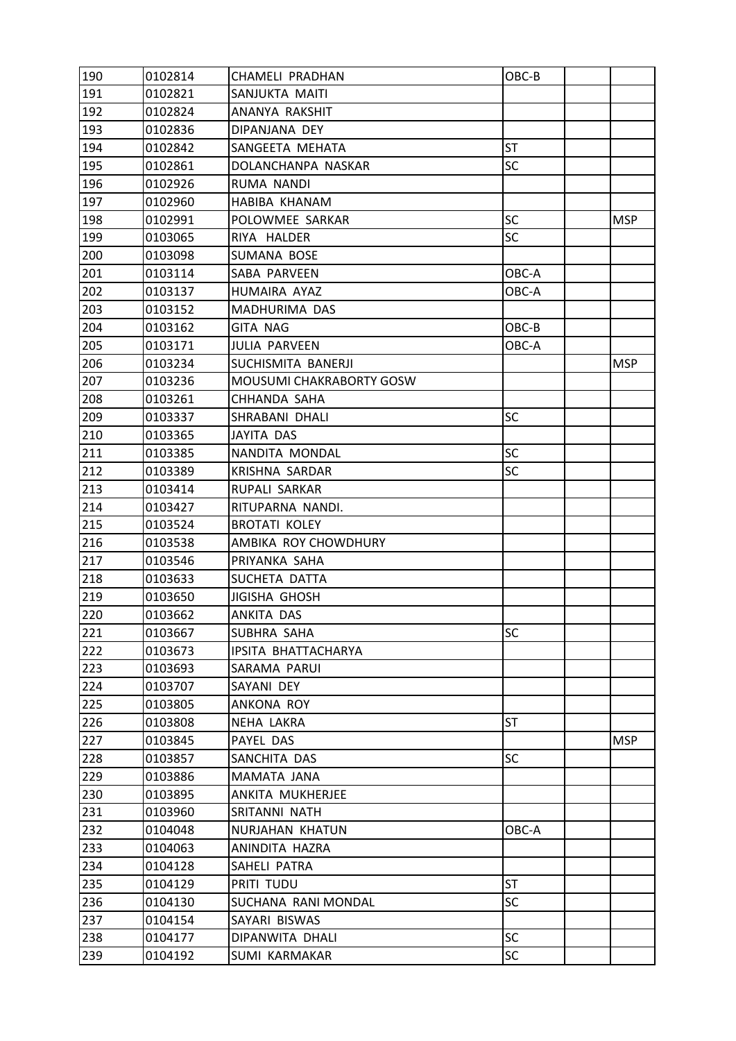| 190 | 0102814 | CHAMELI PRADHAN                 | OBC-B     |            |
|-----|---------|---------------------------------|-----------|------------|
| 191 | 0102821 | SANJUKTA MAITI                  |           |            |
| 192 | 0102824 | ANANYA RAKSHIT                  |           |            |
| 193 | 0102836 | DIPANJANA DEY                   |           |            |
| 194 | 0102842 | SANGEETA MEHATA                 | <b>ST</b> |            |
| 195 | 0102861 | DOLANCHANPA NASKAR              | <b>SC</b> |            |
| 196 | 0102926 | RUMA NANDI                      |           |            |
| 197 | 0102960 | HABIBA KHANAM                   |           |            |
| 198 | 0102991 | POLOWMEE SARKAR                 | SC        | <b>MSP</b> |
| 199 | 0103065 | RIYA HALDER                     | SC        |            |
| 200 | 0103098 | SUMANA BOSE                     |           |            |
| 201 | 0103114 | SABA PARVEEN                    | OBC-A     |            |
| 202 | 0103137 | HUMAIRA AYAZ                    | OBC-A     |            |
| 203 | 0103152 | MADHURIMA DAS                   |           |            |
| 204 | 0103162 | <b>GITA NAG</b>                 | OBC-B     |            |
| 205 | 0103171 | <b>JULIA PARVEEN</b>            | OBC-A     |            |
| 206 | 0103234 | SUCHISMITA BANERJI              |           | <b>MSP</b> |
| 207 | 0103236 | <b>MOUSUMI CHAKRABORTY GOSW</b> |           |            |
| 208 | 0103261 | CHHANDA SAHA                    |           |            |
| 209 | 0103337 | SHRABANI DHALI                  | SC        |            |
| 210 | 0103365 | JAYITA DAS                      |           |            |
| 211 | 0103385 | NANDITA MONDAL                  | SC        |            |
| 212 | 0103389 | KRISHNA SARDAR                  | SC        |            |
| 213 | 0103414 | RUPALI SARKAR                   |           |            |
| 214 | 0103427 | RITUPARNA NANDI.                |           |            |
| 215 | 0103524 | <b>BROTATI KOLEY</b>            |           |            |
| 216 | 0103538 | AMBIKA ROY CHOWDHURY            |           |            |
| 217 | 0103546 | PRIYANKA SAHA                   |           |            |
| 218 | 0103633 | SUCHETA DATTA                   |           |            |
| 219 | 0103650 | JIGISHA GHOSH                   |           |            |
| 220 | 0103662 | ANKITA DAS                      |           |            |
| 221 | 0103667 | SUBHRA SAHA                     | SC        |            |
| 222 | 0103673 | IPSITA BHATTACHARYA             |           |            |
| 223 | 0103693 | SARAMA PARUI                    |           |            |
| 224 | 0103707 | SAYANI DEY                      |           |            |
| 225 | 0103805 | ANKONA ROY                      |           |            |
| 226 | 0103808 | NEHA LAKRA                      | ST        |            |
| 227 | 0103845 | PAYEL DAS                       |           | <b>MSP</b> |
| 228 | 0103857 | SANCHITA DAS                    | <b>SC</b> |            |
| 229 | 0103886 | MAMATA JANA                     |           |            |
| 230 | 0103895 | ANKITA MUKHERJEE                |           |            |
| 231 | 0103960 | SRITANNI NATH                   |           |            |
| 232 | 0104048 | NURJAHAN KHATUN                 | OBC-A     |            |
| 233 | 0104063 | ANINDITA HAZRA                  |           |            |
| 234 | 0104128 | SAHELI PATRA                    |           |            |
| 235 | 0104129 | PRITI TUDU                      | <b>ST</b> |            |
| 236 | 0104130 | SUCHANA RANI MONDAL             | <b>SC</b> |            |
| 237 | 0104154 | SAYARI BISWAS                   |           |            |
| 238 | 0104177 | DIPANWITA DHALI                 | SC        |            |
| 239 | 0104192 | SUMI KARMAKAR                   | SC        |            |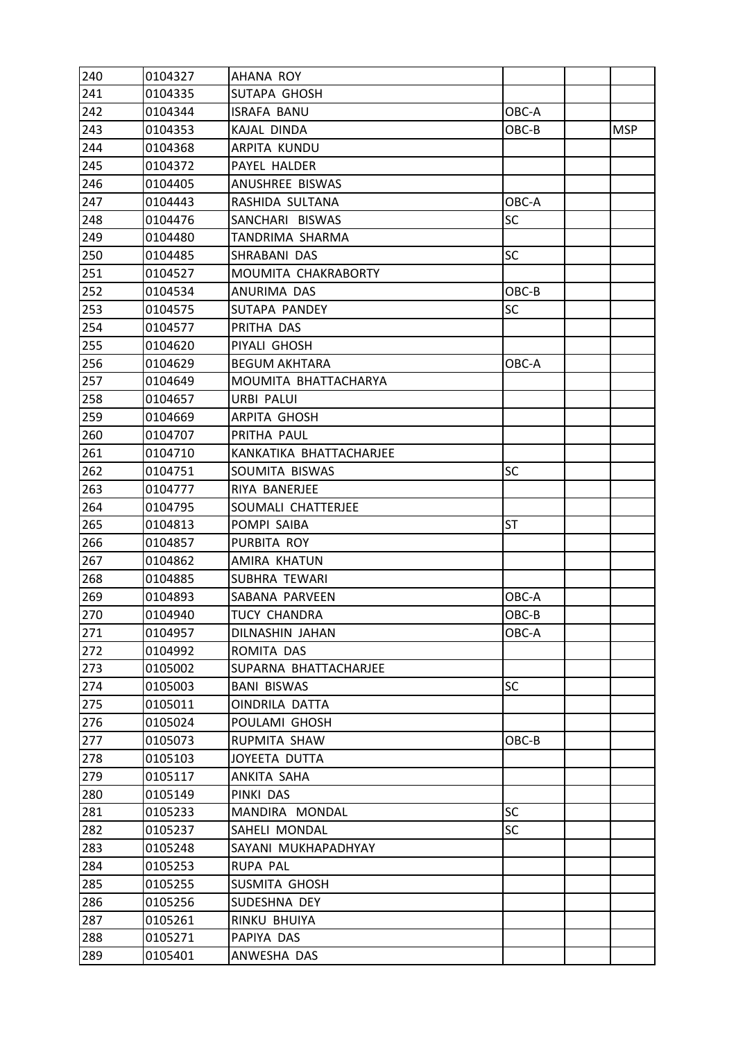| 240 | 0104327 | AHANA ROY               |           |            |
|-----|---------|-------------------------|-----------|------------|
| 241 | 0104335 | SUTAPA GHOSH            |           |            |
| 242 | 0104344 | <b>ISRAFA BANU</b>      | OBC-A     |            |
| 243 | 0104353 | KAJAL DINDA             | OBC-B     | <b>MSP</b> |
| 244 | 0104368 | ARPITA KUNDU            |           |            |
| 245 | 0104372 | PAYEL HALDER            |           |            |
| 246 | 0104405 | ANUSHREE BISWAS         |           |            |
| 247 | 0104443 | RASHIDA SULTANA         | OBC-A     |            |
| 248 | 0104476 | SANCHARI BISWAS         | SC        |            |
| 249 | 0104480 | TANDRIMA SHARMA         |           |            |
| 250 | 0104485 | SHRABANI DAS            | <b>SC</b> |            |
| 251 | 0104527 | MOUMITA CHAKRABORTY     |           |            |
| 252 | 0104534 | ANURIMA DAS             | OBC-B     |            |
| 253 | 0104575 | SUTAPA PANDEY           | SC        |            |
| 254 | 0104577 | PRITHA DAS              |           |            |
| 255 | 0104620 | PIYALI GHOSH            |           |            |
| 256 | 0104629 | <b>BEGUM AKHTARA</b>    | OBC-A     |            |
| 257 | 0104649 | MOUMITA BHATTACHARYA    |           |            |
| 258 | 0104657 | URBI PALUI              |           |            |
| 259 | 0104669 | ARPITA GHOSH            |           |            |
| 260 | 0104707 | PRITHA PAUL             |           |            |
| 261 | 0104710 | KANKATIKA BHATTACHARJEE |           |            |
| 262 | 0104751 | SOUMITA BISWAS          | SC        |            |
| 263 | 0104777 | RIYA BANERJEE           |           |            |
| 264 | 0104795 | SOUMALI CHATTERJEE      |           |            |
| 265 | 0104813 | POMPI SAIBA             | <b>ST</b> |            |
| 266 | 0104857 | PURBITA ROY             |           |            |
| 267 | 0104862 | AMIRA KHATUN            |           |            |
| 268 | 0104885 | SUBHRA TEWARI           |           |            |
| 269 | 0104893 | SABANA PARVEEN          | OBC-A     |            |
| 270 | 0104940 | <b>TUCY CHANDRA</b>     | OBC-B     |            |
| 271 | 0104957 | DILNASHIN JAHAN         | OBC-A     |            |
| 272 | 0104992 | ROMITA DAS              |           |            |
| 273 | 0105002 | SUPARNA BHATTACHARJEE   |           |            |
| 274 | 0105003 | <b>BANI BISWAS</b>      | <b>SC</b> |            |
| 275 | 0105011 | OINDRILA DATTA          |           |            |
| 276 | 0105024 | POULAMI GHOSH           |           |            |
| 277 | 0105073 | RUPMITA SHAW            | OBC-B     |            |
| 278 | 0105103 | JOYEETA DUTTA           |           |            |
| 279 | 0105117 | ANKITA SAHA             |           |            |
| 280 | 0105149 | PINKI DAS               |           |            |
| 281 | 0105233 | MANDIRA MONDAL          | <b>SC</b> |            |
| 282 | 0105237 | SAHELI MONDAL           | <b>SC</b> |            |
| 283 | 0105248 | SAYANI MUKHAPADHYAY     |           |            |
| 284 | 0105253 | RUPA PAL                |           |            |
| 285 | 0105255 | SUSMITA GHOSH           |           |            |
| 286 | 0105256 | SUDESHNA DEY            |           |            |
| 287 | 0105261 | RINKU BHUIYA            |           |            |
| 288 | 0105271 | PAPIYA DAS              |           |            |
| 289 | 0105401 | ANWESHA DAS             |           |            |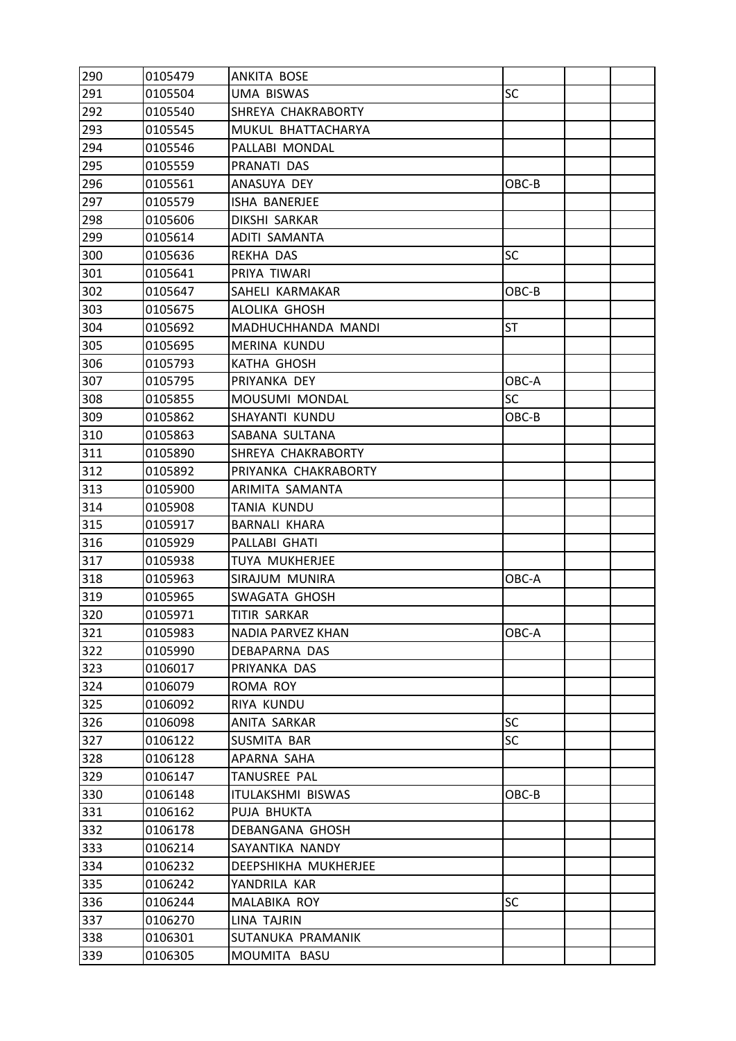| 290 | 0105479 | <b>ANKITA BOSE</b>    |           |  |
|-----|---------|-----------------------|-----------|--|
| 291 | 0105504 | <b>UMA BISWAS</b>     | SC        |  |
| 292 | 0105540 | SHREYA CHAKRABORTY    |           |  |
| 293 | 0105545 | MUKUL BHATTACHARYA    |           |  |
| 294 | 0105546 | PALLABI MONDAL        |           |  |
| 295 | 0105559 | PRANATI DAS           |           |  |
| 296 | 0105561 | ANASUYA DEY           | OBC-B     |  |
| 297 | 0105579 | ISHA BANERJEE         |           |  |
| 298 | 0105606 | DIKSHI SARKAR         |           |  |
| 299 | 0105614 | ADITI SAMANTA         |           |  |
| 300 | 0105636 | REKHA DAS             | <b>SC</b> |  |
| 301 | 0105641 | PRIYA TIWARI          |           |  |
| 302 | 0105647 | SAHELI KARMAKAR       | OBC-B     |  |
| 303 | 0105675 | ALOLIKA GHOSH         |           |  |
| 304 | 0105692 | MADHUCHHANDA MANDI    | ST        |  |
| 305 | 0105695 | MERINA KUNDU          |           |  |
| 306 | 0105793 | <b>KATHA GHOSH</b>    |           |  |
| 307 | 0105795 | PRIYANKA DEY          | OBC-A     |  |
| 308 | 0105855 | MOUSUMI MONDAL        | SC        |  |
| 309 | 0105862 | SHAYANTI KUNDU        | OBC-B     |  |
| 310 | 0105863 | SABANA SULTANA        |           |  |
| 311 | 0105890 | SHREYA CHAKRABORTY    |           |  |
| 312 | 0105892 | PRIYANKA CHAKRABORTY  |           |  |
| 313 | 0105900 | ARIMITA SAMANTA       |           |  |
| 314 | 0105908 | TANIA KUNDU           |           |  |
| 315 | 0105917 | <b>BARNALI KHARA</b>  |           |  |
| 316 | 0105929 | PALLABI GHATI         |           |  |
| 317 | 0105938 | <b>TUYA MUKHERJEE</b> |           |  |
| 318 | 0105963 | SIRAJUM MUNIRA        | OBC-A     |  |
| 319 | 0105965 | SWAGATA GHOSH         |           |  |
| 320 | 0105971 | TITIR SARKAR          |           |  |
| 321 | 0105983 | NADIA PARVEZ KHAN     | OBC-A     |  |
| 322 | 0105990 | DEBAPARNA DAS         |           |  |
| 323 | 0106017 | PRIYANKA DAS          |           |  |
| 324 | 0106079 | ROMA ROY              |           |  |
| 325 | 0106092 | RIYA KUNDU            |           |  |
| 326 | 0106098 | ANITA SARKAR          | SC        |  |
| 327 | 0106122 | SUSMITA BAR           | <b>SC</b> |  |
| 328 | 0106128 | APARNA SAHA           |           |  |
| 329 | 0106147 | TANUSREE PAL          |           |  |
| 330 | 0106148 | ITULAKSHMI BISWAS     | OBC-B     |  |
| 331 | 0106162 | PUJA BHUKTA           |           |  |
| 332 | 0106178 | DEBANGANA GHOSH       |           |  |
| 333 | 0106214 | SAYANTIKA NANDY       |           |  |
| 334 | 0106232 | DEEPSHIKHA MUKHERJEE  |           |  |
| 335 | 0106242 | YANDRILA KAR          |           |  |
| 336 | 0106244 | MALABIKA ROY          | SC        |  |
| 337 | 0106270 | <b>LINA TAJRIN</b>    |           |  |
| 338 | 0106301 | SUTANUKA PRAMANIK     |           |  |
| 339 | 0106305 | MOUMITA BASU          |           |  |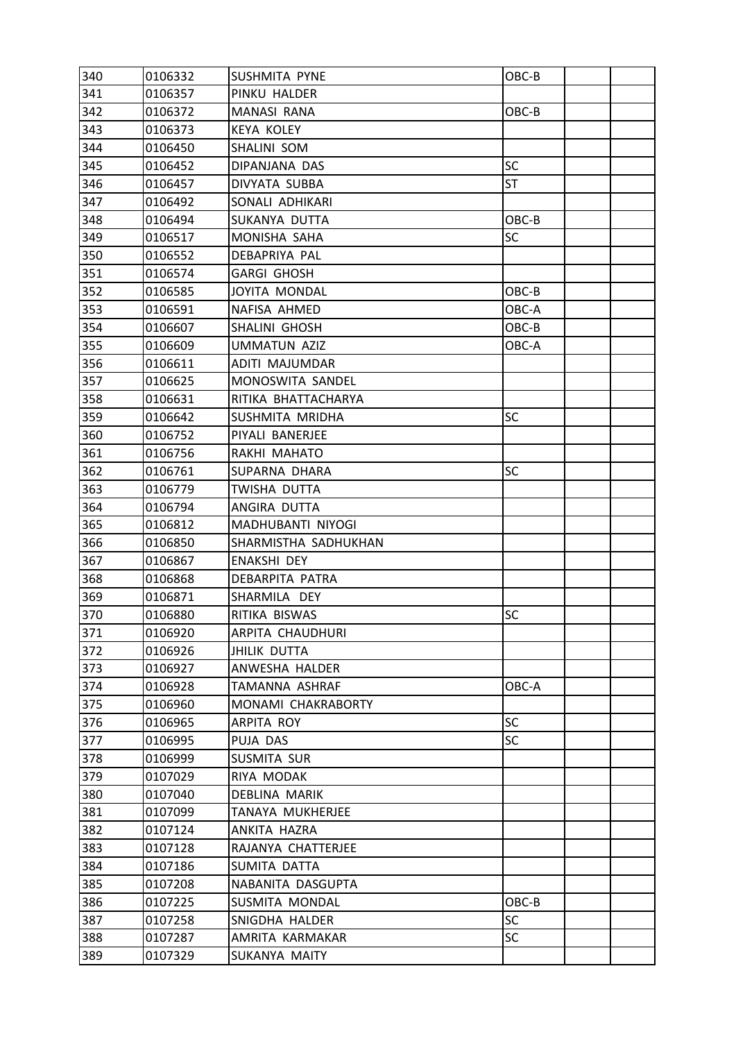| 340 | 0106332 | SUSHMITA PYNE        | OBC-B     |  |
|-----|---------|----------------------|-----------|--|
| 341 | 0106357 | PINKU HALDER         |           |  |
| 342 | 0106372 | <b>MANASI RANA</b>   | OBC-B     |  |
| 343 | 0106373 | <b>KEYA KOLEY</b>    |           |  |
| 344 | 0106450 | SHALINI SOM          |           |  |
| 345 | 0106452 | DIPANJANA DAS        | <b>SC</b> |  |
| 346 | 0106457 | DIVYATA SUBBA        | <b>ST</b> |  |
| 347 | 0106492 | SONALI ADHIKARI      |           |  |
| 348 | 0106494 | SUKANYA DUTTA        | OBC-B     |  |
| 349 | 0106517 | MONISHA SAHA         | SC        |  |
| 350 | 0106552 | DEBAPRIYA PAL        |           |  |
| 351 | 0106574 | <b>GARGI GHOSH</b>   |           |  |
| 352 | 0106585 | <b>JOYITA MONDAL</b> | OBC-B     |  |
| 353 | 0106591 | NAFISA AHMED         | OBC-A     |  |
| 354 | 0106607 | SHALINI GHOSH        | OBC-B     |  |
| 355 | 0106609 | <b>UMMATUN AZIZ</b>  | OBC-A     |  |
| 356 | 0106611 | ADITI MAJUMDAR       |           |  |
| 357 | 0106625 | MONOSWITA SANDEL     |           |  |
| 358 | 0106631 | RITIKA BHATTACHARYA  |           |  |
| 359 | 0106642 | SUSHMITA MRIDHA      | SC        |  |
| 360 | 0106752 | PIYALI BANERJEE      |           |  |
| 361 | 0106756 | RAKHI MAHATO         |           |  |
| 362 | 0106761 | SUPARNA DHARA        | SC        |  |
| 363 | 0106779 | TWISHA DUTTA         |           |  |
| 364 | 0106794 | ANGIRA DUTTA         |           |  |
| 365 | 0106812 | MADHUBANTI NIYOGI    |           |  |
| 366 | 0106850 | SHARMISTHA SADHUKHAN |           |  |
| 367 | 0106867 | <b>ENAKSHI DEY</b>   |           |  |
| 368 | 0106868 | DEBARPITA PATRA      |           |  |
| 369 | 0106871 | SHARMILA DEY         |           |  |
| 370 | 0106880 | RITIKA BISWAS        | SC        |  |
| 371 | 0106920 | ARPITA CHAUDHURI     |           |  |
| 372 | 0106926 | <b>JHILIK DUTTA</b>  |           |  |
| 373 | 0106927 | ANWESHA HALDER       |           |  |
| 374 | 0106928 | TAMANNA ASHRAF       | OBC-A     |  |
| 375 | 0106960 | MONAMI CHAKRABORTY   |           |  |
| 376 | 0106965 | ARPITA ROY           | SC        |  |
| 377 | 0106995 | PUJA DAS             | <b>SC</b> |  |
| 378 | 0106999 | SUSMITA SUR          |           |  |
| 379 | 0107029 | RIYA MODAK           |           |  |
| 380 | 0107040 | DEBLINA MARIK        |           |  |
| 381 | 0107099 | TANAYA MUKHERJEE     |           |  |
| 382 | 0107124 | ANKITA HAZRA         |           |  |
| 383 | 0107128 | RAJANYA CHATTERJEE   |           |  |
| 384 | 0107186 | SUMITA DATTA         |           |  |
| 385 | 0107208 | NABANITA DASGUPTA    |           |  |
| 386 | 0107225 | SUSMITA MONDAL       | OBC-B     |  |
| 387 | 0107258 | SNIGDHA HALDER       | SC        |  |
| 388 | 0107287 | AMRITA KARMAKAR      | <b>SC</b> |  |
| 389 | 0107329 | SUKANYA MAITY        |           |  |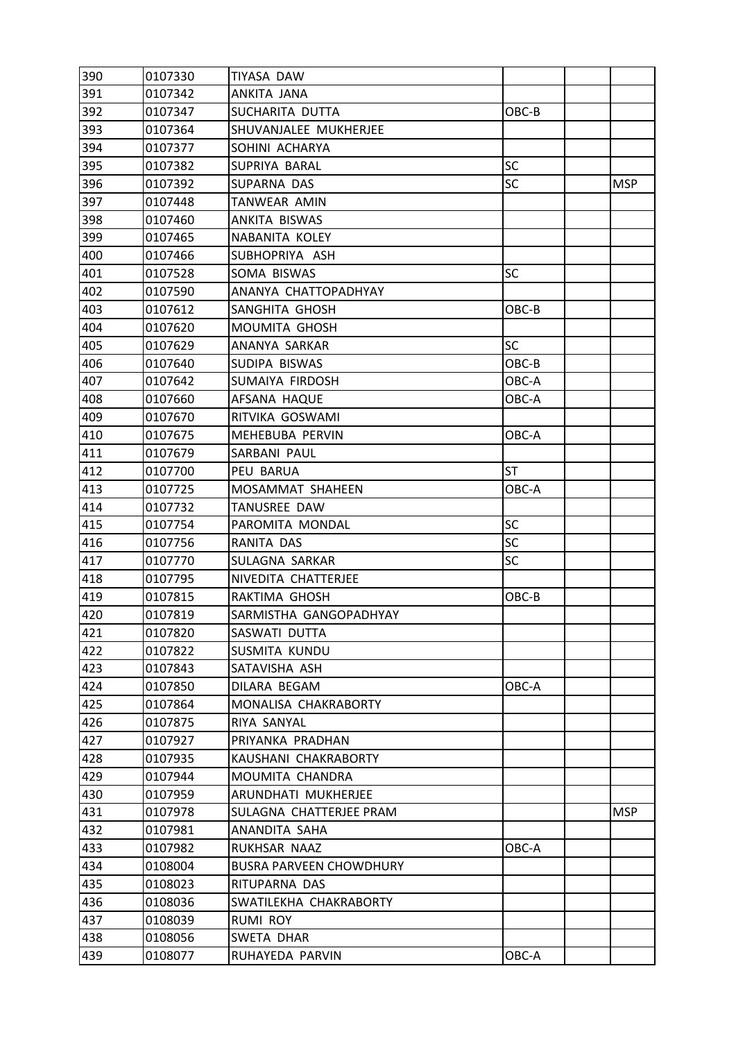| 390 | 0107330 | TIYASA DAW                     |           |            |
|-----|---------|--------------------------------|-----------|------------|
| 391 | 0107342 | ANKITA JANA                    |           |            |
| 392 | 0107347 | SUCHARITA DUTTA                | OBC-B     |            |
| 393 | 0107364 | SHUVANJALEE MUKHERJEE          |           |            |
| 394 | 0107377 | SOHINI ACHARYA                 |           |            |
| 395 | 0107382 | SUPRIYA BARAL                  | <b>SC</b> |            |
| 396 | 0107392 | SUPARNA DAS                    | <b>SC</b> | <b>MSP</b> |
| 397 | 0107448 | TANWEAR AMIN                   |           |            |
| 398 | 0107460 | ANKITA BISWAS                  |           |            |
| 399 | 0107465 | <b>NABANITA KOLEY</b>          |           |            |
| 400 | 0107466 | SUBHOPRIYA ASH                 |           |            |
| 401 | 0107528 | SOMA BISWAS                    | <b>SC</b> |            |
| 402 | 0107590 | ANANYA CHATTOPADHYAY           |           |            |
| 403 | 0107612 | SANGHITA GHOSH                 | OBC-B     |            |
| 404 | 0107620 | MOUMITA GHOSH                  |           |            |
| 405 | 0107629 | ANANYA SARKAR                  | <b>SC</b> |            |
| 406 | 0107640 | SUDIPA BISWAS                  | OBC-B     |            |
| 407 | 0107642 | SUMAIYA FIRDOSH                | OBC-A     |            |
| 408 | 0107660 | AFSANA HAQUE                   | OBC-A     |            |
| 409 | 0107670 | RITVIKA GOSWAMI                |           |            |
| 410 | 0107675 | MEHEBUBA PERVIN                | OBC-A     |            |
| 411 | 0107679 | SARBANI PAUL                   |           |            |
| 412 | 0107700 | PEU BARUA                      | <b>ST</b> |            |
| 413 | 0107725 | MOSAMMAT SHAHEEN               | OBC-A     |            |
| 414 | 0107732 | TANUSREE DAW                   |           |            |
| 415 | 0107754 | PAROMITA MONDAL                | <b>SC</b> |            |
| 416 | 0107756 | RANITA DAS                     | <b>SC</b> |            |
| 417 | 0107770 | SULAGNA SARKAR                 | <b>SC</b> |            |
| 418 | 0107795 | NIVEDITA CHATTERJEE            |           |            |
| 419 | 0107815 | RAKTIMA GHOSH                  | OBC-B     |            |
| 420 | 0107819 | SARMISTHA GANGOPADHYAY         |           |            |
| 421 | 0107820 | SASWATI DUTTA                  |           |            |
| 422 | 0107822 | SUSMITA KUNDU                  |           |            |
| 423 | 0107843 | SATAVISHA ASH                  |           |            |
| 424 | 0107850 | DILARA BEGAM                   | OBC-A     |            |
| 425 | 0107864 | MONALISA CHAKRABORTY           |           |            |
| 426 | 0107875 | RIYA SANYAL                    |           |            |
| 427 | 0107927 | PRIYANKA PRADHAN               |           |            |
| 428 | 0107935 | KAUSHANI CHAKRABORTY           |           |            |
| 429 | 0107944 | MOUMITA CHANDRA                |           |            |
| 430 | 0107959 | ARUNDHATI MUKHERJEE            |           |            |
| 431 | 0107978 | SULAGNA CHATTERJEE PRAM        |           | <b>MSP</b> |
| 432 | 0107981 | ANANDITA SAHA                  |           |            |
| 433 | 0107982 | RUKHSAR NAAZ                   | OBC-A     |            |
| 434 | 0108004 | <b>BUSRA PARVEEN CHOWDHURY</b> |           |            |
| 435 | 0108023 | RITUPARNA DAS                  |           |            |
| 436 | 0108036 | SWATILEKHA CHAKRABORTY         |           |            |
| 437 | 0108039 | <b>RUMI ROY</b>                |           |            |
| 438 | 0108056 | SWETA DHAR                     |           |            |
| 439 | 0108077 | RUHAYEDA PARVIN                | OBC-A     |            |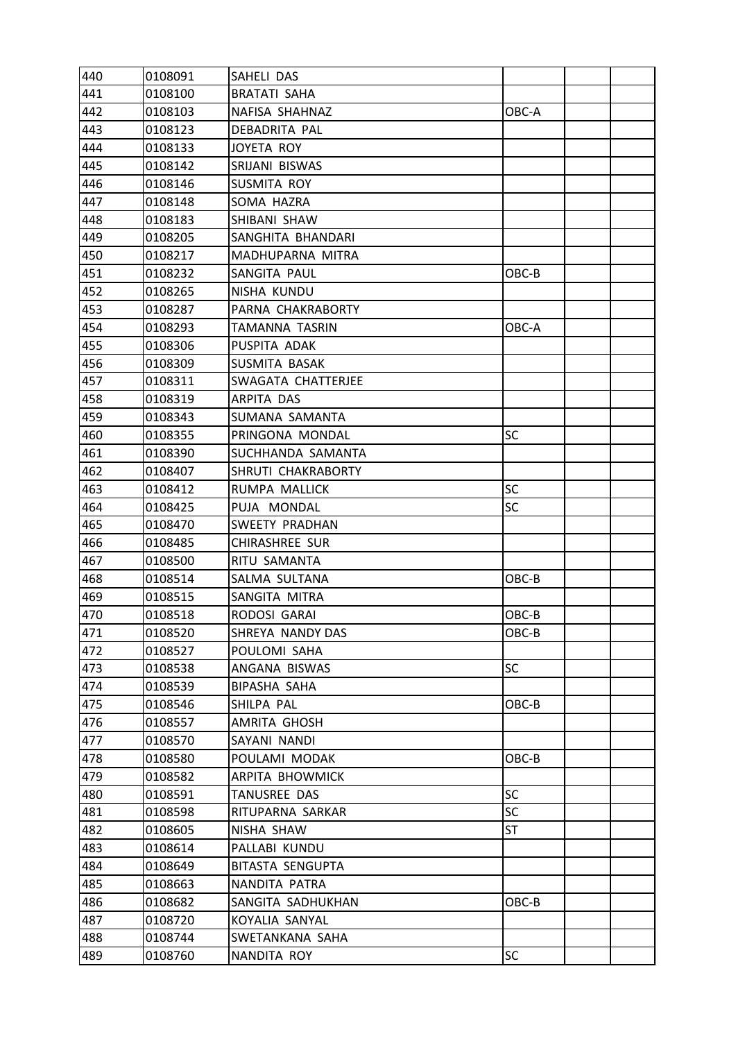| 440 | 0108091 | SAHELI DAS              |           |  |
|-----|---------|-------------------------|-----------|--|
| 441 | 0108100 | <b>BRATATI SAHA</b>     |           |  |
| 442 | 0108103 | NAFISA SHAHNAZ          | OBC-A     |  |
| 443 | 0108123 | DEBADRITA PAL           |           |  |
| 444 | 0108133 | JOYETA ROY              |           |  |
| 445 | 0108142 | SRIJANI BISWAS          |           |  |
| 446 | 0108146 | SUSMITA ROY             |           |  |
| 447 | 0108148 | SOMA HAZRA              |           |  |
| 448 | 0108183 | SHIBANI SHAW            |           |  |
| 449 | 0108205 | SANGHITA BHANDARI       |           |  |
| 450 | 0108217 | MADHUPARNA MITRA        |           |  |
| 451 | 0108232 | SANGITA PAUL            | OBC-B     |  |
| 452 | 0108265 | NISHA KUNDU             |           |  |
| 453 | 0108287 | PARNA CHAKRABORTY       |           |  |
| 454 | 0108293 | TAMANNA TASRIN          | OBC-A     |  |
| 455 | 0108306 | PUSPITA ADAK            |           |  |
| 456 | 0108309 | SUSMITA BASAK           |           |  |
| 457 | 0108311 | SWAGATA CHATTERJEE      |           |  |
| 458 | 0108319 | ARPITA DAS              |           |  |
| 459 | 0108343 | SUMANA SAMANTA          |           |  |
| 460 | 0108355 | PRINGONA MONDAL         | <b>SC</b> |  |
| 461 | 0108390 | SUCHHANDA SAMANTA       |           |  |
| 462 | 0108407 | SHRUTI CHAKRABORTY      |           |  |
| 463 | 0108412 | RUMPA MALLICK           | SC        |  |
| 464 | 0108425 | PUJA MONDAL             | <b>SC</b> |  |
| 465 | 0108470 | SWEETY PRADHAN          |           |  |
| 466 | 0108485 | CHIRASHREE SUR          |           |  |
| 467 | 0108500 | RITU SAMANTA            |           |  |
| 468 | 0108514 | SALMA SULTANA           | OBC-B     |  |
| 469 | 0108515 | SANGITA MITRA           |           |  |
| 470 | 0108518 | RODOSI GARAI            | OBC-B     |  |
| 471 | 0108520 | SHREYA NANDY DAS        | OBC-B     |  |
| 472 | 0108527 | POULOMI SAHA            |           |  |
| 473 | 0108538 | ANGANA BISWAS           | <b>SC</b> |  |
| 474 | 0108539 | <b>BIPASHA SAHA</b>     |           |  |
| 475 | 0108546 | SHILPA PAL              | OBC-B     |  |
| 476 | 0108557 | AMRITA GHOSH            |           |  |
| 477 | 0108570 | SAYANI NANDI            |           |  |
| 478 | 0108580 | POULAMI MODAK           | OBC-B     |  |
| 479 | 0108582 | ARPITA BHOWMICK         |           |  |
| 480 | 0108591 | TANUSREE DAS            | SC        |  |
| 481 | 0108598 | RITUPARNA SARKAR        | <b>SC</b> |  |
| 482 | 0108605 | NISHA SHAW              | ST        |  |
| 483 | 0108614 | PALLABI KUNDU           |           |  |
| 484 | 0108649 | <b>BITASTA SENGUPTA</b> |           |  |
| 485 | 0108663 | NANDITA PATRA           |           |  |
| 486 | 0108682 | SANGITA SADHUKHAN       | OBC-B     |  |
| 487 | 0108720 | KOYALIA SANYAL          |           |  |
| 488 | 0108744 | SWETANKANA SAHA         |           |  |
| 489 | 0108760 | NANDITA ROY             | SC        |  |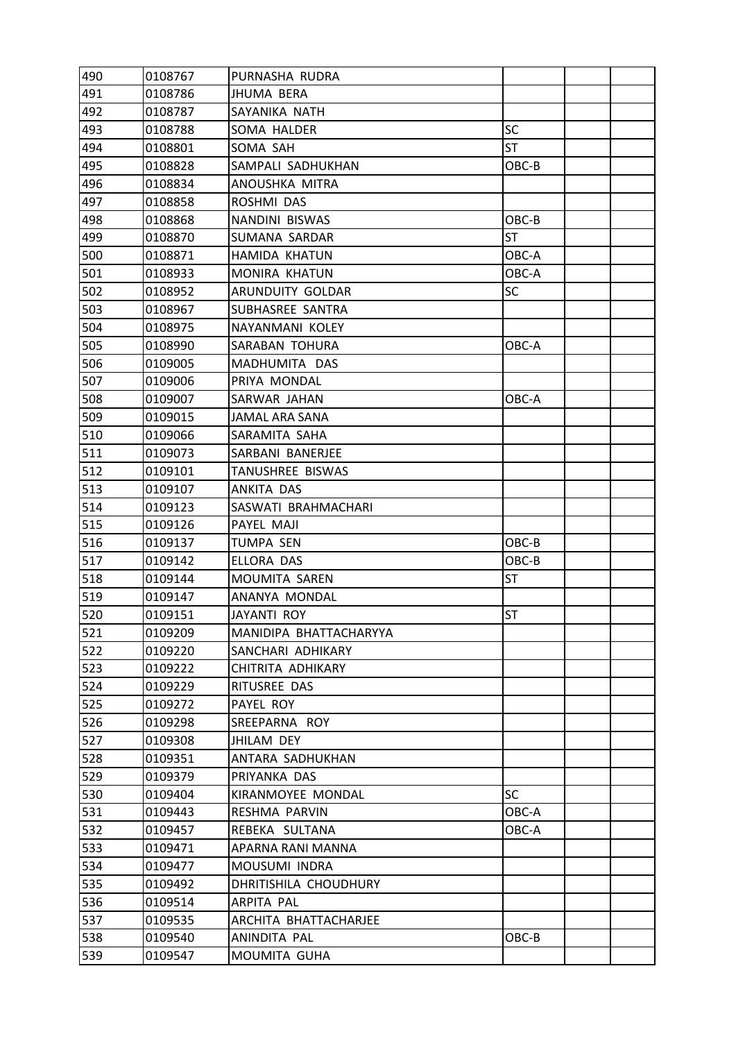| 490 | 0108767 | PURNASHA RUDRA         |           |  |
|-----|---------|------------------------|-----------|--|
| 491 | 0108786 | <b>JHUMA BERA</b>      |           |  |
| 492 | 0108787 | SAYANIKA NATH          |           |  |
| 493 | 0108788 | SOMA HALDER            | SC        |  |
| 494 | 0108801 | SOMA SAH               | <b>ST</b> |  |
| 495 | 0108828 | SAMPALI SADHUKHAN      | OBC-B     |  |
| 496 | 0108834 | ANOUSHKA MITRA         |           |  |
| 497 | 0108858 | ROSHMI DAS             |           |  |
| 498 | 0108868 | NANDINI BISWAS         | OBC-B     |  |
| 499 | 0108870 | SUMANA SARDAR          | <b>ST</b> |  |
| 500 | 0108871 | HAMIDA KHATUN          | OBC-A     |  |
| 501 | 0108933 | MONIRA KHATUN          | OBC-A     |  |
| 502 | 0108952 | ARUNDUITY GOLDAR       | SC        |  |
| 503 | 0108967 | SUBHASREE SANTRA       |           |  |
| 504 | 0108975 | NAYANMANI KOLEY        |           |  |
| 505 | 0108990 | SARABAN TOHURA         | OBC-A     |  |
| 506 | 0109005 | MADHUMITA DAS          |           |  |
| 507 | 0109006 | PRIYA MONDAL           |           |  |
| 508 | 0109007 | SARWAR JAHAN           | OBC-A     |  |
| 509 | 0109015 | JAMAL ARA SANA         |           |  |
| 510 | 0109066 | SARAMITA SAHA          |           |  |
| 511 | 0109073 | SARBANI BANERJEE       |           |  |
| 512 | 0109101 | TANUSHREE BISWAS       |           |  |
| 513 | 0109107 | ANKITA DAS             |           |  |
| 514 | 0109123 | SASWATI BRAHMACHARI    |           |  |
| 515 | 0109126 | PAYEL MAJI             |           |  |
| 516 | 0109137 | TUMPA SEN              | OBC-B     |  |
| 517 | 0109142 | ELLORA DAS             | OBC-B     |  |
| 518 | 0109144 | MOUMITA SAREN          | <b>ST</b> |  |
| 519 | 0109147 | ANANYA MONDAL          |           |  |
| 520 | 0109151 | JAYANTI ROY            | <b>ST</b> |  |
| 521 | 0109209 | MANIDIPA BHATTACHARYYA |           |  |
| 522 | 0109220 | SANCHARI ADHIKARY      |           |  |
| 523 | 0109222 | CHITRITA ADHIKARY      |           |  |
| 524 | 0109229 | RITUSREE DAS           |           |  |
| 525 | 0109272 | PAYEL ROY              |           |  |
| 526 | 0109298 | SREEPARNA ROY          |           |  |
| 527 | 0109308 | <b>JHILAM DEY</b>      |           |  |
| 528 | 0109351 | ANTARA SADHUKHAN       |           |  |
| 529 | 0109379 | PRIYANKA DAS           |           |  |
| 530 | 0109404 | KIRANMOYEE MONDAL      | <b>SC</b> |  |
| 531 | 0109443 | RESHMA PARVIN          | OBC-A     |  |
| 532 | 0109457 | REBEKA SULTANA         | OBC-A     |  |
| 533 | 0109471 | APARNA RANI MANNA      |           |  |
| 534 | 0109477 | MOUSUMI INDRA          |           |  |
| 535 | 0109492 | DHRITISHILA CHOUDHURY  |           |  |
| 536 | 0109514 | ARPITA PAL             |           |  |
| 537 | 0109535 | ARCHITA BHATTACHARJEE  |           |  |
| 538 | 0109540 | ANINDITA PAL           | OBC-B     |  |
| 539 | 0109547 | MOUMITA GUHA           |           |  |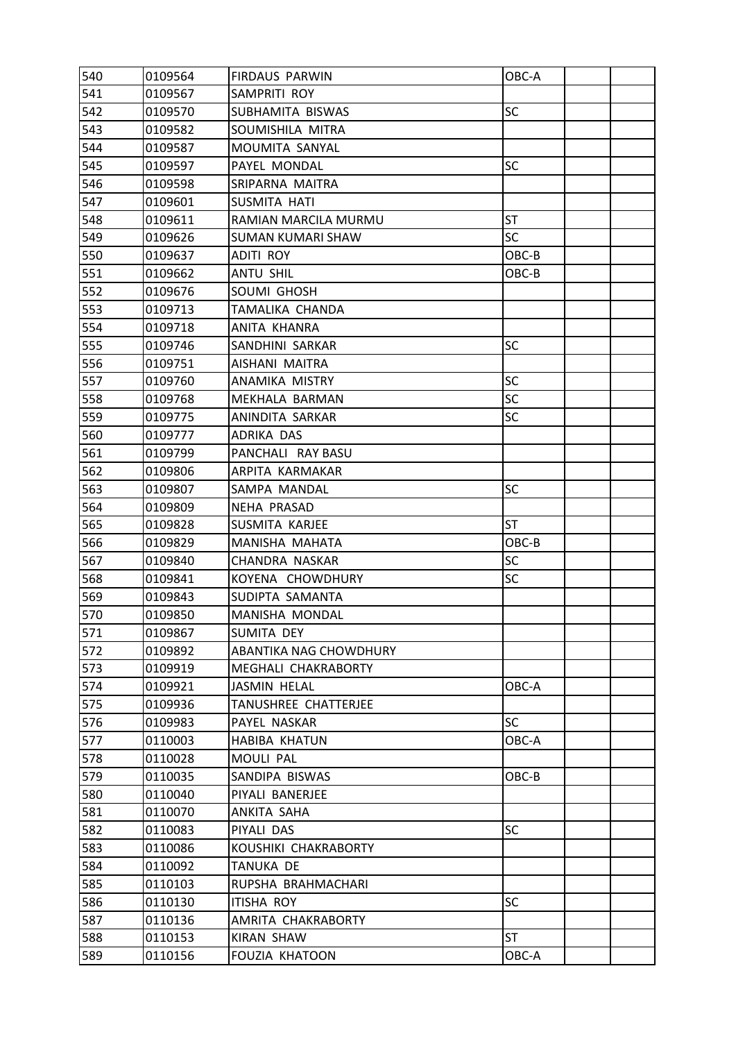| 540 | 0109564 | <b>FIRDAUS PARWIN</b>    | OBC-A     |  |
|-----|---------|--------------------------|-----------|--|
| 541 | 0109567 | SAMPRITI ROY             |           |  |
| 542 | 0109570 | SUBHAMITA BISWAS         | <b>SC</b> |  |
| 543 | 0109582 | SOUMISHILA MITRA         |           |  |
| 544 | 0109587 | MOUMITA SANYAL           |           |  |
| 545 | 0109597 | PAYEL MONDAL             | SC        |  |
| 546 | 0109598 | SRIPARNA MAITRA          |           |  |
| 547 | 0109601 | SUSMITA HATI             |           |  |
| 548 | 0109611 | RAMIAN MARCILA MURMU     | ST        |  |
| 549 | 0109626 | <b>SUMAN KUMARI SHAW</b> | <b>SC</b> |  |
| 550 | 0109637 | ADITI ROY                | OBC-B     |  |
| 551 | 0109662 | ANTU SHIL                | OBC-B     |  |
| 552 | 0109676 | SOUMI GHOSH              |           |  |
| 553 | 0109713 | TAMALIKA CHANDA          |           |  |
| 554 | 0109718 | ANITA KHANRA             |           |  |
| 555 | 0109746 | SANDHINI SARKAR          | SC        |  |
| 556 | 0109751 | AISHANI MAITRA           |           |  |
| 557 | 0109760 | ANAMIKA MISTRY           | SC        |  |
| 558 | 0109768 | MEKHALA BARMAN           | SC        |  |
| 559 | 0109775 | ANINDITA SARKAR          | <b>SC</b> |  |
| 560 | 0109777 | ADRIKA DAS               |           |  |
| 561 | 0109799 | PANCHALI RAY BASU        |           |  |
| 562 | 0109806 | ARPITA KARMAKAR          |           |  |
| 563 | 0109807 | SAMPA MANDAL             | <b>SC</b> |  |
| 564 | 0109809 | NEHA PRASAD              |           |  |
| 565 | 0109828 | SUSMITA KARJEE           | <b>ST</b> |  |
| 566 | 0109829 | MANISHA MAHATA           | OBC-B     |  |
| 567 | 0109840 | CHANDRA NASKAR           | SC        |  |
| 568 | 0109841 | KOYENA CHOWDHURY         | SC        |  |
| 569 | 0109843 | SUDIPTA SAMANTA          |           |  |
| 570 | 0109850 | MANISHA MONDAL           |           |  |
| 571 | 0109867 | <b>SUMITA DEY</b>        |           |  |
| 572 | 0109892 | ABANTIKA NAG CHOWDHURY   |           |  |
| 573 | 0109919 | MEGHALI CHAKRABORTY      |           |  |
| 574 | 0109921 | <b>JASMIN HELAL</b>      | OBC-A     |  |
| 575 | 0109936 | TANUSHREE CHATTERJEE     |           |  |
| 576 | 0109983 | PAYEL NASKAR             | SC        |  |
| 577 | 0110003 | <b>HABIBA KHATUN</b>     | OBC-A     |  |
| 578 | 0110028 | MOULI PAL                |           |  |
| 579 | 0110035 | SANDIPA BISWAS           | OBC-B     |  |
| 580 | 0110040 | PIYALI BANERJEE          |           |  |
| 581 | 0110070 | ANKITA SAHA              |           |  |
| 582 | 0110083 | PIYALI DAS               | <b>SC</b> |  |
| 583 | 0110086 | KOUSHIKI CHAKRABORTY     |           |  |
| 584 | 0110092 | <b>TANUKA DE</b>         |           |  |
| 585 | 0110103 | RUPSHA BRAHMACHARI       |           |  |
| 586 | 0110130 | ITISHA ROY               | <b>SC</b> |  |
| 587 | 0110136 | AMRITA CHAKRABORTY       |           |  |
| 588 | 0110153 | <b>KIRAN SHAW</b>        | ST        |  |
| 589 | 0110156 | <b>FOUZIA KHATOON</b>    | OBC-A     |  |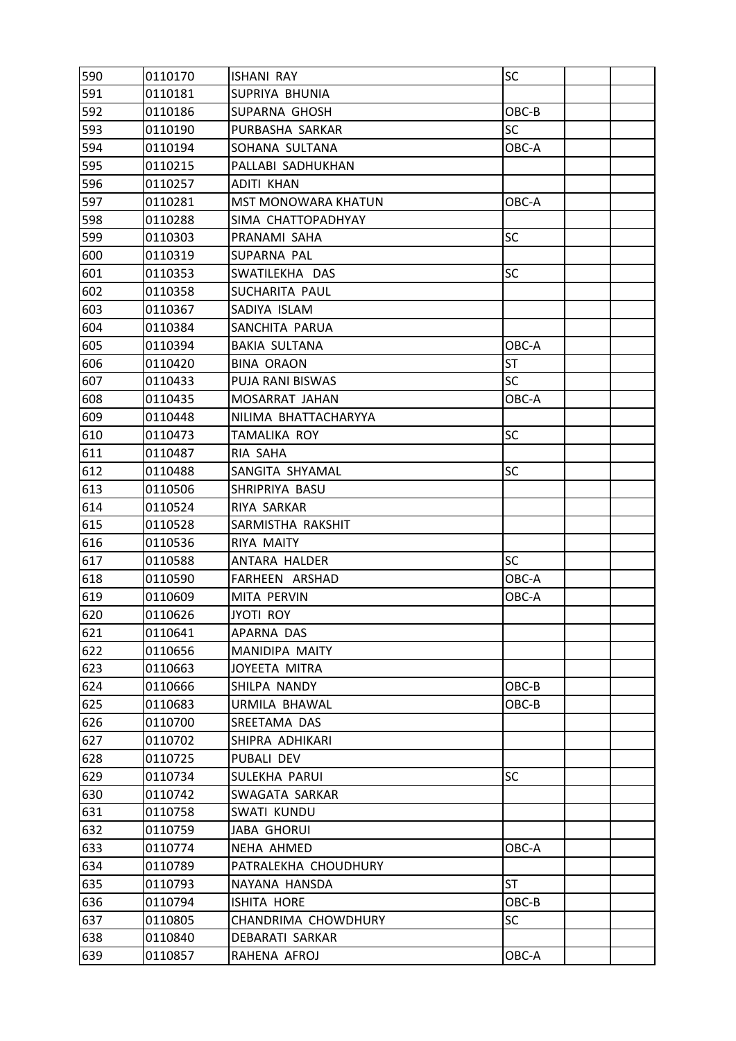| 590 | 0110170 | <b>ISHANI RAY</b>          | <b>SC</b> |  |
|-----|---------|----------------------------|-----------|--|
| 591 | 0110181 | SUPRIYA BHUNIA             |           |  |
| 592 | 0110186 | SUPARNA GHOSH              | OBC-B     |  |
| 593 | 0110190 | PURBASHA SARKAR            | <b>SC</b> |  |
| 594 | 0110194 | SOHANA SULTANA             | OBC-A     |  |
| 595 | 0110215 | PALLABI SADHUKHAN          |           |  |
| 596 | 0110257 | <b>ADITI KHAN</b>          |           |  |
| 597 | 0110281 | <b>MST MONOWARA KHATUN</b> | OBC-A     |  |
| 598 | 0110288 | SIMA CHATTOPADHYAY         |           |  |
| 599 | 0110303 | PRANAMI SAHA               | <b>SC</b> |  |
| 600 | 0110319 | SUPARNA PAL                |           |  |
| 601 | 0110353 | SWATILEKHA DAS             | <b>SC</b> |  |
| 602 | 0110358 | SUCHARITA PAUL             |           |  |
| 603 | 0110367 | SADIYA ISLAM               |           |  |
| 604 | 0110384 | SANCHITA PARUA             |           |  |
| 605 | 0110394 | <b>BAKIA SULTANA</b>       | OBC-A     |  |
| 606 | 0110420 | <b>BINA ORAON</b>          | <b>ST</b> |  |
| 607 | 0110433 | <b>PUJA RANI BISWAS</b>    | <b>SC</b> |  |
| 608 | 0110435 | MOSARRAT JAHAN             | OBC-A     |  |
| 609 | 0110448 | NILIMA BHATTACHARYYA       |           |  |
| 610 | 0110473 | <b>TAMALIKA ROY</b>        | <b>SC</b> |  |
| 611 | 0110487 | RIA SAHA                   |           |  |
| 612 | 0110488 | SANGITA SHYAMAL            | <b>SC</b> |  |
| 613 | 0110506 | SHRIPRIYA BASU             |           |  |
| 614 | 0110524 | RIYA SARKAR                |           |  |
| 615 | 0110528 | SARMISTHA RAKSHIT          |           |  |
| 616 | 0110536 | RIYA MAITY                 |           |  |
| 617 | 0110588 | ANTARA HALDER              | <b>SC</b> |  |
| 618 | 0110590 | FARHEEN ARSHAD             | OBC-A     |  |
| 619 | 0110609 | MITA PERVIN                | OBC-A     |  |
| 620 | 0110626 | <b>JYOTI ROY</b>           |           |  |
| 621 | 0110641 | APARNA DAS                 |           |  |
| 622 | 0110656 | MANIDIPA MAITY             |           |  |
| 623 | 0110663 | JOYEETA MITRA              |           |  |
| 624 | 0110666 | SHILPA NANDY               | OBC-B     |  |
| 625 | 0110683 | URMILA BHAWAL              | OBC-B     |  |
| 626 | 0110700 | SREETAMA DAS               |           |  |
| 627 | 0110702 | SHIPRA ADHIKARI            |           |  |
| 628 | 0110725 | PUBALI DEV                 |           |  |
| 629 | 0110734 | SULEKHA PARUI              | <b>SC</b> |  |
| 630 | 0110742 | SWAGATA SARKAR             |           |  |
| 631 | 0110758 | SWATI KUNDU                |           |  |
| 632 | 0110759 | JABA GHORUI                |           |  |
| 633 | 0110774 | NEHA AHMED                 | OBC-A     |  |
| 634 | 0110789 | PATRALEKHA CHOUDHURY       |           |  |
| 635 | 0110793 | NAYANA HANSDA              | <b>ST</b> |  |
| 636 | 0110794 | ISHITA HORE                | OBC-B     |  |
| 637 | 0110805 | CHANDRIMA CHOWDHURY        | SC        |  |
| 638 | 0110840 | DEBARATI SARKAR            |           |  |
| 639 | 0110857 | RAHENA AFROJ               | OBC-A     |  |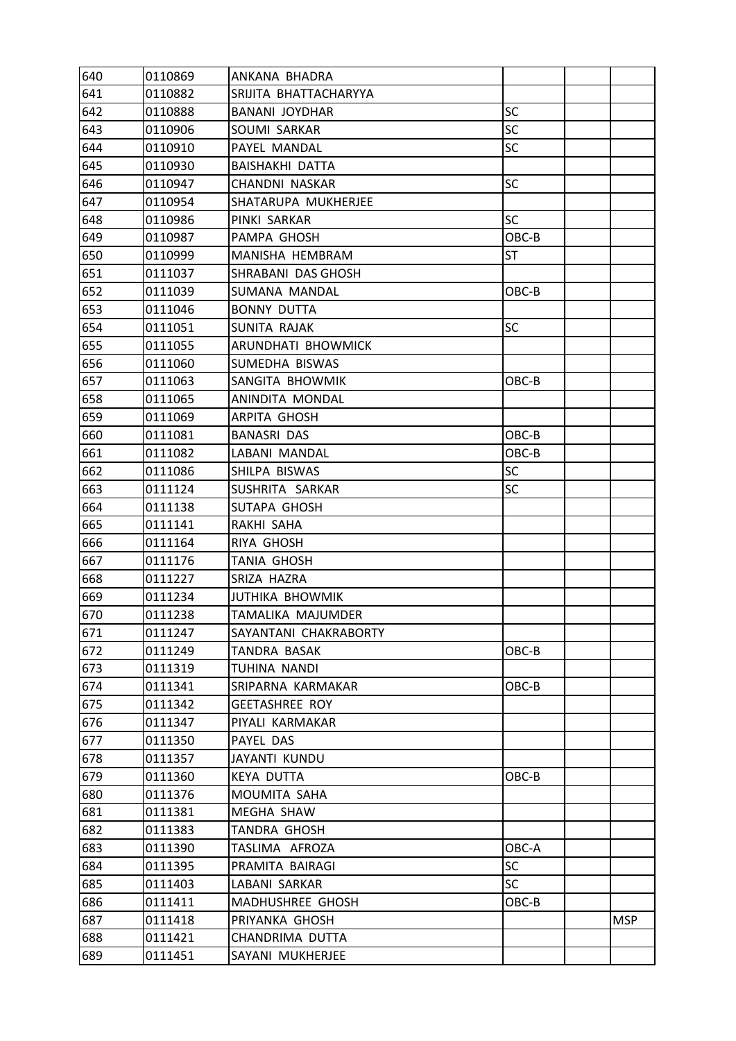| 640 | 0110869 | ANKANA BHADRA          |           |            |
|-----|---------|------------------------|-----------|------------|
| 641 | 0110882 | SRIJITA BHATTACHARYYA  |           |            |
| 642 | 0110888 | BANANI JOYDHAR         | <b>SC</b> |            |
| 643 | 0110906 | SOUMI SARKAR           | SC        |            |
| 644 | 0110910 | PAYEL MANDAL           | <b>SC</b> |            |
| 645 | 0110930 | <b>BAISHAKHI DATTA</b> |           |            |
| 646 | 0110947 | CHANDNI NASKAR         | <b>SC</b> |            |
| 647 | 0110954 | SHATARUPA MUKHERJEE    |           |            |
| 648 | 0110986 | PINKI SARKAR           | <b>SC</b> |            |
| 649 | 0110987 | PAMPA GHOSH            | OBC-B     |            |
| 650 | 0110999 | MANISHA HEMBRAM        | ST        |            |
| 651 | 0111037 | SHRABANI DAS GHOSH     |           |            |
| 652 | 0111039 | SUMANA MANDAL          | OBC-B     |            |
| 653 | 0111046 | <b>BONNY DUTTA</b>     |           |            |
| 654 | 0111051 | SUNITA RAJAK           | SC        |            |
| 655 | 0111055 | ARUNDHATI BHOWMICK     |           |            |
| 656 | 0111060 | SUMEDHA BISWAS         |           |            |
| 657 | 0111063 | SANGITA BHOWMIK        | OBC-B     |            |
| 658 | 0111065 | ANINDITA MONDAL        |           |            |
| 659 | 0111069 | ARPITA GHOSH           |           |            |
| 660 | 0111081 | <b>BANASRI DAS</b>     | OBC-B     |            |
| 661 | 0111082 | LABANI MANDAL          | OBC-B     |            |
| 662 | 0111086 | SHILPA BISWAS          | SC        |            |
| 663 | 0111124 | SUSHRITA SARKAR        | SC        |            |
| 664 | 0111138 | SUTAPA GHOSH           |           |            |
| 665 | 0111141 | RAKHI SAHA             |           |            |
| 666 | 0111164 | RIYA GHOSH             |           |            |
| 667 | 0111176 | <b>TANIA GHOSH</b>     |           |            |
| 668 | 0111227 | SRIZA HAZRA            |           |            |
| 669 | 0111234 | <b>JUTHIKA BHOWMIK</b> |           |            |
| 670 | 0111238 | TAMALIKA MAJUMDER      |           |            |
| 671 | 0111247 | SAYANTANI CHAKRABORTY  |           |            |
| 672 | 0111249 | TANDRA BASAK           | OBC-B     |            |
| 673 | 0111319 | TUHINA NANDI           |           |            |
| 674 | 0111341 | SRIPARNA KARMAKAR      | OBC-B     |            |
| 675 | 0111342 | <b>GEETASHREE ROY</b>  |           |            |
| 676 | 0111347 | PIYALI KARMAKAR        |           |            |
| 677 | 0111350 | PAYEL DAS              |           |            |
| 678 | 0111357 | JAYANTI KUNDU          |           |            |
| 679 | 0111360 | <b>KEYA DUTTA</b>      | OBC-B     |            |
| 680 | 0111376 | MOUMITA SAHA           |           |            |
| 681 | 0111381 | MEGHA SHAW             |           |            |
| 682 | 0111383 | TANDRA GHOSH           |           |            |
| 683 | 0111390 | TASLIMA AFROZA         | OBC-A     |            |
| 684 | 0111395 | PRAMITA BAIRAGI        | <b>SC</b> |            |
| 685 | 0111403 | LABANI SARKAR          | <b>SC</b> |            |
| 686 | 0111411 | MADHUSHREE GHOSH       | OBC-B     |            |
| 687 | 0111418 | PRIYANKA GHOSH         |           | <b>MSP</b> |
| 688 | 0111421 | CHANDRIMA DUTTA        |           |            |
| 689 | 0111451 | SAYANI MUKHERJEE       |           |            |
|     |         |                        |           |            |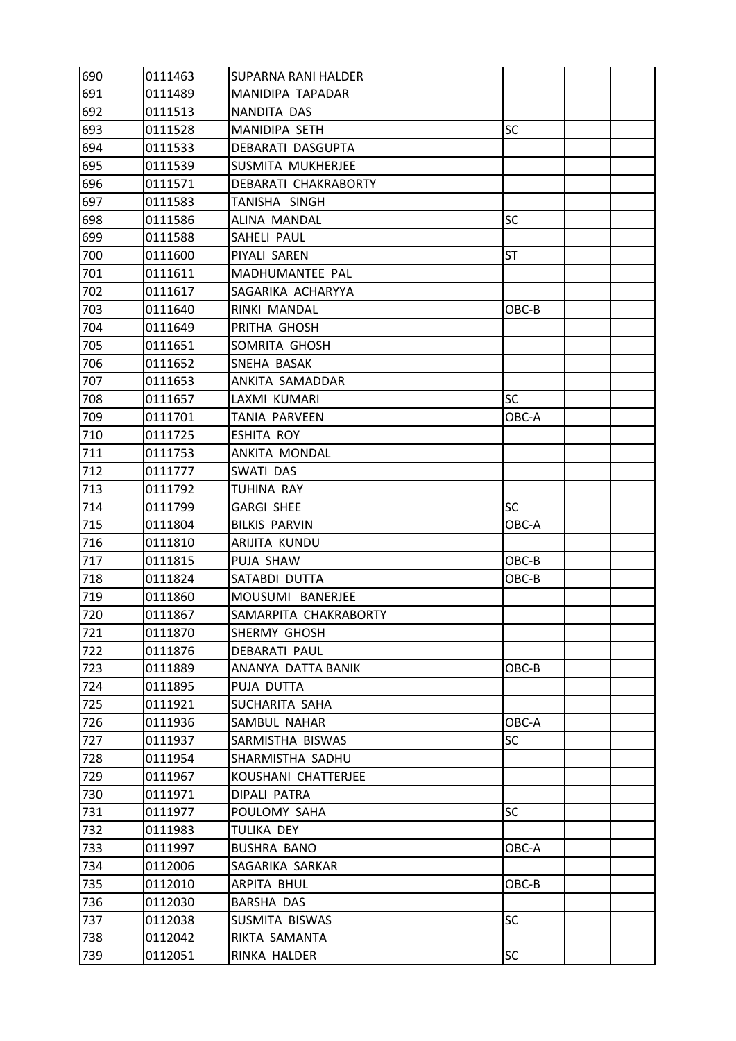| 690 | 0111463 | <b>SUPARNA RANI HALDER</b> |           |  |
|-----|---------|----------------------------|-----------|--|
| 691 | 0111489 | MANIDIPA TAPADAR           |           |  |
| 692 | 0111513 | NANDITA DAS                |           |  |
| 693 | 0111528 | MANIDIPA SETH              | SC        |  |
| 694 | 0111533 | <b>DEBARATI DASGUPTA</b>   |           |  |
| 695 | 0111539 | SUSMITA MUKHERJEE          |           |  |
| 696 | 0111571 | DEBARATI CHAKRABORTY       |           |  |
| 697 | 0111583 | TANISHA SINGH              |           |  |
| 698 | 0111586 | ALINA MANDAL               | <b>SC</b> |  |
| 699 | 0111588 | SAHELI PAUL                |           |  |
| 700 | 0111600 | PIYALI SAREN               | ST        |  |
| 701 | 0111611 | MADHUMANTEE PAL            |           |  |
| 702 | 0111617 | SAGARIKA ACHARYYA          |           |  |
| 703 | 0111640 | RINKI MANDAL               | OBC-B     |  |
| 704 | 0111649 | PRITHA GHOSH               |           |  |
| 705 | 0111651 | SOMRITA GHOSH              |           |  |
| 706 | 0111652 | SNEHA BASAK                |           |  |
| 707 | 0111653 | ANKITA SAMADDAR            |           |  |
| 708 | 0111657 | LAXMI KUMARI               | <b>SC</b> |  |
| 709 | 0111701 | <b>TANIA PARVEEN</b>       | OBC-A     |  |
| 710 | 0111725 | ESHITA ROY                 |           |  |
| 711 | 0111753 | ANKITA MONDAL              |           |  |
| 712 | 0111777 | SWATI DAS                  |           |  |
| 713 | 0111792 | TUHINA RAY                 |           |  |
| 714 | 0111799 | <b>GARGI SHEE</b>          | <b>SC</b> |  |
| 715 | 0111804 | <b>BILKIS PARVIN</b>       | OBC-A     |  |
| 716 | 0111810 | ARIJITA KUNDU              |           |  |
| 717 | 0111815 | PUJA SHAW                  | OBC-B     |  |
| 718 | 0111824 | SATABDI DUTTA              | OBC-B     |  |
| 719 | 0111860 | MOUSUMI BANERJEE           |           |  |
| 720 | 0111867 | SAMARPITA CHAKRABORTY      |           |  |
| 721 | 0111870 | SHERMY GHOSH               |           |  |
| 722 | 0111876 | <b>DEBARATI PAUL</b>       |           |  |
| 723 | 0111889 | ANANYA DATTA BANIK         | OBC-B     |  |
| 724 | 0111895 | PUJA DUTTA                 |           |  |
| 725 | 0111921 | SUCHARITA SAHA             |           |  |
| 726 | 0111936 | SAMBUL NAHAR               | OBC-A     |  |
| 727 | 0111937 | SARMISTHA BISWAS           | <b>SC</b> |  |
| 728 | 0111954 | SHARMISTHA SADHU           |           |  |
| 729 | 0111967 | KOUSHANI CHATTERJEE        |           |  |
| 730 | 0111971 | DIPALI PATRA               |           |  |
| 731 | 0111977 | POULOMY SAHA               | <b>SC</b> |  |
| 732 | 0111983 | TULIKA DEY                 |           |  |
| 733 | 0111997 | <b>BUSHRA BANO</b>         | OBC-A     |  |
| 734 | 0112006 | SAGARIKA SARKAR            |           |  |
| 735 | 0112010 | ARPITA BHUL                | OBC-B     |  |
| 736 | 0112030 | <b>BARSHA DAS</b>          |           |  |
| 737 | 0112038 | SUSMITA BISWAS             | <b>SC</b> |  |
| 738 | 0112042 | RIKTA SAMANTA              |           |  |
| 739 | 0112051 | RINKA HALDER               | SC        |  |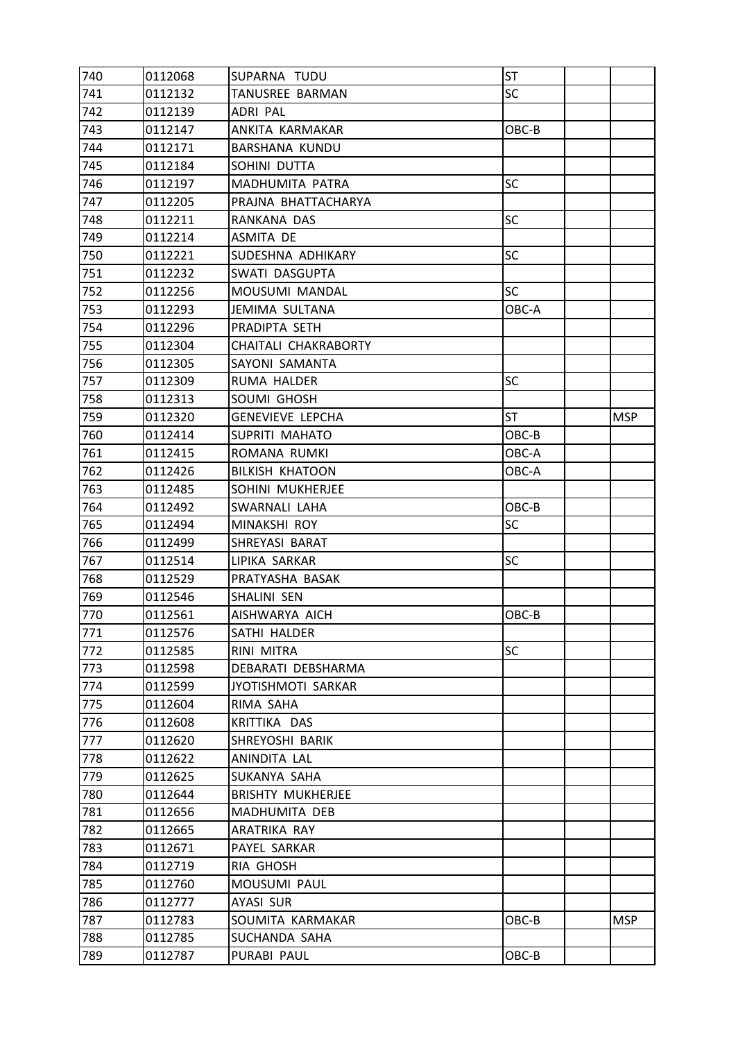| 740 | 0112068 | SUPARNA TUDU              | <b>ST</b> |            |
|-----|---------|---------------------------|-----------|------------|
| 741 | 0112132 | TANUSREE BARMAN           | <b>SC</b> |            |
| 742 | 0112139 | ADRI PAL                  |           |            |
| 743 | 0112147 | ANKITA KARMAKAR           | OBC-B     |            |
| 744 | 0112171 | <b>BARSHANA KUNDU</b>     |           |            |
| 745 | 0112184 | SOHINI DUTTA              |           |            |
| 746 | 0112197 | MADHUMITA PATRA           | <b>SC</b> |            |
| 747 | 0112205 | PRAJNA BHATTACHARYA       |           |            |
| 748 | 0112211 | RANKANA DAS               | <b>SC</b> |            |
| 749 | 0112214 | ASMITA DE                 |           |            |
| 750 | 0112221 | SUDESHNA ADHIKARY         | SC        |            |
| 751 | 0112232 | SWATI DASGUPTA            |           |            |
| 752 | 0112256 | MOUSUMI MANDAL            | <b>SC</b> |            |
| 753 | 0112293 | JEMIMA SULTANA            | OBC-A     |            |
| 754 | 0112296 | PRADIPTA SETH             |           |            |
| 755 | 0112304 | CHAITALI CHAKRABORTY      |           |            |
| 756 | 0112305 | SAYONI SAMANTA            |           |            |
| 757 | 0112309 | RUMA HALDER               | SC        |            |
| 758 | 0112313 | SOUMI GHOSH               |           |            |
| 759 | 0112320 | <b>GENEVIEVE LEPCHA</b>   | ST        | <b>MSP</b> |
| 760 | 0112414 | SUPRITI MAHATO            | OBC-B     |            |
| 761 | 0112415 | ROMANA RUMKI              | OBC-A     |            |
| 762 | 0112426 | <b>BILKISH KHATOON</b>    | OBC-A     |            |
| 763 | 0112485 | SOHINI MUKHERJEE          |           |            |
| 764 | 0112492 | SWARNALI LAHA             | OBC-B     |            |
| 765 | 0112494 | MINAKSHI ROY              | <b>SC</b> |            |
| 766 | 0112499 | SHREYASI BARAT            |           |            |
| 767 | 0112514 | LIPIKA SARKAR             | <b>SC</b> |            |
| 768 | 0112529 | PRATYASHA BASAK           |           |            |
| 769 | 0112546 | SHALINI SEN               |           |            |
| 770 | 0112561 | AISHWARYA AICH            | OBC-B     |            |
| 771 | 0112576 | SATHI HALDER              |           |            |
| 772 | 0112585 | RINI MITRA                | <b>SC</b> |            |
| 773 | 0112598 | DEBARATI DEBSHARMA        |           |            |
| 774 | 0112599 | <b>JYOTISHMOTI SARKAR</b> |           |            |
| 775 | 0112604 | RIMA SAHA                 |           |            |
| 776 | 0112608 | KRITTIKA DAS              |           |            |
| 777 | 0112620 | SHREYOSHI BARIK           |           |            |
| 778 | 0112622 | ANINDITA LAL              |           |            |
| 779 | 0112625 | SUKANYA SAHA              |           |            |
| 780 | 0112644 | <b>BRISHTY MUKHERJEE</b>  |           |            |
| 781 | 0112656 | MADHUMITA DEB             |           |            |
| 782 | 0112665 | ARATRIKA RAY              |           |            |
| 783 | 0112671 | PAYEL SARKAR              |           |            |
| 784 | 0112719 | RIA GHOSH                 |           |            |
| 785 | 0112760 | MOUSUMI PAUL              |           |            |
| 786 | 0112777 | <b>AYASI SUR</b>          |           |            |
| 787 | 0112783 | SOUMITA KARMAKAR          | OBC-B     | <b>MSP</b> |
| 788 | 0112785 | SUCHANDA SAHA             |           |            |
| 789 | 0112787 | PURABI PAUL               | OBC-B     |            |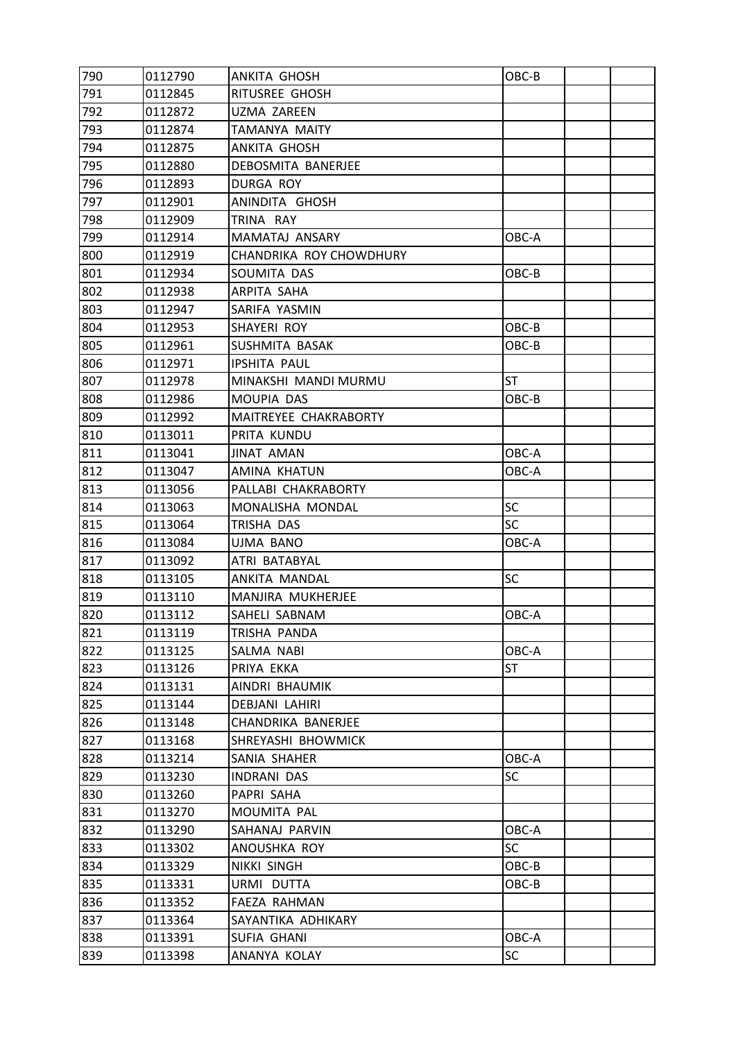| 790 | 0112790 | <b>ANKITA GHOSH</b>     | OBC-B     |  |
|-----|---------|-------------------------|-----------|--|
| 791 | 0112845 | RITUSREE GHOSH          |           |  |
| 792 | 0112872 | UZMA ZAREEN             |           |  |
| 793 | 0112874 | TAMANYA MAITY           |           |  |
| 794 | 0112875 | ANKITA GHOSH            |           |  |
| 795 | 0112880 | DEBOSMITA BANERJEE      |           |  |
| 796 | 0112893 | DURGA ROY               |           |  |
| 797 | 0112901 | ANINDITA GHOSH          |           |  |
| 798 | 0112909 | TRINA RAY               |           |  |
| 799 | 0112914 | MAMATAJ ANSARY          | OBC-A     |  |
| 800 | 0112919 | CHANDRIKA ROY CHOWDHURY |           |  |
| 801 | 0112934 | SOUMITA DAS             | OBC-B     |  |
| 802 | 0112938 | ARPITA SAHA             |           |  |
| 803 | 0112947 | SARIFA YASMIN           |           |  |
| 804 | 0112953 | SHAYERI ROY             | OBC-B     |  |
| 805 | 0112961 | SUSHMITA BASAK          | OBC-B     |  |
| 806 | 0112971 | <b>IPSHITA PAUL</b>     |           |  |
| 807 | 0112978 | MINAKSHI MANDI MURMU    | ST        |  |
| 808 | 0112986 | MOUPIA DAS              | OBC-B     |  |
| 809 | 0112992 | MAITREYEE CHAKRABORTY   |           |  |
| 810 | 0113011 | PRITA KUNDU             |           |  |
| 811 | 0113041 | <b>JINAT AMAN</b>       | OBC-A     |  |
| 812 | 0113047 | <b>AMINA KHATUN</b>     | OBC-A     |  |
| 813 | 0113056 | PALLABI CHAKRABORTY     |           |  |
| 814 | 0113063 | MONALISHA MONDAL        | <b>SC</b> |  |
| 815 | 0113064 | TRISHA DAS              | <b>SC</b> |  |
| 816 | 0113084 | UJMA BANO               | OBC-A     |  |
| 817 | 0113092 | ATRI BATABYAL           |           |  |
| 818 | 0113105 | ANKITA MANDAL           | <b>SC</b> |  |
| 819 | 0113110 | MANJIRA MUKHERJEE       |           |  |
| 820 | 0113112 | SAHELI SABNAM           | OBC-A     |  |
| 821 | 0113119 | TRISHA PANDA            |           |  |
| 822 | 0113125 | SALMA NABI              | OBC-A     |  |
| 823 | 0113126 | PRIYA EKKA              | <b>ST</b> |  |
| 824 | 0113131 | AINDRI BHAUMIK          |           |  |
| 825 | 0113144 | <b>DEBJANI LAHIRI</b>   |           |  |
| 826 | 0113148 | CHANDRIKA BANERJEE      |           |  |
| 827 | 0113168 | SHREYASHI BHOWMICK      |           |  |
| 828 | 0113214 | SANIA SHAHER            | OBC-A     |  |
| 829 | 0113230 | INDRANI DAS             | <b>SC</b> |  |
| 830 | 0113260 | PAPRI SAHA              |           |  |
| 831 | 0113270 | MOUMITA PAL             |           |  |
| 832 | 0113290 | SAHANAJ PARVIN          | OBC-A     |  |
| 833 | 0113302 | ANOUSHKA ROY            | <b>SC</b> |  |
| 834 | 0113329 | <b>NIKKI SINGH</b>      | OBC-B     |  |
| 835 | 0113331 | URMI DUTTA              | $OBC-B$   |  |
| 836 | 0113352 | FAEZA RAHMAN            |           |  |
| 837 | 0113364 | SAYANTIKA ADHIKARY      |           |  |
| 838 | 0113391 | SUFIA GHANI             | OBC-A     |  |
| 839 | 0113398 | ANANYA KOLAY            | SC        |  |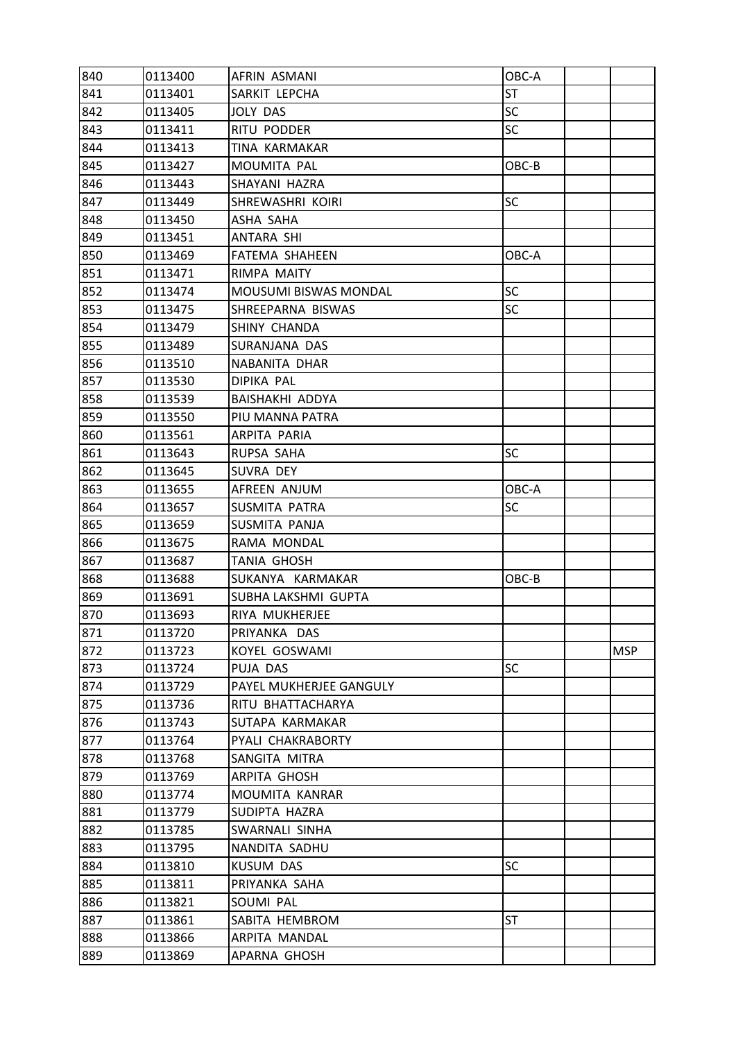| 840 | 0113400 | AFRIN ASMANI                 | OBC-A     |            |
|-----|---------|------------------------------|-----------|------------|
| 841 | 0113401 | SARKIT LEPCHA                | <b>ST</b> |            |
| 842 | 0113405 | JOLY DAS                     | <b>SC</b> |            |
| 843 | 0113411 | RITU PODDER                  | <b>SC</b> |            |
| 844 | 0113413 | TINA KARMAKAR                |           |            |
| 845 | 0113427 | MOUMITA PAL                  | OBC-B     |            |
| 846 | 0113443 | SHAYANI HAZRA                |           |            |
| 847 | 0113449 | SHREWASHRI KOIRI             | <b>SC</b> |            |
| 848 | 0113450 | ASHA SAHA                    |           |            |
| 849 | 0113451 | ANTARA SHI                   |           |            |
| 850 | 0113469 | FATEMA SHAHEEN               | OBC-A     |            |
| 851 | 0113471 | RIMPA MAITY                  |           |            |
| 852 | 0113474 | <b>MOUSUMI BISWAS MONDAL</b> | <b>SC</b> |            |
| 853 | 0113475 | SHREEPARNA BISWAS            | <b>SC</b> |            |
| 854 | 0113479 | SHINY CHANDA                 |           |            |
| 855 | 0113489 | SURANJANA DAS                |           |            |
| 856 | 0113510 | NABANITA DHAR                |           |            |
| 857 | 0113530 | DIPIKA PAL                   |           |            |
| 858 | 0113539 | BAISHAKHI ADDYA              |           |            |
| 859 | 0113550 | PIU MANNA PATRA              |           |            |
| 860 | 0113561 | ARPITA PARIA                 |           |            |
| 861 | 0113643 | RUPSA SAHA                   | <b>SC</b> |            |
| 862 | 0113645 | SUVRA DEY                    |           |            |
| 863 | 0113655 | AFREEN ANJUM                 | OBC-A     |            |
| 864 | 0113657 | SUSMITA PATRA                | <b>SC</b> |            |
| 865 | 0113659 | SUSMITA PANJA                |           |            |
| 866 | 0113675 | RAMA MONDAL                  |           |            |
| 867 | 0113687 | <b>TANIA GHOSH</b>           |           |            |
| 868 | 0113688 | SUKANYA KARMAKAR             | OBC-B     |            |
| 869 | 0113691 | SUBHA LAKSHMI GUPTA          |           |            |
| 870 | 0113693 | RIYA MUKHERJEE               |           |            |
| 871 | 0113720 | PRIYANKA DAS                 |           |            |
| 872 | 0113723 | KOYEL GOSWAMI                |           | <b>MSP</b> |
| 873 | 0113724 | PUJA DAS                     | <b>SC</b> |            |
| 874 | 0113729 | PAYEL MUKHERJEE GANGULY      |           |            |
| 875 | 0113736 | RITU BHATTACHARYA            |           |            |
| 876 | 0113743 | SUTAPA KARMAKAR              |           |            |
| 877 | 0113764 | PYALI CHAKRABORTY            |           |            |
| 878 | 0113768 | SANGITA MITRA                |           |            |
| 879 | 0113769 | ARPITA GHOSH                 |           |            |
| 880 | 0113774 | MOUMITA KANRAR               |           |            |
| 881 | 0113779 | SUDIPTA HAZRA                |           |            |
| 882 | 0113785 | SWARNALI SINHA               |           |            |
| 883 | 0113795 | NANDITA SADHU                |           |            |
| 884 | 0113810 | <b>KUSUM DAS</b>             | <b>SC</b> |            |
| 885 | 0113811 | PRIYANKA SAHA                |           |            |
| 886 | 0113821 | SOUMI PAL                    |           |            |
| 887 | 0113861 | SABITA HEMBROM               | <b>ST</b> |            |
| 888 | 0113866 | ARPITA MANDAL                |           |            |
| 889 | 0113869 | APARNA GHOSH                 |           |            |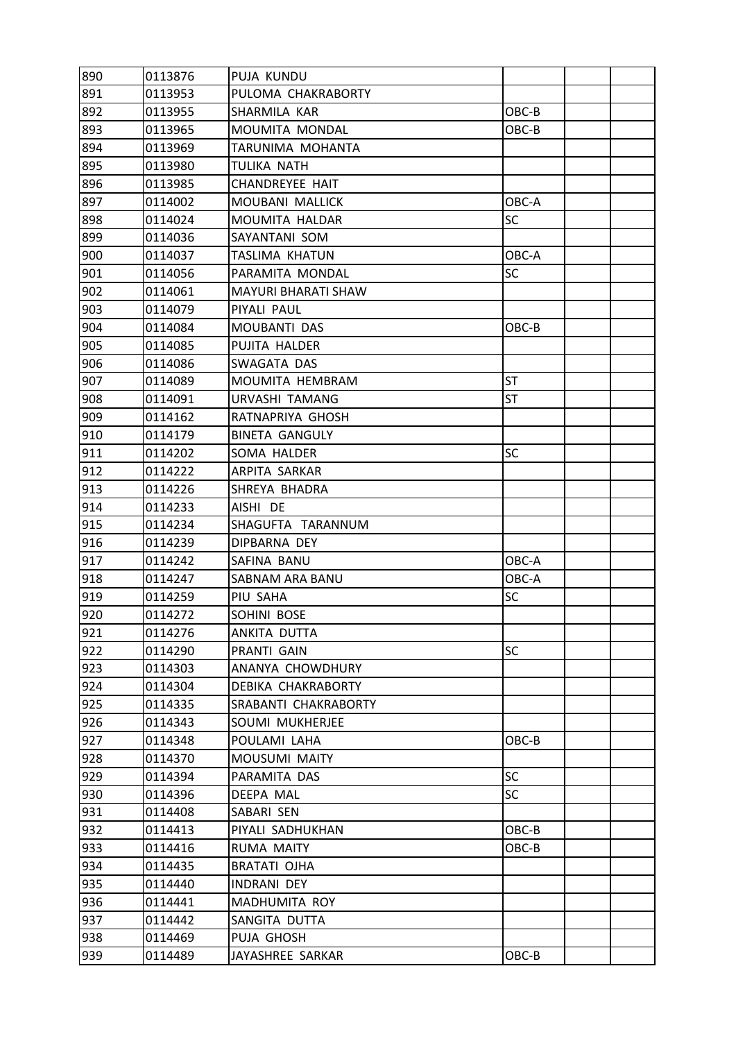| 890 | 0113876 | PUJA KUNDU                 |           |  |
|-----|---------|----------------------------|-----------|--|
| 891 | 0113953 | PULOMA CHAKRABORTY         |           |  |
| 892 | 0113955 | SHARMILA KAR               | OBC-B     |  |
| 893 | 0113965 | MOUMITA MONDAL             | OBC-B     |  |
| 894 | 0113969 | TARUNIMA MOHANTA           |           |  |
| 895 | 0113980 | TULIKA NATH                |           |  |
| 896 | 0113985 | <b>CHANDREYEE HAIT</b>     |           |  |
| 897 | 0114002 | MOUBANI MALLICK            | OBC-A     |  |
| 898 | 0114024 | MOUMITA HALDAR             | SC        |  |
| 899 | 0114036 | SAYANTANI SOM              |           |  |
| 900 | 0114037 | TASLIMA KHATUN             | OBC-A     |  |
| 901 | 0114056 | PARAMITA MONDAL            | SC        |  |
| 902 | 0114061 | <b>MAYURI BHARATI SHAW</b> |           |  |
| 903 | 0114079 | PIYALI PAUL                |           |  |
| 904 | 0114084 | MOUBANTI DAS               | OBC-B     |  |
| 905 | 0114085 | PUJITA HALDER              |           |  |
| 906 | 0114086 | SWAGATA DAS                |           |  |
| 907 | 0114089 | MOUMITA HEMBRAM            | ST        |  |
| 908 | 0114091 | <b>URVASHI TAMANG</b>      | <b>ST</b> |  |
| 909 | 0114162 | RATNAPRIYA GHOSH           |           |  |
| 910 | 0114179 | <b>BINETA GANGULY</b>      |           |  |
| 911 | 0114202 | SOMA HALDER                | SC        |  |
| 912 | 0114222 | ARPITA SARKAR              |           |  |
| 913 | 0114226 | SHREYA BHADRA              |           |  |
| 914 | 0114233 | AISHI DE                   |           |  |
| 915 | 0114234 | SHAGUFTA TARANNUM          |           |  |
| 916 | 0114239 | DIPBARNA DEY               |           |  |
| 917 | 0114242 | SAFINA BANU                | OBC-A     |  |
| 918 | 0114247 | SABNAM ARA BANU            | OBC-A     |  |
| 919 | 0114259 | PIU SAHA                   | SC        |  |
| 920 | 0114272 | SOHINI BOSE                |           |  |
| 921 | 0114276 | ANKITA DUTTA               |           |  |
| 922 | 0114290 | PRANTI GAIN                | <b>SC</b> |  |
| 923 | 0114303 | ANANYA CHOWDHURY           |           |  |
| 924 | 0114304 | DEBIKA CHAKRABORTY         |           |  |
| 925 | 0114335 | SRABANTI CHAKRABORTY       |           |  |
| 926 | 0114343 | SOUMI MUKHERJEE            |           |  |
| 927 | 0114348 | POULAMI LAHA               | OBC-B     |  |
| 928 | 0114370 | <b>MOUSUMI MAITY</b>       |           |  |
| 929 | 0114394 | PARAMITA DAS               | <b>SC</b> |  |
| 930 | 0114396 | DEEPA MAL                  | SC        |  |
| 931 | 0114408 | SABARI SEN                 |           |  |
| 932 | 0114413 | PIYALI SADHUKHAN           | OBC-B     |  |
| 933 | 0114416 | RUMA MAITY                 | OBC-B     |  |
| 934 | 0114435 | BRATATI OJHA               |           |  |
| 935 | 0114440 | INDRANI DEY                |           |  |
| 936 | 0114441 | MADHUMITA ROY              |           |  |
| 937 | 0114442 | SANGITA DUTTA              |           |  |
| 938 | 0114469 | PUJA GHOSH                 |           |  |
| 939 | 0114489 | JAYASHREE SARKAR           | OBC-B     |  |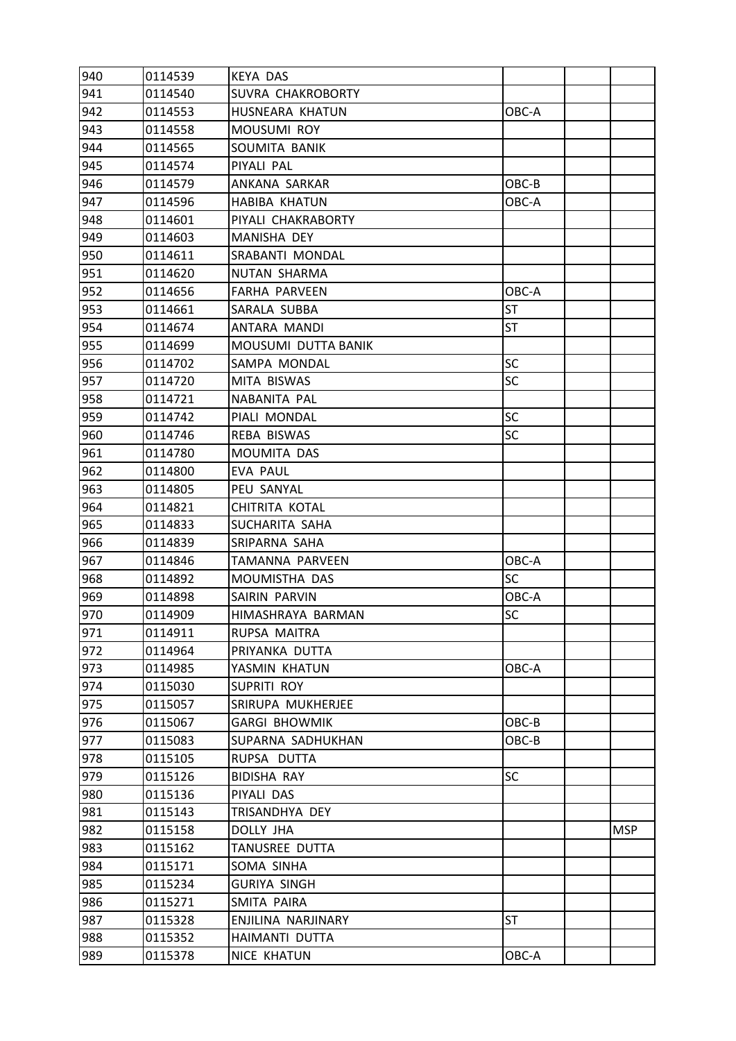| 940 | 0114539 | <b>KEYA DAS</b>      |           |            |
|-----|---------|----------------------|-----------|------------|
| 941 | 0114540 | SUVRA CHAKROBORTY    |           |            |
| 942 | 0114553 | HUSNEARA KHATUN      | OBC-A     |            |
| 943 | 0114558 | MOUSUMI ROY          |           |            |
| 944 | 0114565 | SOUMITA BANIK        |           |            |
| 945 | 0114574 | PIYALI PAL           |           |            |
| 946 | 0114579 | ANKANA SARKAR        | OBC-B     |            |
| 947 | 0114596 | <b>HABIBA KHATUN</b> | OBC-A     |            |
| 948 | 0114601 | PIYALI CHAKRABORTY   |           |            |
| 949 | 0114603 | MANISHA DEY          |           |            |
| 950 | 0114611 | SRABANTI MONDAL      |           |            |
| 951 | 0114620 | NUTAN SHARMA         |           |            |
| 952 | 0114656 | <b>FARHA PARVEEN</b> | OBC-A     |            |
| 953 | 0114661 | SARALA SUBBA         | <b>ST</b> |            |
| 954 | 0114674 | ANTARA MANDI         | <b>ST</b> |            |
| 955 | 0114699 | MOUSUMI DUTTA BANIK  |           |            |
| 956 | 0114702 | SAMPA MONDAL         | <b>SC</b> |            |
| 957 | 0114720 | MITA BISWAS          | SC        |            |
| 958 | 0114721 | NABANITA PAL         |           |            |
| 959 | 0114742 | PIALI MONDAL         | SC        |            |
| 960 | 0114746 | REBA BISWAS          | <b>SC</b> |            |
| 961 | 0114780 | MOUMITA DAS          |           |            |
| 962 | 0114800 | EVA PAUL             |           |            |
| 963 | 0114805 | PEU SANYAL           |           |            |
| 964 | 0114821 | CHITRITA KOTAL       |           |            |
| 965 | 0114833 | SUCHARITA SAHA       |           |            |
| 966 | 0114839 | SRIPARNA SAHA        |           |            |
| 967 | 0114846 | TAMANNA PARVEEN      | OBC-A     |            |
| 968 | 0114892 | MOUMISTHA DAS        | SC        |            |
| 969 | 0114898 | SAIRIN PARVIN        | OBC-A     |            |
| 970 | 0114909 | HIMASHRAYA BARMAN    | <b>SC</b> |            |
| 971 | 0114911 | RUPSA MAITRA         |           |            |
| 972 | 0114964 | PRIYANKA DUTTA       |           |            |
| 973 | 0114985 | YASMIN KHATUN        | OBC-A     |            |
| 974 | 0115030 | <b>SUPRITI ROY</b>   |           |            |
| 975 | 0115057 | SRIRUPA MUKHERJEE    |           |            |
| 976 | 0115067 | <b>GARGI BHOWMIK</b> | OBC-B     |            |
| 977 | 0115083 | SUPARNA SADHUKHAN    | OBC-B     |            |
| 978 | 0115105 | RUPSA DUTTA          |           |            |
| 979 | 0115126 | <b>BIDISHA RAY</b>   | <b>SC</b> |            |
| 980 | 0115136 | PIYALI DAS           |           |            |
| 981 | 0115143 | TRISANDHYA DEY       |           |            |
| 982 | 0115158 | DOLLY JHA            |           | <b>MSP</b> |
| 983 | 0115162 | TANUSREE DUTTA       |           |            |
| 984 | 0115171 | SOMA SINHA           |           |            |
| 985 | 0115234 | <b>GURIYA SINGH</b>  |           |            |
| 986 | 0115271 | SMITA PAIRA          |           |            |
| 987 | 0115328 | ENJILINA NARJINARY   | <b>ST</b> |            |
| 988 | 0115352 | HAIMANTI DUTTA       |           |            |
| 989 | 0115378 | NICE KHATUN          | OBC-A     |            |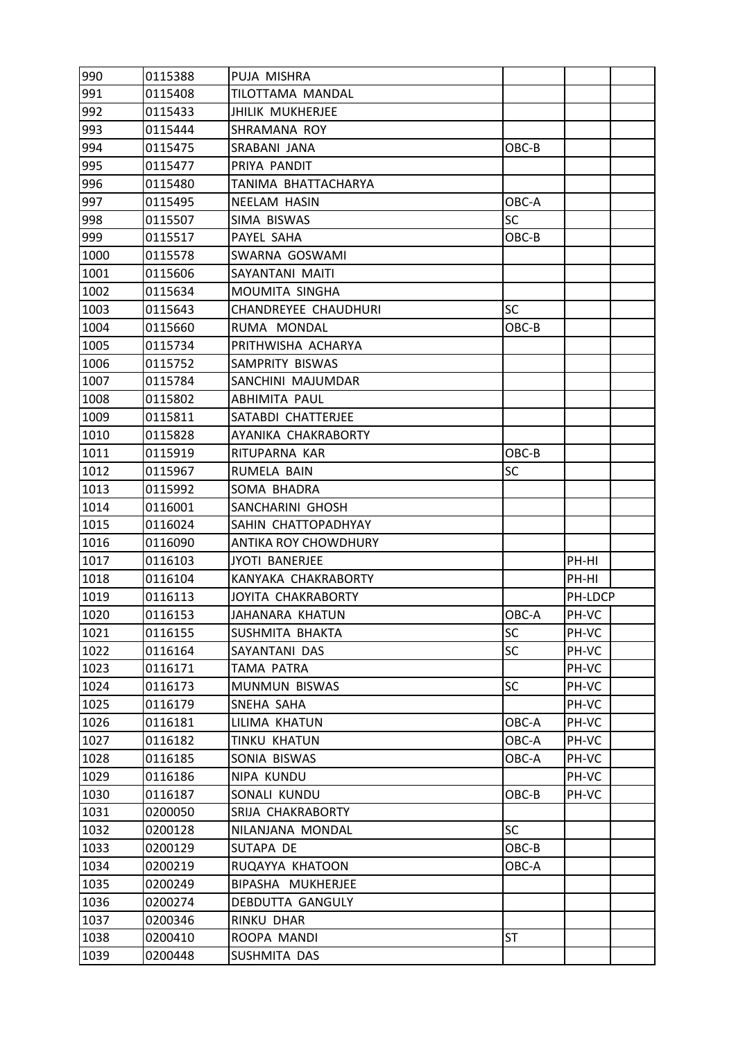| 990  | 0115388 | PUJA MISHRA                 |           |         |  |
|------|---------|-----------------------------|-----------|---------|--|
| 991  | 0115408 | TILOTTAMA MANDAL            |           |         |  |
| 992  | 0115433 | <b>JHILIK MUKHERJEE</b>     |           |         |  |
| 993  | 0115444 | SHRAMANA ROY                |           |         |  |
| 994  | 0115475 | SRABANI JANA                | OBC-B     |         |  |
| 995  | 0115477 | PRIYA PANDIT                |           |         |  |
| 996  | 0115480 | TANIMA BHATTACHARYA         |           |         |  |
| 997  | 0115495 | NEELAM HASIN                | OBC-A     |         |  |
| 998  | 0115507 | SIMA BISWAS                 | SC        |         |  |
| 999  | 0115517 | PAYEL SAHA                  | OBC-B     |         |  |
| 1000 | 0115578 | SWARNA GOSWAMI              |           |         |  |
| 1001 | 0115606 | SAYANTANI MAITI             |           |         |  |
| 1002 | 0115634 | MOUMITA SINGHA              |           |         |  |
| 1003 | 0115643 | <b>CHANDREYEE CHAUDHURI</b> | <b>SC</b> |         |  |
| 1004 | 0115660 | RUMA MONDAL                 | OBC-B     |         |  |
| 1005 | 0115734 | PRITHWISHA ACHARYA          |           |         |  |
| 1006 | 0115752 | SAMPRITY BISWAS             |           |         |  |
| 1007 | 0115784 | SANCHINI MAJUMDAR           |           |         |  |
| 1008 | 0115802 | <b>ABHIMITA PAUL</b>        |           |         |  |
| 1009 | 0115811 | SATABDI CHATTERJEE          |           |         |  |
| 1010 | 0115828 | AYANIKA CHAKRABORTY         |           |         |  |
| 1011 | 0115919 | RITUPARNA KAR               | OBC-B     |         |  |
| 1012 | 0115967 | RUMELA BAIN                 | <b>SC</b> |         |  |
| 1013 | 0115992 | SOMA BHADRA                 |           |         |  |
| 1014 | 0116001 | SANCHARINI GHOSH            |           |         |  |
| 1015 | 0116024 | SAHIN CHATTOPADHYAY         |           |         |  |
| 1016 | 0116090 | ANTIKA ROY CHOWDHURY        |           |         |  |
| 1017 | 0116103 | <b>JYOTI BANERJEE</b>       |           | PH-HI   |  |
| 1018 | 0116104 | KANYAKA CHAKRABORTY         |           | PH-HI   |  |
| 1019 | 0116113 | JOYITA CHAKRABORTY          |           | PH-LDCP |  |
| 1020 | 0116153 | JAHANARA KHATUN             | OBC-A     | PH-VC   |  |
| 1021 | 0116155 | SUSHMITA BHAKTA             | SC        | PH-VC   |  |
| 1022 | 0116164 | SAYANTANI DAS               | <b>SC</b> | PH-VC   |  |
| 1023 | 0116171 | TAMA PATRA                  |           | PH-VC   |  |
| 1024 | 0116173 | MUNMUN BISWAS               | <b>SC</b> | PH-VC   |  |
| 1025 | 0116179 | SNEHA SAHA                  |           | PH-VC   |  |
| 1026 | 0116181 | LILIMA KHATUN               | OBC-A     | PH-VC   |  |
| 1027 | 0116182 | TINKU KHATUN                | OBC-A     | PH-VC   |  |
| 1028 | 0116185 | SONIA BISWAS                | OBC-A     | PH-VC   |  |
| 1029 | 0116186 | NIPA KUNDU                  |           | PH-VC   |  |
| 1030 | 0116187 | SONALI KUNDU                | OBC-B     | PH-VC   |  |
| 1031 | 0200050 | SRIJA CHAKRABORTY           |           |         |  |
| 1032 | 0200128 | NILANJANA MONDAL            | <b>SC</b> |         |  |
| 1033 | 0200129 | SUTAPA DE                   | OBC-B     |         |  |
| 1034 | 0200219 | RUQAYYA KHATOON             | OBC-A     |         |  |
| 1035 | 0200249 | BIPASHA MUKHERJEE           |           |         |  |
| 1036 | 0200274 | DEBDUTTA GANGULY            |           |         |  |
| 1037 | 0200346 | RINKU DHAR                  |           |         |  |
| 1038 | 0200410 | ROOPA MANDI                 | ST        |         |  |
| 1039 | 0200448 | SUSHMITA DAS                |           |         |  |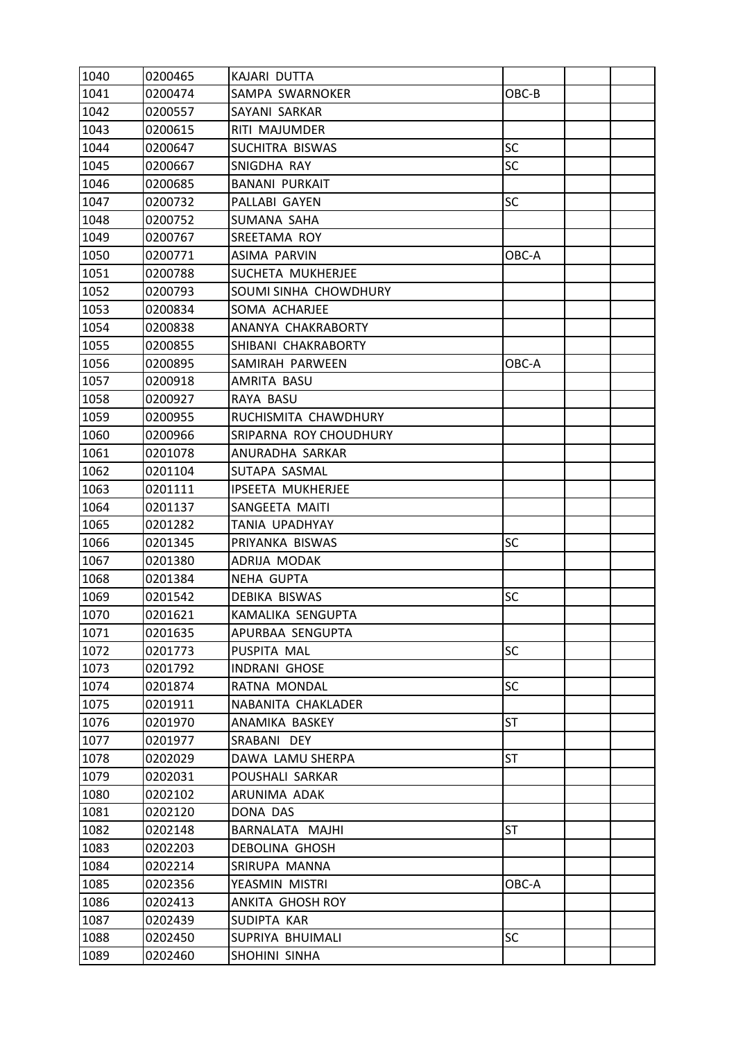| 1040 | 0200465 | KAJARI DUTTA             |           |  |
|------|---------|--------------------------|-----------|--|
| 1041 | 0200474 | SAMPA SWARNOKER          | OBC-B     |  |
| 1042 | 0200557 | SAYANI SARKAR            |           |  |
| 1043 | 0200615 | RITI MAJUMDER            |           |  |
| 1044 | 0200647 | SUCHITRA BISWAS          | <b>SC</b> |  |
| 1045 | 0200667 | SNIGDHA RAY              | <b>SC</b> |  |
| 1046 | 0200685 | <b>BANANI PURKAIT</b>    |           |  |
| 1047 | 0200732 | PALLABI GAYEN            | <b>SC</b> |  |
| 1048 | 0200752 | SUMANA SAHA              |           |  |
| 1049 | 0200767 | SREETAMA ROY             |           |  |
| 1050 | 0200771 | <b>ASIMA PARVIN</b>      | OBC-A     |  |
| 1051 | 0200788 | SUCHETA MUKHERJEE        |           |  |
| 1052 | 0200793 | SOUMI SINHA CHOWDHURY    |           |  |
| 1053 | 0200834 | SOMA ACHARJEE            |           |  |
| 1054 | 0200838 | ANANYA CHAKRABORTY       |           |  |
| 1055 | 0200855 | SHIBANI CHAKRABORTY      |           |  |
| 1056 | 0200895 | SAMIRAH PARWEEN          | OBC-A     |  |
| 1057 | 0200918 | AMRITA BASU              |           |  |
| 1058 | 0200927 | RAYA BASU                |           |  |
| 1059 | 0200955 | RUCHISMITA CHAWDHURY     |           |  |
| 1060 | 0200966 | SRIPARNA ROY CHOUDHURY   |           |  |
| 1061 | 0201078 | ANURADHA SARKAR          |           |  |
| 1062 | 0201104 | SUTAPA SASMAL            |           |  |
| 1063 | 0201111 | <b>IPSEETA MUKHERJEE</b> |           |  |
| 1064 | 0201137 | SANGEETA MAITI           |           |  |
| 1065 | 0201282 | <b>TANIA UPADHYAY</b>    |           |  |
| 1066 | 0201345 | PRIYANKA BISWAS          | <b>SC</b> |  |
| 1067 | 0201380 | ADRIJA MODAK             |           |  |
| 1068 | 0201384 | NEHA GUPTA               |           |  |
| 1069 | 0201542 | DEBIKA BISWAS            | <b>SC</b> |  |
| 1070 | 0201621 | KAMALIKA SENGUPTA        |           |  |
| 1071 | 0201635 | APURBAA SENGUPTA         |           |  |
| 1072 | 0201773 | PUSPITA MAL              | <b>SC</b> |  |
| 1073 | 0201792 | <b>INDRANI GHOSE</b>     |           |  |
| 1074 | 0201874 | RATNA MONDAL             | <b>SC</b> |  |
| 1075 | 0201911 | NABANITA CHAKLADER       |           |  |
| 1076 | 0201970 | ANAMIKA BASKEY           | <b>ST</b> |  |
| 1077 | 0201977 | SRABANI DEY              |           |  |
| 1078 | 0202029 | DAWA LAMU SHERPA         | <b>ST</b> |  |
| 1079 | 0202031 | POUSHALI SARKAR          |           |  |
| 1080 | 0202102 | ARUNIMA ADAK             |           |  |
| 1081 | 0202120 | DONA DAS                 |           |  |
| 1082 | 0202148 | BARNALATA MAJHI          | <b>ST</b> |  |
| 1083 | 0202203 | DEBOLINA GHOSH           |           |  |
| 1084 | 0202214 | SRIRUPA MANNA            |           |  |
| 1085 | 0202356 | YEASMIN MISTRI           | OBC-A     |  |
| 1086 | 0202413 | ANKITA GHOSH ROY         |           |  |
| 1087 | 0202439 | SUDIPTA KAR              |           |  |
| 1088 | 0202450 | SUPRIYA BHUIMALI         | <b>SC</b> |  |
| 1089 | 0202460 | SHOHINI SINHA            |           |  |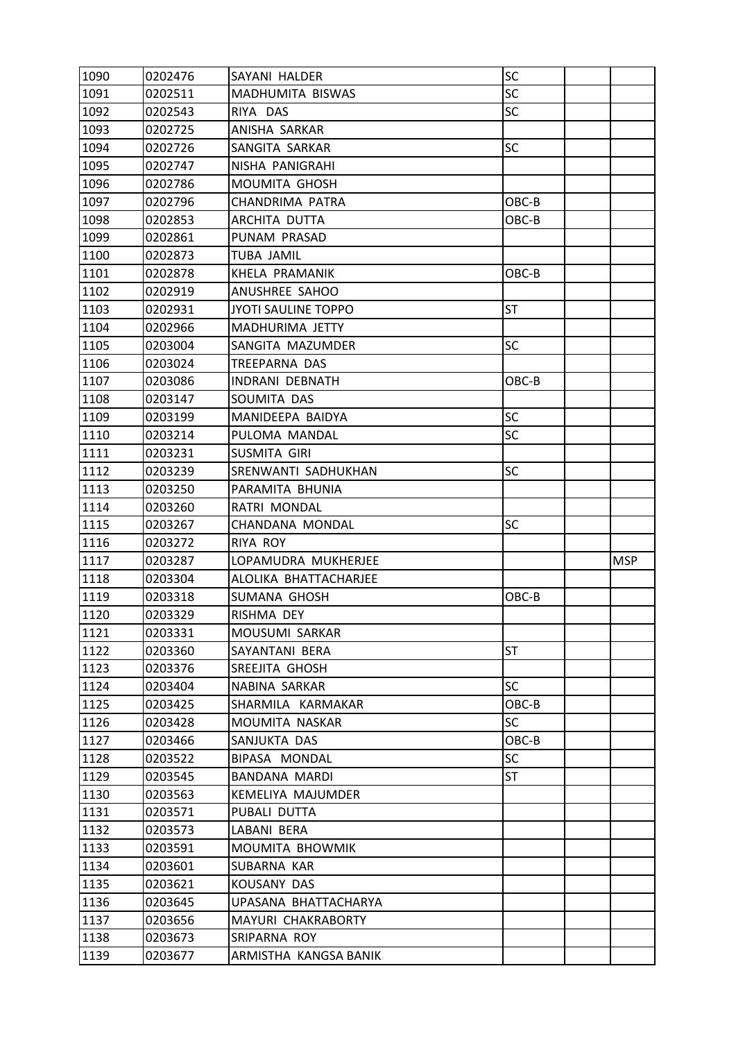| 1090 | 0202476 | SAYANI HALDER                         | SC        |            |
|------|---------|---------------------------------------|-----------|------------|
| 1091 | 0202511 | MADHUMITA BISWAS                      | SC        |            |
| 1092 | 0202543 | RIYA DAS                              | <b>SC</b> |            |
| 1093 | 0202725 | ANISHA SARKAR                         |           |            |
| 1094 | 0202726 | SANGITA SARKAR                        | <b>SC</b> |            |
| 1095 | 0202747 | NISHA PANIGRAHI                       |           |            |
| 1096 | 0202786 | MOUMITA GHOSH                         |           |            |
| 1097 | 0202796 | CHANDRIMA PATRA                       | OBC-B     |            |
| 1098 | 0202853 | ARCHITA DUTTA                         | OBC-B     |            |
| 1099 | 0202861 | PUNAM PRASAD                          |           |            |
| 1100 | 0202873 | <b>TUBA JAMIL</b>                     |           |            |
| 1101 | 0202878 | KHELA PRAMANIK                        | OBC-B     |            |
| 1102 | 0202919 | ANUSHREE SAHOO                        |           |            |
| 1103 | 0202931 | <b>JYOTI SAULINE TOPPO</b>            | <b>ST</b> |            |
| 1104 | 0202966 | MADHURIMA JETTY                       |           |            |
| 1105 | 0203004 | SANGITA MAZUMDER                      | <b>SC</b> |            |
| 1106 | 0203024 | <b>TREEPARNA DAS</b>                  |           |            |
| 1107 | 0203086 | <b>INDRANI DEBNATH</b>                | OBC-B     |            |
| 1108 | 0203147 | SOUMITA DAS                           |           |            |
| 1109 | 0203199 | MANIDEEPA BAIDYA                      | <b>SC</b> |            |
| 1110 | 0203214 | PULOMA MANDAL                         | <b>SC</b> |            |
| 1111 | 0203231 | SUSMITA GIRI                          |           |            |
| 1112 | 0203239 | SRENWANTI SADHUKHAN                   | <b>SC</b> |            |
| 1113 | 0203250 | PARAMITA BHUNIA                       |           |            |
| 1114 | 0203260 | RATRI MONDAL                          |           |            |
| 1115 | 0203267 | CHANDANA MONDAL                       | <b>SC</b> |            |
| 1116 | 0203272 | RIYA ROY                              |           |            |
| 1117 | 0203287 | LOPAMUDRA MUKHERJEE                   |           | <b>MSP</b> |
| 1118 | 0203304 | ALOLIKA BHATTACHARJEE                 |           |            |
| 1119 | 0203318 | SUMANA GHOSH                          | OBC-B     |            |
| 1120 | 0203329 | RISHMA DEY                            |           |            |
| 1121 | 0203331 | MOUSUMI SARKAR                        |           |            |
| 1122 | 0203360 | SAYANTANI BERA                        | <b>ST</b> |            |
| 1123 | 0203376 | SREEJITA GHOSH                        |           |            |
| 1124 | 0203404 | NABINA SARKAR                         | <b>SC</b> |            |
| 1125 | 0203425 | SHARMILA KARMAKAR                     | OBC-B     |            |
| 1126 | 0203428 | MOUMITA NASKAR                        | <b>SC</b> |            |
| 1127 | 0203466 | SANJUKTA DAS                          | OBC-B     |            |
| 1128 | 0203522 | BIPASA MONDAL                         | <b>SC</b> |            |
| 1129 | 0203545 | <b>BANDANA MARDI</b>                  | ST        |            |
| 1130 | 0203563 | KEMELIYA MAJUMDER                     |           |            |
| 1131 | 0203571 | PUBALI DUTTA                          |           |            |
| 1132 | 0203573 | LABANI BERA                           |           |            |
| 1133 | 0203591 | MOUMITA BHOWMIK                       |           |            |
| 1134 | 0203601 | SUBARNA KAR                           |           |            |
| 1135 | 0203621 | KOUSANY DAS                           |           |            |
| 1136 | 0203645 | UPASANA BHATTACHARYA                  |           |            |
| 1137 | 0203656 | MAYURI CHAKRABORTY                    |           |            |
| 1138 |         |                                       |           |            |
| 1139 | 0203673 | SRIPARNA ROY<br>ARMISTHA KANGSA BANIK |           |            |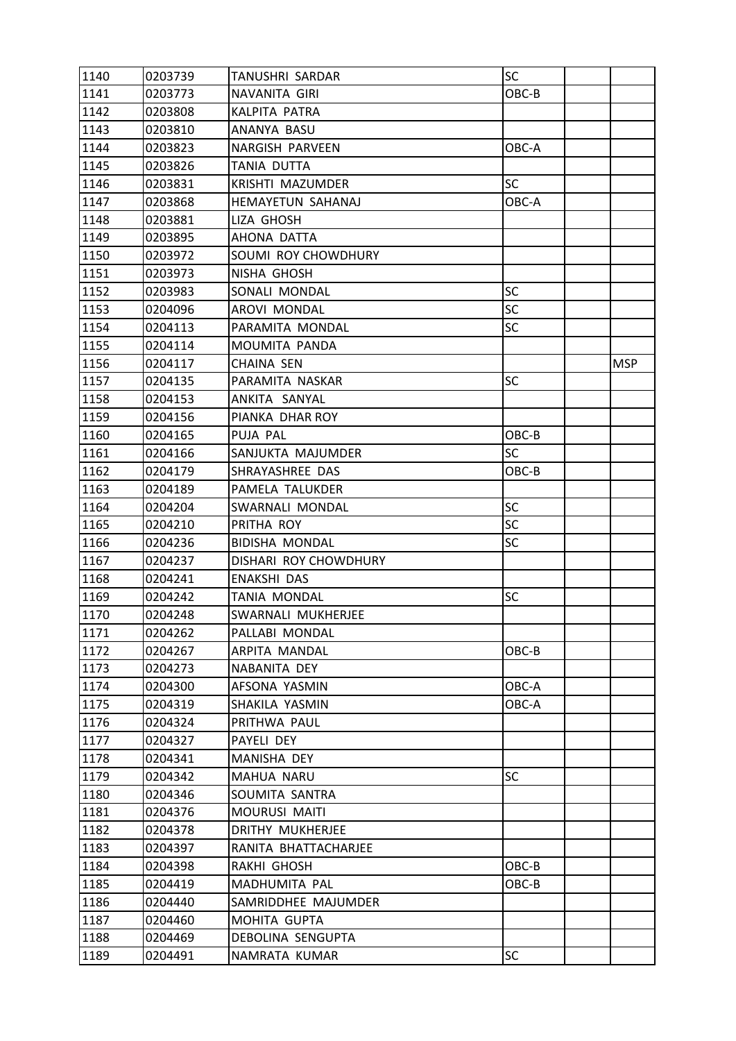| 1140 | 0203739 | TANUSHRI SARDAR         | SC        |            |
|------|---------|-------------------------|-----------|------------|
| 1141 | 0203773 | NAVANITA GIRI           | OBC-B     |            |
| 1142 | 0203808 | KALPITA PATRA           |           |            |
| 1143 | 0203810 | ANANYA BASU             |           |            |
| 1144 | 0203823 | NARGISH PARVEEN         | OBC-A     |            |
| 1145 | 0203826 | TANIA DUTTA             |           |            |
| 1146 | 0203831 | KRISHTI MAZUMDER        | <b>SC</b> |            |
| 1147 | 0203868 | HEMAYETUN SAHANAJ       | OBC-A     |            |
| 1148 | 0203881 | LIZA GHOSH              |           |            |
| 1149 | 0203895 | AHONA DATTA             |           |            |
| 1150 | 0203972 | SOUMI ROY CHOWDHURY     |           |            |
| 1151 | 0203973 | NISHA GHOSH             |           |            |
| 1152 | 0203983 | SONALI MONDAL           | <b>SC</b> |            |
| 1153 | 0204096 | AROVI MONDAL            | <b>SC</b> |            |
| 1154 | 0204113 | PARAMITA MONDAL         | <b>SC</b> |            |
| 1155 | 0204114 | MOUMITA PANDA           |           |            |
| 1156 | 0204117 | <b>CHAINA SEN</b>       |           | <b>MSP</b> |
| 1157 | 0204135 | PARAMITA NASKAR         | <b>SC</b> |            |
| 1158 | 0204153 | ANKITA SANYAL           |           |            |
| 1159 | 0204156 | PIANKA DHAR ROY         |           |            |
| 1160 | 0204165 | PUJA PAL                | OBC-B     |            |
| 1161 | 0204166 | SANJUKTA MAJUMDER       | <b>SC</b> |            |
| 1162 | 0204179 | SHRAYASHREE DAS         | OBC-B     |            |
| 1163 | 0204189 | PAMELA TALUKDER         |           |            |
| 1164 | 0204204 | SWARNALI MONDAL         | <b>SC</b> |            |
| 1165 | 0204210 | PRITHA ROY              | <b>SC</b> |            |
| 1166 | 0204236 | <b>BIDISHA MONDAL</b>   | <b>SC</b> |            |
| 1167 | 0204237 | DISHARI ROY CHOWDHURY   |           |            |
| 1168 | 0204241 | <b>ENAKSHI DAS</b>      |           |            |
| 1169 | 0204242 | TANIA MONDAL            | <b>SC</b> |            |
| 1170 | 0204248 | SWARNALI MUKHERJEE      |           |            |
| 1171 | 0204262 | PALLABI MONDAL          |           |            |
| 1172 | 0204267 | ARPITA MANDAL           | OBC-B     |            |
| 1173 | 0204273 | NABANITA DEY            |           |            |
| 1174 | 0204300 | AFSONA YASMIN           | OBC-A     |            |
| 1175 | 0204319 | SHAKILA YASMIN          | OBC-A     |            |
| 1176 | 0204324 | PRITHWA PAUL            |           |            |
| 1177 | 0204327 | PAYELI DEY              |           |            |
| 1178 | 0204341 | MANISHA DEY             |           |            |
| 1179 | 0204342 | MAHUA NARU              | SC        |            |
| 1180 | 0204346 | SOUMITA SANTRA          |           |            |
| 1181 | 0204376 | <b>MOURUSI MAITI</b>    |           |            |
| 1182 | 0204378 | <b>DRITHY MUKHERJEE</b> |           |            |
| 1183 | 0204397 | RANITA BHATTACHARJEE    |           |            |
| 1184 | 0204398 | RAKHI GHOSH             | OBC-B     |            |
| 1185 | 0204419 | MADHUMITA PAL           | OBC-B     |            |
| 1186 | 0204440 | SAMRIDDHEE MAJUMDER     |           |            |
| 1187 | 0204460 | MOHITA GUPTA            |           |            |
| 1188 | 0204469 | DEBOLINA SENGUPTA       |           |            |
| 1189 | 0204491 | NAMRATA KUMAR           | <b>SC</b> |            |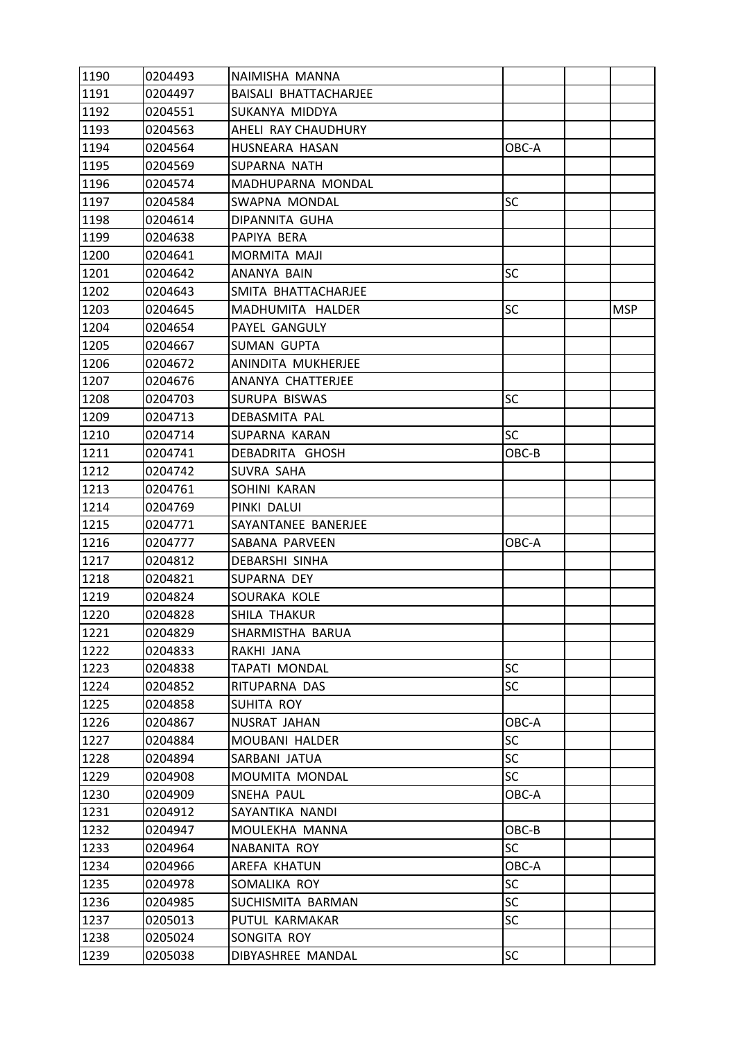| 1190 | 0204493 | NAIMISHA MANNA               |           |            |
|------|---------|------------------------------|-----------|------------|
| 1191 | 0204497 | <b>BAISALI BHATTACHARJEE</b> |           |            |
| 1192 | 0204551 | SUKANYA MIDDYA               |           |            |
| 1193 | 0204563 | AHELI RAY CHAUDHURY          |           |            |
| 1194 | 0204564 | HUSNEARA HASAN               | OBC-A     |            |
| 1195 | 0204569 | SUPARNA NATH                 |           |            |
| 1196 | 0204574 | MADHUPARNA MONDAL            |           |            |
| 1197 | 0204584 | SWAPNA MONDAL                | SC        |            |
| 1198 | 0204614 | DIPANNITA GUHA               |           |            |
| 1199 | 0204638 | PAPIYA BERA                  |           |            |
| 1200 | 0204641 | MORMITA MAJI                 |           |            |
| 1201 | 0204642 | ANANYA BAIN                  | <b>SC</b> |            |
| 1202 | 0204643 | SMITA BHATTACHARJEE          |           |            |
| 1203 | 0204645 | MADHUMITA HALDER             | SC        | <b>MSP</b> |
| 1204 | 0204654 | PAYEL GANGULY                |           |            |
| 1205 | 0204667 | <b>SUMAN GUPTA</b>           |           |            |
| 1206 | 0204672 | ANINDITA MUKHERJEE           |           |            |
| 1207 | 0204676 | ANANYA CHATTERJEE            |           |            |
| 1208 | 0204703 | SURUPA BISWAS                | <b>SC</b> |            |
| 1209 | 0204713 | DEBASMITA PAL                |           |            |
| 1210 | 0204714 | SUPARNA KARAN                | <b>SC</b> |            |
| 1211 | 0204741 | DEBADRITA GHOSH              | OBC-B     |            |
| 1212 | 0204742 | SUVRA SAHA                   |           |            |
| 1213 | 0204761 | SOHINI KARAN                 |           |            |
| 1214 | 0204769 | PINKI DALUI                  |           |            |
| 1215 | 0204771 | SAYANTANEE BANERJEE          |           |            |
| 1216 | 0204777 | SABANA PARVEEN               | OBC-A     |            |
| 1217 | 0204812 | DEBARSHI SINHA               |           |            |
| 1218 | 0204821 | SUPARNA DEY                  |           |            |
| 1219 | 0204824 | SOURAKA KOLE                 |           |            |
| 1220 | 0204828 | SHILA THAKUR                 |           |            |
| 1221 | 0204829 | SHARMISTHA BARUA             |           |            |
| 1222 | 0204833 | RAKHI JANA                   |           |            |
| 1223 | 0204838 | <b>TAPATI MONDAL</b>         | SC        |            |
| 1224 | 0204852 | RITUPARNA DAS                | <b>SC</b> |            |
| 1225 | 0204858 | SUHITA ROY                   |           |            |
| 1226 | 0204867 | NUSRAT JAHAN                 | OBC-A     |            |
| 1227 | 0204884 | MOUBANI HALDER               | <b>SC</b> |            |
| 1228 | 0204894 | SARBANI JATUA                | <b>SC</b> |            |
| 1229 | 0204908 | MOUMITA MONDAL               | <b>SC</b> |            |
| 1230 | 0204909 | SNEHA PAUL                   | OBC-A     |            |
| 1231 | 0204912 | SAYANTIKA NANDI              |           |            |
| 1232 | 0204947 | MOULEKHA MANNA               | OBC-B     |            |
| 1233 | 0204964 | NABANITA ROY                 | SC        |            |
| 1234 | 0204966 | AREFA KHATUN                 | OBC-A     |            |
| 1235 | 0204978 | SOMALIKA ROY                 | SC        |            |
| 1236 | 0204985 | SUCHISMITA BARMAN            | SC        |            |
| 1237 | 0205013 | PUTUL KARMAKAR               | <b>SC</b> |            |
| 1238 | 0205024 | SONGITA ROY                  |           |            |
| 1239 | 0205038 | DIBYASHREE MANDAL            | SC        |            |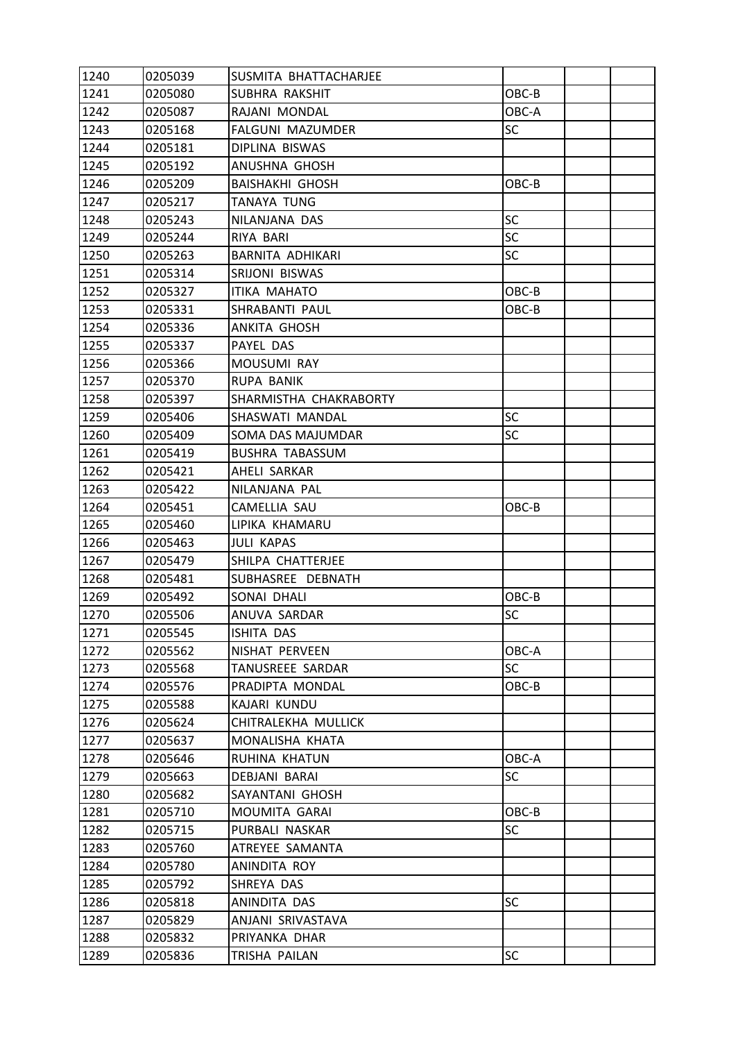| 1240 | 0205039 | SUSMITA BHATTACHARJEE  |           |  |
|------|---------|------------------------|-----------|--|
| 1241 | 0205080 | SUBHRA RAKSHIT         | OBC-B     |  |
| 1242 | 0205087 | RAJANI MONDAL          | OBC-A     |  |
| 1243 | 0205168 | FALGUNI MAZUMDER       | SC        |  |
| 1244 | 0205181 | DIPLINA BISWAS         |           |  |
| 1245 | 0205192 | ANUSHNA GHOSH          |           |  |
| 1246 | 0205209 | <b>BAISHAKHI GHOSH</b> | OBC-B     |  |
| 1247 | 0205217 | <b>TANAYA TUNG</b>     |           |  |
| 1248 | 0205243 | NILANJANA DAS          | SC        |  |
| 1249 | 0205244 | RIYA BARI              | SC        |  |
| 1250 | 0205263 | BARNITA ADHIKARI       | <b>SC</b> |  |
| 1251 | 0205314 | SRIJONI BISWAS         |           |  |
| 1252 | 0205327 | <b>ITIKA MAHATO</b>    | OBC-B     |  |
| 1253 | 0205331 | SHRABANTI PAUL         | OBC-B     |  |
| 1254 | 0205336 | ANKITA GHOSH           |           |  |
| 1255 | 0205337 | PAYEL DAS              |           |  |
| 1256 | 0205366 | MOUSUMI RAY            |           |  |
| 1257 | 0205370 | RUPA BANIK             |           |  |
| 1258 | 0205397 | SHARMISTHA CHAKRABORTY |           |  |
| 1259 | 0205406 | SHASWATI MANDAL        | SC        |  |
| 1260 | 0205409 | SOMA DAS MAJUMDAR      | SC        |  |
| 1261 | 0205419 | <b>BUSHRA TABASSUM</b> |           |  |
| 1262 | 0205421 | AHELI SARKAR           |           |  |
| 1263 | 0205422 | NILANJANA PAL          |           |  |
| 1264 | 0205451 | CAMELLIA SAU           | OBC-B     |  |
| 1265 | 0205460 | LIPIKA KHAMARU         |           |  |
| 1266 | 0205463 | JULI KAPAS             |           |  |
| 1267 | 0205479 | SHILPA CHATTERJEE      |           |  |
| 1268 | 0205481 | SUBHASREE DEBNATH      |           |  |
| 1269 | 0205492 | SONAI DHALI            | OBC-B     |  |
| 1270 | 0205506 | ANUVA SARDAR           | <b>SC</b> |  |
| 1271 | 0205545 | <b>ISHITA DAS</b>      |           |  |
| 1272 | 0205562 | NISHAT PERVEEN         | OBC-A     |  |
| 1273 | 0205568 | TANUSREEE SARDAR       | <b>SC</b> |  |
| 1274 | 0205576 | PRADIPTA MONDAL        | OBC-B     |  |
| 1275 | 0205588 | KAJARI KUNDU           |           |  |
| 1276 | 0205624 | CHITRALEKHA MULLICK    |           |  |
| 1277 | 0205637 | MONALISHA KHATA        |           |  |
| 1278 | 0205646 | RUHINA KHATUN          | OBC-A     |  |
| 1279 | 0205663 | DEBJANI BARAI          | SC        |  |
| 1280 | 0205682 | SAYANTANI GHOSH        |           |  |
| 1281 | 0205710 | MOUMITA GARAI          | OBC-B     |  |
| 1282 | 0205715 | PURBALI NASKAR         | <b>SC</b> |  |
| 1283 | 0205760 | ATREYEE SAMANTA        |           |  |
| 1284 | 0205780 | ANINDITA ROY           |           |  |
| 1285 | 0205792 | SHREYA DAS             |           |  |
| 1286 | 0205818 | ANINDITA DAS           | SC        |  |
| 1287 | 0205829 | ANJANI SRIVASTAVA      |           |  |
| 1288 | 0205832 | PRIYANKA DHAR          |           |  |
| 1289 | 0205836 | TRISHA PAILAN          | <b>SC</b> |  |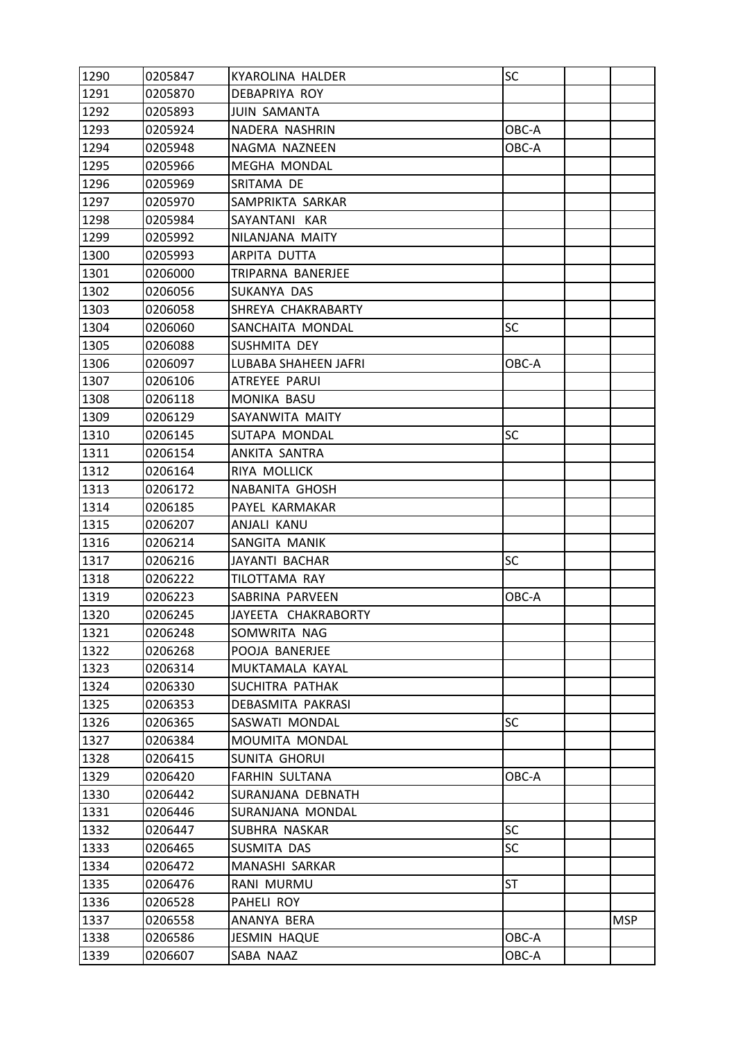| 1290 | 0205847 | KYAROLINA HALDER            | SC        |            |
|------|---------|-----------------------------|-----------|------------|
| 1291 | 0205870 | DEBAPRIYA ROY               |           |            |
| 1292 | 0205893 | <b>JUIN SAMANTA</b>         |           |            |
| 1293 | 0205924 | NADERA NASHRIN              | OBC-A     |            |
| 1294 | 0205948 | NAGMA NAZNEEN               | OBC-A     |            |
| 1295 | 0205966 | <b>MEGHA MONDAL</b>         |           |            |
| 1296 | 0205969 | SRITAMA DE                  |           |            |
| 1297 | 0205970 | SAMPRIKTA SARKAR            |           |            |
| 1298 | 0205984 | SAYANTANI KAR               |           |            |
| 1299 | 0205992 | NILANJANA MAITY             |           |            |
| 1300 | 0205993 | ARPITA DUTTA                |           |            |
| 1301 | 0206000 | TRIPARNA BANERJEE           |           |            |
| 1302 | 0206056 | SUKANYA DAS                 |           |            |
| 1303 | 0206058 | SHREYA CHAKRABARTY          |           |            |
| 1304 | 0206060 | SANCHAITA MONDAL            | SC        |            |
| 1305 | 0206088 | SUSHMITA DEY                |           |            |
| 1306 | 0206097 | <b>LUBABA SHAHEEN JAFRI</b> | OBC-A     |            |
| 1307 | 0206106 | ATREYEE PARUI               |           |            |
| 1308 | 0206118 | MONIKA BASU                 |           |            |
| 1309 | 0206129 | SAYANWITA MAITY             |           |            |
| 1310 | 0206145 | SUTAPA MONDAL               | SC        |            |
| 1311 | 0206154 | ANKITA SANTRA               |           |            |
| 1312 | 0206164 | RIYA MOLLICK                |           |            |
| 1313 | 0206172 | NABANITA GHOSH              |           |            |
| 1314 | 0206185 | PAYEL KARMAKAR              |           |            |
| 1315 | 0206207 | ANJALI KANU                 |           |            |
| 1316 | 0206214 | SANGITA MANIK               |           |            |
| 1317 | 0206216 | JAYANTI BACHAR              | SC        |            |
| 1318 | 0206222 | TILOTTAMA RAY               |           |            |
| 1319 | 0206223 | SABRINA PARVEEN             | OBC-A     |            |
| 1320 | 0206245 | JAYEETA CHAKRABORTY         |           |            |
| 1321 | 0206248 | SOMWRITA NAG                |           |            |
| 1322 | 0206268 | POOJA BANERJEE              |           |            |
| 1323 | 0206314 | MUKTAMALA KAYAL             |           |            |
| 1324 | 0206330 | SUCHITRA PATHAK             |           |            |
| 1325 | 0206353 | DEBASMITA PAKRASI           |           |            |
| 1326 | 0206365 | SASWATI MONDAL              | <b>SC</b> |            |
| 1327 | 0206384 | MOUMITA MONDAL              |           |            |
| 1328 | 0206415 | <b>SUNITA GHORUI</b>        |           |            |
| 1329 | 0206420 | FARHIN SULTANA              | OBC-A     |            |
| 1330 | 0206442 | SURANJANA DEBNATH           |           |            |
| 1331 | 0206446 | SURANJANA MONDAL            |           |            |
| 1332 | 0206447 | SUBHRA NASKAR               | SC        |            |
| 1333 | 0206465 | SUSMITA DAS                 | SC        |            |
| 1334 | 0206472 | MANASHI SARKAR              |           |            |
| 1335 | 0206476 | RANI MURMU                  | <b>ST</b> |            |
| 1336 | 0206528 | PAHELI ROY                  |           |            |
| 1337 | 0206558 | ANANYA BERA                 |           | <b>MSP</b> |
| 1338 | 0206586 | <b>JESMIN HAQUE</b>         | OBC-A     |            |
| 1339 | 0206607 | SABA NAAZ                   | OBC-A     |            |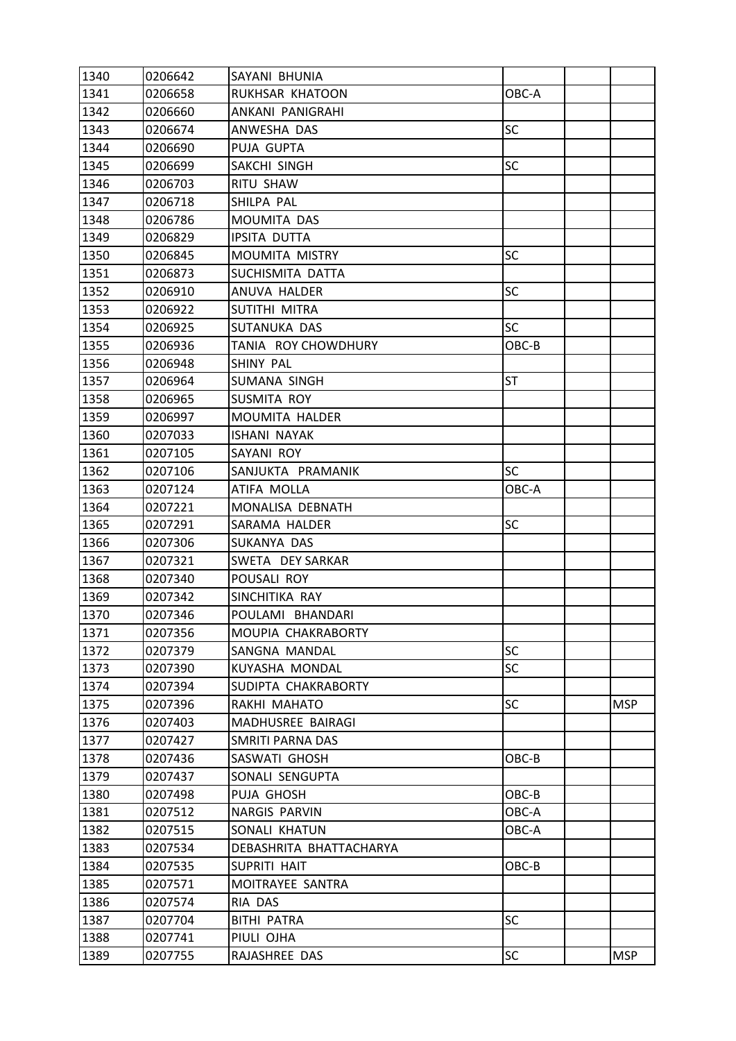| 1340 | 0206642 | SAYANI BHUNIA           |           |            |
|------|---------|-------------------------|-----------|------------|
| 1341 | 0206658 | RUKHSAR KHATOON         | OBC-A     |            |
| 1342 | 0206660 | ANKANI PANIGRAHI        |           |            |
| 1343 | 0206674 | ANWESHA DAS             | <b>SC</b> |            |
| 1344 | 0206690 | PUJA GUPTA              |           |            |
| 1345 | 0206699 | SAKCHI SINGH            | SC        |            |
| 1346 | 0206703 | RITU SHAW               |           |            |
| 1347 | 0206718 | SHILPA PAL              |           |            |
| 1348 | 0206786 | <b>MOUMITA DAS</b>      |           |            |
| 1349 | 0206829 | <b>IPSITA DUTTA</b>     |           |            |
| 1350 | 0206845 | MOUMITA MISTRY          | SC        |            |
| 1351 | 0206873 | SUCHISMITA DATTA        |           |            |
| 1352 | 0206910 | ANUVA HALDER            | <b>SC</b> |            |
| 1353 | 0206922 | SUTITHI MITRA           |           |            |
| 1354 | 0206925 | SUTANUKA DAS            | <b>SC</b> |            |
| 1355 | 0206936 | TANIA ROY CHOWDHURY     | OBC-B     |            |
| 1356 | 0206948 | SHINY PAL               |           |            |
| 1357 | 0206964 | SUMANA SINGH            | ST        |            |
| 1358 | 0206965 | SUSMITA ROY             |           |            |
| 1359 | 0206997 | <b>MOUMITA HALDER</b>   |           |            |
| 1360 | 0207033 | <b>ISHANI NAYAK</b>     |           |            |
| 1361 | 0207105 | SAYANI ROY              |           |            |
| 1362 | 0207106 | SANJUKTA PRAMANIK       | <b>SC</b> |            |
| 1363 | 0207124 | ATIFA MOLLA             | OBC-A     |            |
| 1364 | 0207221 | MONALISA DEBNATH        |           |            |
| 1365 | 0207291 | SARAMA HALDER           | <b>SC</b> |            |
| 1366 | 0207306 | SUKANYA DAS             |           |            |
| 1367 | 0207321 | SWETA DEY SARKAR        |           |            |
| 1368 | 0207340 | POUSALI ROY             |           |            |
| 1369 | 0207342 | SINCHITIKA RAY          |           |            |
| 1370 | 0207346 | POULAMI BHANDARI        |           |            |
| 1371 | 0207356 | MOUPIA CHAKRABORTY      |           |            |
| 1372 | 0207379 | SANGNA MANDAL           | <b>SC</b> |            |
| 1373 | 0207390 | KUYASHA MONDAL          | <b>SC</b> |            |
| 1374 | 0207394 | SUDIPTA CHAKRABORTY     |           |            |
| 1375 | 0207396 | RAKHI MAHATO            | <b>SC</b> | <b>MSP</b> |
| 1376 | 0207403 | MADHUSREE BAIRAGI       |           |            |
| 1377 | 0207427 | SMRITI PARNA DAS        |           |            |
| 1378 | 0207436 | SASWATI GHOSH           | OBC-B     |            |
| 1379 | 0207437 | SONALI SENGUPTA         |           |            |
| 1380 | 0207498 | PUJA GHOSH              | OBC-B     |            |
| 1381 | 0207512 | NARGIS PARVIN           | OBC-A     |            |
| 1382 | 0207515 | SONALI KHATUN           | OBC-A     |            |
| 1383 | 0207534 | DEBASHRITA BHATTACHARYA |           |            |
| 1384 | 0207535 | SUPRITI HAIT            | OBC-B     |            |
| 1385 | 0207571 | MOITRAYEE SANTRA        |           |            |
| 1386 | 0207574 | RIA DAS                 |           |            |
| 1387 | 0207704 | <b>BITHI PATRA</b>      | <b>SC</b> |            |
| 1388 | 0207741 | PIULI OJHA              |           |            |
| 1389 | 0207755 | RAJASHREE DAS           | SC        | <b>MSP</b> |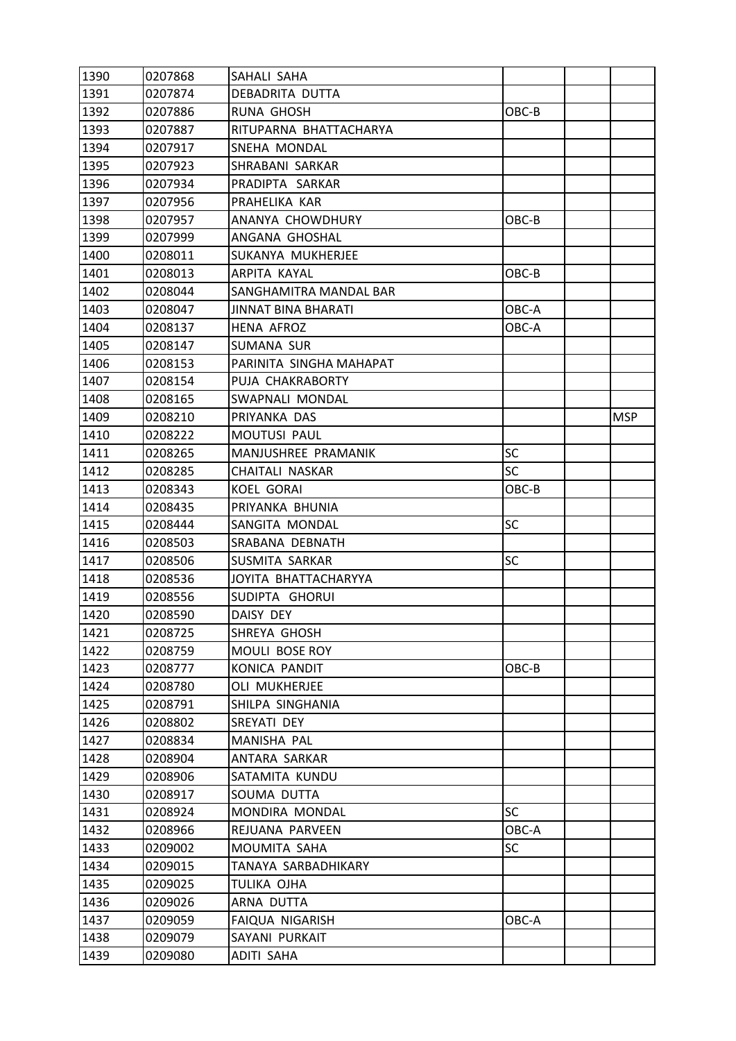| 1390 | 0207868 | SAHALI SAHA                |           |            |
|------|---------|----------------------------|-----------|------------|
| 1391 | 0207874 | DEBADRITA DUTTA            |           |            |
| 1392 | 0207886 | RUNA GHOSH                 | OBC-B     |            |
| 1393 | 0207887 | RITUPARNA BHATTACHARYA     |           |            |
| 1394 | 0207917 | SNEHA MONDAL               |           |            |
| 1395 | 0207923 | SHRABANI SARKAR            |           |            |
| 1396 | 0207934 | PRADIPTA SARKAR            |           |            |
| 1397 | 0207956 | PRAHELIKA KAR              |           |            |
| 1398 | 0207957 | ANANYA CHOWDHURY           | OBC-B     |            |
| 1399 | 0207999 | ANGANA GHOSHAL             |           |            |
| 1400 | 0208011 | SUKANYA MUKHERJEE          |           |            |
| 1401 | 0208013 | ARPITA KAYAL               | OBC-B     |            |
| 1402 | 0208044 | SANGHAMITRA MANDAL BAR     |           |            |
| 1403 | 0208047 | <b>JINNAT BINA BHARATI</b> | OBC-A     |            |
| 1404 | 0208137 | <b>HENA AFROZ</b>          | OBC-A     |            |
| 1405 | 0208147 | <b>SUMANA SUR</b>          |           |            |
| 1406 | 0208153 | PARINITA SINGHA MAHAPAT    |           |            |
| 1407 | 0208154 | PUJA CHAKRABORTY           |           |            |
| 1408 | 0208165 | SWAPNALI MONDAL            |           |            |
| 1409 | 0208210 | PRIYANKA DAS               |           | <b>MSP</b> |
| 1410 | 0208222 | <b>MOUTUSI PAUL</b>        |           |            |
| 1411 | 0208265 | MANJUSHREE PRAMANIK        | <b>SC</b> |            |
| 1412 | 0208285 | CHAITALI NASKAR            | <b>SC</b> |            |
| 1413 | 0208343 | <b>KOEL GORAI</b>          | OBC-B     |            |
| 1414 | 0208435 | PRIYANKA BHUNIA            |           |            |
| 1415 | 0208444 | SANGITA MONDAL             | <b>SC</b> |            |
| 1416 | 0208503 | SRABANA DEBNATH            |           |            |
| 1417 | 0208506 | SUSMITA SARKAR             | <b>SC</b> |            |
| 1418 | 0208536 | JOYITA BHATTACHARYYA       |           |            |
| 1419 | 0208556 | SUDIPTA GHORUI             |           |            |
| 1420 | 0208590 | DAISY DEY                  |           |            |
| 1421 | 0208725 | SHREYA GHOSH               |           |            |
| 1422 | 0208759 | MOULI BOSE ROY             |           |            |
| 1423 | 0208777 | KONICA PANDIT              | $OBC-B$   |            |
| 1424 | 0208780 | OLI MUKHERJEE              |           |            |
| 1425 | 0208791 | SHILPA SINGHANIA           |           |            |
| 1426 | 0208802 | SREYATI DEY                |           |            |
| 1427 | 0208834 | MANISHA PAL                |           |            |
| 1428 | 0208904 | ANTARA SARKAR              |           |            |
| 1429 | 0208906 | SATAMITA KUNDU             |           |            |
| 1430 | 0208917 | SOUMA DUTTA                |           |            |
| 1431 | 0208924 | MONDIRA MONDAL             | <b>SC</b> |            |
| 1432 | 0208966 | REJUANA PARVEEN            | OBC-A     |            |
| 1433 | 0209002 | MOUMITA SAHA               | <b>SC</b> |            |
| 1434 | 0209015 | TANAYA SARBADHIKARY        |           |            |
| 1435 | 0209025 | TULIKA OJHA                |           |            |
| 1436 | 0209026 | ARNA DUTTA                 |           |            |
| 1437 | 0209059 | FAIQUA NIGARISH            | OBC-A     |            |
| 1438 | 0209079 | SAYANI PURKAIT             |           |            |
| 1439 | 0209080 | ADITI SAHA                 |           |            |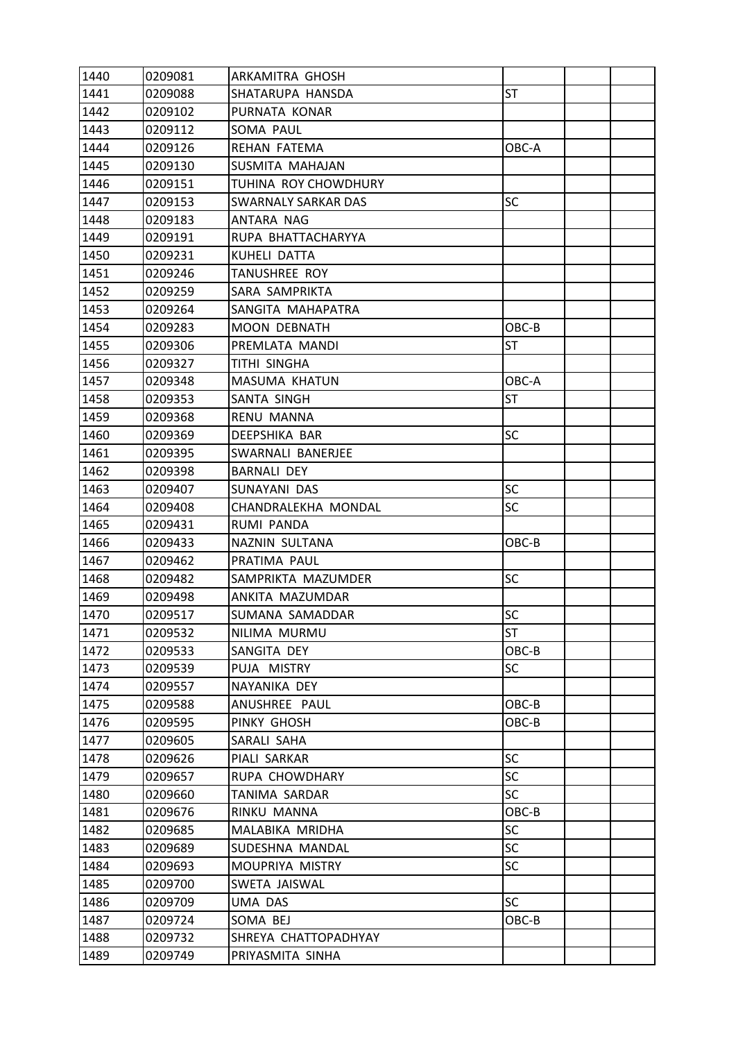| 1440 | 0209081 | ARKAMITRA GHOSH            |           |  |
|------|---------|----------------------------|-----------|--|
| 1441 | 0209088 | SHATARUPA HANSDA           | ST        |  |
| 1442 | 0209102 | PURNATA KONAR              |           |  |
| 1443 | 0209112 | SOMA PAUL                  |           |  |
| 1444 | 0209126 | REHAN FATEMA               | OBC-A     |  |
| 1445 | 0209130 | SUSMITA MAHAJAN            |           |  |
| 1446 | 0209151 | TUHINA ROY CHOWDHURY       |           |  |
| 1447 | 0209153 | <b>SWARNALY SARKAR DAS</b> | SC        |  |
| 1448 | 0209183 | ANTARA NAG                 |           |  |
| 1449 | 0209191 | RUPA BHATTACHARYYA         |           |  |
| 1450 | 0209231 | KUHELI DATTA               |           |  |
| 1451 | 0209246 | TANUSHREE ROY              |           |  |
| 1452 | 0209259 | SARA SAMPRIKTA             |           |  |
| 1453 | 0209264 | SANGITA MAHAPATRA          |           |  |
| 1454 | 0209283 | <b>MOON DEBNATH</b>        | OBC-B     |  |
| 1455 | 0209306 | PREMLATA MANDI             | ST        |  |
| 1456 | 0209327 | TITHI SINGHA               |           |  |
| 1457 | 0209348 | <b>MASUMA KHATUN</b>       | OBC-A     |  |
| 1458 | 0209353 | SANTA SINGH                | ST        |  |
| 1459 | 0209368 | RENU MANNA                 |           |  |
| 1460 | 0209369 | DEEPSHIKA BAR              | SC        |  |
| 1461 | 0209395 | SWARNALI BANERJEE          |           |  |
| 1462 | 0209398 | <b>BARNALI DEY</b>         |           |  |
| 1463 | 0209407 | SUNAYANI DAS               | SC        |  |
| 1464 | 0209408 | CHANDRALEKHA MONDAL        | SC        |  |
| 1465 | 0209431 | RUMI PANDA                 |           |  |
| 1466 | 0209433 | NAZNIN SULTANA             | OBC-B     |  |
| 1467 | 0209462 | PRATIMA PAUL               |           |  |
| 1468 | 0209482 | SAMPRIKTA MAZUMDER         | <b>SC</b> |  |
| 1469 | 0209498 | ANKITA MAZUMDAR            |           |  |
| 1470 | 0209517 | SUMANA SAMADDAR            | SC        |  |
| 1471 | 0209532 | NILIMA MURMU               | <b>ST</b> |  |
| 1472 | 0209533 | SANGITA DEY                | OBC-B     |  |
| 1473 | 0209539 | PUJA MISTRY                | <b>SC</b> |  |
| 1474 | 0209557 | NAYANIKA DEY               |           |  |
| 1475 | 0209588 | ANUSHREE PAUL              | OBC-B     |  |
| 1476 | 0209595 | PINKY GHOSH                | OBC-B     |  |
| 1477 | 0209605 | SARALI SAHA                |           |  |
| 1478 | 0209626 | PIALI SARKAR               | SC        |  |
| 1479 | 0209657 | RUPA CHOWDHARY             | <b>SC</b> |  |
| 1480 | 0209660 | TANIMA SARDAR              | SC        |  |
| 1481 | 0209676 | RINKU MANNA                | OBC-B     |  |
| 1482 | 0209685 | MALABIKA MRIDHA            | <b>SC</b> |  |
| 1483 | 0209689 | SUDESHNA MANDAL            | <b>SC</b> |  |
| 1484 | 0209693 | MOUPRIYA MISTRY            | <b>SC</b> |  |
| 1485 | 0209700 | SWETA JAISWAL              |           |  |
| 1486 | 0209709 | UMA DAS                    | SC        |  |
| 1487 | 0209724 | SOMA BEJ                   | OBC-B     |  |
| 1488 | 0209732 | SHREYA CHATTOPADHYAY       |           |  |
| 1489 | 0209749 | PRIYASMITA SINHA           |           |  |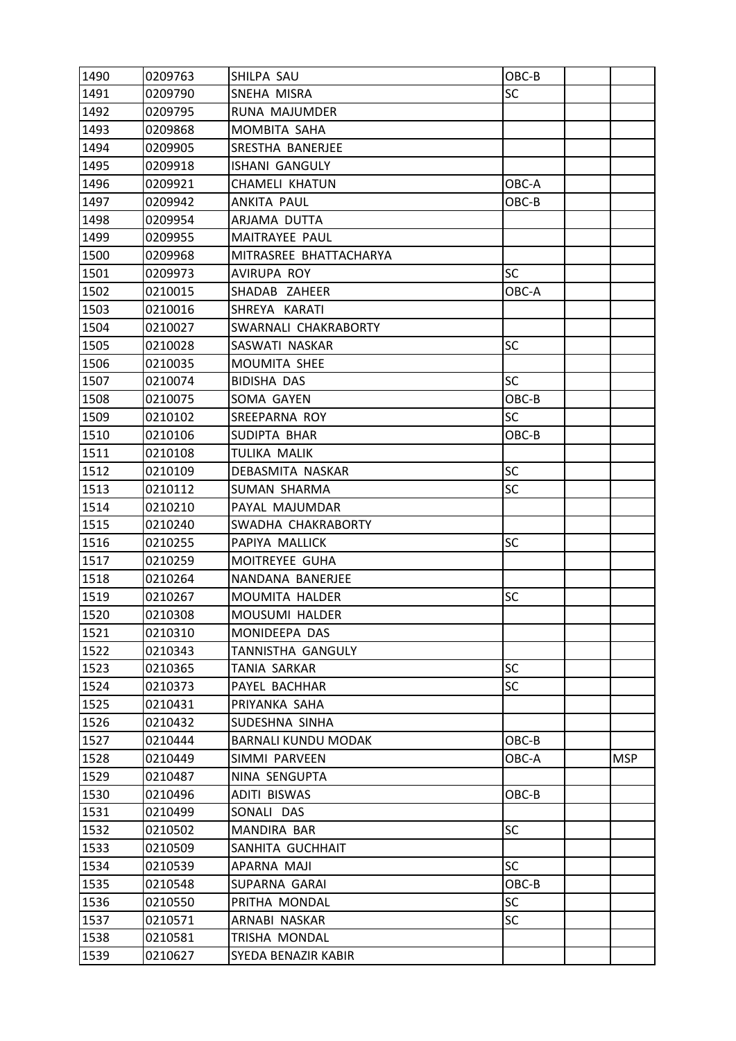| 1490 | 0209763 | SHILPA SAU                 | OBC-B     |            |
|------|---------|----------------------------|-----------|------------|
| 1491 | 0209790 | SNEHA MISRA                | <b>SC</b> |            |
| 1492 | 0209795 | RUNA MAJUMDER              |           |            |
| 1493 | 0209868 | MOMBITA SAHA               |           |            |
| 1494 | 0209905 | SRESTHA BANERJEE           |           |            |
| 1495 | 0209918 | <b>ISHANI GANGULY</b>      |           |            |
| 1496 | 0209921 | <b>CHAMELI KHATUN</b>      | OBC-A     |            |
| 1497 | 0209942 | ANKITA PAUL                | OBC-B     |            |
| 1498 | 0209954 | ARJAMA DUTTA               |           |            |
| 1499 | 0209955 | MAITRAYEE PAUL             |           |            |
| 1500 | 0209968 | MITRASREE BHATTACHARYA     |           |            |
| 1501 | 0209973 | AVIRUPA ROY                | <b>SC</b> |            |
| 1502 | 0210015 | SHADAB ZAHEER              | OBC-A     |            |
| 1503 | 0210016 | SHREYA KARATI              |           |            |
| 1504 | 0210027 | SWARNALI CHAKRABORTY       |           |            |
| 1505 | 0210028 | SASWATI NASKAR             | <b>SC</b> |            |
| 1506 | 0210035 | MOUMITA SHEE               |           |            |
| 1507 | 0210074 | BIDISHA DAS                | <b>SC</b> |            |
| 1508 | 0210075 | SOMA GAYEN                 | OBC-B     |            |
| 1509 | 0210102 | SREEPARNA ROY              | <b>SC</b> |            |
| 1510 | 0210106 | SUDIPTA BHAR               | OBC-B     |            |
| 1511 | 0210108 | TULIKA MALIK               |           |            |
| 1512 | 0210109 | DEBASMITA NASKAR           | <b>SC</b> |            |
| 1513 | 0210112 | <b>SUMAN SHARMA</b>        | SC        |            |
| 1514 | 0210210 | PAYAL MAJUMDAR             |           |            |
| 1515 | 0210240 | SWADHA CHAKRABORTY         |           |            |
| 1516 | 0210255 | PAPIYA MALLICK             | <b>SC</b> |            |
| 1517 | 0210259 | MOITREYEE GUHA             |           |            |
| 1518 | 0210264 | NANDANA BANERJEE           |           |            |
| 1519 | 0210267 | MOUMITA HALDER             | <b>SC</b> |            |
| 1520 | 0210308 | <b>MOUSUMI HALDER</b>      |           |            |
| 1521 | 0210310 | MONIDEEPA DAS              |           |            |
| 1522 | 0210343 | TANNISTHA GANGULY          |           |            |
| 1523 | 0210365 | TANIA SARKAR               | <b>SC</b> |            |
| 1524 | 0210373 | PAYEL BACHHAR              | <b>SC</b> |            |
| 1525 | 0210431 | PRIYANKA SAHA              |           |            |
| 1526 | 0210432 | SUDESHNA SINHA             |           |            |
| 1527 | 0210444 | <b>BARNALI KUNDU MODAK</b> | OBC-B     |            |
| 1528 | 0210449 | SIMMI PARVEEN              | OBC-A     | <b>MSP</b> |
| 1529 | 0210487 | NINA SENGUPTA              |           |            |
| 1530 | 0210496 | <b>ADITI BISWAS</b>        | OBC-B     |            |
| 1531 | 0210499 | SONALI DAS                 |           |            |
| 1532 | 0210502 | MANDIRA BAR                | SC        |            |
| 1533 | 0210509 | SANHITA GUCHHAIT           |           |            |
| 1534 | 0210539 | APARNA MAJI                | <b>SC</b> |            |
| 1535 | 0210548 | SUPARNA GARAI              | OBC-B     |            |
| 1536 | 0210550 | PRITHA MONDAL              | <b>SC</b> |            |
| 1537 | 0210571 | ARNABI NASKAR              | <b>SC</b> |            |
| 1538 | 0210581 | TRISHA MONDAL              |           |            |
| 1539 | 0210627 | SYEDA BENAZIR KABIR        |           |            |
|      |         |                            |           |            |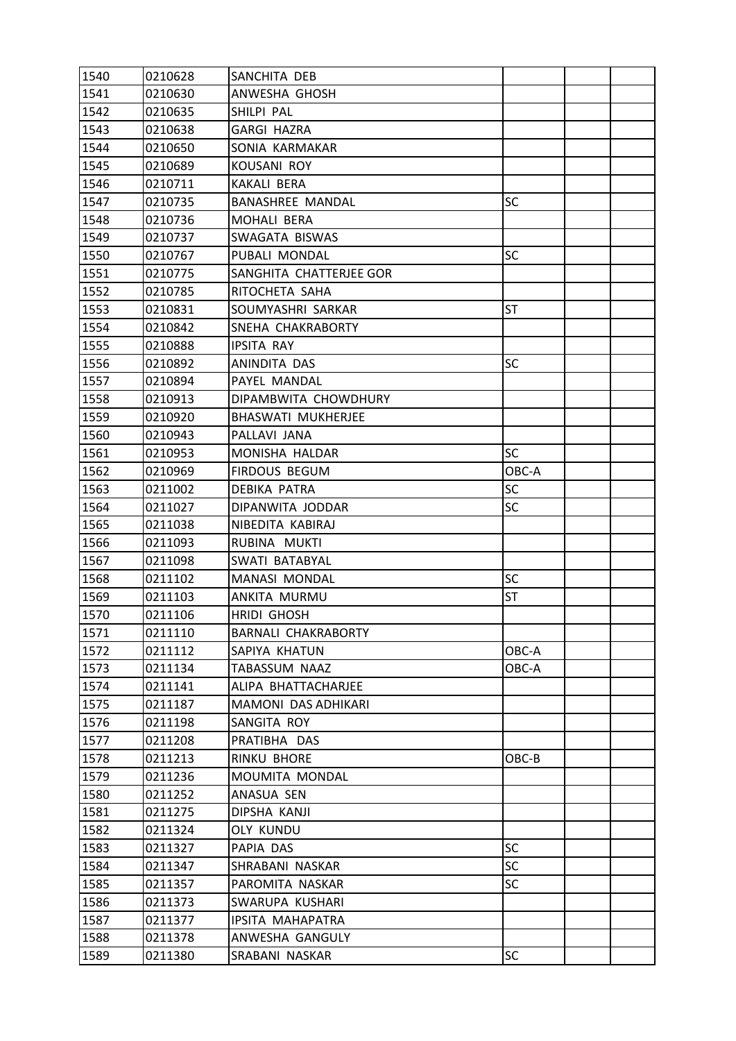| 1540 | 0210628 | SANCHITA DEB               |           |  |
|------|---------|----------------------------|-----------|--|
| 1541 | 0210630 | ANWESHA GHOSH              |           |  |
| 1542 | 0210635 | SHILPI PAL                 |           |  |
| 1543 | 0210638 | <b>GARGI HAZRA</b>         |           |  |
| 1544 | 0210650 | SONIA KARMAKAR             |           |  |
| 1545 | 0210689 | <b>KOUSANI ROY</b>         |           |  |
| 1546 | 0210711 | KAKALI BERA                |           |  |
| 1547 | 0210735 | <b>BANASHREE MANDAL</b>    | SC        |  |
| 1548 | 0210736 | MOHALI BERA                |           |  |
| 1549 | 0210737 | SWAGATA BISWAS             |           |  |
| 1550 | 0210767 | PUBALI MONDAL              | SC        |  |
| 1551 | 0210775 | SANGHITA CHATTERJEE GOR    |           |  |
| 1552 | 0210785 | RITOCHETA SAHA             |           |  |
| 1553 | 0210831 | SOUMYASHRI SARKAR          | ST        |  |
| 1554 | 0210842 | SNEHA CHAKRABORTY          |           |  |
| 1555 | 0210888 | <b>IPSITA RAY</b>          |           |  |
| 1556 | 0210892 | ANINDITA DAS               | <b>SC</b> |  |
| 1557 | 0210894 | PAYEL MANDAL               |           |  |
| 1558 | 0210913 | DIPAMBWITA CHOWDHURY       |           |  |
| 1559 | 0210920 | <b>BHASWATI MUKHERJEE</b>  |           |  |
| 1560 | 0210943 | PALLAVI JANA               |           |  |
| 1561 | 0210953 | MONISHA HALDAR             | <b>SC</b> |  |
| 1562 | 0210969 | FIRDOUS BEGUM              | OBC-A     |  |
| 1563 | 0211002 | <b>DEBIKA PATRA</b>        | SC        |  |
| 1564 | 0211027 | DIPANWITA JODDAR           | SC        |  |
| 1565 | 0211038 | NIBEDITA KABIRAJ           |           |  |
| 1566 | 0211093 | RUBINA MUKTI               |           |  |
| 1567 | 0211098 | SWATI BATABYAL             |           |  |
| 1568 | 0211102 | <b>MANASI MONDAL</b>       | SC        |  |
| 1569 | 0211103 | ANKITA MURMU               | <b>ST</b> |  |
| 1570 | 0211106 | <b>HRIDI GHOSH</b>         |           |  |
| 1571 | 0211110 | <b>BARNALI CHAKRABORTY</b> |           |  |
| 1572 | 0211112 | SAPIYA KHATUN              | OBC-A     |  |
| 1573 | 0211134 | TABASSUM NAAZ              | OBC-A     |  |
| 1574 | 0211141 | ALIPA BHATTACHARJEE        |           |  |
| 1575 | 0211187 | MAMONI DAS ADHIKARI        |           |  |
| 1576 | 0211198 | SANGITA ROY                |           |  |
| 1577 | 0211208 | PRATIBHA DAS               |           |  |
| 1578 | 0211213 | RINKU BHORE                | OBC-B     |  |
| 1579 | 0211236 | MOUMITA MONDAL             |           |  |
| 1580 | 0211252 | ANASUA SEN                 |           |  |
| 1581 | 0211275 | DIPSHA KANJI               |           |  |
| 1582 | 0211324 | <b>OLY KUNDU</b>           |           |  |
| 1583 | 0211327 | PAPIA DAS                  | <b>SC</b> |  |
| 1584 | 0211347 | SHRABANI NASKAR            | <b>SC</b> |  |
| 1585 | 0211357 | PAROMITA NASKAR            | SC        |  |
| 1586 | 0211373 | SWARUPA KUSHARI            |           |  |
| 1587 | 0211377 | IPSITA MAHAPATRA           |           |  |
| 1588 | 0211378 | ANWESHA GANGULY            |           |  |
| 1589 | 0211380 | SRABANI NASKAR             | SC        |  |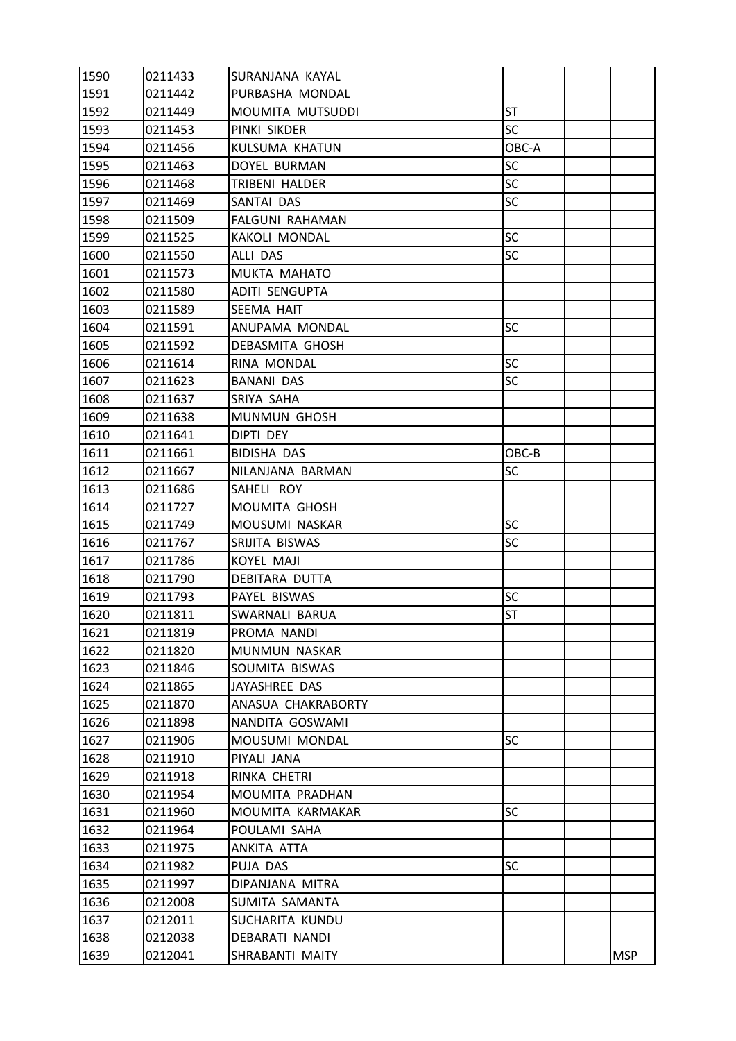| 1590 | 0211433 | SURANJANA KAYAL       |           |            |
|------|---------|-----------------------|-----------|------------|
| 1591 | 0211442 | PURBASHA MONDAL       |           |            |
| 1592 | 0211449 | MOUMITA MUTSUDDI      | <b>ST</b> |            |
| 1593 | 0211453 | PINKI SIKDER          | <b>SC</b> |            |
| 1594 | 0211456 | KULSUMA KHATUN        | OBC-A     |            |
| 1595 | 0211463 | DOYEL BURMAN          | <b>SC</b> |            |
| 1596 | 0211468 | TRIBENI HALDER        | <b>SC</b> |            |
| 1597 | 0211469 | SANTAI DAS            | SC        |            |
| 1598 | 0211509 | FALGUNI RAHAMAN       |           |            |
| 1599 | 0211525 | <b>KAKOLI MONDAL</b>  | <b>SC</b> |            |
| 1600 | 0211550 | ALLI DAS              | SC        |            |
| 1601 | 0211573 | MUKTA MAHATO          |           |            |
| 1602 | 0211580 | ADITI SENGUPTA        |           |            |
| 1603 | 0211589 | SEEMA HAIT            |           |            |
| 1604 | 0211591 | ANUPAMA MONDAL        | SC        |            |
| 1605 | 0211592 | DEBASMITA GHOSH       |           |            |
| 1606 | 0211614 | RINA MONDAL           | <b>SC</b> |            |
| 1607 | 0211623 | BANANI DAS            | SC        |            |
| 1608 | 0211637 | SRIYA SAHA            |           |            |
| 1609 | 0211638 | <b>MUNMUN GHOSH</b>   |           |            |
| 1610 | 0211641 | DIPTI DEY             |           |            |
| 1611 | 0211661 | BIDISHA DAS           | OBC-B     |            |
| 1612 | 0211667 | NILANJANA BARMAN      | <b>SC</b> |            |
| 1613 | 0211686 | SAHELI ROY            |           |            |
| 1614 | 0211727 | MOUMITA GHOSH         |           |            |
| 1615 | 0211749 | MOUSUMI NASKAR        | <b>SC</b> |            |
| 1616 | 0211767 | SRIJITA BISWAS        | SC        |            |
| 1617 | 0211786 | <b>KOYEL MAJI</b>     |           |            |
| 1618 | 0211790 | <b>DEBITARA DUTTA</b> |           |            |
| 1619 | 0211793 | PAYEL BISWAS          | SC        |            |
| 1620 | 0211811 | SWARNALI BARUA        | <b>ST</b> |            |
| 1621 | 0211819 | PROMA NANDI           |           |            |
| 1622 | 0211820 | MUNMUN NASKAR         |           |            |
| 1623 | 0211846 | SOUMITA BISWAS        |           |            |
| 1624 | 0211865 | JAYASHREE DAS         |           |            |
| 1625 | 0211870 | ANASUA CHAKRABORTY    |           |            |
| 1626 | 0211898 | NANDITA GOSWAMI       |           |            |
| 1627 | 0211906 | MOUSUMI MONDAL        | <b>SC</b> |            |
| 1628 | 0211910 | PIYALI JANA           |           |            |
| 1629 | 0211918 | RINKA CHETRI          |           |            |
| 1630 | 0211954 | MOUMITA PRADHAN       |           |            |
| 1631 | 0211960 | MOUMITA KARMAKAR      | <b>SC</b> |            |
| 1632 | 0211964 | POULAMI SAHA          |           |            |
| 1633 | 0211975 | ANKITA ATTA           |           |            |
| 1634 | 0211982 | PUJA DAS              | <b>SC</b> |            |
| 1635 | 0211997 | DIPANJANA MITRA       |           |            |
| 1636 | 0212008 | SUMITA SAMANTA        |           |            |
| 1637 | 0212011 | SUCHARITA KUNDU       |           |            |
| 1638 | 0212038 | DEBARATI NANDI        |           |            |
| 1639 | 0212041 | SHRABANTI MAITY       |           | <b>MSP</b> |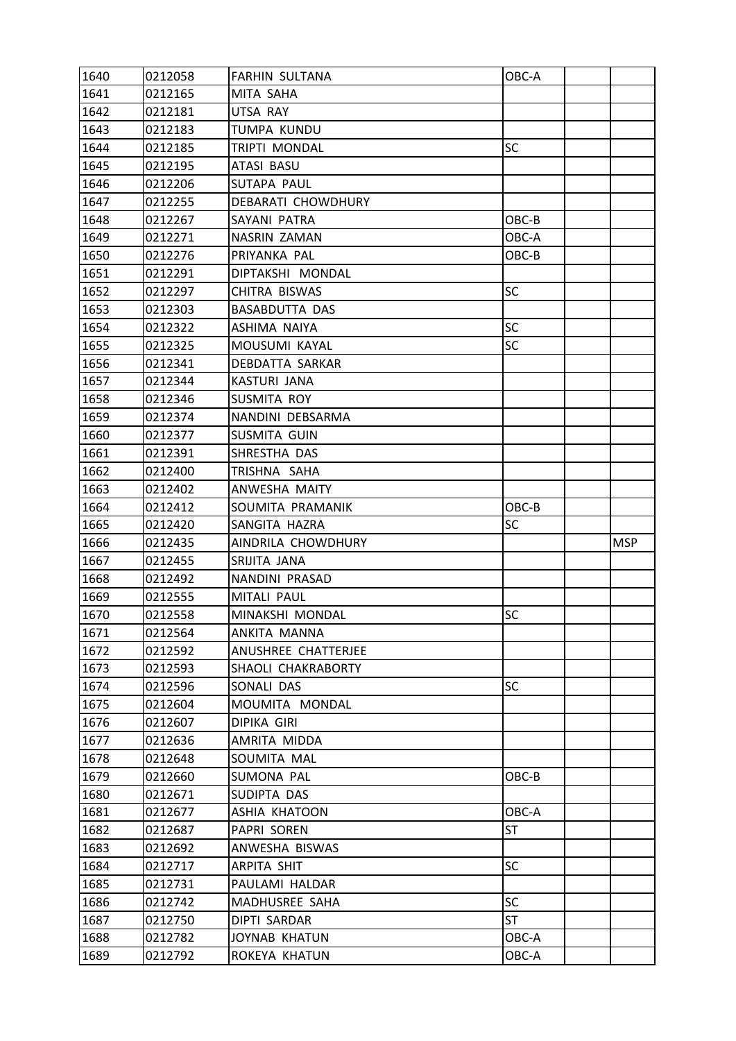| 1640         | 0212058 | <b>FARHIN SULTANA</b>                 | OBC-A     |            |
|--------------|---------|---------------------------------------|-----------|------------|
| 1641         | 0212165 | MITA SAHA                             |           |            |
| 1642         | 0212181 | UTSA RAY                              |           |            |
| 1643         | 0212183 | TUMPA KUNDU                           |           |            |
| 1644         | 0212185 | <b>TRIPTI MONDAL</b>                  | <b>SC</b> |            |
| 1645         | 0212195 | ATASI BASU                            |           |            |
| 1646         | 0212206 | SUTAPA PAUL                           |           |            |
| 1647         | 0212255 | DEBARATI CHOWDHURY                    |           |            |
| 1648         | 0212267 | SAYANI PATRA                          | OBC-B     |            |
| 1649         | 0212271 | NASRIN ZAMAN                          | OBC-A     |            |
| 1650         | 0212276 | PRIYANKA PAL                          | OBC-B     |            |
| 1651         | 0212291 | DIPTAKSHI MONDAL                      |           |            |
| 1652         | 0212297 | CHITRA BISWAS                         | <b>SC</b> |            |
| 1653         | 0212303 | <b>BASABDUTTA DAS</b>                 |           |            |
| 1654         | 0212322 | ASHIMA NAIYA                          | <b>SC</b> |            |
| 1655         | 0212325 | MOUSUMI KAYAL                         | <b>SC</b> |            |
| 1656         | 0212341 | DEBDATTA SARKAR                       |           |            |
| 1657         | 0212344 | KASTURI JANA                          |           |            |
| 1658         | 0212346 | SUSMITA ROY                           |           |            |
| 1659         | 0212374 | NANDINI DEBSARMA                      |           |            |
| 1660         | 0212377 | <b>SUSMITA GUIN</b>                   |           |            |
| 1661         | 0212391 | SHRESTHA DAS                          |           |            |
| 1662         | 0212400 | TRISHNA SAHA                          |           |            |
| 1663         | 0212402 | ANWESHA MAITY                         |           |            |
| 1664         | 0212412 | SOUMITA PRAMANIK                      | OBC-B     |            |
|              |         |                                       |           |            |
| 1665         | 0212420 | SANGITA HAZRA                         | <b>SC</b> |            |
| 1666         | 0212435 | AINDRILA CHOWDHURY                    |           | <b>MSP</b> |
| 1667         | 0212455 | SRIJITA JANA                          |           |            |
| 1668         | 0212492 | NANDINI PRASAD                        |           |            |
| 1669         | 0212555 | MITALI PAUL                           |           |            |
| 1670         | 0212558 | MINAKSHI MONDAL                       | <b>SC</b> |            |
| 1671         | 0212564 | ANKITA MANNA                          |           |            |
| 1672         | 0212592 | ANUSHREE CHATTERJEE                   |           |            |
| 1673         | 0212593 | SHAOLI CHAKRABORTY                    |           |            |
| 1674         | 0212596 | SONALI DAS                            | <b>SC</b> |            |
| 1675         | 0212604 | MOUMITA MONDAL                        |           |            |
| 1676         | 0212607 | DIPIKA GIRI                           |           |            |
| 1677         | 0212636 | AMRITA MIDDA                          |           |            |
| 1678         | 0212648 | SOUMITA MAL                           |           |            |
| 1679         | 0212660 | SUMONA PAL                            | OBC-B     |            |
| 1680         | 0212671 | SUDIPTA DAS                           |           |            |
| 1681         | 0212677 | ASHIA KHATOON                         | OBC-A     |            |
| 1682         | 0212687 | PAPRI SOREN                           | <b>ST</b> |            |
| 1683         | 0212692 | ANWESHA BISWAS                        |           |            |
| 1684         | 0212717 | ARPITA SHIT                           | <b>SC</b> |            |
| 1685         | 0212731 | PAULAMI HALDAR                        |           |            |
| 1686         | 0212742 | MADHUSREE SAHA                        | <b>SC</b> |            |
| 1687         | 0212750 | DIPTI SARDAR                          | <b>ST</b> |            |
| 1688<br>1689 | 0212782 | <b>JOYNAB KHATUN</b><br>ROKEYA KHATUN | OBC-A     |            |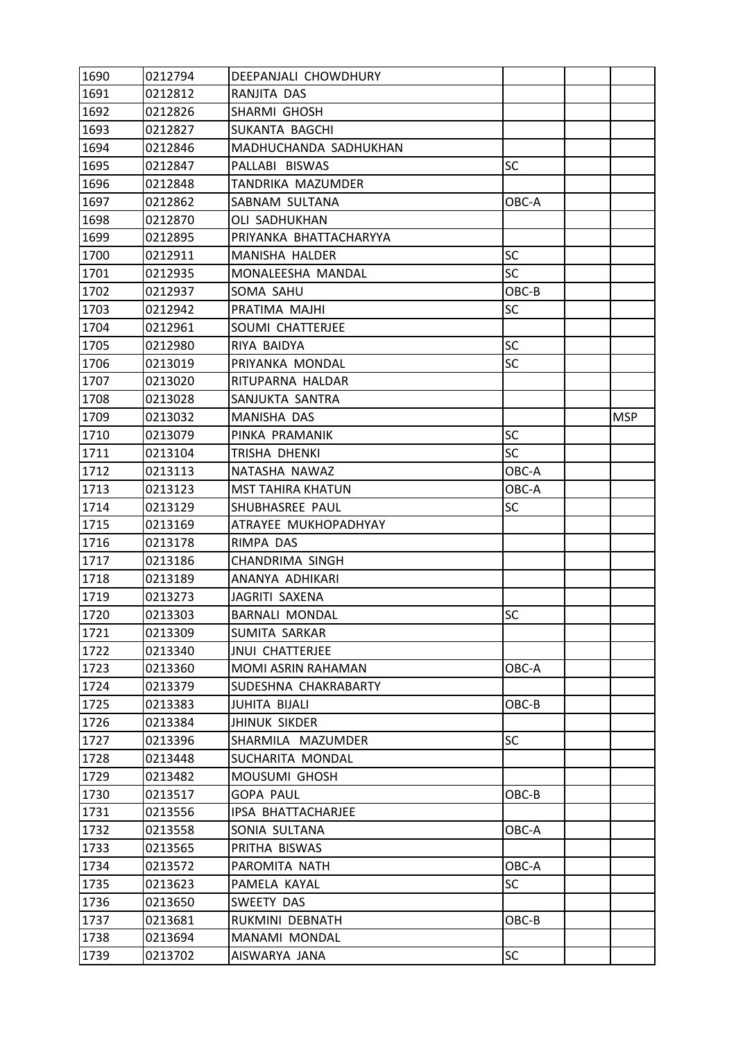| 1690 | 0212794 | DEEPANJALI CHOWDHURY     |           |            |
|------|---------|--------------------------|-----------|------------|
| 1691 | 0212812 | RANJITA DAS              |           |            |
| 1692 | 0212826 | SHARMI GHOSH             |           |            |
| 1693 | 0212827 | SUKANTA BAGCHI           |           |            |
| 1694 | 0212846 | MADHUCHANDA SADHUKHAN    |           |            |
| 1695 | 0212847 | PALLABI BISWAS           | SC        |            |
| 1696 | 0212848 | TANDRIKA MAZUMDER        |           |            |
| 1697 | 0212862 | SABNAM SULTANA           | OBC-A     |            |
| 1698 | 0212870 | <b>OLI SADHUKHAN</b>     |           |            |
| 1699 | 0212895 | PRIYANKA BHATTACHARYYA   |           |            |
| 1700 | 0212911 | MANISHA HALDER           | <b>SC</b> |            |
| 1701 | 0212935 | MONALEESHA MANDAL        | <b>SC</b> |            |
| 1702 | 0212937 | SOMA SAHU                | OBC-B     |            |
| 1703 | 0212942 | PRATIMA MAJHI            | SC        |            |
| 1704 | 0212961 | SOUMI CHATTERJEE         |           |            |
| 1705 | 0212980 | RIYA BAIDYA              | SC        |            |
| 1706 | 0213019 | PRIYANKA MONDAL          | SC        |            |
| 1707 | 0213020 | RITUPARNA HALDAR         |           |            |
| 1708 | 0213028 | SANJUKTA SANTRA          |           |            |
| 1709 | 0213032 | <b>MANISHA DAS</b>       |           | <b>MSP</b> |
| 1710 | 0213079 | PINKA PRAMANIK           | <b>SC</b> |            |
| 1711 | 0213104 | TRISHA DHENKI            | <b>SC</b> |            |
| 1712 | 0213113 | NATASHA NAWAZ            | OBC-A     |            |
| 1713 | 0213123 | <b>MST TAHIRA KHATUN</b> | OBC-A     |            |
| 1714 | 0213129 | SHUBHASREE PAUL          | SC        |            |
| 1715 | 0213169 | ATRAYEE MUKHOPADHYAY     |           |            |
| 1716 | 0213178 | RIMPA DAS                |           |            |
| 1717 | 0213186 | CHANDRIMA SINGH          |           |            |
| 1718 | 0213189 | ANANYA ADHIKARI          |           |            |
| 1719 | 0213273 | JAGRITI SAXENA           |           |            |
| 1720 | 0213303 | <b>BARNALI MONDAL</b>    | SC        |            |
| 1721 | 0213309 | SUMITA SARKAR            |           |            |
| 1722 | 0213340 | <b>JNUI CHATTERJEE</b>   |           |            |
| 1723 | 0213360 | MOMI ASRIN RAHAMAN       | OBC-A     |            |
| 1724 | 0213379 | SUDESHNA CHAKRABARTY     |           |            |
| 1725 | 0213383 | <b>JUHITA BIJALI</b>     | OBC-B     |            |
| 1726 | 0213384 | <b>JHINUK SIKDER</b>     |           |            |
| 1727 | 0213396 | SHARMILA MAZUMDER        | <b>SC</b> |            |
| 1728 | 0213448 | SUCHARITA MONDAL         |           |            |
| 1729 | 0213482 | MOUSUMI GHOSH            |           |            |
| 1730 | 0213517 | <b>GOPA PAUL</b>         | OBC-B     |            |
| 1731 | 0213556 | IPSA BHATTACHARJEE       |           |            |
| 1732 | 0213558 | SONIA SULTANA            | OBC-A     |            |
| 1733 | 0213565 | PRITHA BISWAS            |           |            |
| 1734 | 0213572 | PAROMITA NATH            | OBC-A     |            |
| 1735 | 0213623 | PAMELA KAYAL             | SC        |            |
| 1736 | 0213650 | SWEETY DAS               |           |            |
| 1737 | 0213681 | RUKMINI DEBNATH          | OBC-B     |            |
| 1738 | 0213694 | MANAMI MONDAL            |           |            |
| 1739 | 0213702 | AISWARYA JANA            | SC        |            |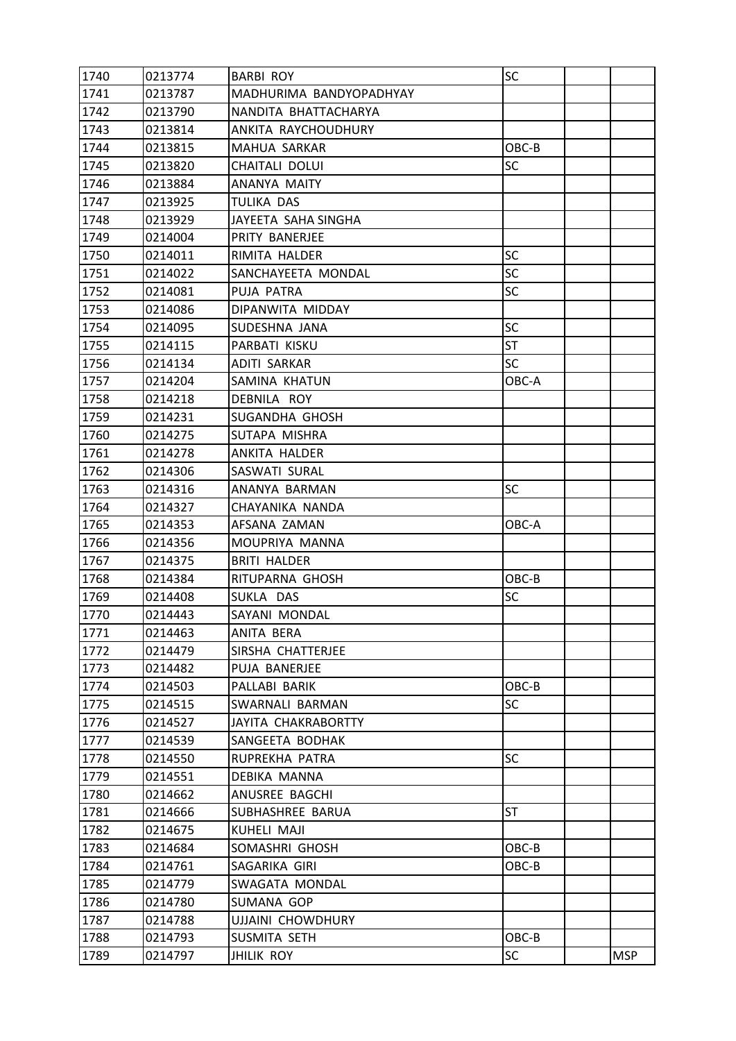| 1740 | 0213774 | <b>BARBI ROY</b>         | SC        |            |
|------|---------|--------------------------|-----------|------------|
| 1741 | 0213787 | MADHURIMA BANDYOPADHYAY  |           |            |
| 1742 | 0213790 | NANDITA BHATTACHARYA     |           |            |
| 1743 | 0213814 | ANKITA RAYCHOUDHURY      |           |            |
| 1744 | 0213815 | MAHUA SARKAR             | OBC-B     |            |
| 1745 | 0213820 | CHAITALI DOLUI           | SC        |            |
| 1746 | 0213884 | ANANYA MAITY             |           |            |
| 1747 | 0213925 | TULIKA DAS               |           |            |
| 1748 | 0213929 | JAYEETA SAHA SINGHA      |           |            |
| 1749 | 0214004 | PRITY BANERJEE           |           |            |
| 1750 | 0214011 | RIMITA HALDER            | SC        |            |
| 1751 | 0214022 | SANCHAYEETA MONDAL       | SC        |            |
| 1752 | 0214081 | PUJA PATRA               | <b>SC</b> |            |
| 1753 | 0214086 | DIPANWITA MIDDAY         |           |            |
| 1754 | 0214095 | SUDESHNA JANA            | SC        |            |
| 1755 | 0214115 | PARBATI KISKU            | <b>ST</b> |            |
| 1756 | 0214134 | <b>ADITI SARKAR</b>      | <b>SC</b> |            |
| 1757 | 0214204 | SAMINA KHATUN            | OBC-A     |            |
| 1758 | 0214218 | DEBNILA ROY              |           |            |
| 1759 | 0214231 | SUGANDHA GHOSH           |           |            |
| 1760 | 0214275 | SUTAPA MISHRA            |           |            |
| 1761 | 0214278 | ANKITA HALDER            |           |            |
| 1762 | 0214306 | SASWATI SURAL            |           |            |
| 1763 | 0214316 | ANANYA BARMAN            | <b>SC</b> |            |
| 1764 | 0214327 | CHAYANIKA NANDA          |           |            |
| 1765 | 0214353 | AFSANA ZAMAN             | OBC-A     |            |
| 1766 | 0214356 | MOUPRIYA MANNA           |           |            |
| 1767 | 0214375 | <b>BRITI HALDER</b>      |           |            |
| 1768 | 0214384 | RITUPARNA GHOSH          | OBC-B     |            |
| 1769 | 0214408 | SUKLA DAS                | <b>SC</b> |            |
| 1770 | 0214443 | SAYANI MONDAL            |           |            |
| 1771 | 0214463 | ANITA BERA               |           |            |
| 1772 | 0214479 | SIRSHA CHATTERJEE        |           |            |
| 1773 | 0214482 | PUJA BANERJEE            |           |            |
| 1774 | 0214503 | PALLABI BARIK            | OBC-B     |            |
| 1775 | 0214515 | SWARNALI BARMAN          | SC        |            |
| 1776 | 0214527 | JAYITA CHAKRABORTTY      |           |            |
| 1777 | 0214539 | SANGEETA BODHAK          |           |            |
| 1778 | 0214550 | RUPREKHA PATRA           | SC        |            |
| 1779 | 0214551 | DEBIKA MANNA             |           |            |
| 1780 | 0214662 | ANUSREE BAGCHI           |           |            |
| 1781 | 0214666 | SUBHASHREE BARUA         | ST        |            |
| 1782 | 0214675 | KUHELI MAJI              |           |            |
| 1783 | 0214684 | SOMASHRI GHOSH           | OBC-B     |            |
| 1784 | 0214761 | SAGARIKA GIRI            | OBC-B     |            |
| 1785 | 0214779 | SWAGATA MONDAL           |           |            |
| 1786 | 0214780 | SUMANA GOP               |           |            |
| 1787 | 0214788 | <b>UJJAINI CHOWDHURY</b> |           |            |
| 1788 | 0214793 | SUSMITA SETH             | OBC-B     |            |
| 1789 | 0214797 | <b>JHILIK ROY</b>        | SC        | <b>MSP</b> |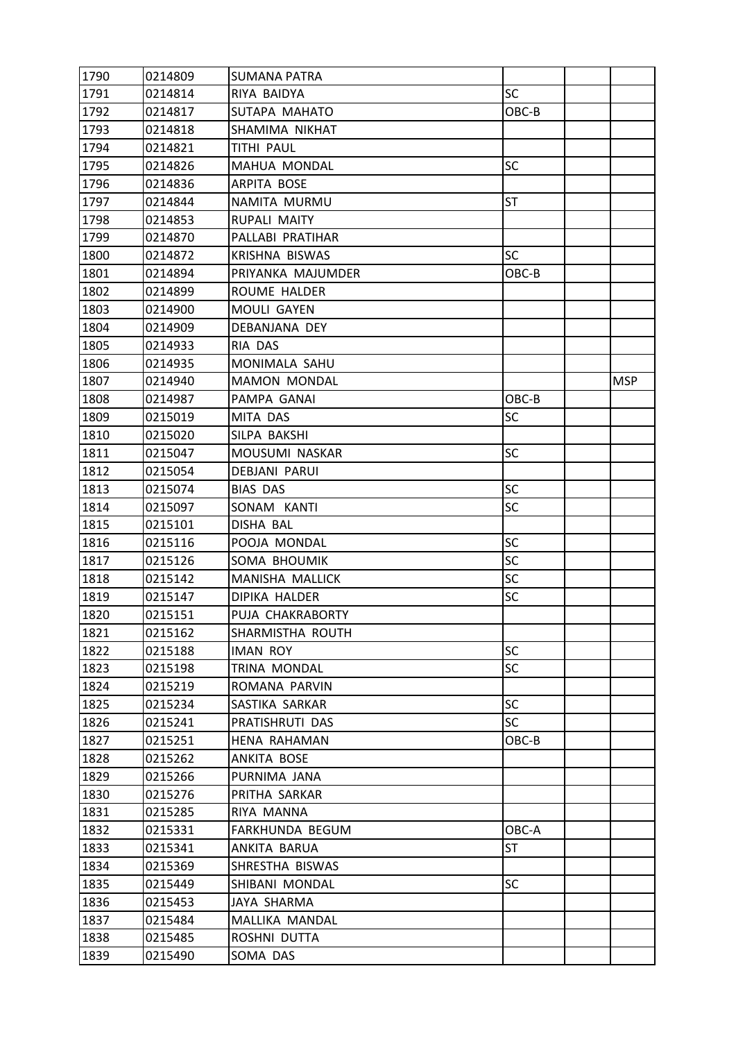| 1790 | 0214809 | <b>SUMANA PATRA</b>  |           |            |
|------|---------|----------------------|-----------|------------|
| 1791 | 0214814 | RIYA BAIDYA          | <b>SC</b> |            |
| 1792 | 0214817 | SUTAPA MAHATO        | OBC-B     |            |
| 1793 | 0214818 | SHAMIMA NIKHAT       |           |            |
| 1794 | 0214821 | TITHI PAUL           |           |            |
| 1795 | 0214826 | MAHUA MONDAL         | SC        |            |
| 1796 | 0214836 | ARPITA BOSE          |           |            |
| 1797 | 0214844 | NAMITA MURMU         | ST        |            |
| 1798 | 0214853 | RUPALI MAITY         |           |            |
| 1799 | 0214870 | PALLABI PRATIHAR     |           |            |
| 1800 | 0214872 | KRISHNA BISWAS       | <b>SC</b> |            |
| 1801 | 0214894 | PRIYANKA MAJUMDER    | OBC-B     |            |
| 1802 | 0214899 | ROUME HALDER         |           |            |
| 1803 | 0214900 | MOULI GAYEN          |           |            |
| 1804 | 0214909 | DEBANJANA DEY        |           |            |
| 1805 | 0214933 | RIA DAS              |           |            |
| 1806 | 0214935 | MONIMALA SAHU        |           |            |
| 1807 | 0214940 | <b>MAMON MONDAL</b>  |           | <b>MSP</b> |
| 1808 | 0214987 | PAMPA GANAI          | OBC-B     |            |
| 1809 | 0215019 | MITA DAS             | SC        |            |
| 1810 | 0215020 | SILPA BAKSHI         |           |            |
| 1811 | 0215047 | MOUSUMI NASKAR       | SC        |            |
| 1812 | 0215054 | <b>DEBJANI PARUI</b> |           |            |
| 1813 | 0215074 | <b>BIAS DAS</b>      | SC        |            |
| 1814 | 0215097 | SONAM KANTI          | <b>SC</b> |            |
| 1815 | 0215101 | DISHA BAL            |           |            |
| 1816 | 0215116 | POOJA MONDAL         | SC        |            |
| 1817 | 0215126 | SOMA BHOUMIK         | <b>SC</b> |            |
| 1818 | 0215142 | MANISHA MALLICK      | SC        |            |
| 1819 | 0215147 | DIPIKA HALDER        | <b>SC</b> |            |
| 1820 | 0215151 | PUJA CHAKRABORTY     |           |            |
| 1821 | 0215162 | SHARMISTHA ROUTH     |           |            |
| 1822 | 0215188 | <b>IMAN ROY</b>      | <b>SC</b> |            |
| 1823 | 0215198 | TRINA MONDAL         | <b>SC</b> |            |
| 1824 | 0215219 | ROMANA PARVIN        |           |            |
| 1825 | 0215234 | SASTIKA SARKAR       | <b>SC</b> |            |
| 1826 | 0215241 | PRATISHRUTI DAS      | <b>SC</b> |            |
| 1827 | 0215251 | HENA RAHAMAN         | OBC-B     |            |
| 1828 | 0215262 | ANKITA BOSE          |           |            |
| 1829 | 0215266 | PURNIMA JANA         |           |            |
| 1830 | 0215276 | PRITHA SARKAR        |           |            |
| 1831 | 0215285 | RIYA MANNA           |           |            |
| 1832 | 0215331 | FARKHUNDA BEGUM      | OBC-A     |            |
| 1833 | 0215341 | ANKITA BARUA         | ST        |            |
| 1834 | 0215369 | SHRESTHA BISWAS      |           |            |
| 1835 | 0215449 | SHIBANI MONDAL       | <b>SC</b> |            |
| 1836 | 0215453 | JAYA SHARMA          |           |            |
| 1837 | 0215484 | MALLIKA MANDAL       |           |            |
| 1838 | 0215485 | ROSHNI DUTTA         |           |            |
| 1839 | 0215490 | SOMA DAS             |           |            |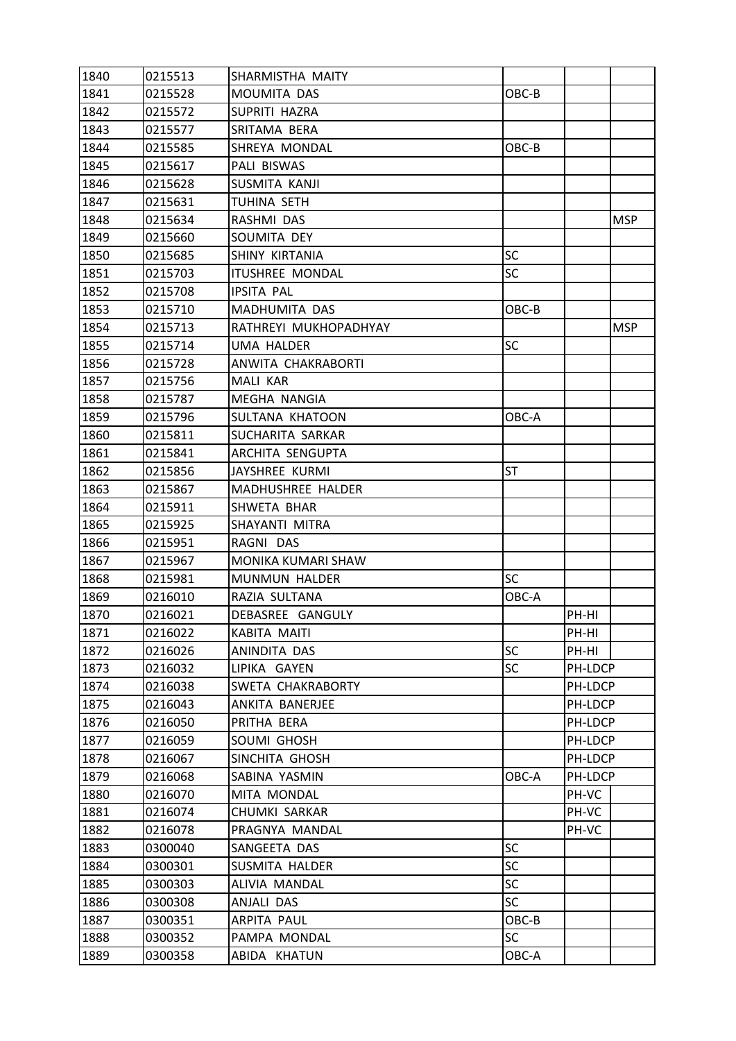| 1840 | 0215513 | SHARMISTHA MAITY       |           |         |            |
|------|---------|------------------------|-----------|---------|------------|
| 1841 | 0215528 | MOUMITA DAS            | $OBC-B$   |         |            |
| 1842 | 0215572 | SUPRITI HAZRA          |           |         |            |
| 1843 | 0215577 | SRITAMA BERA           |           |         |            |
| 1844 | 0215585 | SHREYA MONDAL          | OBC-B     |         |            |
| 1845 | 0215617 | PALI BISWAS            |           |         |            |
| 1846 | 0215628 | SUSMITA KANJI          |           |         |            |
| 1847 | 0215631 | TUHINA SETH            |           |         |            |
| 1848 | 0215634 | RASHMI DAS             |           |         | <b>MSP</b> |
| 1849 | 0215660 | SOUMITA DEY            |           |         |            |
| 1850 | 0215685 | SHINY KIRTANIA         | <b>SC</b> |         |            |
| 1851 | 0215703 | <b>ITUSHREE MONDAL</b> | <b>SC</b> |         |            |
| 1852 | 0215708 | <b>IPSITA PAL</b>      |           |         |            |
| 1853 | 0215710 | MADHUMITA DAS          | OBC-B     |         |            |
| 1854 | 0215713 | RATHREYI MUKHOPADHYAY  |           |         | <b>MSP</b> |
| 1855 | 0215714 | <b>UMA HALDER</b>      | <b>SC</b> |         |            |
| 1856 | 0215728 | ANWITA CHAKRABORTI     |           |         |            |
| 1857 | 0215756 | MALI KAR               |           |         |            |
| 1858 | 0215787 | MEGHA NANGIA           |           |         |            |
| 1859 | 0215796 | SULTANA KHATOON        | OBC-A     |         |            |
| 1860 | 0215811 | SUCHARITA SARKAR       |           |         |            |
| 1861 | 0215841 | ARCHITA SENGUPTA       |           |         |            |
| 1862 | 0215856 | JAYSHREE KURMI         | ST        |         |            |
| 1863 | 0215867 | MADHUSHREE HALDER      |           |         |            |
| 1864 | 0215911 | SHWETA BHAR            |           |         |            |
| 1865 | 0215925 | SHAYANTI MITRA         |           |         |            |
| 1866 | 0215951 | RAGNI DAS              |           |         |            |
| 1867 | 0215967 | MONIKA KUMARI SHAW     |           |         |            |
| 1868 | 0215981 | <b>MUNMUN HALDER</b>   | <b>SC</b> |         |            |
| 1869 | 0216010 | RAZIA SULTANA          | OBC-A     |         |            |
| 1870 | 0216021 | DEBASREE GANGULY       |           | PH-HI   |            |
| 1871 | 0216022 | <b>KABITA MAITI</b>    |           | PH-HI   |            |
| 1872 | 0216026 | ANINDITA DAS           | <b>SC</b> | PH-HI   |            |
| 1873 | 0216032 | LIPIKA GAYEN           | <b>SC</b> | PH-LDCP |            |
| 1874 | 0216038 | SWETA CHAKRABORTY      |           | PH-LDCP |            |
| 1875 | 0216043 | ANKITA BANERJEE        |           | PH-LDCP |            |
| 1876 | 0216050 | PRITHA BERA            |           | PH-LDCP |            |
| 1877 | 0216059 | SOUMI GHOSH            |           | PH-LDCP |            |
| 1878 | 0216067 | SINCHITA GHOSH         |           | PH-LDCP |            |
| 1879 | 0216068 | SABINA YASMIN          | OBC-A     | PH-LDCP |            |
| 1880 | 0216070 | MITA MONDAL            |           | PH-VC   |            |
| 1881 | 0216074 | <b>CHUMKI SARKAR</b>   |           | PH-VC   |            |
| 1882 | 0216078 | PRAGNYA MANDAL         |           | PH-VC   |            |
| 1883 | 0300040 | SANGEETA DAS           | <b>SC</b> |         |            |
| 1884 | 0300301 | SUSMITA HALDER         | <b>SC</b> |         |            |
| 1885 | 0300303 | ALIVIA MANDAL          | <b>SC</b> |         |            |
| 1886 | 0300308 | ANJALI DAS             | <b>SC</b> |         |            |
| 1887 | 0300351 | ARPITA PAUL            | OBC-B     |         |            |
| 1888 | 0300352 | PAMPA MONDAL           | <b>SC</b> |         |            |
| 1889 | 0300358 | ABIDA KHATUN           | OBC-A     |         |            |
|      |         |                        |           |         |            |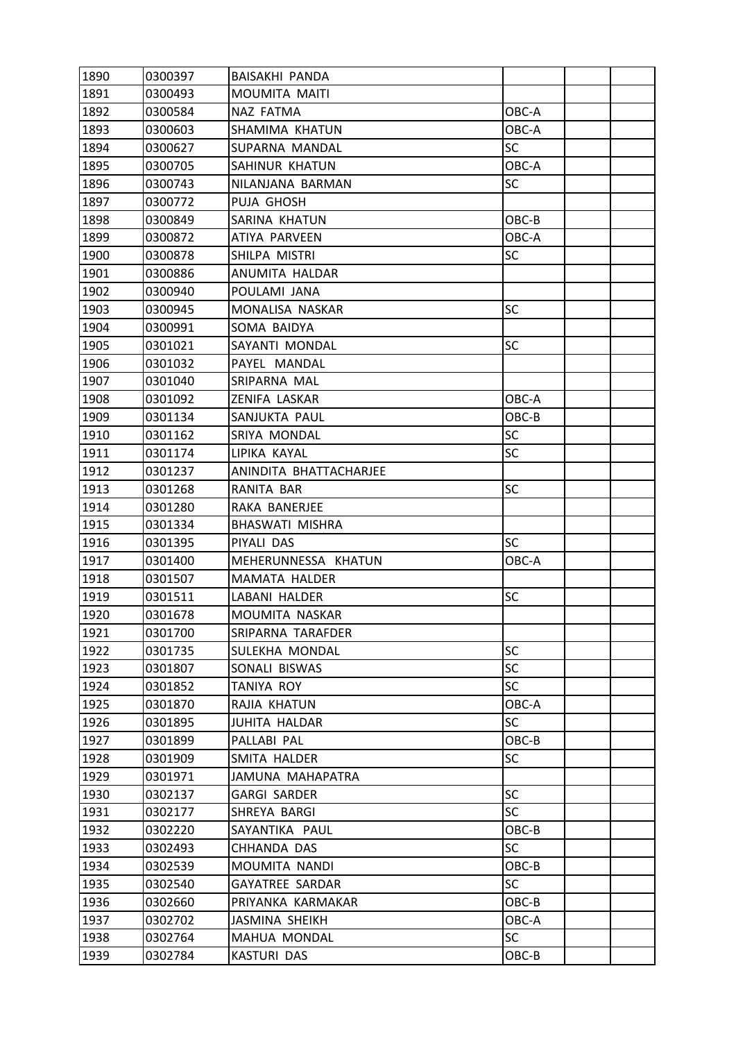| 1890 | 0300397 | <b>BAISAKHI PANDA</b>  |           |  |
|------|---------|------------------------|-----------|--|
| 1891 | 0300493 | MOUMITA MAITI          |           |  |
| 1892 | 0300584 | NAZ FATMA              | OBC-A     |  |
| 1893 | 0300603 | SHAMIMA KHATUN         | OBC-A     |  |
| 1894 | 0300627 | SUPARNA MANDAL         | <b>SC</b> |  |
| 1895 | 0300705 | SAHINUR KHATUN         | OBC-A     |  |
| 1896 | 0300743 | NILANJANA BARMAN       | <b>SC</b> |  |
| 1897 | 0300772 | PUJA GHOSH             |           |  |
| 1898 | 0300849 | SARINA KHATUN          | OBC-B     |  |
| 1899 | 0300872 | ATIYA PARVEEN          | OBC-A     |  |
| 1900 | 0300878 | SHILPA MISTRI          | <b>SC</b> |  |
| 1901 | 0300886 | ANUMITA HALDAR         |           |  |
| 1902 | 0300940 | POULAMI JANA           |           |  |
| 1903 | 0300945 | MONALISA NASKAR        | <b>SC</b> |  |
| 1904 | 0300991 | SOMA BAIDYA            |           |  |
| 1905 | 0301021 | SAYANTI MONDAL         | SC        |  |
| 1906 | 0301032 | PAYEL MANDAL           |           |  |
| 1907 | 0301040 | SRIPARNA MAL           |           |  |
| 1908 | 0301092 | ZENIFA LASKAR          | OBC-A     |  |
| 1909 | 0301134 | SANJUKTA PAUL          | OBC-B     |  |
| 1910 | 0301162 | SRIYA MONDAL           | <b>SC</b> |  |
| 1911 | 0301174 | LIPIKA KAYAL           | <b>SC</b> |  |
| 1912 | 0301237 | ANINDITA BHATTACHARJEE |           |  |
| 1913 | 0301268 | RANITA BAR             | <b>SC</b> |  |
| 1914 | 0301280 | RAKA BANERJEE          |           |  |
| 1915 | 0301334 | BHASWATI MISHRA        |           |  |
| 1916 | 0301395 | PIYALI DAS             | <b>SC</b> |  |
| 1917 | 0301400 | MEHERUNNESSA KHATUN    | OBC-A     |  |
| 1918 | 0301507 | MAMATA HALDER          |           |  |
| 1919 | 0301511 | LABANI HALDER          | <b>SC</b> |  |
| 1920 | 0301678 | MOUMITA NASKAR         |           |  |
| 1921 | 0301700 | SRIPARNA TARAFDER      |           |  |
| 1922 | 0301735 | SULEKHA MONDAL         | <b>SC</b> |  |
| 1923 | 0301807 | SONALI BISWAS          | <b>SC</b> |  |
| 1924 | 0301852 | <b>TANIYA ROY</b>      | <b>SC</b> |  |
| 1925 | 0301870 | RAJIA KHATUN           | OBC-A     |  |
| 1926 | 0301895 | <b>JUHITA HALDAR</b>   | <b>SC</b> |  |
| 1927 | 0301899 | PALLABI PAL            | OBC-B     |  |
| 1928 | 0301909 | SMITA HALDER           | <b>SC</b> |  |
| 1929 | 0301971 | JAMUNA MAHAPATRA       |           |  |
| 1930 | 0302137 | <b>GARGI SARDER</b>    | SC        |  |
| 1931 | 0302177 | SHREYA BARGI           | SC        |  |
| 1932 | 0302220 | SAYANTIKA PAUL         | OBC-B     |  |
| 1933 | 0302493 | CHHANDA DAS            | <b>SC</b> |  |
| 1934 | 0302539 | MOUMITA NANDI          | OBC-B     |  |
| 1935 | 0302540 | <b>GAYATREE SARDAR</b> | <b>SC</b> |  |
| 1936 | 0302660 | PRIYANKA KARMAKAR      | OBC-B     |  |
| 1937 | 0302702 | JASMINA SHEIKH         | OBC-A     |  |
| 1938 | 0302764 | MAHUA MONDAL           | <b>SC</b> |  |
| 1939 | 0302784 | <b>KASTURI DAS</b>     | OBC-B     |  |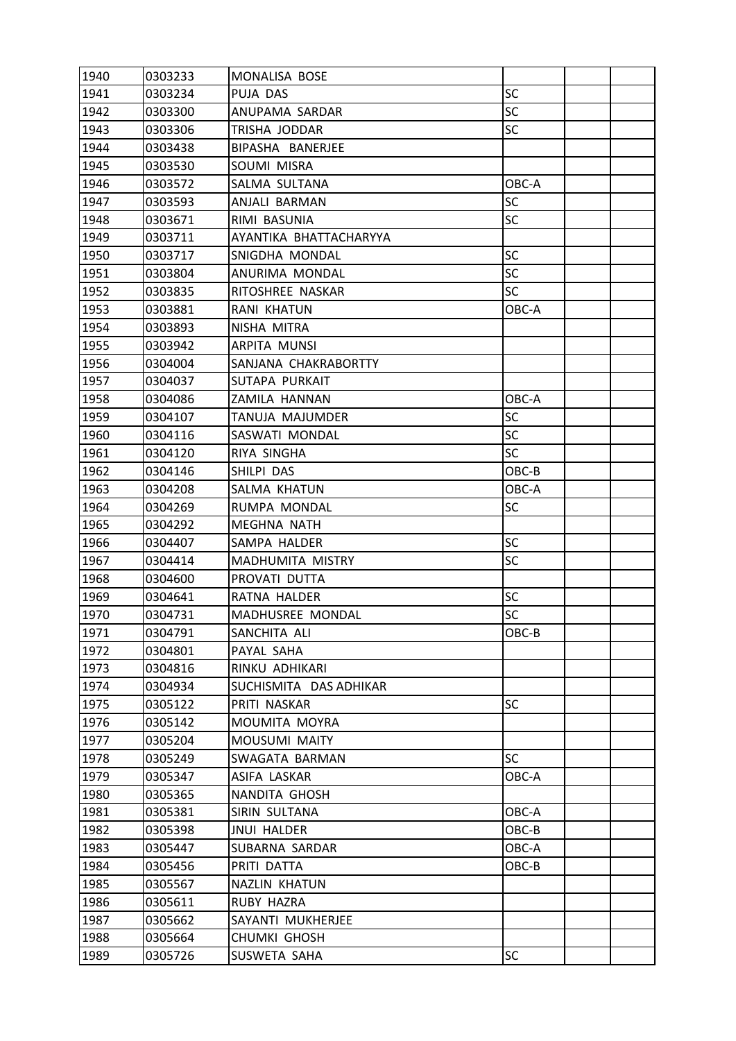| 1940 | 0303233 | MONALISA BOSE          |           |  |
|------|---------|------------------------|-----------|--|
| 1941 | 0303234 | PUJA DAS               | <b>SC</b> |  |
| 1942 | 0303300 | ANUPAMA SARDAR         | <b>SC</b> |  |
| 1943 | 0303306 | TRISHA JODDAR          | <b>SC</b> |  |
| 1944 | 0303438 | BIPASHA BANERJEE       |           |  |
| 1945 | 0303530 | SOUMI MISRA            |           |  |
| 1946 | 0303572 | SALMA SULTANA          | OBC-A     |  |
| 1947 | 0303593 | ANJALI BARMAN          | <b>SC</b> |  |
| 1948 | 0303671 | RIMI BASUNIA           | <b>SC</b> |  |
| 1949 | 0303711 | AYANTIKA BHATTACHARYYA |           |  |
| 1950 | 0303717 | SNIGDHA MONDAL         | SC        |  |
| 1951 | 0303804 | ANURIMA MONDAL         | <b>SC</b> |  |
| 1952 | 0303835 | RITOSHREE NASKAR       | <b>SC</b> |  |
| 1953 | 0303881 | <b>RANI KHATUN</b>     | OBC-A     |  |
| 1954 | 0303893 | NISHA MITRA            |           |  |
| 1955 | 0303942 | ARPITA MUNSI           |           |  |
| 1956 | 0304004 | SANJANA CHAKRABORTTY   |           |  |
| 1957 | 0304037 | SUTAPA PURKAIT         |           |  |
| 1958 | 0304086 | ZAMILA HANNAN          | OBC-A     |  |
| 1959 | 0304107 | TANUJA MAJUMDER        | <b>SC</b> |  |
| 1960 | 0304116 | SASWATI MONDAL         | <b>SC</b> |  |
| 1961 | 0304120 | RIYA SINGHA            | <b>SC</b> |  |
| 1962 | 0304146 | SHILPI DAS             | OBC-B     |  |
| 1963 | 0304208 | SALMA KHATUN           | OBC-A     |  |
| 1964 | 0304269 | RUMPA MONDAL           | SC        |  |
| 1965 | 0304292 | <b>MEGHNA NATH</b>     |           |  |
| 1966 | 0304407 | SAMPA HALDER           | <b>SC</b> |  |
| 1967 | 0304414 | MADHUMITA MISTRY       | <b>SC</b> |  |
| 1968 | 0304600 | PROVATI DUTTA          |           |  |
| 1969 | 0304641 | RATNA HALDER           | <b>SC</b> |  |
| 1970 | 0304731 | MADHUSREE MONDAL       | SC        |  |
| 1971 | 0304791 | SANCHITA ALI           | OBC-B     |  |
| 1972 | 0304801 | PAYAL SAHA             |           |  |
| 1973 | 0304816 | RINKU ADHIKARI         |           |  |
| 1974 | 0304934 | SUCHISMITA DAS ADHIKAR |           |  |
| 1975 | 0305122 | PRITI NASKAR           | <b>SC</b> |  |
| 1976 | 0305142 | MOUMITA MOYRA          |           |  |
| 1977 | 0305204 | MOUSUMI MAITY          |           |  |
| 1978 | 0305249 | SWAGATA BARMAN         | <b>SC</b> |  |
| 1979 | 0305347 | ASIFA LASKAR           | OBC-A     |  |
| 1980 | 0305365 | NANDITA GHOSH          |           |  |
| 1981 | 0305381 | SIRIN SULTANA          | OBC-A     |  |
| 1982 | 0305398 | <b>JNUI HALDER</b>     | OBC-B     |  |
| 1983 | 0305447 | SUBARNA SARDAR         | OBC-A     |  |
| 1984 | 0305456 | PRITI DATTA            | OBC-B     |  |
| 1985 | 0305567 | <b>NAZLIN KHATUN</b>   |           |  |
| 1986 | 0305611 | RUBY HAZRA             |           |  |
| 1987 | 0305662 | SAYANTI MUKHERJEE      |           |  |
| 1988 | 0305664 | <b>CHUMKI GHOSH</b>    |           |  |
| 1989 | 0305726 | SUSWETA SAHA           | <b>SC</b> |  |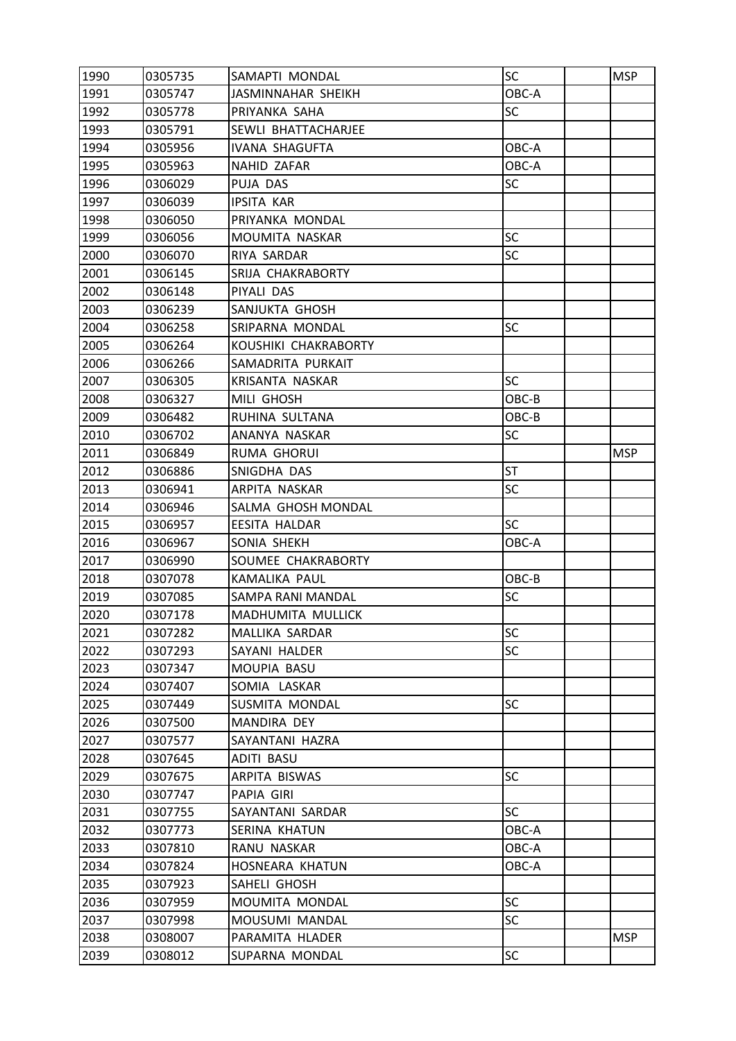| 1990 | 0305735 | SAMAPTI MONDAL        | <b>SC</b> | <b>MSP</b> |
|------|---------|-----------------------|-----------|------------|
| 1991 | 0305747 | JASMINNAHAR SHEIKH    | OBC-A     |            |
| 1992 | 0305778 | PRIYANKA SAHA         | SC        |            |
| 1993 | 0305791 | SEWLI BHATTACHARJEE   |           |            |
| 1994 | 0305956 | <b>IVANA SHAGUFTA</b> | OBC-A     |            |
| 1995 | 0305963 | NAHID ZAFAR           | OBC-A     |            |
| 1996 | 0306029 | PUJA DAS              | <b>SC</b> |            |
| 1997 | 0306039 | <b>IPSITA KAR</b>     |           |            |
| 1998 | 0306050 | PRIYANKA MONDAL       |           |            |
| 1999 | 0306056 | MOUMITA NASKAR        | <b>SC</b> |            |
| 2000 | 0306070 | RIYA SARDAR           | SC        |            |
| 2001 | 0306145 | SRIJA CHAKRABORTY     |           |            |
| 2002 | 0306148 | PIYALI DAS            |           |            |
| 2003 | 0306239 | SANJUKTA GHOSH        |           |            |
| 2004 | 0306258 | SRIPARNA MONDAL       | SC        |            |
| 2005 | 0306264 | KOUSHIKI CHAKRABORTY  |           |            |
| 2006 | 0306266 | SAMADRITA PURKAIT     |           |            |
| 2007 | 0306305 | KRISANTA NASKAR       | <b>SC</b> |            |
| 2008 | 0306327 | MILI GHOSH            | OBC-B     |            |
| 2009 | 0306482 | RUHINA SULTANA        | OBC-B     |            |
| 2010 | 0306702 | ANANYA NASKAR         | <b>SC</b> |            |
| 2011 | 0306849 | RUMA GHORUI           |           | <b>MSP</b> |
| 2012 | 0306886 | SNIGDHA DAS           | <b>ST</b> |            |
| 2013 | 0306941 | ARPITA NASKAR         | SC        |            |
| 2014 | 0306946 | SALMA GHOSH MONDAL    |           |            |
| 2015 | 0306957 | <b>EESITA HALDAR</b>  | <b>SC</b> |            |
| 2016 | 0306967 | SONIA SHEKH           | OBC-A     |            |
| 2017 | 0306990 | SOUMEE CHAKRABORTY    |           |            |
| 2018 | 0307078 | KAMALIKA PAUL         | OBC-B     |            |
| 2019 | 0307085 | SAMPA RANI MANDAL     | SC        |            |
| 2020 | 0307178 | MADHUMITA MULLICK     |           |            |
| 2021 | 0307282 | MALLIKA SARDAR        | SC        |            |
| 2022 | 0307293 | SAYANI HALDER         | <b>SC</b> |            |
| 2023 | 0307347 | MOUPIA BASU           |           |            |
| 2024 | 0307407 | SOMIA LASKAR          |           |            |
| 2025 | 0307449 | SUSMITA MONDAL        | <b>SC</b> |            |
| 2026 | 0307500 | MANDIRA DEY           |           |            |
| 2027 | 0307577 | SAYANTANI HAZRA       |           |            |
| 2028 | 0307645 | ADITI BASU            |           |            |
| 2029 | 0307675 | ARPITA BISWAS         | <b>SC</b> |            |
| 2030 | 0307747 | PAPIA GIRI            |           |            |
| 2031 | 0307755 | SAYANTANI SARDAR      | <b>SC</b> |            |
| 2032 | 0307773 | SERINA KHATUN         | OBC-A     |            |
| 2033 | 0307810 | RANU NASKAR           | OBC-A     |            |
| 2034 | 0307824 | HOSNEARA KHATUN       | OBC-A     |            |
| 2035 | 0307923 | SAHELI GHOSH          |           |            |
| 2036 | 0307959 | MOUMITA MONDAL        | <b>SC</b> |            |
| 2037 | 0307998 | MOUSUMI MANDAL        | <b>SC</b> |            |
| 2038 | 0308007 | PARAMITA HLADER       |           | MSP        |
| 2039 | 0308012 | SUPARNA MONDAL        | <b>SC</b> |            |
|      |         |                       |           |            |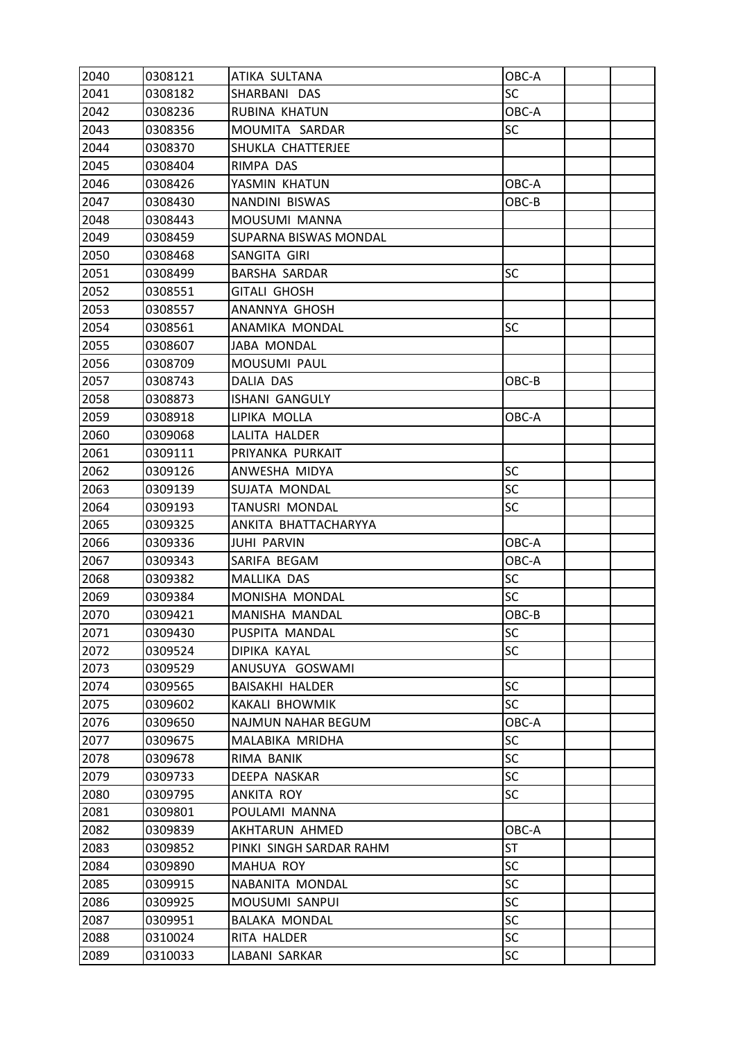| 2040 | 0308121 | ATIKA SULTANA           | OBC-A     |  |
|------|---------|-------------------------|-----------|--|
| 2041 | 0308182 | SHARBANI DAS            | <b>SC</b> |  |
| 2042 | 0308236 | RUBINA KHATUN           | OBC-A     |  |
| 2043 | 0308356 | MOUMITA SARDAR          | <b>SC</b> |  |
| 2044 | 0308370 | SHUKLA CHATTERJEE       |           |  |
| 2045 | 0308404 | RIMPA DAS               |           |  |
| 2046 | 0308426 | YASMIN KHATUN           | OBC-A     |  |
| 2047 | 0308430 | NANDINI BISWAS          | OBC-B     |  |
| 2048 | 0308443 | MOUSUMI MANNA           |           |  |
| 2049 | 0308459 | SUPARNA BISWAS MONDAL   |           |  |
| 2050 | 0308468 | SANGITA GIRI            |           |  |
| 2051 | 0308499 | <b>BARSHA SARDAR</b>    | <b>SC</b> |  |
| 2052 | 0308551 | <b>GITALI GHOSH</b>     |           |  |
| 2053 | 0308557 | ANANNYA GHOSH           |           |  |
| 2054 | 0308561 | ANAMIKA MONDAL          | <b>SC</b> |  |
| 2055 | 0308607 | JABA MONDAL             |           |  |
| 2056 | 0308709 | MOUSUMI PAUL            |           |  |
| 2057 | 0308743 | DALIA DAS               | OBC-B     |  |
| 2058 | 0308873 | <b>ISHANI GANGULY</b>   |           |  |
| 2059 | 0308918 | LIPIKA MOLLA            | OBC-A     |  |
| 2060 | 0309068 | LALITA HALDER           |           |  |
| 2061 | 0309111 | PRIYANKA PURKAIT        |           |  |
| 2062 | 0309126 | ANWESHA MIDYA           | <b>SC</b> |  |
| 2063 | 0309139 | SUJATA MONDAL           | SC        |  |
| 2064 | 0309193 | TANUSRI MONDAL          | <b>SC</b> |  |
| 2065 | 0309325 | ANKITA BHATTACHARYYA    |           |  |
| 2066 | 0309336 | <b>JUHI PARVIN</b>      | OBC-A     |  |
| 2067 | 0309343 | SARIFA BEGAM            | OBC-A     |  |
| 2068 | 0309382 | MALLIKA DAS             | <b>SC</b> |  |
| 2069 | 0309384 | MONISHA MONDAL          | <b>SC</b> |  |
| 2070 | 0309421 | MANISHA MANDAL          | OBC-B     |  |
| 2071 | 0309430 | PUSPITA MANDAL          | SC        |  |
| 2072 | 0309524 | DIPIKA KAYAL            | <b>SC</b> |  |
| 2073 | 0309529 | ANUSUYA GOSWAMI         |           |  |
| 2074 | 0309565 | <b>BAISAKHI HALDER</b>  | <b>SC</b> |  |
| 2075 | 0309602 | KAKALI BHOWMIK          | <b>SC</b> |  |
| 2076 | 0309650 | NAJMUN NAHAR BEGUM      | OBC-A     |  |
| 2077 | 0309675 | MALABIKA MRIDHA         | <b>SC</b> |  |
| 2078 | 0309678 | RIMA BANIK              | <b>SC</b> |  |
| 2079 | 0309733 | DEEPA NASKAR            | <b>SC</b> |  |
| 2080 | 0309795 | ANKITA ROY              | <b>SC</b> |  |
| 2081 | 0309801 | POULAMI MANNA           |           |  |
| 2082 | 0309839 | AKHTARUN AHMED          | OBC-A     |  |
| 2083 | 0309852 | PINKI SINGH SARDAR RAHM | <b>ST</b> |  |
| 2084 | 0309890 | MAHUA ROY               | <b>SC</b> |  |
| 2085 | 0309915 | NABANITA MONDAL         | <b>SC</b> |  |
| 2086 | 0309925 | MOUSUMI SANPUI          | <b>SC</b> |  |
| 2087 | 0309951 | <b>BALAKA MONDAL</b>    | <b>SC</b> |  |
| 2088 | 0310024 | RITA HALDER             | <b>SC</b> |  |
| 2089 | 0310033 | LABANI SARKAR           | <b>SC</b> |  |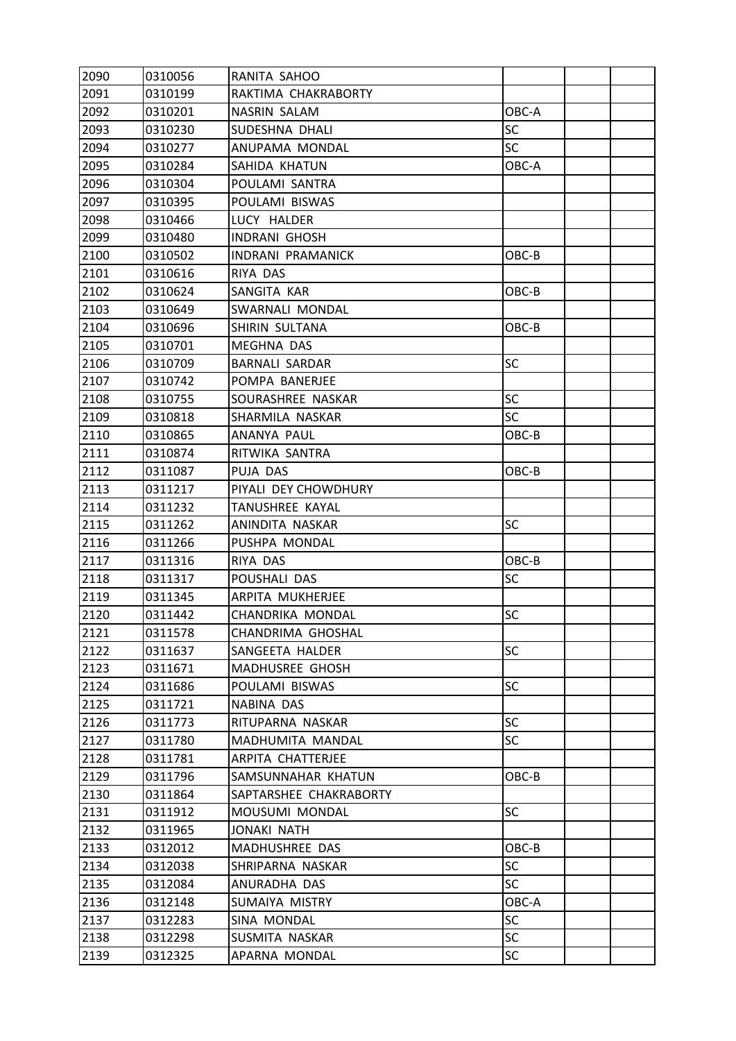| 2090 | 0310056 | RANITA SAHOO             |           |  |
|------|---------|--------------------------|-----------|--|
| 2091 | 0310199 | RAKTIMA CHAKRABORTY      |           |  |
| 2092 | 0310201 | NASRIN SALAM             | OBC-A     |  |
| 2093 | 0310230 | SUDESHNA DHALI           | SC        |  |
| 2094 | 0310277 | ANUPAMA MONDAL           | <b>SC</b> |  |
| 2095 | 0310284 | SAHIDA KHATUN            | OBC-A     |  |
| 2096 | 0310304 | POULAMI SANTRA           |           |  |
| 2097 | 0310395 | POULAMI BISWAS           |           |  |
| 2098 | 0310466 | LUCY HALDER              |           |  |
| 2099 | 0310480 | <b>INDRANI GHOSH</b>     |           |  |
| 2100 | 0310502 | <b>INDRANI PRAMANICK</b> | OBC-B     |  |
| 2101 | 0310616 | RIYA DAS                 |           |  |
| 2102 | 0310624 | SANGITA KAR              | OBC-B     |  |
| 2103 | 0310649 | SWARNALI MONDAL          |           |  |
| 2104 | 0310696 | SHIRIN SULTANA           | OBC-B     |  |
| 2105 | 0310701 | MEGHNA DAS               |           |  |
| 2106 | 0310709 | <b>BARNALI SARDAR</b>    | SC        |  |
| 2107 | 0310742 | POMPA BANERJEE           |           |  |
| 2108 | 0310755 | SOURASHREE NASKAR        | <b>SC</b> |  |
| 2109 | 0310818 | SHARMILA NASKAR          | <b>SC</b> |  |
| 2110 | 0310865 | ANANYA PAUL              | OBC-B     |  |
| 2111 | 0310874 | RITWIKA SANTRA           |           |  |
| 2112 | 0311087 | PUJA DAS                 | OBC-B     |  |
| 2113 | 0311217 | PIYALI DEY CHOWDHURY     |           |  |
| 2114 | 0311232 | TANUSHREE KAYAL          |           |  |
| 2115 | 0311262 | ANINDITA NASKAR          | <b>SC</b> |  |
| 2116 | 0311266 | PUSHPA MONDAL            |           |  |
| 2117 | 0311316 | RIYA DAS                 | OBC-B     |  |
| 2118 | 0311317 | POUSHALI DAS             | <b>SC</b> |  |
| 2119 | 0311345 | ARPITA MUKHERJEE         |           |  |
| 2120 | 0311442 | CHANDRIKA MONDAL         | SC        |  |
| 2121 | 0311578 | CHANDRIMA GHOSHAL        |           |  |
| 2122 | 0311637 | SANGEETA HALDER          | <b>SC</b> |  |
| 2123 | 0311671 | MADHUSREE GHOSH          |           |  |
| 2124 | 0311686 | POULAMI BISWAS           | SC        |  |
| 2125 | 0311721 | NABINA DAS               |           |  |
| 2126 | 0311773 | RITUPARNA NASKAR         | <b>SC</b> |  |
| 2127 | 0311780 | MADHUMITA MANDAL         | <b>SC</b> |  |
| 2128 | 0311781 | ARPITA CHATTERJEE        |           |  |
| 2129 | 0311796 | SAMSUNNAHAR KHATUN       | OBC-B     |  |
| 2130 | 0311864 | SAPTARSHEE CHAKRABORTY   |           |  |
| 2131 | 0311912 | MOUSUMI MONDAL           | SC        |  |
| 2132 | 0311965 | <b>JONAKI NATH</b>       |           |  |
| 2133 | 0312012 | MADHUSHREE DAS           | OBC-B     |  |
| 2134 | 0312038 | SHRIPARNA NASKAR         | <b>SC</b> |  |
| 2135 | 0312084 | ANURADHA DAS             | <b>SC</b> |  |
| 2136 | 0312148 | SUMAIYA MISTRY           | OBC-A     |  |
| 2137 | 0312283 | SINA MONDAL              | <b>SC</b> |  |
| 2138 | 0312298 | SUSMITA NASKAR           | <b>SC</b> |  |
| 2139 | 0312325 | APARNA MONDAL            | SC        |  |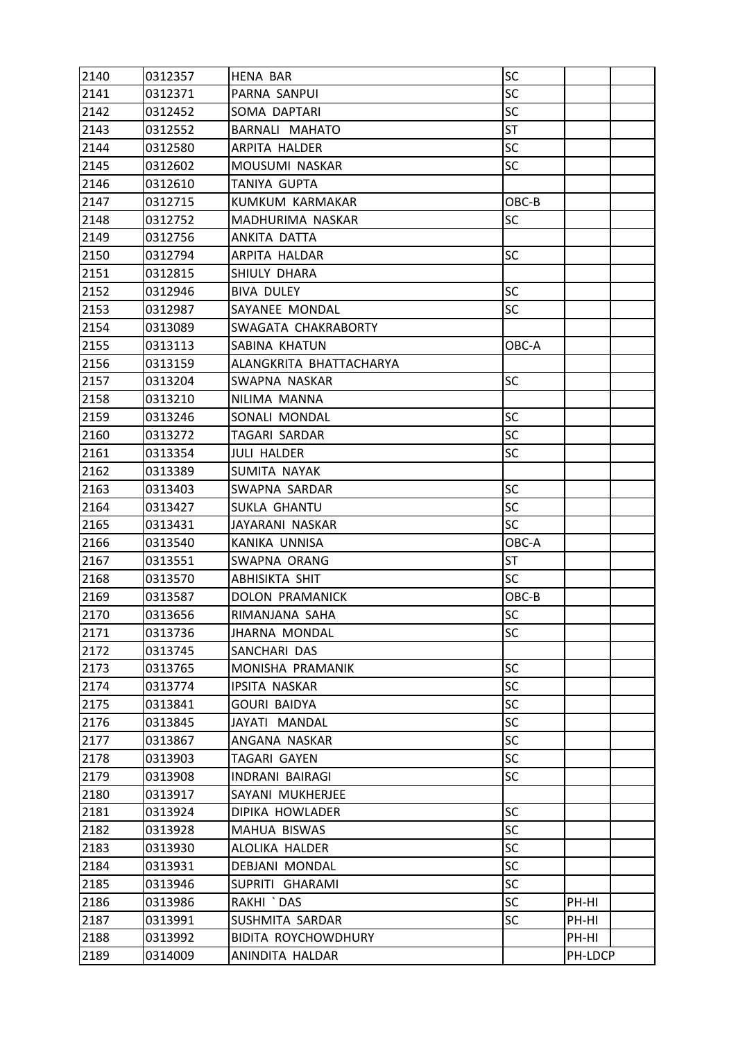| 2140 | 0312357 | <b>HENA BAR</b>         | SC        |         |  |
|------|---------|-------------------------|-----------|---------|--|
| 2141 | 0312371 | PARNA SANPUI            | <b>SC</b> |         |  |
| 2142 | 0312452 | SOMA DAPTARI            | <b>SC</b> |         |  |
| 2143 | 0312552 | BARNALI MAHATO          | <b>ST</b> |         |  |
| 2144 | 0312580 | ARPITA HALDER           | <b>SC</b> |         |  |
| 2145 | 0312602 | MOUSUMI NASKAR          | SC        |         |  |
| 2146 | 0312610 | TANIYA GUPTA            |           |         |  |
| 2147 | 0312715 | KUMKUM KARMAKAR         | OBC-B     |         |  |
| 2148 | 0312752 | MADHURIMA NASKAR        | SC        |         |  |
| 2149 | 0312756 | ANKITA DATTA            |           |         |  |
| 2150 | 0312794 | ARPITA HALDAR           | <b>SC</b> |         |  |
| 2151 | 0312815 | SHIULY DHARA            |           |         |  |
| 2152 | 0312946 | <b>BIVA DULEY</b>       | SC        |         |  |
| 2153 | 0312987 | SAYANEE MONDAL          | <b>SC</b> |         |  |
| 2154 | 0313089 | SWAGATA CHAKRABORTY     |           |         |  |
| 2155 | 0313113 | SABINA KHATUN           | OBC-A     |         |  |
| 2156 | 0313159 | ALANGKRITA BHATTACHARYA |           |         |  |
| 2157 | 0313204 | SWAPNA NASKAR           | SC        |         |  |
| 2158 | 0313210 | NILIMA MANNA            |           |         |  |
| 2159 | 0313246 | SONALI MONDAL           | <b>SC</b> |         |  |
| 2160 | 0313272 | TAGARI SARDAR           | <b>SC</b> |         |  |
| 2161 | 0313354 | JULI HALDER             | SC        |         |  |
| 2162 | 0313389 | SUMITA NAYAK            |           |         |  |
| 2163 | 0313403 | SWAPNA SARDAR           | SC        |         |  |
| 2164 | 0313427 | SUKLA GHANTU            | <b>SC</b> |         |  |
| 2165 | 0313431 | JAYARANI NASKAR         | <b>SC</b> |         |  |
| 2166 | 0313540 | KANIKA UNNISA           | OBC-A     |         |  |
| 2167 | 0313551 | SWAPNA ORANG            | ST        |         |  |
| 2168 | 0313570 | ABHISIKTA SHIT          | SC        |         |  |
| 2169 | 0313587 | DOLON PRAMANICK         | OBC-B     |         |  |
| 2170 | 0313656 | RIMANJANA SAHA          | SC        |         |  |
| 2171 | 0313736 | <b>JHARNA MONDAL</b>    | SC        |         |  |
| 2172 | 0313745 | SANCHARI DAS            |           |         |  |
| 2173 | 0313765 | MONISHA PRAMANIK        | <b>SC</b> |         |  |
| 2174 | 0313774 | <b>IPSITA NASKAR</b>    | <b>SC</b> |         |  |
| 2175 | 0313841 | <b>GOURI BAIDYA</b>     | <b>SC</b> |         |  |
| 2176 | 0313845 | JAYATI MANDAL           | <b>SC</b> |         |  |
| 2177 | 0313867 | ANGANA NASKAR           | <b>SC</b> |         |  |
| 2178 | 0313903 | TAGARI GAYEN            | <b>SC</b> |         |  |
| 2179 | 0313908 | <b>INDRANI BAIRAGI</b>  | <b>SC</b> |         |  |
| 2180 | 0313917 | SAYANI MUKHERJEE        |           |         |  |
| 2181 | 0313924 | DIPIKA HOWLADER         | <b>SC</b> |         |  |
| 2182 | 0313928 | MAHUA BISWAS            | <b>SC</b> |         |  |
| 2183 | 0313930 | ALOLIKA HALDER          | <b>SC</b> |         |  |
| 2184 | 0313931 | DEBJANI MONDAL          | <b>SC</b> |         |  |
| 2185 | 0313946 | SUPRITI GHARAMI         | <b>SC</b> |         |  |
| 2186 | 0313986 | RAKHI `DAS              | <b>SC</b> | PH-HI   |  |
| 2187 | 0313991 | SUSHMITA SARDAR         | SC        | PH-HI   |  |
| 2188 | 0313992 | BIDITA ROYCHOWDHURY     |           | PH-HI   |  |
| 2189 | 0314009 | ANINDITA HALDAR         |           | PH-LDCP |  |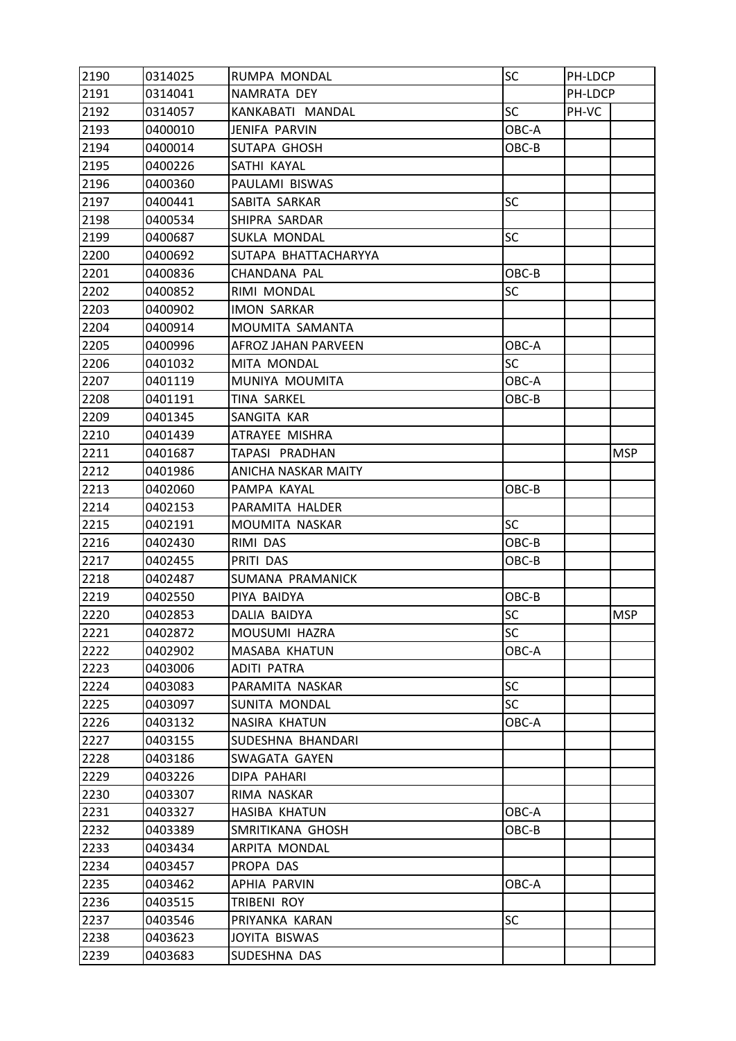| 2190 | 0314025 | RUMPA MONDAL               | SC        | PH-LDCP |            |
|------|---------|----------------------------|-----------|---------|------------|
| 2191 | 0314041 | NAMRATA DEY                |           | PH-LDCP |            |
| 2192 | 0314057 | KANKABATI MANDAL           | <b>SC</b> | PH-VC   |            |
| 2193 | 0400010 | <b>JENIFA PARVIN</b>       | OBC-A     |         |            |
| 2194 | 0400014 | SUTAPA GHOSH               | OBC-B     |         |            |
| 2195 | 0400226 | SATHI KAYAL                |           |         |            |
| 2196 | 0400360 | PAULAMI BISWAS             |           |         |            |
| 2197 | 0400441 | SABITA SARKAR              | SC        |         |            |
| 2198 | 0400534 | SHIPRA SARDAR              |           |         |            |
| 2199 | 0400687 | SUKLA MONDAL               | SC        |         |            |
| 2200 | 0400692 | SUTAPA BHATTACHARYYA       |           |         |            |
| 2201 | 0400836 | CHANDANA PAL               | OBC-B     |         |            |
| 2202 | 0400852 | RIMI MONDAL                | SC        |         |            |
| 2203 | 0400902 | <b>IMON SARKAR</b>         |           |         |            |
| 2204 | 0400914 | MOUMITA SAMANTA            |           |         |            |
| 2205 | 0400996 | <b>AFROZ JAHAN PARVEEN</b> | OBC-A     |         |            |
| 2206 | 0401032 | MITA MONDAL                | <b>SC</b> |         |            |
| 2207 | 0401119 | MUNIYA MOUMITA             | OBC-A     |         |            |
| 2208 | 0401191 | TINA SARKEL                | OBC-B     |         |            |
| 2209 | 0401345 | SANGITA KAR                |           |         |            |
| 2210 | 0401439 | ATRAYEE MISHRA             |           |         |            |
| 2211 | 0401687 | TAPASI PRADHAN             |           |         | <b>MSP</b> |
| 2212 | 0401986 | ANICHA NASKAR MAITY        |           |         |            |
| 2213 | 0402060 | PAMPA KAYAL                | OBC-B     |         |            |
| 2214 | 0402153 | PARAMITA HALDER            |           |         |            |
| 2215 | 0402191 | MOUMITA NASKAR             | <b>SC</b> |         |            |
| 2216 | 0402430 | RIMI DAS                   | OBC-B     |         |            |
| 2217 | 0402455 | PRITI DAS                  | OBC-B     |         |            |
| 2218 | 0402487 | SUMANA PRAMANICK           |           |         |            |
| 2219 | 0402550 | PIYA BAIDYA                | OBC-B     |         |            |
| 2220 | 0402853 | DALIA BAIDYA               | SC        |         | <b>MSP</b> |
| 2221 | 0402872 | MOUSUMI HAZRA              | SC        |         |            |
| 2222 | 0402902 | MASABA KHATUN              | OBC-A     |         |            |
| 2223 | 0403006 | ADITI PATRA                |           |         |            |
| 2224 | 0403083 | PARAMITA NASKAR            | <b>SC</b> |         |            |
| 2225 | 0403097 | SUNITA MONDAL              | <b>SC</b> |         |            |
| 2226 | 0403132 | NASIRA KHATUN              | OBC-A     |         |            |
| 2227 | 0403155 | SUDESHNA BHANDARI          |           |         |            |
| 2228 | 0403186 | SWAGATA GAYEN              |           |         |            |
| 2229 | 0403226 | DIPA PAHARI                |           |         |            |
| 2230 | 0403307 | RIMA NASKAR                |           |         |            |
| 2231 | 0403327 | HASIBA KHATUN              | OBC-A     |         |            |
| 2232 | 0403389 | SMRITIKANA GHOSH           | OBC-B     |         |            |
| 2233 | 0403434 | ARPITA MONDAL              |           |         |            |
| 2234 | 0403457 | PROPA DAS                  |           |         |            |
| 2235 | 0403462 | APHIA PARVIN               | OBC-A     |         |            |
| 2236 | 0403515 | TRIBENI ROY                |           |         |            |
| 2237 | 0403546 | PRIYANKA KARAN             | <b>SC</b> |         |            |
| 2238 | 0403623 | JOYITA BISWAS              |           |         |            |
| 2239 | 0403683 | SUDESHNA DAS               |           |         |            |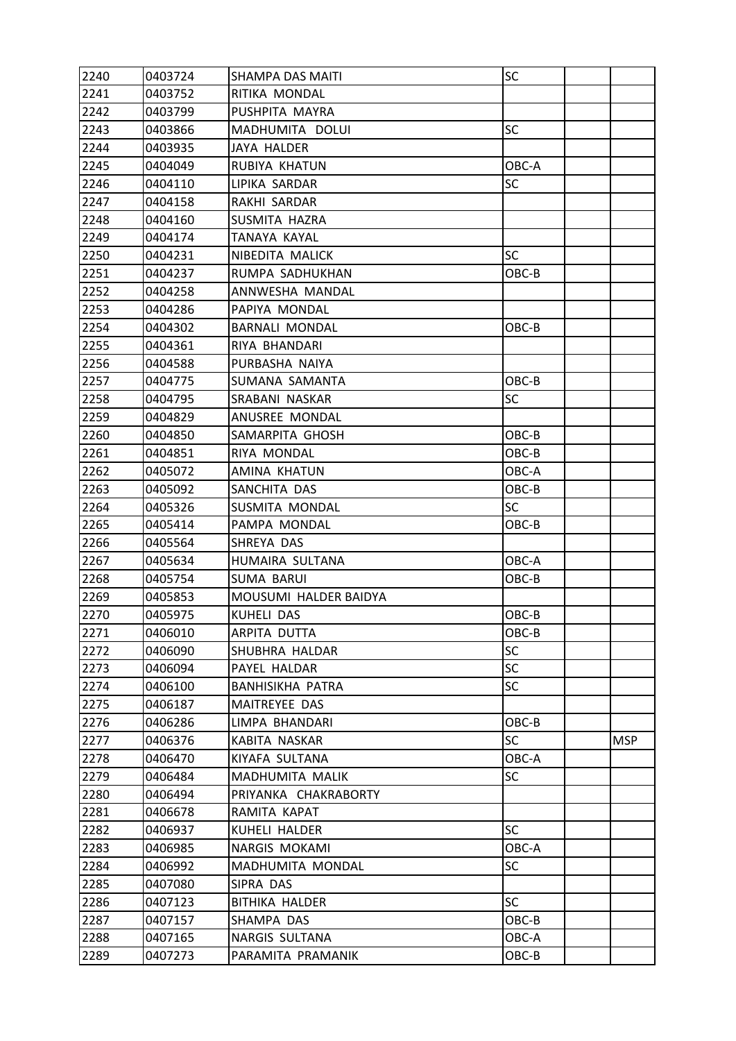| 2240 | 0403724 | SHAMPA DAS MAITI        | SC        |            |
|------|---------|-------------------------|-----------|------------|
| 2241 | 0403752 | RITIKA MONDAL           |           |            |
| 2242 | 0403799 | PUSHPITA MAYRA          |           |            |
| 2243 | 0403866 | MADHUMITA DOLUI         | SC        |            |
| 2244 | 0403935 | JAYA HALDER             |           |            |
| 2245 | 0404049 | RUBIYA KHATUN           | OBC-A     |            |
| 2246 | 0404110 | LIPIKA SARDAR           | SC        |            |
| 2247 | 0404158 | RAKHI SARDAR            |           |            |
| 2248 | 0404160 | SUSMITA HAZRA           |           |            |
| 2249 | 0404174 | TANAYA KAYAL            |           |            |
| 2250 | 0404231 | NIBEDITA MALICK         | <b>SC</b> |            |
| 2251 | 0404237 | RUMPA SADHUKHAN         | OBC-B     |            |
| 2252 | 0404258 | ANNWESHA MANDAL         |           |            |
| 2253 | 0404286 | PAPIYA MONDAL           |           |            |
| 2254 | 0404302 | <b>BARNALI MONDAL</b>   | OBC-B     |            |
| 2255 | 0404361 | RIYA BHANDARI           |           |            |
| 2256 | 0404588 | PURBASHA NAIYA          |           |            |
| 2257 | 0404775 | SUMANA SAMANTA          | OBC-B     |            |
| 2258 | 0404795 | SRABANI NASKAR          | SC        |            |
| 2259 | 0404829 | ANUSREE MONDAL          |           |            |
| 2260 | 0404850 | SAMARPITA GHOSH         | OBC-B     |            |
| 2261 | 0404851 | RIYA MONDAL             | OBC-B     |            |
| 2262 | 0405072 | AMINA KHATUN            | OBC-A     |            |
| 2263 | 0405092 | SANCHITA DAS            | OBC-B     |            |
| 2264 | 0405326 | SUSMITA MONDAL          | <b>SC</b> |            |
| 2265 | 0405414 | PAMPA MONDAL            | OBC-B     |            |
| 2266 | 0405564 | SHREYA DAS              |           |            |
| 2267 | 0405634 | HUMAIRA SULTANA         | OBC-A     |            |
| 2268 | 0405754 | <b>SUMA BARUI</b>       | OBC-B     |            |
| 2269 | 0405853 | MOUSUMI HALDER BAIDYA   |           |            |
| 2270 | 0405975 | KUHELI DAS              | OBC-B     |            |
| 2271 | 0406010 | ARPITA DUTTA            | OBC-B     |            |
| 2272 | 0406090 | SHUBHRA HALDAR          | <b>SC</b> |            |
| 2273 | 0406094 | PAYEL HALDAR            | <b>SC</b> |            |
| 2274 | 0406100 | <b>BANHISIKHA PATRA</b> | <b>SC</b> |            |
| 2275 | 0406187 | MAITREYEE DAS           |           |            |
| 2276 | 0406286 | LIMPA BHANDARI          | OBC-B     |            |
| 2277 | 0406376 | KABITA NASKAR           | <b>SC</b> | <b>MSP</b> |
| 2278 | 0406470 | KIYAFA SULTANA          | OBC-A     |            |
| 2279 | 0406484 | MADHUMITA MALIK         | <b>SC</b> |            |
| 2280 | 0406494 | PRIYANKA CHAKRABORTY    |           |            |
| 2281 | 0406678 | RAMITA KAPAT            |           |            |
| 2282 | 0406937 | KUHELI HALDER           | <b>SC</b> |            |
| 2283 | 0406985 | NARGIS MOKAMI           | OBC-A     |            |
| 2284 | 0406992 | MADHUMITA MONDAL        | SC        |            |
| 2285 | 0407080 | SIPRA DAS               |           |            |
| 2286 | 0407123 | <b>BITHIKA HALDER</b>   | <b>SC</b> |            |
| 2287 | 0407157 | SHAMPA DAS              | OBC-B     |            |
| 2288 | 0407165 | NARGIS SULTANA          | OBC-A     |            |
| 2289 | 0407273 | PARAMITA PRAMANIK       | OBC-B     |            |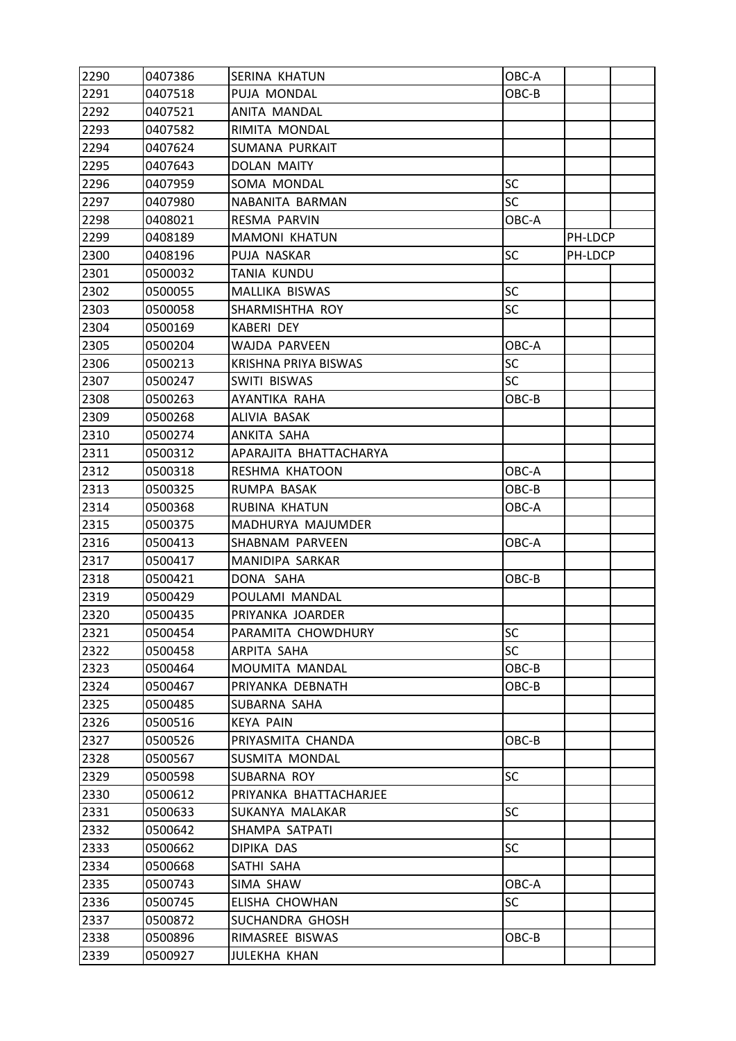| 2290 | 0407386 | SERINA KHATUN          | OBC-A     |         |  |
|------|---------|------------------------|-----------|---------|--|
| 2291 | 0407518 | PUJA MONDAL            | OBC-B     |         |  |
| 2292 | 0407521 | ANITA MANDAL           |           |         |  |
| 2293 | 0407582 | RIMITA MONDAL          |           |         |  |
| 2294 | 0407624 | SUMANA PURKAIT         |           |         |  |
| 2295 | 0407643 | <b>DOLAN MAITY</b>     |           |         |  |
| 2296 | 0407959 | SOMA MONDAL            | <b>SC</b> |         |  |
| 2297 | 0407980 | NABANITA BARMAN        | <b>SC</b> |         |  |
| 2298 | 0408021 | <b>RESMA PARVIN</b>    | OBC-A     |         |  |
| 2299 | 0408189 | <b>MAMONI KHATUN</b>   |           | PH-LDCP |  |
| 2300 | 0408196 | PUJA NASKAR            | SC        | PH-LDCP |  |
| 2301 | 0500032 | <b>TANIA KUNDU</b>     |           |         |  |
| 2302 | 0500055 | MALLIKA BISWAS         | <b>SC</b> |         |  |
| 2303 | 0500058 | SHARMISHTHA ROY        | SC        |         |  |
| 2304 | 0500169 | <b>KABERI DEY</b>      |           |         |  |
| 2305 | 0500204 | WAJDA PARVEEN          | OBC-A     |         |  |
| 2306 | 0500213 | KRISHNA PRIYA BISWAS   | SC        |         |  |
| 2307 | 0500247 | SWITI BISWAS           | <b>SC</b> |         |  |
| 2308 | 0500263 | AYANTIKA RAHA          | OBC-B     |         |  |
| 2309 | 0500268 | ALIVIA BASAK           |           |         |  |
| 2310 | 0500274 | ANKITA SAHA            |           |         |  |
| 2311 | 0500312 | APARAJITA BHATTACHARYA |           |         |  |
| 2312 | 0500318 | RESHMA KHATOON         | OBC-A     |         |  |
| 2313 | 0500325 | RUMPA BASAK            | OBC-B     |         |  |
| 2314 | 0500368 | RUBINA KHATUN          | OBC-A     |         |  |
| 2315 | 0500375 | MADHURYA MAJUMDER      |           |         |  |
| 2316 | 0500413 | SHABNAM PARVEEN        | OBC-A     |         |  |
| 2317 | 0500417 | MANIDIPA SARKAR        |           |         |  |
| 2318 | 0500421 | DONA SAHA              | OBC-B     |         |  |
| 2319 | 0500429 | POULAMI MANDAL         |           |         |  |
| 2320 | 0500435 | PRIYANKA JOARDER       |           |         |  |
| 2321 | 0500454 | PARAMITA CHOWDHURY     | SC        |         |  |
| 2322 | 0500458 | ARPITA SAHA            | <b>SC</b> |         |  |
| 2323 | 0500464 | MOUMITA MANDAL         | OBC-B     |         |  |
| 2324 | 0500467 | PRIYANKA DEBNATH       | OBC-B     |         |  |
| 2325 | 0500485 | SUBARNA SAHA           |           |         |  |
| 2326 | 0500516 | <b>KEYA PAIN</b>       |           |         |  |
| 2327 | 0500526 | PRIYASMITA CHANDA      | OBC-B     |         |  |
| 2328 | 0500567 | SUSMITA MONDAL         |           |         |  |
| 2329 | 0500598 | SUBARNA ROY            | <b>SC</b> |         |  |
| 2330 | 0500612 | PRIYANKA BHATTACHARJEE |           |         |  |
| 2331 | 0500633 | SUKANYA MALAKAR        | <b>SC</b> |         |  |
| 2332 | 0500642 | SHAMPA SATPATI         |           |         |  |
| 2333 | 0500662 | DIPIKA DAS             | <b>SC</b> |         |  |
| 2334 | 0500668 | SATHI SAHA             |           |         |  |
| 2335 | 0500743 | SIMA SHAW              | OBC-A     |         |  |
| 2336 | 0500745 | ELISHA CHOWHAN         | SC        |         |  |
| 2337 | 0500872 | SUCHANDRA GHOSH        |           |         |  |
| 2338 | 0500896 | RIMASREE BISWAS        | OBC-B     |         |  |
| 2339 | 0500927 | <b>JULEKHA KHAN</b>    |           |         |  |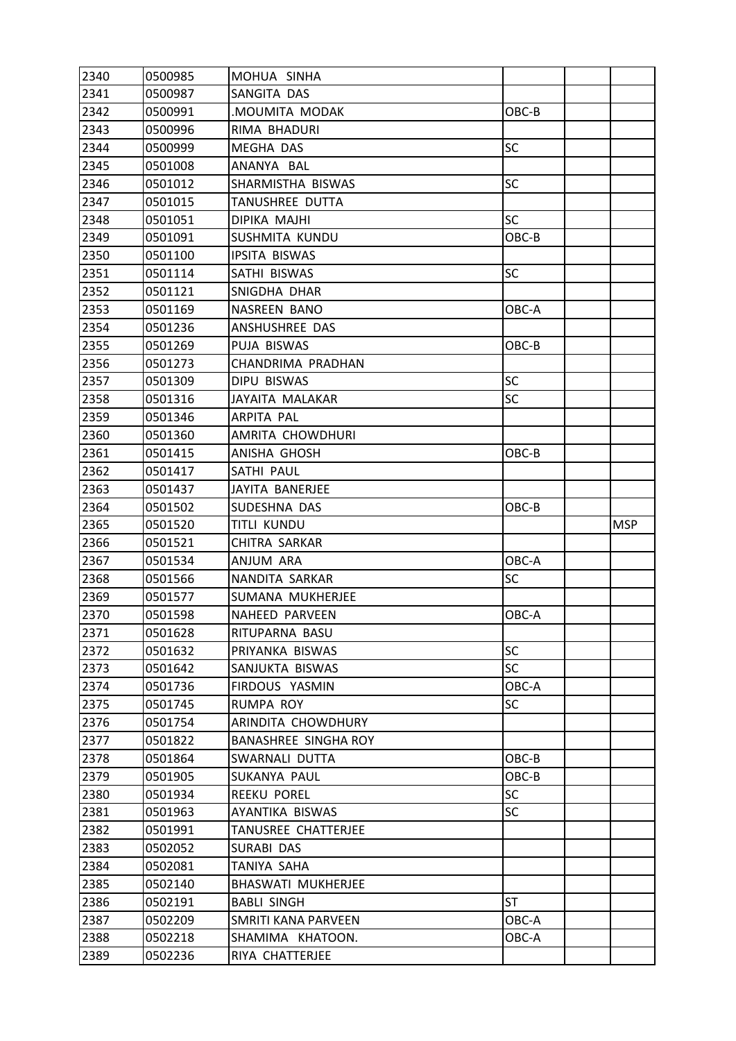| 2340         | 0500985 | MOHUA SINHA                 |           |            |
|--------------|---------|-----------------------------|-----------|------------|
| 2341         | 0500987 | SANGITA DAS                 |           |            |
| 2342         | 0500991 | MOUMITA MODAK               | OBC-B     |            |
| 2343         | 0500996 | RIMA BHADURI                |           |            |
| 2344         | 0500999 | <b>MEGHA DAS</b>            | SC        |            |
| 2345         | 0501008 | ANANYA BAL                  |           |            |
| 2346         | 0501012 | SHARMISTHA BISWAS           | <b>SC</b> |            |
| 2347         | 0501015 | TANUSHREE DUTTA             |           |            |
| 2348         | 0501051 | DIPIKA MAJHI                | <b>SC</b> |            |
| 2349         | 0501091 | SUSHMITA KUNDU              | OBC-B     |            |
| 2350         | 0501100 | <b>IPSITA BISWAS</b>        |           |            |
| 2351         | 0501114 | SATHI BISWAS                | <b>SC</b> |            |
| 2352         | 0501121 | SNIGDHA DHAR                |           |            |
| 2353         | 0501169 | NASREEN BANO                | OBC-A     |            |
| 2354         | 0501236 | ANSHUSHREE DAS              |           |            |
| 2355         | 0501269 | PUJA BISWAS                 | OBC-B     |            |
| 2356         | 0501273 | CHANDRIMA PRADHAN           |           |            |
| 2357         | 0501309 | DIPU BISWAS                 | SC        |            |
| 2358         | 0501316 | JAYAITA MALAKAR             | SC        |            |
| 2359         | 0501346 | ARPITA PAL                  |           |            |
| 2360         | 0501360 | AMRITA CHOWDHURI            |           |            |
| 2361         | 0501415 | ANISHA GHOSH                | OBC-B     |            |
| 2362         | 0501417 | SATHI PAUL                  |           |            |
| 2363         | 0501437 | JAYITA BANERJEE             |           |            |
| 2364         | 0501502 | SUDESHNA DAS                | OBC-B     |            |
|              |         |                             |           |            |
| 2365         | 0501520 | <b>TITLI KUNDU</b>          |           | <b>MSP</b> |
| 2366         | 0501521 | CHITRA SARKAR               |           |            |
| 2367         | 0501534 | ANJUM ARA                   | OBC-A     |            |
| 2368         | 0501566 | NANDITA SARKAR              | <b>SC</b> |            |
| 2369         | 0501577 | SUMANA MUKHERJEE            |           |            |
| 2370         | 0501598 | NAHEED PARVEEN              | OBC-A     |            |
| 2371         | 0501628 | RITUPARNA BASU              |           |            |
| 2372         | 0501632 | PRIYANKA BISWAS             | <b>SC</b> |            |
| 2373         | 0501642 | SANJUKTA BISWAS             | <b>SC</b> |            |
| 2374         | 0501736 | FIRDOUS YASMIN              | OBC-A     |            |
| 2375         | 0501745 | RUMPA ROY                   | <b>SC</b> |            |
| 2376         | 0501754 | ARINDITA CHOWDHURY          |           |            |
| 2377         | 0501822 | <b>BANASHREE SINGHA ROY</b> |           |            |
| 2378         | 0501864 | SWARNALI DUTTA              | OBC-B     |            |
| 2379         | 0501905 | SUKANYA PAUL                | OBC-B     |            |
| 2380         | 0501934 | <b>REEKU POREL</b>          | SC        |            |
| 2381         | 0501963 | AYANTIKA BISWAS             | <b>SC</b> |            |
| 2382         | 0501991 | TANUSREE CHATTERJEE         |           |            |
| 2383         | 0502052 | SURABI DAS                  |           |            |
| 2384         | 0502081 | TANIYA SAHA                 |           |            |
| 2385         | 0502140 | BHASWATI MUKHERJEE          |           |            |
| 2386         | 0502191 | <b>BABLI SINGH</b>          | ST        |            |
| 2387         | 0502209 | SMRITI KANA PARVEEN         | OBC-A     |            |
| 2388<br>2389 | 0502218 | SHAMIMA KHATOON.            | OBC-A     |            |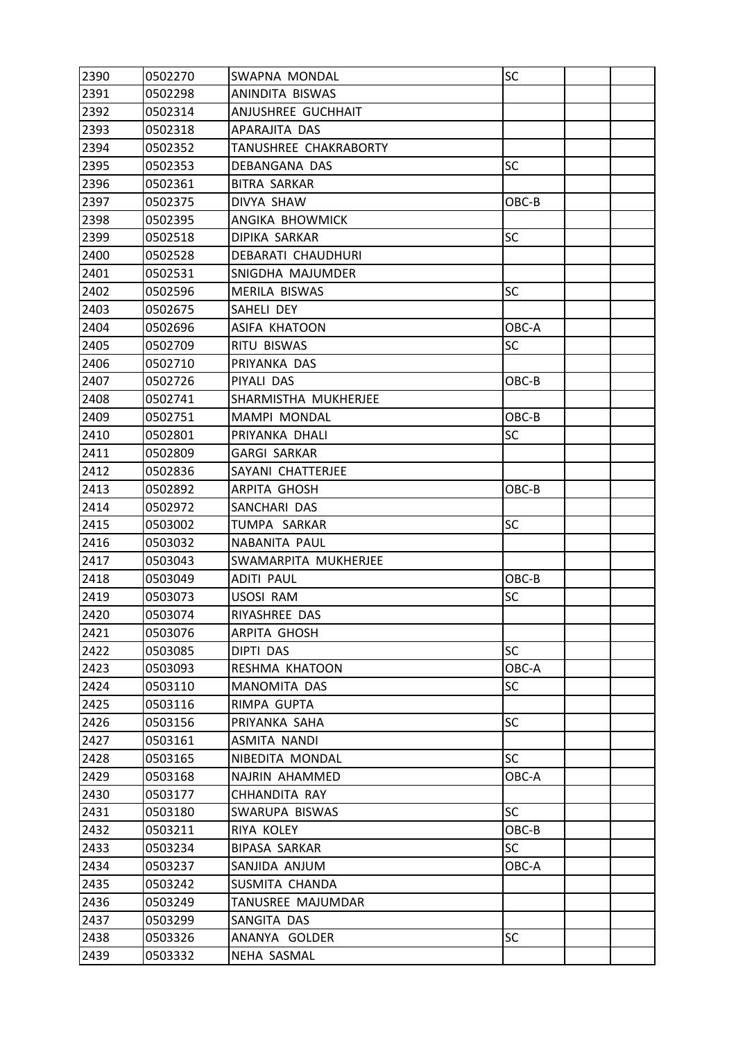| 2390 | 0502270 | SWAPNA MONDAL             | SC        |  |
|------|---------|---------------------------|-----------|--|
| 2391 | 0502298 | ANINDITA BISWAS           |           |  |
| 2392 | 0502314 | ANJUSHREE GUCHHAIT        |           |  |
| 2393 | 0502318 | APARAJITA DAS             |           |  |
| 2394 | 0502352 | TANUSHREE CHAKRABORTY     |           |  |
| 2395 | 0502353 | DEBANGANA DAS             | <b>SC</b> |  |
| 2396 | 0502361 | <b>BITRA SARKAR</b>       |           |  |
| 2397 | 0502375 | DIVYA SHAW                | OBC-B     |  |
| 2398 | 0502395 | ANGIKA BHOWMICK           |           |  |
| 2399 | 0502518 | <b>DIPIKA SARKAR</b>      | SC        |  |
| 2400 | 0502528 | <b>DEBARATI CHAUDHURI</b> |           |  |
| 2401 | 0502531 | SNIGDHA MAJUMDER          |           |  |
| 2402 | 0502596 | MERILA BISWAS             | <b>SC</b> |  |
| 2403 | 0502675 | SAHELI DEY                |           |  |
| 2404 | 0502696 | ASIFA KHATOON             | OBC-A     |  |
| 2405 | 0502709 | RITU BISWAS               | SC        |  |
| 2406 | 0502710 | PRIYANKA DAS              |           |  |
| 2407 | 0502726 | PIYALI DAS                | OBC-B     |  |
| 2408 | 0502741 | SHARMISTHA MUKHERJEE      |           |  |
| 2409 | 0502751 | <b>MAMPI MONDAL</b>       | OBC-B     |  |
| 2410 | 0502801 | PRIYANKA DHALI            | <b>SC</b> |  |
| 2411 | 0502809 | GARGI SARKAR              |           |  |
| 2412 | 0502836 | SAYANI CHATTERJEE         |           |  |
| 2413 | 0502892 | <b>ARPITA GHOSH</b>       | OBC-B     |  |
| 2414 | 0502972 | SANCHARI DAS              |           |  |
| 2415 | 0503002 | TUMPA SARKAR              | <b>SC</b> |  |
| 2416 | 0503032 | NABANITA PAUL             |           |  |
| 2417 | 0503043 | SWAMARPITA MUKHERJEE      |           |  |
| 2418 | 0503049 | <b>ADITI PAUL</b>         | OBC-B     |  |
| 2419 | 0503073 | USOSI RAM                 | SC        |  |
| 2420 | 0503074 | RIYASHREE DAS             |           |  |
| 2421 | 0503076 | ARPITA GHOSH              |           |  |
| 2422 | 0503085 | DIPTI DAS                 | <b>SC</b> |  |
| 2423 | 0503093 | RESHMA KHATOON            | OBC-A     |  |
| 2424 | 0503110 | MANOMITA DAS              | <b>SC</b> |  |
| 2425 | 0503116 | RIMPA GUPTA               |           |  |
| 2426 | 0503156 | PRIYANKA SAHA             | <b>SC</b> |  |
| 2427 | 0503161 | ASMITA NANDI              |           |  |
| 2428 | 0503165 | NIBEDITA MONDAL           | <b>SC</b> |  |
| 2429 | 0503168 | NAJRIN AHAMMED            | OBC-A     |  |
| 2430 | 0503177 | CHHANDITA RAY             |           |  |
| 2431 | 0503180 | SWARUPA BISWAS            | <b>SC</b> |  |
| 2432 | 0503211 | RIYA KOLEY                | OBC-B     |  |
| 2433 | 0503234 | <b>BIPASA SARKAR</b>      | <b>SC</b> |  |
| 2434 | 0503237 | SANJIDA ANJUM             | OBC-A     |  |
| 2435 | 0503242 | SUSMITA CHANDA            |           |  |
| 2436 | 0503249 | TANUSREE MAJUMDAR         |           |  |
| 2437 | 0503299 | SANGITA DAS               |           |  |
| 2438 | 0503326 | ANANYA GOLDER             | <b>SC</b> |  |
| 2439 | 0503332 | NEHA SASMAL               |           |  |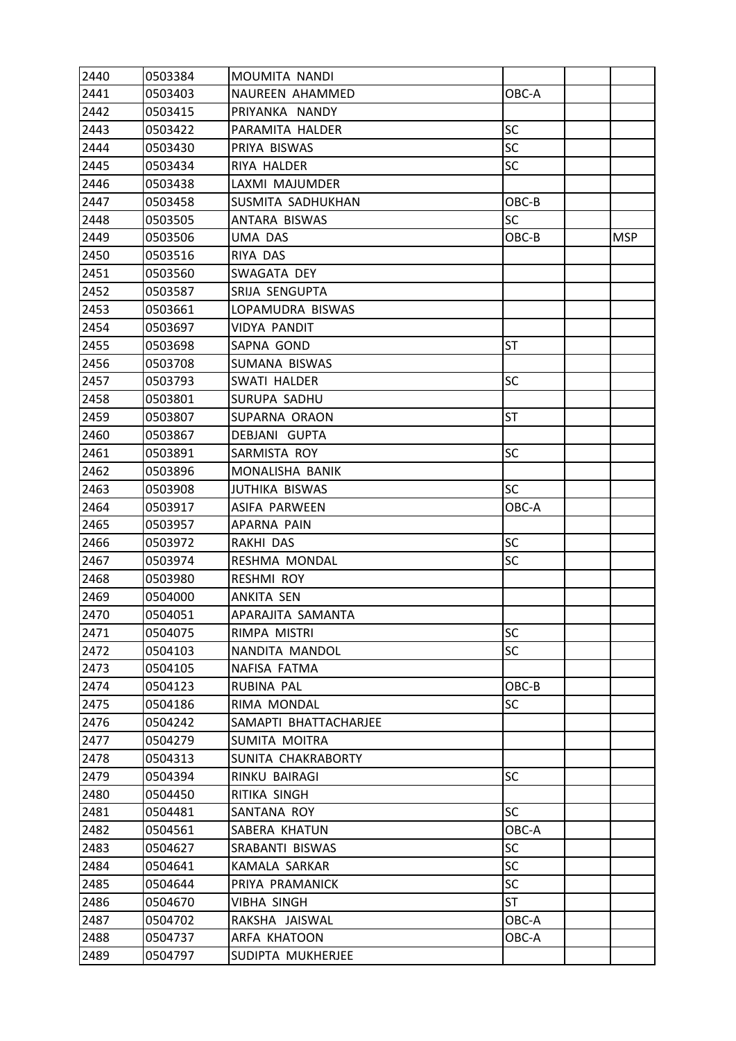| 2440 | 0503384 | MOUMITA NANDI         |           |            |
|------|---------|-----------------------|-----------|------------|
| 2441 | 0503403 | NAUREEN AHAMMED       | OBC-A     |            |
| 2442 | 0503415 | PRIYANKA NANDY        |           |            |
| 2443 | 0503422 | PARAMITA HALDER       | <b>SC</b> |            |
| 2444 | 0503430 | PRIYA BISWAS          | <b>SC</b> |            |
| 2445 | 0503434 | RIYA HALDER           | SC        |            |
| 2446 | 0503438 | LAXMI MAJUMDER        |           |            |
| 2447 | 0503458 | SUSMITA SADHUKHAN     | OBC-B     |            |
| 2448 | 0503505 | ANTARA BISWAS         | SC        |            |
| 2449 | 0503506 | UMA DAS               | OBC-B     | <b>MSP</b> |
| 2450 | 0503516 | RIYA DAS              |           |            |
| 2451 | 0503560 | SWAGATA DEY           |           |            |
| 2452 | 0503587 | SRIJA SENGUPTA        |           |            |
| 2453 | 0503661 | LOPAMUDRA BISWAS      |           |            |
| 2454 | 0503697 | VIDYA PANDIT          |           |            |
| 2455 | 0503698 | SAPNA GOND            | <b>ST</b> |            |
| 2456 | 0503708 | SUMANA BISWAS         |           |            |
| 2457 | 0503793 | SWATI HALDER          | <b>SC</b> |            |
| 2458 | 0503801 | SURUPA SADHU          |           |            |
| 2459 | 0503807 | SUPARNA ORAON         | <b>ST</b> |            |
| 2460 | 0503867 | DEBJANI GUPTA         |           |            |
| 2461 | 0503891 | SARMISTA ROY          | <b>SC</b> |            |
| 2462 | 0503896 | MONALISHA BANIK       |           |            |
| 2463 | 0503908 | <b>JUTHIKA BISWAS</b> | <b>SC</b> |            |
| 2464 | 0503917 | ASIFA PARWEEN         | OBC-A     |            |
| 2465 | 0503957 | APARNA PAIN           |           |            |
| 2466 | 0503972 | RAKHI DAS             | SC        |            |
| 2467 | 0503974 | RESHMA MONDAL         | SC        |            |
| 2468 | 0503980 | <b>RESHMI ROY</b>     |           |            |
| 2469 | 0504000 | ANKITA SEN            |           |            |
| 2470 | 0504051 | APARAJITA SAMANTA     |           |            |
| 2471 | 0504075 | RIMPA MISTRI          | SC        |            |
| 2472 | 0504103 | NANDITA MANDOL        | <b>SC</b> |            |
| 2473 | 0504105 | NAFISA FATMA          |           |            |
| 2474 | 0504123 | RUBINA PAL            | OBC-B     |            |
| 2475 | 0504186 | RIMA MONDAL           | <b>SC</b> |            |
| 2476 | 0504242 | SAMAPTI BHATTACHARJEE |           |            |
| 2477 | 0504279 | SUMITA MOITRA         |           |            |
| 2478 | 0504313 | SUNITA CHAKRABORTY    |           |            |
| 2479 | 0504394 | RINKU BAIRAGI         | SC        |            |
| 2480 | 0504450 | RITIKA SINGH          |           |            |
| 2481 | 0504481 | SANTANA ROY           | <b>SC</b> |            |
| 2482 | 0504561 | SABERA KHATUN         | OBC-A     |            |
| 2483 | 0504627 | SRABANTI BISWAS       | <b>SC</b> |            |
| 2484 | 0504641 | KAMALA SARKAR         | <b>SC</b> |            |
| 2485 | 0504644 | PRIYA PRAMANICK       | SC        |            |
| 2486 | 0504670 | VIBHA SINGH           | ST        |            |
| 2487 | 0504702 | RAKSHA JAISWAL        | OBC-A     |            |
| 2488 | 0504737 | ARFA KHATOON          | OBC-A     |            |
| 2489 | 0504797 | SUDIPTA MUKHERJEE     |           |            |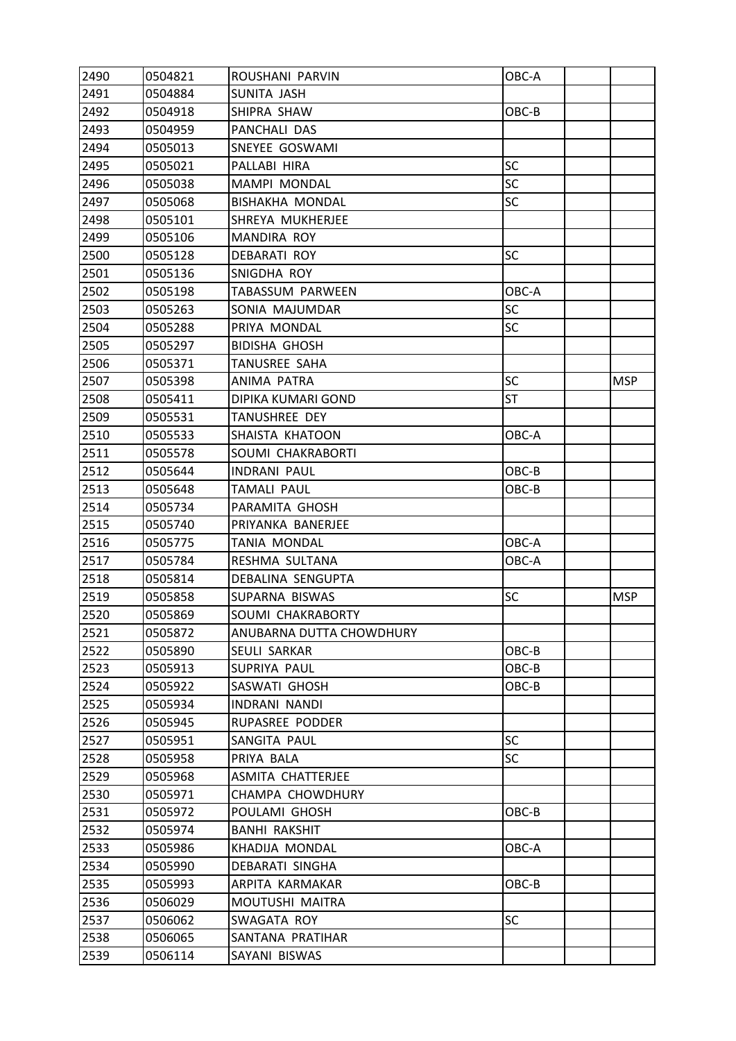| 2490 | 0504821 | ROUSHANI PARVIN          | OBC-A     |            |
|------|---------|--------------------------|-----------|------------|
| 2491 | 0504884 | SUNITA JASH              |           |            |
| 2492 | 0504918 | SHIPRA SHAW              | OBC-B     |            |
| 2493 | 0504959 | PANCHALI DAS             |           |            |
| 2494 | 0505013 | SNEYEE GOSWAMI           |           |            |
| 2495 | 0505021 | PALLABI HIRA             | SC        |            |
| 2496 | 0505038 | MAMPI MONDAL             | <b>SC</b> |            |
| 2497 | 0505068 | <b>BISHAKHA MONDAL</b>   | <b>SC</b> |            |
| 2498 | 0505101 | SHREYA MUKHERJEE         |           |            |
| 2499 | 0505106 | MANDIRA ROY              |           |            |
| 2500 | 0505128 | DEBARATI ROY             | <b>SC</b> |            |
| 2501 | 0505136 | SNIGDHA ROY              |           |            |
| 2502 | 0505198 | TABASSUM PARWEEN         | OBC-A     |            |
| 2503 | 0505263 | SONIA MAJUMDAR           | <b>SC</b> |            |
| 2504 | 0505288 | PRIYA MONDAL             | <b>SC</b> |            |
| 2505 | 0505297 | <b>BIDISHA GHOSH</b>     |           |            |
| 2506 | 0505371 | TANUSREE SAHA            |           |            |
| 2507 | 0505398 | ANIMA PATRA              | <b>SC</b> | MSP        |
| 2508 | 0505411 | DIPIKA KUMARI GOND       | <b>ST</b> |            |
| 2509 | 0505531 | TANUSHREE DEY            |           |            |
| 2510 | 0505533 | SHAISTA KHATOON          | OBC-A     |            |
| 2511 | 0505578 | SOUMI CHAKRABORTI        |           |            |
| 2512 | 0505644 | <b>INDRANI PAUL</b>      | OBC-B     |            |
| 2513 | 0505648 | <b>TAMALI PAUL</b>       | OBC-B     |            |
| 2514 | 0505734 | PARAMITA GHOSH           |           |            |
| 2515 | 0505740 | PRIYANKA BANERJEE        |           |            |
| 2516 | 0505775 | TANIA MONDAL             | OBC-A     |            |
| 2517 | 0505784 | RESHMA SULTANA           | OBC-A     |            |
| 2518 | 0505814 | <b>DEBALINA SENGUPTA</b> |           |            |
| 2519 | 0505858 | SUPARNA BISWAS           | <b>SC</b> | <b>MSP</b> |
| 2520 | 0505869 | SOUMI CHAKRABORTY        |           |            |
| 2521 | 0505872 | ANUBARNA DUTTA CHOWDHURY |           |            |
| 2522 | 0505890 | SEULI SARKAR             | OBC-B     |            |
| 2523 | 0505913 | SUPRIYA PAUL             | $OBC-B$   |            |
| 2524 | 0505922 | SASWATI GHOSH            | OBC-B     |            |
| 2525 | 0505934 | <b>INDRANI NANDI</b>     |           |            |
| 2526 | 0505945 | RUPASREE PODDER          |           |            |
| 2527 | 0505951 | SANGITA PAUL             | <b>SC</b> |            |
| 2528 | 0505958 | PRIYA BALA               | <b>SC</b> |            |
| 2529 | 0505968 | ASMITA CHATTERJEE        |           |            |
| 2530 | 0505971 | CHAMPA CHOWDHURY         |           |            |
| 2531 | 0505972 | POULAMI GHOSH            | OBC-B     |            |
| 2532 | 0505974 | BANHI RAKSHIT            |           |            |
| 2533 | 0505986 | KHADIJA MONDAL           | OBC-A     |            |
| 2534 | 0505990 | DEBARATI SINGHA          |           |            |
| 2535 | 0505993 | ARPITA KARMAKAR          | OBC-B     |            |
| 2536 | 0506029 | MOUTUSHI MAITRA          |           |            |
| 2537 | 0506062 | SWAGATA ROY              | <b>SC</b> |            |
| 2538 | 0506065 | SANTANA PRATIHAR         |           |            |
| 2539 | 0506114 | SAYANI BISWAS            |           |            |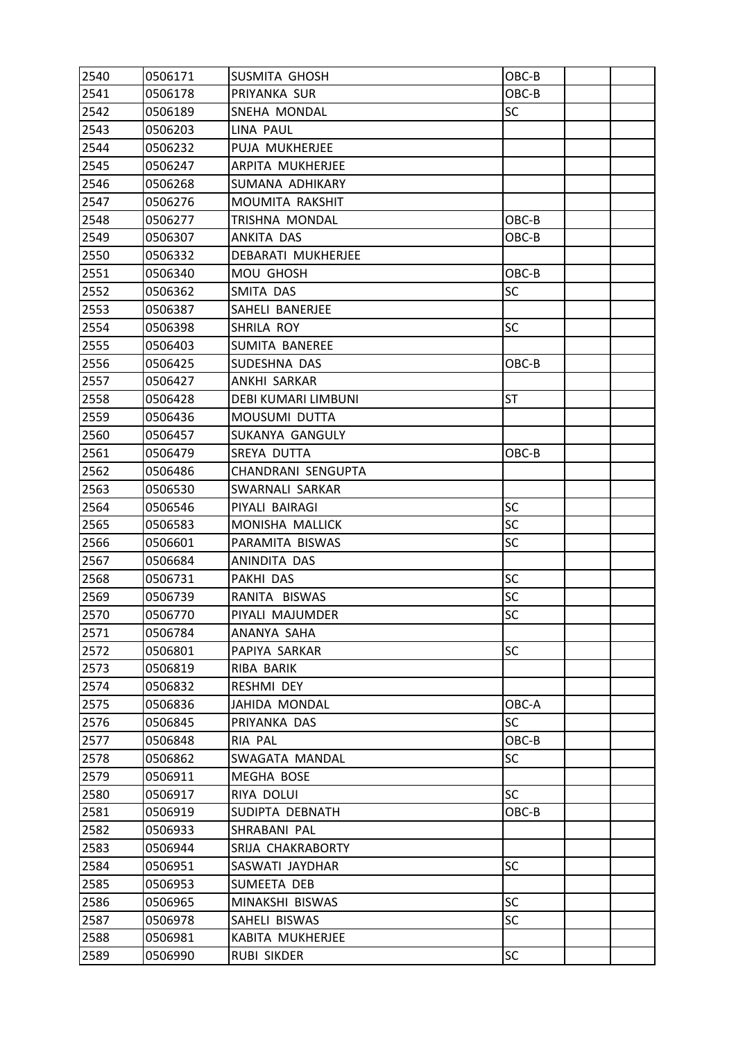| 2540 | 0506171 | SUSMITA GHOSH              | OBC-B     |  |
|------|---------|----------------------------|-----------|--|
| 2541 | 0506178 | PRIYANKA SUR               | OBC-B     |  |
| 2542 | 0506189 | SNEHA MONDAL               | <b>SC</b> |  |
| 2543 | 0506203 | LINA PAUL                  |           |  |
| 2544 | 0506232 | PUJA MUKHERJEE             |           |  |
| 2545 | 0506247 | ARPITA MUKHERJEE           |           |  |
| 2546 | 0506268 | SUMANA ADHIKARY            |           |  |
| 2547 | 0506276 | MOUMITA RAKSHIT            |           |  |
| 2548 | 0506277 | TRISHNA MONDAL             | OBC-B     |  |
| 2549 | 0506307 | ANKITA DAS                 | OBC-B     |  |
| 2550 | 0506332 | DEBARATI MUKHERJEE         |           |  |
| 2551 | 0506340 | MOU GHOSH                  | OBC-B     |  |
| 2552 | 0506362 | SMITA DAS                  | <b>SC</b> |  |
| 2553 | 0506387 | SAHELI BANERJEE            |           |  |
| 2554 | 0506398 | SHRILA ROY                 | <b>SC</b> |  |
| 2555 | 0506403 | <b>SUMITA BANEREE</b>      |           |  |
| 2556 | 0506425 | SUDESHNA DAS               | OBC-B     |  |
| 2557 | 0506427 | ANKHI SARKAR               |           |  |
| 2558 | 0506428 | <b>DEBI KUMARI LIMBUNI</b> | <b>ST</b> |  |
| 2559 | 0506436 | MOUSUMI DUTTA              |           |  |
| 2560 | 0506457 | SUKANYA GANGULY            |           |  |
| 2561 | 0506479 | SREYA DUTTA                | OBC-B     |  |
| 2562 | 0506486 | CHANDRANI SENGUPTA         |           |  |
| 2563 | 0506530 | SWARNALI SARKAR            |           |  |
| 2564 | 0506546 | PIYALI BAIRAGI             | <b>SC</b> |  |
| 2565 | 0506583 | MONISHA MALLICK            | <b>SC</b> |  |
| 2566 | 0506601 | PARAMITA BISWAS            | <b>SC</b> |  |
| 2567 | 0506684 | ANINDITA DAS               |           |  |
| 2568 | 0506731 | PAKHI DAS                  | SC        |  |
| 2569 | 0506739 | RANITA BISWAS              | SC        |  |
| 2570 | 0506770 | PIYALI MAJUMDER            | SC        |  |
| 2571 | 0506784 | ANANYA SAHA                |           |  |
| 2572 | 0506801 | PAPIYA SARKAR              | <b>SC</b> |  |
| 2573 | 0506819 | RIBA BARIK                 |           |  |
| 2574 | 0506832 | RESHMI DEY                 |           |  |
| 2575 | 0506836 | JAHIDA MONDAL              | OBC-A     |  |
| 2576 | 0506845 | PRIYANKA DAS               | <b>SC</b> |  |
| 2577 | 0506848 | RIA PAL                    | OBC-B     |  |
| 2578 | 0506862 | SWAGATA MANDAL             | <b>SC</b> |  |
| 2579 | 0506911 | MEGHA BOSE                 |           |  |
| 2580 | 0506917 | RIYA DOLUI                 | SC        |  |
| 2581 | 0506919 | SUDIPTA DEBNATH            | OBC-B     |  |
| 2582 | 0506933 | SHRABANI PAL               |           |  |
| 2583 | 0506944 | SRIJA CHAKRABORTY          |           |  |
| 2584 | 0506951 | SASWATI JAYDHAR            | <b>SC</b> |  |
| 2585 | 0506953 | SUMEETA DEB                |           |  |
| 2586 | 0506965 | MINAKSHI BISWAS            | <b>SC</b> |  |
| 2587 | 0506978 | SAHELI BISWAS              | <b>SC</b> |  |
| 2588 | 0506981 | KABITA MUKHERJEE           |           |  |
| 2589 | 0506990 | <b>RUBI SIKDER</b>         | <b>SC</b> |  |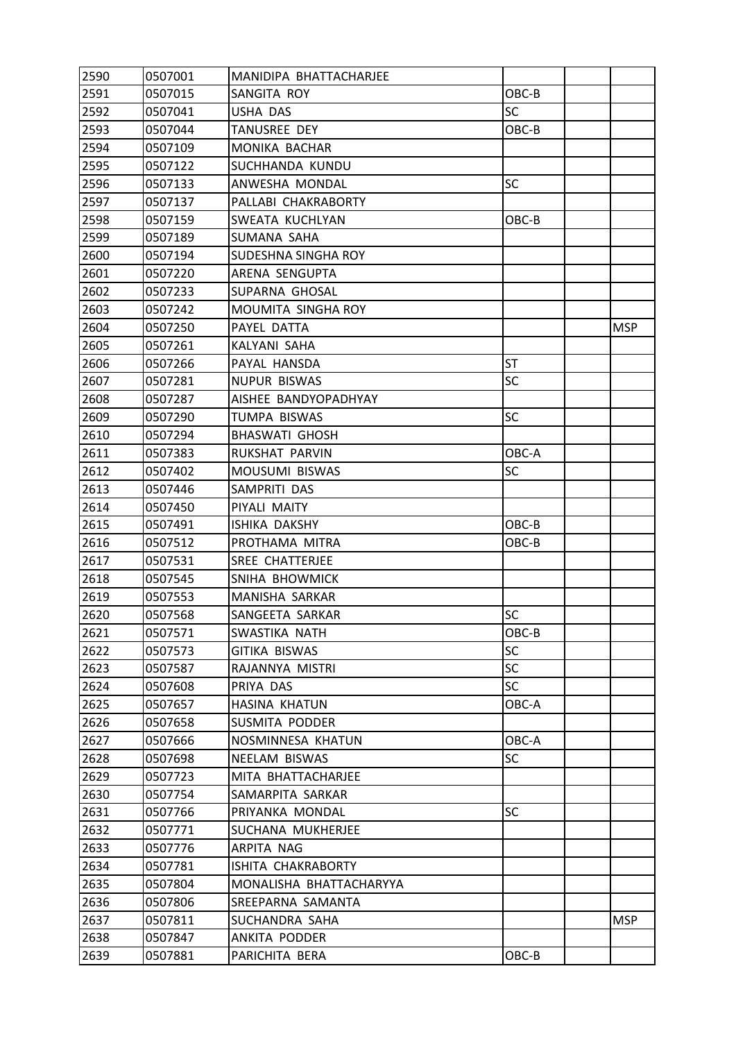| 2590 | 0507001 | MANIDIPA BHATTACHARJEE  |           |            |
|------|---------|-------------------------|-----------|------------|
| 2591 | 0507015 | SANGITA ROY             | OBC-B     |            |
| 2592 | 0507041 | USHA DAS                | <b>SC</b> |            |
| 2593 | 0507044 | <b>TANUSREE DEY</b>     | OBC-B     |            |
| 2594 | 0507109 | MONIKA BACHAR           |           |            |
| 2595 | 0507122 | SUCHHANDA KUNDU         |           |            |
| 2596 | 0507133 | ANWESHA MONDAL          | <b>SC</b> |            |
| 2597 | 0507137 | PALLABI CHAKRABORTY     |           |            |
| 2598 | 0507159 | SWEATA KUCHLYAN         | OBC-B     |            |
| 2599 | 0507189 | SUMANA SAHA             |           |            |
| 2600 | 0507194 | SUDESHNA SINGHA ROY     |           |            |
| 2601 | 0507220 | ARENA SENGUPTA          |           |            |
| 2602 | 0507233 | SUPARNA GHOSAL          |           |            |
| 2603 | 0507242 | MOUMITA SINGHA ROY      |           |            |
| 2604 | 0507250 | PAYEL DATTA             |           | <b>MSP</b> |
| 2605 | 0507261 | KALYANI SAHA            |           |            |
| 2606 | 0507266 | PAYAL HANSDA            | <b>ST</b> |            |
| 2607 | 0507281 | <b>NUPUR BISWAS</b>     | SC        |            |
| 2608 | 0507287 | AISHEE BANDYOPADHYAY    |           |            |
| 2609 | 0507290 | <b>TUMPA BISWAS</b>     | SC        |            |
| 2610 | 0507294 | <b>BHASWATI GHOSH</b>   |           |            |
| 2611 | 0507383 | RUKSHAT PARVIN          | OBC-A     |            |
| 2612 | 0507402 | MOUSUMI BISWAS          | SC        |            |
| 2613 | 0507446 | SAMPRITI DAS            |           |            |
| 2614 | 0507450 | PIYALI MAITY            |           |            |
| 2615 | 0507491 | ISHIKA DAKSHY           | OBC-B     |            |
| 2616 | 0507512 | PROTHAMA MITRA          | OBC-B     |            |
| 2617 | 0507531 | SREE CHATTERJEE         |           |            |
| 2618 | 0507545 | SNIHA BHOWMICK          |           |            |
| 2619 | 0507553 | MANISHA SARKAR          |           |            |
| 2620 | 0507568 | SANGEETA SARKAR         | SC        |            |
| 2621 | 0507571 | SWASTIKA NATH           | OBC-B     |            |
| 2622 | 0507573 | <b>GITIKA BISWAS</b>    | <b>SC</b> |            |
| 2623 | 0507587 | RAJANNYA MISTRI         | <b>SC</b> |            |
| 2624 | 0507608 | PRIYA DAS               | <b>SC</b> |            |
| 2625 | 0507657 | HASINA KHATUN           | OBC-A     |            |
| 2626 | 0507658 | SUSMITA PODDER          |           |            |
| 2627 | 0507666 | NOSMINNESA KHATUN       | OBC-A     |            |
| 2628 | 0507698 | NEELAM BISWAS           | SC        |            |
| 2629 | 0507723 | MITA BHATTACHARJEE      |           |            |
| 2630 | 0507754 | SAMARPITA SARKAR        |           |            |
| 2631 | 0507766 | PRIYANKA MONDAL         | <b>SC</b> |            |
| 2632 | 0507771 | SUCHANA MUKHERJEE       |           |            |
| 2633 | 0507776 | ARPITA NAG              |           |            |
| 2634 | 0507781 | ISHITA CHAKRABORTY      |           |            |
| 2635 | 0507804 | MONALISHA BHATTACHARYYA |           |            |
| 2636 | 0507806 | SREEPARNA SAMANTA       |           |            |
| 2637 | 0507811 | SUCHANDRA SAHA          |           | <b>MSP</b> |
| 2638 | 0507847 | ANKITA PODDER           |           |            |
| 2639 | 0507881 | PARICHITA BERA          | OBC-B     |            |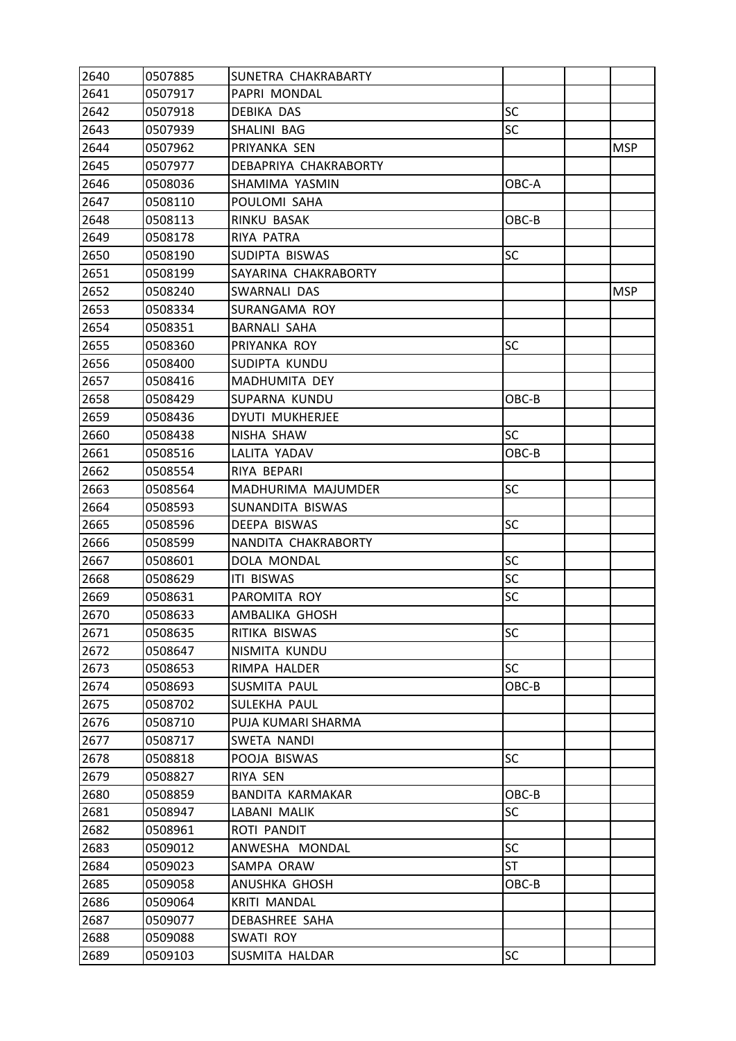| 2640 | 0507885 | SUNETRA CHAKRABARTY   |           |            |
|------|---------|-----------------------|-----------|------------|
| 2641 | 0507917 | PAPRI MONDAL          |           |            |
| 2642 | 0507918 | DEBIKA DAS            | <b>SC</b> |            |
| 2643 | 0507939 | SHALINI BAG           | SC        |            |
| 2644 | 0507962 | PRIYANKA SEN          |           | <b>MSP</b> |
| 2645 | 0507977 | DEBAPRIYA CHAKRABORTY |           |            |
| 2646 | 0508036 | SHAMIMA YASMIN        | OBC-A     |            |
| 2647 | 0508110 | POULOMI SAHA          |           |            |
| 2648 | 0508113 | RINKU BASAK           | OBC-B     |            |
| 2649 | 0508178 | RIYA PATRA            |           |            |
| 2650 | 0508190 | SUDIPTA BISWAS        | SC        |            |
| 2651 | 0508199 | SAYARINA CHAKRABORTY  |           |            |
| 2652 | 0508240 | SWARNALI DAS          |           | <b>MSP</b> |
| 2653 | 0508334 | SURANGAMA ROY         |           |            |
| 2654 | 0508351 | <b>BARNALI SAHA</b>   |           |            |
| 2655 | 0508360 | PRIYANKA ROY          | <b>SC</b> |            |
| 2656 | 0508400 | SUDIPTA KUNDU         |           |            |
| 2657 | 0508416 | MADHUMITA DEY         |           |            |
| 2658 | 0508429 | SUPARNA KUNDU         | OBC-B     |            |
| 2659 | 0508436 | DYUTI MUKHERJEE       |           |            |
| 2660 | 0508438 | NISHA SHAW            | <b>SC</b> |            |
| 2661 | 0508516 | LALITA YADAV          | OBC-B     |            |
| 2662 | 0508554 | RIYA BEPARI           |           |            |
| 2663 | 0508564 | MADHURIMA MAJUMDER    | <b>SC</b> |            |
| 2664 | 0508593 | SUNANDITA BISWAS      |           |            |
| 2665 | 0508596 | DEEPA BISWAS          | SC        |            |
| 2666 | 0508599 | NANDITA CHAKRABORTY   |           |            |
| 2667 | 0508601 | DOLA MONDAL           | SC        |            |
| 2668 | 0508629 | <b>ITI BISWAS</b>     | <b>SC</b> |            |
| 2669 | 0508631 | PAROMITA ROY          | SC        |            |
| 2670 | 0508633 | AMBALIKA GHOSH        |           |            |
| 2671 | 0508635 | RITIKA BISWAS         | SC        |            |
| 2672 | 0508647 | NISMITA KUNDU         |           |            |
| 2673 | 0508653 | RIMPA HALDER          | <b>SC</b> |            |
| 2674 | 0508693 | SUSMITA PAUL          | OBC-B     |            |
| 2675 | 0508702 | SULEKHA PAUL          |           |            |
| 2676 | 0508710 | PUJA KUMARI SHARMA    |           |            |
| 2677 | 0508717 | SWETA NANDI           |           |            |
| 2678 | 0508818 | POOJA BISWAS          | <b>SC</b> |            |
| 2679 | 0508827 | RIYA SEN              |           |            |
| 2680 | 0508859 | BANDITA KARMAKAR      | OBC-B     |            |
| 2681 | 0508947 | LABANI MALIK          | SC        |            |
| 2682 | 0508961 | ROTI PANDIT           |           |            |
| 2683 | 0509012 | ANWESHA MONDAL        | <b>SC</b> |            |
| 2684 | 0509023 | SAMPA ORAW            | ST        |            |
| 2685 | 0509058 | ANUSHKA GHOSH         | OBC-B     |            |
| 2686 | 0509064 | <b>KRITI MANDAL</b>   |           |            |
| 2687 | 0509077 | DEBASHREE SAHA        |           |            |
| 2688 | 0509088 | SWATI ROY             |           |            |
| 2689 | 0509103 | SUSMITA HALDAR        | SC        |            |
|      |         |                       |           |            |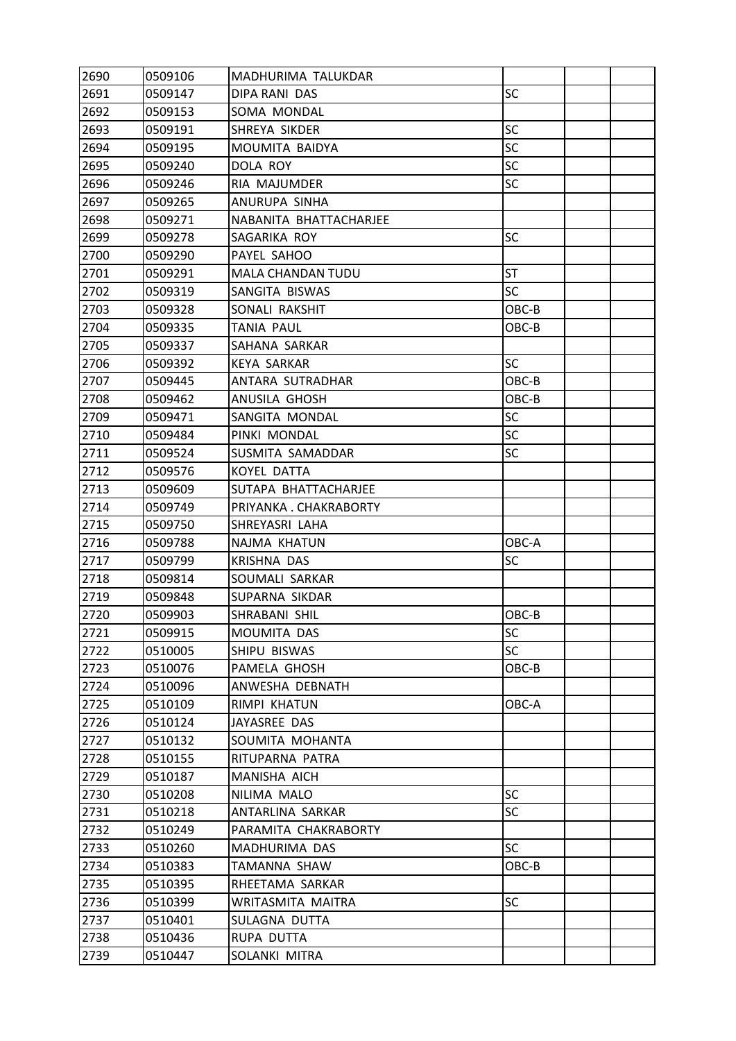| 2690 | 0509106 | MADHURIMA TALUKDAR       |           |  |
|------|---------|--------------------------|-----------|--|
| 2691 | 0509147 | <b>DIPA RANI DAS</b>     | <b>SC</b> |  |
| 2692 | 0509153 | SOMA MONDAL              |           |  |
| 2693 | 0509191 | SHREYA SIKDER            | <b>SC</b> |  |
| 2694 | 0509195 | MOUMITA BAIDYA           | SC        |  |
| 2695 | 0509240 | DOLA ROY                 | <b>SC</b> |  |
| 2696 | 0509246 | RIA MAJUMDER             | <b>SC</b> |  |
| 2697 | 0509265 | ANURUPA SINHA            |           |  |
| 2698 | 0509271 | NABANITA BHATTACHARJEE   |           |  |
| 2699 | 0509278 | SAGARIKA ROY             | <b>SC</b> |  |
| 2700 | 0509290 | PAYEL SAHOO              |           |  |
| 2701 | 0509291 | <b>MALA CHANDAN TUDU</b> | <b>ST</b> |  |
| 2702 | 0509319 | SANGITA BISWAS           | <b>SC</b> |  |
| 2703 | 0509328 | SONALI RAKSHIT           | OBC-B     |  |
| 2704 | 0509335 | TANIA PAUL               | OBC-B     |  |
| 2705 | 0509337 | SAHANA SARKAR            |           |  |
| 2706 | 0509392 | <b>KEYA SARKAR</b>       | <b>SC</b> |  |
| 2707 | 0509445 | ANTARA SUTRADHAR         | OBC-B     |  |
| 2708 | 0509462 | ANUSILA GHOSH            | OBC-B     |  |
| 2709 | 0509471 | SANGITA MONDAL           | <b>SC</b> |  |
| 2710 | 0509484 | PINKI MONDAL             | <b>SC</b> |  |
| 2711 | 0509524 | SUSMITA SAMADDAR         | <b>SC</b> |  |
| 2712 | 0509576 | KOYEL DATTA              |           |  |
| 2713 | 0509609 | SUTAPA BHATTACHARJEE     |           |  |
| 2714 | 0509749 | PRIYANKA, CHAKRABORTY    |           |  |
| 2715 | 0509750 | SHREYASRI LAHA           |           |  |
| 2716 | 0509788 | NAJMA KHATUN             | OBC-A     |  |
| 2717 | 0509799 | <b>KRISHNA DAS</b>       | <b>SC</b> |  |
| 2718 | 0509814 | SOUMALI SARKAR           |           |  |
| 2719 | 0509848 | SUPARNA SIKDAR           |           |  |
| 2720 | 0509903 | SHRABANI SHIL            | OBC-B     |  |
| 2721 | 0509915 | MOUMITA DAS              | <b>SC</b> |  |
| 2722 | 0510005 | SHIPU BISWAS             | <b>SC</b> |  |
| 2723 | 0510076 | PAMELA GHOSH             | OBC-B     |  |
| 2724 | 0510096 | ANWESHA DEBNATH          |           |  |
| 2725 | 0510109 | RIMPI KHATUN             | OBC-A     |  |
| 2726 | 0510124 | JAYASREE DAS             |           |  |
| 2727 | 0510132 | SOUMITA MOHANTA          |           |  |
| 2728 | 0510155 | RITUPARNA PATRA          |           |  |
| 2729 | 0510187 | MANISHA AICH             |           |  |
| 2730 | 0510208 | NILIMA MALO              | <b>SC</b> |  |
| 2731 | 0510218 | ANTARLINA SARKAR         | <b>SC</b> |  |
| 2732 | 0510249 | PARAMITA CHAKRABORTY     |           |  |
| 2733 | 0510260 | MADHURIMA DAS            | <b>SC</b> |  |
| 2734 | 0510383 | TAMANNA SHAW             | OBC-B     |  |
| 2735 | 0510395 | RHEETAMA SARKAR          |           |  |
| 2736 | 0510399 | WRITASMITA MAITRA        | <b>SC</b> |  |
| 2737 | 0510401 | SULAGNA DUTTA            |           |  |
| 2738 | 0510436 | RUPA DUTTA               |           |  |
| 2739 | 0510447 | SOLANKI MITRA            |           |  |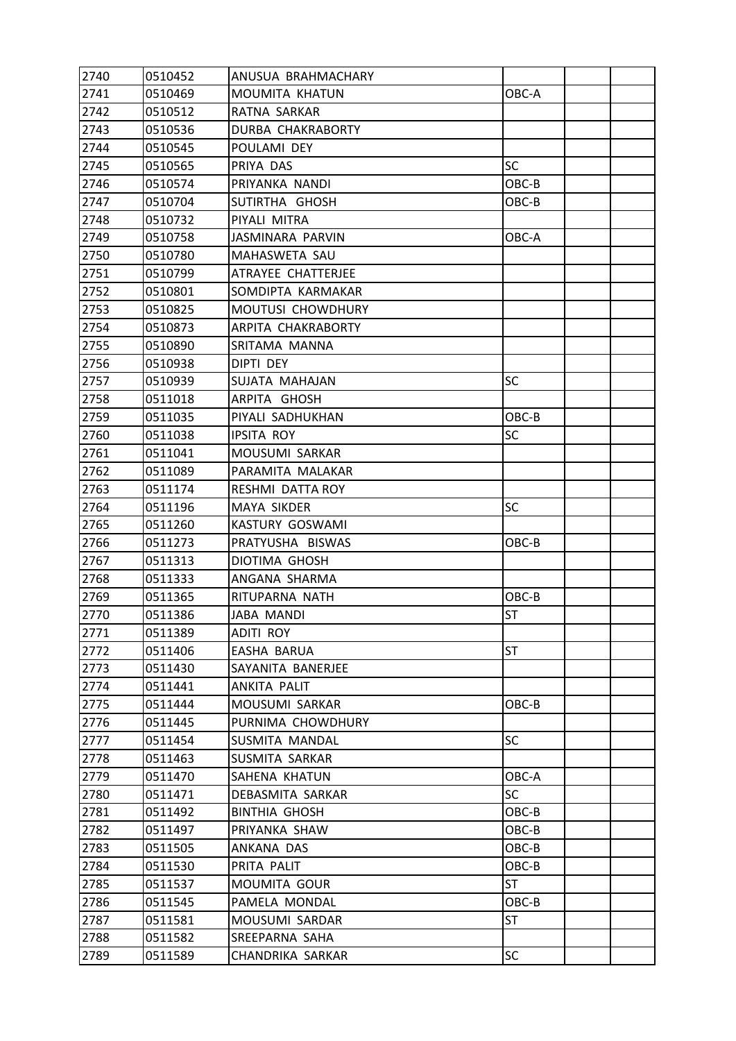| 2740 | 0510452 | ANUSUA BRAHMACHARY      |           |  |
|------|---------|-------------------------|-----------|--|
| 2741 | 0510469 | MOUMITA KHATUN          | OBC-A     |  |
| 2742 | 0510512 | RATNA SARKAR            |           |  |
| 2743 | 0510536 | DURBA CHAKRABORTY       |           |  |
| 2744 | 0510545 | POULAMI DEY             |           |  |
| 2745 | 0510565 | PRIYA DAS               | <b>SC</b> |  |
| 2746 | 0510574 | PRIYANKA NANDI          | OBC-B     |  |
| 2747 | 0510704 | SUTIRTHA GHOSH          | OBC-B     |  |
| 2748 | 0510732 | PIYALI MITRA            |           |  |
| 2749 | 0510758 | JASMINARA PARVIN        | OBC-A     |  |
| 2750 | 0510780 | MAHASWETA SAU           |           |  |
| 2751 | 0510799 | ATRAYEE CHATTERJEE      |           |  |
| 2752 | 0510801 | SOMDIPTA KARMAKAR       |           |  |
| 2753 | 0510825 | MOUTUSI CHOWDHURY       |           |  |
| 2754 | 0510873 | ARPITA CHAKRABORTY      |           |  |
| 2755 | 0510890 | SRITAMA MANNA           |           |  |
| 2756 | 0510938 | DIPTI DEY               |           |  |
| 2757 | 0510939 | SUJATA MAHAJAN          | SC        |  |
| 2758 | 0511018 | ARPITA GHOSH            |           |  |
| 2759 | 0511035 | PIYALI SADHUKHAN        | OBC-B     |  |
| 2760 | 0511038 | <b>IPSITA ROY</b>       | SC        |  |
| 2761 | 0511041 | MOUSUMI SARKAR          |           |  |
| 2762 | 0511089 | PARAMITA MALAKAR        |           |  |
| 2763 | 0511174 | <b>RESHMI DATTA ROY</b> |           |  |
| 2764 | 0511196 | MAYA SIKDER             | <b>SC</b> |  |
| 2765 | 0511260 | KASTURY GOSWAMI         |           |  |
| 2766 | 0511273 | PRATYUSHA BISWAS        | OBC-B     |  |
| 2767 | 0511313 | <b>DIOTIMA GHOSH</b>    |           |  |
| 2768 | 0511333 | ANGANA SHARMA           |           |  |
| 2769 | 0511365 | RITUPARNA NATH          | OBC-B     |  |
| 2770 | 0511386 | JABA MANDI              | <b>ST</b> |  |
| 2771 | 0511389 | <b>ADITI ROY</b>        |           |  |
| 2772 | 0511406 | <b>EASHA BARUA</b>      | ST        |  |
| 2773 | 0511430 | SAYANITA BANERJEE       |           |  |
| 2774 | 0511441 | ANKITA PALIT            |           |  |
| 2775 | 0511444 | MOUSUMI SARKAR          | OBC-B     |  |
| 2776 | 0511445 | PURNIMA CHOWDHURY       |           |  |
| 2777 | 0511454 | SUSMITA MANDAL          | <b>SC</b> |  |
| 2778 | 0511463 | SUSMITA SARKAR          |           |  |
| 2779 | 0511470 | SAHENA KHATUN           | OBC-A     |  |
| 2780 | 0511471 | DEBASMITA SARKAR        | <b>SC</b> |  |
| 2781 | 0511492 | <b>BINTHIA GHOSH</b>    | OBC-B     |  |
| 2782 | 0511497 | PRIYANKA SHAW           | OBC-B     |  |
| 2783 | 0511505 | ANKANA DAS              | OBC-B     |  |
| 2784 | 0511530 | PRITA PALIT             | OBC-B     |  |
| 2785 | 0511537 | MOUMITA GOUR            | <b>ST</b> |  |
| 2786 | 0511545 | PAMELA MONDAL           | OBC-B     |  |
| 2787 | 0511581 | MOUSUMI SARDAR          | ST        |  |
| 2788 | 0511582 | SREEPARNA SAHA          |           |  |
| 2789 | 0511589 | CHANDRIKA SARKAR        | SC        |  |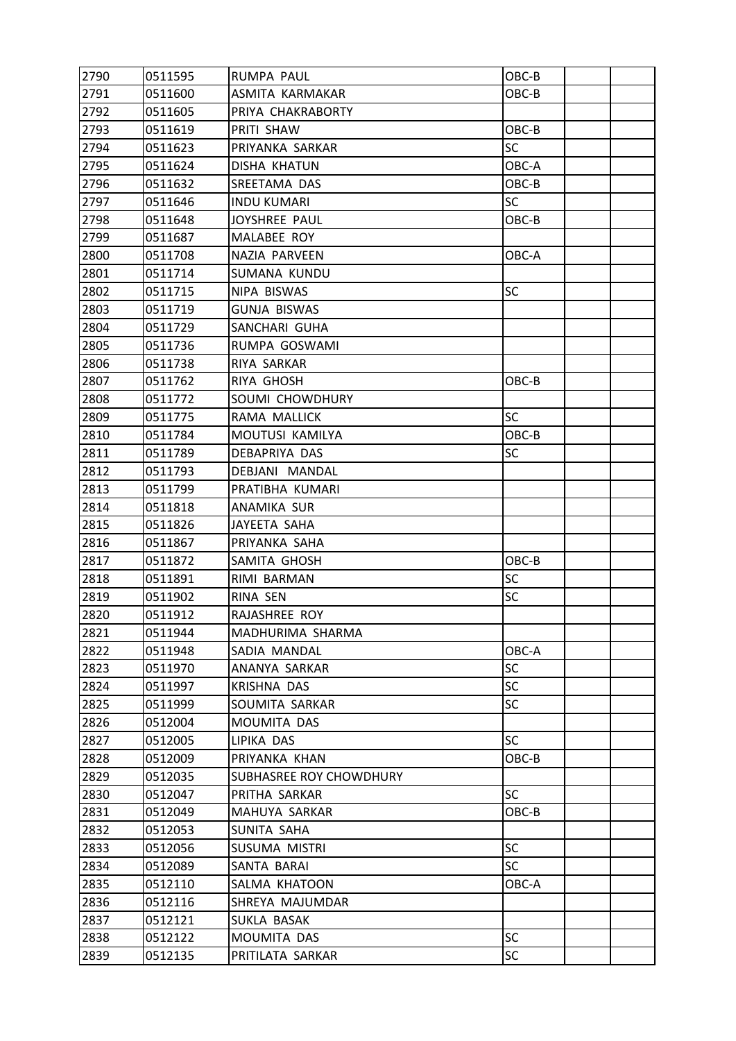| 2790 | 0511595 | <b>RUMPA PAUL</b>       | OBC-B     |  |
|------|---------|-------------------------|-----------|--|
| 2791 | 0511600 | ASMITA KARMAKAR         | OBC-B     |  |
| 2792 | 0511605 | PRIYA CHAKRABORTY       |           |  |
| 2793 | 0511619 | PRITI SHAW              | OBC-B     |  |
| 2794 | 0511623 | PRIYANKA SARKAR         | <b>SC</b> |  |
| 2795 | 0511624 | <b>DISHA KHATUN</b>     | OBC-A     |  |
| 2796 | 0511632 | SREETAMA DAS            | OBC-B     |  |
| 2797 | 0511646 | <b>INDU KUMARI</b>      | <b>SC</b> |  |
| 2798 | 0511648 | JOYSHREE PAUL           | OBC-B     |  |
| 2799 | 0511687 | MALABEE ROY             |           |  |
| 2800 | 0511708 | NAZIA PARVEEN           | OBC-A     |  |
| 2801 | 0511714 | SUMANA KUNDU            |           |  |
| 2802 | 0511715 | NIPA BISWAS             | <b>SC</b> |  |
| 2803 | 0511719 | <b>GUNJA BISWAS</b>     |           |  |
| 2804 | 0511729 | SANCHARI GUHA           |           |  |
| 2805 | 0511736 | RUMPA GOSWAMI           |           |  |
| 2806 | 0511738 | RIYA SARKAR             |           |  |
| 2807 | 0511762 | <b>RIYA GHOSH</b>       | OBC-B     |  |
| 2808 | 0511772 | SOUMI CHOWDHURY         |           |  |
| 2809 | 0511775 | RAMA MALLICK            | <b>SC</b> |  |
| 2810 | 0511784 | MOUTUSI KAMILYA         | OBC-B     |  |
| 2811 | 0511789 | DEBAPRIYA DAS           | SC        |  |
| 2812 | 0511793 | DEBJANI MANDAL          |           |  |
| 2813 | 0511799 | PRATIBHA KUMARI         |           |  |
| 2814 | 0511818 | ANAMIKA SUR             |           |  |
| 2815 | 0511826 | JAYEETA SAHA            |           |  |
| 2816 | 0511867 | PRIYANKA SAHA           |           |  |
| 2817 | 0511872 | SAMITA GHOSH            | OBC-B     |  |
| 2818 | 0511891 | RIMI BARMAN             | SC        |  |
| 2819 | 0511902 | RINA SEN                | <b>SC</b> |  |
| 2820 | 0511912 | RAJASHREE ROY           |           |  |
| 2821 | 0511944 | MADHURIMA SHARMA        |           |  |
| 2822 | 0511948 | SADIA MANDAL            | OBC-A     |  |
| 2823 | 0511970 | ANANYA SARKAR           | <b>SC</b> |  |
| 2824 | 0511997 | <b>KRISHNA DAS</b>      | <b>SC</b> |  |
| 2825 | 0511999 | SOUMITA SARKAR          | <b>SC</b> |  |
| 2826 | 0512004 | MOUMITA DAS             |           |  |
| 2827 | 0512005 | LIPIKA DAS              | <b>SC</b> |  |
| 2828 | 0512009 | PRIYANKA KHAN           | OBC-B     |  |
| 2829 | 0512035 | SUBHASREE ROY CHOWDHURY |           |  |
| 2830 | 0512047 | PRITHA SARKAR           | <b>SC</b> |  |
| 2831 | 0512049 | MAHUYA SARKAR           | OBC-B     |  |
| 2832 | 0512053 | SUNITA SAHA             |           |  |
| 2833 | 0512056 | SUSUMA MISTRI           | <b>SC</b> |  |
| 2834 | 0512089 | SANTA BARAI             | SC        |  |
| 2835 | 0512110 | SALMA KHATOON           | OBC-A     |  |
| 2836 | 0512116 | SHREYA MAJUMDAR         |           |  |
| 2837 | 0512121 | SUKLA BASAK             |           |  |
| 2838 | 0512122 | MOUMITA DAS             | <b>SC</b> |  |
| 2839 | 0512135 | PRITILATA SARKAR        | SC        |  |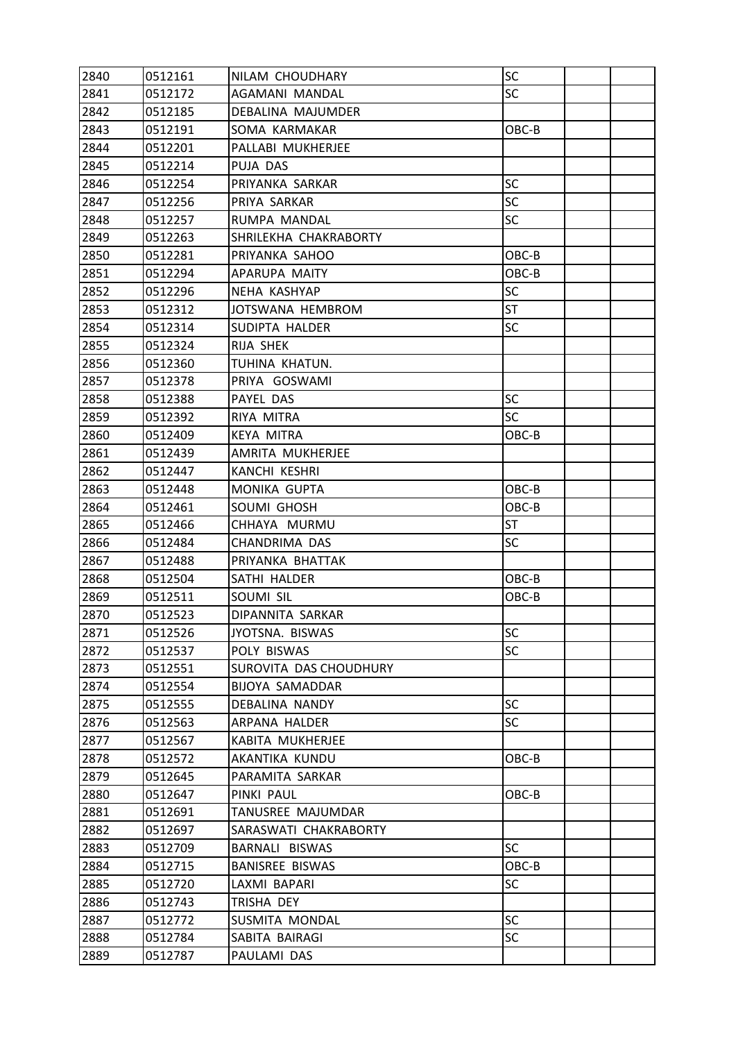| 2840 | 0512161 | NILAM CHOUDHARY        | SC        |  |
|------|---------|------------------------|-----------|--|
| 2841 | 0512172 | AGAMANI MANDAL         | <b>SC</b> |  |
| 2842 | 0512185 | DEBALINA MAJUMDER      |           |  |
| 2843 | 0512191 | SOMA KARMAKAR          | OBC-B     |  |
| 2844 | 0512201 | PALLABI MUKHERJEE      |           |  |
| 2845 | 0512214 | PUJA DAS               |           |  |
| 2846 | 0512254 | PRIYANKA SARKAR        | <b>SC</b> |  |
| 2847 | 0512256 | PRIYA SARKAR           | <b>SC</b> |  |
| 2848 | 0512257 | RUMPA MANDAL           | <b>SC</b> |  |
| 2849 | 0512263 | SHRILEKHA CHAKRABORTY  |           |  |
| 2850 | 0512281 | PRIYANKA SAHOO         | OBC-B     |  |
| 2851 | 0512294 | APARUPA MAITY          | OBC-B     |  |
| 2852 | 0512296 | NEHA KASHYAP           | SC        |  |
| 2853 | 0512312 | JOTSWANA HEMBROM       | ST        |  |
| 2854 | 0512314 | SUDIPTA HALDER         | SC        |  |
| 2855 | 0512324 | RIJA SHEK              |           |  |
| 2856 | 0512360 | TUHINA KHATUN.         |           |  |
| 2857 | 0512378 | PRIYA GOSWAMI          |           |  |
| 2858 | 0512388 | PAYEL DAS              | <b>SC</b> |  |
| 2859 | 0512392 | RIYA MITRA             | <b>SC</b> |  |
| 2860 | 0512409 | <b>KEYA MITRA</b>      | OBC-B     |  |
| 2861 | 0512439 | AMRITA MUKHERJEE       |           |  |
| 2862 | 0512447 | <b>KANCHI KESHRI</b>   |           |  |
| 2863 | 0512448 | <b>MONIKA GUPTA</b>    | OBC-B     |  |
| 2864 | 0512461 | SOUMI GHOSH            | OBC-B     |  |
| 2865 | 0512466 | CHHAYA MURMU           | ST        |  |
| 2866 | 0512484 | CHANDRIMA DAS          | SC        |  |
| 2867 | 0512488 | PRIYANKA BHATTAK       |           |  |
| 2868 | 0512504 | SATHI HALDER           | OBC-B     |  |
| 2869 | 0512511 | SOUMI SIL              | OBC-B     |  |
| 2870 | 0512523 | DIPANNITA SARKAR       |           |  |
| 2871 | 0512526 | JYOTSNA. BISWAS        | <b>SC</b> |  |
| 2872 | 0512537 | POLY BISWAS            | <b>SC</b> |  |
| 2873 | 0512551 | SUROVITA DAS CHOUDHURY |           |  |
| 2874 | 0512554 | <b>BIJOYA SAMADDAR</b> |           |  |
| 2875 | 0512555 | <b>DEBALINA NANDY</b>  | <b>SC</b> |  |
| 2876 | 0512563 | ARPANA HALDER          | <b>SC</b> |  |
| 2877 | 0512567 | KABITA MUKHERJEE       |           |  |
| 2878 | 0512572 | AKANTIKA KUNDU         | OBC-B     |  |
| 2879 | 0512645 | PARAMITA SARKAR        |           |  |
| 2880 | 0512647 | PINKI PAUL             | OBC-B     |  |
| 2881 | 0512691 | TANUSREE MAJUMDAR      |           |  |
| 2882 | 0512697 | SARASWATI CHAKRABORTY  |           |  |
| 2883 | 0512709 | BARNALI BISWAS         | <b>SC</b> |  |
| 2884 | 0512715 | <b>BANISREE BISWAS</b> | OBC-B     |  |
| 2885 | 0512720 | LAXMI BAPARI           | <b>SC</b> |  |
| 2886 | 0512743 | TRISHA DEY             |           |  |
| 2887 | 0512772 | SUSMITA MONDAL         | <b>SC</b> |  |
| 2888 | 0512784 | SABITA BAIRAGI         | <b>SC</b> |  |
| 2889 | 0512787 | PAULAMI DAS            |           |  |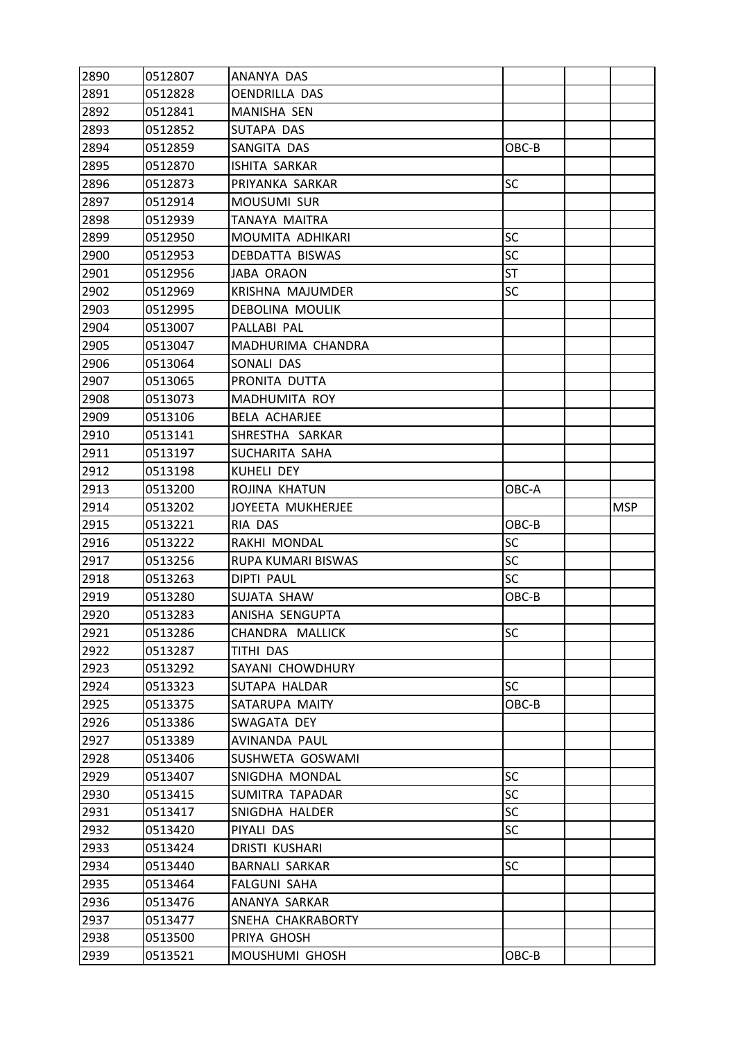| 2890         | 0512807            | ANANYA DAS            |           |            |
|--------------|--------------------|-----------------------|-----------|------------|
| 2891         | 0512828            | <b>OENDRILLA DAS</b>  |           |            |
| 2892         | 0512841            | MANISHA SEN           |           |            |
| 2893         | 0512852            | SUTAPA DAS            |           |            |
| 2894         | 0512859            | SANGITA DAS           | OBC-B     |            |
| 2895         | 0512870            | <b>ISHITA SARKAR</b>  |           |            |
| 2896         | 0512873            | PRIYANKA SARKAR       | <b>SC</b> |            |
| 2897         | 0512914            | MOUSUMI SUR           |           |            |
| 2898         | 0512939            | TANAYA MAITRA         |           |            |
| 2899         | 0512950            | MOUMITA ADHIKARI      | <b>SC</b> |            |
| 2900         | 0512953            | DEBDATTA BISWAS       | <b>SC</b> |            |
| 2901         | 0512956            | <b>JABA ORAON</b>     | <b>ST</b> |            |
| 2902         | 0512969            | KRISHNA MAJUMDER      | SC        |            |
| 2903         | 0512995            | DEBOLINA MOULIK       |           |            |
| 2904         | 0513007            | PALLABI PAL           |           |            |
| 2905         | 0513047            | MADHURIMA CHANDRA     |           |            |
| 2906         | 0513064            | SONALI DAS            |           |            |
| 2907         | 0513065            | PRONITA DUTTA         |           |            |
| 2908         | 0513073            | MADHUMITA ROY         |           |            |
| 2909         | 0513106            | <b>BELA ACHARJEE</b>  |           |            |
| 2910         | 0513141            | SHRESTHA SARKAR       |           |            |
| 2911         | 0513197            | SUCHARITA SAHA        |           |            |
| 2912         | 0513198            | KUHELI DEY            |           |            |
| 2913         | 0513200            | ROJINA KHATUN         | OBC-A     |            |
| 2914         | 0513202            | JOYEETA MUKHERJEE     |           | <b>MSP</b> |
| 2915         | 0513221            | RIA DAS               | OBC-B     |            |
| 2916         | 0513222            | RAKHI MONDAL          | SC        |            |
| 2917         | 0513256            | RUPA KUMARI BISWAS    | SC        |            |
| 2918         | 0513263            | <b>DIPTI PAUL</b>     | <b>SC</b> |            |
| 2919         | 0513280            | SUJATA SHAW           | OBC-B     |            |
| 2920         | 0513283            | ANISHA SENGUPTA       |           |            |
| 2921         | 0513286            | CHANDRA MALLICK       | SC        |            |
| 2922         | 0513287            | TITHI DAS             |           |            |
| 2923         | 0513292            | SAYANI CHOWDHURY      |           |            |
| 2924         | 0513323            | SUTAPA HALDAR         | <b>SC</b> |            |
| 2925         |                    |                       |           |            |
| 2926         | 0513375            | SATARUPA MAITY        | OBC-B     |            |
|              | 0513386            | SWAGATA DEY           |           |            |
| 2927         | 0513389            | AVINANDA PAUL         |           |            |
| 2928         | 0513406            | SUSHWETA GOSWAMI      |           |            |
| 2929         | 0513407            | SNIGDHA MONDAL        | <b>SC</b> |            |
| 2930         | 0513415            | SUMITRA TAPADAR       | <b>SC</b> |            |
| 2931         | 0513417            | SNIGDHA HALDER        | <b>SC</b> |            |
| 2932         | 0513420            | PIYALI DAS            | <b>SC</b> |            |
| 2933         | 0513424            | DRISTI KUSHARI        |           |            |
| 2934         | 0513440            | <b>BARNALI SARKAR</b> | <b>SC</b> |            |
| 2935         | 0513464            | <b>FALGUNI SAHA</b>   |           |            |
| 2936         | 0513476            | ANANYA SARKAR         |           |            |
| 2937         | 0513477            | SNEHA CHAKRABORTY     |           |            |
| 2938<br>2939 | 0513500<br>0513521 | PRIYA GHOSH           | OBC-B     |            |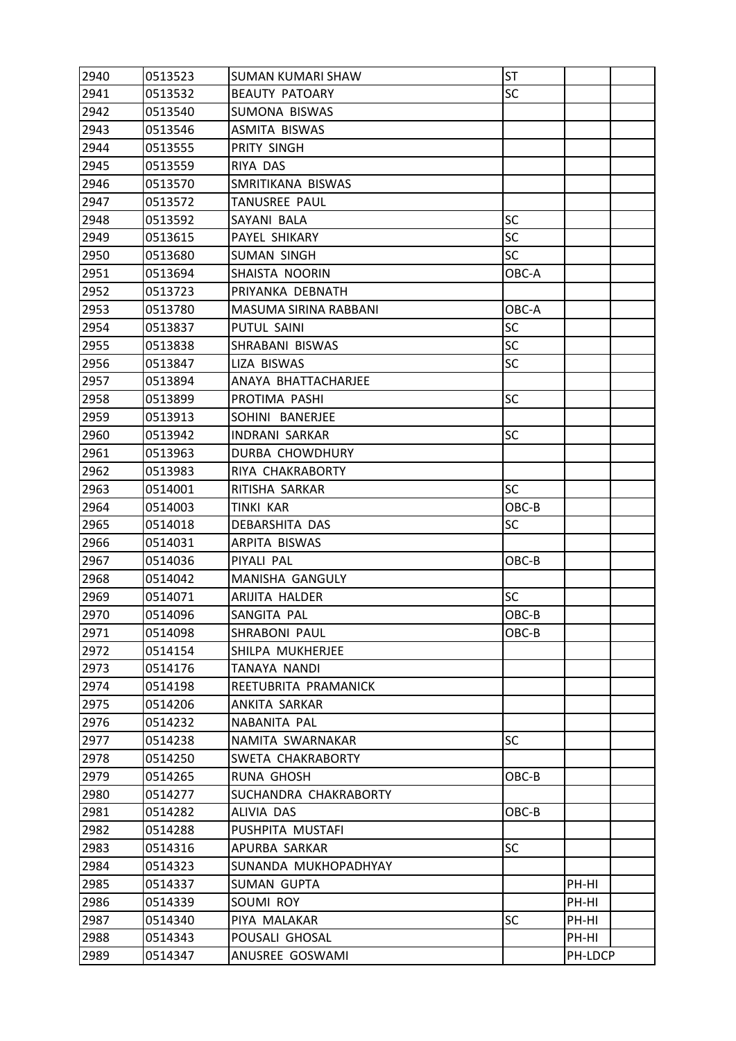| 2940 | 0513523 | <b>SUMAN KUMARI SHAW</b> | ST        |         |  |
|------|---------|--------------------------|-----------|---------|--|
| 2941 | 0513532 | <b>BEAUTY PATOARY</b>    | SC        |         |  |
| 2942 | 0513540 | SUMONA BISWAS            |           |         |  |
| 2943 | 0513546 | ASMITA BISWAS            |           |         |  |
| 2944 | 0513555 | PRITY SINGH              |           |         |  |
| 2945 | 0513559 | RIYA DAS                 |           |         |  |
| 2946 | 0513570 | SMRITIKANA BISWAS        |           |         |  |
| 2947 | 0513572 | TANUSREE PAUL            |           |         |  |
| 2948 | 0513592 | SAYANI BALA              | SC        |         |  |
| 2949 | 0513615 | PAYEL SHIKARY            | <b>SC</b> |         |  |
| 2950 | 0513680 | SUMAN SINGH              | <b>SC</b> |         |  |
| 2951 | 0513694 | SHAISTA NOORIN           | OBC-A     |         |  |
| 2952 | 0513723 | PRIYANKA DEBNATH         |           |         |  |
| 2953 | 0513780 | MASUMA SIRINA RABBANI    | OBC-A     |         |  |
| 2954 | 0513837 | PUTUL SAINI              | <b>SC</b> |         |  |
| 2955 | 0513838 | SHRABANI BISWAS          | <b>SC</b> |         |  |
| 2956 | 0513847 | LIZA BISWAS              | SC        |         |  |
| 2957 | 0513894 | ANAYA BHATTACHARJEE      |           |         |  |
| 2958 | 0513899 | PROTIMA PASHI            | <b>SC</b> |         |  |
| 2959 | 0513913 | SOHINI BANERJEE          |           |         |  |
| 2960 | 0513942 | <b>INDRANI SARKAR</b>    | <b>SC</b> |         |  |
| 2961 | 0513963 | DURBA CHOWDHURY          |           |         |  |
| 2962 | 0513983 | RIYA CHAKRABORTY         |           |         |  |
| 2963 | 0514001 | RITISHA SARKAR           | <b>SC</b> |         |  |
| 2964 | 0514003 | TINKI KAR                | OBC-B     |         |  |
| 2965 | 0514018 | DEBARSHITA DAS           | SC        |         |  |
| 2966 | 0514031 | ARPITA BISWAS            |           |         |  |
| 2967 | 0514036 | PIYALI PAL               | OBC-B     |         |  |
| 2968 | 0514042 | MANISHA GANGULY          |           |         |  |
| 2969 | 0514071 | ARIJITA HALDER           | SC        |         |  |
| 2970 | 0514096 | SANGITA PAL              | OBC-B     |         |  |
| 2971 | 0514098 | SHRABONI PAUL            | OBC-B     |         |  |
| 2972 | 0514154 | SHILPA MUKHERJEE         |           |         |  |
| 2973 | 0514176 | TANAYA NANDI             |           |         |  |
| 2974 | 0514198 | REETUBRITA PRAMANICK     |           |         |  |
| 2975 | 0514206 | ANKITA SARKAR            |           |         |  |
| 2976 | 0514232 | NABANITA PAL             |           |         |  |
| 2977 | 0514238 | NAMITA SWARNAKAR         | <b>SC</b> |         |  |
| 2978 | 0514250 | SWETA CHAKRABORTY        |           |         |  |
| 2979 | 0514265 | RUNA GHOSH               | OBC-B     |         |  |
| 2980 | 0514277 | SUCHANDRA CHAKRABORTY    |           |         |  |
| 2981 | 0514282 | ALIVIA DAS               | OBC-B     |         |  |
| 2982 | 0514288 | PUSHPITA MUSTAFI         |           |         |  |
| 2983 | 0514316 | APURBA SARKAR            | <b>SC</b> |         |  |
| 2984 | 0514323 | SUNANDA MUKHOPADHYAY     |           |         |  |
| 2985 | 0514337 | <b>SUMAN GUPTA</b>       |           | PH-HI   |  |
| 2986 | 0514339 | SOUMI ROY                |           | PH-HI   |  |
| 2987 | 0514340 | PIYA MALAKAR             | <b>SC</b> | PH-HI   |  |
| 2988 | 0514343 | POUSALI GHOSAL           |           | PH-HI   |  |
| 2989 | 0514347 | ANUSREE GOSWAMI          |           | PH-LDCP |  |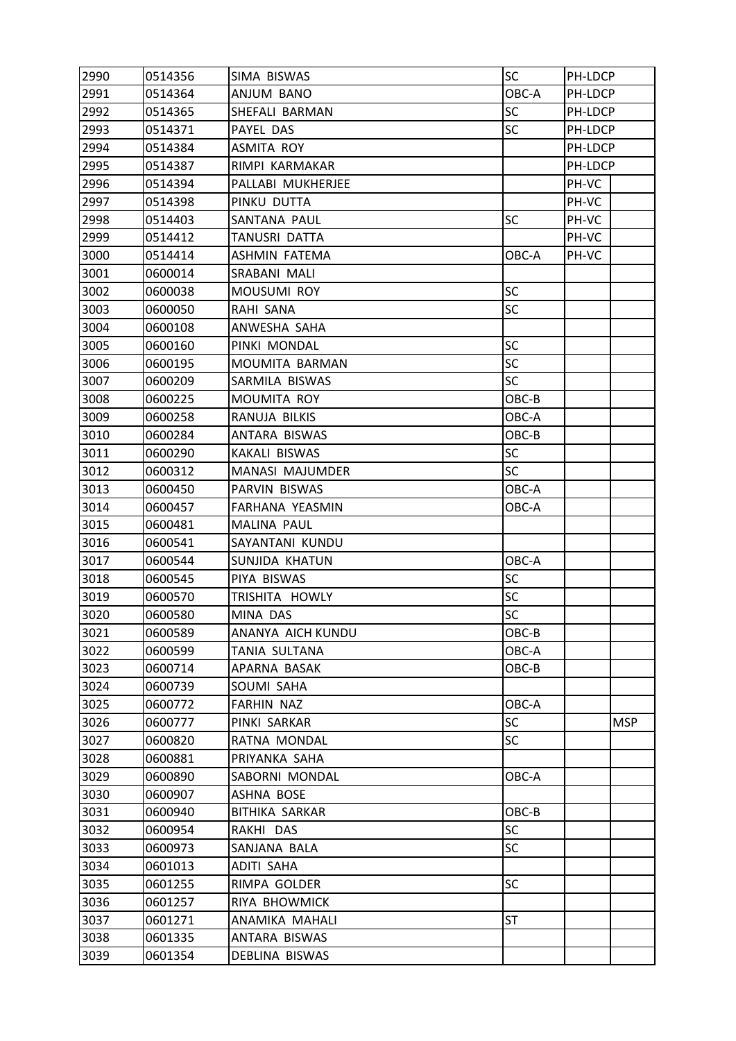| 2990 | 0514356 | SIMA BISWAS           | <b>SC</b> | PH-LDCP |            |
|------|---------|-----------------------|-----------|---------|------------|
| 2991 | 0514364 | ANJUM BANO            | OBC-A     | PH-LDCP |            |
| 2992 | 0514365 | SHEFALI BARMAN        | SC        | PH-LDCP |            |
| 2993 | 0514371 | PAYEL DAS             | <b>SC</b> | PH-LDCP |            |
| 2994 | 0514384 | ASMITA ROY            |           | PH-LDCP |            |
| 2995 | 0514387 | RIMPI KARMAKAR        |           | PH-LDCP |            |
| 2996 | 0514394 | PALLABI MUKHERJEE     |           | PH-VC   |            |
| 2997 | 0514398 | PINKU DUTTA           |           | PH-VC   |            |
| 2998 | 0514403 | SANTANA PAUL          | <b>SC</b> | PH-VC   |            |
| 2999 | 0514412 | TANUSRI DATTA         |           | PH-VC   |            |
| 3000 | 0514414 | <b>ASHMIN FATEMA</b>  | OBC-A     | PH-VC   |            |
| 3001 | 0600014 | SRABANI MALI          |           |         |            |
| 3002 | 0600038 | <b>MOUSUMI ROY</b>    | SC        |         |            |
| 3003 | 0600050 | RAHI SANA             | SC        |         |            |
| 3004 | 0600108 | ANWESHA SAHA          |           |         |            |
| 3005 | 0600160 | PINKI MONDAL          | <b>SC</b> |         |            |
| 3006 | 0600195 | MOUMITA BARMAN        | <b>SC</b> |         |            |
| 3007 | 0600209 | SARMILA BISWAS        | <b>SC</b> |         |            |
| 3008 | 0600225 | MOUMITA ROY           | OBC-B     |         |            |
| 3009 | 0600258 | RANUJA BILKIS         | OBC-A     |         |            |
| 3010 | 0600284 | ANTARA BISWAS         | OBC-B     |         |            |
| 3011 | 0600290 | KAKALI BISWAS         | SC        |         |            |
| 3012 | 0600312 | MANASI MAJUMDER       | <b>SC</b> |         |            |
| 3013 | 0600450 | PARVIN BISWAS         | OBC-A     |         |            |
| 3014 | 0600457 | FARHANA YEASMIN       | OBC-A     |         |            |
| 3015 | 0600481 | MALINA PAUL           |           |         |            |
| 3016 | 0600541 | SAYANTANI KUNDU       |           |         |            |
| 3017 | 0600544 | SUNJIDA KHATUN        | OBC-A     |         |            |
| 3018 | 0600545 | PIYA BISWAS           | SC        |         |            |
| 3019 | 0600570 | TRISHITA HOWLY        | SC        |         |            |
| 3020 | 0600580 | MINA DAS              | SC        |         |            |
| 3021 | 0600589 | ANANYA AICH KUNDU     | OBC-B     |         |            |
| 3022 | 0600599 | TANIA SULTANA         | OBC-A     |         |            |
| 3023 | 0600714 | APARNA BASAK          | OBC-B     |         |            |
| 3024 | 0600739 | SOUMI SAHA            |           |         |            |
| 3025 | 0600772 | <b>FARHIN NAZ</b>     | OBC-A     |         |            |
| 3026 | 0600777 | PINKI SARKAR          | <b>SC</b> |         | <b>MSP</b> |
| 3027 | 0600820 | RATNA MONDAL          | <b>SC</b> |         |            |
| 3028 | 0600881 | PRIYANKA SAHA         |           |         |            |
| 3029 | 0600890 | SABORNI MONDAL        | OBC-A     |         |            |
| 3030 | 0600907 | ASHNA BOSE            |           |         |            |
| 3031 | 0600940 | <b>BITHIKA SARKAR</b> | OBC-B     |         |            |
| 3032 | 0600954 | RAKHI DAS             | <b>SC</b> |         |            |
| 3033 | 0600973 | SANJANA BALA          | <b>SC</b> |         |            |
| 3034 | 0601013 | <b>ADITI SAHA</b>     |           |         |            |
| 3035 | 0601255 | RIMPA GOLDER          | <b>SC</b> |         |            |
| 3036 | 0601257 | RIYA BHOWMICK         |           |         |            |
| 3037 | 0601271 | ANAMIKA MAHALI        | ST        |         |            |
| 3038 | 0601335 | ANTARA BISWAS         |           |         |            |
| 3039 | 0601354 | DEBLINA BISWAS        |           |         |            |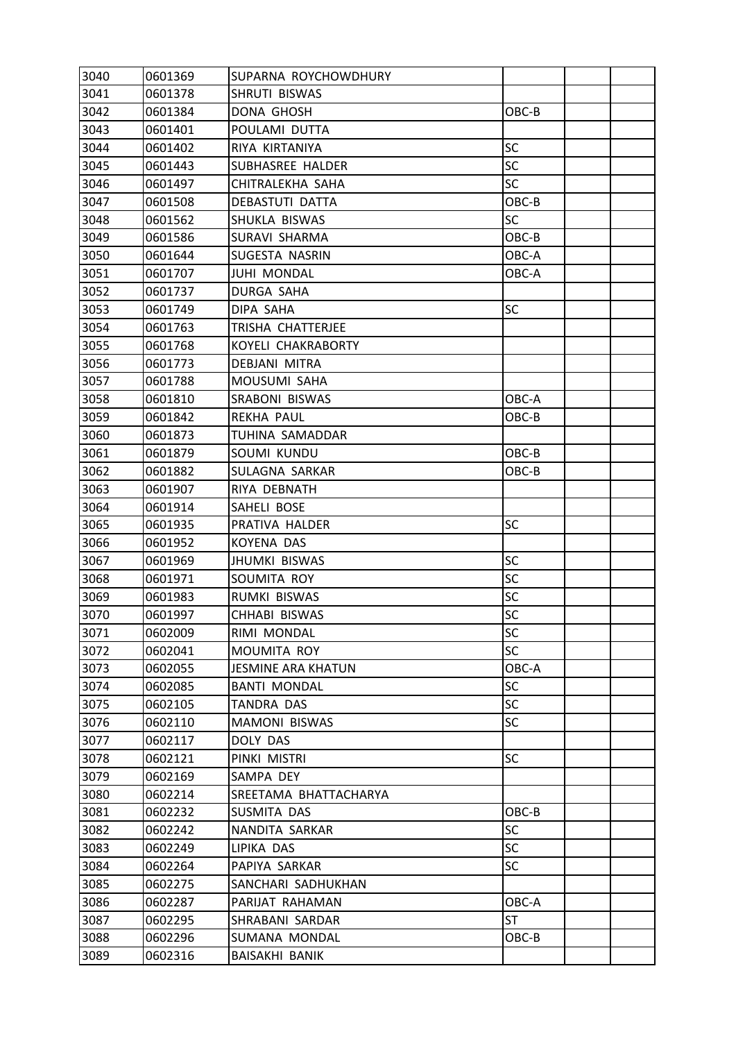| 3040 | 0601369 | SUPARNA ROYCHOWDHURY      |           |  |
|------|---------|---------------------------|-----------|--|
| 3041 | 0601378 | SHRUTI BISWAS             |           |  |
| 3042 | 0601384 | DONA GHOSH                | OBC-B     |  |
| 3043 | 0601401 | POULAMI DUTTA             |           |  |
| 3044 | 0601402 | RIYA KIRTANIYA            | SC        |  |
| 3045 | 0601443 | SUBHASREE HALDER          | <b>SC</b> |  |
| 3046 | 0601497 | CHITRALEKHA SAHA          | SC        |  |
| 3047 | 0601508 | DEBASTUTI DATTA           | OBC-B     |  |
| 3048 | 0601562 | SHUKLA BISWAS             | <b>SC</b> |  |
| 3049 | 0601586 | SURAVI SHARMA             | OBC-B     |  |
| 3050 | 0601644 | SUGESTA NASRIN            | OBC-A     |  |
| 3051 | 0601707 | <b>JUHI MONDAL</b>        | OBC-A     |  |
| 3052 | 0601737 | DURGA SAHA                |           |  |
| 3053 | 0601749 | DIPA SAHA                 | SC        |  |
| 3054 | 0601763 | TRISHA CHATTERJEE         |           |  |
| 3055 | 0601768 | KOYELI CHAKRABORTY        |           |  |
| 3056 | 0601773 | <b>DEBJANI MITRA</b>      |           |  |
| 3057 | 0601788 | MOUSUMI SAHA              |           |  |
| 3058 | 0601810 | SRABONI BISWAS            | OBC-A     |  |
| 3059 | 0601842 | REKHA PAUL                | OBC-B     |  |
| 3060 | 0601873 | TUHINA SAMADDAR           |           |  |
| 3061 | 0601879 | SOUMI KUNDU               | OBC-B     |  |
| 3062 | 0601882 | SULAGNA SARKAR            | OBC-B     |  |
| 3063 | 0601907 | RIYA DEBNATH              |           |  |
| 3064 | 0601914 | SAHELI BOSE               |           |  |
| 3065 | 0601935 | PRATIVA HALDER            | SC        |  |
| 3066 | 0601952 | KOYENA DAS                |           |  |
| 3067 | 0601969 | <b>JHUMKI BISWAS</b>      | SC        |  |
| 3068 | 0601971 | SOUMITA ROY               | SC        |  |
| 3069 | 0601983 | RUMKI BISWAS              | SC        |  |
| 3070 | 0601997 | CHHABI BISWAS             | SC        |  |
| 3071 | 0602009 | RIMI MONDAL               | SC        |  |
| 3072 | 0602041 | MOUMITA ROY               | <b>SC</b> |  |
| 3073 | 0602055 | <b>JESMINE ARA KHATUN</b> | OBC-A     |  |
| 3074 | 0602085 | <b>BANTI MONDAL</b>       | SC        |  |
| 3075 | 0602105 | <b>TANDRA DAS</b>         | <b>SC</b> |  |
| 3076 | 0602110 | <b>MAMONI BISWAS</b>      | SC        |  |
| 3077 | 0602117 | DOLY DAS                  |           |  |
| 3078 | 0602121 | PINKI MISTRI              | <b>SC</b> |  |
| 3079 | 0602169 | SAMPA DEY                 |           |  |
| 3080 | 0602214 | SREETAMA BHATTACHARYA     |           |  |
| 3081 | 0602232 | SUSMITA DAS               | OBC-B     |  |
| 3082 | 0602242 | NANDITA SARKAR            | <b>SC</b> |  |
| 3083 | 0602249 | LIPIKA DAS                | <b>SC</b> |  |
| 3084 | 0602264 | PAPIYA SARKAR             | SC        |  |
| 3085 | 0602275 | SANCHARI SADHUKHAN        |           |  |
| 3086 | 0602287 | PARIJAT RAHAMAN           | OBC-A     |  |
| 3087 | 0602295 | SHRABANI SARDAR           | <b>ST</b> |  |
| 3088 | 0602296 | SUMANA MONDAL             | OBC-B     |  |
| 3089 | 0602316 | BAISAKHI BANIK            |           |  |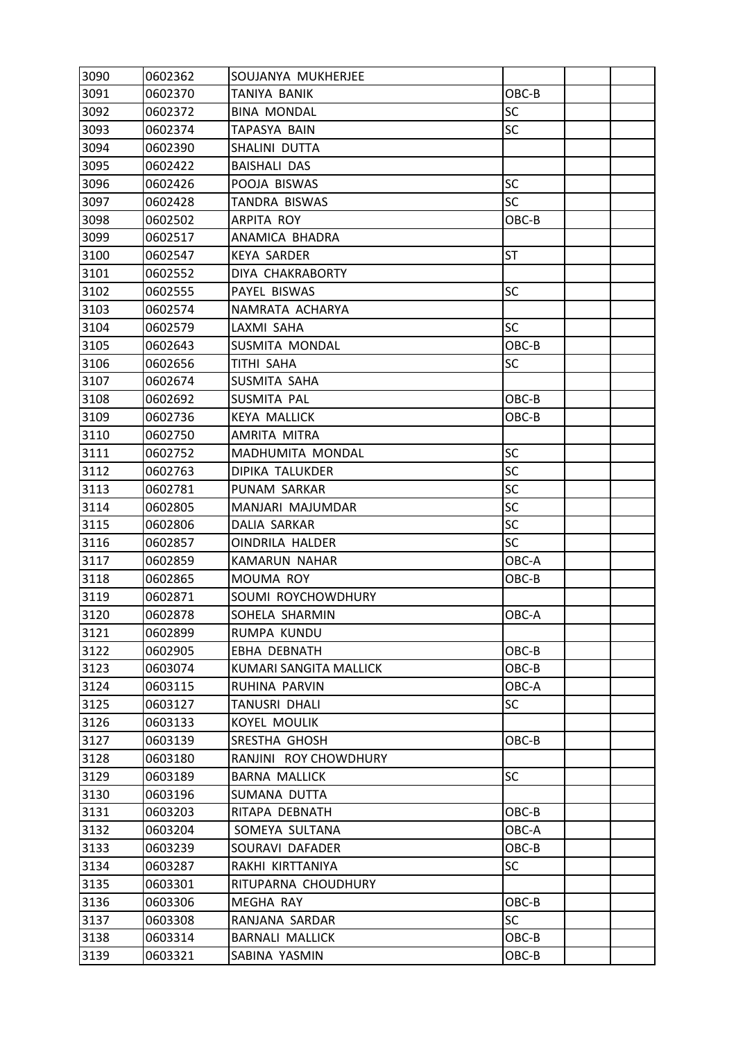| 3090 | 0602362 | SOUJANYA MUKHERJEE     |           |  |
|------|---------|------------------------|-----------|--|
| 3091 | 0602370 | TANIYA BANIK           | OBC-B     |  |
| 3092 | 0602372 | <b>BINA MONDAL</b>     | <b>SC</b> |  |
| 3093 | 0602374 | TAPASYA BAIN           | <b>SC</b> |  |
| 3094 | 0602390 | SHALINI DUTTA          |           |  |
| 3095 | 0602422 | <b>BAISHALI DAS</b>    |           |  |
| 3096 | 0602426 | POOJA BISWAS           | SC        |  |
| 3097 | 0602428 | TANDRA BISWAS          | <b>SC</b> |  |
| 3098 | 0602502 | ARPITA ROY             | OBC-B     |  |
| 3099 | 0602517 | ANAMICA BHADRA         |           |  |
| 3100 | 0602547 | <b>KEYA SARDER</b>     | ST        |  |
| 3101 | 0602552 | DIYA CHAKRABORTY       |           |  |
| 3102 | 0602555 | PAYEL BISWAS           | SC        |  |
| 3103 | 0602574 | NAMRATA ACHARYA        |           |  |
| 3104 | 0602579 | LAXMI SAHA             | <b>SC</b> |  |
| 3105 | 0602643 | SUSMITA MONDAL         | OBC-B     |  |
| 3106 | 0602656 | TITHI SAHA             | SC        |  |
| 3107 | 0602674 | SUSMITA SAHA           |           |  |
| 3108 | 0602692 | SUSMITA PAL            | OBC-B     |  |
| 3109 | 0602736 | <b>KEYA MALLICK</b>    | OBC-B     |  |
| 3110 | 0602750 | AMRITA MITRA           |           |  |
| 3111 | 0602752 | MADHUMITA MONDAL       | SC        |  |
| 3112 | 0602763 | DIPIKA TALUKDER        | SC        |  |
| 3113 | 0602781 | PUNAM SARKAR           | SC        |  |
| 3114 | 0602805 | MANJARI MAJUMDAR       | SC        |  |
| 3115 | 0602806 | DALIA SARKAR           | <b>SC</b> |  |
| 3116 | 0602857 | <b>OINDRILA HALDER</b> | SC        |  |
| 3117 | 0602859 | KAMARUN NAHAR          | OBC-A     |  |
| 3118 | 0602865 | <b>MOUMA ROY</b>       | OBC-B     |  |
| 3119 | 0602871 | SOUMI ROYCHOWDHURY     |           |  |
| 3120 | 0602878 | SOHELA SHARMIN         | OBC-A     |  |
| 3121 | 0602899 | RUMPA KUNDU            |           |  |
| 3122 | 0602905 | EBHA DEBNATH           | OBC-B     |  |
| 3123 | 0603074 | KUMARI SANGITA MALLICK | OBC-B     |  |
| 3124 | 0603115 | RUHINA PARVIN          | OBC-A     |  |
| 3125 | 0603127 | TANUSRI DHALI          | <b>SC</b> |  |
| 3126 | 0603133 | <b>KOYEL MOULIK</b>    |           |  |
| 3127 | 0603139 | SRESTHA GHOSH          | OBC-B     |  |
| 3128 | 0603180 | RANJINI ROY CHOWDHURY  |           |  |
| 3129 | 0603189 | <b>BARNA MALLICK</b>   | <b>SC</b> |  |
| 3130 | 0603196 | SUMANA DUTTA           |           |  |
| 3131 | 0603203 | RITAPA DEBNATH         | OBC-B     |  |
| 3132 | 0603204 | SOMEYA SULTANA         | OBC-A     |  |
| 3133 | 0603239 | SOURAVI DAFADER        | OBC-B     |  |
| 3134 | 0603287 | RAKHI KIRTTANIYA       | <b>SC</b> |  |
| 3135 | 0603301 | RITUPARNA CHOUDHURY    |           |  |
| 3136 | 0603306 | MEGHA RAY              | OBC-B     |  |
| 3137 | 0603308 | RANJANA SARDAR         | <b>SC</b> |  |
| 3138 | 0603314 | <b>BARNALI MALLICK</b> | OBC-B     |  |
| 3139 | 0603321 | SABINA YASMIN          | OBC-B     |  |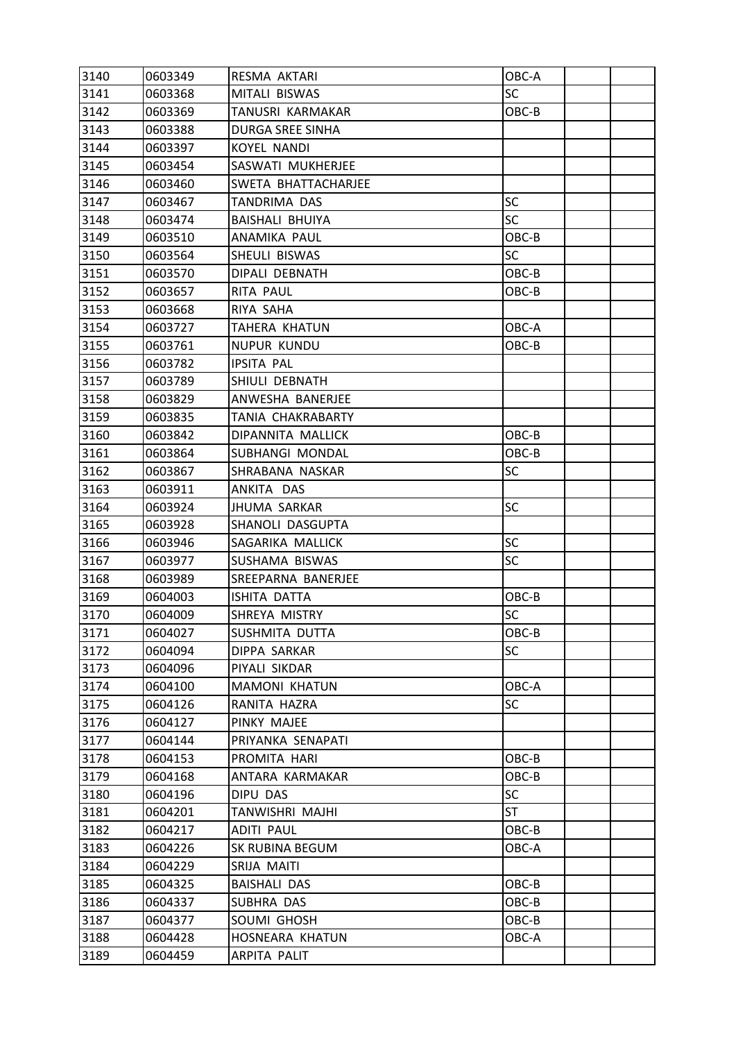| 3141<br>MITALI BISWAS<br><b>SC</b><br>0603368<br>3142<br>TANUSRI KARMAKAR<br>OBC-B<br>0603369<br>3143<br>DURGA SREE SINHA<br>0603388<br>3144<br>0603397<br><b>KOYEL NANDI</b><br>3145<br>SASWATI MUKHERJEE<br>0603454<br>3146<br>0603460<br>SWETA BHATTACHARJEE<br>3147<br>SC<br>0603467<br>TANDRIMA DAS<br>3148<br><b>BAISHALI BHUIYA</b><br>0603474<br><b>SC</b><br>3149<br>OBC-B<br>ANAMIKA PAUL<br>0603510<br>3150<br>SHEULI BISWAS<br><b>SC</b><br>0603564<br>3151<br>OBC-B<br>0603570<br>DIPALI DEBNATH<br>3152<br>0603657<br>RITA PAUL<br>OBC-B<br>3153<br>0603668<br>RIYA SAHA<br>3154<br>TAHERA KHATUN<br>OBC-A<br>0603727<br>3155<br>NUPUR KUNDU<br>OBC-B<br>0603761<br>3156<br><b>IPSITA PAL</b><br>0603782<br>3157<br>0603789<br>SHIULI DEBNATH<br>3158<br>ANWESHA BANERJEE<br>0603829<br>3159<br>TANIA CHAKRABARTY<br>0603835<br>3160<br>OBC-B<br>0603842<br>DIPANNITA MALLICK<br>3161<br>SUBHANGI MONDAL<br>0603864<br>OBC-B<br><b>SC</b><br>3162<br>0603867<br>SHRABANA NASKAR<br>3163<br>0603911<br>ANKITA DAS<br>3164<br>SC<br>0603924<br>JHUMA SARKAR<br>3165<br>SHANOLI DASGUPTA<br>0603928<br>3166<br><b>SC</b><br>SAGARIKA MALLICK<br>0603946<br>3167<br>0603977<br>SUSHAMA BISWAS<br><b>SC</b><br>3168<br>0603989<br>SREEPARNA BANERJEE<br>3169<br>OBC-B<br>0604003<br>ISHITA DATTA<br>3170<br><b>SC</b><br>0604009<br>SHREYA MISTRY<br>3171<br>0604027<br>SUSHMITA DUTTA<br>OBC-B<br>3172<br><b>SC</b><br>0604094<br>DIPPA SARKAR<br>3173<br>0604096<br>PIYALI SIKDAR<br>3174<br>0604100<br><b>MAMONI KHATUN</b><br>OBC-A<br>3175<br><b>SC</b><br>0604126<br>RANITA HAZRA<br>3176<br>0604127<br>PINKY MAJEE<br>3177<br>PRIYANKA SENAPATI<br>0604144<br>3178<br>PROMITA HARI<br>OBC-B<br>0604153<br>3179<br>ANTARA KARMAKAR<br>0604168<br>OBC-B<br>3180<br>SC<br>DIPU DAS<br>0604196<br>3181<br>TANWISHRI MAJHI<br>ST<br>0604201<br>3182<br>OBC-B<br>0604217<br>ADITI PAUL<br>3183<br>0604226<br>SK RUBINA BEGUM<br>OBC-A<br>3184<br>SRIJA MAITI<br>0604229<br>3185<br>0604325<br><b>BAISHALI DAS</b><br>OBC-B<br>3186<br>SUBHRA DAS<br>OBC-B<br>0604337<br>3187<br>SOUMI GHOSH<br>OBC-B<br>0604377<br>3188<br>0604428<br>HOSNEARA KHATUN<br>OBC-A | 3140 | 0603349 | RESMA AKTARI | OBC-A |  |
|--------------------------------------------------------------------------------------------------------------------------------------------------------------------------------------------------------------------------------------------------------------------------------------------------------------------------------------------------------------------------------------------------------------------------------------------------------------------------------------------------------------------------------------------------------------------------------------------------------------------------------------------------------------------------------------------------------------------------------------------------------------------------------------------------------------------------------------------------------------------------------------------------------------------------------------------------------------------------------------------------------------------------------------------------------------------------------------------------------------------------------------------------------------------------------------------------------------------------------------------------------------------------------------------------------------------------------------------------------------------------------------------------------------------------------------------------------------------------------------------------------------------------------------------------------------------------------------------------------------------------------------------------------------------------------------------------------------------------------------------------------------------------------------------------------------------------------------------------------------------------------------------------------------------------------------------------------------------------------------------------------------------------------------------------------------------------------------------------------------------------------------------------------------------------|------|---------|--------------|-------|--|
|                                                                                                                                                                                                                                                                                                                                                                                                                                                                                                                                                                                                                                                                                                                                                                                                                                                                                                                                                                                                                                                                                                                                                                                                                                                                                                                                                                                                                                                                                                                                                                                                                                                                                                                                                                                                                                                                                                                                                                                                                                                                                                                                                                          |      |         |              |       |  |
|                                                                                                                                                                                                                                                                                                                                                                                                                                                                                                                                                                                                                                                                                                                                                                                                                                                                                                                                                                                                                                                                                                                                                                                                                                                                                                                                                                                                                                                                                                                                                                                                                                                                                                                                                                                                                                                                                                                                                                                                                                                                                                                                                                          |      |         |              |       |  |
|                                                                                                                                                                                                                                                                                                                                                                                                                                                                                                                                                                                                                                                                                                                                                                                                                                                                                                                                                                                                                                                                                                                                                                                                                                                                                                                                                                                                                                                                                                                                                                                                                                                                                                                                                                                                                                                                                                                                                                                                                                                                                                                                                                          |      |         |              |       |  |
|                                                                                                                                                                                                                                                                                                                                                                                                                                                                                                                                                                                                                                                                                                                                                                                                                                                                                                                                                                                                                                                                                                                                                                                                                                                                                                                                                                                                                                                                                                                                                                                                                                                                                                                                                                                                                                                                                                                                                                                                                                                                                                                                                                          |      |         |              |       |  |
|                                                                                                                                                                                                                                                                                                                                                                                                                                                                                                                                                                                                                                                                                                                                                                                                                                                                                                                                                                                                                                                                                                                                                                                                                                                                                                                                                                                                                                                                                                                                                                                                                                                                                                                                                                                                                                                                                                                                                                                                                                                                                                                                                                          |      |         |              |       |  |
|                                                                                                                                                                                                                                                                                                                                                                                                                                                                                                                                                                                                                                                                                                                                                                                                                                                                                                                                                                                                                                                                                                                                                                                                                                                                                                                                                                                                                                                                                                                                                                                                                                                                                                                                                                                                                                                                                                                                                                                                                                                                                                                                                                          |      |         |              |       |  |
|                                                                                                                                                                                                                                                                                                                                                                                                                                                                                                                                                                                                                                                                                                                                                                                                                                                                                                                                                                                                                                                                                                                                                                                                                                                                                                                                                                                                                                                                                                                                                                                                                                                                                                                                                                                                                                                                                                                                                                                                                                                                                                                                                                          |      |         |              |       |  |
|                                                                                                                                                                                                                                                                                                                                                                                                                                                                                                                                                                                                                                                                                                                                                                                                                                                                                                                                                                                                                                                                                                                                                                                                                                                                                                                                                                                                                                                                                                                                                                                                                                                                                                                                                                                                                                                                                                                                                                                                                                                                                                                                                                          |      |         |              |       |  |
|                                                                                                                                                                                                                                                                                                                                                                                                                                                                                                                                                                                                                                                                                                                                                                                                                                                                                                                                                                                                                                                                                                                                                                                                                                                                                                                                                                                                                                                                                                                                                                                                                                                                                                                                                                                                                                                                                                                                                                                                                                                                                                                                                                          |      |         |              |       |  |
|                                                                                                                                                                                                                                                                                                                                                                                                                                                                                                                                                                                                                                                                                                                                                                                                                                                                                                                                                                                                                                                                                                                                                                                                                                                                                                                                                                                                                                                                                                                                                                                                                                                                                                                                                                                                                                                                                                                                                                                                                                                                                                                                                                          |      |         |              |       |  |
|                                                                                                                                                                                                                                                                                                                                                                                                                                                                                                                                                                                                                                                                                                                                                                                                                                                                                                                                                                                                                                                                                                                                                                                                                                                                                                                                                                                                                                                                                                                                                                                                                                                                                                                                                                                                                                                                                                                                                                                                                                                                                                                                                                          |      |         |              |       |  |
|                                                                                                                                                                                                                                                                                                                                                                                                                                                                                                                                                                                                                                                                                                                                                                                                                                                                                                                                                                                                                                                                                                                                                                                                                                                                                                                                                                                                                                                                                                                                                                                                                                                                                                                                                                                                                                                                                                                                                                                                                                                                                                                                                                          |      |         |              |       |  |
|                                                                                                                                                                                                                                                                                                                                                                                                                                                                                                                                                                                                                                                                                                                                                                                                                                                                                                                                                                                                                                                                                                                                                                                                                                                                                                                                                                                                                                                                                                                                                                                                                                                                                                                                                                                                                                                                                                                                                                                                                                                                                                                                                                          |      |         |              |       |  |
|                                                                                                                                                                                                                                                                                                                                                                                                                                                                                                                                                                                                                                                                                                                                                                                                                                                                                                                                                                                                                                                                                                                                                                                                                                                                                                                                                                                                                                                                                                                                                                                                                                                                                                                                                                                                                                                                                                                                                                                                                                                                                                                                                                          |      |         |              |       |  |
|                                                                                                                                                                                                                                                                                                                                                                                                                                                                                                                                                                                                                                                                                                                                                                                                                                                                                                                                                                                                                                                                                                                                                                                                                                                                                                                                                                                                                                                                                                                                                                                                                                                                                                                                                                                                                                                                                                                                                                                                                                                                                                                                                                          |      |         |              |       |  |
|                                                                                                                                                                                                                                                                                                                                                                                                                                                                                                                                                                                                                                                                                                                                                                                                                                                                                                                                                                                                                                                                                                                                                                                                                                                                                                                                                                                                                                                                                                                                                                                                                                                                                                                                                                                                                                                                                                                                                                                                                                                                                                                                                                          |      |         |              |       |  |
|                                                                                                                                                                                                                                                                                                                                                                                                                                                                                                                                                                                                                                                                                                                                                                                                                                                                                                                                                                                                                                                                                                                                                                                                                                                                                                                                                                                                                                                                                                                                                                                                                                                                                                                                                                                                                                                                                                                                                                                                                                                                                                                                                                          |      |         |              |       |  |
|                                                                                                                                                                                                                                                                                                                                                                                                                                                                                                                                                                                                                                                                                                                                                                                                                                                                                                                                                                                                                                                                                                                                                                                                                                                                                                                                                                                                                                                                                                                                                                                                                                                                                                                                                                                                                                                                                                                                                                                                                                                                                                                                                                          |      |         |              |       |  |
|                                                                                                                                                                                                                                                                                                                                                                                                                                                                                                                                                                                                                                                                                                                                                                                                                                                                                                                                                                                                                                                                                                                                                                                                                                                                                                                                                                                                                                                                                                                                                                                                                                                                                                                                                                                                                                                                                                                                                                                                                                                                                                                                                                          |      |         |              |       |  |
|                                                                                                                                                                                                                                                                                                                                                                                                                                                                                                                                                                                                                                                                                                                                                                                                                                                                                                                                                                                                                                                                                                                                                                                                                                                                                                                                                                                                                                                                                                                                                                                                                                                                                                                                                                                                                                                                                                                                                                                                                                                                                                                                                                          |      |         |              |       |  |
|                                                                                                                                                                                                                                                                                                                                                                                                                                                                                                                                                                                                                                                                                                                                                                                                                                                                                                                                                                                                                                                                                                                                                                                                                                                                                                                                                                                                                                                                                                                                                                                                                                                                                                                                                                                                                                                                                                                                                                                                                                                                                                                                                                          |      |         |              |       |  |
|                                                                                                                                                                                                                                                                                                                                                                                                                                                                                                                                                                                                                                                                                                                                                                                                                                                                                                                                                                                                                                                                                                                                                                                                                                                                                                                                                                                                                                                                                                                                                                                                                                                                                                                                                                                                                                                                                                                                                                                                                                                                                                                                                                          |      |         |              |       |  |
|                                                                                                                                                                                                                                                                                                                                                                                                                                                                                                                                                                                                                                                                                                                                                                                                                                                                                                                                                                                                                                                                                                                                                                                                                                                                                                                                                                                                                                                                                                                                                                                                                                                                                                                                                                                                                                                                                                                                                                                                                                                                                                                                                                          |      |         |              |       |  |
|                                                                                                                                                                                                                                                                                                                                                                                                                                                                                                                                                                                                                                                                                                                                                                                                                                                                                                                                                                                                                                                                                                                                                                                                                                                                                                                                                                                                                                                                                                                                                                                                                                                                                                                                                                                                                                                                                                                                                                                                                                                                                                                                                                          |      |         |              |       |  |
|                                                                                                                                                                                                                                                                                                                                                                                                                                                                                                                                                                                                                                                                                                                                                                                                                                                                                                                                                                                                                                                                                                                                                                                                                                                                                                                                                                                                                                                                                                                                                                                                                                                                                                                                                                                                                                                                                                                                                                                                                                                                                                                                                                          |      |         |              |       |  |
|                                                                                                                                                                                                                                                                                                                                                                                                                                                                                                                                                                                                                                                                                                                                                                                                                                                                                                                                                                                                                                                                                                                                                                                                                                                                                                                                                                                                                                                                                                                                                                                                                                                                                                                                                                                                                                                                                                                                                                                                                                                                                                                                                                          |      |         |              |       |  |
|                                                                                                                                                                                                                                                                                                                                                                                                                                                                                                                                                                                                                                                                                                                                                                                                                                                                                                                                                                                                                                                                                                                                                                                                                                                                                                                                                                                                                                                                                                                                                                                                                                                                                                                                                                                                                                                                                                                                                                                                                                                                                                                                                                          |      |         |              |       |  |
|                                                                                                                                                                                                                                                                                                                                                                                                                                                                                                                                                                                                                                                                                                                                                                                                                                                                                                                                                                                                                                                                                                                                                                                                                                                                                                                                                                                                                                                                                                                                                                                                                                                                                                                                                                                                                                                                                                                                                                                                                                                                                                                                                                          |      |         |              |       |  |
|                                                                                                                                                                                                                                                                                                                                                                                                                                                                                                                                                                                                                                                                                                                                                                                                                                                                                                                                                                                                                                                                                                                                                                                                                                                                                                                                                                                                                                                                                                                                                                                                                                                                                                                                                                                                                                                                                                                                                                                                                                                                                                                                                                          |      |         |              |       |  |
|                                                                                                                                                                                                                                                                                                                                                                                                                                                                                                                                                                                                                                                                                                                                                                                                                                                                                                                                                                                                                                                                                                                                                                                                                                                                                                                                                                                                                                                                                                                                                                                                                                                                                                                                                                                                                                                                                                                                                                                                                                                                                                                                                                          |      |         |              |       |  |
|                                                                                                                                                                                                                                                                                                                                                                                                                                                                                                                                                                                                                                                                                                                                                                                                                                                                                                                                                                                                                                                                                                                                                                                                                                                                                                                                                                                                                                                                                                                                                                                                                                                                                                                                                                                                                                                                                                                                                                                                                                                                                                                                                                          |      |         |              |       |  |
|                                                                                                                                                                                                                                                                                                                                                                                                                                                                                                                                                                                                                                                                                                                                                                                                                                                                                                                                                                                                                                                                                                                                                                                                                                                                                                                                                                                                                                                                                                                                                                                                                                                                                                                                                                                                                                                                                                                                                                                                                                                                                                                                                                          |      |         |              |       |  |
|                                                                                                                                                                                                                                                                                                                                                                                                                                                                                                                                                                                                                                                                                                                                                                                                                                                                                                                                                                                                                                                                                                                                                                                                                                                                                                                                                                                                                                                                                                                                                                                                                                                                                                                                                                                                                                                                                                                                                                                                                                                                                                                                                                          |      |         |              |       |  |
|                                                                                                                                                                                                                                                                                                                                                                                                                                                                                                                                                                                                                                                                                                                                                                                                                                                                                                                                                                                                                                                                                                                                                                                                                                                                                                                                                                                                                                                                                                                                                                                                                                                                                                                                                                                                                                                                                                                                                                                                                                                                                                                                                                          |      |         |              |       |  |
|                                                                                                                                                                                                                                                                                                                                                                                                                                                                                                                                                                                                                                                                                                                                                                                                                                                                                                                                                                                                                                                                                                                                                                                                                                                                                                                                                                                                                                                                                                                                                                                                                                                                                                                                                                                                                                                                                                                                                                                                                                                                                                                                                                          |      |         |              |       |  |
|                                                                                                                                                                                                                                                                                                                                                                                                                                                                                                                                                                                                                                                                                                                                                                                                                                                                                                                                                                                                                                                                                                                                                                                                                                                                                                                                                                                                                                                                                                                                                                                                                                                                                                                                                                                                                                                                                                                                                                                                                                                                                                                                                                          |      |         |              |       |  |
|                                                                                                                                                                                                                                                                                                                                                                                                                                                                                                                                                                                                                                                                                                                                                                                                                                                                                                                                                                                                                                                                                                                                                                                                                                                                                                                                                                                                                                                                                                                                                                                                                                                                                                                                                                                                                                                                                                                                                                                                                                                                                                                                                                          |      |         |              |       |  |
|                                                                                                                                                                                                                                                                                                                                                                                                                                                                                                                                                                                                                                                                                                                                                                                                                                                                                                                                                                                                                                                                                                                                                                                                                                                                                                                                                                                                                                                                                                                                                                                                                                                                                                                                                                                                                                                                                                                                                                                                                                                                                                                                                                          |      |         |              |       |  |
|                                                                                                                                                                                                                                                                                                                                                                                                                                                                                                                                                                                                                                                                                                                                                                                                                                                                                                                                                                                                                                                                                                                                                                                                                                                                                                                                                                                                                                                                                                                                                                                                                                                                                                                                                                                                                                                                                                                                                                                                                                                                                                                                                                          |      |         |              |       |  |
|                                                                                                                                                                                                                                                                                                                                                                                                                                                                                                                                                                                                                                                                                                                                                                                                                                                                                                                                                                                                                                                                                                                                                                                                                                                                                                                                                                                                                                                                                                                                                                                                                                                                                                                                                                                                                                                                                                                                                                                                                                                                                                                                                                          |      |         |              |       |  |
|                                                                                                                                                                                                                                                                                                                                                                                                                                                                                                                                                                                                                                                                                                                                                                                                                                                                                                                                                                                                                                                                                                                                                                                                                                                                                                                                                                                                                                                                                                                                                                                                                                                                                                                                                                                                                                                                                                                                                                                                                                                                                                                                                                          |      |         |              |       |  |
|                                                                                                                                                                                                                                                                                                                                                                                                                                                                                                                                                                                                                                                                                                                                                                                                                                                                                                                                                                                                                                                                                                                                                                                                                                                                                                                                                                                                                                                                                                                                                                                                                                                                                                                                                                                                                                                                                                                                                                                                                                                                                                                                                                          |      |         |              |       |  |
|                                                                                                                                                                                                                                                                                                                                                                                                                                                                                                                                                                                                                                                                                                                                                                                                                                                                                                                                                                                                                                                                                                                                                                                                                                                                                                                                                                                                                                                                                                                                                                                                                                                                                                                                                                                                                                                                                                                                                                                                                                                                                                                                                                          |      |         |              |       |  |
|                                                                                                                                                                                                                                                                                                                                                                                                                                                                                                                                                                                                                                                                                                                                                                                                                                                                                                                                                                                                                                                                                                                                                                                                                                                                                                                                                                                                                                                                                                                                                                                                                                                                                                                                                                                                                                                                                                                                                                                                                                                                                                                                                                          |      |         |              |       |  |
|                                                                                                                                                                                                                                                                                                                                                                                                                                                                                                                                                                                                                                                                                                                                                                                                                                                                                                                                                                                                                                                                                                                                                                                                                                                                                                                                                                                                                                                                                                                                                                                                                                                                                                                                                                                                                                                                                                                                                                                                                                                                                                                                                                          |      |         |              |       |  |
|                                                                                                                                                                                                                                                                                                                                                                                                                                                                                                                                                                                                                                                                                                                                                                                                                                                                                                                                                                                                                                                                                                                                                                                                                                                                                                                                                                                                                                                                                                                                                                                                                                                                                                                                                                                                                                                                                                                                                                                                                                                                                                                                                                          |      |         |              |       |  |
|                                                                                                                                                                                                                                                                                                                                                                                                                                                                                                                                                                                                                                                                                                                                                                                                                                                                                                                                                                                                                                                                                                                                                                                                                                                                                                                                                                                                                                                                                                                                                                                                                                                                                                                                                                                                                                                                                                                                                                                                                                                                                                                                                                          |      |         |              |       |  |
|                                                                                                                                                                                                                                                                                                                                                                                                                                                                                                                                                                                                                                                                                                                                                                                                                                                                                                                                                                                                                                                                                                                                                                                                                                                                                                                                                                                                                                                                                                                                                                                                                                                                                                                                                                                                                                                                                                                                                                                                                                                                                                                                                                          |      |         |              |       |  |
|                                                                                                                                                                                                                                                                                                                                                                                                                                                                                                                                                                                                                                                                                                                                                                                                                                                                                                                                                                                                                                                                                                                                                                                                                                                                                                                                                                                                                                                                                                                                                                                                                                                                                                                                                                                                                                                                                                                                                                                                                                                                                                                                                                          | 3189 | 0604459 | ARPITA PALIT |       |  |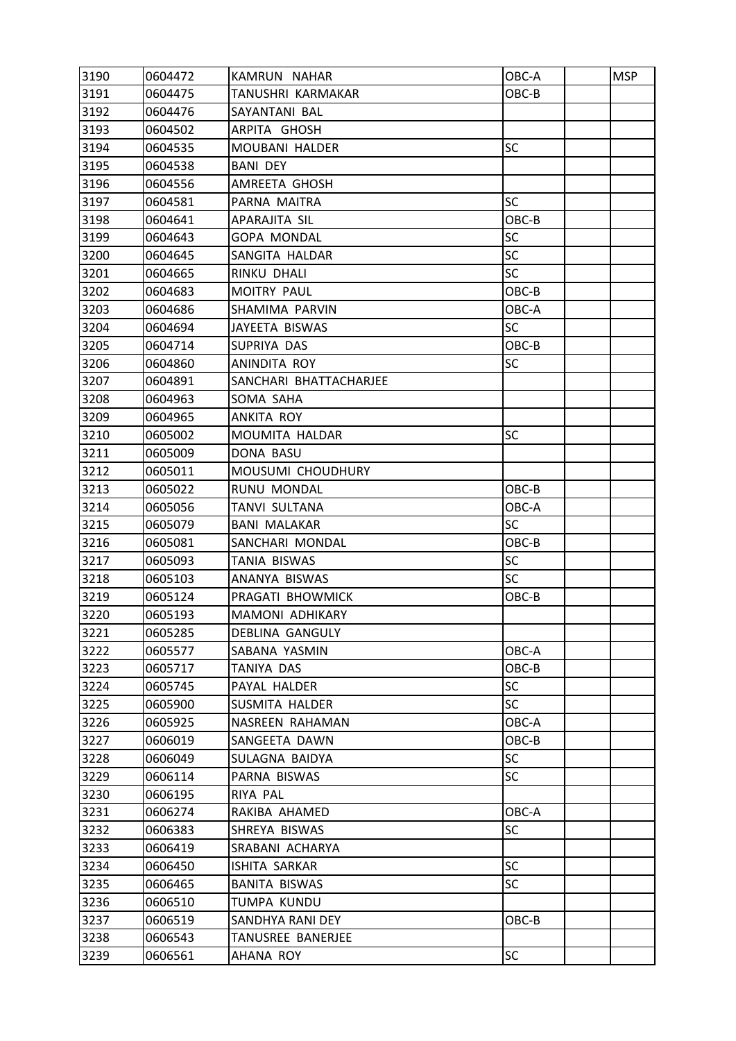| 3190 | 0604472 | KAMRUN NAHAR             | OBC-A     | <b>MSP</b> |
|------|---------|--------------------------|-----------|------------|
| 3191 | 0604475 | <b>TANUSHRI KARMAKAR</b> | OBC-B     |            |
| 3192 | 0604476 | SAYANTANI BAL            |           |            |
| 3193 | 0604502 | ARPITA GHOSH             |           |            |
| 3194 | 0604535 | MOUBANI HALDER           | <b>SC</b> |            |
| 3195 | 0604538 | <b>BANI DEY</b>          |           |            |
| 3196 | 0604556 | AMREETA GHOSH            |           |            |
| 3197 | 0604581 | PARNA MAITRA             | <b>SC</b> |            |
| 3198 | 0604641 | APARAJITA SIL            | OBC-B     |            |
| 3199 | 0604643 | <b>GOPA MONDAL</b>       | <b>SC</b> |            |
| 3200 | 0604645 | SANGITA HALDAR           | <b>SC</b> |            |
| 3201 | 0604665 | RINKU DHALI              | <b>SC</b> |            |
| 3202 | 0604683 | MOITRY PAUL              | OBC-B     |            |
| 3203 | 0604686 | SHAMIMA PARVIN           | OBC-A     |            |
| 3204 | 0604694 | JAYEETA BISWAS           | <b>SC</b> |            |
| 3205 | 0604714 | SUPRIYA DAS              | OBC-B     |            |
| 3206 | 0604860 | ANINDITA ROY             | <b>SC</b> |            |
| 3207 | 0604891 | SANCHARI BHATTACHARJEE   |           |            |
| 3208 | 0604963 | SOMA SAHA                |           |            |
| 3209 | 0604965 | ANKITA ROY               |           |            |
| 3210 | 0605002 | MOUMITA HALDAR           | <b>SC</b> |            |
| 3211 | 0605009 | DONA BASU                |           |            |
| 3212 | 0605011 | MOUSUMI CHOUDHURY        |           |            |
| 3213 | 0605022 | RUNU MONDAL              | OBC-B     |            |
| 3214 | 0605056 | <b>TANVI SULTANA</b>     | OBC-A     |            |
| 3215 | 0605079 | <b>BANI MALAKAR</b>      | <b>SC</b> |            |
| 3216 | 0605081 | SANCHARI MONDAL          | OBC-B     |            |
| 3217 | 0605093 | <b>TANIA BISWAS</b>      | <b>SC</b> |            |
| 3218 | 0605103 | ANANYA BISWAS            | <b>SC</b> |            |
| 3219 | 0605124 | PRAGATI BHOWMICK         | OBC-B     |            |
| 3220 | 0605193 | <b>MAMONI ADHIKARY</b>   |           |            |
| 3221 | 0605285 | DEBLINA GANGULY          |           |            |
| 3222 | 0605577 | SABANA YASMIN            | OBC-A     |            |
| 3223 | 0605717 | TANIYA DAS               | OBC-B     |            |
| 3224 | 0605745 | PAYAL HALDER             | <b>SC</b> |            |
| 3225 | 0605900 | <b>SUSMITA HALDER</b>    | <b>SC</b> |            |
| 3226 | 0605925 | NASREEN RAHAMAN          | OBC-A     |            |
| 3227 | 0606019 | SANGEETA DAWN            | OBC-B     |            |
| 3228 | 0606049 | SULAGNA BAIDYA           | <b>SC</b> |            |
| 3229 | 0606114 | PARNA BISWAS             | <b>SC</b> |            |
| 3230 | 0606195 | RIYA PAL                 |           |            |
| 3231 | 0606274 | RAKIBA AHAMED            | OBC-A     |            |
| 3232 | 0606383 | SHREYA BISWAS            | SC        |            |
| 3233 | 0606419 | SRABANI ACHARYA          |           |            |
| 3234 | 0606450 | ISHITA SARKAR            | <b>SC</b> |            |
| 3235 | 0606465 | <b>BANITA BISWAS</b>     | <b>SC</b> |            |
| 3236 | 0606510 | TUMPA KUNDU              |           |            |
| 3237 | 0606519 | SANDHYA RANI DEY         | OBC-B     |            |
| 3238 | 0606543 | TANUSREE BANERJEE        |           |            |
| 3239 | 0606561 | AHANA ROY                | <b>SC</b> |            |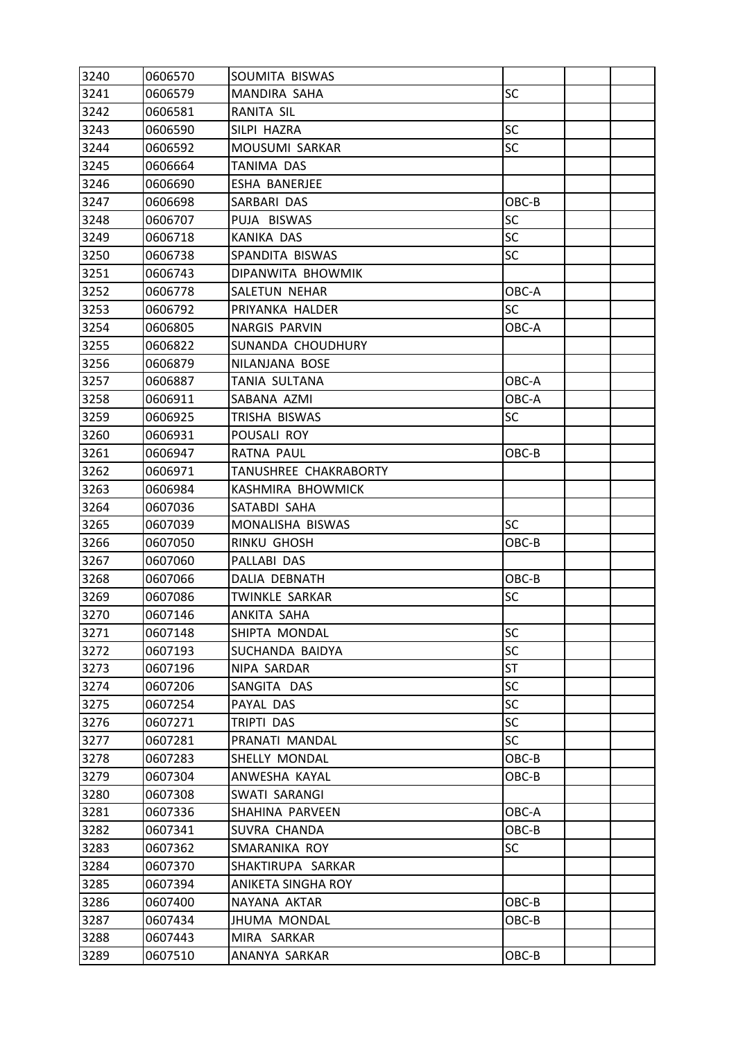| 3240 | 0606570 | SOUMITA BISWAS        |           |  |
|------|---------|-----------------------|-----------|--|
| 3241 | 0606579 | MANDIRA SAHA          | SC        |  |
| 3242 | 0606581 | RANITA SIL            |           |  |
| 3243 | 0606590 | SILPI HAZRA           | <b>SC</b> |  |
| 3244 | 0606592 | MOUSUMI SARKAR        | SC        |  |
| 3245 | 0606664 | TANIMA DAS            |           |  |
| 3246 | 0606690 | ESHA BANERJEE         |           |  |
| 3247 | 0606698 | SARBARI DAS           | OBC-B     |  |
| 3248 | 0606707 | PUJA BISWAS           | SC        |  |
| 3249 | 0606718 | <b>KANIKA DAS</b>     | <b>SC</b> |  |
| 3250 | 0606738 | SPANDITA BISWAS       | SC        |  |
| 3251 | 0606743 | DIPANWITA BHOWMIK     |           |  |
| 3252 | 0606778 | SALETUN NEHAR         | OBC-A     |  |
| 3253 | 0606792 | PRIYANKA HALDER       | SC        |  |
| 3254 | 0606805 | <b>NARGIS PARVIN</b>  | OBC-A     |  |
| 3255 | 0606822 | SUNANDA CHOUDHURY     |           |  |
| 3256 | 0606879 | NILANJANA BOSE        |           |  |
| 3257 | 0606887 | TANIA SULTANA         | OBC-A     |  |
| 3258 | 0606911 | SABANA AZMI           | OBC-A     |  |
| 3259 | 0606925 | TRISHA BISWAS         | SC        |  |
| 3260 | 0606931 | POUSALI ROY           |           |  |
| 3261 | 0606947 | RATNA PAUL            | OBC-B     |  |
| 3262 | 0606971 | TANUSHREE CHAKRABORTY |           |  |
| 3263 | 0606984 | KASHMIRA BHOWMICK     |           |  |
| 3264 | 0607036 | SATABDI SAHA          |           |  |
| 3265 | 0607039 | MONALISHA BISWAS      | <b>SC</b> |  |
| 3266 | 0607050 | RINKU GHOSH           | OBC-B     |  |
| 3267 | 0607060 | PALLABI DAS           |           |  |
| 3268 | 0607066 | DALIA DEBNATH         | OBC-B     |  |
| 3269 | 0607086 | TWINKLE SARKAR        | SC        |  |
| 3270 | 0607146 | ANKITA SAHA           |           |  |
| 3271 | 0607148 | SHIPTA MONDAL         | SC        |  |
| 3272 | 0607193 | SUCHANDA BAIDYA       | <b>SC</b> |  |
| 3273 | 0607196 | NIPA SARDAR           | <b>ST</b> |  |
| 3274 | 0607206 | SANGITA DAS           | <b>SC</b> |  |
| 3275 | 0607254 | PAYAL DAS             | <b>SC</b> |  |
| 3276 | 0607271 | TRIPTI DAS            | SC        |  |
| 3277 | 0607281 | PRANATI MANDAL        | <b>SC</b> |  |
| 3278 | 0607283 | SHELLY MONDAL         | OBC-B     |  |
| 3279 | 0607304 | ANWESHA KAYAL         | OBC-B     |  |
| 3280 | 0607308 | SWATI SARANGI         |           |  |
| 3281 | 0607336 | SHAHINA PARVEEN       | OBC-A     |  |
| 3282 | 0607341 | SUVRA CHANDA          | OBC-B     |  |
| 3283 | 0607362 | SMARANIKA ROY         | SC        |  |
| 3284 | 0607370 | SHAKTIRUPA SARKAR     |           |  |
| 3285 | 0607394 | ANIKETA SINGHA ROY    |           |  |
| 3286 | 0607400 | NAYANA AKTAR          | OBC-B     |  |
| 3287 | 0607434 | <b>JHUMA MONDAL</b>   | OBC-B     |  |
| 3288 | 0607443 | MIRA SARKAR           |           |  |
| 3289 | 0607510 | ANANYA SARKAR         | OBC-B     |  |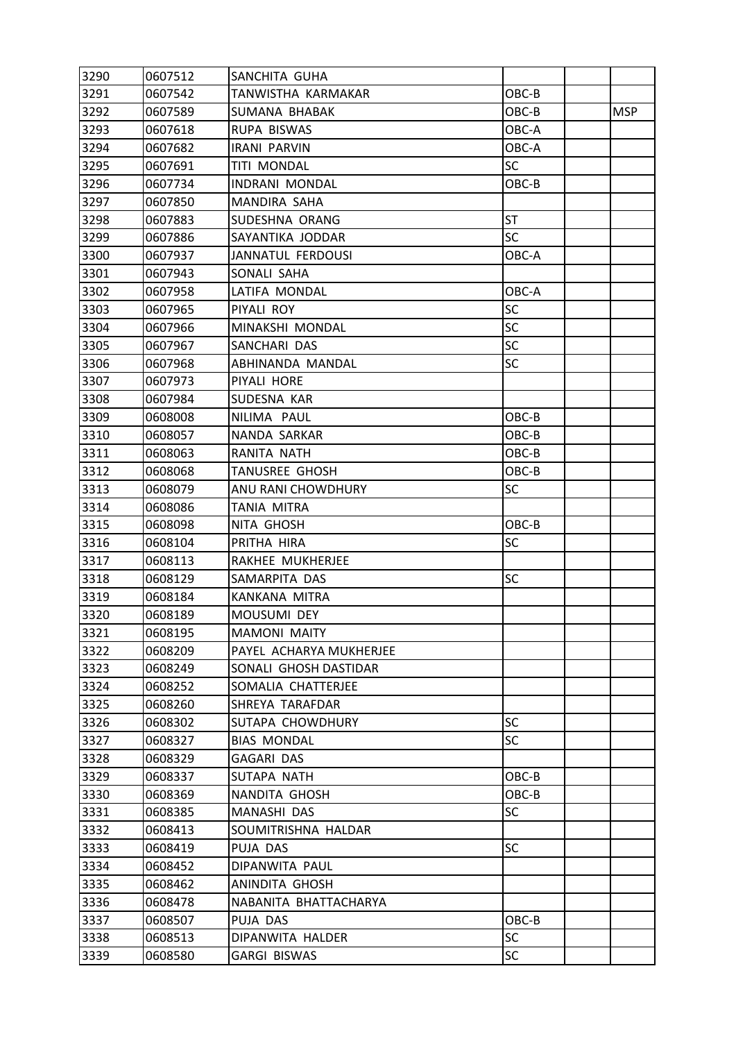| 3290 | 0607512 | SANCHITA GUHA           |           |            |
|------|---------|-------------------------|-----------|------------|
| 3291 | 0607542 | TANWISTHA KARMAKAR      | OBC-B     |            |
| 3292 | 0607589 | SUMANA BHABAK           | OBC-B     | <b>MSP</b> |
| 3293 | 0607618 | RUPA BISWAS             | OBC-A     |            |
| 3294 | 0607682 | <b>IRANI PARVIN</b>     | OBC-A     |            |
| 3295 | 0607691 | <b>TITI MONDAL</b>      | SC        |            |
| 3296 | 0607734 | INDRANI MONDAL          | OBC-B     |            |
| 3297 | 0607850 | MANDIRA SAHA            |           |            |
| 3298 | 0607883 | SUDESHNA ORANG          | ST        |            |
| 3299 | 0607886 | SAYANTIKA JODDAR        | <b>SC</b> |            |
| 3300 | 0607937 | JANNATUL FERDOUSI       | OBC-A     |            |
| 3301 | 0607943 | SONALI SAHA             |           |            |
| 3302 | 0607958 | LATIFA MONDAL           | OBC-A     |            |
| 3303 | 0607965 | PIYALI ROY              | <b>SC</b> |            |
| 3304 | 0607966 | MINAKSHI MONDAL         | SC        |            |
| 3305 | 0607967 | SANCHARI DAS            | SC        |            |
| 3306 | 0607968 | ABHINANDA MANDAL        | SC        |            |
| 3307 | 0607973 | PIYALI HORE             |           |            |
| 3308 | 0607984 | SUDESNA KAR             |           |            |
| 3309 | 0608008 | NILIMA PAUL             | OBC-B     |            |
| 3310 | 0608057 | NANDA SARKAR            | OBC-B     |            |
| 3311 | 0608063 | RANITA NATH             | OBC-B     |            |
| 3312 | 0608068 | <b>TANUSREE GHOSH</b>   | OBC-B     |            |
| 3313 | 0608079 | ANU RANI CHOWDHURY      | <b>SC</b> |            |
| 3314 | 0608086 | TANIA MITRA             |           |            |
| 3315 | 0608098 | NITA GHOSH              | OBC-B     |            |
| 3316 | 0608104 | PRITHA HIRA             | SC        |            |
| 3317 | 0608113 | RAKHEE MUKHERJEE        |           |            |
| 3318 | 0608129 | SAMARPITA DAS           | SC        |            |
| 3319 | 0608184 | KANKANA MITRA           |           |            |
| 3320 | 0608189 | MOUSUMI DEY             |           |            |
| 3321 | 0608195 | <b>MAMONI MAITY</b>     |           |            |
| 3322 | 0608209 | PAYEL ACHARYA MUKHERJEE |           |            |
| 3323 | 0608249 | SONALI GHOSH DASTIDAR   |           |            |
| 3324 | 0608252 | SOMALIA CHATTERJEE      |           |            |
| 3325 | 0608260 | SHREYA TARAFDAR         |           |            |
| 3326 | 0608302 | SUTAPA CHOWDHURY        | <b>SC</b> |            |
| 3327 | 0608327 | <b>BIAS MONDAL</b>      | <b>SC</b> |            |
| 3328 | 0608329 | <b>GAGARI DAS</b>       |           |            |
| 3329 | 0608337 | SUTAPA NATH             | OBC-B     |            |
| 3330 | 0608369 | NANDITA GHOSH           | OBC-B     |            |
| 3331 | 0608385 | MANASHI DAS             | <b>SC</b> |            |
| 3332 | 0608413 | SOUMITRISHNA HALDAR     |           |            |
| 3333 | 0608419 | PUJA DAS                | <b>SC</b> |            |
| 3334 | 0608452 | DIPANWITA PAUL          |           |            |
| 3335 | 0608462 | ANINDITA GHOSH          |           |            |
| 3336 | 0608478 | NABANITA BHATTACHARYA   |           |            |
| 3337 | 0608507 | PUJA DAS                | OBC-B     |            |
| 3338 | 0608513 | DIPANWITA HALDER        | <b>SC</b> |            |
| 3339 | 0608580 | <b>GARGI BISWAS</b>     | SC        |            |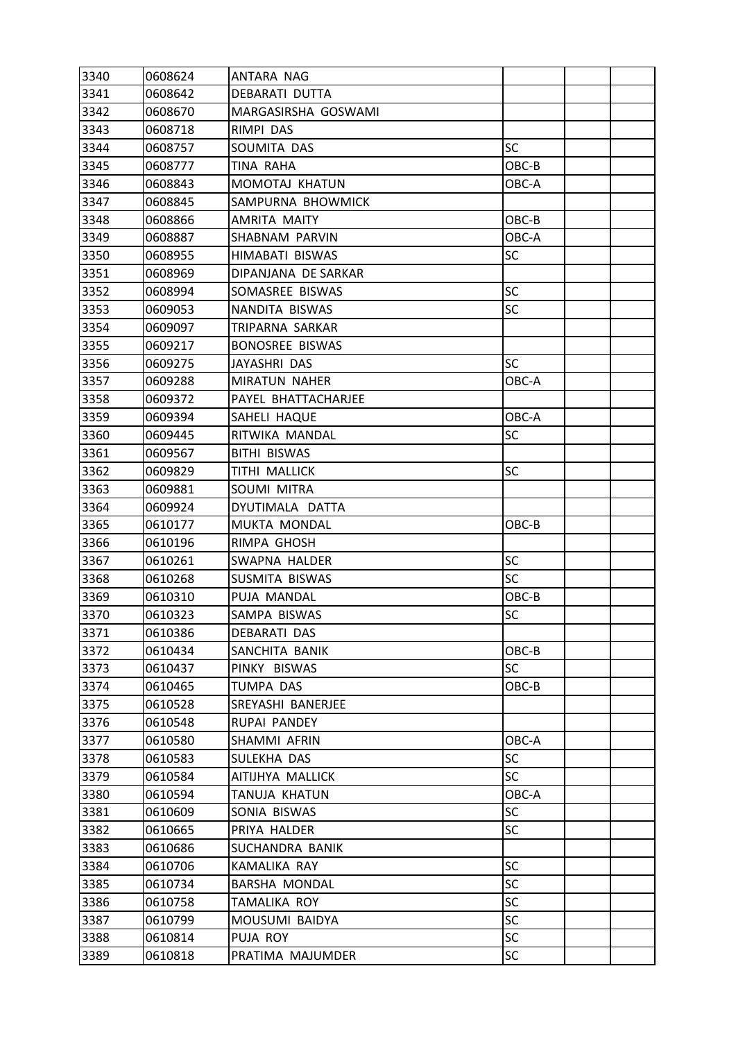| 3340 | 0608624 | ANTARA NAG             |           |  |
|------|---------|------------------------|-----------|--|
| 3341 | 0608642 | <b>DEBARATI DUTTA</b>  |           |  |
| 3342 | 0608670 | MARGASIRSHA GOSWAMI    |           |  |
| 3343 | 0608718 | RIMPI DAS              |           |  |
| 3344 | 0608757 | SOUMITA DAS            | <b>SC</b> |  |
| 3345 | 0608777 | TINA RAHA              | OBC-B     |  |
| 3346 | 0608843 | MOMOTAJ KHATUN         | OBC-A     |  |
| 3347 | 0608845 | SAMPURNA BHOWMICK      |           |  |
| 3348 | 0608866 | AMRITA MAITY           | OBC-B     |  |
| 3349 | 0608887 | SHABNAM PARVIN         | OBC-A     |  |
| 3350 | 0608955 | HIMABATI BISWAS        | <b>SC</b> |  |
| 3351 | 0608969 | DIPANJANA DE SARKAR    |           |  |
| 3352 | 0608994 | SOMASREE BISWAS        | <b>SC</b> |  |
| 3353 | 0609053 | NANDITA BISWAS         | <b>SC</b> |  |
| 3354 | 0609097 | TRIPARNA SARKAR        |           |  |
| 3355 | 0609217 | <b>BONOSREE BISWAS</b> |           |  |
| 3356 | 0609275 | JAYASHRI DAS           | <b>SC</b> |  |
| 3357 | 0609288 | <b>MIRATUN NAHER</b>   | OBC-A     |  |
| 3358 | 0609372 | PAYEL BHATTACHARJEE    |           |  |
| 3359 | 0609394 | SAHELI HAQUE           | OBC-A     |  |
| 3360 | 0609445 | RITWIKA MANDAL         | <b>SC</b> |  |
| 3361 | 0609567 | <b>BITHI BISWAS</b>    |           |  |
| 3362 | 0609829 | TITHI MALLICK          | SC        |  |
| 3363 | 0609881 | SOUMI MITRA            |           |  |
| 3364 | 0609924 | DYUTIMALA DATTA        |           |  |
| 3365 | 0610177 | MUKTA MONDAL           | OBC-B     |  |
| 3366 | 0610196 | RIMPA GHOSH            |           |  |
| 3367 | 0610261 | SWAPNA HALDER          | <b>SC</b> |  |
| 3368 | 0610268 | SUSMITA BISWAS         | <b>SC</b> |  |
| 3369 | 0610310 | PUJA MANDAL            | OBC-B     |  |
| 3370 | 0610323 | SAMPA BISWAS           | SC        |  |
| 3371 | 0610386 | <b>DEBARATI DAS</b>    |           |  |
| 3372 | 0610434 | SANCHITA BANIK         | OBC-B     |  |
| 3373 | 0610437 | PINKY BISWAS           | SC        |  |
| 3374 | 0610465 | TUMPA DAS              | OBC-B     |  |
| 3375 | 0610528 | SREYASHI BANERJEE      |           |  |
| 3376 | 0610548 | RUPAI PANDEY           |           |  |
| 3377 | 0610580 | SHAMMI AFRIN           | OBC-A     |  |
| 3378 | 0610583 | SULEKHA DAS            | <b>SC</b> |  |
| 3379 | 0610584 | AITIJHYA MALLICK       | <b>SC</b> |  |
| 3380 | 0610594 | TANUJA KHATUN          | OBC-A     |  |
| 3381 | 0610609 | SONIA BISWAS           | <b>SC</b> |  |
| 3382 | 0610665 | PRIYA HALDER           | <b>SC</b> |  |
| 3383 | 0610686 | SUCHANDRA BANIK        |           |  |
| 3384 | 0610706 | KAMALIKA RAY           | <b>SC</b> |  |
| 3385 | 0610734 | <b>BARSHA MONDAL</b>   | <b>SC</b> |  |
| 3386 | 0610758 | TAMALIKA ROY           | <b>SC</b> |  |
| 3387 | 0610799 | MOUSUMI BAIDYA         | <b>SC</b> |  |
| 3388 | 0610814 | PUJA ROY               | <b>SC</b> |  |
| 3389 | 0610818 | PRATIMA MAJUMDER       | SC        |  |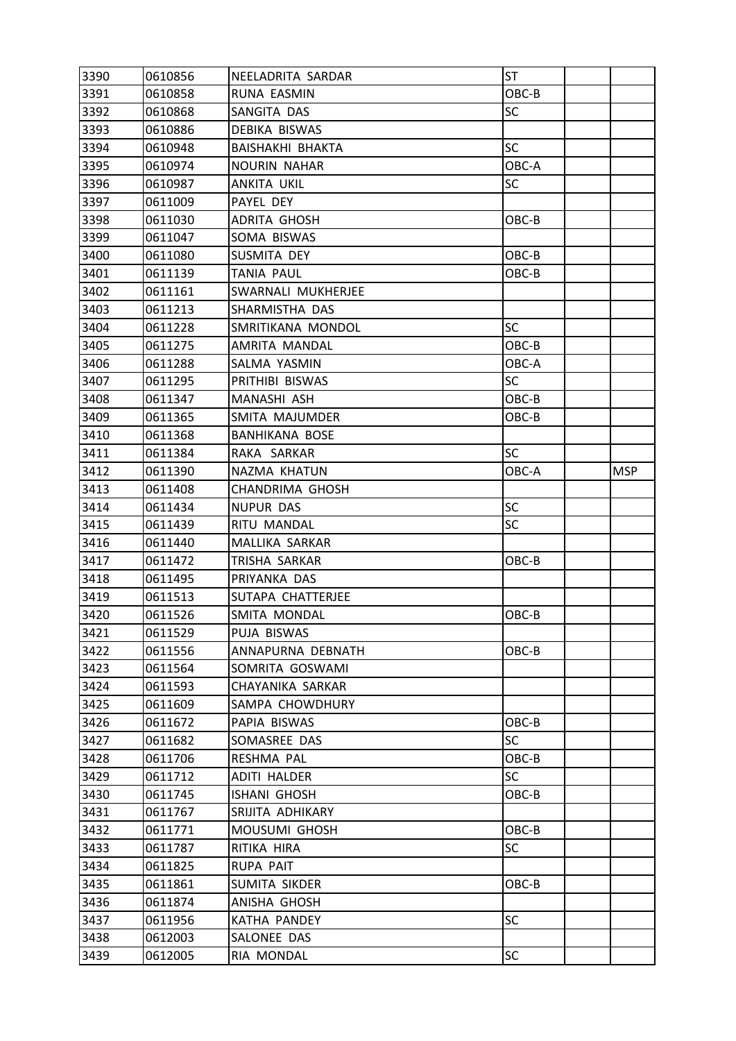| 3390 | 0610856 | NEELADRITA SARDAR       | ST        |            |
|------|---------|-------------------------|-----------|------------|
| 3391 | 0610858 | RUNA EASMIN             | OBC-B     |            |
| 3392 | 0610868 | SANGITA DAS             | SC        |            |
| 3393 | 0610886 | DEBIKA BISWAS           |           |            |
| 3394 | 0610948 | <b>BAISHAKHI BHAKTA</b> | <b>SC</b> |            |
| 3395 | 0610974 | <b>NOURIN NAHAR</b>     | OBC-A     |            |
| 3396 | 0610987 | ANKITA UKIL             | <b>SC</b> |            |
| 3397 | 0611009 | PAYEL DEY               |           |            |
| 3398 | 0611030 | ADRITA GHOSH            | OBC-B     |            |
| 3399 | 0611047 | SOMA BISWAS             |           |            |
| 3400 | 0611080 | SUSMITA DEY             | OBC-B     |            |
| 3401 | 0611139 | <b>TANIA PAUL</b>       | OBC-B     |            |
| 3402 | 0611161 | SWARNALI MUKHERJEE      |           |            |
| 3403 | 0611213 | SHARMISTHA DAS          |           |            |
| 3404 | 0611228 | SMRITIKANA MONDOL       | <b>SC</b> |            |
| 3405 | 0611275 | AMRITA MANDAL           | OBC-B     |            |
| 3406 | 0611288 | SALMA YASMIN            | OBC-A     |            |
| 3407 | 0611295 | PRITHIBI BISWAS         | <b>SC</b> |            |
| 3408 | 0611347 | MANASHI ASH             | OBC-B     |            |
| 3409 | 0611365 | SMITA MAJUMDER          | OBC-B     |            |
| 3410 | 0611368 | <b>BANHIKANA BOSE</b>   |           |            |
| 3411 | 0611384 | RAKA SARKAR             | <b>SC</b> |            |
| 3412 | 0611390 | NAZMA KHATUN            | OBC-A     | <b>MSP</b> |
| 3413 | 0611408 | CHANDRIMA GHOSH         |           |            |
| 3414 | 0611434 | NUPUR DAS               | SC        |            |
| 3415 | 0611439 | RITU MANDAL             | <b>SC</b> |            |
| 3416 | 0611440 | MALLIKA SARKAR          |           |            |
| 3417 | 0611472 | TRISHA SARKAR           | OBC-B     |            |
| 3418 | 0611495 | PRIYANKA DAS            |           |            |
| 3419 | 0611513 | SUTAPA CHATTERJEE       |           |            |
| 3420 | 0611526 | SMITA MONDAL            | OBC-B     |            |
| 3421 | 0611529 | PUJA BISWAS             |           |            |
| 3422 | 0611556 | ANNAPURNA DEBNATH       | OBC-B     |            |
| 3423 | 0611564 | SOMRITA GOSWAMI         |           |            |
| 3424 | 0611593 | CHAYANIKA SARKAR        |           |            |
| 3425 | 0611609 | SAMPA CHOWDHURY         |           |            |
| 3426 | 0611672 | PAPIA BISWAS            | OBC-B     |            |
| 3427 | 0611682 | SOMASREE DAS            | SC        |            |
| 3428 | 0611706 | RESHMA PAL              | OBC-B     |            |
| 3429 | 0611712 | ADITI HALDER            | SC        |            |
| 3430 | 0611745 | ISHANI GHOSH            | OBC-B     |            |
| 3431 | 0611767 | SRIJITA ADHIKARY        |           |            |
| 3432 | 0611771 | MOUSUMI GHOSH           | OBC-B     |            |
| 3433 | 0611787 | RITIKA HIRA             | <b>SC</b> |            |
| 3434 | 0611825 | RUPA PAIT               |           |            |
| 3435 | 0611861 | SUMITA SIKDER           | OBC-B     |            |
| 3436 | 0611874 | ANISHA GHOSH            |           |            |
| 3437 | 0611956 | KATHA PANDEY            | <b>SC</b> |            |
| 3438 | 0612003 | SALONEE DAS             |           |            |
| 3439 | 0612005 | RIA MONDAL              | <b>SC</b> |            |
|      |         |                         |           |            |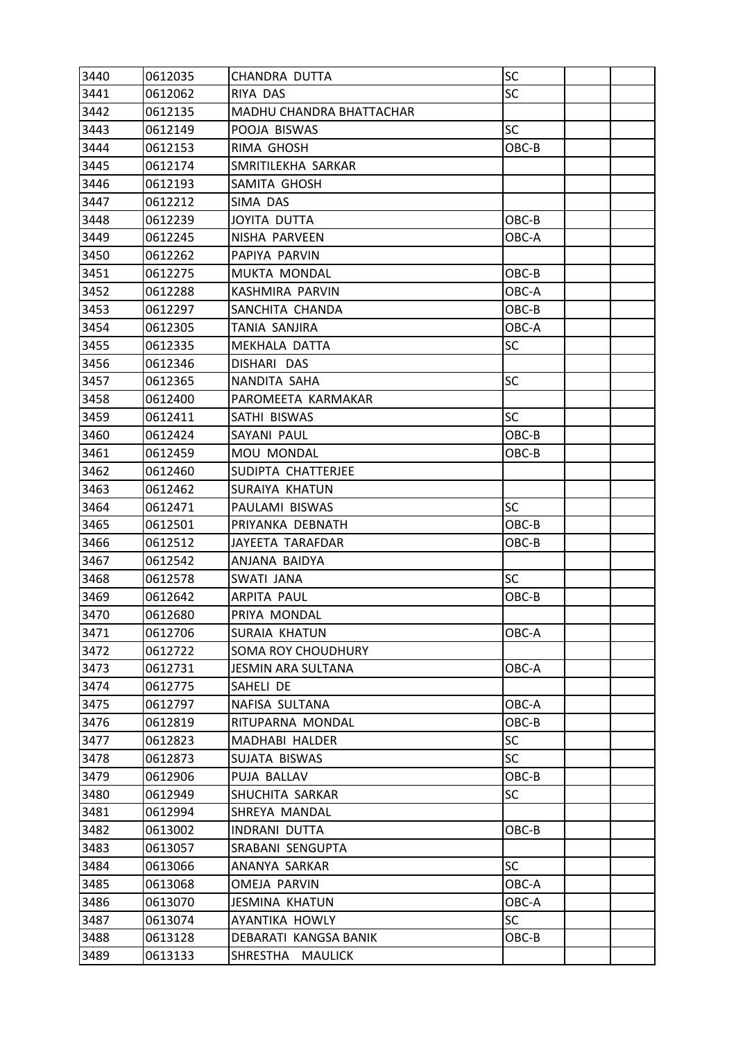| 3440 | 0612035 | CHANDRA DUTTA                   | SC        |  |
|------|---------|---------------------------------|-----------|--|
| 3441 | 0612062 | RIYA DAS                        | <b>SC</b> |  |
| 3442 | 0612135 | <b>MADHU CHANDRA BHATTACHAR</b> |           |  |
| 3443 | 0612149 | POOJA BISWAS                    | <b>SC</b> |  |
| 3444 | 0612153 | RIMA GHOSH                      | OBC-B     |  |
| 3445 | 0612174 | SMRITILEKHA SARKAR              |           |  |
| 3446 | 0612193 | SAMITA GHOSH                    |           |  |
| 3447 | 0612212 | SIMA DAS                        |           |  |
| 3448 | 0612239 | <b>JOYITA DUTTA</b>             | OBC-B     |  |
| 3449 | 0612245 | NISHA PARVEEN                   | OBC-A     |  |
| 3450 | 0612262 | PAPIYA PARVIN                   |           |  |
| 3451 | 0612275 | MUKTA MONDAL                    | OBC-B     |  |
| 3452 | 0612288 | KASHMIRA PARVIN                 | OBC-A     |  |
| 3453 | 0612297 | SANCHITA CHANDA                 | OBC-B     |  |
| 3454 | 0612305 | TANIA SANJIRA                   | OBC-A     |  |
| 3455 | 0612335 | MEKHALA DATTA                   | <b>SC</b> |  |
| 3456 | 0612346 | DISHARI DAS                     |           |  |
| 3457 | 0612365 | NANDITA SAHA                    | <b>SC</b> |  |
| 3458 | 0612400 | PAROMEETA KARMAKAR              |           |  |
| 3459 | 0612411 | SATHI BISWAS                    | <b>SC</b> |  |
| 3460 | 0612424 | SAYANI PAUL                     | OBC-B     |  |
| 3461 | 0612459 | MOU MONDAL                      | OBC-B     |  |
| 3462 | 0612460 | SUDIPTA CHATTERJEE              |           |  |
| 3463 | 0612462 | SURAIYA KHATUN                  |           |  |
| 3464 | 0612471 | PAULAMI BISWAS                  | <b>SC</b> |  |
| 3465 | 0612501 | PRIYANKA DEBNATH                | OBC-B     |  |
| 3466 | 0612512 | JAYEETA TARAFDAR                | OBC-B     |  |
| 3467 | 0612542 | ANJANA BAIDYA                   |           |  |
| 3468 | 0612578 | SWATI JANA                      | <b>SC</b> |  |
| 3469 | 0612642 | ARPITA PAUL                     | OBC-B     |  |
| 3470 | 0612680 | PRIYA MONDAL                    |           |  |
| 3471 | 0612706 | <b>SURAIA KHATUN</b>            | OBC-A     |  |
| 3472 | 0612722 | <b>SOMA ROY CHOUDHURY</b>       |           |  |
| 3473 | 0612731 | <b>JESMIN ARA SULTANA</b>       | OBC-A     |  |
| 3474 | 0612775 | SAHELI DE                       |           |  |
| 3475 | 0612797 | NAFISA SULTANA                  | OBC-A     |  |
| 3476 | 0612819 | RITUPARNA MONDAL                | OBC-B     |  |
| 3477 | 0612823 | MADHABI HALDER                  | <b>SC</b> |  |
| 3478 | 0612873 | SUJATA BISWAS                   | <b>SC</b> |  |
| 3479 | 0612906 | PUJA BALLAV                     | $OBC-B$   |  |
| 3480 | 0612949 | SHUCHITA SARKAR                 | <b>SC</b> |  |
| 3481 | 0612994 | SHREYA MANDAL                   |           |  |
| 3482 | 0613002 | INDRANI DUTTA                   | $OBC-B$   |  |
| 3483 | 0613057 | SRABANI SENGUPTA                |           |  |
| 3484 | 0613066 | ANANYA SARKAR                   | <b>SC</b> |  |
| 3485 | 0613068 | OMEJA PARVIN                    | OBC-A     |  |
| 3486 | 0613070 | <b>JESMINA KHATUN</b>           | OBC-A     |  |
| 3487 | 0613074 | AYANTIKA HOWLY                  | <b>SC</b> |  |
| 3488 | 0613128 | DEBARATI KANGSA BANIK           | OBC-B     |  |
| 3489 | 0613133 | SHRESTHA MAULICK                |           |  |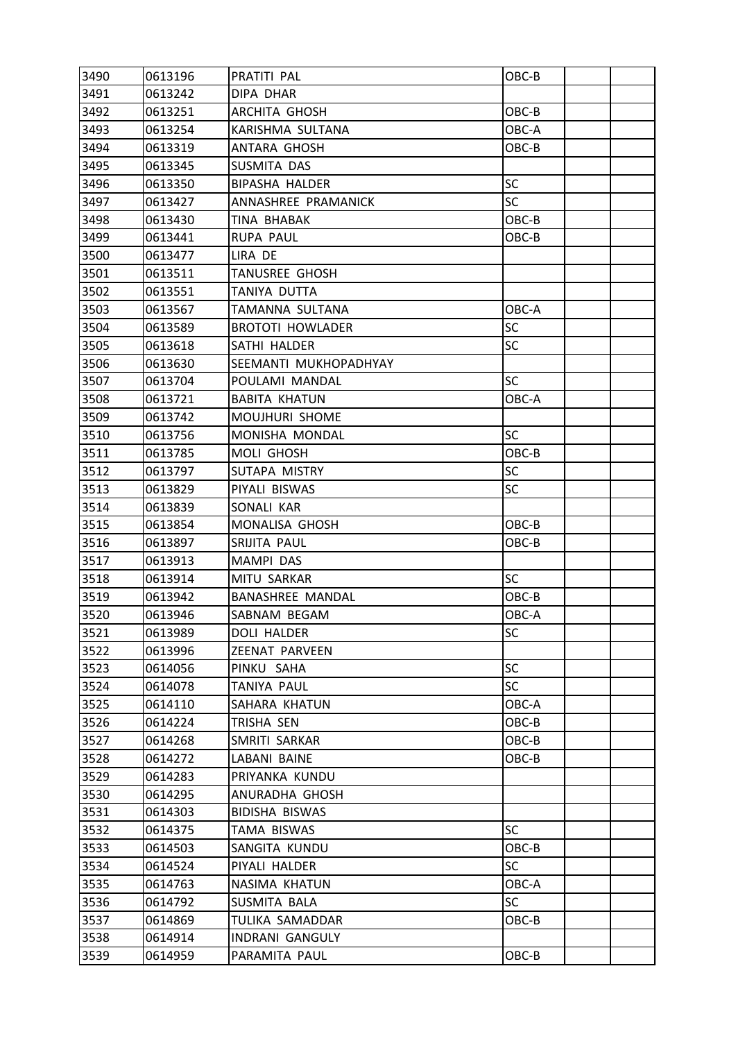| 3490 | 0613196 | PRATITI PAL             | OBC-B     |  |
|------|---------|-------------------------|-----------|--|
| 3491 | 0613242 | DIPA DHAR               |           |  |
| 3492 | 0613251 | ARCHITA GHOSH           | OBC-B     |  |
| 3493 | 0613254 | KARISHMA SULTANA        | OBC-A     |  |
| 3494 | 0613319 | ANTARA GHOSH            | OBC-B     |  |
| 3495 | 0613345 | SUSMITA DAS             |           |  |
| 3496 | 0613350 | <b>BIPASHA HALDER</b>   | SC        |  |
| 3497 | 0613427 | ANNASHREE PRAMANICK     | <b>SC</b> |  |
| 3498 | 0613430 | TINA BHABAK             | OBC-B     |  |
| 3499 | 0613441 | <b>RUPA PAUL</b>        | OBC-B     |  |
| 3500 | 0613477 | LIRA DE                 |           |  |
| 3501 | 0613511 | <b>TANUSREE GHOSH</b>   |           |  |
| 3502 | 0613551 | TANIYA DUTTA            |           |  |
| 3503 | 0613567 | TAMANNA SULTANA         | OBC-A     |  |
| 3504 | 0613589 | <b>BROTOTI HOWLADER</b> | <b>SC</b> |  |
| 3505 | 0613618 | SATHI HALDER            | <b>SC</b> |  |
| 3506 | 0613630 | SEEMANTI MUKHOPADHYAY   |           |  |
| 3507 | 0613704 | POULAMI MANDAL          | <b>SC</b> |  |
| 3508 | 0613721 | <b>BABITA KHATUN</b>    | OBC-A     |  |
| 3509 | 0613742 | MOUJHURI SHOME          |           |  |
| 3510 | 0613756 | MONISHA MONDAL          | <b>SC</b> |  |
| 3511 | 0613785 | MOLI GHOSH              | OBC-B     |  |
| 3512 | 0613797 | SUTAPA MISTRY           | SC        |  |
| 3513 | 0613829 | PIYALI BISWAS           | <b>SC</b> |  |
| 3514 | 0613839 | SONALI KAR              |           |  |
| 3515 | 0613854 | MONALISA GHOSH          | OBC-B     |  |
| 3516 | 0613897 | SRIJITA PAUL            | OBC-B     |  |
| 3517 | 0613913 | MAMPI DAS               |           |  |
| 3518 | 0613914 | MITU SARKAR             | <b>SC</b> |  |
| 3519 | 0613942 | BANASHREE MANDAL        | OBC-B     |  |
| 3520 | 0613946 | SABNAM BEGAM            | OBC-A     |  |
| 3521 | 0613989 | <b>DOLI HALDER</b>      | SC        |  |
| 3522 | 0613996 | ZEENAT PARVEEN          |           |  |
| 3523 | 0614056 | PINKU SAHA              | <b>SC</b> |  |
| 3524 | 0614078 | <b>TANIYA PAUL</b>      | SC        |  |
| 3525 | 0614110 | SAHARA KHATUN           | OBC-A     |  |
| 3526 | 0614224 | TRISHA SEN              | OBC-B     |  |
| 3527 | 0614268 | SMRITI SARKAR           | OBC-B     |  |
| 3528 | 0614272 | LABANI BAINE            | OBC-B     |  |
| 3529 | 0614283 | PRIYANKA KUNDU          |           |  |
| 3530 | 0614295 | ANURADHA GHOSH          |           |  |
| 3531 | 0614303 | BIDISHA BISWAS          |           |  |
| 3532 | 0614375 | TAMA BISWAS             | <b>SC</b> |  |
| 3533 | 0614503 | SANGITA KUNDU           | OBC-B     |  |
| 3534 | 0614524 | PIYALI HALDER           | <b>SC</b> |  |
| 3535 | 0614763 | NASIMA KHATUN           | OBC-A     |  |
| 3536 | 0614792 | SUSMITA BALA            | <b>SC</b> |  |
| 3537 | 0614869 | TULIKA SAMADDAR         | OBC-B     |  |
| 3538 | 0614914 | INDRANI GANGULY         |           |  |
| 3539 | 0614959 | PARAMITA PAUL           | OBC-B     |  |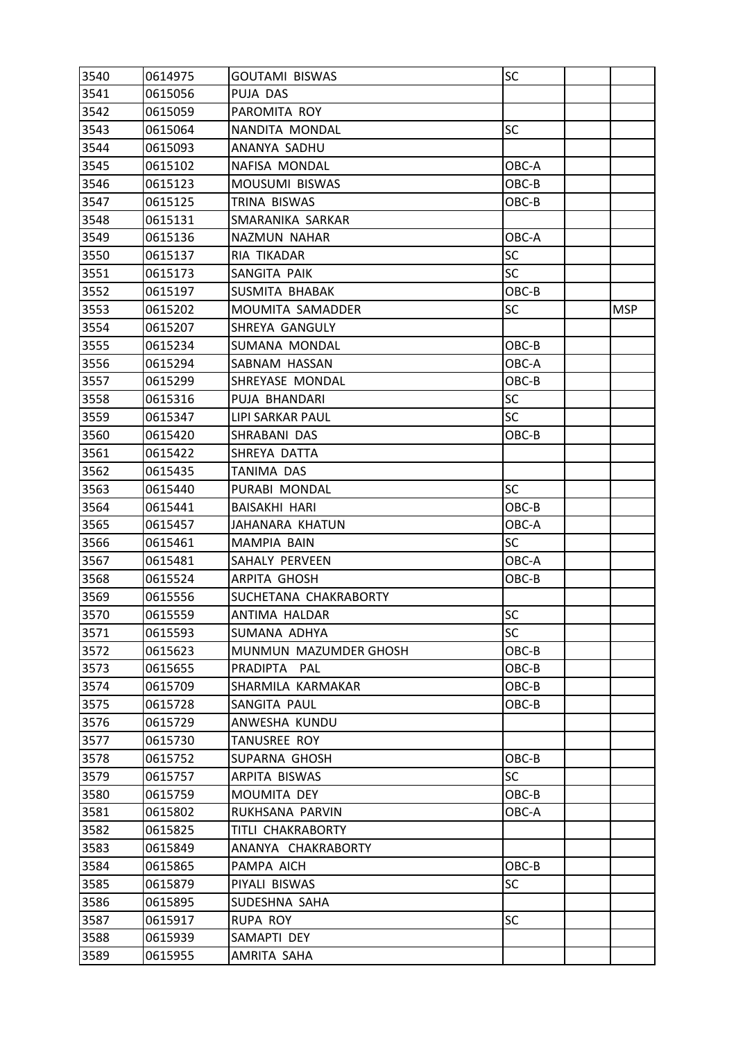| 3540 | 0614975 | <b>GOUTAMI BISWAS</b> | SC        |            |
|------|---------|-----------------------|-----------|------------|
| 3541 | 0615056 | PUJA DAS              |           |            |
| 3542 | 0615059 | PAROMITA ROY          |           |            |
| 3543 | 0615064 | NANDITA MONDAL        | <b>SC</b> |            |
| 3544 | 0615093 | ANANYA SADHU          |           |            |
| 3545 | 0615102 | NAFISA MONDAL         | OBC-A     |            |
| 3546 | 0615123 | MOUSUMI BISWAS        | OBC-B     |            |
| 3547 | 0615125 | TRINA BISWAS          | OBC-B     |            |
| 3548 | 0615131 | SMARANIKA SARKAR      |           |            |
| 3549 | 0615136 | NAZMUN NAHAR          | OBC-A     |            |
| 3550 | 0615137 | RIA TIKADAR           | <b>SC</b> |            |
| 3551 | 0615173 | SANGITA PAIK          | <b>SC</b> |            |
| 3552 | 0615197 | SUSMITA BHABAK        | OBC-B     |            |
| 3553 | 0615202 | MOUMITA SAMADDER      | <b>SC</b> | <b>MSP</b> |
| 3554 | 0615207 | SHREYA GANGULY        |           |            |
| 3555 | 0615234 | SUMANA MONDAL         | OBC-B     |            |
| 3556 | 0615294 | SABNAM HASSAN         | OBC-A     |            |
| 3557 | 0615299 | SHREYASE MONDAL       | OBC-B     |            |
| 3558 | 0615316 | PUJA BHANDARI         | <b>SC</b> |            |
| 3559 | 0615347 | LIPI SARKAR PAUL      | <b>SC</b> |            |
| 3560 | 0615420 | SHRABANI DAS          | OBC-B     |            |
| 3561 | 0615422 | SHREYA DATTA          |           |            |
| 3562 | 0615435 | TANIMA DAS            |           |            |
| 3563 | 0615440 | PURABI MONDAL         | <b>SC</b> |            |
| 3564 | 0615441 | <b>BAISAKHI HARI</b>  | OBC-B     |            |
| 3565 | 0615457 | JAHANARA KHATUN       | OBC-A     |            |
| 3566 | 0615461 | MAMPIA BAIN           | <b>SC</b> |            |
| 3567 | 0615481 | SAHALY PERVEEN        | OBC-A     |            |
| 3568 | 0615524 | <b>ARPITA GHOSH</b>   | OBC-B     |            |
| 3569 | 0615556 | SUCHETANA CHAKRABORTY |           |            |
| 3570 | 0615559 | ANTIMA HALDAR         | <b>SC</b> |            |
| 3571 | 0615593 | SUMANA ADHYA          | <b>SC</b> |            |
| 3572 | 0615623 | MUNMUN MAZUMDER GHOSH | OBC-B     |            |
| 3573 | 0615655 | PRADIPTA PAL          | OBC-B     |            |
| 3574 | 0615709 | SHARMILA KARMAKAR     | OBC-B     |            |
| 3575 | 0615728 | SANGITA PAUL          | $OBC-B$   |            |
| 3576 | 0615729 | ANWESHA KUNDU         |           |            |
| 3577 | 0615730 | TANUSREE ROY          |           |            |
| 3578 | 0615752 | SUPARNA GHOSH         | OBC-B     |            |
| 3579 | 0615757 | ARPITA BISWAS         | <b>SC</b> |            |
| 3580 | 0615759 | MOUMITA DEY           | OBC-B     |            |
| 3581 | 0615802 | RUKHSANA PARVIN       | OBC-A     |            |
| 3582 | 0615825 | TITLI CHAKRABORTY     |           |            |
| 3583 | 0615849 | ANANYA CHAKRABORTY    |           |            |
| 3584 | 0615865 | PAMPA AICH            | OBC-B     |            |
| 3585 | 0615879 | PIYALI BISWAS         | <b>SC</b> |            |
| 3586 | 0615895 | SUDESHNA SAHA         |           |            |
| 3587 | 0615917 | <b>RUPA ROY</b>       | <b>SC</b> |            |
| 3588 | 0615939 | SAMAPTI DEY           |           |            |
| 3589 | 0615955 | AMRITA SAHA           |           |            |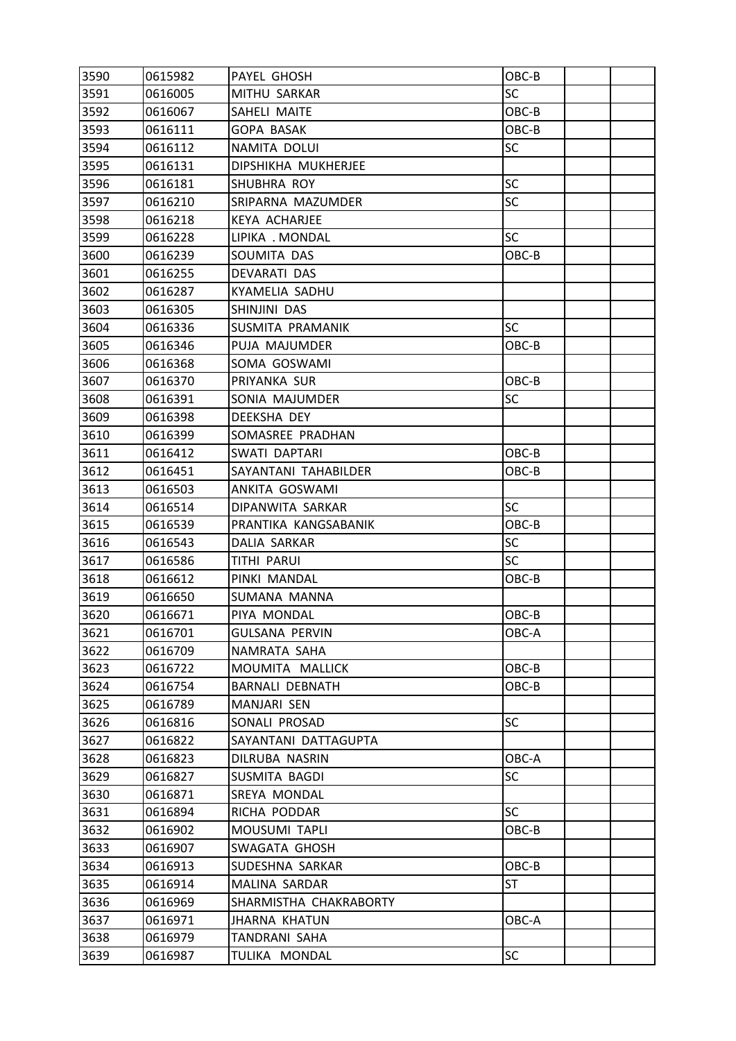| 3590 | 0615982 | PAYEL GHOSH            | OBC-B     |  |
|------|---------|------------------------|-----------|--|
| 3591 | 0616005 | MITHU SARKAR           | <b>SC</b> |  |
| 3592 | 0616067 | SAHELI MAITE           | OBC-B     |  |
| 3593 | 0616111 | <b>GOPA BASAK</b>      | OBC-B     |  |
| 3594 | 0616112 | NAMITA DOLUI           | <b>SC</b> |  |
| 3595 | 0616131 | DIPSHIKHA MUKHERJEE    |           |  |
| 3596 | 0616181 | SHUBHRA ROY            | <b>SC</b> |  |
| 3597 | 0616210 | SRIPARNA MAZUMDER      | <b>SC</b> |  |
| 3598 | 0616218 | <b>KEYA ACHARJEE</b>   |           |  |
| 3599 | 0616228 | LIPIKA . MONDAL        | <b>SC</b> |  |
| 3600 | 0616239 | SOUMITA DAS            | OBC-B     |  |
| 3601 | 0616255 | DEVARATI DAS           |           |  |
| 3602 | 0616287 | KYAMELIA SADHU         |           |  |
| 3603 | 0616305 | SHINJINI DAS           |           |  |
| 3604 | 0616336 | SUSMITA PRAMANIK       | <b>SC</b> |  |
| 3605 | 0616346 | PUJA MAJUMDER          | OBC-B     |  |
| 3606 | 0616368 | SOMA GOSWAMI           |           |  |
| 3607 | 0616370 | PRIYANKA SUR           | OBC-B     |  |
| 3608 | 0616391 | SONIA MAJUMDER         | <b>SC</b> |  |
| 3609 | 0616398 | DEEKSHA DEY            |           |  |
| 3610 | 0616399 | SOMASREE PRADHAN       |           |  |
| 3611 | 0616412 | SWATI DAPTARI          | OBC-B     |  |
| 3612 | 0616451 | SAYANTANI TAHABILDER   | OBC-B     |  |
| 3613 | 0616503 | ANKITA GOSWAMI         |           |  |
| 3614 | 0616514 | DIPANWITA SARKAR       | <b>SC</b> |  |
| 3615 | 0616539 | PRANTIKA KANGSABANIK   | OBC-B     |  |
| 3616 | 0616543 | DALIA SARKAR           | <b>SC</b> |  |
| 3617 | 0616586 | TITHI PARUI            | <b>SC</b> |  |
| 3618 | 0616612 | PINKI MANDAL           | OBC-B     |  |
| 3619 | 0616650 | SUMANA MANNA           |           |  |
| 3620 | 0616671 | PIYA MONDAL            | OBC-B     |  |
| 3621 | 0616701 | <b>GULSANA PERVIN</b>  | OBC-A     |  |
| 3622 | 0616709 | NAMRATA SAHA           |           |  |
| 3623 | 0616722 | MOUMITA MALLICK        | OBC-B     |  |
| 3624 | 0616754 | <b>BARNALI DEBNATH</b> | OBC-B     |  |
| 3625 | 0616789 | MANJARI SEN            |           |  |
| 3626 | 0616816 | SONALI PROSAD          | <b>SC</b> |  |
| 3627 | 0616822 | SAYANTANI DATTAGUPTA   |           |  |
| 3628 | 0616823 | DILRUBA NASRIN         | OBC-A     |  |
| 3629 | 0616827 | SUSMITA BAGDI          | <b>SC</b> |  |
| 3630 | 0616871 | SREYA MONDAL           |           |  |
| 3631 | 0616894 | RICHA PODDAR           | <b>SC</b> |  |
| 3632 | 0616902 | MOUSUMI TAPLI          | OBC-B     |  |
| 3633 | 0616907 | SWAGATA GHOSH          |           |  |
| 3634 | 0616913 | SUDESHNA SARKAR        | $OBC-B$   |  |
| 3635 | 0616914 | MALINA SARDAR          | <b>ST</b> |  |
| 3636 | 0616969 | SHARMISTHA CHAKRABORTY |           |  |
| 3637 | 0616971 | <b>JHARNA KHATUN</b>   | OBC-A     |  |
| 3638 | 0616979 | TANDRANI SAHA          |           |  |
| 3639 | 0616987 | TULIKA MONDAL          | <b>SC</b> |  |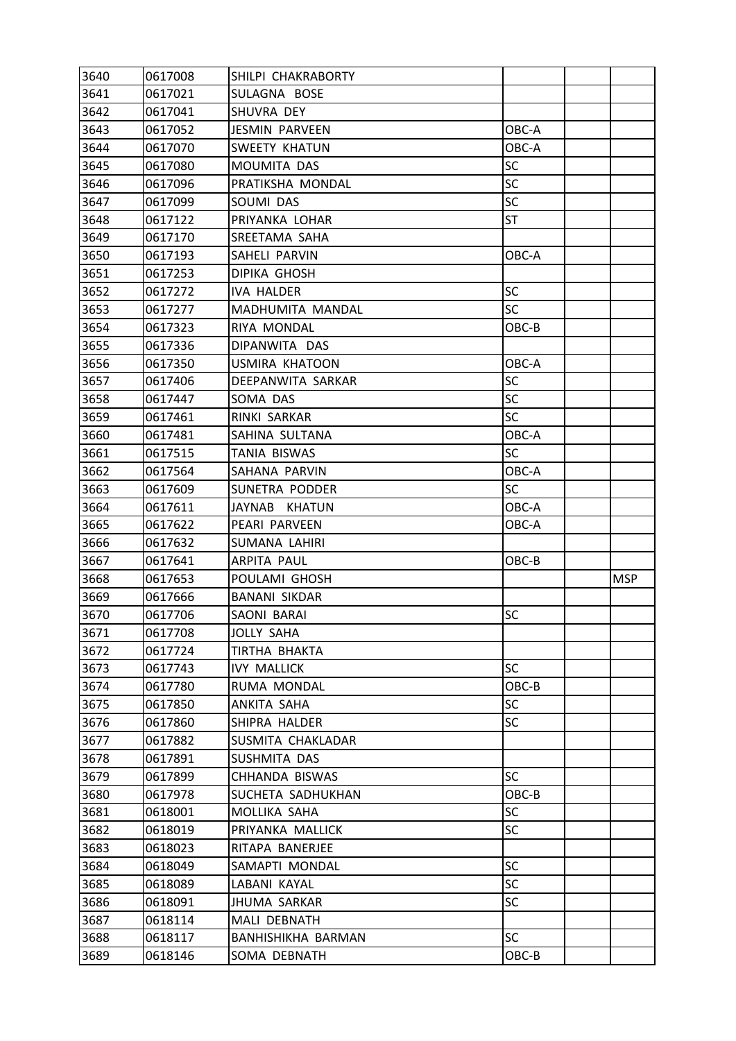| 3640 | 0617008 | SHILPI CHAKRABORTY      |           |            |
|------|---------|-------------------------|-----------|------------|
| 3641 | 0617021 | SULAGNA BOSE            |           |            |
| 3642 | 0617041 | SHUVRA DEY              |           |            |
| 3643 | 0617052 | <b>JESMIN PARVEEN</b>   | OBC-A     |            |
| 3644 | 0617070 | SWEETY KHATUN           | OBC-A     |            |
| 3645 | 0617080 | MOUMITA DAS             | SC        |            |
| 3646 | 0617096 | PRATIKSHA MONDAL        | <b>SC</b> |            |
| 3647 | 0617099 | SOUMI DAS               | SC        |            |
| 3648 | 0617122 | PRIYANKA LOHAR          | ST        |            |
| 3649 | 0617170 | SREETAMA SAHA           |           |            |
| 3650 | 0617193 | SAHELI PARVIN           | OBC-A     |            |
| 3651 | 0617253 | <b>DIPIKA GHOSH</b>     |           |            |
| 3652 | 0617272 | <b>IVA HALDER</b>       | SC        |            |
| 3653 | 0617277 | <b>MADHUMITA MANDAL</b> | <b>SC</b> |            |
| 3654 | 0617323 | RIYA MONDAL             | OBC-B     |            |
| 3655 | 0617336 | DIPANWITA DAS           |           |            |
| 3656 | 0617350 | <b>USMIRA KHATOON</b>   | OBC-A     |            |
| 3657 | 0617406 | DEEPANWITA SARKAR       | SC        |            |
| 3658 | 0617447 | SOMA DAS                | SC        |            |
| 3659 | 0617461 | RINKI SARKAR            | <b>SC</b> |            |
| 3660 | 0617481 | SAHINA SULTANA          | OBC-A     |            |
| 3661 | 0617515 | TANIA BISWAS            | SC        |            |
| 3662 | 0617564 | SAHANA PARVIN           | OBC-A     |            |
| 3663 | 0617609 | SUNETRA PODDER          | SC        |            |
| 3664 | 0617611 | JAYNAB KHATUN           | OBC-A     |            |
| 3665 | 0617622 | PEARI PARVEEN           | OBC-A     |            |
| 3666 | 0617632 | SUMANA LAHIRI           |           |            |
| 3667 | 0617641 | <b>ARPITA PAUL</b>      | OBC-B     |            |
| 3668 | 0617653 | POULAMI GHOSH           |           | <b>MSP</b> |
| 3669 | 0617666 | <b>BANANI SIKDAR</b>    |           |            |
| 3670 | 0617706 | SAONI BARAI             | <b>SC</b> |            |
| 3671 | 0617708 | <b>JOLLY SAHA</b>       |           |            |
| 3672 | 0617724 | TIRTHA BHAKTA           |           |            |
| 3673 | 0617743 | <b>IVY MALLICK</b>      | <b>SC</b> |            |
| 3674 | 0617780 | RUMA MONDAL             | OBC-B     |            |
| 3675 | 0617850 | ANKITA SAHA             | <b>SC</b> |            |
| 3676 | 0617860 | SHIPRA HALDER           | SC        |            |
| 3677 | 0617882 | SUSMITA CHAKLADAR       |           |            |
| 3678 | 0617891 | SUSHMITA DAS            |           |            |
| 3679 | 0617899 | CHHANDA BISWAS          | <b>SC</b> |            |
| 3680 | 0617978 | SUCHETA SADHUKHAN       | OBC-B     |            |
| 3681 | 0618001 | MOLLIKA SAHA            | <b>SC</b> |            |
| 3682 | 0618019 | PRIYANKA MALLICK        | <b>SC</b> |            |
| 3683 | 0618023 | RITAPA BANERJEE         |           |            |
| 3684 | 0618049 | SAMAPTI MONDAL          | <b>SC</b> |            |
| 3685 | 0618089 | LABANI KAYAL            | SC        |            |
| 3686 | 0618091 | <b>JHUMA SARKAR</b>     | SC        |            |
| 3687 | 0618114 | MALI DEBNATH            |           |            |
| 3688 | 0618117 | BANHISHIKHA BARMAN      | <b>SC</b> |            |
| 3689 |         |                         | OBC-B     |            |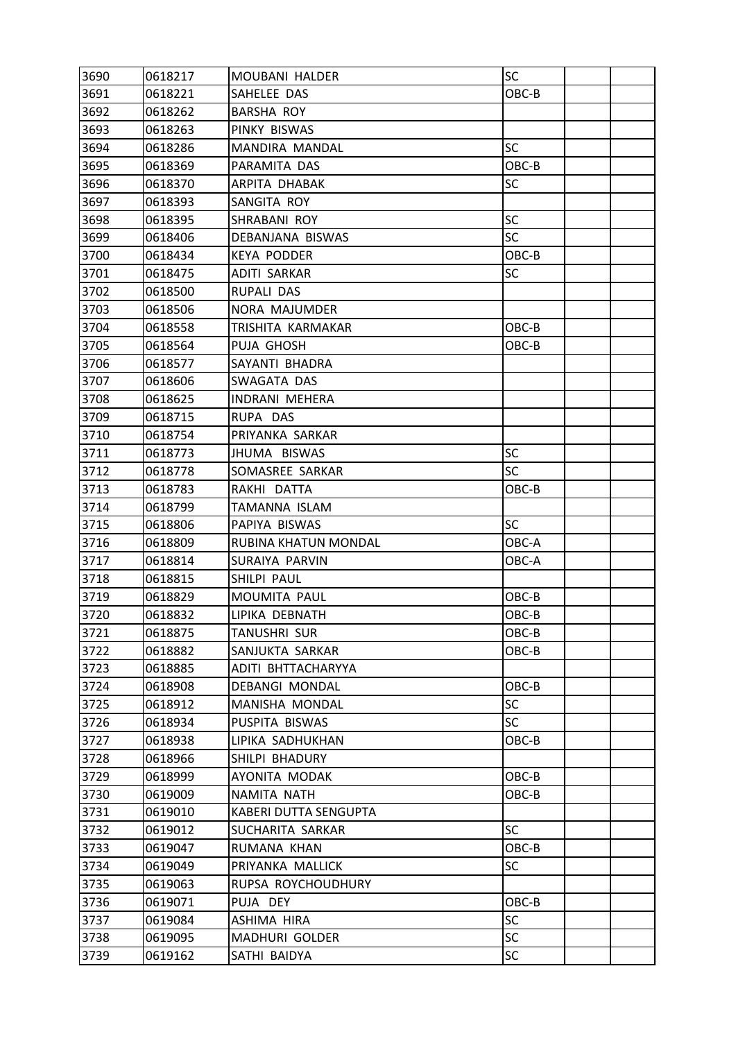| 3690 | 0618217 | MOUBANI HALDER        | SC        |  |
|------|---------|-----------------------|-----------|--|
| 3691 | 0618221 | SAHELEE DAS           | OBC-B     |  |
| 3692 | 0618262 | <b>BARSHA ROY</b>     |           |  |
| 3693 | 0618263 | PINKY BISWAS          |           |  |
| 3694 | 0618286 | MANDIRA MANDAL        | SC        |  |
| 3695 | 0618369 | PARAMITA DAS          | OBC-B     |  |
| 3696 | 0618370 | ARPITA DHABAK         | SC        |  |
| 3697 | 0618393 | SANGITA ROY           |           |  |
| 3698 | 0618395 | SHRABANI ROY          | SC        |  |
| 3699 | 0618406 | DEBANJANA BISWAS      | SC        |  |
| 3700 | 0618434 | <b>KEYA PODDER</b>    | OBC-B     |  |
| 3701 | 0618475 | ADITI SARKAR          | <b>SC</b> |  |
| 3702 | 0618500 | RUPALI DAS            |           |  |
| 3703 | 0618506 | NORA MAJUMDER         |           |  |
| 3704 | 0618558 | TRISHITA KARMAKAR     | OBC-B     |  |
| 3705 | 0618564 | PUJA GHOSH            | OBC-B     |  |
| 3706 | 0618577 | SAYANTI BHADRA        |           |  |
| 3707 | 0618606 | SWAGATA DAS           |           |  |
| 3708 | 0618625 | <b>INDRANI MEHERA</b> |           |  |
| 3709 | 0618715 | RUPA DAS              |           |  |
| 3710 | 0618754 | PRIYANKA SARKAR       |           |  |
| 3711 | 0618773 | JHUMA BISWAS          | <b>SC</b> |  |
| 3712 | 0618778 | SOMASREE SARKAR       | SC        |  |
| 3713 | 0618783 | RAKHI DATTA           | OBC-B     |  |
| 3714 | 0618799 | TAMANNA ISLAM         |           |  |
| 3715 | 0618806 | PAPIYA BISWAS         | <b>SC</b> |  |
| 3716 | 0618809 | RUBINA KHATUN MONDAL  | OBC-A     |  |
| 3717 | 0618814 | SURAIYA PARVIN        | OBC-A     |  |
| 3718 | 0618815 | SHILPI PAUL           |           |  |
| 3719 | 0618829 | MOUMITA PAUL          | OBC-B     |  |
| 3720 | 0618832 | LIPIKA DEBNATH        | OBC-B     |  |
| 3721 | 0618875 | TANUSHRI SUR          | OBC-B     |  |
| 3722 | 0618882 | SANJUKTA SARKAR       | OBC-B     |  |
| 3723 | 0618885 | ADITI BHTTACHARYYA    |           |  |
| 3724 | 0618908 | <b>DEBANGI MONDAL</b> | OBC-B     |  |
| 3725 | 0618912 | MANISHA MONDAL        | <b>SC</b> |  |
| 3726 | 0618934 | PUSPITA BISWAS        | <b>SC</b> |  |
| 3727 | 0618938 | LIPIKA SADHUKHAN      | OBC-B     |  |
| 3728 | 0618966 | SHILPI BHADURY        |           |  |
| 3729 | 0618999 | AYONITA MODAK         | OBC-B     |  |
| 3730 | 0619009 | NAMITA NATH           | OBC-B     |  |
| 3731 | 0619010 | KABERI DUTTA SENGUPTA |           |  |
| 3732 | 0619012 | SUCHARITA SARKAR      | SC        |  |
| 3733 | 0619047 | RUMANA KHAN           | OBC-B     |  |
| 3734 | 0619049 | PRIYANKA MALLICK      | SC        |  |
| 3735 | 0619063 | RUPSA ROYCHOUDHURY    |           |  |
| 3736 | 0619071 | PUJA DEY              | OBC-B     |  |
| 3737 | 0619084 | ASHIMA HIRA           | <b>SC</b> |  |
| 3738 | 0619095 | <b>MADHURI GOLDER</b> | SC        |  |
| 3739 | 0619162 | SATHI BAIDYA          | SC        |  |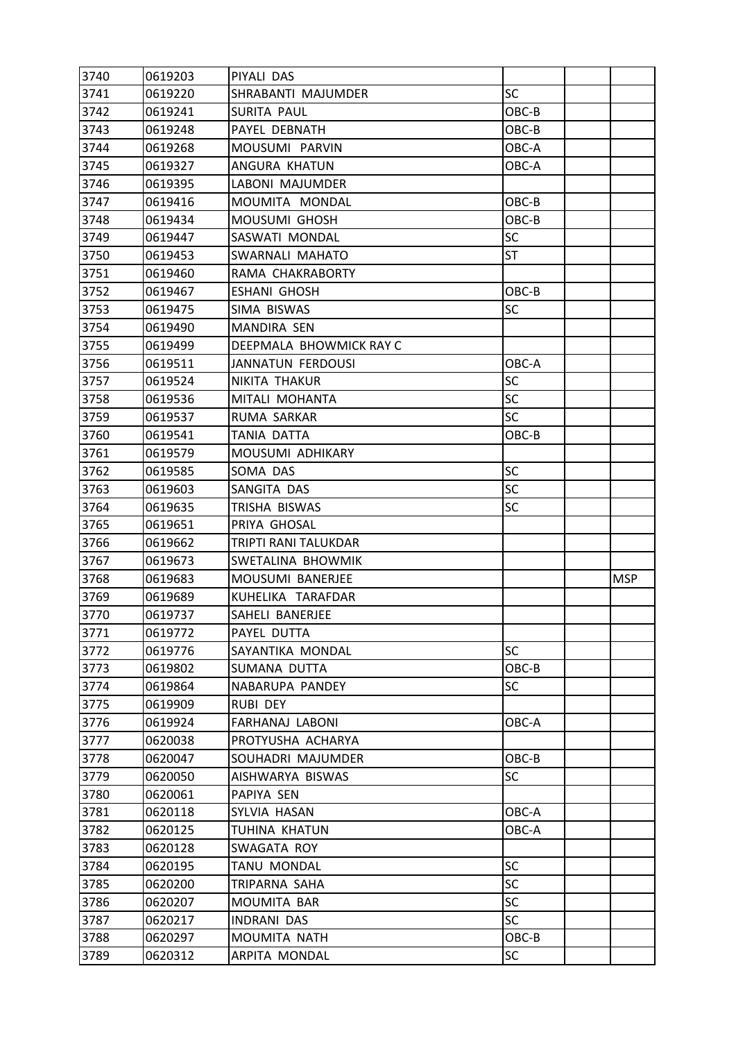| 3740 | 0619203 | PIYALI DAS              |           |            |
|------|---------|-------------------------|-----------|------------|
| 3741 | 0619220 | SHRABANTI MAJUMDER      | <b>SC</b> |            |
| 3742 | 0619241 | SURITA PAUL             | OBC-B     |            |
| 3743 | 0619248 | PAYEL DEBNATH           | OBC-B     |            |
| 3744 | 0619268 | MOUSUMI PARVIN          | OBC-A     |            |
| 3745 | 0619327 | ANGURA KHATUN           | OBC-A     |            |
| 3746 | 0619395 | LABONI MAJUMDER         |           |            |
| 3747 | 0619416 | MOUMITA MONDAL          | OBC-B     |            |
| 3748 | 0619434 | MOUSUMI GHOSH           | OBC-B     |            |
| 3749 | 0619447 | SASWATI MONDAL          | SC        |            |
| 3750 | 0619453 | SWARNALI MAHATO         | ST        |            |
| 3751 | 0619460 | RAMA CHAKRABORTY        |           |            |
| 3752 | 0619467 | ESHANI GHOSH            | OBC-B     |            |
| 3753 | 0619475 | SIMA BISWAS             | <b>SC</b> |            |
| 3754 | 0619490 | MANDIRA SEN             |           |            |
| 3755 | 0619499 | DEEPMALA BHOWMICK RAY C |           |            |
| 3756 | 0619511 | JANNATUN FERDOUSI       | OBC-A     |            |
| 3757 | 0619524 | NIKITA THAKUR           | <b>SC</b> |            |
| 3758 | 0619536 | MITALI MOHANTA          | <b>SC</b> |            |
| 3759 | 0619537 | RUMA SARKAR             | SC        |            |
| 3760 | 0619541 | TANIA DATTA             | OBC-B     |            |
| 3761 | 0619579 | MOUSUMI ADHIKARY        |           |            |
| 3762 | 0619585 | SOMA DAS                | SC        |            |
| 3763 | 0619603 | SANGITA DAS             | <b>SC</b> |            |
| 3764 | 0619635 | TRISHA BISWAS           | SC        |            |
|      |         | PRIYA GHOSAL            |           |            |
| 3765 | 0619651 |                         |           |            |
| 3766 | 0619662 | TRIPTI RANI TALUKDAR    |           |            |
| 3767 | 0619673 | SWETALINA BHOWMIK       |           |            |
| 3768 | 0619683 | <b>MOUSUMI BANERJEE</b> |           | <b>MSP</b> |
| 3769 | 0619689 | KUHELIKA TARAFDAR       |           |            |
| 3770 | 0619737 | SAHELI BANERJEE         |           |            |
| 3771 | 0619772 | PAYEL DUTTA             |           |            |
| 3772 | 0619776 | SAYANTIKA MONDAL        | <b>SC</b> |            |
| 3773 | 0619802 | SUMANA DUTTA            | OBC-B     |            |
| 3774 | 0619864 | NABARUPA PANDEY         | SC        |            |
| 3775 | 0619909 | RUBI DEY                |           |            |
| 3776 | 0619924 | FARHANAJ LABONI         | OBC-A     |            |
| 3777 | 0620038 | PROTYUSHA ACHARYA       |           |            |
| 3778 | 0620047 | SOUHADRI MAJUMDER       | $OBC-B$   |            |
| 3779 | 0620050 | AISHWARYA BISWAS        | <b>SC</b> |            |
| 3780 | 0620061 | PAPIYA SEN              |           |            |
| 3781 | 0620118 | SYLVIA HASAN            | OBC-A     |            |
| 3782 | 0620125 | TUHINA KHATUN           | OBC-A     |            |
| 3783 | 0620128 | SWAGATA ROY             |           |            |
| 3784 | 0620195 | TANU MONDAL             | <b>SC</b> |            |
| 3785 | 0620200 | TRIPARNA SAHA           | SC        |            |
| 3786 | 0620207 | MOUMITA BAR             | <b>SC</b> |            |
| 3787 | 0620217 | <b>INDRANI DAS</b>      | <b>SC</b> |            |
| 3788 | 0620297 | MOUMITA NATH            | OBC-B     |            |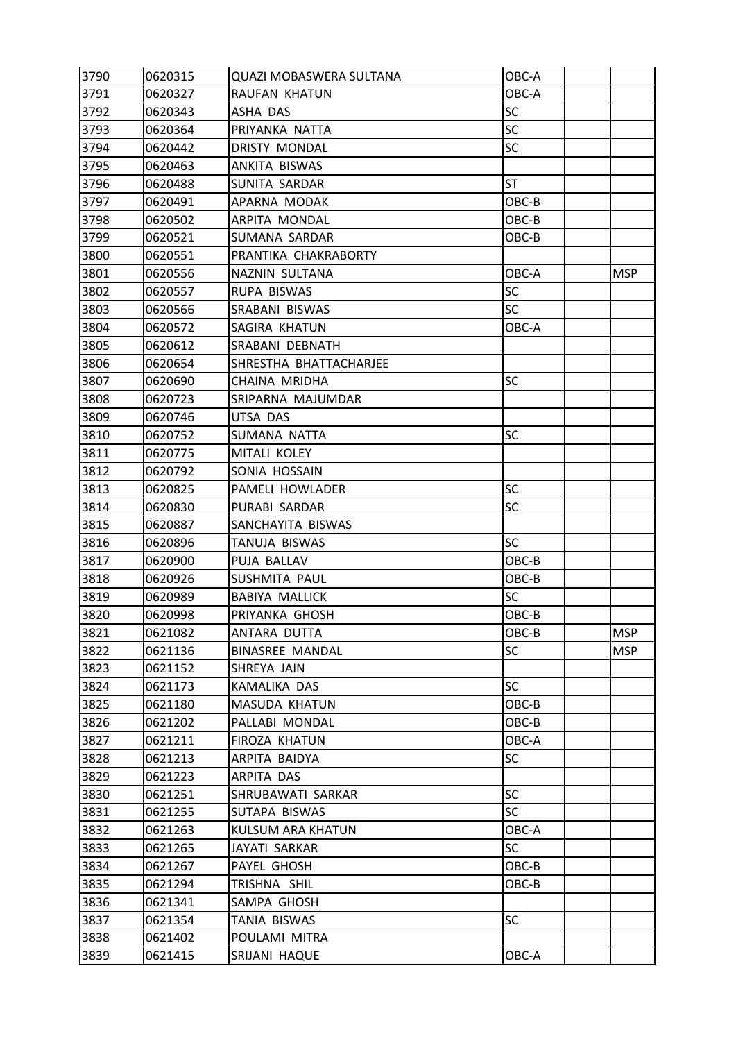| 3790 | 0620315 | <b>QUAZI MOBASWERA SULTANA</b> | OBC-A     |            |
|------|---------|--------------------------------|-----------|------------|
| 3791 | 0620327 | RAUFAN KHATUN                  | OBC-A     |            |
| 3792 | 0620343 | ASHA DAS                       | SC        |            |
| 3793 | 0620364 | PRIYANKA NATTA                 | <b>SC</b> |            |
| 3794 | 0620442 | <b>DRISTY MONDAL</b>           | SC        |            |
| 3795 | 0620463 | ANKITA BISWAS                  |           |            |
| 3796 | 0620488 | SUNITA SARDAR                  | <b>ST</b> |            |
| 3797 | 0620491 | APARNA MODAK                   | OBC-B     |            |
| 3798 | 0620502 | ARPITA MONDAL                  | OBC-B     |            |
| 3799 | 0620521 | SUMANA SARDAR                  | OBC-B     |            |
| 3800 | 0620551 | PRANTIKA CHAKRABORTY           |           |            |
| 3801 | 0620556 | NAZNIN SULTANA                 | OBC-A     | <b>MSP</b> |
| 3802 | 0620557 | RUPA BISWAS                    | <b>SC</b> |            |
| 3803 | 0620566 | SRABANI BISWAS                 | <b>SC</b> |            |
| 3804 | 0620572 | SAGIRA KHATUN                  | OBC-A     |            |
| 3805 | 0620612 | SRABANI DEBNATH                |           |            |
| 3806 | 0620654 | SHRESTHA BHATTACHARJEE         |           |            |
| 3807 | 0620690 | CHAINA MRIDHA                  | SC        |            |
| 3808 | 0620723 | SRIPARNA MAJUMDAR              |           |            |
| 3809 | 0620746 | UTSA DAS                       |           |            |
| 3810 | 0620752 | SUMANA NATTA                   | SC        |            |
| 3811 | 0620775 | MITALI KOLEY                   |           |            |
| 3812 | 0620792 | SONIA HOSSAIN                  |           |            |
| 3813 | 0620825 | PAMELI HOWLADER                | <b>SC</b> |            |
| 3814 | 0620830 | PURABI SARDAR                  | <b>SC</b> |            |
| 3815 | 0620887 | SANCHAYITA BISWAS              |           |            |
| 3816 | 0620896 | TANUJA BISWAS                  | <b>SC</b> |            |
| 3817 | 0620900 | PUJA BALLAV                    | $OBC-B$   |            |
| 3818 | 0620926 | <b>SUSHMITA PAUL</b>           | OBC-B     |            |
| 3819 | 0620989 | <b>BABIYA MALLICK</b>          | SC        |            |
| 3820 | 0620998 | PRIYANKA GHOSH                 | OBC-B     |            |
| 3821 | 0621082 | ANTARA DUTTA                   | OBC-B     | <b>MSP</b> |
| 3822 | 0621136 | <b>BINASREE MANDAL</b>         | <b>SC</b> | <b>MSP</b> |
| 3823 | 0621152 | SHREYA JAIN                    |           |            |
| 3824 | 0621173 | KAMALIKA DAS                   | <b>SC</b> |            |
| 3825 | 0621180 | MASUDA KHATUN                  | OBC-B     |            |
| 3826 | 0621202 | PALLABI MONDAL                 | OBC-B     |            |
| 3827 | 0621211 | FIROZA KHATUN                  | OBC-A     |            |
| 3828 | 0621213 | ARPITA BAIDYA                  | SC        |            |
| 3829 | 0621223 | ARPITA DAS                     |           |            |
| 3830 | 0621251 | SHRUBAWATI SARKAR              | <b>SC</b> |            |
| 3831 | 0621255 | SUTAPA BISWAS                  | <b>SC</b> |            |
| 3832 | 0621263 | KULSUM ARA KHATUN              | OBC-A     |            |
| 3833 | 0621265 | JAYATI SARKAR                  | <b>SC</b> |            |
| 3834 | 0621267 | PAYEL GHOSH                    | OBC-B     |            |
| 3835 | 0621294 | TRISHNA SHIL                   | OBC-B     |            |
| 3836 | 0621341 | SAMPA GHOSH                    |           |            |
| 3837 | 0621354 | TANIA BISWAS                   | <b>SC</b> |            |
| 3838 | 0621402 | POULAMI MITRA                  |           |            |
| 3839 | 0621415 | SRIJANI HAQUE                  | OBC-A     |            |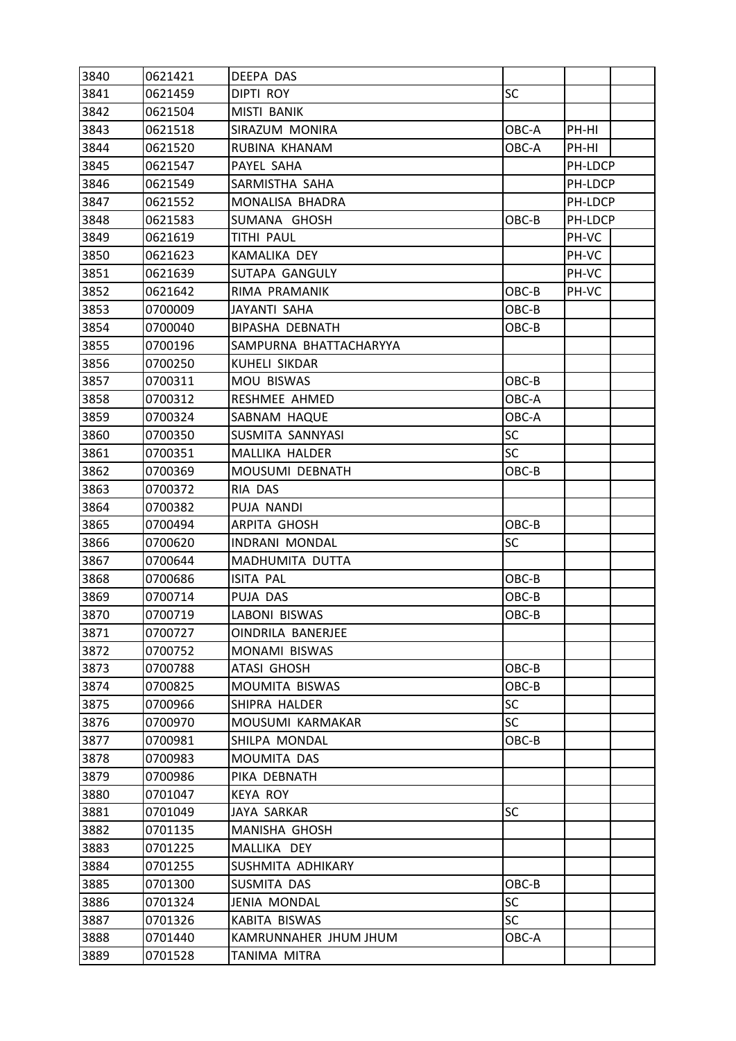| 3840 | 0621421 | DEEPA DAS                |           |         |  |
|------|---------|--------------------------|-----------|---------|--|
| 3841 | 0621459 | <b>DIPTI ROY</b>         | <b>SC</b> |         |  |
| 3842 | 0621504 | MISTI BANIK              |           |         |  |
| 3843 | 0621518 | SIRAZUM MONIRA           | OBC-A     | PH-HI   |  |
| 3844 | 0621520 | RUBINA KHANAM            | OBC-A     | PH-HI   |  |
| 3845 | 0621547 | PAYEL SAHA               |           | PH-LDCP |  |
| 3846 | 0621549 | SARMISTHA SAHA           |           | PH-LDCP |  |
| 3847 | 0621552 | MONALISA BHADRA          |           | PH-LDCP |  |
| 3848 | 0621583 | SUMANA GHOSH             | OBC-B     | PH-LDCP |  |
| 3849 | 0621619 | <b>TITHI PAUL</b>        |           | PH-VC   |  |
| 3850 | 0621623 | KAMALIKA DEY             |           | PH-VC   |  |
| 3851 | 0621639 | SUTAPA GANGULY           |           | PH-VC   |  |
| 3852 | 0621642 | RIMA PRAMANIK            | OBC-B     | PH-VC   |  |
| 3853 | 0700009 | JAYANTI SAHA             | OBC-B     |         |  |
| 3854 | 0700040 | <b>BIPASHA DEBNATH</b>   | OBC-B     |         |  |
| 3855 | 0700196 | SAMPURNA BHATTACHARYYA   |           |         |  |
| 3856 | 0700250 | <b>KUHELI SIKDAR</b>     |           |         |  |
| 3857 | 0700311 | MOU BISWAS               | OBC-B     |         |  |
| 3858 | 0700312 | RESHMEE AHMED            | OBC-A     |         |  |
| 3859 | 0700324 | SABNAM HAQUE             | OBC-A     |         |  |
| 3860 | 0700350 | SUSMITA SANNYASI         | <b>SC</b> |         |  |
| 3861 | 0700351 | MALLIKA HALDER           | <b>SC</b> |         |  |
| 3862 | 0700369 | MOUSUMI DEBNATH          | OBC-B     |         |  |
| 3863 | 0700372 | RIA DAS                  |           |         |  |
| 3864 | 0700382 | PUJA NANDI               |           |         |  |
| 3865 | 0700494 | ARPITA GHOSH             | OBC-B     |         |  |
| 3866 | 0700620 | INDRANI MONDAL           | SC        |         |  |
| 3867 | 0700644 | MADHUMITA DUTTA          |           |         |  |
| 3868 | 0700686 | ISITA PAL                | OBC-B     |         |  |
| 3869 | 0700714 | PUJA DAS                 | OBC-B     |         |  |
| 3870 | 0700719 | LABONI BISWAS            | OBC-B     |         |  |
| 3871 | 0700727 | <b>OINDRILA BANERJEE</b> |           |         |  |
| 3872 | 0700752 | MONAMI BISWAS            |           |         |  |
| 3873 | 0700788 | ATASI GHOSH              | OBC-B     |         |  |
| 3874 | 0700825 | <b>MOUMITA BISWAS</b>    | OBC-B     |         |  |
| 3875 | 0700966 | SHIPRA HALDER            | <b>SC</b> |         |  |
| 3876 | 0700970 | MOUSUMI KARMAKAR         | <b>SC</b> |         |  |
| 3877 | 0700981 | SHILPA MONDAL            | OBC-B     |         |  |
| 3878 | 0700983 | MOUMITA DAS              |           |         |  |
| 3879 | 0700986 | PIKA DEBNATH             |           |         |  |
| 3880 | 0701047 | <b>KEYA ROY</b>          |           |         |  |
| 3881 | 0701049 | <b>JAYA SARKAR</b>       | <b>SC</b> |         |  |
| 3882 | 0701135 | MANISHA GHOSH            |           |         |  |
| 3883 | 0701225 | MALLIKA DEY              |           |         |  |
| 3884 | 0701255 | SUSHMITA ADHIKARY        |           |         |  |
| 3885 | 0701300 | SUSMITA DAS              | OBC-B     |         |  |
| 3886 | 0701324 | JENIA MONDAL             | SC        |         |  |
| 3887 | 0701326 | KABITA BISWAS            | <b>SC</b> |         |  |
| 3888 | 0701440 | KAMRUNNAHER JHUM JHUM    | OBC-A     |         |  |
| 3889 | 0701528 | TANIMA MITRA             |           |         |  |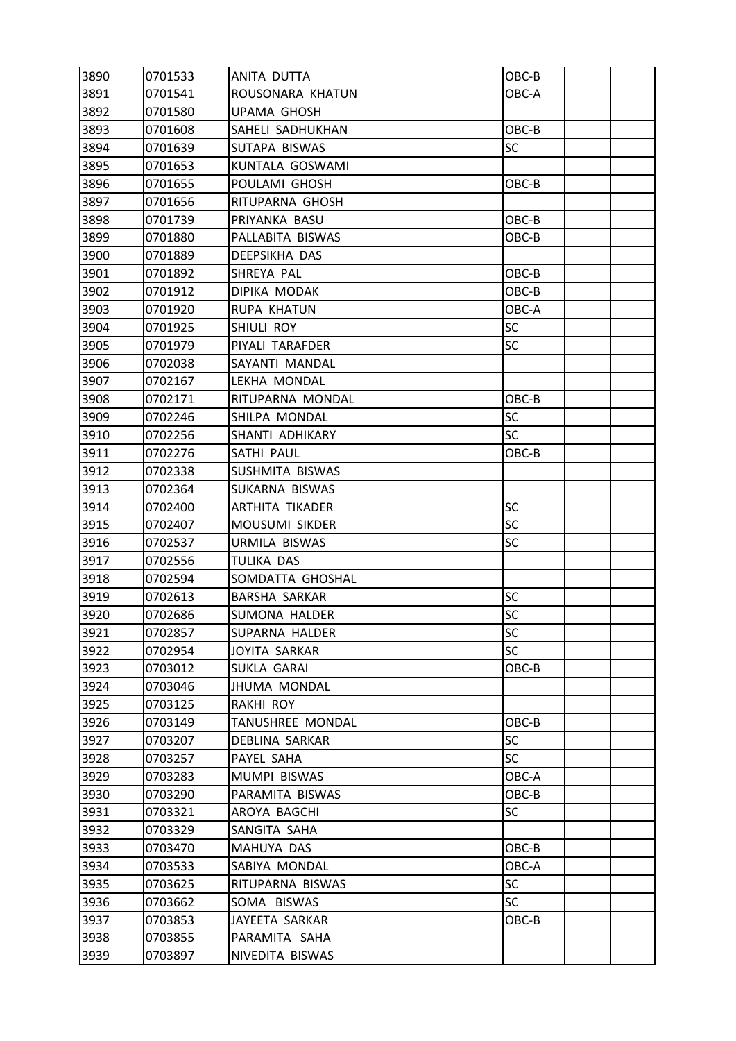| 3890 | 0701533 | ANITA DUTTA          | OBC-B     |  |
|------|---------|----------------------|-----------|--|
| 3891 | 0701541 | ROUSONARA KHATUN     | OBC-A     |  |
| 3892 | 0701580 | UPAMA GHOSH          |           |  |
| 3893 | 0701608 | SAHELI SADHUKHAN     | OBC-B     |  |
| 3894 | 0701639 | SUTAPA BISWAS        | SC        |  |
| 3895 | 0701653 | KUNTALA GOSWAMI      |           |  |
| 3896 | 0701655 | POULAMI GHOSH        | OBC-B     |  |
| 3897 | 0701656 | RITUPARNA GHOSH      |           |  |
| 3898 | 0701739 | PRIYANKA BASU        | OBC-B     |  |
| 3899 | 0701880 | PALLABITA BISWAS     | OBC-B     |  |
| 3900 | 0701889 | DEEPSIKHA DAS        |           |  |
| 3901 | 0701892 | SHREYA PAL           | OBC-B     |  |
| 3902 | 0701912 | DIPIKA MODAK         | OBC-B     |  |
| 3903 | 0701920 | <b>RUPA KHATUN</b>   | OBC-A     |  |
| 3904 | 0701925 | SHIULI ROY           | <b>SC</b> |  |
| 3905 | 0701979 | PIYALI TARAFDER      | <b>SC</b> |  |
| 3906 | 0702038 | SAYANTI MANDAL       |           |  |
| 3907 | 0702167 | LEKHA MONDAL         |           |  |
| 3908 | 0702171 | RITUPARNA MONDAL     | OBC-B     |  |
| 3909 | 0702246 | SHILPA MONDAL        | SC        |  |
| 3910 | 0702256 | SHANTI ADHIKARY      | <b>SC</b> |  |
| 3911 | 0702276 | SATHI PAUL           | OBC-B     |  |
| 3912 | 0702338 | SUSHMITA BISWAS      |           |  |
| 3913 | 0702364 | SUKARNA BISWAS       |           |  |
| 3914 | 0702400 | ARTHITA TIKADER      | SC        |  |
| 3915 | 0702407 | MOUSUMI SIKDER       | <b>SC</b> |  |
| 3916 | 0702537 | URMILA BISWAS        | SC        |  |
| 3917 | 0702556 | TULIKA DAS           |           |  |
| 3918 | 0702594 | SOMDATTA GHOSHAL     |           |  |
| 3919 | 0702613 | <b>BARSHA SARKAR</b> | SC        |  |
| 3920 | 0702686 | <b>SUMONA HALDER</b> | SC        |  |
| 3921 | 0702857 | SUPARNA HALDER       | SC        |  |
| 3922 | 0702954 | <b>JOYITA SARKAR</b> | <b>SC</b> |  |
| 3923 | 0703012 | SUKLA GARAI          | OBC-B     |  |
| 3924 | 0703046 | <b>JHUMA MONDAL</b>  |           |  |
| 3925 | 0703125 | RAKHI ROY            |           |  |
| 3926 | 0703149 | TANUSHREE MONDAL     | OBC-B     |  |
| 3927 | 0703207 | DEBLINA SARKAR       | <b>SC</b> |  |
| 3928 | 0703257 | PAYEL SAHA           | <b>SC</b> |  |
| 3929 | 0703283 | MUMPI BISWAS         | OBC-A     |  |
| 3930 | 0703290 | PARAMITA BISWAS      | OBC-B     |  |
| 3931 | 0703321 | AROYA BAGCHI         | <b>SC</b> |  |
| 3932 | 0703329 | SANGITA SAHA         |           |  |
| 3933 | 0703470 | MAHUYA DAS           | OBC-B     |  |
| 3934 | 0703533 | SABIYA MONDAL        | OBC-A     |  |
| 3935 | 0703625 | RITUPARNA BISWAS     | <b>SC</b> |  |
| 3936 | 0703662 | SOMA BISWAS          | <b>SC</b> |  |
| 3937 | 0703853 | JAYEETA SARKAR       | OBC-B     |  |
| 3938 | 0703855 | PARAMITA SAHA        |           |  |
| 3939 | 0703897 | NIVEDITA BISWAS      |           |  |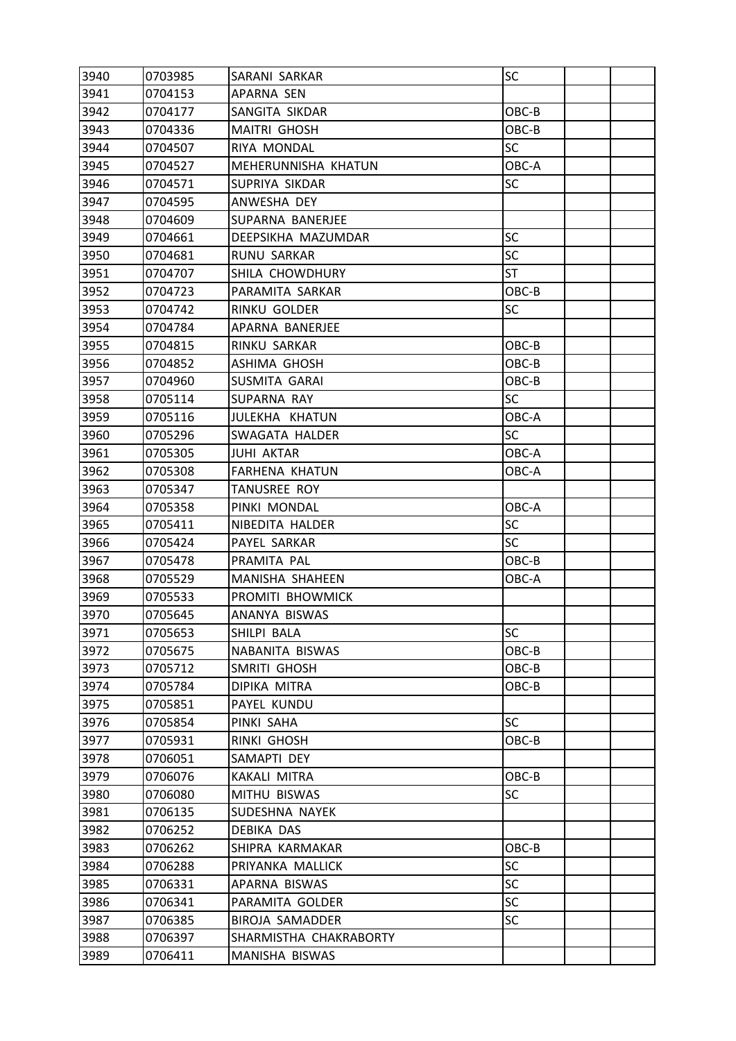| 3940 | 0703985 | SARANI SARKAR          | SC        |  |
|------|---------|------------------------|-----------|--|
| 3941 | 0704153 | APARNA SEN             |           |  |
| 3942 | 0704177 | SANGITA SIKDAR         | OBC-B     |  |
| 3943 | 0704336 | <b>MAITRI GHOSH</b>    | OBC-B     |  |
| 3944 | 0704507 | RIYA MONDAL            | <b>SC</b> |  |
| 3945 | 0704527 | MEHERUNNISHA KHATUN    | OBC-A     |  |
| 3946 | 0704571 | SUPRIYA SIKDAR         | <b>SC</b> |  |
| 3947 | 0704595 | ANWESHA DEY            |           |  |
| 3948 | 0704609 | SUPARNA BANERJEE       |           |  |
| 3949 | 0704661 | DEEPSIKHA MAZUMDAR     | <b>SC</b> |  |
| 3950 | 0704681 | RUNU SARKAR            | <b>SC</b> |  |
| 3951 | 0704707 | SHILA CHOWDHURY        | <b>ST</b> |  |
| 3952 | 0704723 | PARAMITA SARKAR        | OBC-B     |  |
| 3953 | 0704742 | RINKU GOLDER           | SC        |  |
| 3954 | 0704784 | APARNA BANERJEE        |           |  |
| 3955 | 0704815 | RINKU SARKAR           | OBC-B     |  |
| 3956 | 0704852 | ASHIMA GHOSH           | OBC-B     |  |
| 3957 | 0704960 | SUSMITA GARAI          | OBC-B     |  |
| 3958 | 0705114 | SUPARNA RAY            | <b>SC</b> |  |
| 3959 | 0705116 | JULEKHA KHATUN         | OBC-A     |  |
| 3960 | 0705296 | SWAGATA HALDER         | <b>SC</b> |  |
| 3961 | 0705305 | JUHI AKTAR             | OBC-A     |  |
| 3962 | 0705308 | <b>FARHENA KHATUN</b>  | OBC-A     |  |
| 3963 | 0705347 | <b>TANUSREE ROY</b>    |           |  |
| 3964 | 0705358 | PINKI MONDAL           | OBC-A     |  |
| 3965 | 0705411 | NIBEDITA HALDER        | <b>SC</b> |  |
| 3966 | 0705424 | PAYEL SARKAR           | SC        |  |
| 3967 | 0705478 | PRAMITA PAL            | OBC-B     |  |
| 3968 | 0705529 | MANISHA SHAHEEN        | OBC-A     |  |
| 3969 | 0705533 | PROMITI BHOWMICK       |           |  |
| 3970 | 0705645 | ANANYA BISWAS          |           |  |
| 3971 | 0705653 | SHILPI BALA            | <b>SC</b> |  |
| 3972 | 0705675 | NABANITA BISWAS        | OBC-B     |  |
| 3973 | 0705712 | SMRITI GHOSH           | OBC-B     |  |
| 3974 | 0705784 | DIPIKA MITRA           | OBC-B     |  |
| 3975 | 0705851 | PAYEL KUNDU            |           |  |
| 3976 | 0705854 | PINKI SAHA             | SC        |  |
| 3977 | 0705931 | RINKI GHOSH            | OBC-B     |  |
| 3978 | 0706051 | SAMAPTI DEY            |           |  |
| 3979 | 0706076 | KAKALI MITRA           | OBC-B     |  |
| 3980 | 0706080 | MITHU BISWAS           | <b>SC</b> |  |
| 3981 | 0706135 | SUDESHNA NAYEK         |           |  |
| 3982 | 0706252 | DEBIKA DAS             |           |  |
| 3983 | 0706262 | SHIPRA KARMAKAR        | OBC-B     |  |
| 3984 | 0706288 | PRIYANKA MALLICK       | <b>SC</b> |  |
| 3985 | 0706331 | APARNA BISWAS          | <b>SC</b> |  |
| 3986 | 0706341 | PARAMITA GOLDER        | <b>SC</b> |  |
| 3987 | 0706385 | BIROJA SAMADDER        | <b>SC</b> |  |
| 3988 | 0706397 | SHARMISTHA CHAKRABORTY |           |  |
| 3989 | 0706411 | MANISHA BISWAS         |           |  |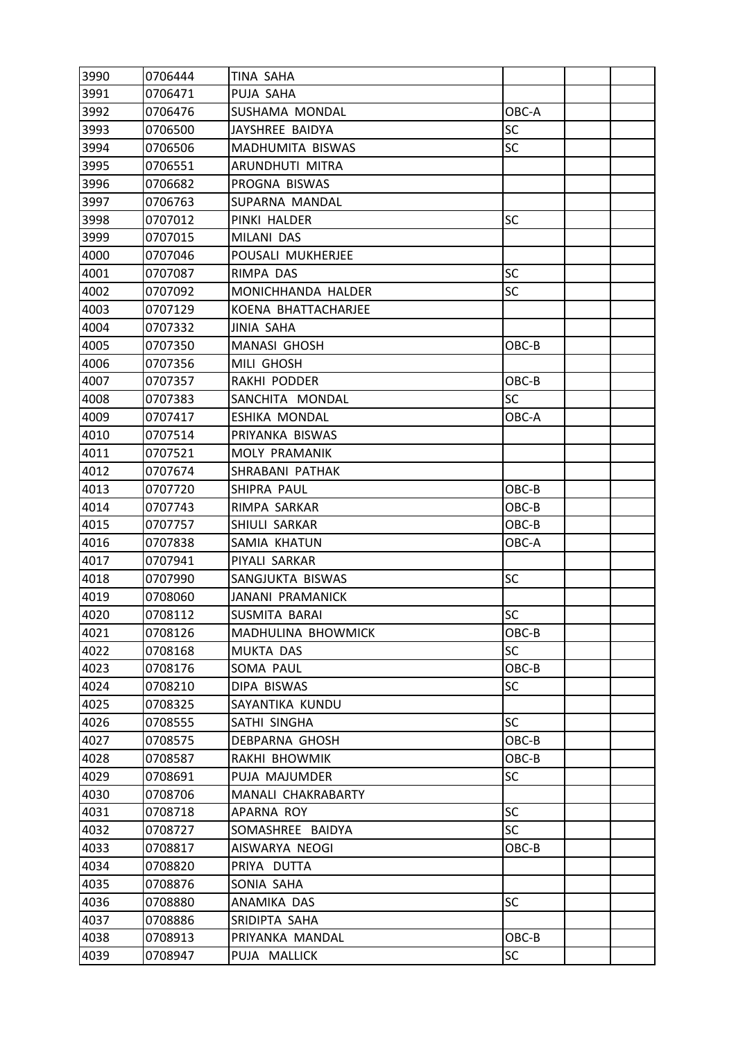| 3990 | 0706444 | TINA SAHA               |           |  |
|------|---------|-------------------------|-----------|--|
| 3991 | 0706471 | PUJA SAHA               |           |  |
| 3992 | 0706476 | SUSHAMA MONDAL          | OBC-A     |  |
| 3993 | 0706500 | JAYSHREE BAIDYA         | SC        |  |
| 3994 | 0706506 | MADHUMITA BISWAS        | <b>SC</b> |  |
| 3995 | 0706551 | ARUNDHUTI MITRA         |           |  |
| 3996 | 0706682 | PROGNA BISWAS           |           |  |
| 3997 | 0706763 | SUPARNA MANDAL          |           |  |
| 3998 | 0707012 | PINKI HALDER            | SC        |  |
| 3999 | 0707015 | MILANI DAS              |           |  |
| 4000 | 0707046 | POUSALI MUKHERJEE       |           |  |
| 4001 | 0707087 | RIMPA DAS               | <b>SC</b> |  |
| 4002 | 0707092 | MONICHHANDA HALDER      | SC        |  |
| 4003 | 0707129 | KOENA BHATTACHARJEE     |           |  |
| 4004 | 0707332 | <b>JINIA SAHA</b>       |           |  |
| 4005 | 0707350 | <b>MANASI GHOSH</b>     | OBC-B     |  |
| 4006 | 0707356 | MILI GHOSH              |           |  |
| 4007 | 0707357 | RAKHI PODDER            | OBC-B     |  |
| 4008 | 0707383 | SANCHITA MONDAL         | <b>SC</b> |  |
| 4009 | 0707417 | <b>ESHIKA MONDAL</b>    | OBC-A     |  |
| 4010 | 0707514 | PRIYANKA BISWAS         |           |  |
| 4011 | 0707521 | MOLY PRAMANIK           |           |  |
| 4012 | 0707674 | SHRABANI PATHAK         |           |  |
| 4013 | 0707720 | SHIPRA PAUL             | OBC-B     |  |
| 4014 | 0707743 | RIMPA SARKAR            | OBC-B     |  |
| 4015 | 0707757 | SHIULI SARKAR           | OBC-B     |  |
| 4016 | 0707838 | SAMIA KHATUN            | OBC-A     |  |
| 4017 | 0707941 | PIYALI SARKAR           |           |  |
| 4018 | 0707990 | SANGJUKTA BISWAS        | SC        |  |
| 4019 | 0708060 | <b>JANANI PRAMANICK</b> |           |  |
| 4020 | 0708112 | SUSMITA BARAI           | SC        |  |
| 4021 | 0708126 | MADHULINA BHOWMICK      | OBC-B     |  |
| 4022 | 0708168 | MUKTA DAS               | <b>SC</b> |  |
| 4023 | 0708176 | SOMA PAUL               | OBC-B     |  |
| 4024 | 0708210 | DIPA BISWAS             | SC        |  |
| 4025 | 0708325 | SAYANTIKA KUNDU         |           |  |
| 4026 | 0708555 | SATHI SINGHA            | <b>SC</b> |  |
| 4027 | 0708575 | <b>DEBPARNA GHOSH</b>   | OBC-B     |  |
| 4028 | 0708587 | RAKHI BHOWMIK           | OBC-B     |  |
| 4029 | 0708691 | PUJA MAJUMDER           | <b>SC</b> |  |
| 4030 | 0708706 | MANALI CHAKRABARTY      |           |  |
| 4031 | 0708718 | APARNA ROY              | <b>SC</b> |  |
| 4032 | 0708727 | SOMASHREE BAIDYA        | <b>SC</b> |  |
| 4033 | 0708817 | AISWARYA NEOGI          | OBC-B     |  |
| 4034 | 0708820 | PRIYA DUTTA             |           |  |
| 4035 | 0708876 | SONIA SAHA              |           |  |
| 4036 | 0708880 | ANAMIKA DAS             | <b>SC</b> |  |
| 4037 | 0708886 | SRIDIPTA SAHA           |           |  |
| 4038 | 0708913 | PRIYANKA MANDAL         | OBC-B     |  |
| 4039 | 0708947 | PUJA MALLICK            | SC        |  |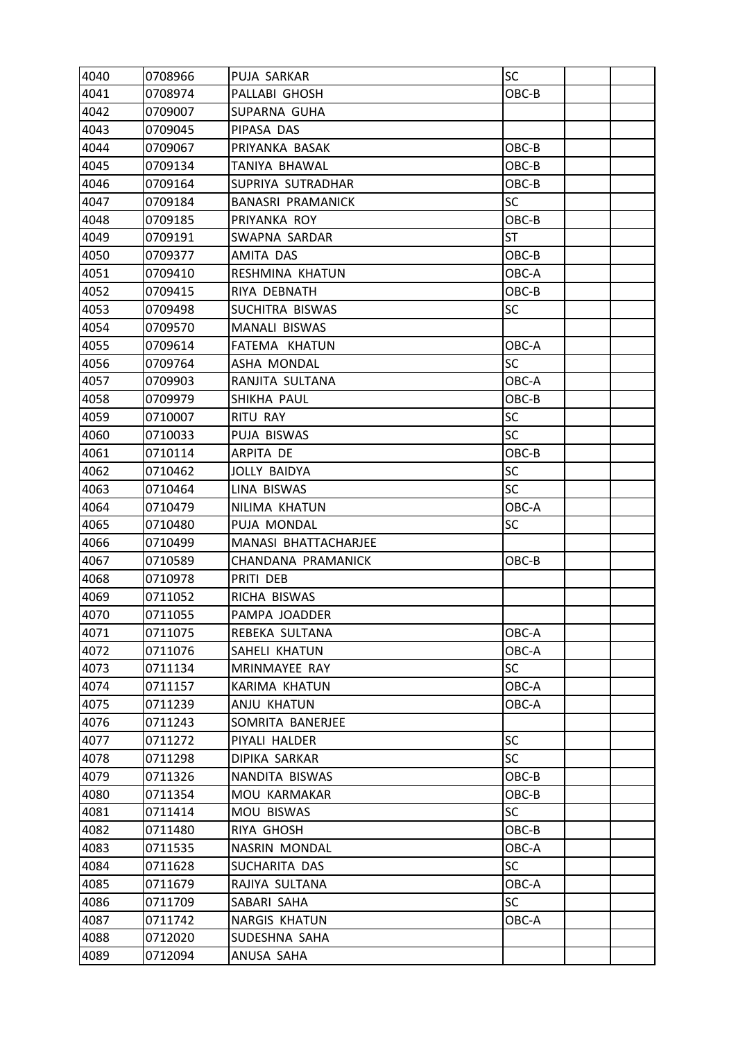| 4040 | 0708966 | PUJA SARKAR              | SC        |  |
|------|---------|--------------------------|-----------|--|
| 4041 | 0708974 | PALLABI GHOSH            | OBC-B     |  |
| 4042 | 0709007 | SUPARNA GUHA             |           |  |
| 4043 | 0709045 | PIPASA DAS               |           |  |
| 4044 | 0709067 | PRIYANKA BASAK           | OBC-B     |  |
| 4045 | 0709134 | TANIYA BHAWAL            | OBC-B     |  |
| 4046 | 0709164 | SUPRIYA SUTRADHAR        | OBC-B     |  |
| 4047 | 0709184 | <b>BANASRI PRAMANICK</b> | SC        |  |
| 4048 | 0709185 | PRIYANKA ROY             | OBC-B     |  |
| 4049 | 0709191 | SWAPNA SARDAR            | <b>ST</b> |  |
| 4050 | 0709377 | AMITA DAS                | OBC-B     |  |
| 4051 | 0709410 | RESHMINA KHATUN          | OBC-A     |  |
| 4052 | 0709415 | RIYA DEBNATH             | OBC-B     |  |
| 4053 | 0709498 | SUCHITRA BISWAS          | <b>SC</b> |  |
| 4054 | 0709570 | MANALI BISWAS            |           |  |
| 4055 | 0709614 | FATEMA KHATUN            | OBC-A     |  |
| 4056 | 0709764 | ASHA MONDAL              | <b>SC</b> |  |
| 4057 | 0709903 | RANJITA SULTANA          | OBC-A     |  |
| 4058 | 0709979 | SHIKHA PAUL              | OBC-B     |  |
| 4059 | 0710007 | <b>RITU RAY</b>          | SC        |  |
| 4060 | 0710033 | PUJA BISWAS              | <b>SC</b> |  |
| 4061 | 0710114 | ARPITA DE                | OBC-B     |  |
| 4062 | 0710462 | <b>JOLLY BAIDYA</b>      | SC        |  |
| 4063 | 0710464 | LINA BISWAS              | <b>SC</b> |  |
| 4064 | 0710479 | NILIMA KHATUN            | OBC-A     |  |
| 4065 | 0710480 | PUJA MONDAL              | <b>SC</b> |  |
| 4066 | 0710499 | MANASI BHATTACHARJEE     |           |  |
| 4067 | 0710589 | CHANDANA PRAMANICK       | OBC-B     |  |
| 4068 | 0710978 | PRITI DEB                |           |  |
| 4069 | 0711052 | RICHA BISWAS             |           |  |
| 4070 | 0711055 | PAMPA JOADDER            |           |  |
| 4071 | 0711075 | REBEKA SULTANA           | OBC-A     |  |
| 4072 | 0711076 | SAHELI KHATUN            | OBC-A     |  |
| 4073 | 0711134 | MRINMAYEE RAY            | <b>SC</b> |  |
| 4074 | 0711157 | <b>KARIMA KHATUN</b>     | OBC-A     |  |
| 4075 | 0711239 | ANJU KHATUN              | OBC-A     |  |
| 4076 | 0711243 | SOMRITA BANERJEE         |           |  |
| 4077 | 0711272 | PIYALI HALDER            | <b>SC</b> |  |
| 4078 | 0711298 | DIPIKA SARKAR            | <b>SC</b> |  |
| 4079 | 0711326 | NANDITA BISWAS           | OBC-B     |  |
| 4080 | 0711354 | MOU KARMAKAR             | OBC-B     |  |
| 4081 | 0711414 | MOU BISWAS               | SC        |  |
| 4082 | 0711480 | RIYA GHOSH               | OBC-B     |  |
| 4083 | 0711535 | NASRIN MONDAL            | OBC-A     |  |
| 4084 | 0711628 | SUCHARITA DAS            | <b>SC</b> |  |
| 4085 | 0711679 | RAJIYA SULTANA           | OBC-A     |  |
| 4086 | 0711709 | SABARI SAHA              | <b>SC</b> |  |
| 4087 | 0711742 | <b>NARGIS KHATUN</b>     | OBC-A     |  |
| 4088 | 0712020 | SUDESHNA SAHA            |           |  |
| 4089 | 0712094 | ANUSA SAHA               |           |  |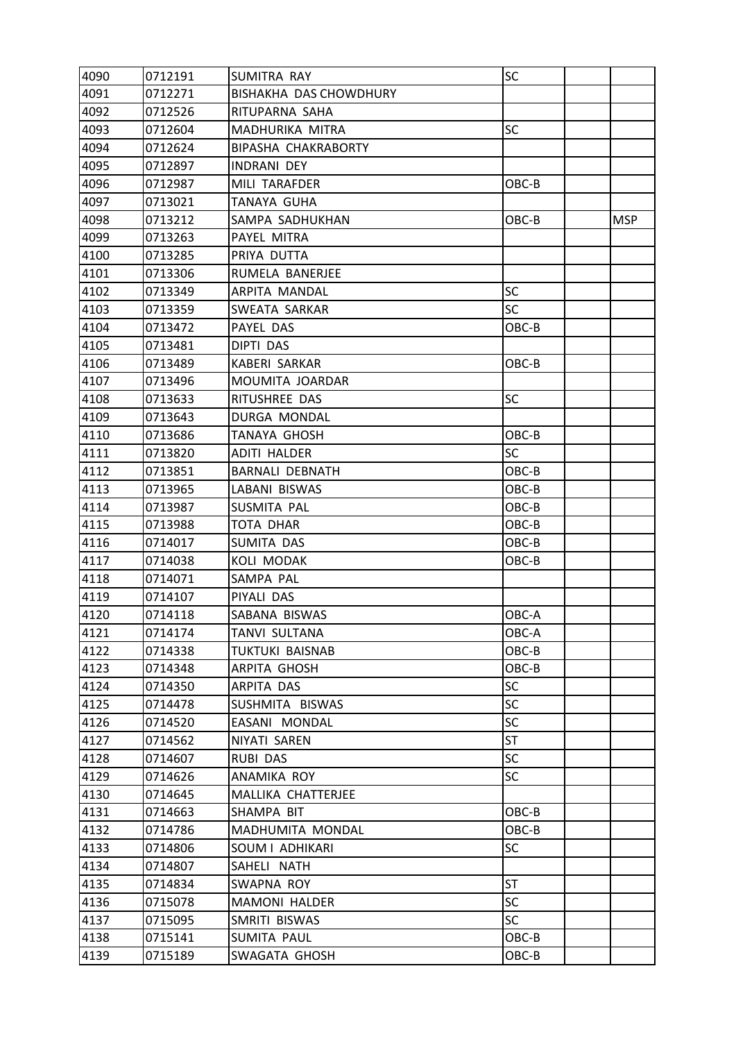| 4090 | 0712191 | <b>SUMITRA RAY</b>     | SC        |            |
|------|---------|------------------------|-----------|------------|
| 4091 | 0712271 | BISHAKHA DAS CHOWDHURY |           |            |
| 4092 | 0712526 | RITUPARNA SAHA         |           |            |
| 4093 | 0712604 | MADHURIKA MITRA        | <b>SC</b> |            |
| 4094 | 0712624 | BIPASHA CHAKRABORTY    |           |            |
| 4095 | 0712897 | <b>INDRANI DEY</b>     |           |            |
| 4096 | 0712987 | MILI TARAFDER          | OBC-B     |            |
| 4097 | 0713021 | TANAYA GUHA            |           |            |
| 4098 | 0713212 | SAMPA SADHUKHAN        | OBC-B     | <b>MSP</b> |
| 4099 | 0713263 | PAYEL MITRA            |           |            |
| 4100 | 0713285 | PRIYA DUTTA            |           |            |
| 4101 | 0713306 | RUMELA BANERJEE        |           |            |
| 4102 | 0713349 | ARPITA MANDAL          | SC        |            |
| 4103 | 0713359 | SWEATA SARKAR          | <b>SC</b> |            |
| 4104 | 0713472 | PAYEL DAS              | OBC-B     |            |
| 4105 | 0713481 | DIPTI DAS              |           |            |
| 4106 | 0713489 | <b>KABERI SARKAR</b>   | OBC-B     |            |
| 4107 | 0713496 | MOUMITA JOARDAR        |           |            |
| 4108 | 0713633 | RITUSHREE DAS          | <b>SC</b> |            |
| 4109 | 0713643 | DURGA MONDAL           |           |            |
| 4110 | 0713686 | <b>TANAYA GHOSH</b>    | OBC-B     |            |
| 4111 | 0713820 | ADITI HALDER           | <b>SC</b> |            |
| 4112 | 0713851 | <b>BARNALI DEBNATH</b> | OBC-B     |            |
| 4113 | 0713965 | LABANI BISWAS          | OBC-B     |            |
| 4114 | 0713987 | SUSMITA PAL            | OBC-B     |            |
| 4115 | 0713988 | TOTA DHAR              | OBC-B     |            |
| 4116 | 0714017 | SUMITA DAS             | OBC-B     |            |
| 4117 | 0714038 | KOLI MODAK             | OBC-B     |            |
| 4118 | 0714071 | SAMPA PAL              |           |            |
| 4119 | 0714107 | PIYALI DAS             |           |            |
| 4120 | 0714118 | SABANA BISWAS          | OBC-A     |            |
| 4121 | 0714174 | TANVI SULTANA          | OBC-A     |            |
| 4122 | 0714338 | <b>TUKTUKI BAISNAB</b> | OBC-B     |            |
| 4123 | 0714348 | ARPITA GHOSH           | OBC-B     |            |
| 4124 | 0714350 | ARPITA DAS             | <b>SC</b> |            |
| 4125 | 0714478 | SUSHMITA BISWAS        | <b>SC</b> |            |
| 4126 | 0714520 | EASANI MONDAL          | SC        |            |
| 4127 | 0714562 | NIYATI SAREN           | ST        |            |
| 4128 | 0714607 | <b>RUBI DAS</b>        | <b>SC</b> |            |
| 4129 | 0714626 | ANAMIKA ROY            | <b>SC</b> |            |
| 4130 | 0714645 | MALLIKA CHATTERJEE     |           |            |
| 4131 | 0714663 | SHAMPA BIT             | OBC-B     |            |
| 4132 | 0714786 | MADHUMITA MONDAL       | OBC-B     |            |
| 4133 | 0714806 | SOUM I ADHIKARI        | SC        |            |
| 4134 | 0714807 | SAHELI NATH            |           |            |
| 4135 | 0714834 | SWAPNA ROY             | <b>ST</b> |            |
| 4136 | 0715078 | MAMONI HALDER          | SC        |            |
| 4137 | 0715095 | SMRITI BISWAS          | <b>SC</b> |            |
| 4138 | 0715141 | SUMITA PAUL            | OBC-B     |            |
| 4139 | 0715189 | SWAGATA GHOSH          | OBC-B     |            |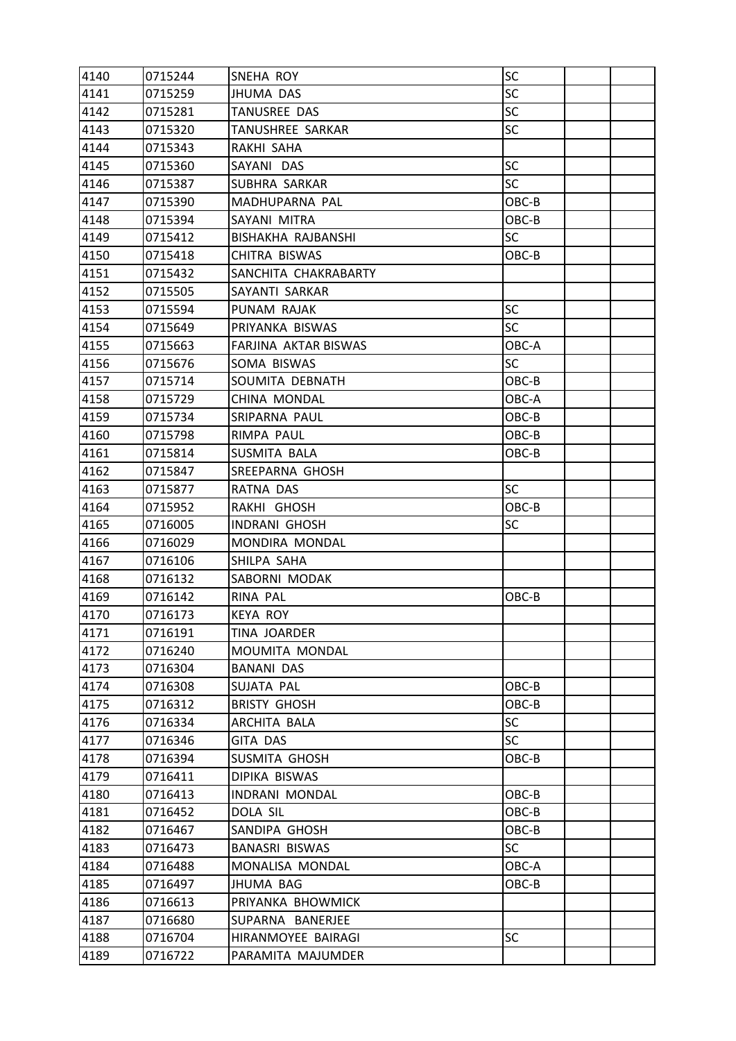| 4140 | 0715244 | SNEHA ROY             | <b>SC</b> |  |
|------|---------|-----------------------|-----------|--|
| 4141 | 0715259 | JHUMA DAS             | <b>SC</b> |  |
| 4142 | 0715281 | TANUSREE DAS          | <b>SC</b> |  |
| 4143 | 0715320 | TANUSHREE SARKAR      | <b>SC</b> |  |
| 4144 | 0715343 | RAKHI SAHA            |           |  |
| 4145 | 0715360 | SAYANI DAS            | SC        |  |
| 4146 | 0715387 | SUBHRA SARKAR         | <b>SC</b> |  |
| 4147 | 0715390 | MADHUPARNA PAL        | OBC-B     |  |
| 4148 | 0715394 | SAYANI MITRA          | OBC-B     |  |
| 4149 | 0715412 | BISHAKHA RAJBANSHI    | <b>SC</b> |  |
| 4150 | 0715418 | CHITRA BISWAS         | OBC-B     |  |
| 4151 | 0715432 | SANCHITA CHAKRABARTY  |           |  |
| 4152 | 0715505 | SAYANTI SARKAR        |           |  |
| 4153 | 0715594 | PUNAM RAJAK           | <b>SC</b> |  |
| 4154 | 0715649 | PRIYANKA BISWAS       | <b>SC</b> |  |
| 4155 | 0715663 | FARJINA AKTAR BISWAS  | OBC-A     |  |
| 4156 | 0715676 | SOMA BISWAS           | <b>SC</b> |  |
| 4157 | 0715714 | SOUMITA DEBNATH       | OBC-B     |  |
| 4158 | 0715729 | CHINA MONDAL          | OBC-A     |  |
| 4159 | 0715734 | SRIPARNA PAUL         | OBC-B     |  |
| 4160 | 0715798 | RIMPA PAUL            | OBC-B     |  |
| 4161 | 0715814 | SUSMITA BALA          | OBC-B     |  |
| 4162 | 0715847 | SREEPARNA GHOSH       |           |  |
| 4163 | 0715877 | RATNA DAS             | <b>SC</b> |  |
| 4164 | 0715952 | RAKHI GHOSH           | OBC-B     |  |
| 4165 | 0716005 | <b>INDRANI GHOSH</b>  | <b>SC</b> |  |
| 4166 | 0716029 | MONDIRA MONDAL        |           |  |
| 4167 | 0716106 | SHILPA SAHA           |           |  |
| 4168 | 0716132 | SABORNI MODAK         |           |  |
| 4169 | 0716142 | RINA PAL              | OBC-B     |  |
| 4170 | 0716173 | <b>KEYA ROY</b>       |           |  |
| 4171 | 0716191 | TINA JOARDER          |           |  |
| 4172 | 0716240 | MOUMITA MONDAL        |           |  |
| 4173 | 0716304 | <b>BANANI DAS</b>     |           |  |
| 4174 | 0716308 | SUJATA PAL            | OBC-B     |  |
| 4175 | 0716312 | <b>BRISTY GHOSH</b>   | OBC-B     |  |
| 4176 | 0716334 | ARCHITA BALA          | <b>SC</b> |  |
| 4177 | 0716346 | <b>GITA DAS</b>       | <b>SC</b> |  |
| 4178 | 0716394 | SUSMITA GHOSH         | OBC-B     |  |
| 4179 | 0716411 | DIPIKA BISWAS         |           |  |
| 4180 | 0716413 | INDRANI MONDAL        | OBC-B     |  |
| 4181 | 0716452 | DOLA SIL              | OBC-B     |  |
| 4182 | 0716467 | SANDIPA GHOSH         | OBC-B     |  |
| 4183 | 0716473 | <b>BANASRI BISWAS</b> | <b>SC</b> |  |
| 4184 | 0716488 | MONALISA MONDAL       | OBC-A     |  |
| 4185 | 0716497 | JHUMA BAG             | OBC-B     |  |
| 4186 | 0716613 | PRIYANKA BHOWMICK     |           |  |
| 4187 | 0716680 | SUPARNA BANERJEE      |           |  |
| 4188 | 0716704 | HIRANMOYEE BAIRAGI    | <b>SC</b> |  |
| 4189 | 0716722 | PARAMITA MAJUMDER     |           |  |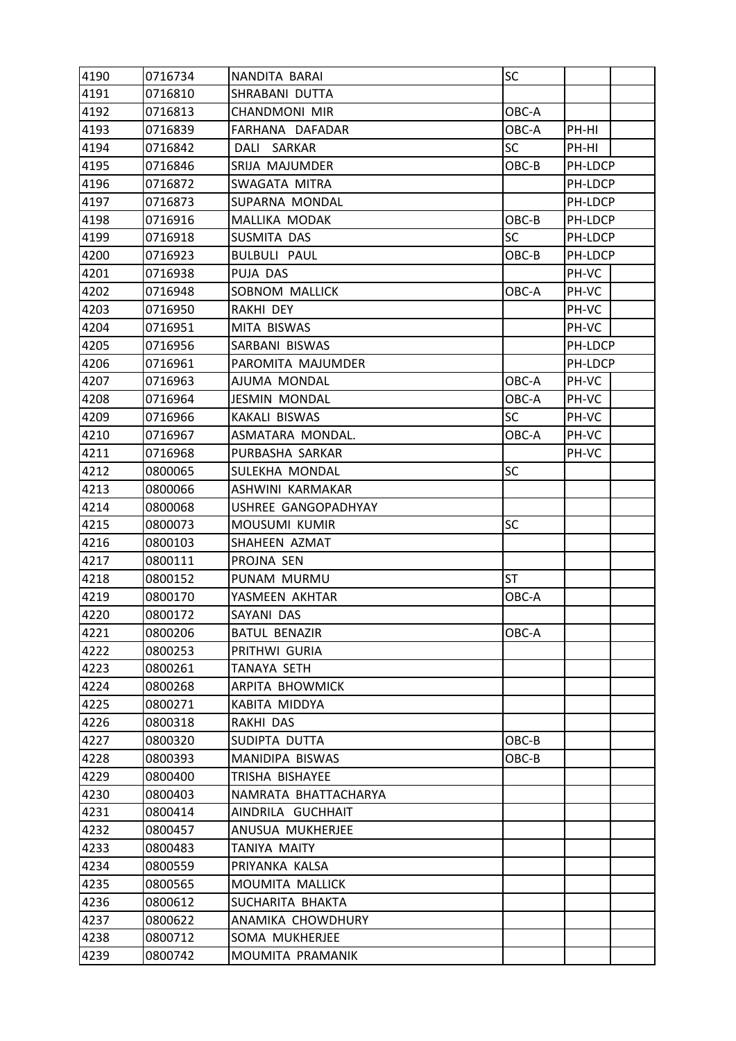| 4190 | 0716734 | NANDITA BARAI        | SC        |         |  |
|------|---------|----------------------|-----------|---------|--|
| 4191 | 0716810 | SHRABANI DUTTA       |           |         |  |
| 4192 | 0716813 | <b>CHANDMONI MIR</b> | OBC-A     |         |  |
| 4193 | 0716839 | FARHANA DAFADAR      | OBC-A     | PH-HI   |  |
| 4194 | 0716842 | DALI SARKAR          | <b>SC</b> | PH-HI   |  |
| 4195 | 0716846 | SRIJA MAJUMDER       | OBC-B     | PH-LDCP |  |
| 4196 | 0716872 | SWAGATA MITRA        |           | PH-LDCP |  |
| 4197 | 0716873 | SUPARNA MONDAL       |           | PH-LDCP |  |
| 4198 | 0716916 | MALLIKA MODAK        | OBC-B     | PH-LDCP |  |
| 4199 | 0716918 | SUSMITA DAS          | <b>SC</b> | PH-LDCP |  |
| 4200 | 0716923 | <b>BULBULI PAUL</b>  | OBC-B     | PH-LDCP |  |
| 4201 | 0716938 | PUJA DAS             |           | PH-VC   |  |
| 4202 | 0716948 | SOBNOM MALLICK       | OBC-A     | PH-VC   |  |
| 4203 | 0716950 | RAKHI DEY            |           | PH-VC   |  |
| 4204 | 0716951 | MITA BISWAS          |           | PH-VC   |  |
| 4205 | 0716956 | SARBANI BISWAS       |           | PH-LDCP |  |
| 4206 | 0716961 | PAROMITA MAJUMDER    |           | PH-LDCP |  |
| 4207 | 0716963 | AJUMA MONDAL         | OBC-A     | PH-VC   |  |
| 4208 | 0716964 | <b>JESMIN MONDAL</b> | OBC-A     | PH-VC   |  |
| 4209 | 0716966 | KAKALI BISWAS        | <b>SC</b> | PH-VC   |  |
| 4210 | 0716967 | ASMATARA MONDAL.     | OBC-A     | PH-VC   |  |
| 4211 | 0716968 | PURBASHA SARKAR      |           | PH-VC   |  |
| 4212 | 0800065 | SULEKHA MONDAL       | <b>SC</b> |         |  |
| 4213 | 0800066 | ASHWINI KARMAKAR     |           |         |  |
| 4214 | 0800068 | USHREE GANGOPADHYAY  |           |         |  |
| 4215 | 0800073 | MOUSUMI KUMIR        | <b>SC</b> |         |  |
| 4216 | 0800103 | SHAHEEN AZMAT        |           |         |  |
| 4217 | 0800111 | PROJNA SEN           |           |         |  |
| 4218 | 0800152 | PUNAM MURMU          | ST        |         |  |
| 4219 | 0800170 | YASMEEN AKHTAR       | OBC-A     |         |  |
| 4220 | 0800172 | SAYANI DAS           |           |         |  |
| 4221 | 0800206 | <b>BATUL BENAZIR</b> | OBC-A     |         |  |
| 4222 | 0800253 | PRITHWI GURIA        |           |         |  |
| 4223 | 0800261 | TANAYA SETH          |           |         |  |
| 4224 | 0800268 | ARPITA BHOWMICK      |           |         |  |
| 4225 | 0800271 | KABITA MIDDYA        |           |         |  |
| 4226 | 0800318 | RAKHI DAS            |           |         |  |
| 4227 | 0800320 | SUDIPTA DUTTA        | OBC-B     |         |  |
| 4228 | 0800393 | MANIDIPA BISWAS      | OBC-B     |         |  |
| 4229 | 0800400 | TRISHA BISHAYEE      |           |         |  |
| 4230 | 0800403 | NAMRATA BHATTACHARYA |           |         |  |
| 4231 | 0800414 | AINDRILA GUCHHAIT    |           |         |  |
| 4232 | 0800457 | ANUSUA MUKHERJEE     |           |         |  |
| 4233 | 0800483 | TANIYA MAITY         |           |         |  |
| 4234 | 0800559 | PRIYANKA KALSA       |           |         |  |
| 4235 | 0800565 | MOUMITA MALLICK      |           |         |  |
| 4236 | 0800612 | SUCHARITA BHAKTA     |           |         |  |
| 4237 | 0800622 | ANAMIKA CHOWDHURY    |           |         |  |
| 4238 | 0800712 | SOMA MUKHERJEE       |           |         |  |
| 4239 | 0800742 | MOUMITA PRAMANIK     |           |         |  |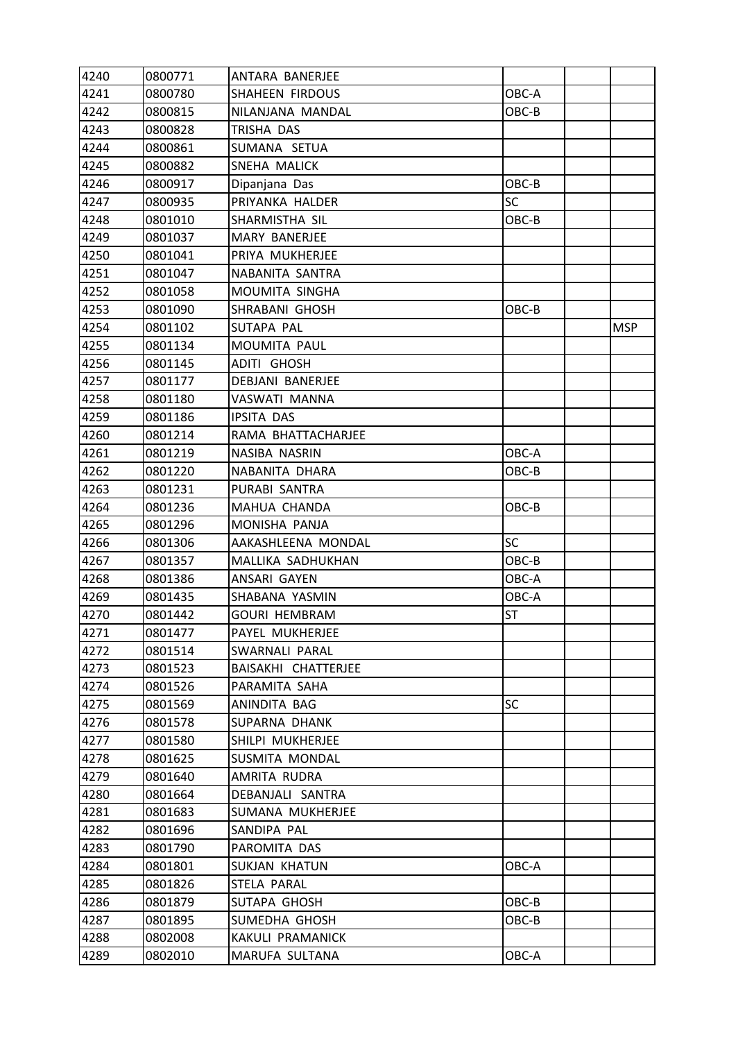| 4240 | 0800771 | ANTARA BANERJEE         |           |            |
|------|---------|-------------------------|-----------|------------|
| 4241 | 0800780 | <b>SHAHEEN FIRDOUS</b>  | OBC-A     |            |
| 4242 | 0800815 | NILANJANA MANDAL        | OBC-B     |            |
| 4243 | 0800828 | TRISHA DAS              |           |            |
| 4244 | 0800861 | SUMANA SETUA            |           |            |
| 4245 | 0800882 | SNEHA MALICK            |           |            |
| 4246 | 0800917 | Dipanjana Das           | OBC-B     |            |
| 4247 | 0800935 | PRIYANKA HALDER         | SC        |            |
| 4248 | 0801010 | SHARMISTHA SIL          | OBC-B     |            |
| 4249 | 0801037 | <b>MARY BANERJEE</b>    |           |            |
| 4250 | 0801041 | PRIYA MUKHERJEE         |           |            |
| 4251 | 0801047 | NABANITA SANTRA         |           |            |
| 4252 | 0801058 | MOUMITA SINGHA          |           |            |
| 4253 | 0801090 | SHRABANI GHOSH          | OBC-B     |            |
| 4254 | 0801102 | SUTAPA PAL              |           | <b>MSP</b> |
| 4255 | 0801134 | <b>MOUMITA PAUL</b>     |           |            |
| 4256 | 0801145 | <b>ADITI GHOSH</b>      |           |            |
| 4257 | 0801177 | <b>DEBJANI BANERJEE</b> |           |            |
| 4258 | 0801180 | VASWATI MANNA           |           |            |
| 4259 | 0801186 | <b>IPSITA DAS</b>       |           |            |
| 4260 | 0801214 | RAMA BHATTACHARJEE      |           |            |
| 4261 | 0801219 | NASIBA NASRIN           | OBC-A     |            |
| 4262 | 0801220 | NABANITA DHARA          | OBC-B     |            |
| 4263 | 0801231 | PURABI SANTRA           |           |            |
| 4264 | 0801236 | MAHUA CHANDA            | OBC-B     |            |
| 4265 | 0801296 | MONISHA PANJA           |           |            |
| 4266 | 0801306 | AAKASHLEENA MONDAL      | <b>SC</b> |            |
| 4267 | 0801357 | MALLIKA SADHUKHAN       | OBC-B     |            |
| 4268 | 0801386 | ANSARI GAYEN            | OBC-A     |            |
| 4269 | 0801435 | SHABANA YASMIN          | OBC-A     |            |
| 4270 | 0801442 | <b>GOURI HEMBRAM</b>    | <b>ST</b> |            |
| 4271 | 0801477 | PAYEL MUKHERJEE         |           |            |
| 4272 | 0801514 | SWARNALI PARAL          |           |            |
| 4273 | 0801523 | BAISAKHI CHATTERJEE     |           |            |
| 4274 | 0801526 | PARAMITA SAHA           |           |            |
| 4275 | 0801569 | ANINDITA BAG            | <b>SC</b> |            |
| 4276 | 0801578 | SUPARNA DHANK           |           |            |
| 4277 | 0801580 | SHILPI MUKHERJEE        |           |            |
| 4278 | 0801625 | SUSMITA MONDAL          |           |            |
| 4279 | 0801640 | AMRITA RUDRA            |           |            |
| 4280 | 0801664 | DEBANJALI SANTRA        |           |            |
| 4281 | 0801683 | SUMANA MUKHERJEE        |           |            |
| 4282 | 0801696 | SANDIPA PAL             |           |            |
| 4283 | 0801790 | PAROMITA DAS            |           |            |
| 4284 | 0801801 | SUKJAN KHATUN           | OBC-A     |            |
| 4285 | 0801826 | STELA PARAL             |           |            |
| 4286 | 0801879 | SUTAPA GHOSH            | OBC-B     |            |
| 4287 | 0801895 | SUMEDHA GHOSH           | OBC-B     |            |
| 4288 | 0802008 | KAKULI PRAMANICK        |           |            |
| 4289 | 0802010 | MARUFA SULTANA          | OBC-A     |            |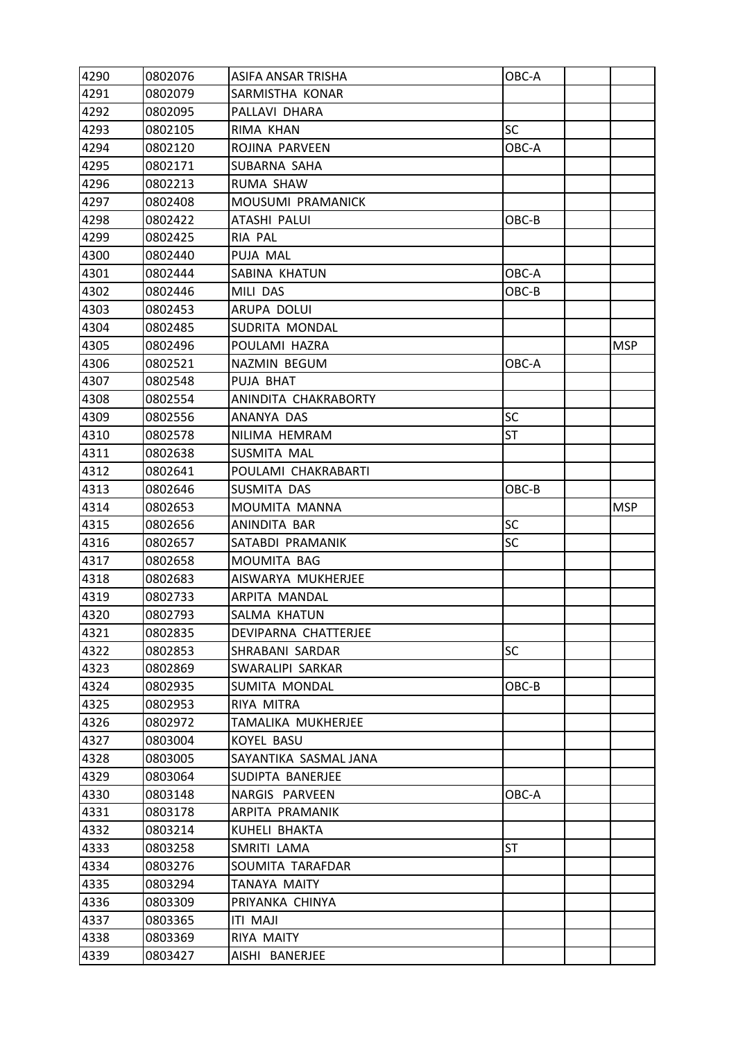| 4290 | 0802076 | ASIFA ANSAR TRISHA    | OBC-A     |            |
|------|---------|-----------------------|-----------|------------|
| 4291 | 0802079 | SARMISTHA KONAR       |           |            |
| 4292 | 0802095 | PALLAVI DHARA         |           |            |
| 4293 | 0802105 | RIMA KHAN             | SC        |            |
| 4294 | 0802120 | ROJINA PARVEEN        | OBC-A     |            |
| 4295 | 0802171 | SUBARNA SAHA          |           |            |
| 4296 | 0802213 | RUMA SHAW             |           |            |
| 4297 | 0802408 | MOUSUMI PRAMANICK     |           |            |
| 4298 | 0802422 | ATASHI PALUI          | OBC-B     |            |
| 4299 | 0802425 | RIA PAL               |           |            |
| 4300 | 0802440 | PUJA MAL              |           |            |
| 4301 | 0802444 | SABINA KHATUN         | OBC-A     |            |
| 4302 | 0802446 | MILI DAS              | OBC-B     |            |
| 4303 | 0802453 | ARUPA DOLUI           |           |            |
| 4304 | 0802485 | SUDRITA MONDAL        |           |            |
| 4305 | 0802496 | POULAMI HAZRA         |           | <b>MSP</b> |
| 4306 | 0802521 | NAZMIN BEGUM          | OBC-A     |            |
| 4307 | 0802548 | PUJA BHAT             |           |            |
| 4308 | 0802554 | ANINDITA CHAKRABORTY  |           |            |
| 4309 | 0802556 | ANANYA DAS            | SC        |            |
| 4310 | 0802578 | NILIMA HEMRAM         | ST        |            |
| 4311 | 0802638 | SUSMITA MAL           |           |            |
| 4312 | 0802641 | POULAMI CHAKRABARTI   |           |            |
| 4313 | 0802646 | SUSMITA DAS           | OBC-B     |            |
| 4314 | 0802653 | MOUMITA MANNA         |           | <b>MSP</b> |
| 4315 | 0802656 | ANINDITA BAR          | <b>SC</b> |            |
| 4316 | 0802657 | SATABDI PRAMANIK      | SC        |            |
| 4317 | 0802658 | <b>MOUMITA BAG</b>    |           |            |
| 4318 | 0802683 | AISWARYA MUKHERJEE    |           |            |
| 4319 | 0802733 | ARPITA MANDAL         |           |            |
| 4320 | 0802793 | SALMA KHATUN          |           |            |
| 4321 | 0802835 | DEVIPARNA CHATTERJEE  |           |            |
| 4322 | 0802853 | SHRABANI SARDAR       | <b>SC</b> |            |
| 4323 | 0802869 | SWARALIPI SARKAR      |           |            |
| 4324 | 0802935 | SUMITA MONDAL         | OBC-B     |            |
| 4325 | 0802953 | RIYA MITRA            |           |            |
| 4326 | 0802972 | TAMALIKA MUKHERJEE    |           |            |
| 4327 | 0803004 | KOYEL BASU            |           |            |
| 4328 | 0803005 | SAYANTIKA SASMAL JANA |           |            |
| 4329 | 0803064 | SUDIPTA BANERJEE      |           |            |
| 4330 | 0803148 | NARGIS PARVEEN        | OBC-A     |            |
| 4331 | 0803178 | ARPITA PRAMANIK       |           |            |
| 4332 | 0803214 | KUHELI BHAKTA         |           |            |
| 4333 | 0803258 | SMRITI LAMA           | ST        |            |
| 4334 | 0803276 | SOUMITA TARAFDAR      |           |            |
| 4335 | 0803294 | TANAYA MAITY          |           |            |
| 4336 | 0803309 | PRIYANKA CHINYA       |           |            |
| 4337 | 0803365 | <b>ITI MAJI</b>       |           |            |
| 4338 | 0803369 | RIYA MAITY            |           |            |
| 4339 | 0803427 | AISHI BANERJEE        |           |            |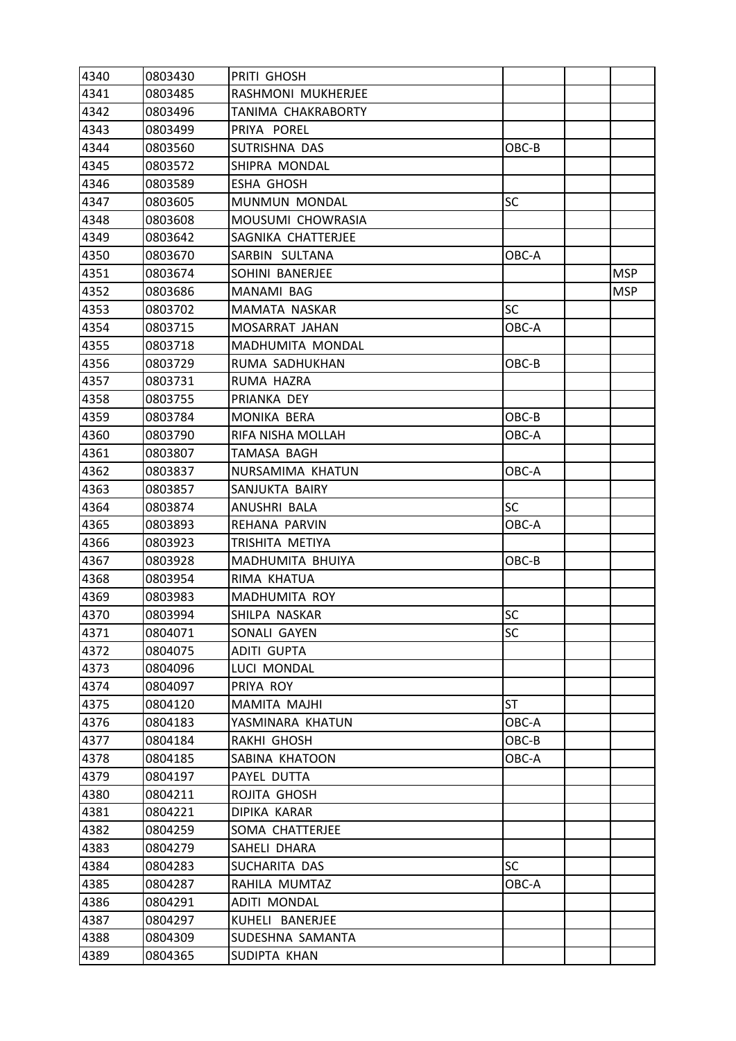| 4340 | 0803430 | PRITI GHOSH        |           |            |
|------|---------|--------------------|-----------|------------|
| 4341 | 0803485 | RASHMONI MUKHERJEE |           |            |
| 4342 | 0803496 | TANIMA CHAKRABORTY |           |            |
| 4343 | 0803499 | PRIYA POREL        |           |            |
| 4344 | 0803560 | SUTRISHNA DAS      | OBC-B     |            |
| 4345 | 0803572 | SHIPRA MONDAL      |           |            |
| 4346 | 0803589 | <b>ESHA GHOSH</b>  |           |            |
| 4347 | 0803605 | MUNMUN MONDAL      | SC        |            |
| 4348 | 0803608 | MOUSUMI CHOWRASIA  |           |            |
| 4349 | 0803642 | SAGNIKA CHATTERJEE |           |            |
| 4350 | 0803670 | SARBIN SULTANA     | OBC-A     |            |
| 4351 | 0803674 | SOHINI BANERJEE    |           | <b>MSP</b> |
| 4352 | 0803686 | MANAMI BAG         |           | <b>MSP</b> |
| 4353 | 0803702 | MAMATA NASKAR      | <b>SC</b> |            |
| 4354 | 0803715 | MOSARRAT JAHAN     | OBC-A     |            |
| 4355 | 0803718 | MADHUMITA MONDAL   |           |            |
| 4356 | 0803729 | RUMA SADHUKHAN     | OBC-B     |            |
| 4357 | 0803731 | RUMA HAZRA         |           |            |
| 4358 | 0803755 | PRIANKA DEY        |           |            |
| 4359 | 0803784 | MONIKA BERA        | OBC-B     |            |
| 4360 | 0803790 | RIFA NISHA MOLLAH  | OBC-A     |            |
| 4361 | 0803807 | TAMASA BAGH        |           |            |
| 4362 | 0803837 | NURSAMIMA KHATUN   | OBC-A     |            |
| 4363 | 0803857 | SANJUKTA BAIRY     |           |            |
| 4364 | 0803874 | ANUSHRI BALA       | <b>SC</b> |            |
| 4365 | 0803893 | REHANA PARVIN      | OBC-A     |            |
| 4366 | 0803923 | TRISHITA METIYA    |           |            |
| 4367 | 0803928 | MADHUMITA BHUIYA   | OBC-B     |            |
| 4368 | 0803954 | RIMA KHATUA        |           |            |
| 4369 | 0803983 | MADHUMITA ROY      |           |            |
| 4370 | 0803994 | SHILPA NASKAR      | <b>SC</b> |            |
| 4371 | 0804071 | SONALI GAYEN       | SC        |            |
| 4372 | 0804075 | <b>ADITI GUPTA</b> |           |            |
| 4373 | 0804096 | LUCI MONDAL        |           |            |
| 4374 | 0804097 | PRIYA ROY          |           |            |
| 4375 | 0804120 | MAMITA MAJHI       | <b>ST</b> |            |
| 4376 | 0804183 | YASMINARA KHATUN   | OBC-A     |            |
| 4377 | 0804184 | RAKHI GHOSH        | OBC-B     |            |
| 4378 | 0804185 | SABINA KHATOON     | OBC-A     |            |
| 4379 | 0804197 | PAYEL DUTTA        |           |            |
| 4380 | 0804211 | ROJITA GHOSH       |           |            |
| 4381 | 0804221 | DIPIKA KARAR       |           |            |
| 4382 | 0804259 | SOMA CHATTERJEE    |           |            |
| 4383 | 0804279 | SAHELI DHARA       |           |            |
| 4384 | 0804283 | SUCHARITA DAS      | <b>SC</b> |            |
| 4385 | 0804287 | RAHILA MUMTAZ      | OBC-A     |            |
| 4386 | 0804291 | ADITI MONDAL       |           |            |
| 4387 | 0804297 | KUHELI BANERJEE    |           |            |
| 4388 | 0804309 | SUDESHNA SAMANTA   |           |            |
| 4389 | 0804365 | SUDIPTA KHAN       |           |            |
|      |         |                    |           |            |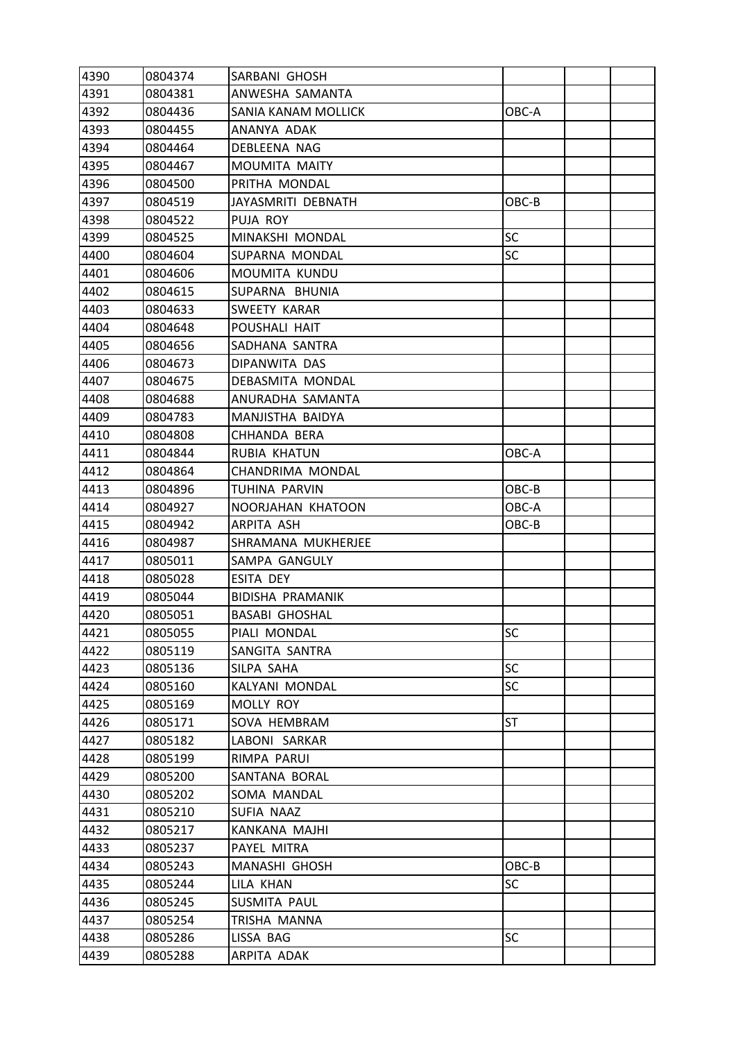| 4390 | 0804374 | SARBANI GHOSH         |           |  |
|------|---------|-----------------------|-----------|--|
| 4391 | 0804381 | ANWESHA SAMANTA       |           |  |
| 4392 | 0804436 | SANIA KANAM MOLLICK   | OBC-A     |  |
| 4393 | 0804455 | ANANYA ADAK           |           |  |
| 4394 | 0804464 | DEBLEENA NAG          |           |  |
| 4395 | 0804467 | <b>MOUMITA MAITY</b>  |           |  |
| 4396 | 0804500 | PRITHA MONDAL         |           |  |
| 4397 | 0804519 | JAYASMRITI DEBNATH    | OBC-B     |  |
| 4398 | 0804522 | PUJA ROY              |           |  |
| 4399 | 0804525 | MINAKSHI MONDAL       | <b>SC</b> |  |
| 4400 | 0804604 | SUPARNA MONDAL        | <b>SC</b> |  |
| 4401 | 0804606 | MOUMITA KUNDU         |           |  |
| 4402 | 0804615 | SUPARNA BHUNIA        |           |  |
| 4403 | 0804633 | SWEETY KARAR          |           |  |
| 4404 | 0804648 | POUSHALI HAIT         |           |  |
| 4405 | 0804656 | SADHANA SANTRA        |           |  |
| 4406 | 0804673 | DIPANWITA DAS         |           |  |
| 4407 | 0804675 | DEBASMITA MONDAL      |           |  |
| 4408 | 0804688 | ANURADHA SAMANTA      |           |  |
| 4409 | 0804783 | MANJISTHA BAIDYA      |           |  |
| 4410 | 0804808 | CHHANDA BERA          |           |  |
| 4411 | 0804844 | RUBIA KHATUN          | OBC-A     |  |
| 4412 | 0804864 | CHANDRIMA MONDAL      |           |  |
| 4413 | 0804896 | TUHINA PARVIN         | OBC-B     |  |
| 4414 | 0804927 | NOORJAHAN KHATOON     | OBC-A     |  |
| 4415 | 0804942 | ARPITA ASH            | OBC-B     |  |
| 4416 | 0804987 | SHRAMANA MUKHERJEE    |           |  |
| 4417 | 0805011 | SAMPA GANGULY         |           |  |
| 4418 | 0805028 | ESITA DEY             |           |  |
| 4419 | 0805044 | BIDISHA PRAMANIK      |           |  |
| 4420 | 0805051 | <b>BASABI GHOSHAL</b> |           |  |
| 4421 | 0805055 | PIALI MONDAL          | <b>SC</b> |  |
| 4422 | 0805119 | SANGITA SANTRA        |           |  |
| 4423 | 0805136 | SILPA SAHA            | <b>SC</b> |  |
| 4424 | 0805160 | KALYANI MONDAL        | <b>SC</b> |  |
| 4425 | 0805169 | <b>MOLLY ROY</b>      |           |  |
| 4426 | 0805171 | SOVA HEMBRAM          | <b>ST</b> |  |
| 4427 | 0805182 | LABONI SARKAR         |           |  |
| 4428 | 0805199 | RIMPA PARUI           |           |  |
| 4429 | 0805200 | SANTANA BORAL         |           |  |
| 4430 | 0805202 | SOMA MANDAL           |           |  |
| 4431 | 0805210 | SUFIA NAAZ            |           |  |
| 4432 | 0805217 | KANKANA MAJHI         |           |  |
| 4433 | 0805237 | PAYEL MITRA           |           |  |
| 4434 | 0805243 | MANASHI GHOSH         | OBC-B     |  |
| 4435 | 0805244 | LILA KHAN             | <b>SC</b> |  |
| 4436 | 0805245 | SUSMITA PAUL          |           |  |
| 4437 | 0805254 | TRISHA MANNA          |           |  |
| 4438 | 0805286 | LISSA BAG             | <b>SC</b> |  |
| 4439 | 0805288 | ARPITA ADAK           |           |  |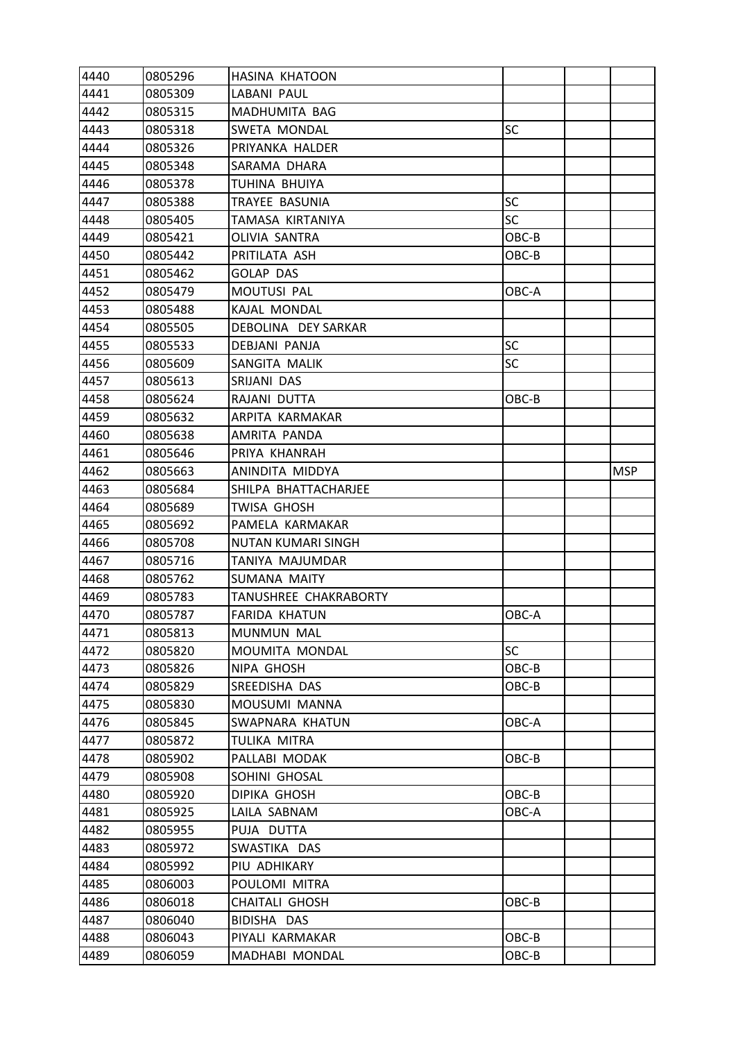| 4440 | 0805296 | <b>HASINA KHATOON</b> |           |            |
|------|---------|-----------------------|-----------|------------|
| 4441 | 0805309 | LABANI PAUL           |           |            |
| 4442 | 0805315 | MADHUMITA BAG         |           |            |
| 4443 | 0805318 | SWETA MONDAL          | <b>SC</b> |            |
| 4444 | 0805326 | PRIYANKA HALDER       |           |            |
| 4445 | 0805348 | SARAMA DHARA          |           |            |
| 4446 | 0805378 | TUHINA BHUIYA         |           |            |
| 4447 | 0805388 | TRAYEE BASUNIA        | SC        |            |
| 4448 | 0805405 | TAMASA KIRTANIYA      | <b>SC</b> |            |
| 4449 | 0805421 | <b>OLIVIA SANTRA</b>  | OBC-B     |            |
| 4450 | 0805442 | PRITILATA ASH         | OBC-B     |            |
| 4451 | 0805462 | <b>GOLAP DAS</b>      |           |            |
| 4452 | 0805479 | MOUTUSI PAL           | OBC-A     |            |
| 4453 | 0805488 | KAJAL MONDAL          |           |            |
| 4454 | 0805505 | DEBOLINA DEY SARKAR   |           |            |
| 4455 | 0805533 | <b>DEBJANI PANJA</b>  | <b>SC</b> |            |
| 4456 | 0805609 | SANGITA MALIK         | <b>SC</b> |            |
| 4457 | 0805613 | SRIJANI DAS           |           |            |
| 4458 | 0805624 | RAJANI DUTTA          | OBC-B     |            |
| 4459 | 0805632 | ARPITA KARMAKAR       |           |            |
| 4460 | 0805638 | AMRITA PANDA          |           |            |
| 4461 | 0805646 | PRIYA KHANRAH         |           |            |
| 4462 | 0805663 | ANINDITA MIDDYA       |           | <b>MSP</b> |
| 4463 | 0805684 | SHILPA BHATTACHARJEE  |           |            |
| 4464 | 0805689 | TWISA GHOSH           |           |            |
| 4465 | 0805692 | PAMELA KARMAKAR       |           |            |
| 4466 | 0805708 | NUTAN KUMARI SINGH    |           |            |
| 4467 | 0805716 | TANIYA MAJUMDAR       |           |            |
| 4468 | 0805762 | <b>SUMANA MAITY</b>   |           |            |
| 4469 | 0805783 | TANUSHREE CHAKRABORTY |           |            |
| 4470 | 0805787 | <b>FARIDA KHATUN</b>  | OBC-A     |            |
| 4471 | 0805813 | MUNMUN MAL            |           |            |
| 4472 | 0805820 | MOUMITA MONDAL        | <b>SC</b> |            |
| 4473 | 0805826 | NIPA GHOSH            | OBC-B     |            |
| 4474 | 0805829 | SREEDISHA DAS         | OBC-B     |            |
| 4475 | 0805830 | MOUSUMI MANNA         |           |            |
| 4476 | 0805845 | SWAPNARA KHATUN       | OBC-A     |            |
| 4477 | 0805872 | TULIKA MITRA          |           |            |
| 4478 | 0805902 | PALLABI MODAK         | OBC-B     |            |
| 4479 | 0805908 | SOHINI GHOSAL         |           |            |
| 4480 | 0805920 | DIPIKA GHOSH          | OBC-B     |            |
| 4481 | 0805925 | LAILA SABNAM          | OBC-A     |            |
| 4482 | 0805955 | PUJA DUTTA            |           |            |
| 4483 | 0805972 | SWASTIKA DAS          |           |            |
| 4484 | 0805992 | PIU ADHIKARY          |           |            |
| 4485 | 0806003 | POULOMI MITRA         |           |            |
| 4486 | 0806018 | <b>CHAITALI GHOSH</b> | OBC-B     |            |
| 4487 | 0806040 | BIDISHA DAS           |           |            |
| 4488 | 0806043 | PIYALI KARMAKAR       | OBC-B     |            |
| 4489 | 0806059 | MADHABI MONDAL        | OBC-B     |            |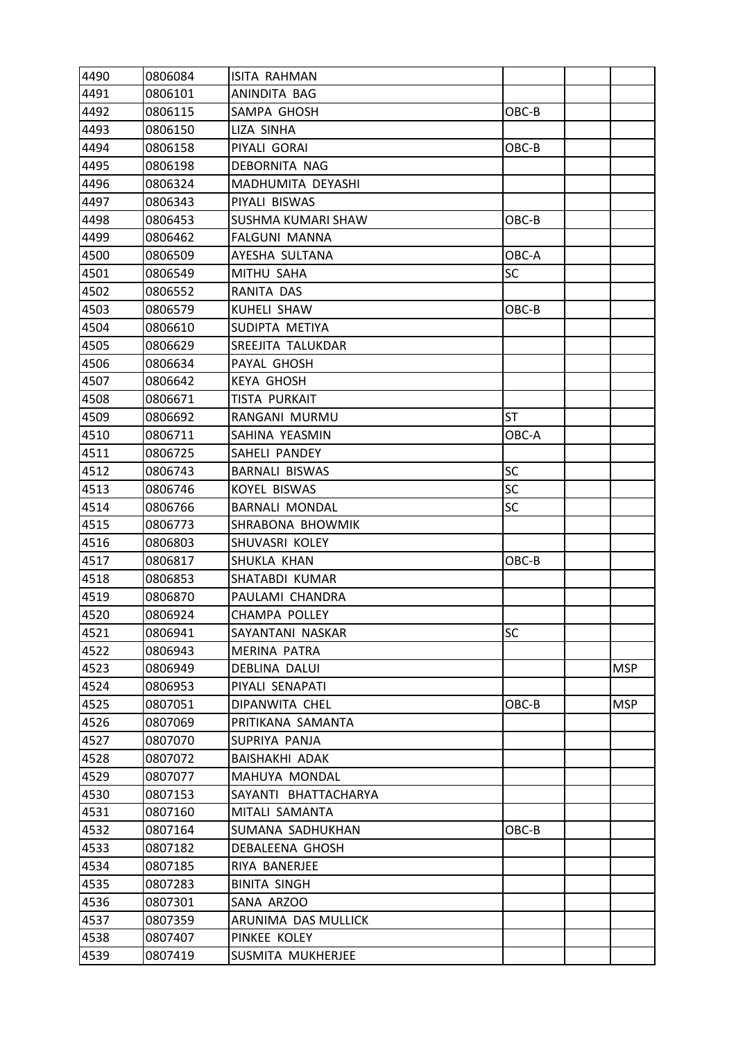| 4490 | 0806084 | <b>ISITA RAHMAN</b>   |           |            |
|------|---------|-----------------------|-----------|------------|
| 4491 | 0806101 | ANINDITA BAG          |           |            |
| 4492 | 0806115 | SAMPA GHOSH           | OBC-B     |            |
| 4493 | 0806150 | LIZA SINHA            |           |            |
| 4494 | 0806158 | PIYALI GORAI          | OBC-B     |            |
| 4495 | 0806198 | DEBORNITA NAG         |           |            |
| 4496 | 0806324 | MADHUMITA DEYASHI     |           |            |
| 4497 | 0806343 | PIYALI BISWAS         |           |            |
| 4498 | 0806453 | SUSHMA KUMARI SHAW    | OBC-B     |            |
| 4499 | 0806462 | FALGUNI MANNA         |           |            |
| 4500 | 0806509 | AYESHA SULTANA        | OBC-A     |            |
| 4501 | 0806549 | MITHU SAHA            | SC        |            |
| 4502 | 0806552 | RANITA DAS            |           |            |
| 4503 | 0806579 | KUHELI SHAW           | OBC-B     |            |
| 4504 | 0806610 | SUDIPTA METIYA        |           |            |
| 4505 | 0806629 | SREEJITA TALUKDAR     |           |            |
| 4506 | 0806634 | PAYAL GHOSH           |           |            |
| 4507 | 0806642 | <b>KEYA GHOSH</b>     |           |            |
| 4508 | 0806671 | TISTA PURKAIT         |           |            |
| 4509 | 0806692 | RANGANI MURMU         | <b>ST</b> |            |
| 4510 | 0806711 | SAHINA YEASMIN        | OBC-A     |            |
| 4511 | 0806725 | SAHELI PANDEY         |           |            |
| 4512 | 0806743 | <b>BARNALI BISWAS</b> | <b>SC</b> |            |
| 4513 | 0806746 | <b>KOYEL BISWAS</b>   | <b>SC</b> |            |
| 4514 | 0806766 | <b>BARNALI MONDAL</b> | SC        |            |
| 4515 | 0806773 | SHRABONA BHOWMIK      |           |            |
| 4516 | 0806803 | SHUVASRI KOLEY        |           |            |
| 4517 | 0806817 | SHUKLA KHAN           | OBC-B     |            |
| 4518 | 0806853 | SHATABDI KUMAR        |           |            |
| 4519 | 0806870 | PAULAMI CHANDRA       |           |            |
| 4520 | 0806924 | <b>CHAMPA POLLEY</b>  |           |            |
| 4521 | 0806941 | SAYANTANI NASKAR      | SC        |            |
| 4522 | 0806943 | <b>MERINA PATRA</b>   |           |            |
| 4523 | 0806949 | DEBLINA DALUI         |           | <b>MSP</b> |
| 4524 | 0806953 | PIYALI SENAPATI       |           |            |
| 4525 | 0807051 | DIPANWITA CHEL        | OBC-B     | <b>MSP</b> |
| 4526 | 0807069 | PRITIKANA SAMANTA     |           |            |
| 4527 | 0807070 | SUPRIYA PANJA         |           |            |
| 4528 | 0807072 | BAISHAKHI ADAK        |           |            |
| 4529 | 0807077 | MAHUYA MONDAL         |           |            |
| 4530 | 0807153 | SAYANTI BHATTACHARYA  |           |            |
| 4531 | 0807160 | MITALI SAMANTA        |           |            |
| 4532 | 0807164 | SUMANA SADHUKHAN      | OBC-B     |            |
| 4533 | 0807182 | DEBALEENA GHOSH       |           |            |
| 4534 | 0807185 | RIYA BANERJEE         |           |            |
| 4535 | 0807283 | <b>BINITA SINGH</b>   |           |            |
| 4536 | 0807301 | SANA ARZOO            |           |            |
| 4537 | 0807359 | ARUNIMA DAS MULLICK   |           |            |
| 4538 | 0807407 | PINKEE KOLEY          |           |            |
| 4539 | 0807419 | SUSMITA MUKHERJEE     |           |            |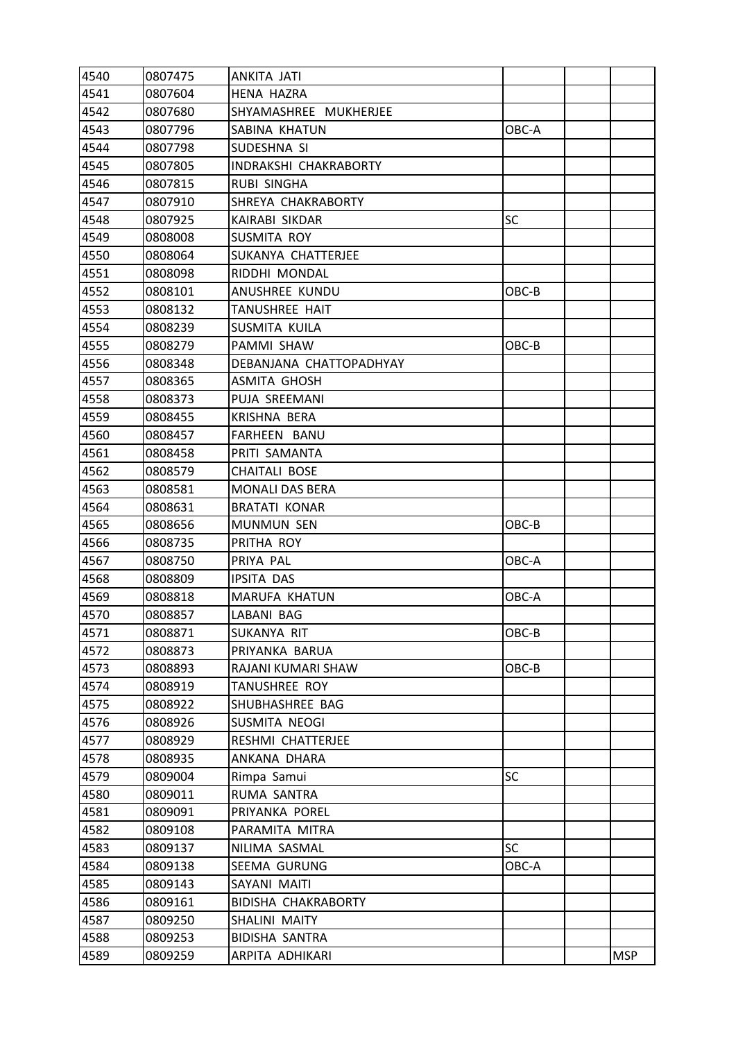| 4540 | 0807475 | ANKITA JATI                |           |            |
|------|---------|----------------------------|-----------|------------|
| 4541 | 0807604 | <b>HENA HAZRA</b>          |           |            |
| 4542 | 0807680 | SHYAMASHREE MUKHERJEE      |           |            |
| 4543 | 0807796 | SABINA KHATUN              | OBC-A     |            |
| 4544 | 0807798 | SUDESHNA SI                |           |            |
| 4545 | 0807805 | INDRAKSHI CHAKRABORTY      |           |            |
| 4546 | 0807815 | RUBI SINGHA                |           |            |
| 4547 | 0807910 | SHREYA CHAKRABORTY         |           |            |
| 4548 | 0807925 | KAIRABI SIKDAR             | <b>SC</b> |            |
| 4549 | 0808008 | SUSMITA ROY                |           |            |
| 4550 | 0808064 | SUKANYA CHATTERJEE         |           |            |
| 4551 | 0808098 | RIDDHI MONDAL              |           |            |
| 4552 | 0808101 | ANUSHREE KUNDU             | OBC-B     |            |
| 4553 | 0808132 | <b>TANUSHREE HAIT</b>      |           |            |
| 4554 | 0808239 | SUSMITA KUILA              |           |            |
| 4555 | 0808279 | PAMMI SHAW                 | OBC-B     |            |
| 4556 | 0808348 | DEBANJANA CHATTOPADHYAY    |           |            |
| 4557 | 0808365 | ASMITA GHOSH               |           |            |
| 4558 | 0808373 | PUJA SREEMANI              |           |            |
| 4559 | 0808455 | <b>KRISHNA BERA</b>        |           |            |
| 4560 | 0808457 | FARHEEN BANU               |           |            |
| 4561 | 0808458 | PRITI SAMANTA              |           |            |
| 4562 | 0808579 | <b>CHAITALI BOSE</b>       |           |            |
| 4563 | 0808581 | <b>MONALI DAS BERA</b>     |           |            |
| 4564 | 0808631 | <b>BRATATI KONAR</b>       |           |            |
| 4565 | 0808656 | <b>MUNMUN SEN</b>          | OBC-B     |            |
| 4566 | 0808735 | PRITHA ROY                 |           |            |
| 4567 | 0808750 | PRIYA PAL                  | OBC-A     |            |
| 4568 | 0808809 | <b>IPSITA DAS</b>          |           |            |
| 4569 | 0808818 | MARUFA KHATUN              | OBC-A     |            |
| 4570 | 0808857 | LABANI BAG                 |           |            |
| 4571 | 0808871 | SUKANYA RIT                | OBC-B     |            |
| 4572 | 0808873 | PRIYANKA BARUA             |           |            |
| 4573 | 0808893 | RAJANI KUMARI SHAW         | OBC-B     |            |
| 4574 | 0808919 | <b>TANUSHREE ROY</b>       |           |            |
| 4575 | 0808922 | SHUBHASHREE BAG            |           |            |
| 4576 | 0808926 | SUSMITA NEOGI              |           |            |
| 4577 | 0808929 | RESHMI CHATTERJEE          |           |            |
| 4578 | 0808935 | ANKANA DHARA               |           |            |
| 4579 | 0809004 | Rimpa Samui                | <b>SC</b> |            |
| 4580 | 0809011 | RUMA SANTRA                |           |            |
| 4581 | 0809091 | PRIYANKA POREL             |           |            |
| 4582 | 0809108 | PARAMITA MITRA             |           |            |
| 4583 | 0809137 | NILIMA SASMAL              | <b>SC</b> |            |
| 4584 | 0809138 | SEEMA GURUNG               | OBC-A     |            |
| 4585 | 0809143 | SAYANI MAITI               |           |            |
| 4586 | 0809161 | <b>BIDISHA CHAKRABORTY</b> |           |            |
| 4587 | 0809250 | SHALINI MAITY              |           |            |
| 4588 | 0809253 | BIDISHA SANTRA             |           |            |
| 4589 | 0809259 | ARPITA ADHIKARI            |           | <b>MSP</b> |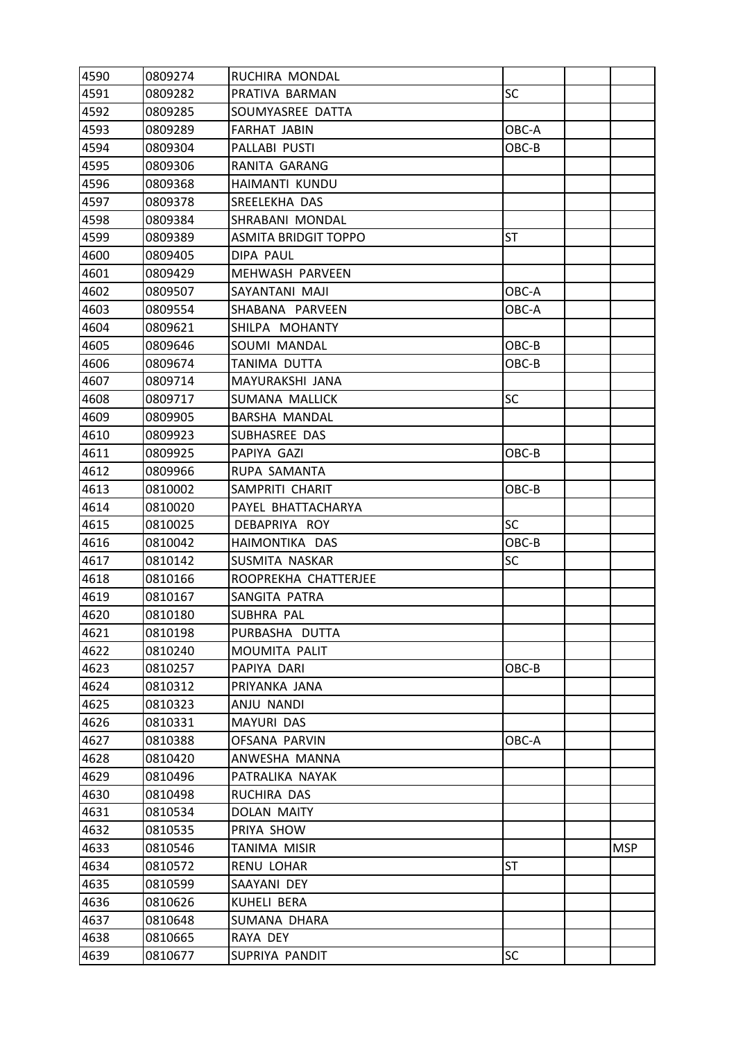| 4591<br>0809282<br>PRATIVA BARMAN<br><b>SC</b><br>4592<br>0809285<br>SOUMYASREE DATTA<br>4593<br>0809289<br><b>FARHAT JABIN</b><br>OBC-A<br>4594<br>0809304<br>PALLABI PUSTI<br>OBC-B<br>4595<br>RANITA GARANG<br>0809306<br>4596<br>0809368<br>HAIMANTI KUNDU<br>4597<br>0809378<br>SREELEKHA DAS<br>4598<br>0809384<br>SHRABANI MONDAL<br>4599<br><b>ASMITA BRIDGIT TOPPO</b><br>ST<br>0809389<br>4600<br>0809405<br>DIPA PAUL<br>4601<br>MEHWASH PARVEEN<br>0809429<br>4602<br>0809507<br>SAYANTANI MAJI<br>OBC-A<br>4603<br>0809554<br>SHABANA PARVEEN<br>OBC-A<br>4604<br>SHILPA MOHANTY<br>0809621<br>4605<br>0809646<br>SOUMI MANDAL<br>OBC-B<br>4606<br>0809674<br>TANIMA DUTTA<br>OBC-B<br>4607<br>0809714<br>MAYURAKSHI JANA<br>4608<br>SUMANA MALLICK<br>SC<br>0809717<br>4609<br>BARSHA MANDAL<br>0809905<br>4610<br>0809923<br>SUBHASREE DAS<br>4611<br>0809925<br>PAPIYA GAZI<br>OBC-B<br>4612<br>0809966<br>RUPA SAMANTA<br>4613<br>0810002<br>SAMPRITI CHARIT<br>OBC-B<br>4614<br>PAYEL BHATTACHARYA<br>0810020<br>4615<br>0810025<br><b>SC</b><br>DEBAPRIYA ROY<br>4616<br>0810042<br>OBC-B<br>HAIMONTIKA DAS<br>4617<br>0810142<br>SUSMITA NASKAR<br>SC<br>4618<br>0810166<br>ROOPREKHA CHATTERJEE<br>4619<br>SANGITA PATRA<br>0810167<br>4620<br>0810180<br>SUBHRA PAL<br>4621<br>0810198<br>PURBASHA DUTTA<br>4622<br>0810240<br>MOUMITA PALIT<br>4623<br>OBC-B<br>0810257<br>PAPIYA DARI<br>4624<br>0810312<br>PRIYANKA JANA<br>4625<br>ANJU NANDI<br>0810323<br>4626<br>MAYURI DAS<br>0810331<br>4627<br>0810388<br>OFSANA PARVIN<br>OBC-A<br>4628<br>0810420<br>ANWESHA MANNA<br>4629<br>0810496<br>PATRALIKA NAYAK<br>4630<br>0810498<br>RUCHIRA DAS<br>4631<br>0810534<br>DOLAN MAITY<br>4632<br>PRIYA SHOW<br>0810535<br>4633<br><b>MSP</b><br>0810546<br>TANIMA MISIR<br>4634<br>RENU LOHAR<br>ST<br>0810572<br>4635<br>0810599<br>SAAYANI DEY<br>4636<br>0810626<br>KUHELI BERA<br>4637<br>0810648<br>SUMANA DHARA<br>4638<br>0810665<br>RAYA DEY<br>SC<br>4639<br>SUPRIYA PANDIT<br>0810677 | 4590 | 0809274 | RUCHIRA MONDAL |  |  |
|--------------------------------------------------------------------------------------------------------------------------------------------------------------------------------------------------------------------------------------------------------------------------------------------------------------------------------------------------------------------------------------------------------------------------------------------------------------------------------------------------------------------------------------------------------------------------------------------------------------------------------------------------------------------------------------------------------------------------------------------------------------------------------------------------------------------------------------------------------------------------------------------------------------------------------------------------------------------------------------------------------------------------------------------------------------------------------------------------------------------------------------------------------------------------------------------------------------------------------------------------------------------------------------------------------------------------------------------------------------------------------------------------------------------------------------------------------------------------------------------------------------------------------------------------------------------------------------------------------------------------------------------------------------------------------------------------------------------------------------------------------------------------------------------------------------------------------------------------------------------------------------------------------------------------------------------------------------------------------------------------------------------------|------|---------|----------------|--|--|
|                                                                                                                                                                                                                                                                                                                                                                                                                                                                                                                                                                                                                                                                                                                                                                                                                                                                                                                                                                                                                                                                                                                                                                                                                                                                                                                                                                                                                                                                                                                                                                                                                                                                                                                                                                                                                                                                                                                                                                                                                          |      |         |                |  |  |
|                                                                                                                                                                                                                                                                                                                                                                                                                                                                                                                                                                                                                                                                                                                                                                                                                                                                                                                                                                                                                                                                                                                                                                                                                                                                                                                                                                                                                                                                                                                                                                                                                                                                                                                                                                                                                                                                                                                                                                                                                          |      |         |                |  |  |
|                                                                                                                                                                                                                                                                                                                                                                                                                                                                                                                                                                                                                                                                                                                                                                                                                                                                                                                                                                                                                                                                                                                                                                                                                                                                                                                                                                                                                                                                                                                                                                                                                                                                                                                                                                                                                                                                                                                                                                                                                          |      |         |                |  |  |
|                                                                                                                                                                                                                                                                                                                                                                                                                                                                                                                                                                                                                                                                                                                                                                                                                                                                                                                                                                                                                                                                                                                                                                                                                                                                                                                                                                                                                                                                                                                                                                                                                                                                                                                                                                                                                                                                                                                                                                                                                          |      |         |                |  |  |
|                                                                                                                                                                                                                                                                                                                                                                                                                                                                                                                                                                                                                                                                                                                                                                                                                                                                                                                                                                                                                                                                                                                                                                                                                                                                                                                                                                                                                                                                                                                                                                                                                                                                                                                                                                                                                                                                                                                                                                                                                          |      |         |                |  |  |
|                                                                                                                                                                                                                                                                                                                                                                                                                                                                                                                                                                                                                                                                                                                                                                                                                                                                                                                                                                                                                                                                                                                                                                                                                                                                                                                                                                                                                                                                                                                                                                                                                                                                                                                                                                                                                                                                                                                                                                                                                          |      |         |                |  |  |
|                                                                                                                                                                                                                                                                                                                                                                                                                                                                                                                                                                                                                                                                                                                                                                                                                                                                                                                                                                                                                                                                                                                                                                                                                                                                                                                                                                                                                                                                                                                                                                                                                                                                                                                                                                                                                                                                                                                                                                                                                          |      |         |                |  |  |
|                                                                                                                                                                                                                                                                                                                                                                                                                                                                                                                                                                                                                                                                                                                                                                                                                                                                                                                                                                                                                                                                                                                                                                                                                                                                                                                                                                                                                                                                                                                                                                                                                                                                                                                                                                                                                                                                                                                                                                                                                          |      |         |                |  |  |
|                                                                                                                                                                                                                                                                                                                                                                                                                                                                                                                                                                                                                                                                                                                                                                                                                                                                                                                                                                                                                                                                                                                                                                                                                                                                                                                                                                                                                                                                                                                                                                                                                                                                                                                                                                                                                                                                                                                                                                                                                          |      |         |                |  |  |
|                                                                                                                                                                                                                                                                                                                                                                                                                                                                                                                                                                                                                                                                                                                                                                                                                                                                                                                                                                                                                                                                                                                                                                                                                                                                                                                                                                                                                                                                                                                                                                                                                                                                                                                                                                                                                                                                                                                                                                                                                          |      |         |                |  |  |
|                                                                                                                                                                                                                                                                                                                                                                                                                                                                                                                                                                                                                                                                                                                                                                                                                                                                                                                                                                                                                                                                                                                                                                                                                                                                                                                                                                                                                                                                                                                                                                                                                                                                                                                                                                                                                                                                                                                                                                                                                          |      |         |                |  |  |
|                                                                                                                                                                                                                                                                                                                                                                                                                                                                                                                                                                                                                                                                                                                                                                                                                                                                                                                                                                                                                                                                                                                                                                                                                                                                                                                                                                                                                                                                                                                                                                                                                                                                                                                                                                                                                                                                                                                                                                                                                          |      |         |                |  |  |
|                                                                                                                                                                                                                                                                                                                                                                                                                                                                                                                                                                                                                                                                                                                                                                                                                                                                                                                                                                                                                                                                                                                                                                                                                                                                                                                                                                                                                                                                                                                                                                                                                                                                                                                                                                                                                                                                                                                                                                                                                          |      |         |                |  |  |
|                                                                                                                                                                                                                                                                                                                                                                                                                                                                                                                                                                                                                                                                                                                                                                                                                                                                                                                                                                                                                                                                                                                                                                                                                                                                                                                                                                                                                                                                                                                                                                                                                                                                                                                                                                                                                                                                                                                                                                                                                          |      |         |                |  |  |
|                                                                                                                                                                                                                                                                                                                                                                                                                                                                                                                                                                                                                                                                                                                                                                                                                                                                                                                                                                                                                                                                                                                                                                                                                                                                                                                                                                                                                                                                                                                                                                                                                                                                                                                                                                                                                                                                                                                                                                                                                          |      |         |                |  |  |
|                                                                                                                                                                                                                                                                                                                                                                                                                                                                                                                                                                                                                                                                                                                                                                                                                                                                                                                                                                                                                                                                                                                                                                                                                                                                                                                                                                                                                                                                                                                                                                                                                                                                                                                                                                                                                                                                                                                                                                                                                          |      |         |                |  |  |
|                                                                                                                                                                                                                                                                                                                                                                                                                                                                                                                                                                                                                                                                                                                                                                                                                                                                                                                                                                                                                                                                                                                                                                                                                                                                                                                                                                                                                                                                                                                                                                                                                                                                                                                                                                                                                                                                                                                                                                                                                          |      |         |                |  |  |
|                                                                                                                                                                                                                                                                                                                                                                                                                                                                                                                                                                                                                                                                                                                                                                                                                                                                                                                                                                                                                                                                                                                                                                                                                                                                                                                                                                                                                                                                                                                                                                                                                                                                                                                                                                                                                                                                                                                                                                                                                          |      |         |                |  |  |
|                                                                                                                                                                                                                                                                                                                                                                                                                                                                                                                                                                                                                                                                                                                                                                                                                                                                                                                                                                                                                                                                                                                                                                                                                                                                                                                                                                                                                                                                                                                                                                                                                                                                                                                                                                                                                                                                                                                                                                                                                          |      |         |                |  |  |
|                                                                                                                                                                                                                                                                                                                                                                                                                                                                                                                                                                                                                                                                                                                                                                                                                                                                                                                                                                                                                                                                                                                                                                                                                                                                                                                                                                                                                                                                                                                                                                                                                                                                                                                                                                                                                                                                                                                                                                                                                          |      |         |                |  |  |
|                                                                                                                                                                                                                                                                                                                                                                                                                                                                                                                                                                                                                                                                                                                                                                                                                                                                                                                                                                                                                                                                                                                                                                                                                                                                                                                                                                                                                                                                                                                                                                                                                                                                                                                                                                                                                                                                                                                                                                                                                          |      |         |                |  |  |
|                                                                                                                                                                                                                                                                                                                                                                                                                                                                                                                                                                                                                                                                                                                                                                                                                                                                                                                                                                                                                                                                                                                                                                                                                                                                                                                                                                                                                                                                                                                                                                                                                                                                                                                                                                                                                                                                                                                                                                                                                          |      |         |                |  |  |
|                                                                                                                                                                                                                                                                                                                                                                                                                                                                                                                                                                                                                                                                                                                                                                                                                                                                                                                                                                                                                                                                                                                                                                                                                                                                                                                                                                                                                                                                                                                                                                                                                                                                                                                                                                                                                                                                                                                                                                                                                          |      |         |                |  |  |
|                                                                                                                                                                                                                                                                                                                                                                                                                                                                                                                                                                                                                                                                                                                                                                                                                                                                                                                                                                                                                                                                                                                                                                                                                                                                                                                                                                                                                                                                                                                                                                                                                                                                                                                                                                                                                                                                                                                                                                                                                          |      |         |                |  |  |
|                                                                                                                                                                                                                                                                                                                                                                                                                                                                                                                                                                                                                                                                                                                                                                                                                                                                                                                                                                                                                                                                                                                                                                                                                                                                                                                                                                                                                                                                                                                                                                                                                                                                                                                                                                                                                                                                                                                                                                                                                          |      |         |                |  |  |
|                                                                                                                                                                                                                                                                                                                                                                                                                                                                                                                                                                                                                                                                                                                                                                                                                                                                                                                                                                                                                                                                                                                                                                                                                                                                                                                                                                                                                                                                                                                                                                                                                                                                                                                                                                                                                                                                                                                                                                                                                          |      |         |                |  |  |
|                                                                                                                                                                                                                                                                                                                                                                                                                                                                                                                                                                                                                                                                                                                                                                                                                                                                                                                                                                                                                                                                                                                                                                                                                                                                                                                                                                                                                                                                                                                                                                                                                                                                                                                                                                                                                                                                                                                                                                                                                          |      |         |                |  |  |
|                                                                                                                                                                                                                                                                                                                                                                                                                                                                                                                                                                                                                                                                                                                                                                                                                                                                                                                                                                                                                                                                                                                                                                                                                                                                                                                                                                                                                                                                                                                                                                                                                                                                                                                                                                                                                                                                                                                                                                                                                          |      |         |                |  |  |
|                                                                                                                                                                                                                                                                                                                                                                                                                                                                                                                                                                                                                                                                                                                                                                                                                                                                                                                                                                                                                                                                                                                                                                                                                                                                                                                                                                                                                                                                                                                                                                                                                                                                                                                                                                                                                                                                                                                                                                                                                          |      |         |                |  |  |
|                                                                                                                                                                                                                                                                                                                                                                                                                                                                                                                                                                                                                                                                                                                                                                                                                                                                                                                                                                                                                                                                                                                                                                                                                                                                                                                                                                                                                                                                                                                                                                                                                                                                                                                                                                                                                                                                                                                                                                                                                          |      |         |                |  |  |
|                                                                                                                                                                                                                                                                                                                                                                                                                                                                                                                                                                                                                                                                                                                                                                                                                                                                                                                                                                                                                                                                                                                                                                                                                                                                                                                                                                                                                                                                                                                                                                                                                                                                                                                                                                                                                                                                                                                                                                                                                          |      |         |                |  |  |
|                                                                                                                                                                                                                                                                                                                                                                                                                                                                                                                                                                                                                                                                                                                                                                                                                                                                                                                                                                                                                                                                                                                                                                                                                                                                                                                                                                                                                                                                                                                                                                                                                                                                                                                                                                                                                                                                                                                                                                                                                          |      |         |                |  |  |
|                                                                                                                                                                                                                                                                                                                                                                                                                                                                                                                                                                                                                                                                                                                                                                                                                                                                                                                                                                                                                                                                                                                                                                                                                                                                                                                                                                                                                                                                                                                                                                                                                                                                                                                                                                                                                                                                                                                                                                                                                          |      |         |                |  |  |
|                                                                                                                                                                                                                                                                                                                                                                                                                                                                                                                                                                                                                                                                                                                                                                                                                                                                                                                                                                                                                                                                                                                                                                                                                                                                                                                                                                                                                                                                                                                                                                                                                                                                                                                                                                                                                                                                                                                                                                                                                          |      |         |                |  |  |
|                                                                                                                                                                                                                                                                                                                                                                                                                                                                                                                                                                                                                                                                                                                                                                                                                                                                                                                                                                                                                                                                                                                                                                                                                                                                                                                                                                                                                                                                                                                                                                                                                                                                                                                                                                                                                                                                                                                                                                                                                          |      |         |                |  |  |
|                                                                                                                                                                                                                                                                                                                                                                                                                                                                                                                                                                                                                                                                                                                                                                                                                                                                                                                                                                                                                                                                                                                                                                                                                                                                                                                                                                                                                                                                                                                                                                                                                                                                                                                                                                                                                                                                                                                                                                                                                          |      |         |                |  |  |
|                                                                                                                                                                                                                                                                                                                                                                                                                                                                                                                                                                                                                                                                                                                                                                                                                                                                                                                                                                                                                                                                                                                                                                                                                                                                                                                                                                                                                                                                                                                                                                                                                                                                                                                                                                                                                                                                                                                                                                                                                          |      |         |                |  |  |
|                                                                                                                                                                                                                                                                                                                                                                                                                                                                                                                                                                                                                                                                                                                                                                                                                                                                                                                                                                                                                                                                                                                                                                                                                                                                                                                                                                                                                                                                                                                                                                                                                                                                                                                                                                                                                                                                                                                                                                                                                          |      |         |                |  |  |
|                                                                                                                                                                                                                                                                                                                                                                                                                                                                                                                                                                                                                                                                                                                                                                                                                                                                                                                                                                                                                                                                                                                                                                                                                                                                                                                                                                                                                                                                                                                                                                                                                                                                                                                                                                                                                                                                                                                                                                                                                          |      |         |                |  |  |
|                                                                                                                                                                                                                                                                                                                                                                                                                                                                                                                                                                                                                                                                                                                                                                                                                                                                                                                                                                                                                                                                                                                                                                                                                                                                                                                                                                                                                                                                                                                                                                                                                                                                                                                                                                                                                                                                                                                                                                                                                          |      |         |                |  |  |
|                                                                                                                                                                                                                                                                                                                                                                                                                                                                                                                                                                                                                                                                                                                                                                                                                                                                                                                                                                                                                                                                                                                                                                                                                                                                                                                                                                                                                                                                                                                                                                                                                                                                                                                                                                                                                                                                                                                                                                                                                          |      |         |                |  |  |
|                                                                                                                                                                                                                                                                                                                                                                                                                                                                                                                                                                                                                                                                                                                                                                                                                                                                                                                                                                                                                                                                                                                                                                                                                                                                                                                                                                                                                                                                                                                                                                                                                                                                                                                                                                                                                                                                                                                                                                                                                          |      |         |                |  |  |
|                                                                                                                                                                                                                                                                                                                                                                                                                                                                                                                                                                                                                                                                                                                                                                                                                                                                                                                                                                                                                                                                                                                                                                                                                                                                                                                                                                                                                                                                                                                                                                                                                                                                                                                                                                                                                                                                                                                                                                                                                          |      |         |                |  |  |
|                                                                                                                                                                                                                                                                                                                                                                                                                                                                                                                                                                                                                                                                                                                                                                                                                                                                                                                                                                                                                                                                                                                                                                                                                                                                                                                                                                                                                                                                                                                                                                                                                                                                                                                                                                                                                                                                                                                                                                                                                          |      |         |                |  |  |
|                                                                                                                                                                                                                                                                                                                                                                                                                                                                                                                                                                                                                                                                                                                                                                                                                                                                                                                                                                                                                                                                                                                                                                                                                                                                                                                                                                                                                                                                                                                                                                                                                                                                                                                                                                                                                                                                                                                                                                                                                          |      |         |                |  |  |
|                                                                                                                                                                                                                                                                                                                                                                                                                                                                                                                                                                                                                                                                                                                                                                                                                                                                                                                                                                                                                                                                                                                                                                                                                                                                                                                                                                                                                                                                                                                                                                                                                                                                                                                                                                                                                                                                                                                                                                                                                          |      |         |                |  |  |
|                                                                                                                                                                                                                                                                                                                                                                                                                                                                                                                                                                                                                                                                                                                                                                                                                                                                                                                                                                                                                                                                                                                                                                                                                                                                                                                                                                                                                                                                                                                                                                                                                                                                                                                                                                                                                                                                                                                                                                                                                          |      |         |                |  |  |
|                                                                                                                                                                                                                                                                                                                                                                                                                                                                                                                                                                                                                                                                                                                                                                                                                                                                                                                                                                                                                                                                                                                                                                                                                                                                                                                                                                                                                                                                                                                                                                                                                                                                                                                                                                                                                                                                                                                                                                                                                          |      |         |                |  |  |
|                                                                                                                                                                                                                                                                                                                                                                                                                                                                                                                                                                                                                                                                                                                                                                                                                                                                                                                                                                                                                                                                                                                                                                                                                                                                                                                                                                                                                                                                                                                                                                                                                                                                                                                                                                                                                                                                                                                                                                                                                          |      |         |                |  |  |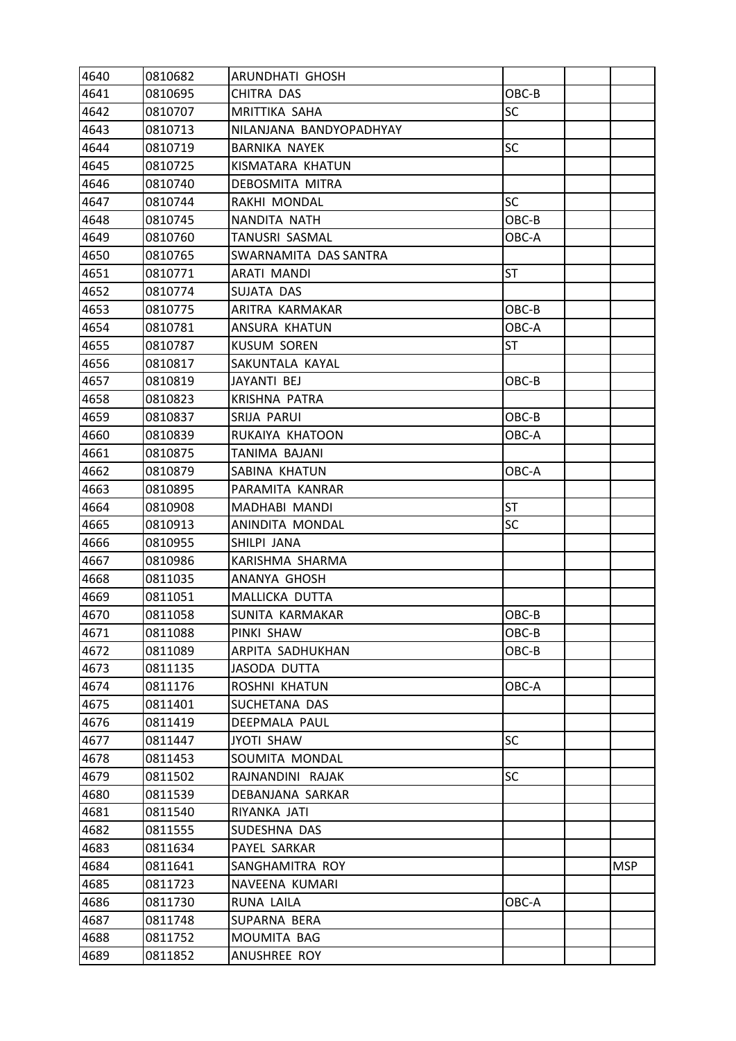| 4640 | 0810682 | ARUNDHATI GHOSH         |           |            |
|------|---------|-------------------------|-----------|------------|
| 4641 | 0810695 | CHITRA DAS              | OBC-B     |            |
| 4642 | 0810707 | MRITTIKA SAHA           | <b>SC</b> |            |
| 4643 | 0810713 | NILANJANA BANDYOPADHYAY |           |            |
| 4644 | 0810719 | <b>BARNIKA NAYEK</b>    | <b>SC</b> |            |
| 4645 | 0810725 | KISMATARA KHATUN        |           |            |
| 4646 | 0810740 | DEBOSMITA MITRA         |           |            |
| 4647 | 0810744 | RAKHI MONDAL            | <b>SC</b> |            |
| 4648 | 0810745 | NANDITA NATH            | OBC-B     |            |
| 4649 | 0810760 | TANUSRI SASMAL          | OBC-A     |            |
| 4650 | 0810765 | SWARNAMITA DAS SANTRA   |           |            |
| 4651 | 0810771 | ARATI MANDI             | <b>ST</b> |            |
| 4652 | 0810774 | SUJATA DAS              |           |            |
| 4653 | 0810775 | ARITRA KARMAKAR         | OBC-B     |            |
| 4654 | 0810781 | ANSURA KHATUN           | OBC-A     |            |
| 4655 | 0810787 | <b>KUSUM SOREN</b>      | ST        |            |
| 4656 | 0810817 | SAKUNTALA KAYAL         |           |            |
| 4657 | 0810819 | JAYANTI BEJ             | OBC-B     |            |
| 4658 | 0810823 | <b>KRISHNA PATRA</b>    |           |            |
| 4659 | 0810837 | SRIJA PARUI             | OBC-B     |            |
| 4660 | 0810839 | RUKAIYA KHATOON         | OBC-A     |            |
| 4661 | 0810875 | TANIMA BAJANI           |           |            |
| 4662 | 0810879 | SABINA KHATUN           | OBC-A     |            |
| 4663 | 0810895 | PARAMITA KANRAR         |           |            |
| 4664 | 0810908 | MADHABI MANDI           | <b>ST</b> |            |
| 4665 | 0810913 | ANINDITA MONDAL         | <b>SC</b> |            |
| 4666 | 0810955 | SHILPI JANA             |           |            |
| 4667 | 0810986 | KARISHMA SHARMA         |           |            |
| 4668 | 0811035 | ANANYA GHOSH            |           |            |
| 4669 | 0811051 | MALLICKA DUTTA          |           |            |
| 4670 | 0811058 | SUNITA KARMAKAR         | OBC-B     |            |
| 4671 | 0811088 | PINKI SHAW              | OBC-B     |            |
| 4672 | 0811089 | ARPITA SADHUKHAN        | $OBC-B$   |            |
| 4673 | 0811135 | <b>JASODA DUTTA</b>     |           |            |
| 4674 | 0811176 | ROSHNI KHATUN           | OBC-A     |            |
| 4675 | 0811401 | SUCHETANA DAS           |           |            |
| 4676 | 0811419 | DEEPMALA PAUL           |           |            |
| 4677 | 0811447 | <b>JYOTI SHAW</b>       | <b>SC</b> |            |
| 4678 | 0811453 | SOUMITA MONDAL          |           |            |
| 4679 | 0811502 | RAJNANDINI RAJAK        | <b>SC</b> |            |
| 4680 | 0811539 | DEBANJANA SARKAR        |           |            |
| 4681 | 0811540 | RIYANKA JATI            |           |            |
| 4682 | 0811555 | SUDESHNA DAS            |           |            |
| 4683 | 0811634 | PAYEL SARKAR            |           |            |
| 4684 | 0811641 | SANGHAMITRA ROY         |           | <b>MSP</b> |
| 4685 | 0811723 | NAVEENA KUMARI          |           |            |
| 4686 | 0811730 | RUNA LAILA              | OBC-A     |            |
| 4687 | 0811748 | SUPARNA BERA            |           |            |
| 4688 | 0811752 | MOUMITA BAG             |           |            |
| 4689 | 0811852 | ANUSHREE ROY            |           |            |
|      |         |                         |           |            |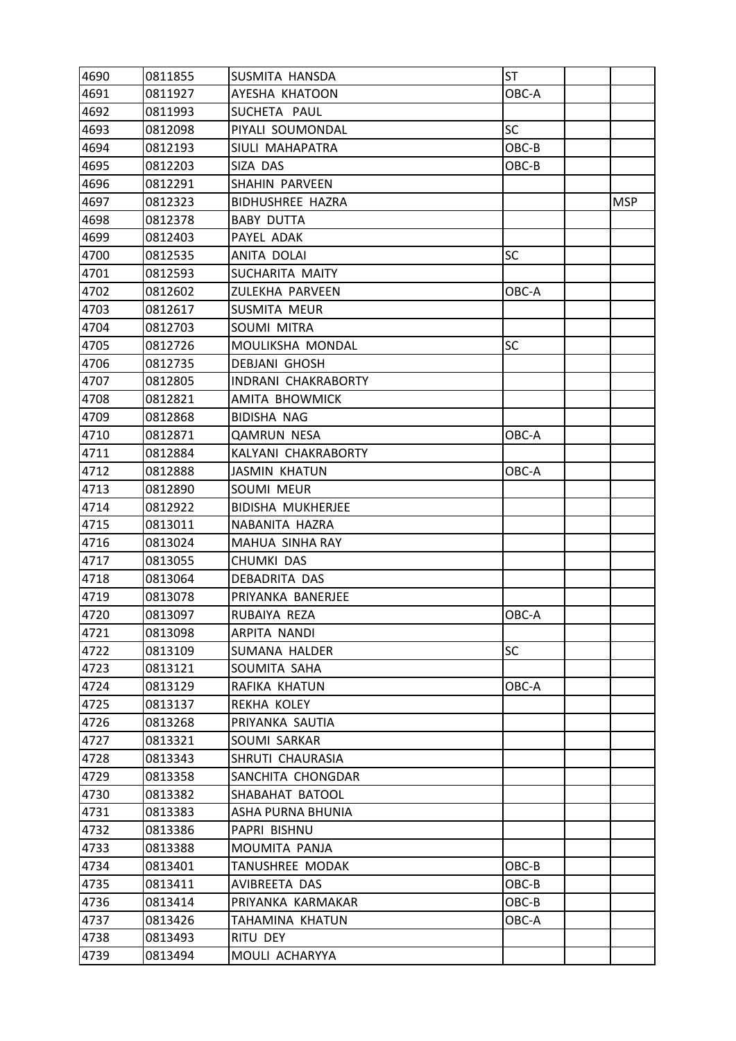| 4690 | 0811855 | SUSMITA HANSDA           | <b>ST</b> |            |
|------|---------|--------------------------|-----------|------------|
| 4691 | 0811927 | AYESHA KHATOON           | OBC-A     |            |
| 4692 | 0811993 | SUCHETA PAUL             |           |            |
| 4693 | 0812098 | PIYALI SOUMONDAL         | <b>SC</b> |            |
| 4694 | 0812193 | SIULI MAHAPATRA          | OBC-B     |            |
| 4695 | 0812203 | SIZA DAS                 | OBC-B     |            |
| 4696 | 0812291 | SHAHIN PARVEEN           |           |            |
| 4697 | 0812323 | <b>BIDHUSHREE HAZRA</b>  |           | <b>MSP</b> |
| 4698 | 0812378 | <b>BABY DUTTA</b>        |           |            |
| 4699 | 0812403 | PAYEL ADAK               |           |            |
| 4700 | 0812535 | ANITA DOLAI              | SC        |            |
| 4701 | 0812593 | SUCHARITA MAITY          |           |            |
| 4702 | 0812602 | ZULEKHA PARVEEN          | OBC-A     |            |
| 4703 | 0812617 | <b>SUSMITA MEUR</b>      |           |            |
| 4704 | 0812703 | SOUMI MITRA              |           |            |
| 4705 | 0812726 | MOULIKSHA MONDAL         | <b>SC</b> |            |
| 4706 | 0812735 | <b>DEBJANI GHOSH</b>     |           |            |
| 4707 | 0812805 | INDRANI CHAKRABORTY      |           |            |
| 4708 | 0812821 | AMITA BHOWMICK           |           |            |
| 4709 | 0812868 | <b>BIDISHA NAG</b>       |           |            |
| 4710 | 0812871 | <b>QAMRUN NESA</b>       | OBC-A     |            |
| 4711 | 0812884 | KALYANI CHAKRABORTY      |           |            |
| 4712 | 0812888 | <b>JASMIN KHATUN</b>     | OBC-A     |            |
| 4713 | 0812890 | SOUMI MEUR               |           |            |
| 4714 | 0812922 | <b>BIDISHA MUKHERJEE</b> |           |            |
| 4715 | 0813011 | NABANITA HAZRA           |           |            |
| 4716 | 0813024 | MAHUA SINHA RAY          |           |            |
| 4717 | 0813055 | CHUMKI DAS               |           |            |
| 4718 | 0813064 | <b>DEBADRITA DAS</b>     |           |            |
| 4719 | 0813078 | PRIYANKA BANERJEE        |           |            |
| 4720 | 0813097 | RUBAIYA REZA             | OBC-A     |            |
| 4721 | 0813098 | ARPITA NANDI             |           |            |
| 4722 | 0813109 | <b>SUMANA HALDER</b>     | <b>SC</b> |            |
| 4723 | 0813121 | SOUMITA SAHA             |           |            |
| 4724 | 0813129 | RAFIKA KHATUN            | OBC-A     |            |
| 4725 | 0813137 | REKHA KOLEY              |           |            |
| 4726 | 0813268 | PRIYANKA SAUTIA          |           |            |
| 4727 | 0813321 | SOUMI SARKAR             |           |            |
| 4728 | 0813343 | SHRUTI CHAURASIA         |           |            |
| 4729 | 0813358 | SANCHITA CHONGDAR        |           |            |
| 4730 | 0813382 | SHABAHAT BATOOL          |           |            |
| 4731 | 0813383 | ASHA PURNA BHUNIA        |           |            |
| 4732 | 0813386 | PAPRI BISHNU             |           |            |
| 4733 | 0813388 | MOUMITA PANJA            |           |            |
| 4734 | 0813401 | TANUSHREE MODAK          | OBC-B     |            |
| 4735 | 0813411 | AVIBREETA DAS            | OBC-B     |            |
| 4736 | 0813414 | PRIYANKA KARMAKAR        | OBC-B     |            |
| 4737 | 0813426 | TAHAMINA KHATUN          | OBC-A     |            |
| 4738 | 0813493 | RITU DEY                 |           |            |
| 4739 | 0813494 | MOULI ACHARYYA           |           |            |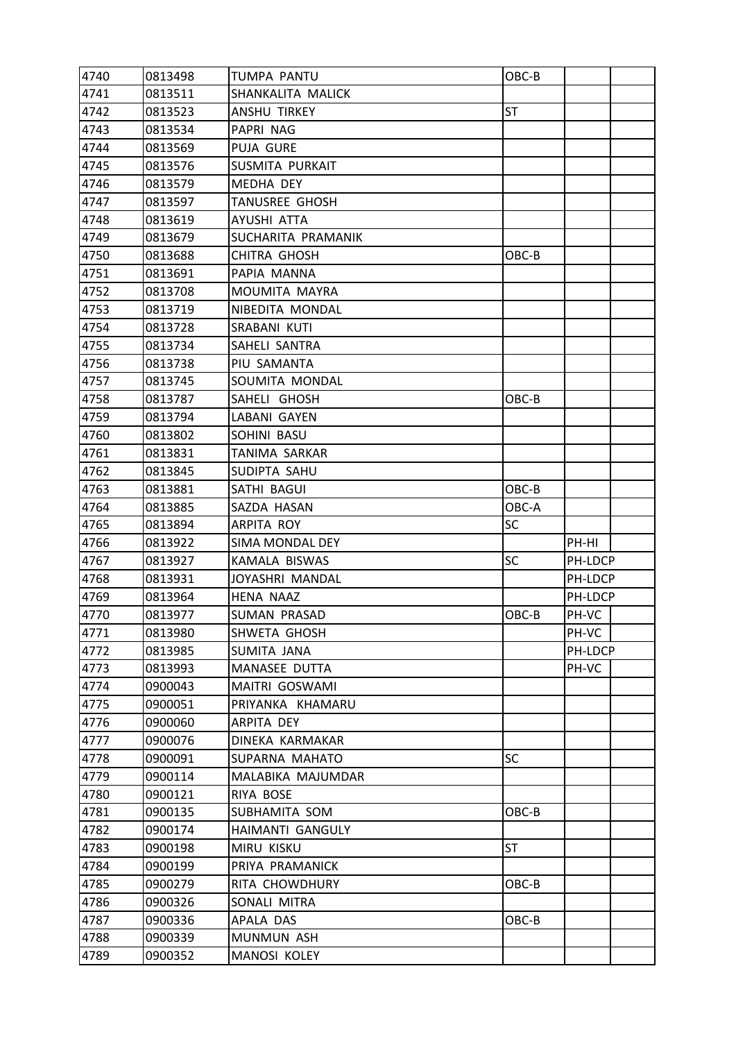| 4740 | 0813498 | TUMPA PANTU         | OBC-B     |         |  |
|------|---------|---------------------|-----------|---------|--|
| 4741 | 0813511 | SHANKALITA MALICK   |           |         |  |
| 4742 | 0813523 | ANSHU TIRKEY        | <b>ST</b> |         |  |
| 4743 | 0813534 | PAPRI NAG           |           |         |  |
| 4744 | 0813569 | PUJA GURE           |           |         |  |
| 4745 | 0813576 | SUSMITA PURKAIT     |           |         |  |
| 4746 | 0813579 | MEDHA DEY           |           |         |  |
| 4747 | 0813597 | TANUSREE GHOSH      |           |         |  |
| 4748 | 0813619 | AYUSHI ATTA         |           |         |  |
| 4749 | 0813679 | SUCHARITA PRAMANIK  |           |         |  |
| 4750 | 0813688 | <b>CHITRA GHOSH</b> | OBC-B     |         |  |
| 4751 | 0813691 | PAPIA MANNA         |           |         |  |
| 4752 | 0813708 | MOUMITA MAYRA       |           |         |  |
| 4753 | 0813719 | NIBEDITA MONDAL     |           |         |  |
| 4754 | 0813728 | SRABANI KUTI        |           |         |  |
| 4755 | 0813734 | SAHELI SANTRA       |           |         |  |
| 4756 | 0813738 | PIU SAMANTA         |           |         |  |
| 4757 | 0813745 | SOUMITA MONDAL      |           |         |  |
| 4758 | 0813787 | SAHELI GHOSH        | OBC-B     |         |  |
| 4759 | 0813794 | LABANI GAYEN        |           |         |  |
| 4760 | 0813802 | SOHINI BASU         |           |         |  |
| 4761 | 0813831 | TANIMA SARKAR       |           |         |  |
| 4762 | 0813845 | SUDIPTA SAHU        |           |         |  |
| 4763 | 0813881 | SATHI BAGUI         | OBC-B     |         |  |
| 4764 | 0813885 | SAZDA HASAN         | OBC-A     |         |  |
| 4765 | 0813894 | ARPITA ROY          | <b>SC</b> |         |  |
| 4766 | 0813922 | SIMA MONDAL DEY     |           | PH-HI   |  |
| 4767 | 0813927 | KAMALA BISWAS       | SC        | PH-LDCP |  |
| 4768 | 0813931 | JOYASHRI MANDAL     |           | PH-LDCP |  |
| 4769 | 0813964 | <b>HENA NAAZ</b>    |           | PH-LDCP |  |
| 4770 | 0813977 | <b>SUMAN PRASAD</b> | OBC-B     | PH-VC   |  |
| 4771 | 0813980 | SHWETA GHOSH        |           | PH-VC   |  |
| 4772 | 0813985 | SUMITA JANA         |           | PH-LDCP |  |
| 4773 | 0813993 | MANASEE DUTTA       |           | PH-VC   |  |
| 4774 | 0900043 | MAITRI GOSWAMI      |           |         |  |
| 4775 | 0900051 | PRIYANKA KHAMARU    |           |         |  |
| 4776 | 0900060 | ARPITA DEY          |           |         |  |
| 4777 | 0900076 | DINEKA KARMAKAR     |           |         |  |
| 4778 | 0900091 | SUPARNA MAHATO      | SC        |         |  |
| 4779 | 0900114 | MALABIKA MAJUMDAR   |           |         |  |
| 4780 | 0900121 | RIYA BOSE           |           |         |  |
| 4781 | 0900135 | SUBHAMITA SOM       | OBC-B     |         |  |
| 4782 | 0900174 | HAIMANTI GANGULY    |           |         |  |
| 4783 | 0900198 | <b>MIRU KISKU</b>   | ST        |         |  |
| 4784 | 0900199 | PRIYA PRAMANICK     |           |         |  |
| 4785 | 0900279 | RITA CHOWDHURY      | OBC-B     |         |  |
| 4786 | 0900326 | SONALI MITRA        |           |         |  |
| 4787 | 0900336 | APALA DAS           | OBC-B     |         |  |
| 4788 | 0900339 | MUNMUN ASH          |           |         |  |
| 4789 | 0900352 | MANOSI KOLEY        |           |         |  |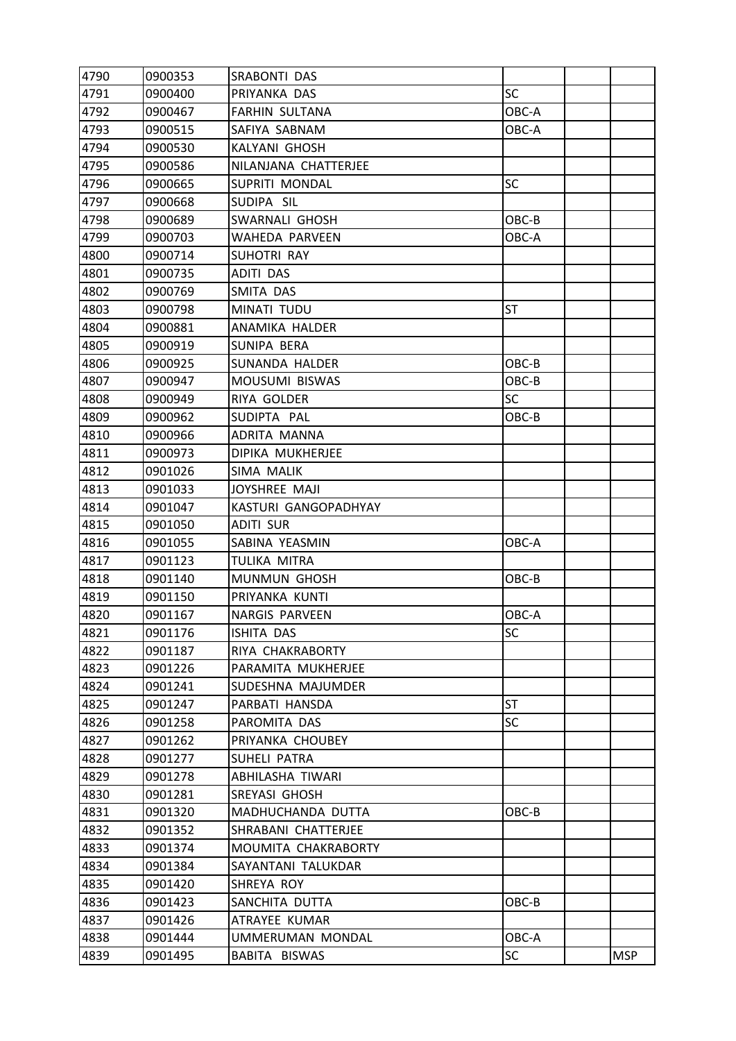| 4790 | 0900353 | <b>SRABONTI DAS</b>   |           |            |
|------|---------|-----------------------|-----------|------------|
| 4791 | 0900400 | PRIYANKA DAS          | <b>SC</b> |            |
| 4792 | 0900467 | <b>FARHIN SULTANA</b> | OBC-A     |            |
| 4793 | 0900515 | SAFIYA SABNAM         | OBC-A     |            |
| 4794 | 0900530 | KALYANI GHOSH         |           |            |
| 4795 | 0900586 | NILANJANA CHATTERJEE  |           |            |
| 4796 | 0900665 | SUPRITI MONDAL        | <b>SC</b> |            |
| 4797 | 0900668 | SUDIPA SIL            |           |            |
| 4798 | 0900689 | SWARNALI GHOSH        | OBC-B     |            |
| 4799 | 0900703 | WAHEDA PARVEEN        | OBC-A     |            |
| 4800 | 0900714 | SUHOTRI RAY           |           |            |
| 4801 | 0900735 | <b>ADITI DAS</b>      |           |            |
| 4802 | 0900769 | SMITA DAS             |           |            |
| 4803 | 0900798 | MINATI TUDU           | <b>ST</b> |            |
| 4804 | 0900881 | ANAMIKA HALDER        |           |            |
| 4805 | 0900919 | SUNIPA BERA           |           |            |
| 4806 | 0900925 | SUNANDA HALDER        | OBC-B     |            |
| 4807 | 0900947 | MOUSUMI BISWAS        | OBC-B     |            |
| 4808 | 0900949 | RIYA GOLDER           | <b>SC</b> |            |
| 4809 | 0900962 | SUDIPTA PAL           | OBC-B     |            |
| 4810 | 0900966 | ADRITA MANNA          |           |            |
| 4811 | 0900973 | DIPIKA MUKHERJEE      |           |            |
| 4812 | 0901026 | SIMA MALIK            |           |            |
| 4813 | 0901033 | JOYSHREE MAJI         |           |            |
| 4814 | 0901047 | KASTURI GANGOPADHYAY  |           |            |
| 4815 | 0901050 | <b>ADITI SUR</b>      |           |            |
| 4816 | 0901055 | SABINA YEASMIN        | OBC-A     |            |
| 4817 | 0901123 | <b>TULIKA MITRA</b>   |           |            |
| 4818 | 0901140 | <b>MUNMUN GHOSH</b>   | OBC-B     |            |
| 4819 | 0901150 | PRIYANKA KUNTI        |           |            |
| 4820 | 0901167 | NARGIS PARVEEN        | OBC-A     |            |
| 4821 | 0901176 | ISHITA DAS            | <b>SC</b> |            |
| 4822 | 0901187 | RIYA CHAKRABORTY      |           |            |
| 4823 | 0901226 | PARAMITA MUKHERJEE    |           |            |
| 4824 | 0901241 | SUDESHNA MAJUMDER     |           |            |
| 4825 | 0901247 | PARBATI HANSDA        | <b>ST</b> |            |
| 4826 | 0901258 | PAROMITA DAS          | <b>SC</b> |            |
| 4827 | 0901262 | PRIYANKA CHOUBEY      |           |            |
| 4828 | 0901277 | <b>SUHELI PATRA</b>   |           |            |
| 4829 | 0901278 | ABHILASHA TIWARI      |           |            |
| 4830 | 0901281 | <b>SREYASI GHOSH</b>  |           |            |
| 4831 | 0901320 | MADHUCHANDA DUTTA     | OBC-B     |            |
| 4832 | 0901352 | SHRABANI CHATTERJEE   |           |            |
| 4833 | 0901374 | MOUMITA CHAKRABORTY   |           |            |
| 4834 | 0901384 | SAYANTANI TALUKDAR    |           |            |
| 4835 | 0901420 | SHREYA ROY            |           |            |
| 4836 | 0901423 | SANCHITA DUTTA        | $OBC-B$   |            |
| 4837 | 0901426 | ATRAYEE KUMAR         |           |            |
| 4838 | 0901444 | UMMERUMAN MONDAL      | OBC-A     |            |
| 4839 | 0901495 | BABITA BISWAS         | <b>SC</b> | <b>MSP</b> |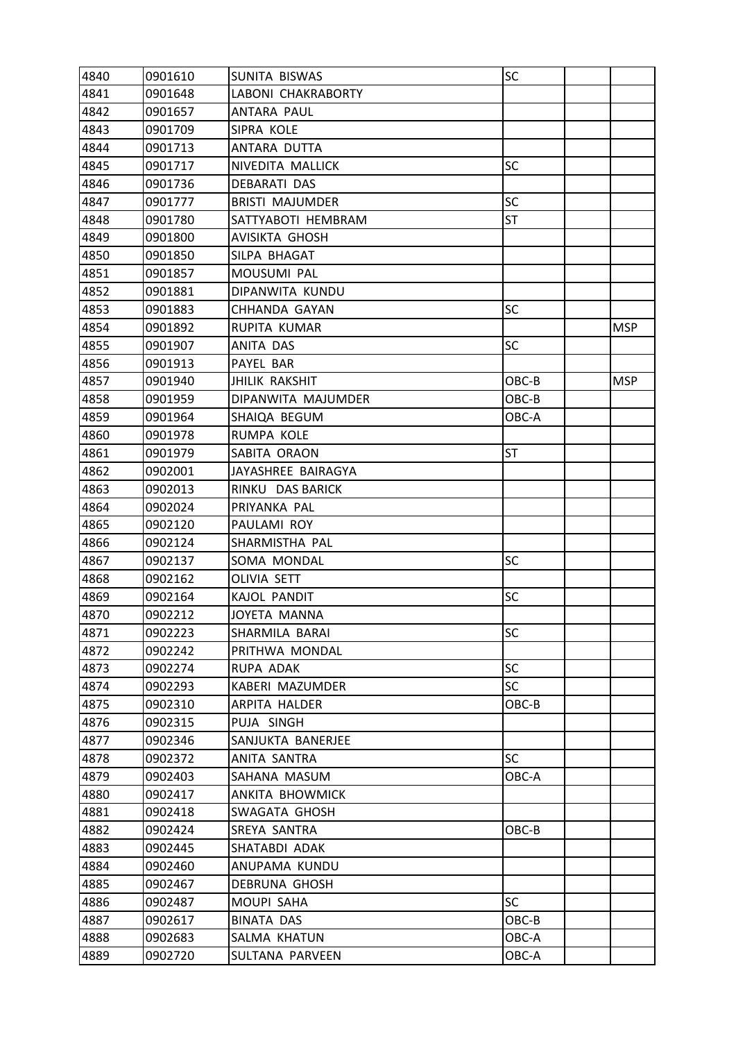| 4840 | 0901610 | SUNITA BISWAS             | SC        |            |
|------|---------|---------------------------|-----------|------------|
| 4841 | 0901648 | <b>LABONI CHAKRABORTY</b> |           |            |
| 4842 | 0901657 | ANTARA PAUL               |           |            |
| 4843 | 0901709 | SIPRA KOLE                |           |            |
| 4844 | 0901713 | ANTARA DUTTA              |           |            |
| 4845 | 0901717 | NIVEDITA MALLICK          | SC        |            |
| 4846 | 0901736 | <b>DEBARATI DAS</b>       |           |            |
| 4847 | 0901777 | <b>BRISTI MAJUMDER</b>    | SC        |            |
| 4848 | 0901780 | SATTYABOTI HEMBRAM        | ST        |            |
| 4849 | 0901800 | AVISIKTA GHOSH            |           |            |
| 4850 | 0901850 | SILPA BHAGAT              |           |            |
| 4851 | 0901857 | MOUSUMI PAL               |           |            |
| 4852 | 0901881 | DIPANWITA KUNDU           |           |            |
| 4853 | 0901883 | <b>CHHANDA GAYAN</b>      | SC        |            |
| 4854 | 0901892 | RUPITA KUMAR              |           | <b>MSP</b> |
| 4855 | 0901907 | ANITA DAS                 | <b>SC</b> |            |
| 4856 | 0901913 | PAYEL BAR                 |           |            |
| 4857 | 0901940 | <b>JHILIK RAKSHIT</b>     | OBC-B     | <b>MSP</b> |
| 4858 | 0901959 | DIPANWITA MAJUMDER        | OBC-B     |            |
| 4859 | 0901964 | SHAIQA BEGUM              | OBC-A     |            |
| 4860 | 0901978 | RUMPA KOLE                |           |            |
| 4861 | 0901979 | SABITA ORAON              | <b>ST</b> |            |
| 4862 | 0902001 | JAYASHREE BAIRAGYA        |           |            |
| 4863 | 0902013 | RINKU DAS BARICK          |           |            |
| 4864 | 0902024 | PRIYANKA PAL              |           |            |
| 4865 | 0902120 | PAULAMI ROY               |           |            |
| 4866 | 0902124 | SHARMISTHA PAL            |           |            |
| 4867 | 0902137 | SOMA MONDAL               | SC        |            |
| 4868 | 0902162 | OLIVIA SETT               |           |            |
| 4869 | 0902164 | KAJOL PANDIT              | <b>SC</b> |            |
| 4870 | 0902212 | <b>JOYETA MANNA</b>       |           |            |
| 4871 | 0902223 | SHARMILA BARAI            | SC        |            |
| 4872 | 0902242 | PRITHWA MONDAL            |           |            |
| 4873 | 0902274 | RUPA ADAK                 | SC        |            |
| 4874 | 0902293 | KABERI MAZUMDER           | <b>SC</b> |            |
| 4875 | 0902310 | ARPITA HALDER             | OBC-B     |            |
| 4876 | 0902315 | PUJA SINGH                |           |            |
| 4877 | 0902346 | SANJUKTA BANERJEE         |           |            |
| 4878 | 0902372 | ANITA SANTRA              | <b>SC</b> |            |
| 4879 | 0902403 | SAHANA MASUM              | OBC-A     |            |
| 4880 | 0902417 | ANKITA BHOWMICK           |           |            |
| 4881 | 0902418 | SWAGATA GHOSH             |           |            |
| 4882 | 0902424 | SREYA SANTRA              | OBC-B     |            |
| 4883 | 0902445 | SHATABDI ADAK             |           |            |
| 4884 | 0902460 | ANUPAMA KUNDU             |           |            |
| 4885 | 0902467 | <b>DEBRUNA GHOSH</b>      |           |            |
| 4886 | 0902487 | MOUPI SAHA                | SC        |            |
| 4887 | 0902617 | <b>BINATA DAS</b>         | OBC-B     |            |
| 4888 | 0902683 | SALMA KHATUN              | OBC-A     |            |
| 4889 | 0902720 | SULTANA PARVEEN           | OBC-A     |            |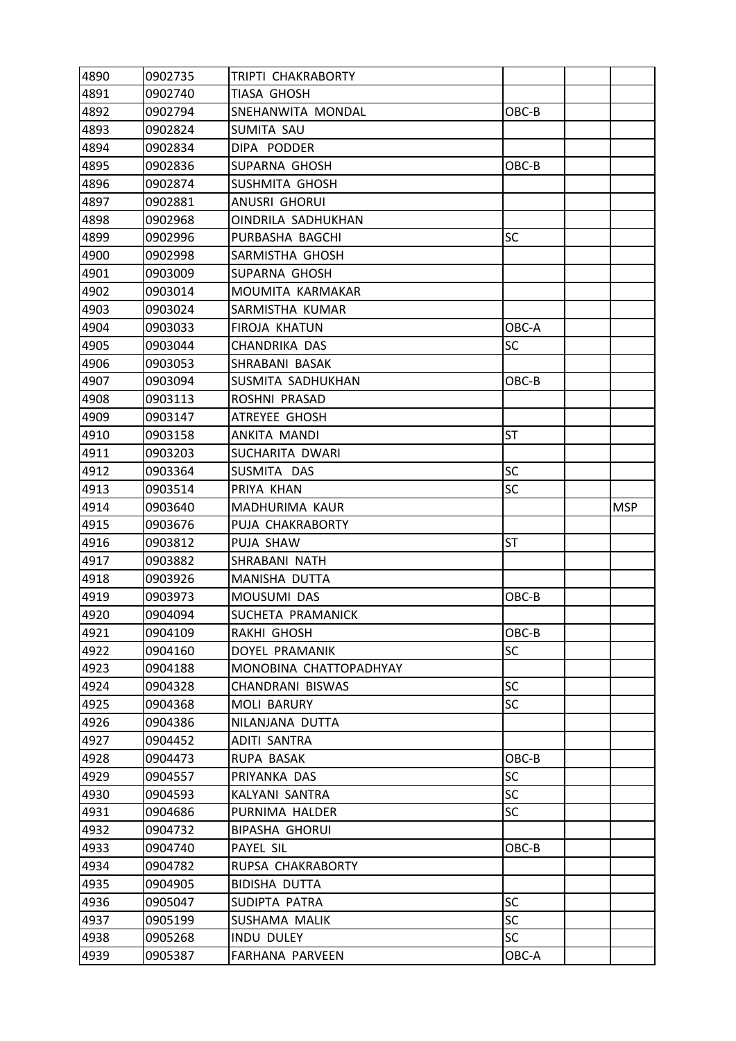| 4890 | 0902735 | TRIPTI CHAKRABORTY        |           |            |
|------|---------|---------------------------|-----------|------------|
| 4891 | 0902740 | TIASA GHOSH               |           |            |
| 4892 | 0902794 | SNEHANWITA MONDAL         | OBC-B     |            |
| 4893 | 0902824 | SUMITA SAU                |           |            |
| 4894 | 0902834 | DIPA PODDER               |           |            |
| 4895 | 0902836 | SUPARNA GHOSH             | OBC-B     |            |
| 4896 | 0902874 | SUSHMITA GHOSH            |           |            |
| 4897 | 0902881 | ANUSRI GHORUI             |           |            |
| 4898 | 0902968 | <b>OINDRILA SADHUKHAN</b> |           |            |
| 4899 | 0902996 | PURBASHA BAGCHI           | <b>SC</b> |            |
| 4900 | 0902998 | SARMISTHA GHOSH           |           |            |
| 4901 | 0903009 | SUPARNA GHOSH             |           |            |
| 4902 | 0903014 | MOUMITA KARMAKAR          |           |            |
| 4903 | 0903024 | SARMISTHA KUMAR           |           |            |
| 4904 | 0903033 | FIROJA KHATUN             | OBC-A     |            |
| 4905 | 0903044 | CHANDRIKA DAS             | <b>SC</b> |            |
| 4906 | 0903053 | SHRABANI BASAK            |           |            |
| 4907 | 0903094 | SUSMITA SADHUKHAN         | OBC-B     |            |
| 4908 | 0903113 | ROSHNI PRASAD             |           |            |
| 4909 | 0903147 | ATREYEE GHOSH             |           |            |
| 4910 | 0903158 | ANKITA MANDI              | <b>ST</b> |            |
| 4911 | 0903203 | SUCHARITA DWARI           |           |            |
| 4912 | 0903364 | SUSMITA DAS               | <b>SC</b> |            |
| 4913 | 0903514 | PRIYA KHAN                | <b>SC</b> |            |
| 4914 | 0903640 | MADHURIMA KAUR            |           | <b>MSP</b> |
| 4915 | 0903676 | PUJA CHAKRABORTY          |           |            |
| 4916 | 0903812 | PUJA SHAW                 | ST        |            |
| 4917 | 0903882 | SHRABANI NATH             |           |            |
| 4918 | 0903926 | MANISHA DUTTA             |           |            |
| 4919 | 0903973 | MOUSUMI DAS               | OBC-B     |            |
| 4920 | 0904094 | SUCHETA PRAMANICK         |           |            |
| 4921 | 0904109 | RAKHI GHOSH               | OBC-B     |            |
| 4922 | 0904160 | DOYEL PRAMANIK            | <b>SC</b> |            |
| 4923 | 0904188 | MONOBINA CHATTOPADHYAY    |           |            |
| 4924 | 0904328 | <b>CHANDRANI BISWAS</b>   | <b>SC</b> |            |
| 4925 | 0904368 | <b>MOLI BARURY</b>        | <b>SC</b> |            |
| 4926 | 0904386 | NILANJANA DUTTA           |           |            |
| 4927 | 0904452 | ADITI SANTRA              |           |            |
| 4928 | 0904473 | RUPA BASAK                | OBC-B     |            |
| 4929 | 0904557 | PRIYANKA DAS              | SC        |            |
| 4930 | 0904593 | KALYANI SANTRA            | SC        |            |
| 4931 | 0904686 | PURNIMA HALDER            | <b>SC</b> |            |
| 4932 | 0904732 | <b>BIPASHA GHORUI</b>     |           |            |
| 4933 | 0904740 | PAYEL SIL                 | OBC-B     |            |
| 4934 | 0904782 | RUPSA CHAKRABORTY         |           |            |
| 4935 | 0904905 | <b>BIDISHA DUTTA</b>      |           |            |
| 4936 | 0905047 | SUDIPTA PATRA             | <b>SC</b> |            |
| 4937 | 0905199 | SUSHAMA MALIK             | <b>SC</b> |            |
| 4938 | 0905268 | <b>INDU DULEY</b>         | <b>SC</b> |            |
| 4939 | 0905387 | FARHANA PARVEEN           | OBC-A     |            |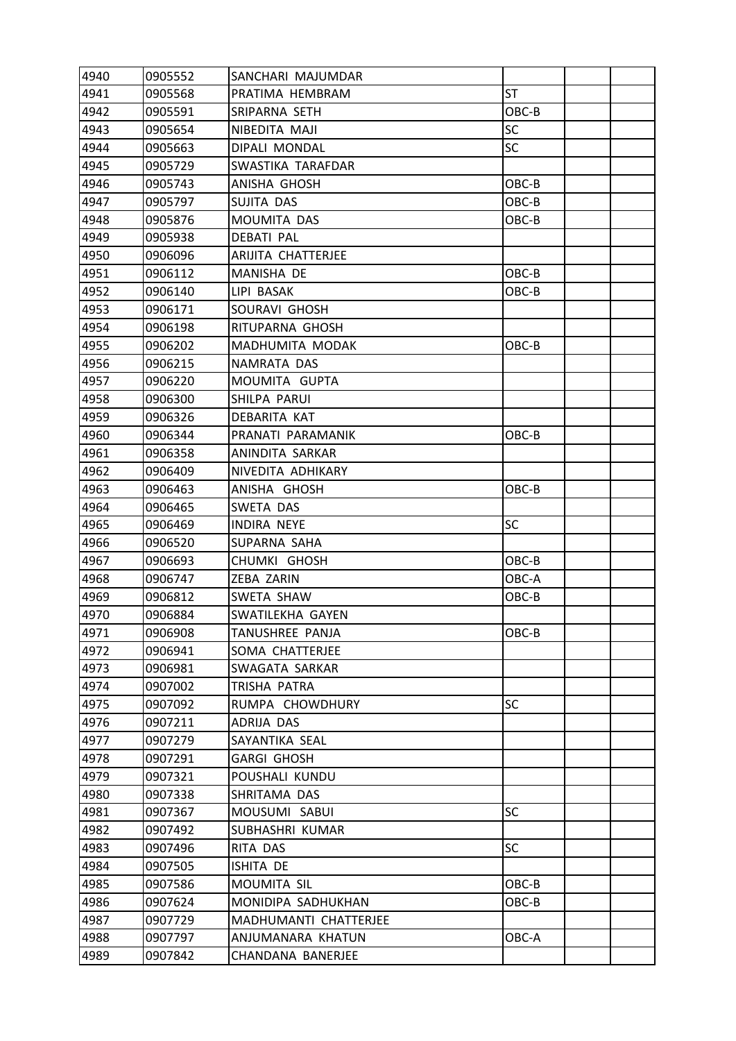| 4940 | 0905552 | SANCHARI MAJUMDAR     |           |  |
|------|---------|-----------------------|-----------|--|
| 4941 | 0905568 | PRATIMA HEMBRAM       | <b>ST</b> |  |
| 4942 | 0905591 | SRIPARNA SETH         | OBC-B     |  |
| 4943 | 0905654 | NIBEDITA MAJI         | <b>SC</b> |  |
| 4944 | 0905663 | DIPALI MONDAL         | <b>SC</b> |  |
| 4945 | 0905729 | SWASTIKA TARAFDAR     |           |  |
| 4946 | 0905743 | ANISHA GHOSH          | OBC-B     |  |
| 4947 | 0905797 | SUJITA DAS            | OBC-B     |  |
| 4948 | 0905876 | <b>MOUMITA DAS</b>    | OBC-B     |  |
| 4949 | 0905938 | <b>DEBATI PAL</b>     |           |  |
| 4950 | 0906096 | ARIJITA CHATTERJEE    |           |  |
| 4951 | 0906112 | MANISHA DE            | OBC-B     |  |
| 4952 | 0906140 | LIPI BASAK            | OBC-B     |  |
| 4953 | 0906171 | SOURAVI GHOSH         |           |  |
| 4954 | 0906198 | RITUPARNA GHOSH       |           |  |
| 4955 | 0906202 | MADHUMITA MODAK       | OBC-B     |  |
| 4956 | 0906215 | NAMRATA DAS           |           |  |
| 4957 | 0906220 | MOUMITA GUPTA         |           |  |
| 4958 | 0906300 | SHILPA PARUI          |           |  |
| 4959 | 0906326 | DEBARITA KAT          |           |  |
| 4960 | 0906344 | PRANATI PARAMANIK     | OBC-B     |  |
| 4961 | 0906358 | ANINDITA SARKAR       |           |  |
| 4962 | 0906409 | NIVEDITA ADHIKARY     |           |  |
| 4963 | 0906463 | ANISHA GHOSH          | OBC-B     |  |
| 4964 | 0906465 | SWETA DAS             |           |  |
| 4965 | 0906469 | INDIRA NEYE           | <b>SC</b> |  |
| 4966 | 0906520 | SUPARNA SAHA          |           |  |
| 4967 | 0906693 | CHUMKI GHOSH          | OBC-B     |  |
| 4968 | 0906747 | ZEBA ZARIN            | OBC-A     |  |
| 4969 | 0906812 | SWETA SHAW            | OBC-B     |  |
| 4970 | 0906884 | SWATILEKHA GAYEN      |           |  |
| 4971 | 0906908 | TANUSHREE PANJA       | OBC-B     |  |
| 4972 | 0906941 | SOMA CHATTERJEE       |           |  |
| 4973 | 0906981 | SWAGATA SARKAR        |           |  |
| 4974 | 0907002 | TRISHA PATRA          |           |  |
| 4975 | 0907092 | RUMPA CHOWDHURY       | <b>SC</b> |  |
| 4976 | 0907211 | ADRIJA DAS            |           |  |
| 4977 | 0907279 | SAYANTIKA SEAL        |           |  |
| 4978 | 0907291 | <b>GARGI GHOSH</b>    |           |  |
| 4979 | 0907321 | POUSHALI KUNDU        |           |  |
| 4980 | 0907338 | SHRITAMA DAS          |           |  |
| 4981 | 0907367 | MOUSUMI SABUI         | <b>SC</b> |  |
| 4982 | 0907492 | SUBHASHRI KUMAR       |           |  |
| 4983 | 0907496 | RITA DAS              | <b>SC</b> |  |
| 4984 | 0907505 | ISHITA DE             |           |  |
| 4985 | 0907586 | MOUMITA SIL           | OBC-B     |  |
| 4986 | 0907624 | MONIDIPA SADHUKHAN    | OBC-B     |  |
| 4987 | 0907729 | MADHUMANTI CHATTERJEE |           |  |
| 4988 | 0907797 | ANJUMANARA KHATUN     | OBC-A     |  |
| 4989 | 0907842 | CHANDANA BANERJEE     |           |  |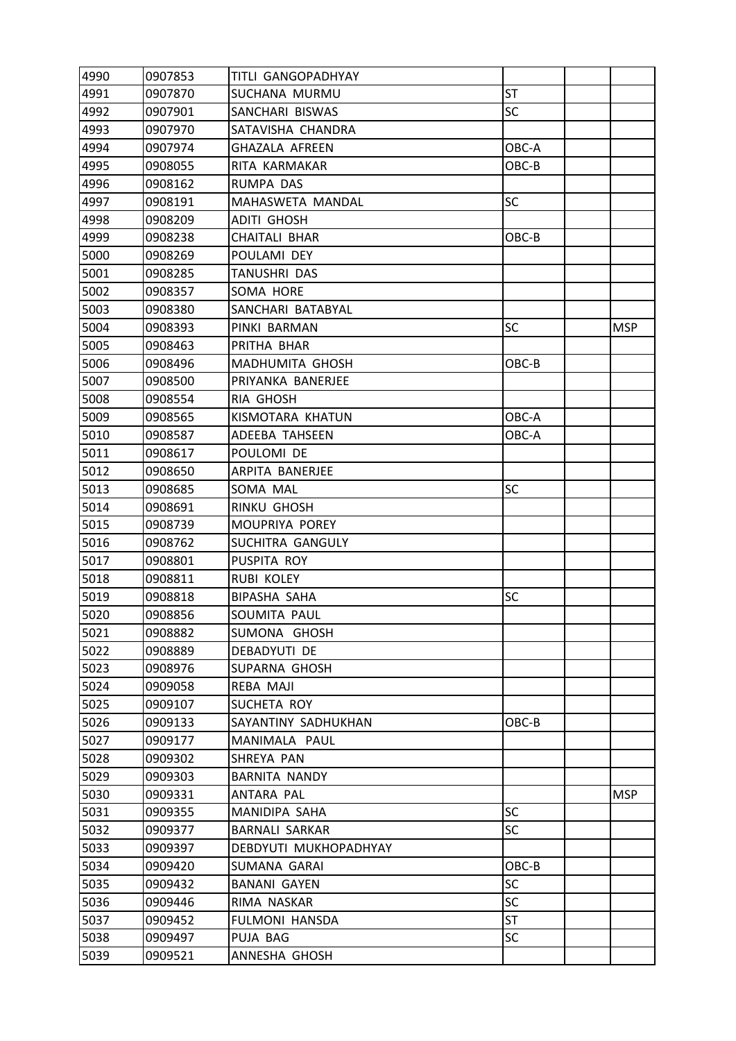| 4990 | 0907853 | TITLI GANGOPADHYAY    |           |            |
|------|---------|-----------------------|-----------|------------|
| 4991 | 0907870 | SUCHANA MURMU         | <b>ST</b> |            |
| 4992 | 0907901 | SANCHARI BISWAS       | <b>SC</b> |            |
| 4993 | 0907970 | SATAVISHA CHANDRA     |           |            |
| 4994 | 0907974 | <b>GHAZALA AFREEN</b> | OBC-A     |            |
| 4995 | 0908055 | RITA KARMAKAR         | OBC-B     |            |
| 4996 | 0908162 | RUMPA DAS             |           |            |
| 4997 | 0908191 | MAHASWETA MANDAL      | SC        |            |
| 4998 | 0908209 | <b>ADITI GHOSH</b>    |           |            |
| 4999 | 0908238 | <b>CHAITALI BHAR</b>  | OBC-B     |            |
| 5000 | 0908269 | POULAMI DEY           |           |            |
| 5001 | 0908285 | TANUSHRI DAS          |           |            |
| 5002 | 0908357 | SOMA HORE             |           |            |
| 5003 | 0908380 | SANCHARI BATABYAL     |           |            |
| 5004 | 0908393 | PINKI BARMAN          | SC        | <b>MSP</b> |
| 5005 | 0908463 | PRITHA BHAR           |           |            |
| 5006 | 0908496 | MADHUMITA GHOSH       | OBC-B     |            |
| 5007 | 0908500 | PRIYANKA BANERJEE     |           |            |
| 5008 | 0908554 | RIA GHOSH             |           |            |
| 5009 | 0908565 | KISMOTARA KHATUN      | OBC-A     |            |
| 5010 | 0908587 | ADEEBA TAHSEEN        | OBC-A     |            |
| 5011 | 0908617 | POULOMI DE            |           |            |
| 5012 | 0908650 | ARPITA BANERJEE       |           |            |
| 5013 | 0908685 | SOMA MAL              | <b>SC</b> |            |
| 5014 | 0908691 | RINKU GHOSH           |           |            |
| 5015 | 0908739 | MOUPRIYA POREY        |           |            |
| 5016 | 0908762 | SUCHITRA GANGULY      |           |            |
| 5017 | 0908801 | PUSPITA ROY           |           |            |
| 5018 | 0908811 | RUBI KOLEY            |           |            |
| 5019 | 0908818 | <b>BIPASHA SAHA</b>   | SC        |            |
| 5020 | 0908856 | SOUMITA PAUL          |           |            |
| 5021 | 0908882 | SUMONA GHOSH          |           |            |
| 5022 | 0908889 | DEBADYUTI DE          |           |            |
| 5023 | 0908976 | SUPARNA GHOSH         |           |            |
| 5024 | 0909058 | REBA MAJI             |           |            |
| 5025 | 0909107 | SUCHETA ROY           |           |            |
| 5026 | 0909133 | SAYANTINY SADHUKHAN   | OBC-B     |            |
| 5027 | 0909177 | MANIMALA PAUL         |           |            |
| 5028 | 0909302 | SHREYA PAN            |           |            |
| 5029 | 0909303 | <b>BARNITA NANDY</b>  |           |            |
| 5030 | 0909331 | ANTARA PAL            |           | <b>MSP</b> |
| 5031 | 0909355 | MANIDIPA SAHA         | <b>SC</b> |            |
| 5032 | 0909377 | BARNALI SARKAR        | <b>SC</b> |            |
| 5033 | 0909397 | DEBDYUTI MUKHOPADHYAY |           |            |
| 5034 | 0909420 | SUMANA GARAI          | OBC-B     |            |
| 5035 | 0909432 | <b>BANANI GAYEN</b>   | SC        |            |
| 5036 | 0909446 | RIMA NASKAR           | <b>SC</b> |            |
| 5037 | 0909452 | <b>FULMONI HANSDA</b> | ST        |            |
| 5038 | 0909497 | PUJA BAG              | SC        |            |
| 5039 | 0909521 | ANNESHA GHOSH         |           |            |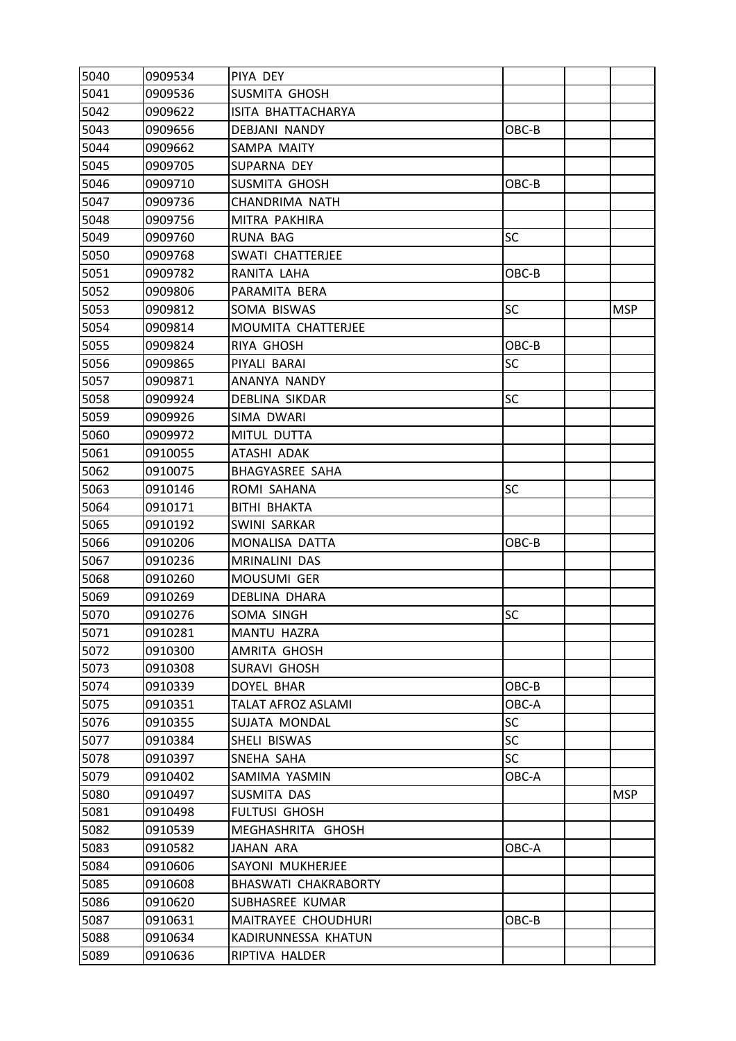| 5040 | 0909534 | PIYA DEY                    |           |            |
|------|---------|-----------------------------|-----------|------------|
| 5041 | 0909536 | SUSMITA GHOSH               |           |            |
| 5042 | 0909622 | ISITA BHATTACHARYA          |           |            |
| 5043 | 0909656 | DEBJANI NANDY               | OBC-B     |            |
| 5044 | 0909662 | SAMPA MAITY                 |           |            |
| 5045 | 0909705 | SUPARNA DEY                 |           |            |
| 5046 | 0909710 | SUSMITA GHOSH               | OBC-B     |            |
| 5047 | 0909736 | CHANDRIMA NATH              |           |            |
| 5048 | 0909756 | MITRA PAKHIRA               |           |            |
| 5049 | 0909760 | <b>RUNA BAG</b>             | SC        |            |
| 5050 | 0909768 | SWATI CHATTERJEE            |           |            |
| 5051 | 0909782 | RANITA LAHA                 | OBC-B     |            |
| 5052 | 0909806 | PARAMITA BERA               |           |            |
| 5053 | 0909812 | SOMA BISWAS                 | <b>SC</b> | <b>MSP</b> |
| 5054 | 0909814 | <b>MOUMITA CHATTERJEE</b>   |           |            |
| 5055 | 0909824 | <b>RIYA GHOSH</b>           | OBC-B     |            |
| 5056 | 0909865 | PIYALI BARAI                | SC        |            |
| 5057 | 0909871 | ANANYA NANDY                |           |            |
| 5058 | 0909924 | DEBLINA SIKDAR              | <b>SC</b> |            |
| 5059 | 0909926 | SIMA DWARI                  |           |            |
| 5060 | 0909972 | MITUL DUTTA                 |           |            |
| 5061 | 0910055 | ATASHI ADAK                 |           |            |
| 5062 | 0910075 | <b>BHAGYASREE SAHA</b>      |           |            |
| 5063 | 0910146 | ROMI SAHANA                 | <b>SC</b> |            |
| 5064 | 0910171 | BITHI BHAKTA                |           |            |
| 5065 | 0910192 | SWINI SARKAR                |           |            |
| 5066 | 0910206 | MONALISA DATTA              | OBC-B     |            |
| 5067 | 0910236 | MRINALINI DAS               |           |            |
| 5068 | 0910260 | MOUSUMI GER                 |           |            |
| 5069 | 0910269 | DEBLINA DHARA               |           |            |
| 5070 | 0910276 | SOMA SINGH                  | SC        |            |
| 5071 | 0910281 | MANTU HAZRA                 |           |            |
| 5072 | 0910300 | AMRITA GHOSH                |           |            |
| 5073 | 0910308 | <b>SURAVI GHOSH</b>         |           |            |
| 5074 | 0910339 | <b>DOYEL BHAR</b>           | OBC-B     |            |
| 5075 | 0910351 | <b>TALAT AFROZ ASLAMI</b>   | OBC-A     |            |
| 5076 | 0910355 | SUJATA MONDAL               | SC        |            |
| 5077 | 0910384 | SHELI BISWAS                | <b>SC</b> |            |
| 5078 | 0910397 | SNEHA SAHA                  | <b>SC</b> |            |
| 5079 | 0910402 | SAMIMA YASMIN               | OBC-A     |            |
| 5080 | 0910497 | SUSMITA DAS                 |           | <b>MSP</b> |
| 5081 | 0910498 | <b>FULTUSI GHOSH</b>        |           |            |
| 5082 | 0910539 | MEGHASHRITA GHOSH           |           |            |
| 5083 | 0910582 | JAHAN ARA                   | OBC-A     |            |
| 5084 | 0910606 | SAYONI MUKHERJEE            |           |            |
| 5085 | 0910608 | <b>BHASWATI CHAKRABORTY</b> |           |            |
| 5086 | 0910620 | SUBHASREE KUMAR             |           |            |
| 5087 | 0910631 | MAITRAYEE CHOUDHURI         | OBC-B     |            |
| 5088 | 0910634 | KADIRUNNESSA KHATUN         |           |            |
| 5089 | 0910636 | RIPTIVA HALDER              |           |            |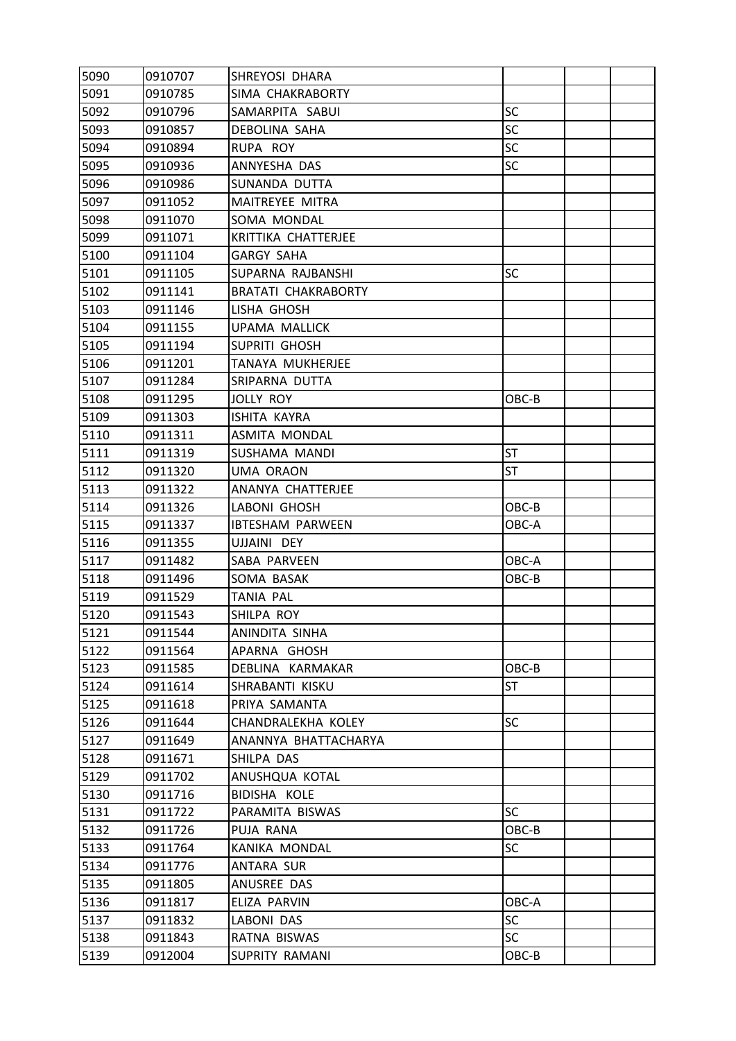| 5090 | 0910707 | SHREYOSI DHARA             |           |  |
|------|---------|----------------------------|-----------|--|
| 5091 | 0910785 | SIMA CHAKRABORTY           |           |  |
| 5092 | 0910796 | SAMARPITA SABUI            | <b>SC</b> |  |
| 5093 | 0910857 | DEBOLINA SAHA              | SC        |  |
| 5094 | 0910894 | RUPA ROY                   | <b>SC</b> |  |
| 5095 | 0910936 | ANNYESHA DAS               | SC        |  |
| 5096 | 0910986 | SUNANDA DUTTA              |           |  |
| 5097 | 0911052 | MAITREYEE MITRA            |           |  |
| 5098 | 0911070 | SOMA MONDAL                |           |  |
| 5099 | 0911071 | KRITTIKA CHATTERJEE        |           |  |
| 5100 | 0911104 | <b>GARGY SAHA</b>          |           |  |
| 5101 | 0911105 | SUPARNA RAJBANSHI          | SC        |  |
| 5102 | 0911141 | <b>BRATATI CHAKRABORTY</b> |           |  |
| 5103 | 0911146 | LISHA GHOSH                |           |  |
| 5104 | 0911155 | <b>UPAMA MALLICK</b>       |           |  |
| 5105 | 0911194 | SUPRITI GHOSH              |           |  |
| 5106 | 0911201 | <b>TANAYA MUKHERJEE</b>    |           |  |
| 5107 | 0911284 | SRIPARNA DUTTA             |           |  |
| 5108 | 0911295 | <b>JOLLY ROY</b>           | OBC-B     |  |
| 5109 | 0911303 | ISHITA KAYRA               |           |  |
| 5110 | 0911311 | ASMITA MONDAL              |           |  |
| 5111 | 0911319 | SUSHAMA MANDI              | <b>ST</b> |  |
| 5112 | 0911320 | <b>UMA ORAON</b>           | ST        |  |
| 5113 | 0911322 | ANANYA CHATTERJEE          |           |  |
| 5114 | 0911326 | LABONI GHOSH               | OBC-B     |  |
| 5115 | 0911337 | <b>IBTESHAM PARWEEN</b>    | OBC-A     |  |
| 5116 | 0911355 | UJJAINI DEY                |           |  |
| 5117 | 0911482 | SABA PARVEEN               | OBC-A     |  |
| 5118 | 0911496 | SOMA BASAK                 | OBC-B     |  |
| 5119 | 0911529 | TANIA PAL                  |           |  |
| 5120 | 0911543 | SHILPA ROY                 |           |  |
| 5121 | 0911544 | ANINDITA SINHA             |           |  |
| 5122 | 0911564 | APARNA GHOSH               |           |  |
| 5123 | 0911585 | DEBLINA KARMAKAR           | OBC-B     |  |
| 5124 | 0911614 | SHRABANTI KISKU            | ST        |  |
| 5125 | 0911618 | PRIYA SAMANTA              |           |  |
| 5126 | 0911644 | CHANDRALEKHA KOLEY         | <b>SC</b> |  |
| 5127 | 0911649 | ANANNYA BHATTACHARYA       |           |  |
| 5128 | 0911671 | SHILPA DAS                 |           |  |
| 5129 | 0911702 | ANUSHQUA KOTAL             |           |  |
| 5130 | 0911716 | BIDISHA KOLE               |           |  |
| 5131 | 0911722 | PARAMITA BISWAS            | <b>SC</b> |  |
| 5132 | 0911726 | PUJA RANA                  | OBC-B     |  |
| 5133 | 0911764 | KANIKA MONDAL              | SC        |  |
| 5134 | 0911776 | ANTARA SUR                 |           |  |
| 5135 | 0911805 | ANUSREE DAS                |           |  |
| 5136 | 0911817 | ELIZA PARVIN               | OBC-A     |  |
| 5137 | 0911832 | LABONI DAS                 | <b>SC</b> |  |
| 5138 | 0911843 | RATNA BISWAS               | <b>SC</b> |  |
| 5139 | 0912004 | SUPRITY RAMANI             | OBC-B     |  |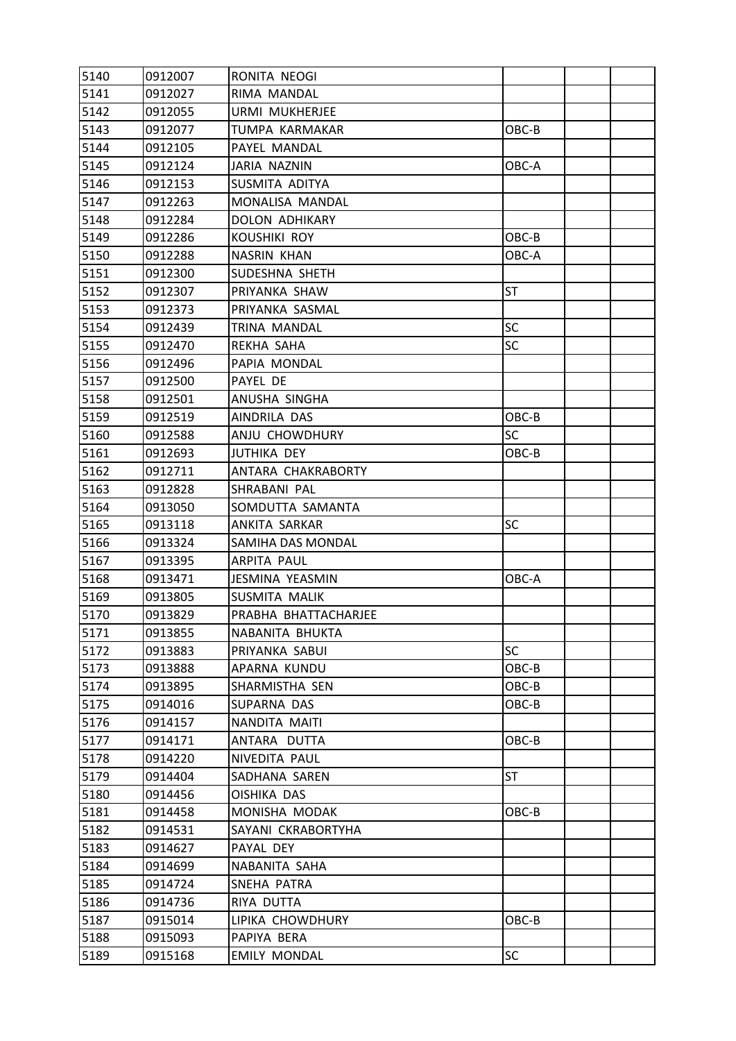| 5140 | 0912007 | RONITA NEOGI          |           |  |
|------|---------|-----------------------|-----------|--|
| 5141 | 0912027 | RIMA MANDAL           |           |  |
| 5142 | 0912055 | URMI MUKHERJEE        |           |  |
| 5143 | 0912077 | TUMPA KARMAKAR        | OBC-B     |  |
| 5144 | 0912105 | PAYEL MANDAL          |           |  |
| 5145 | 0912124 | JARIA NAZNIN          | OBC-A     |  |
| 5146 | 0912153 | SUSMITA ADITYA        |           |  |
| 5147 | 0912263 | MONALISA MANDAL       |           |  |
| 5148 | 0912284 | <b>DOLON ADHIKARY</b> |           |  |
| 5149 | 0912286 | <b>KOUSHIKI ROY</b>   | OBC-B     |  |
| 5150 | 0912288 | <b>NASRIN KHAN</b>    | OBC-A     |  |
| 5151 | 0912300 | SUDESHNA SHETH        |           |  |
| 5152 | 0912307 | PRIYANKA SHAW         | <b>ST</b> |  |
| 5153 | 0912373 | PRIYANKA SASMAL       |           |  |
| 5154 | 0912439 | TRINA MANDAL          | SC        |  |
| 5155 | 0912470 | REKHA SAHA            | <b>SC</b> |  |
| 5156 | 0912496 | PAPIA MONDAL          |           |  |
| 5157 | 0912500 | PAYEL DE              |           |  |
| 5158 | 0912501 | ANUSHA SINGHA         |           |  |
| 5159 | 0912519 | AINDRILA DAS          | OBC-B     |  |
| 5160 | 0912588 | ANJU CHOWDHURY        | <b>SC</b> |  |
| 5161 | 0912693 | <b>JUTHIKA DEY</b>    | OBC-B     |  |
| 5162 | 0912711 | ANTARA CHAKRABORTY    |           |  |
| 5163 | 0912828 | SHRABANI PAL          |           |  |
| 5164 | 0913050 | SOMDUTTA SAMANTA      |           |  |
| 5165 | 0913118 | ANKITA SARKAR         | <b>SC</b> |  |
| 5166 | 0913324 | SAMIHA DAS MONDAL     |           |  |
| 5167 | 0913395 | <b>ARPITA PAUL</b>    |           |  |
| 5168 | 0913471 | JESMINA YEASMIN       | OBC-A     |  |
| 5169 | 0913805 | SUSMITA MALIK         |           |  |
| 5170 | 0913829 | PRABHA BHATTACHARJEE  |           |  |
| 5171 | 0913855 | NABANITA BHUKTA       |           |  |
| 5172 | 0913883 | PRIYANKA SABUI        | <b>SC</b> |  |
| 5173 | 0913888 | APARNA KUNDU          | OBC-B     |  |
| 5174 | 0913895 | SHARMISTHA SEN        | OBC-B     |  |
| 5175 | 0914016 | SUPARNA DAS           | OBC-B     |  |
| 5176 | 0914157 | NANDITA MAITI         |           |  |
| 5177 | 0914171 | ANTARA DUTTA          | OBC-B     |  |
| 5178 | 0914220 | NIVEDITA PAUL         |           |  |
| 5179 | 0914404 | SADHANA SAREN         | ST        |  |
| 5180 | 0914456 | <b>OISHIKA DAS</b>    |           |  |
| 5181 | 0914458 | MONISHA MODAK         | OBC-B     |  |
| 5182 | 0914531 | SAYANI CKRABORTYHA    |           |  |
| 5183 | 0914627 | PAYAL DEY             |           |  |
| 5184 | 0914699 | NABANITA SAHA         |           |  |
| 5185 | 0914724 | SNEHA PATRA           |           |  |
| 5186 | 0914736 | RIYA DUTTA            |           |  |
| 5187 | 0915014 | LIPIKA CHOWDHURY      | OBC-B     |  |
| 5188 | 0915093 | PAPIYA BERA           |           |  |
| 5189 | 0915168 | <b>EMILY MONDAL</b>   | SC        |  |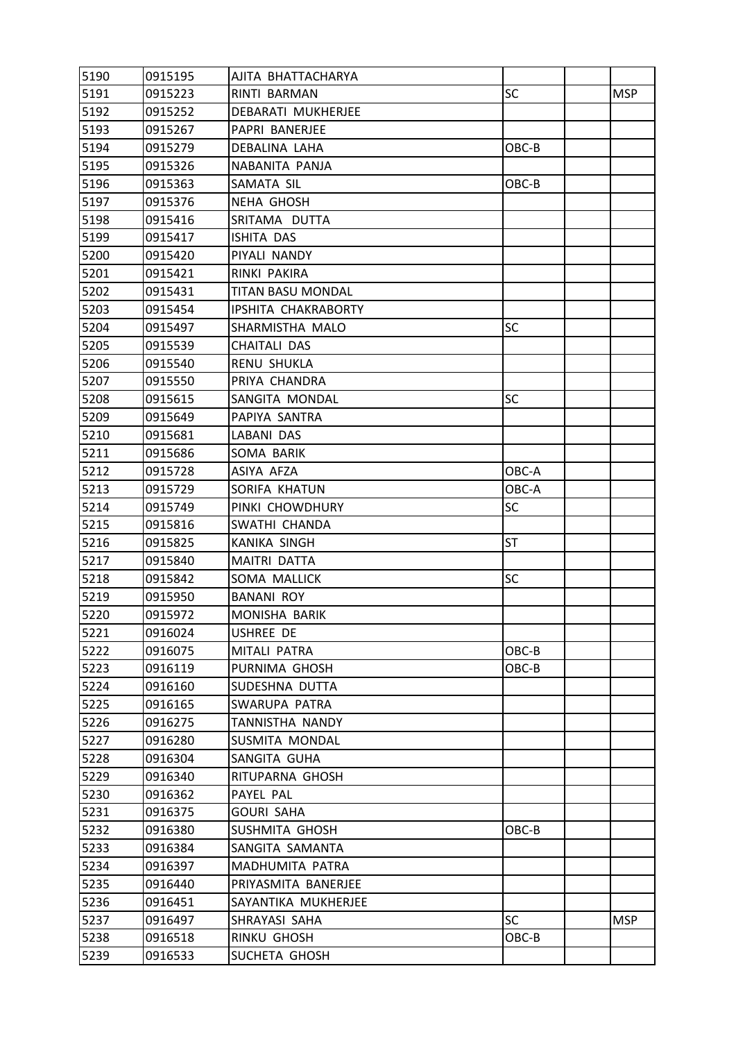| 5190 | 0915195 | AJITA BHATTACHARYA  |           |            |
|------|---------|---------------------|-----------|------------|
| 5191 | 0915223 | RINTI BARMAN        | SC        | <b>MSP</b> |
| 5192 | 0915252 | DEBARATI MUKHERJEE  |           |            |
| 5193 | 0915267 | PAPRI BANERJEE      |           |            |
| 5194 | 0915279 | DEBALINA LAHA       | OBC-B     |            |
| 5195 | 0915326 | NABANITA PANJA      |           |            |
| 5196 | 0915363 | SAMATA SIL          | OBC-B     |            |
| 5197 | 0915376 | <b>NEHA GHOSH</b>   |           |            |
| 5198 | 0915416 | SRITAMA DUTTA       |           |            |
| 5199 | 0915417 | ISHITA DAS          |           |            |
| 5200 | 0915420 | PIYALI NANDY        |           |            |
| 5201 | 0915421 | RINKI PAKIRA        |           |            |
| 5202 | 0915431 | TITAN BASU MONDAL   |           |            |
| 5203 | 0915454 | IPSHITA CHAKRABORTY |           |            |
| 5204 | 0915497 | SHARMISTHA MALO     | <b>SC</b> |            |
| 5205 | 0915539 | CHAITALI DAS        |           |            |
| 5206 | 0915540 | RENU SHUKLA         |           |            |
| 5207 | 0915550 | PRIYA CHANDRA       |           |            |
| 5208 | 0915615 | SANGITA MONDAL      | <b>SC</b> |            |
| 5209 | 0915649 | PAPIYA SANTRA       |           |            |
| 5210 | 0915681 | LABANI DAS          |           |            |
| 5211 | 0915686 | SOMA BARIK          |           |            |
| 5212 | 0915728 | ASIYA AFZA          | OBC-A     |            |
| 5213 | 0915729 | SORIFA KHATUN       | OBC-A     |            |
| 5214 | 0915749 | PINKI CHOWDHURY     | SC        |            |
| 5215 | 0915816 | SWATHI CHANDA       |           |            |
| 5216 | 0915825 | KANIKA SINGH        | ST        |            |
| 5217 | 0915840 | MAITRI DATTA        |           |            |
| 5218 | 0915842 | SOMA MALLICK        | <b>SC</b> |            |
| 5219 | 0915950 | <b>BANANI ROY</b>   |           |            |
| 5220 | 0915972 | MONISHA BARIK       |           |            |
| 5221 | 0916024 | <b>USHREE DE</b>    |           |            |
| 5222 | 0916075 | MITALI PATRA        | OBC-B     |            |
| 5223 | 0916119 | PURNIMA GHOSH       | OBC-B     |            |
| 5224 | 0916160 | SUDESHNA DUTTA      |           |            |
| 5225 | 0916165 | SWARUPA PATRA       |           |            |
| 5226 | 0916275 | TANNISTHA NANDY     |           |            |
| 5227 | 0916280 | SUSMITA MONDAL      |           |            |
| 5228 | 0916304 | SANGITA GUHA        |           |            |
| 5229 | 0916340 | RITUPARNA GHOSH     |           |            |
| 5230 | 0916362 | PAYEL PAL           |           |            |
| 5231 | 0916375 | <b>GOURI SAHA</b>   |           |            |
| 5232 | 0916380 | SUSHMITA GHOSH      | OBC-B     |            |
| 5233 | 0916384 | SANGITA SAMANTA     |           |            |
| 5234 | 0916397 | MADHUMITA PATRA     |           |            |
| 5235 | 0916440 | PRIYASMITA BANERJEE |           |            |
| 5236 | 0916451 | SAYANTIKA MUKHERJEE |           |            |
| 5237 | 0916497 | SHRAYASI SAHA       | <b>SC</b> | <b>MSP</b> |
| 5238 | 0916518 | RINKU GHOSH         | OBC-B     |            |
| 5239 | 0916533 | SUCHETA GHOSH       |           |            |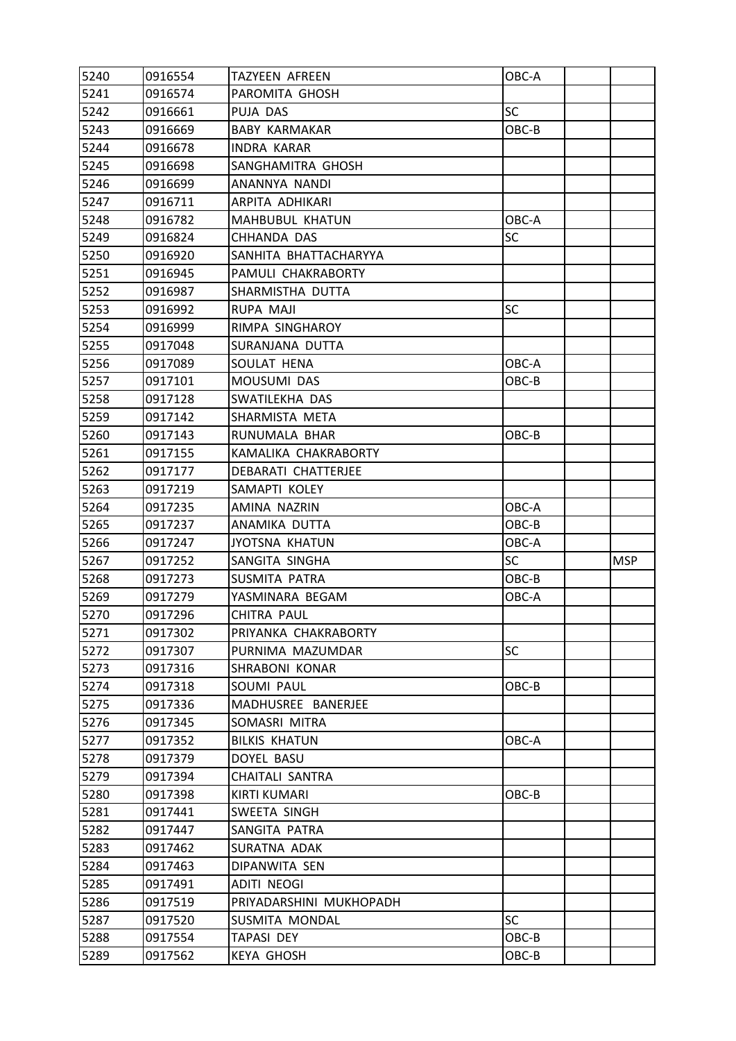| 5241<br>0916574<br>PAROMITA GHOSH<br>5242<br><b>SC</b><br>PUJA DAS<br>0916661<br>5243<br>0916669<br><b>BABY KARMAKAR</b><br>OBC-B<br>5244<br>0916678<br><b>INDRA KARAR</b><br>5245<br>0916698<br>SANGHAMITRA GHOSH<br>5246<br>ANANNYA NANDI<br>0916699<br>5247<br>ARPITA ADHIKARI<br>0916711<br>5248<br>0916782<br><b>MAHBUBUL KHATUN</b><br>OBC-A<br><b>SC</b><br>5249<br>0916824<br>CHHANDA DAS<br>5250<br>0916920<br>SANHITA BHATTACHARYYA<br>5251<br>PAMULI CHAKRABORTY<br>0916945<br>5252<br>0916987<br>SHARMISTHA DUTTA<br>5253<br>0916992<br>RUPA MAJI<br><b>SC</b><br>5254<br>RIMPA SINGHAROY<br>0916999<br>5255<br>SURANJANA DUTTA<br>0917048<br>5256<br>OBC-A<br>0917089<br>SOULAT HENA<br>5257<br>0917101<br>MOUSUMI DAS<br>OBC-B<br>5258<br>SWATILEKHA DAS<br>0917128<br>5259<br>0917142<br>SHARMISTA META<br>5260<br>RUNUMALA BHAR<br>OBC-B<br>0917143<br>5261<br>KAMALIKA CHAKRABORTY<br>0917155<br>5262<br>0917177<br>DEBARATI CHATTERJEE<br>5263<br>0917219<br>SAMAPTI KOLEY<br>5264<br>AMINA NAZRIN<br>OBC-A<br>0917235<br>5265<br>OBC-B<br>0917237<br>ANAMIKA DUTTA<br>5266<br>0917247<br><b>JYOTSNA KHATUN</b><br>OBC-A<br><b>SC</b><br>5267<br>0917252<br>SANGITA SINGHA<br>MSP<br>5268<br>OBC-B<br>SUSMITA PATRA<br>0917273<br>5269<br>0917279<br>YASMINARA BEGAM<br>OBC-A<br>5270<br>0917296<br>CHITRA PAUL<br>5271<br>0917302<br>PRIYANKA CHAKRABORTY<br>5272<br>0917307<br>PURNIMA MAZUMDAR<br><b>SC</b><br>5273<br>0917316<br>SHRABONI KONAR<br>5274<br>0917318<br>SOUMI PAUL<br>$OBC-B$<br>5275<br>0917336<br>MADHUSREE BANERJEE<br>5276<br>0917345<br>SOMASRI MITRA<br>5277<br><b>BILKIS KHATUN</b><br>OBC-A<br>0917352<br>5278<br>0917379<br>DOYEL BASU<br>5279<br>0917394<br>CHAITALI SANTRA<br>5280<br><b>KIRTI KUMARI</b><br>OBC-B<br>0917398<br>5281<br>SWEETA SINGH<br>0917441<br>5282<br>0917447<br>SANGITA PATRA<br>5283<br>0917462<br>SURATNA ADAK<br>5284<br>0917463<br>DIPANWITA SEN<br>5285<br><b>ADITI NEOGI</b><br>0917491<br>5286<br>0917519<br>PRIYADARSHINI MUKHOPADH<br><b>SC</b><br>5287<br>SUSMITA MONDAL<br>0917520<br>5288<br>0917554<br>OBC-B<br>TAPASI DEY<br>5289<br>0917562<br>$OBC-B$<br><b>KEYA GHOSH</b> | 5240 | 0916554 | <b>TAZYEEN AFREEN</b> | OBC-A |  |
|------------------------------------------------------------------------------------------------------------------------------------------------------------------------------------------------------------------------------------------------------------------------------------------------------------------------------------------------------------------------------------------------------------------------------------------------------------------------------------------------------------------------------------------------------------------------------------------------------------------------------------------------------------------------------------------------------------------------------------------------------------------------------------------------------------------------------------------------------------------------------------------------------------------------------------------------------------------------------------------------------------------------------------------------------------------------------------------------------------------------------------------------------------------------------------------------------------------------------------------------------------------------------------------------------------------------------------------------------------------------------------------------------------------------------------------------------------------------------------------------------------------------------------------------------------------------------------------------------------------------------------------------------------------------------------------------------------------------------------------------------------------------------------------------------------------------------------------------------------------------------------------------------------------------------------------------------------------------------------------------------------------------------------------------------------------------------------------------------------------------------------------------------------------|------|---------|-----------------------|-------|--|
|                                                                                                                                                                                                                                                                                                                                                                                                                                                                                                                                                                                                                                                                                                                                                                                                                                                                                                                                                                                                                                                                                                                                                                                                                                                                                                                                                                                                                                                                                                                                                                                                                                                                                                                                                                                                                                                                                                                                                                                                                                                                                                                                                                  |      |         |                       |       |  |
|                                                                                                                                                                                                                                                                                                                                                                                                                                                                                                                                                                                                                                                                                                                                                                                                                                                                                                                                                                                                                                                                                                                                                                                                                                                                                                                                                                                                                                                                                                                                                                                                                                                                                                                                                                                                                                                                                                                                                                                                                                                                                                                                                                  |      |         |                       |       |  |
|                                                                                                                                                                                                                                                                                                                                                                                                                                                                                                                                                                                                                                                                                                                                                                                                                                                                                                                                                                                                                                                                                                                                                                                                                                                                                                                                                                                                                                                                                                                                                                                                                                                                                                                                                                                                                                                                                                                                                                                                                                                                                                                                                                  |      |         |                       |       |  |
|                                                                                                                                                                                                                                                                                                                                                                                                                                                                                                                                                                                                                                                                                                                                                                                                                                                                                                                                                                                                                                                                                                                                                                                                                                                                                                                                                                                                                                                                                                                                                                                                                                                                                                                                                                                                                                                                                                                                                                                                                                                                                                                                                                  |      |         |                       |       |  |
|                                                                                                                                                                                                                                                                                                                                                                                                                                                                                                                                                                                                                                                                                                                                                                                                                                                                                                                                                                                                                                                                                                                                                                                                                                                                                                                                                                                                                                                                                                                                                                                                                                                                                                                                                                                                                                                                                                                                                                                                                                                                                                                                                                  |      |         |                       |       |  |
|                                                                                                                                                                                                                                                                                                                                                                                                                                                                                                                                                                                                                                                                                                                                                                                                                                                                                                                                                                                                                                                                                                                                                                                                                                                                                                                                                                                                                                                                                                                                                                                                                                                                                                                                                                                                                                                                                                                                                                                                                                                                                                                                                                  |      |         |                       |       |  |
|                                                                                                                                                                                                                                                                                                                                                                                                                                                                                                                                                                                                                                                                                                                                                                                                                                                                                                                                                                                                                                                                                                                                                                                                                                                                                                                                                                                                                                                                                                                                                                                                                                                                                                                                                                                                                                                                                                                                                                                                                                                                                                                                                                  |      |         |                       |       |  |
|                                                                                                                                                                                                                                                                                                                                                                                                                                                                                                                                                                                                                                                                                                                                                                                                                                                                                                                                                                                                                                                                                                                                                                                                                                                                                                                                                                                                                                                                                                                                                                                                                                                                                                                                                                                                                                                                                                                                                                                                                                                                                                                                                                  |      |         |                       |       |  |
|                                                                                                                                                                                                                                                                                                                                                                                                                                                                                                                                                                                                                                                                                                                                                                                                                                                                                                                                                                                                                                                                                                                                                                                                                                                                                                                                                                                                                                                                                                                                                                                                                                                                                                                                                                                                                                                                                                                                                                                                                                                                                                                                                                  |      |         |                       |       |  |
|                                                                                                                                                                                                                                                                                                                                                                                                                                                                                                                                                                                                                                                                                                                                                                                                                                                                                                                                                                                                                                                                                                                                                                                                                                                                                                                                                                                                                                                                                                                                                                                                                                                                                                                                                                                                                                                                                                                                                                                                                                                                                                                                                                  |      |         |                       |       |  |
|                                                                                                                                                                                                                                                                                                                                                                                                                                                                                                                                                                                                                                                                                                                                                                                                                                                                                                                                                                                                                                                                                                                                                                                                                                                                                                                                                                                                                                                                                                                                                                                                                                                                                                                                                                                                                                                                                                                                                                                                                                                                                                                                                                  |      |         |                       |       |  |
|                                                                                                                                                                                                                                                                                                                                                                                                                                                                                                                                                                                                                                                                                                                                                                                                                                                                                                                                                                                                                                                                                                                                                                                                                                                                                                                                                                                                                                                                                                                                                                                                                                                                                                                                                                                                                                                                                                                                                                                                                                                                                                                                                                  |      |         |                       |       |  |
|                                                                                                                                                                                                                                                                                                                                                                                                                                                                                                                                                                                                                                                                                                                                                                                                                                                                                                                                                                                                                                                                                                                                                                                                                                                                                                                                                                                                                                                                                                                                                                                                                                                                                                                                                                                                                                                                                                                                                                                                                                                                                                                                                                  |      |         |                       |       |  |
|                                                                                                                                                                                                                                                                                                                                                                                                                                                                                                                                                                                                                                                                                                                                                                                                                                                                                                                                                                                                                                                                                                                                                                                                                                                                                                                                                                                                                                                                                                                                                                                                                                                                                                                                                                                                                                                                                                                                                                                                                                                                                                                                                                  |      |         |                       |       |  |
|                                                                                                                                                                                                                                                                                                                                                                                                                                                                                                                                                                                                                                                                                                                                                                                                                                                                                                                                                                                                                                                                                                                                                                                                                                                                                                                                                                                                                                                                                                                                                                                                                                                                                                                                                                                                                                                                                                                                                                                                                                                                                                                                                                  |      |         |                       |       |  |
|                                                                                                                                                                                                                                                                                                                                                                                                                                                                                                                                                                                                                                                                                                                                                                                                                                                                                                                                                                                                                                                                                                                                                                                                                                                                                                                                                                                                                                                                                                                                                                                                                                                                                                                                                                                                                                                                                                                                                                                                                                                                                                                                                                  |      |         |                       |       |  |
|                                                                                                                                                                                                                                                                                                                                                                                                                                                                                                                                                                                                                                                                                                                                                                                                                                                                                                                                                                                                                                                                                                                                                                                                                                                                                                                                                                                                                                                                                                                                                                                                                                                                                                                                                                                                                                                                                                                                                                                                                                                                                                                                                                  |      |         |                       |       |  |
|                                                                                                                                                                                                                                                                                                                                                                                                                                                                                                                                                                                                                                                                                                                                                                                                                                                                                                                                                                                                                                                                                                                                                                                                                                                                                                                                                                                                                                                                                                                                                                                                                                                                                                                                                                                                                                                                                                                                                                                                                                                                                                                                                                  |      |         |                       |       |  |
|                                                                                                                                                                                                                                                                                                                                                                                                                                                                                                                                                                                                                                                                                                                                                                                                                                                                                                                                                                                                                                                                                                                                                                                                                                                                                                                                                                                                                                                                                                                                                                                                                                                                                                                                                                                                                                                                                                                                                                                                                                                                                                                                                                  |      |         |                       |       |  |
|                                                                                                                                                                                                                                                                                                                                                                                                                                                                                                                                                                                                                                                                                                                                                                                                                                                                                                                                                                                                                                                                                                                                                                                                                                                                                                                                                                                                                                                                                                                                                                                                                                                                                                                                                                                                                                                                                                                                                                                                                                                                                                                                                                  |      |         |                       |       |  |
|                                                                                                                                                                                                                                                                                                                                                                                                                                                                                                                                                                                                                                                                                                                                                                                                                                                                                                                                                                                                                                                                                                                                                                                                                                                                                                                                                                                                                                                                                                                                                                                                                                                                                                                                                                                                                                                                                                                                                                                                                                                                                                                                                                  |      |         |                       |       |  |
|                                                                                                                                                                                                                                                                                                                                                                                                                                                                                                                                                                                                                                                                                                                                                                                                                                                                                                                                                                                                                                                                                                                                                                                                                                                                                                                                                                                                                                                                                                                                                                                                                                                                                                                                                                                                                                                                                                                                                                                                                                                                                                                                                                  |      |         |                       |       |  |
|                                                                                                                                                                                                                                                                                                                                                                                                                                                                                                                                                                                                                                                                                                                                                                                                                                                                                                                                                                                                                                                                                                                                                                                                                                                                                                                                                                                                                                                                                                                                                                                                                                                                                                                                                                                                                                                                                                                                                                                                                                                                                                                                                                  |      |         |                       |       |  |
|                                                                                                                                                                                                                                                                                                                                                                                                                                                                                                                                                                                                                                                                                                                                                                                                                                                                                                                                                                                                                                                                                                                                                                                                                                                                                                                                                                                                                                                                                                                                                                                                                                                                                                                                                                                                                                                                                                                                                                                                                                                                                                                                                                  |      |         |                       |       |  |
|                                                                                                                                                                                                                                                                                                                                                                                                                                                                                                                                                                                                                                                                                                                                                                                                                                                                                                                                                                                                                                                                                                                                                                                                                                                                                                                                                                                                                                                                                                                                                                                                                                                                                                                                                                                                                                                                                                                                                                                                                                                                                                                                                                  |      |         |                       |       |  |
|                                                                                                                                                                                                                                                                                                                                                                                                                                                                                                                                                                                                                                                                                                                                                                                                                                                                                                                                                                                                                                                                                                                                                                                                                                                                                                                                                                                                                                                                                                                                                                                                                                                                                                                                                                                                                                                                                                                                                                                                                                                                                                                                                                  |      |         |                       |       |  |
|                                                                                                                                                                                                                                                                                                                                                                                                                                                                                                                                                                                                                                                                                                                                                                                                                                                                                                                                                                                                                                                                                                                                                                                                                                                                                                                                                                                                                                                                                                                                                                                                                                                                                                                                                                                                                                                                                                                                                                                                                                                                                                                                                                  |      |         |                       |       |  |
|                                                                                                                                                                                                                                                                                                                                                                                                                                                                                                                                                                                                                                                                                                                                                                                                                                                                                                                                                                                                                                                                                                                                                                                                                                                                                                                                                                                                                                                                                                                                                                                                                                                                                                                                                                                                                                                                                                                                                                                                                                                                                                                                                                  |      |         |                       |       |  |
|                                                                                                                                                                                                                                                                                                                                                                                                                                                                                                                                                                                                                                                                                                                                                                                                                                                                                                                                                                                                                                                                                                                                                                                                                                                                                                                                                                                                                                                                                                                                                                                                                                                                                                                                                                                                                                                                                                                                                                                                                                                                                                                                                                  |      |         |                       |       |  |
|                                                                                                                                                                                                                                                                                                                                                                                                                                                                                                                                                                                                                                                                                                                                                                                                                                                                                                                                                                                                                                                                                                                                                                                                                                                                                                                                                                                                                                                                                                                                                                                                                                                                                                                                                                                                                                                                                                                                                                                                                                                                                                                                                                  |      |         |                       |       |  |
|                                                                                                                                                                                                                                                                                                                                                                                                                                                                                                                                                                                                                                                                                                                                                                                                                                                                                                                                                                                                                                                                                                                                                                                                                                                                                                                                                                                                                                                                                                                                                                                                                                                                                                                                                                                                                                                                                                                                                                                                                                                                                                                                                                  |      |         |                       |       |  |
|                                                                                                                                                                                                                                                                                                                                                                                                                                                                                                                                                                                                                                                                                                                                                                                                                                                                                                                                                                                                                                                                                                                                                                                                                                                                                                                                                                                                                                                                                                                                                                                                                                                                                                                                                                                                                                                                                                                                                                                                                                                                                                                                                                  |      |         |                       |       |  |
|                                                                                                                                                                                                                                                                                                                                                                                                                                                                                                                                                                                                                                                                                                                                                                                                                                                                                                                                                                                                                                                                                                                                                                                                                                                                                                                                                                                                                                                                                                                                                                                                                                                                                                                                                                                                                                                                                                                                                                                                                                                                                                                                                                  |      |         |                       |       |  |
|                                                                                                                                                                                                                                                                                                                                                                                                                                                                                                                                                                                                                                                                                                                                                                                                                                                                                                                                                                                                                                                                                                                                                                                                                                                                                                                                                                                                                                                                                                                                                                                                                                                                                                                                                                                                                                                                                                                                                                                                                                                                                                                                                                  |      |         |                       |       |  |
|                                                                                                                                                                                                                                                                                                                                                                                                                                                                                                                                                                                                                                                                                                                                                                                                                                                                                                                                                                                                                                                                                                                                                                                                                                                                                                                                                                                                                                                                                                                                                                                                                                                                                                                                                                                                                                                                                                                                                                                                                                                                                                                                                                  |      |         |                       |       |  |
|                                                                                                                                                                                                                                                                                                                                                                                                                                                                                                                                                                                                                                                                                                                                                                                                                                                                                                                                                                                                                                                                                                                                                                                                                                                                                                                                                                                                                                                                                                                                                                                                                                                                                                                                                                                                                                                                                                                                                                                                                                                                                                                                                                  |      |         |                       |       |  |
|                                                                                                                                                                                                                                                                                                                                                                                                                                                                                                                                                                                                                                                                                                                                                                                                                                                                                                                                                                                                                                                                                                                                                                                                                                                                                                                                                                                                                                                                                                                                                                                                                                                                                                                                                                                                                                                                                                                                                                                                                                                                                                                                                                  |      |         |                       |       |  |
|                                                                                                                                                                                                                                                                                                                                                                                                                                                                                                                                                                                                                                                                                                                                                                                                                                                                                                                                                                                                                                                                                                                                                                                                                                                                                                                                                                                                                                                                                                                                                                                                                                                                                                                                                                                                                                                                                                                                                                                                                                                                                                                                                                  |      |         |                       |       |  |
|                                                                                                                                                                                                                                                                                                                                                                                                                                                                                                                                                                                                                                                                                                                                                                                                                                                                                                                                                                                                                                                                                                                                                                                                                                                                                                                                                                                                                                                                                                                                                                                                                                                                                                                                                                                                                                                                                                                                                                                                                                                                                                                                                                  |      |         |                       |       |  |
|                                                                                                                                                                                                                                                                                                                                                                                                                                                                                                                                                                                                                                                                                                                                                                                                                                                                                                                                                                                                                                                                                                                                                                                                                                                                                                                                                                                                                                                                                                                                                                                                                                                                                                                                                                                                                                                                                                                                                                                                                                                                                                                                                                  |      |         |                       |       |  |
|                                                                                                                                                                                                                                                                                                                                                                                                                                                                                                                                                                                                                                                                                                                                                                                                                                                                                                                                                                                                                                                                                                                                                                                                                                                                                                                                                                                                                                                                                                                                                                                                                                                                                                                                                                                                                                                                                                                                                                                                                                                                                                                                                                  |      |         |                       |       |  |
|                                                                                                                                                                                                                                                                                                                                                                                                                                                                                                                                                                                                                                                                                                                                                                                                                                                                                                                                                                                                                                                                                                                                                                                                                                                                                                                                                                                                                                                                                                                                                                                                                                                                                                                                                                                                                                                                                                                                                                                                                                                                                                                                                                  |      |         |                       |       |  |
|                                                                                                                                                                                                                                                                                                                                                                                                                                                                                                                                                                                                                                                                                                                                                                                                                                                                                                                                                                                                                                                                                                                                                                                                                                                                                                                                                                                                                                                                                                                                                                                                                                                                                                                                                                                                                                                                                                                                                                                                                                                                                                                                                                  |      |         |                       |       |  |
|                                                                                                                                                                                                                                                                                                                                                                                                                                                                                                                                                                                                                                                                                                                                                                                                                                                                                                                                                                                                                                                                                                                                                                                                                                                                                                                                                                                                                                                                                                                                                                                                                                                                                                                                                                                                                                                                                                                                                                                                                                                                                                                                                                  |      |         |                       |       |  |
|                                                                                                                                                                                                                                                                                                                                                                                                                                                                                                                                                                                                                                                                                                                                                                                                                                                                                                                                                                                                                                                                                                                                                                                                                                                                                                                                                                                                                                                                                                                                                                                                                                                                                                                                                                                                                                                                                                                                                                                                                                                                                                                                                                  |      |         |                       |       |  |
|                                                                                                                                                                                                                                                                                                                                                                                                                                                                                                                                                                                                                                                                                                                                                                                                                                                                                                                                                                                                                                                                                                                                                                                                                                                                                                                                                                                                                                                                                                                                                                                                                                                                                                                                                                                                                                                                                                                                                                                                                                                                                                                                                                  |      |         |                       |       |  |
|                                                                                                                                                                                                                                                                                                                                                                                                                                                                                                                                                                                                                                                                                                                                                                                                                                                                                                                                                                                                                                                                                                                                                                                                                                                                                                                                                                                                                                                                                                                                                                                                                                                                                                                                                                                                                                                                                                                                                                                                                                                                                                                                                                  |      |         |                       |       |  |
|                                                                                                                                                                                                                                                                                                                                                                                                                                                                                                                                                                                                                                                                                                                                                                                                                                                                                                                                                                                                                                                                                                                                                                                                                                                                                                                                                                                                                                                                                                                                                                                                                                                                                                                                                                                                                                                                                                                                                                                                                                                                                                                                                                  |      |         |                       |       |  |
|                                                                                                                                                                                                                                                                                                                                                                                                                                                                                                                                                                                                                                                                                                                                                                                                                                                                                                                                                                                                                                                                                                                                                                                                                                                                                                                                                                                                                                                                                                                                                                                                                                                                                                                                                                                                                                                                                                                                                                                                                                                                                                                                                                  |      |         |                       |       |  |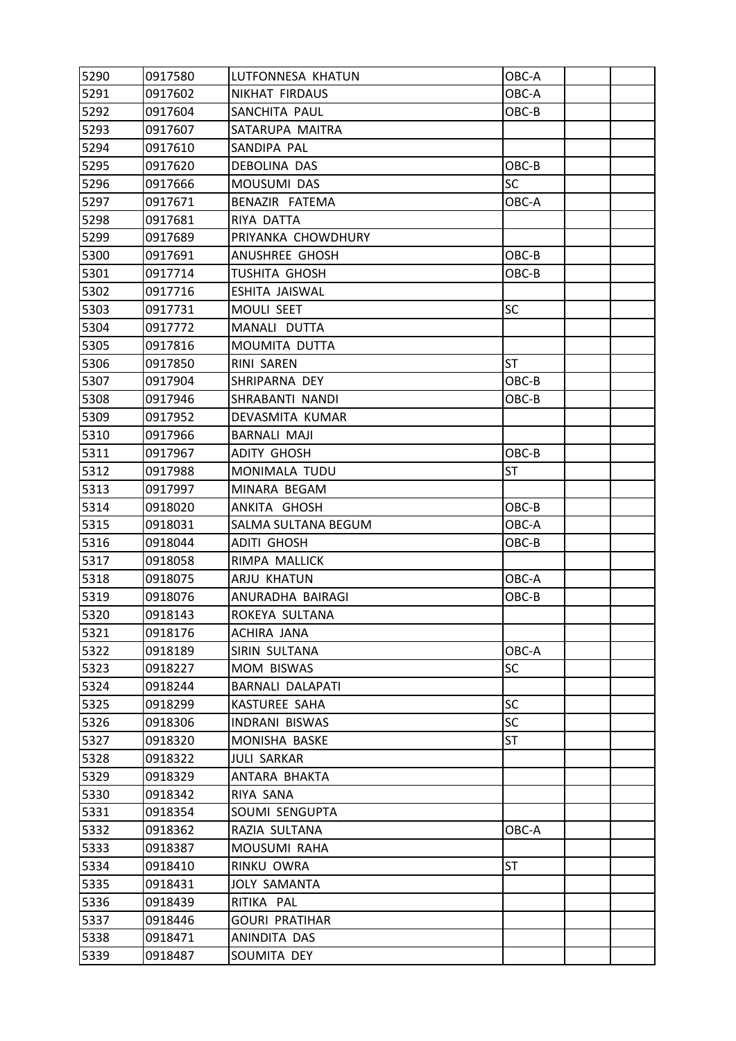| 5290 | 0917580 | LUTFONNESA KHATUN     | OBC-A     |  |
|------|---------|-----------------------|-----------|--|
| 5291 | 0917602 | NIKHAT FIRDAUS        | OBC-A     |  |
| 5292 | 0917604 | SANCHITA PAUL         | OBC-B     |  |
| 5293 | 0917607 | SATARUPA MAITRA       |           |  |
| 5294 | 0917610 | SANDIPA PAL           |           |  |
| 5295 | 0917620 | DEBOLINA DAS          | OBC-B     |  |
| 5296 | 0917666 | MOUSUMI DAS           | <b>SC</b> |  |
| 5297 | 0917671 | BENAZIR FATEMA        | OBC-A     |  |
| 5298 | 0917681 | RIYA DATTA            |           |  |
| 5299 | 0917689 | PRIYANKA CHOWDHURY    |           |  |
| 5300 | 0917691 | ANUSHREE GHOSH        | OBC-B     |  |
| 5301 | 0917714 | <b>TUSHITA GHOSH</b>  | OBC-B     |  |
| 5302 | 0917716 | ESHITA JAISWAL        |           |  |
| 5303 | 0917731 | MOULI SEET            | SC        |  |
| 5304 | 0917772 | MANALI DUTTA          |           |  |
| 5305 | 0917816 | MOUMITA DUTTA         |           |  |
| 5306 | 0917850 | RINI SAREN            | <b>ST</b> |  |
| 5307 | 0917904 | SHRIPARNA DEY         | OBC-B     |  |
| 5308 | 0917946 | SHRABANTI NANDI       | $OBC-B$   |  |
| 5309 | 0917952 | DEVASMITA KUMAR       |           |  |
| 5310 | 0917966 | <b>BARNALI MAJI</b>   |           |  |
| 5311 | 0917967 | ADITY GHOSH           | OBC-B     |  |
| 5312 | 0917988 | MONIMALA TUDU         | ST        |  |
| 5313 | 0917997 | MINARA BEGAM          |           |  |
| 5314 | 0918020 | ANKITA GHOSH          | OBC-B     |  |
| 5315 | 0918031 | SALMA SULTANA BEGUM   | OBC-A     |  |
| 5316 | 0918044 | ADITI GHOSH           | OBC-B     |  |
| 5317 | 0918058 | RIMPA MALLICK         |           |  |
| 5318 | 0918075 | ARJU KHATUN           | OBC-A     |  |
| 5319 | 0918076 | ANURADHA BAIRAGI      | OBC-B     |  |
| 5320 | 0918143 | ROKEYA SULTANA        |           |  |
| 5321 | 0918176 | ACHIRA JANA           |           |  |
| 5322 | 0918189 | SIRIN SULTANA         | OBC-A     |  |
| 5323 | 0918227 | MOM BISWAS            | <b>SC</b> |  |
| 5324 | 0918244 | BARNALI DALAPATI      |           |  |
| 5325 | 0918299 | <b>KASTUREE SAHA</b>  | <b>SC</b> |  |
| 5326 | 0918306 | INDRANI BISWAS        | SC        |  |
| 5327 | 0918320 | MONISHA BASKE         | ST        |  |
| 5328 | 0918322 | <b>JULI SARKAR</b>    |           |  |
| 5329 | 0918329 | ANTARA BHAKTA         |           |  |
| 5330 | 0918342 | RIYA SANA             |           |  |
| 5331 | 0918354 | SOUMI SENGUPTA        |           |  |
| 5332 | 0918362 | RAZIA SULTANA         | OBC-A     |  |
| 5333 | 0918387 | MOUSUMI RAHA          |           |  |
| 5334 | 0918410 | RINKU OWRA            | <b>ST</b> |  |
| 5335 | 0918431 | <b>JOLY SAMANTA</b>   |           |  |
| 5336 | 0918439 | RITIKA PAL            |           |  |
| 5337 | 0918446 | <b>GOURI PRATIHAR</b> |           |  |
| 5338 | 0918471 | ANINDITA DAS          |           |  |
| 5339 | 0918487 | SOUMITA DEY           |           |  |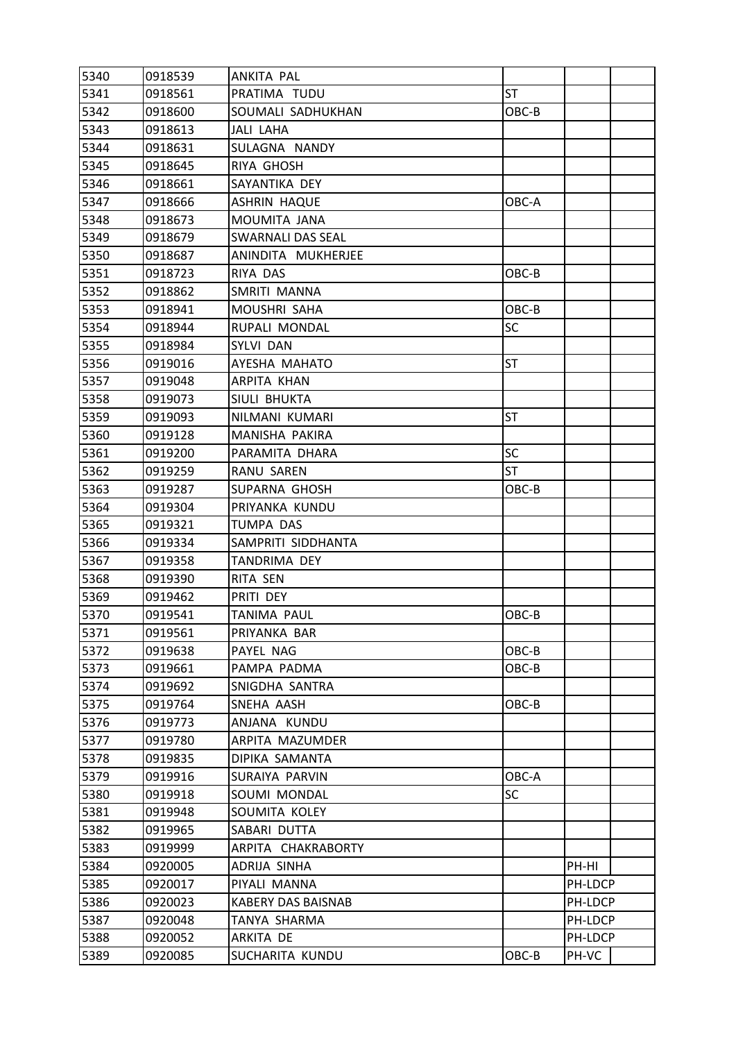| 5340 | 0918539 | ANKITA PAL                |           |         |  |
|------|---------|---------------------------|-----------|---------|--|
| 5341 | 0918561 | PRATIMA TUDU              | <b>ST</b> |         |  |
| 5342 | 0918600 | SOUMALI SADHUKHAN         | OBC-B     |         |  |
| 5343 | 0918613 | JALI LAHA                 |           |         |  |
| 5344 | 0918631 | SULAGNA NANDY             |           |         |  |
| 5345 | 0918645 | RIYA GHOSH                |           |         |  |
| 5346 | 0918661 | SAYANTIKA DEY             |           |         |  |
| 5347 | 0918666 | ASHRIN HAQUE              | OBC-A     |         |  |
| 5348 | 0918673 | MOUMITA JANA              |           |         |  |
| 5349 | 0918679 | SWARNALI DAS SEAL         |           |         |  |
| 5350 | 0918687 | ANINDITA MUKHERJEE        |           |         |  |
| 5351 | 0918723 | RIYA DAS                  | OBC-B     |         |  |
| 5352 | 0918862 | SMRITI MANNA              |           |         |  |
| 5353 | 0918941 | MOUSHRI SAHA              | OBC-B     |         |  |
| 5354 | 0918944 | RUPALI MONDAL             | SC        |         |  |
| 5355 | 0918984 | SYLVI DAN                 |           |         |  |
| 5356 | 0919016 | AYESHA MAHATO             | <b>ST</b> |         |  |
| 5357 | 0919048 | ARPITA KHAN               |           |         |  |
| 5358 | 0919073 | SIULI BHUKTA              |           |         |  |
| 5359 | 0919093 | NILMANI KUMARI            | <b>ST</b> |         |  |
| 5360 | 0919128 | MANISHA PAKIRA            |           |         |  |
| 5361 | 0919200 | PARAMITA DHARA            | SC        |         |  |
| 5362 | 0919259 | <b>RANU SAREN</b>         | <b>ST</b> |         |  |
| 5363 | 0919287 | SUPARNA GHOSH             | OBC-B     |         |  |
| 5364 | 0919304 | PRIYANKA KUNDU            |           |         |  |
| 5365 | 0919321 | TUMPA DAS                 |           |         |  |
| 5366 | 0919334 | SAMPRITI SIDDHANTA        |           |         |  |
| 5367 | 0919358 | TANDRIMA DEY              |           |         |  |
| 5368 | 0919390 | RITA SEN                  |           |         |  |
| 5369 | 0919462 | PRITI DEY                 |           |         |  |
| 5370 | 0919541 | TANIMA PAUL               | OBC-B     |         |  |
| 5371 | 0919561 | PRIYANKA BAR              |           |         |  |
| 5372 | 0919638 | PAYEL NAG                 | OBC-B     |         |  |
| 5373 | 0919661 | PAMPA PADMA               | OBC-B     |         |  |
| 5374 | 0919692 | SNIGDHA SANTRA            |           |         |  |
| 5375 | 0919764 | SNEHA AASH                | OBC-B     |         |  |
| 5376 | 0919773 | ANJANA KUNDU              |           |         |  |
| 5377 | 0919780 | ARPITA MAZUMDER           |           |         |  |
| 5378 | 0919835 | DIPIKA SAMANTA            |           |         |  |
| 5379 | 0919916 | SURAIYA PARVIN            | OBC-A     |         |  |
| 5380 | 0919918 | SOUMI MONDAL              | SC        |         |  |
| 5381 | 0919948 | SOUMITA KOLEY             |           |         |  |
| 5382 | 0919965 | SABARI DUTTA              |           |         |  |
| 5383 | 0919999 | ARPITA CHAKRABORTY        |           |         |  |
| 5384 | 0920005 | ADRIJA SINHA              |           | PH-HI   |  |
| 5385 | 0920017 | PIYALI MANNA              |           | PH-LDCP |  |
| 5386 | 0920023 | <b>KABERY DAS BAISNAB</b> |           | PH-LDCP |  |
| 5387 | 0920048 | TANYA SHARMA              |           | PH-LDCP |  |
| 5388 | 0920052 | ARKITA DE                 |           | PH-LDCP |  |
| 5389 | 0920085 | SUCHARITA KUNDU           | OBC-B     | PH-VC   |  |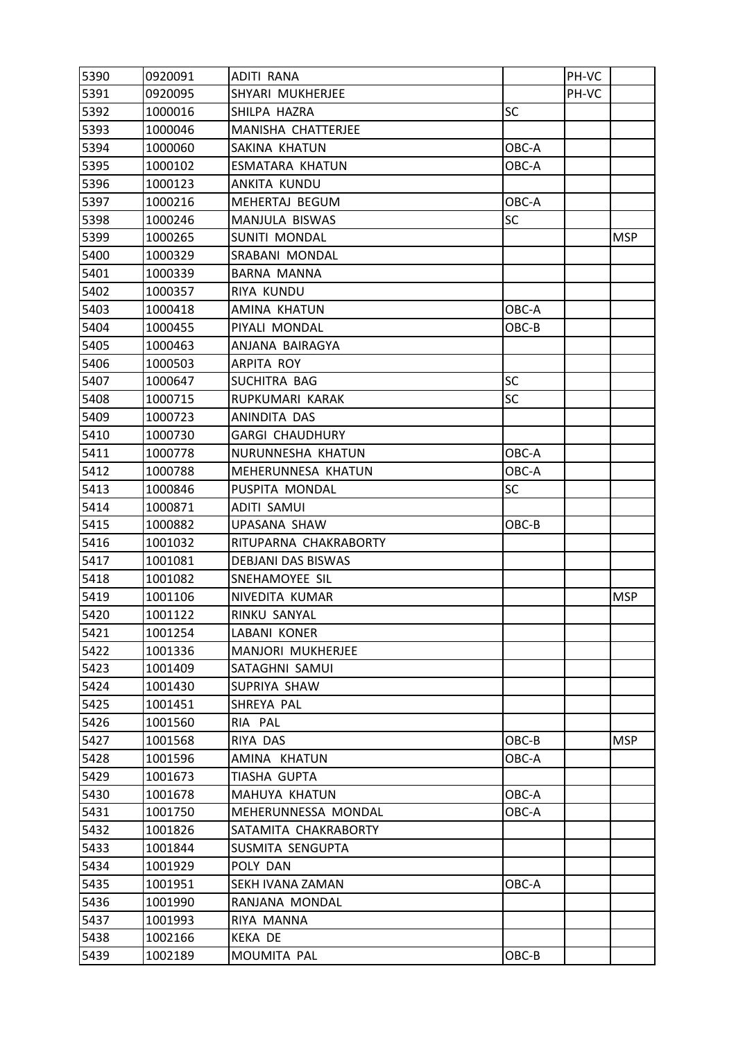| 5390 | 0920091 | ADITI RANA                |           | PH-VC |            |
|------|---------|---------------------------|-----------|-------|------------|
| 5391 | 0920095 | SHYARI MUKHERJEE          |           | PH-VC |            |
| 5392 | 1000016 | SHILPA HAZRA              | SC        |       |            |
| 5393 | 1000046 | MANISHA CHATTERJEE        |           |       |            |
| 5394 | 1000060 | SAKINA KHATUN             | OBC-A     |       |            |
| 5395 | 1000102 | ESMATARA KHATUN           | OBC-A     |       |            |
| 5396 | 1000123 | ANKITA KUNDU              |           |       |            |
| 5397 | 1000216 | MEHERTAJ BEGUM            | OBC-A     |       |            |
| 5398 | 1000246 | MANJULA BISWAS            | <b>SC</b> |       |            |
| 5399 | 1000265 | SUNITI MONDAL             |           |       | <b>MSP</b> |
| 5400 | 1000329 | SRABANI MONDAL            |           |       |            |
| 5401 | 1000339 | BARNA MANNA               |           |       |            |
| 5402 | 1000357 | RIYA KUNDU                |           |       |            |
| 5403 | 1000418 | AMINA KHATUN              | OBC-A     |       |            |
| 5404 | 1000455 | PIYALI MONDAL             | OBC-B     |       |            |
| 5405 | 1000463 | ANJANA BAIRAGYA           |           |       |            |
| 5406 | 1000503 | ARPITA ROY                |           |       |            |
| 5407 | 1000647 | SUCHITRA BAG              | <b>SC</b> |       |            |
| 5408 | 1000715 | RUPKUMARI KARAK           | <b>SC</b> |       |            |
| 5409 | 1000723 | ANINDITA DAS              |           |       |            |
| 5410 | 1000730 | <b>GARGI CHAUDHURY</b>    |           |       |            |
| 5411 | 1000778 | NURUNNESHA KHATUN         | OBC-A     |       |            |
| 5412 | 1000788 | MEHERUNNESA KHATUN        | OBC-A     |       |            |
| 5413 | 1000846 | PUSPITA MONDAL            | SC        |       |            |
| 5414 | 1000871 | ADITI SAMUI               |           |       |            |
| 5415 | 1000882 | UPASANA SHAW              | OBC-B     |       |            |
| 5416 | 1001032 | RITUPARNA CHAKRABORTY     |           |       |            |
| 5417 | 1001081 | <b>DEBJANI DAS BISWAS</b> |           |       |            |
| 5418 | 1001082 | SNEHAMOYEE SIL            |           |       |            |
| 5419 | 1001106 | NIVEDITA KUMAR            |           |       | <b>MSP</b> |
| 5420 | 1001122 | RINKU SANYAL              |           |       |            |
| 5421 | 1001254 | LABANI KONER              |           |       |            |
| 5422 | 1001336 | MANJORI MUKHERJEE         |           |       |            |
| 5423 | 1001409 | SATAGHNI SAMUI            |           |       |            |
| 5424 | 1001430 | SUPRIYA SHAW              |           |       |            |
| 5425 | 1001451 | SHREYA PAL                |           |       |            |
| 5426 | 1001560 | RIA PAL                   |           |       |            |
| 5427 | 1001568 | RIYA DAS                  | OBC-B     |       | <b>MSP</b> |
| 5428 | 1001596 | AMINA KHATUN              | OBC-A     |       |            |
| 5429 | 1001673 | TIASHA GUPTA              |           |       |            |
| 5430 | 1001678 | MAHUYA KHATUN             | OBC-A     |       |            |
| 5431 | 1001750 | MEHERUNNESSA MONDAL       | OBC-A     |       |            |
| 5432 | 1001826 | SATAMITA CHAKRABORTY      |           |       |            |
| 5433 | 1001844 | SUSMITA SENGUPTA          |           |       |            |
| 5434 | 1001929 | POLY DAN                  |           |       |            |
| 5435 | 1001951 | SEKH IVANA ZAMAN          | OBC-A     |       |            |
| 5436 | 1001990 | RANJANA MONDAL            |           |       |            |
| 5437 | 1001993 | RIYA MANNA                |           |       |            |
| 5438 | 1002166 | <b>KEKA DE</b>            |           |       |            |
| 5439 | 1002189 | MOUMITA PAL               | OBC-B     |       |            |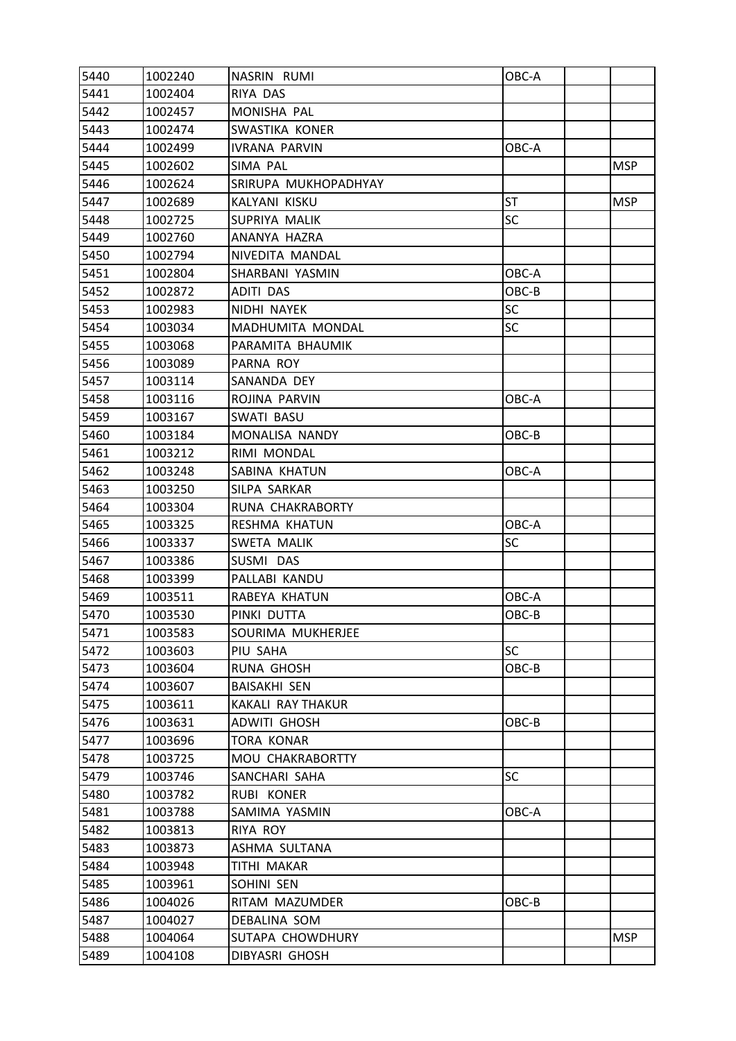| 5440 | 1002240 | NASRIN RUMI          | OBC-A     |            |
|------|---------|----------------------|-----------|------------|
| 5441 | 1002404 | RIYA DAS             |           |            |
| 5442 | 1002457 | MONISHA PAL          |           |            |
| 5443 | 1002474 | SWASTIKA KONER       |           |            |
| 5444 | 1002499 | <b>IVRANA PARVIN</b> | OBC-A     |            |
| 5445 | 1002602 | SIMA PAL             |           | <b>MSP</b> |
| 5446 | 1002624 | SRIRUPA MUKHOPADHYAY |           |            |
| 5447 | 1002689 | KALYANI KISKU        | <b>ST</b> | <b>MSP</b> |
| 5448 | 1002725 | SUPRIYA MALIK        | SC        |            |
| 5449 | 1002760 | ANANYA HAZRA         |           |            |
| 5450 | 1002794 | NIVEDITA MANDAL      |           |            |
| 5451 | 1002804 | SHARBANI YASMIN      | OBC-A     |            |
| 5452 | 1002872 | ADITI DAS            | OBC-B     |            |
| 5453 | 1002983 | NIDHI NAYEK          | <b>SC</b> |            |
| 5454 | 1003034 | MADHUMITA MONDAL     | SC        |            |
| 5455 | 1003068 | PARAMITA BHAUMIK     |           |            |
| 5456 | 1003089 | PARNA ROY            |           |            |
| 5457 | 1003114 | SANANDA DEY          |           |            |
| 5458 | 1003116 | ROJINA PARVIN        | OBC-A     |            |
| 5459 | 1003167 | <b>SWATI BASU</b>    |           |            |
| 5460 | 1003184 | MONALISA NANDY       | OBC-B     |            |
| 5461 | 1003212 | RIMI MONDAL          |           |            |
| 5462 | 1003248 | SABINA KHATUN        | OBC-A     |            |
| 5463 | 1003250 | SILPA SARKAR         |           |            |
| 5464 | 1003304 | RUNA CHAKRABORTY     |           |            |
| 5465 | 1003325 | RESHMA KHATUN        | OBC-A     |            |
| 5466 | 1003337 | SWETA MALIK          | SC        |            |
| 5467 | 1003386 | SUSMI DAS            |           |            |
| 5468 | 1003399 | PALLABI KANDU        |           |            |
| 5469 | 1003511 | RABEYA KHATUN        | OBC-A     |            |
| 5470 | 1003530 | PINKI DUTTA          | OBC-B     |            |
| 5471 | 1003583 | SOURIMA MUKHERJEE    |           |            |
| 5472 | 1003603 | PIU SAHA             | <b>SC</b> |            |
| 5473 | 1003604 | RUNA GHOSH           | OBC-B     |            |
| 5474 | 1003607 | <b>BAISAKHI SEN</b>  |           |            |
| 5475 | 1003611 | KAKALI RAY THAKUR    |           |            |
| 5476 | 1003631 | <b>ADWITI GHOSH</b>  | OBC-B     |            |
| 5477 | 1003696 | <b>TORA KONAR</b>    |           |            |
| 5478 | 1003725 | MOU CHAKRABORTTY     |           |            |
| 5479 | 1003746 | SANCHARI SAHA        | <b>SC</b> |            |
| 5480 | 1003782 | RUBI KONER           |           |            |
| 5481 | 1003788 | SAMIMA YASMIN        | OBC-A     |            |
| 5482 | 1003813 | RIYA ROY             |           |            |
| 5483 | 1003873 | ASHMA SULTANA        |           |            |
| 5484 | 1003948 | TITHI MAKAR          |           |            |
| 5485 | 1003961 | SOHINI SEN           |           |            |
| 5486 | 1004026 | RITAM MAZUMDER       | OBC-B     |            |
| 5487 | 1004027 | DEBALINA SOM         |           |            |
| 5488 | 1004064 | SUTAPA CHOWDHURY     |           | <b>MSP</b> |
| 5489 | 1004108 | DIBYASRI GHOSH       |           |            |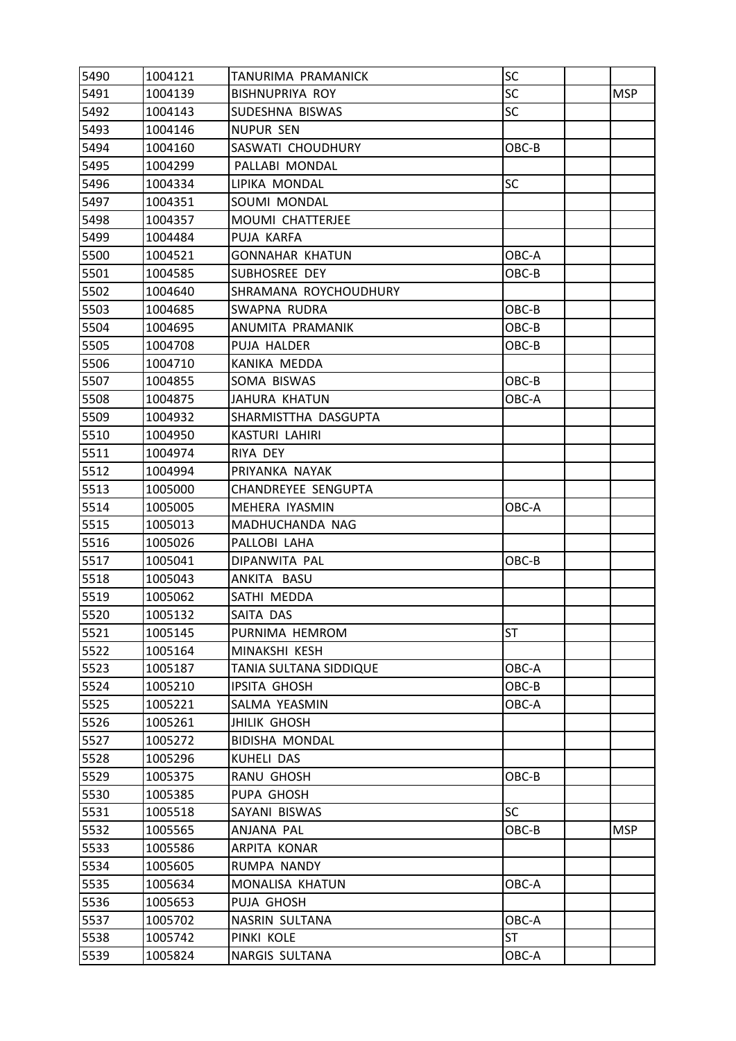| 5490 | 1004121 | TANURIMA PRAMANICK         | SC        |            |
|------|---------|----------------------------|-----------|------------|
| 5491 | 1004139 | <b>BISHNUPRIYA ROY</b>     | <b>SC</b> | <b>MSP</b> |
| 5492 | 1004143 | SUDESHNA BISWAS            | SC        |            |
| 5493 | 1004146 | <b>NUPUR SEN</b>           |           |            |
| 5494 | 1004160 | SASWATI CHOUDHURY          | OBC-B     |            |
| 5495 | 1004299 | PALLABI MONDAL             |           |            |
| 5496 | 1004334 | LIPIKA MONDAL              | <b>SC</b> |            |
| 5497 | 1004351 | SOUMI MONDAL               |           |            |
| 5498 | 1004357 | MOUMI CHATTERJEE           |           |            |
| 5499 | 1004484 | PUJA KARFA                 |           |            |
| 5500 | 1004521 | GONNAHAR KHATUN            | OBC-A     |            |
| 5501 | 1004585 | SUBHOSREE DEY              | OBC-B     |            |
| 5502 | 1004640 | SHRAMANA ROYCHOUDHURY      |           |            |
| 5503 | 1004685 | SWAPNA RUDRA               | OBC-B     |            |
| 5504 | 1004695 | ANUMITA PRAMANIK           | OBC-B     |            |
| 5505 | 1004708 | PUJA HALDER                | OBC-B     |            |
| 5506 | 1004710 | KANIKA MEDDA               |           |            |
| 5507 | 1004855 | SOMA BISWAS                | OBC-B     |            |
| 5508 | 1004875 | JAHURA KHATUN              | OBC-A     |            |
| 5509 | 1004932 | SHARMISTTHA DASGUPTA       |           |            |
| 5510 | 1004950 | <b>KASTURI LAHIRI</b>      |           |            |
| 5511 | 1004974 | RIYA DEY                   |           |            |
| 5512 | 1004994 | PRIYANKA NAYAK             |           |            |
| 5513 | 1005000 | <b>CHANDREYEE SENGUPTA</b> |           |            |
| 5514 | 1005005 | MEHERA IYASMIN             | OBC-A     |            |
| 5515 | 1005013 | MADHUCHANDA NAG            |           |            |
| 5516 | 1005026 | PALLOBI LAHA               |           |            |
| 5517 | 1005041 | DIPANWITA PAL              | OBC-B     |            |
| 5518 | 1005043 | ANKITA BASU                |           |            |
| 5519 | 1005062 | SATHI MEDDA                |           |            |
| 5520 | 1005132 | SAITA DAS                  |           |            |
| 5521 | 1005145 | PURNIMA HEMROM             | ST        |            |
| 5522 | 1005164 | MINAKSHI KESH              |           |            |
| 5523 | 1005187 | TANIA SULTANA SIDDIQUE     | OBC-A     |            |
| 5524 | 1005210 | <b>IPSITA GHOSH</b>        | OBC-B     |            |
| 5525 | 1005221 | SALMA YEASMIN              | OBC-A     |            |
| 5526 | 1005261 | <b>JHILIK GHOSH</b>        |           |            |
| 5527 | 1005272 | <b>BIDISHA MONDAL</b>      |           |            |
| 5528 | 1005296 | KUHELI DAS                 |           |            |
| 5529 | 1005375 | RANU GHOSH                 | OBC-B     |            |
| 5530 | 1005385 | PUPA GHOSH                 |           |            |
| 5531 | 1005518 | SAYANI BISWAS              | <b>SC</b> |            |
| 5532 | 1005565 | ANJANA PAL                 | OBC-B     | <b>MSP</b> |
| 5533 | 1005586 | ARPITA KONAR               |           |            |
| 5534 | 1005605 | RUMPA NANDY                |           |            |
| 5535 | 1005634 | MONALISA KHATUN            | OBC-A     |            |
| 5536 | 1005653 | PUJA GHOSH                 |           |            |
| 5537 | 1005702 | NASRIN SULTANA             | OBC-A     |            |
| 5538 | 1005742 | PINKI KOLE                 | <b>ST</b> |            |
| 5539 | 1005824 | NARGIS SULTANA             | OBC-A     |            |
|      |         |                            |           |            |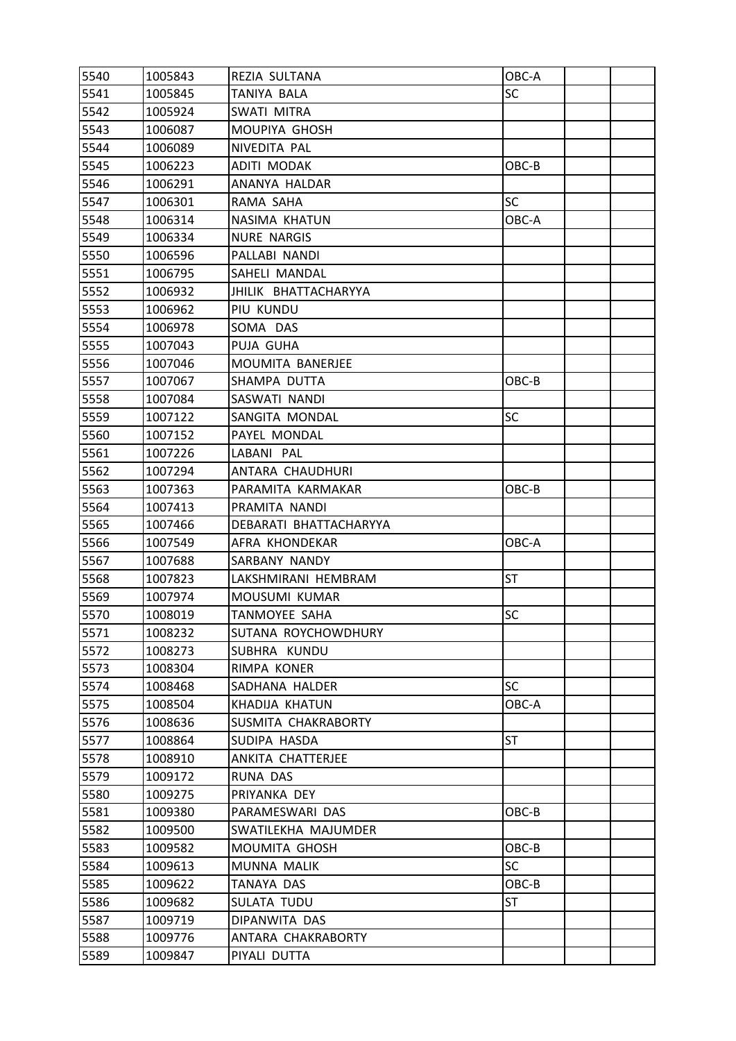| 5540 | 1005843 | REZIA SULTANA          | OBC-A     |  |
|------|---------|------------------------|-----------|--|
| 5541 | 1005845 | TANIYA BALA            | <b>SC</b> |  |
| 5542 | 1005924 | SWATI MITRA            |           |  |
| 5543 | 1006087 | MOUPIYA GHOSH          |           |  |
| 5544 | 1006089 | NIVEDITA PAL           |           |  |
| 5545 | 1006223 | ADITI MODAK            | OBC-B     |  |
| 5546 | 1006291 | ANANYA HALDAR          |           |  |
| 5547 | 1006301 | RAMA SAHA              | <b>SC</b> |  |
| 5548 | 1006314 | NASIMA KHATUN          | OBC-A     |  |
| 5549 | 1006334 | <b>NURE NARGIS</b>     |           |  |
| 5550 | 1006596 | PALLABI NANDI          |           |  |
| 5551 | 1006795 | SAHELI MANDAL          |           |  |
| 5552 | 1006932 | JHILIK BHATTACHARYYA   |           |  |
| 5553 | 1006962 | PIU KUNDU              |           |  |
| 5554 | 1006978 | SOMA DAS               |           |  |
| 5555 | 1007043 | PUJA GUHA              |           |  |
| 5556 | 1007046 | MOUMITA BANERJEE       |           |  |
| 5557 | 1007067 | SHAMPA DUTTA           | OBC-B     |  |
| 5558 | 1007084 | SASWATI NANDI          |           |  |
| 5559 | 1007122 | SANGITA MONDAL         | <b>SC</b> |  |
| 5560 | 1007152 | PAYEL MONDAL           |           |  |
| 5561 | 1007226 | LABANI PAL             |           |  |
| 5562 | 1007294 | ANTARA CHAUDHURI       |           |  |
| 5563 | 1007363 | PARAMITA KARMAKAR      | OBC-B     |  |
| 5564 | 1007413 | PRAMITA NANDI          |           |  |
| 5565 | 1007466 | DEBARATI BHATTACHARYYA |           |  |
| 5566 | 1007549 | AFRA KHONDEKAR         | OBC-A     |  |
| 5567 | 1007688 | SARBANY NANDY          |           |  |
| 5568 | 1007823 | LAKSHMIRANI HEMBRAM    | <b>ST</b> |  |
| 5569 | 1007974 | MOUSUMI KUMAR          |           |  |
| 5570 | 1008019 | TANMOYEE SAHA          | <b>SC</b> |  |
| 5571 | 1008232 | SUTANA ROYCHOWDHURY    |           |  |
| 5572 | 1008273 | SUBHRA KUNDU           |           |  |
| 5573 | 1008304 | RIMPA KONER            |           |  |
| 5574 | 1008468 | SADHANA HALDER         | <b>SC</b> |  |
| 5575 | 1008504 | KHADIJA KHATUN         | OBC-A     |  |
| 5576 | 1008636 | SUSMITA CHAKRABORTY    |           |  |
| 5577 | 1008864 | SUDIPA HASDA           | <b>ST</b> |  |
| 5578 | 1008910 | ANKITA CHATTERJEE      |           |  |
| 5579 | 1009172 | RUNA DAS               |           |  |
| 5580 | 1009275 | PRIYANKA DEY           |           |  |
| 5581 | 1009380 | PARAMESWARI DAS        | OBC-B     |  |
| 5582 | 1009500 | SWATILEKHA MAJUMDER    |           |  |
| 5583 | 1009582 | MOUMITA GHOSH          | OBC-B     |  |
| 5584 | 1009613 | MUNNA MALIK            | <b>SC</b> |  |
| 5585 | 1009622 | TANAYA DAS             | OBC-B     |  |
| 5586 | 1009682 | SULATA TUDU            | <b>ST</b> |  |
| 5587 | 1009719 | DIPANWITA DAS          |           |  |
| 5588 | 1009776 | ANTARA CHAKRABORTY     |           |  |
| 5589 | 1009847 | PIYALI DUTTA           |           |  |
|      |         |                        |           |  |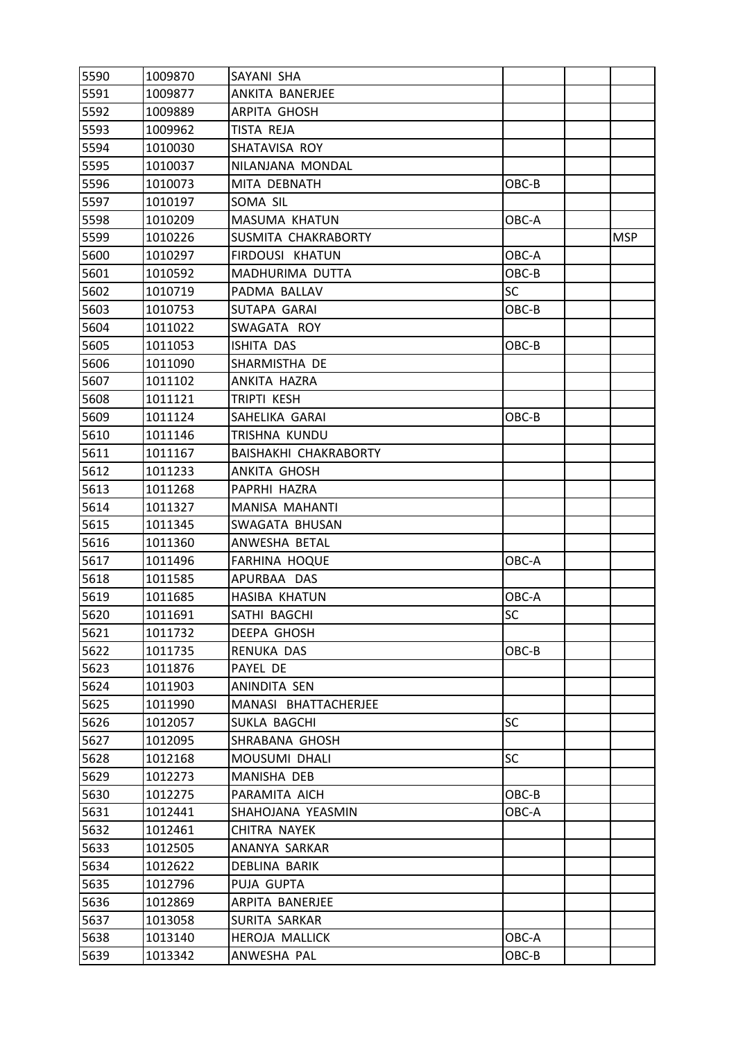| 5590 | 1009870 | SAYANI SHA            |           |            |
|------|---------|-----------------------|-----------|------------|
| 5591 | 1009877 | ANKITA BANERJEE       |           |            |
| 5592 | 1009889 | <b>ARPITA GHOSH</b>   |           |            |
| 5593 | 1009962 | TISTA REJA            |           |            |
| 5594 | 1010030 | SHATAVISA ROY         |           |            |
| 5595 | 1010037 | NILANJANA MONDAL      |           |            |
| 5596 | 1010073 | MITA DEBNATH          | OBC-B     |            |
| 5597 | 1010197 | SOMA SIL              |           |            |
| 5598 | 1010209 | MASUMA KHATUN         | OBC-A     |            |
| 5599 | 1010226 | SUSMITA CHAKRABORTY   |           | <b>MSP</b> |
| 5600 | 1010297 | FIRDOUSI KHATUN       | OBC-A     |            |
| 5601 | 1010592 | MADHURIMA DUTTA       | OBC-B     |            |
| 5602 | 1010719 | PADMA BALLAV          | <b>SC</b> |            |
| 5603 | 1010753 | SUTAPA GARAI          | OBC-B     |            |
| 5604 | 1011022 | SWAGATA ROY           |           |            |
| 5605 | 1011053 | ISHITA DAS            | OBC-B     |            |
| 5606 | 1011090 | SHARMISTHA DE         |           |            |
| 5607 | 1011102 | ANKITA HAZRA          |           |            |
| 5608 | 1011121 | TRIPTI KESH           |           |            |
| 5609 | 1011124 | SAHELIKA GARAI        | OBC-B     |            |
| 5610 | 1011146 | TRISHNA KUNDU         |           |            |
| 5611 | 1011167 | BAISHAKHI CHAKRABORTY |           |            |
| 5612 | 1011233 | ANKITA GHOSH          |           |            |
| 5613 | 1011268 | PAPRHI HAZRA          |           |            |
| 5614 | 1011327 | MANISA MAHANTI        |           |            |
| 5615 | 1011345 | SWAGATA BHUSAN        |           |            |
| 5616 | 1011360 | ANWESHA BETAL         |           |            |
| 5617 | 1011496 | <b>FARHINA HOQUE</b>  | OBC-A     |            |
| 5618 | 1011585 | APURBAA DAS           |           |            |
| 5619 | 1011685 | <b>HASIBA KHATUN</b>  | OBC-A     |            |
| 5620 | 1011691 | SATHI BAGCHI          | SC        |            |
| 5621 | 1011732 | DEEPA GHOSH           |           |            |
| 5622 | 1011735 | RENUKA DAS            | OBC-B     |            |
| 5623 | 1011876 | PAYEL DE              |           |            |
| 5624 | 1011903 | ANINDITA SEN          |           |            |
| 5625 | 1011990 | MANASI BHATTACHERJEE  |           |            |
| 5626 | 1012057 | SUKLA BAGCHI          | <b>SC</b> |            |
| 5627 | 1012095 | SHRABANA GHOSH        |           |            |
| 5628 | 1012168 | <b>MOUSUMI DHALI</b>  | <b>SC</b> |            |
| 5629 | 1012273 | MANISHA DEB           |           |            |
| 5630 | 1012275 | PARAMITA AICH         | OBC-B     |            |
| 5631 | 1012441 | SHAHOJANA YEASMIN     | OBC-A     |            |
| 5632 | 1012461 | CHITRA NAYEK          |           |            |
| 5633 | 1012505 | ANANYA SARKAR         |           |            |
| 5634 | 1012622 | DEBLINA BARIK         |           |            |
| 5635 | 1012796 | PUJA GUPTA            |           |            |
| 5636 | 1012869 | ARPITA BANERJEE       |           |            |
| 5637 | 1013058 | SURITA SARKAR         |           |            |
| 5638 | 1013140 | HEROJA MALLICK        | OBC-A     |            |
| 5639 | 1013342 | ANWESHA PAL           | OBC-B     |            |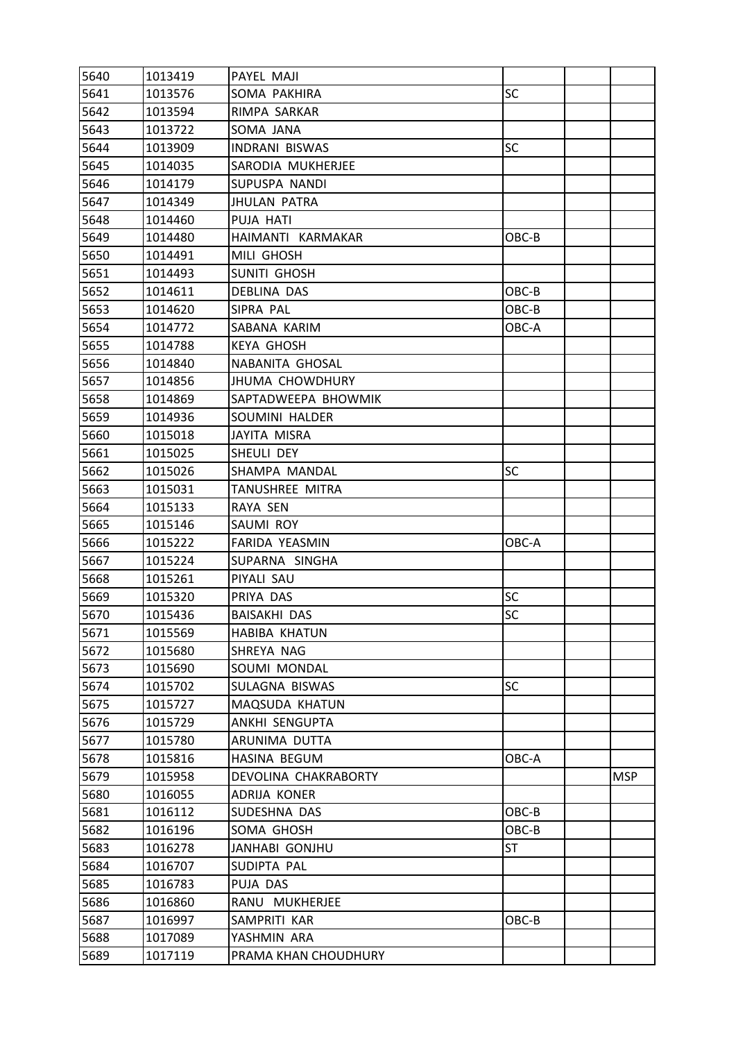| 5640 | 1013419 | PAYEL MAJI             |           |            |
|------|---------|------------------------|-----------|------------|
| 5641 | 1013576 | SOMA PAKHIRA           | <b>SC</b> |            |
| 5642 | 1013594 | RIMPA SARKAR           |           |            |
| 5643 | 1013722 | SOMA JANA              |           |            |
| 5644 | 1013909 | <b>INDRANI BISWAS</b>  | <b>SC</b> |            |
| 5645 | 1014035 | SARODIA MUKHERJEE      |           |            |
| 5646 | 1014179 | SUPUSPA NANDI          |           |            |
| 5647 | 1014349 | JHULAN PATRA           |           |            |
| 5648 | 1014460 | PUJA HATI              |           |            |
| 5649 | 1014480 | HAIMANTI KARMAKAR      | OBC-B     |            |
| 5650 | 1014491 | MILI GHOSH             |           |            |
| 5651 | 1014493 | <b>SUNITI GHOSH</b>    |           |            |
| 5652 | 1014611 | DEBLINA DAS            | OBC-B     |            |
| 5653 | 1014620 | SIPRA PAL              | OBC-B     |            |
| 5654 | 1014772 | SABANA KARIM           | OBC-A     |            |
| 5655 | 1014788 | <b>KEYA GHOSH</b>      |           |            |
| 5656 | 1014840 | NABANITA GHOSAL        |           |            |
| 5657 | 1014856 | <b>JHUMA CHOWDHURY</b> |           |            |
| 5658 | 1014869 | SAPTADWEEPA BHOWMIK    |           |            |
| 5659 | 1014936 | SOUMINI HALDER         |           |            |
| 5660 | 1015018 | <b>JAYITA MISRA</b>    |           |            |
| 5661 | 1015025 | SHEULI DEY             |           |            |
| 5662 | 1015026 | SHAMPA MANDAL          | <b>SC</b> |            |
| 5663 | 1015031 | TANUSHREE MITRA        |           |            |
| 5664 | 1015133 | RAYA SEN               |           |            |
| 5665 | 1015146 | SAUMI ROY              |           |            |
| 5666 | 1015222 | FARIDA YEASMIN         | OBC-A     |            |
| 5667 | 1015224 | SUPARNA SINGHA         |           |            |
| 5668 | 1015261 | PIYALI SAU             |           |            |
| 5669 | 1015320 | PRIYA DAS              | <b>SC</b> |            |
| 5670 | 1015436 | <b>BAISAKHI DAS</b>    | SC        |            |
| 5671 | 1015569 | <b>HABIBA KHATUN</b>   |           |            |
| 5672 | 1015680 | SHREYA NAG             |           |            |
| 5673 | 1015690 | SOUMI MONDAL           |           |            |
| 5674 | 1015702 | SULAGNA BISWAS         | <b>SC</b> |            |
| 5675 | 1015727 | MAQSUDA KHATUN         |           |            |
| 5676 | 1015729 | ANKHI SENGUPTA         |           |            |
| 5677 | 1015780 | ARUNIMA DUTTA          |           |            |
| 5678 | 1015816 | HASINA BEGUM           | OBC-A     |            |
| 5679 | 1015958 | DEVOLINA CHAKRABORTY   |           | <b>MSP</b> |
| 5680 | 1016055 | ADRIJA KONER           |           |            |
| 5681 | 1016112 | SUDESHNA DAS           | OBC-B     |            |
| 5682 | 1016196 | SOMA GHOSH             | OBC-B     |            |
| 5683 | 1016278 | JANHABI GONJHU         | ST        |            |
| 5684 | 1016707 | SUDIPTA PAL            |           |            |
| 5685 | 1016783 | PUJA DAS               |           |            |
| 5686 | 1016860 | RANU MUKHERJEE         |           |            |
| 5687 | 1016997 | SAMPRITI KAR           | OBC-B     |            |
| 5688 | 1017089 | YASHMIN ARA            |           |            |
| 5689 | 1017119 | PRAMA KHAN CHOUDHURY   |           |            |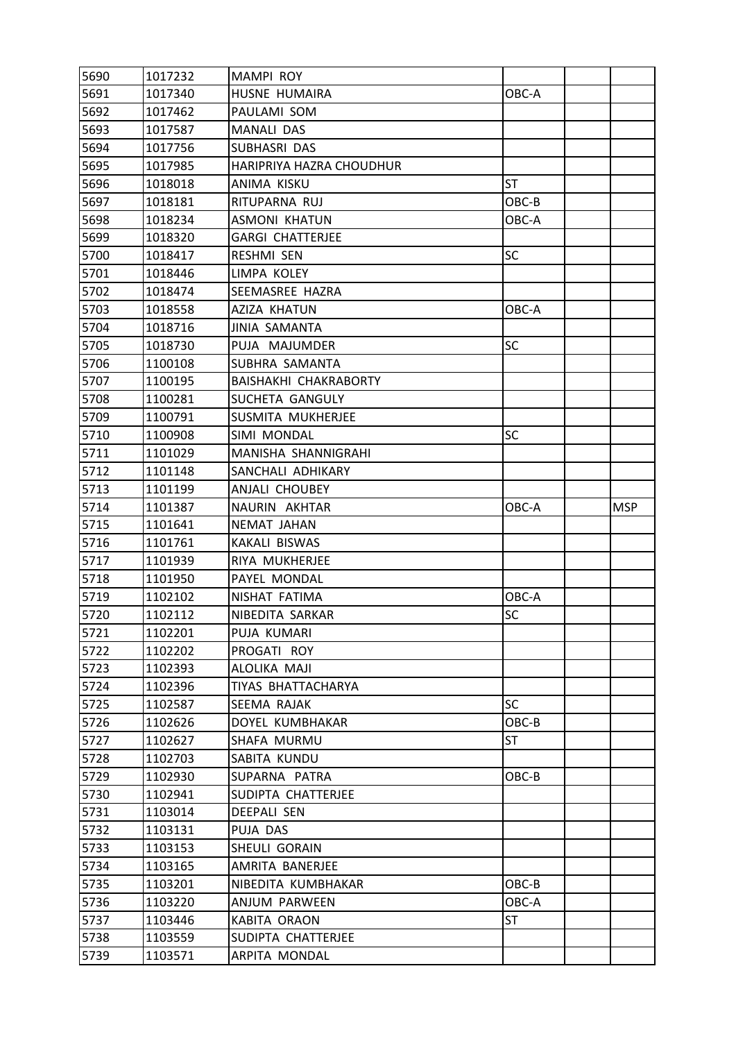| 5690         | 1017232            | MAMPI ROY                           |           |            |
|--------------|--------------------|-------------------------------------|-----------|------------|
| 5691         | 1017340            | HUSNE HUMAIRA                       | OBC-A     |            |
| 5692         | 1017462            | PAULAMI SOM                         |           |            |
| 5693         | 1017587            | MANALI DAS                          |           |            |
| 5694         | 1017756            | SUBHASRI DAS                        |           |            |
| 5695         | 1017985            | HARIPRIYA HAZRA CHOUDHUR            |           |            |
| 5696         | 1018018            | ANIMA KISKU                         | <b>ST</b> |            |
| 5697         | 1018181            | RITUPARNA RUJ                       | OBC-B     |            |
| 5698         | 1018234            | <b>ASMONI KHATUN</b>                | OBC-A     |            |
| 5699         | 1018320            | <b>GARGI CHATTERJEE</b>             |           |            |
| 5700         | 1018417            | RESHMI SEN                          | SC        |            |
| 5701         | 1018446            | LIMPA KOLEY                         |           |            |
| 5702         | 1018474            | SEEMASREE HAZRA                     |           |            |
| 5703         | 1018558            | AZIZA KHATUN                        | OBC-A     |            |
| 5704         | 1018716            | JINIA SAMANTA                       |           |            |
| 5705         | 1018730            | PUJA MAJUMDER                       | <b>SC</b> |            |
| 5706         | 1100108            | SUBHRA SAMANTA                      |           |            |
| 5707         | 1100195            | BAISHAKHI CHAKRABORTY               |           |            |
| 5708         | 1100281            | SUCHETA GANGULY                     |           |            |
| 5709         | 1100791            | SUSMITA MUKHERJEE                   |           |            |
| 5710         | 1100908            | SIMI MONDAL                         | SC        |            |
| 5711         | 1101029            | MANISHA SHANNIGRAHI                 |           |            |
| 5712         | 1101148            | SANCHALI ADHIKARY                   |           |            |
| 5713         | 1101199            | ANJALI CHOUBEY                      |           |            |
| 5714         | 1101387            | NAURIN AKHTAR                       | OBC-A     | <b>MSP</b> |
|              |                    |                                     |           |            |
| 5715         | 1101641            | NEMAT JAHAN                         |           |            |
| 5716         | 1101761            | KAKALI BISWAS                       |           |            |
| 5717         | 1101939            | RIYA MUKHERJEE                      |           |            |
| 5718         | 1101950            | PAYEL MONDAL                        |           |            |
| 5719         | 1102102            | NISHAT FATIMA                       | OBC-A     |            |
| 5720         | 1102112            | NIBEDITA SARKAR                     | <b>SC</b> |            |
| 5721         | 1102201            | PUJA KUMARI                         |           |            |
| 5722         | 1102202            | PROGATI ROY                         |           |            |
| 5723         | 1102393            | ALOLIKA MAJI                        |           |            |
| 5724         | 1102396            | TIYAS BHATTACHARYA                  |           |            |
| 5725         | 1102587            | SEEMA RAJAK                         | <b>SC</b> |            |
| 5726         | 1102626            | DOYEL KUMBHAKAR                     | OBC-B     |            |
| 5727         | 1102627            | SHAFA MURMU                         | <b>ST</b> |            |
| 5728         | 1102703            | SABITA KUNDU                        |           |            |
| 5729         | 1102930            | SUPARNA PATRA                       | OBC-B     |            |
| 5730         | 1102941            | SUDIPTA CHATTERJEE                  |           |            |
| 5731         | 1103014            | <b>DEEPALI SEN</b>                  |           |            |
| 5732         | 1103131            | PUJA DAS                            |           |            |
| 5733         | 1103153            | SHEULI GORAIN                       |           |            |
| 5734         | 1103165            | AMRITA BANERJEE                     |           |            |
| 5735         | 1103201            | NIBEDITA KUMBHAKAR                  | OBC-B     |            |
| 5736         | 1103220            | ANJUM PARWEEN                       | OBC-A     |            |
| 5737         | 1103446            | <b>KABITA ORAON</b>                 | ST        |            |
| 5738<br>5739 | 1103559<br>1103571 | SUDIPTA CHATTERJEE<br>ARPITA MONDAL |           |            |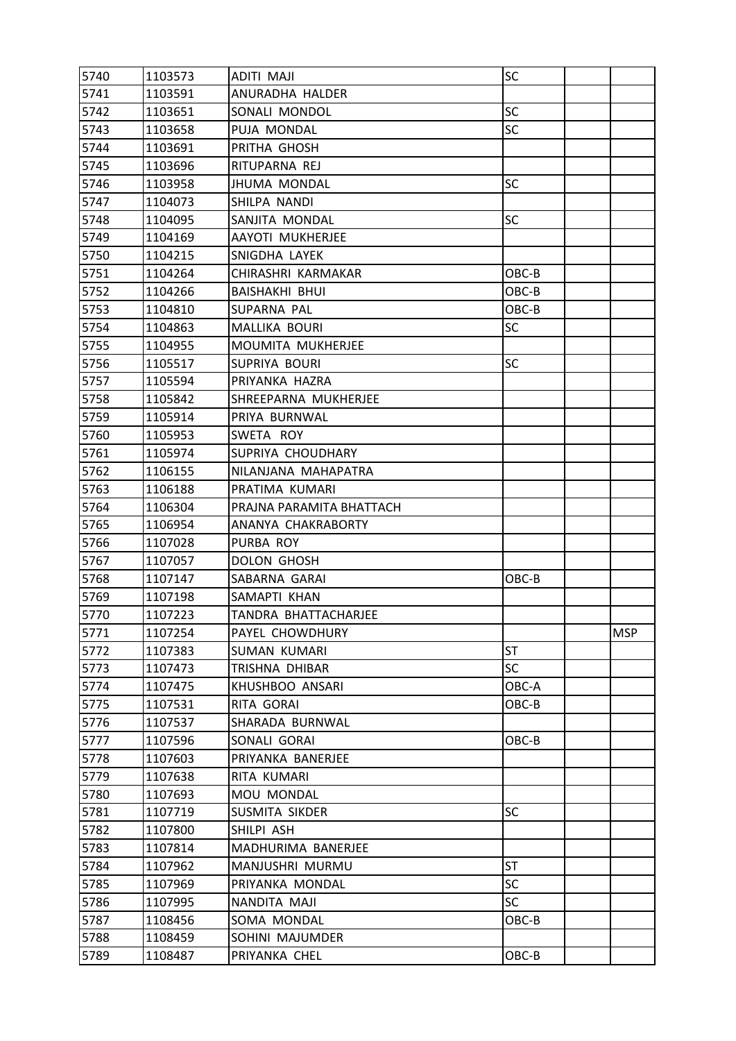| 5740 | 1103573 | ADITI MAJI               | SC        |            |
|------|---------|--------------------------|-----------|------------|
| 5741 | 1103591 | ANURADHA HALDER          |           |            |
| 5742 | 1103651 | SONALI MONDOL            | <b>SC</b> |            |
| 5743 | 1103658 | PUJA MONDAL              | <b>SC</b> |            |
| 5744 | 1103691 | PRITHA GHOSH             |           |            |
| 5745 | 1103696 | RITUPARNA REJ            |           |            |
| 5746 | 1103958 | <b>JHUMA MONDAL</b>      | <b>SC</b> |            |
| 5747 | 1104073 | SHILPA NANDI             |           |            |
| 5748 | 1104095 | SANJITA MONDAL           | SC        |            |
| 5749 | 1104169 | AAYOTI MUKHERJEE         |           |            |
| 5750 | 1104215 | SNIGDHA LAYEK            |           |            |
| 5751 | 1104264 | CHIRASHRI KARMAKAR       | OBC-B     |            |
| 5752 | 1104266 | <b>BAISHAKHI BHUI</b>    | OBC-B     |            |
| 5753 | 1104810 | SUPARNA PAL              | OBC-B     |            |
| 5754 | 1104863 | <b>MALLIKA BOURI</b>     | SC        |            |
| 5755 | 1104955 | <b>MOUMITA MUKHERJEE</b> |           |            |
| 5756 | 1105517 | SUPRIYA BOURI            | SC        |            |
| 5757 | 1105594 | PRIYANKA HAZRA           |           |            |
| 5758 | 1105842 | SHREEPARNA MUKHERJEE     |           |            |
| 5759 | 1105914 | PRIYA BURNWAL            |           |            |
| 5760 | 1105953 | SWETA ROY                |           |            |
| 5761 | 1105974 | SUPRIYA CHOUDHARY        |           |            |
| 5762 | 1106155 | NILANJANA MAHAPATRA      |           |            |
| 5763 | 1106188 | PRATIMA KUMARI           |           |            |
| 5764 | 1106304 | PRAJNA PARAMITA BHATTACH |           |            |
| 5765 | 1106954 | ANANYA CHAKRABORTY       |           |            |
| 5766 | 1107028 | PURBA ROY                |           |            |
| 5767 | 1107057 | <b>DOLON GHOSH</b>       |           |            |
| 5768 | 1107147 | SABARNA GARAI            | OBC-B     |            |
| 5769 | 1107198 | SAMAPTI KHAN             |           |            |
| 5770 | 1107223 | TANDRA BHATTACHARJEE     |           |            |
| 5771 | 1107254 | PAYEL CHOWDHURY          |           | <b>MSP</b> |
| 5772 | 1107383 | SUMAN KUMARI             | ST        |            |
| 5773 | 1107473 | TRISHNA DHIBAR           | <b>SC</b> |            |
| 5774 | 1107475 | KHUSHBOO ANSARI          | OBC-A     |            |
| 5775 | 1107531 | RITA GORAI               | OBC-B     |            |
| 5776 | 1107537 | SHARADA BURNWAL          |           |            |
| 5777 | 1107596 | SONALI GORAI             | OBC-B     |            |
| 5778 | 1107603 | PRIYANKA BANERJEE        |           |            |
| 5779 | 1107638 | RITA KUMARI              |           |            |
| 5780 | 1107693 | MOU MONDAL               |           |            |
| 5781 | 1107719 | SUSMITA SIKDER           | <b>SC</b> |            |
| 5782 | 1107800 | SHILPI ASH               |           |            |
| 5783 | 1107814 | MADHURIMA BANERJEE       |           |            |
| 5784 | 1107962 | MANJUSHRI MURMU          | <b>ST</b> |            |
| 5785 | 1107969 | PRIYANKA MONDAL          | <b>SC</b> |            |
| 5786 | 1107995 | NANDITA MAJI             | SC        |            |
| 5787 | 1108456 | SOMA MONDAL              | OBC-B     |            |
| 5788 | 1108459 | SOHINI MAJUMDER          |           |            |
| 5789 | 1108487 | PRIYANKA CHEL            | OBC-B     |            |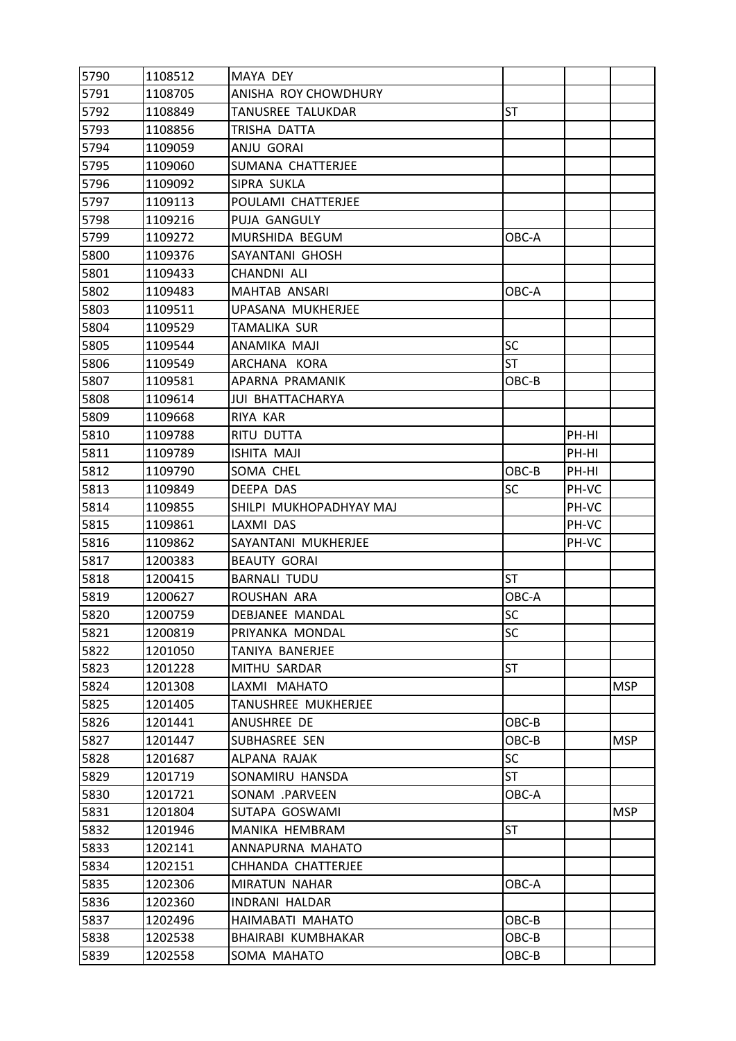| 5790 | 1108512 | <b>MAYA DEY</b>         |           |       |            |
|------|---------|-------------------------|-----------|-------|------------|
| 5791 | 1108705 | ANISHA ROY CHOWDHURY    |           |       |            |
| 5792 | 1108849 | TANUSREE TALUKDAR       | <b>ST</b> |       |            |
| 5793 | 1108856 | TRISHA DATTA            |           |       |            |
| 5794 | 1109059 | ANJU GORAI              |           |       |            |
| 5795 | 1109060 | SUMANA CHATTERJEE       |           |       |            |
| 5796 | 1109092 | SIPRA SUKLA             |           |       |            |
| 5797 | 1109113 | POULAMI CHATTERJEE      |           |       |            |
| 5798 | 1109216 | PUJA GANGULY            |           |       |            |
| 5799 | 1109272 | MURSHIDA BEGUM          | OBC-A     |       |            |
| 5800 | 1109376 | SAYANTANI GHOSH         |           |       |            |
| 5801 | 1109433 | CHANDNI ALI             |           |       |            |
| 5802 | 1109483 | MAHTAB ANSARI           | OBC-A     |       |            |
| 5803 | 1109511 | UPASANA MUKHERJEE       |           |       |            |
| 5804 | 1109529 | TAMALIKA SUR            |           |       |            |
| 5805 | 1109544 | ANAMIKA MAJI            | <b>SC</b> |       |            |
| 5806 | 1109549 | ARCHANA KORA            | <b>ST</b> |       |            |
| 5807 | 1109581 | APARNA PRAMANIK         | OBC-B     |       |            |
| 5808 | 1109614 | <b>JUI BHATTACHARYA</b> |           |       |            |
| 5809 | 1109668 | RIYA KAR                |           |       |            |
| 5810 | 1109788 | RITU DUTTA              |           | PH-HI |            |
| 5811 | 1109789 | <b>ISHITA MAJI</b>      |           | PH-HI |            |
| 5812 | 1109790 | SOMA CHEL               | OBC-B     | PH-HI |            |
| 5813 | 1109849 | DEEPA DAS               | <b>SC</b> | PH-VC |            |
| 5814 | 1109855 | SHILPI MUKHOPADHYAY MAJ |           | PH-VC |            |
| 5815 | 1109861 | LAXMI DAS               |           | PH-VC |            |
| 5816 | 1109862 | SAYANTANI MUKHERJEE     |           | PH-VC |            |
| 5817 | 1200383 | <b>BEAUTY GORAI</b>     |           |       |            |
| 5818 | 1200415 | <b>BARNALI TUDU</b>     | <b>ST</b> |       |            |
| 5819 | 1200627 | ROUSHAN ARA             | OBC-A     |       |            |
| 5820 | 1200759 | <b>DEBJANEE MANDAL</b>  | SC        |       |            |
| 5821 | 1200819 | PRIYANKA MONDAL         | SC        |       |            |
| 5822 | 1201050 | <b>TANIYA BANERJEE</b>  |           |       |            |
| 5823 | 1201228 | MITHU SARDAR            | <b>ST</b> |       |            |
| 5824 | 1201308 | LAXMI MAHATO            |           |       | <b>MSP</b> |
| 5825 | 1201405 | TANUSHREE MUKHERJEE     |           |       |            |
| 5826 | 1201441 | ANUSHREE DE             | OBC-B     |       |            |
| 5827 | 1201447 | SUBHASREE SEN           | OBC-B     |       | <b>MSP</b> |
| 5828 | 1201687 | ALPANA RAJAK            | <b>SC</b> |       |            |
| 5829 | 1201719 | SONAMIRU HANSDA         | ST        |       |            |
| 5830 | 1201721 | SONAM .PARVEEN          | OBC-A     |       |            |
| 5831 | 1201804 | SUTAPA GOSWAMI          |           |       | <b>MSP</b> |
| 5832 | 1201946 | MANIKA HEMBRAM          | <b>ST</b> |       |            |
| 5833 | 1202141 | ANNAPURNA MAHATO        |           |       |            |
| 5834 | 1202151 | CHHANDA CHATTERJEE      |           |       |            |
| 5835 | 1202306 | MIRATUN NAHAR           | OBC-A     |       |            |
| 5836 | 1202360 | <b>INDRANI HALDAR</b>   |           |       |            |
| 5837 | 1202496 | HAIMABATI MAHATO        | OBC-B     |       |            |
| 5838 | 1202538 | BHAIRABI KUMBHAKAR      | OBC-B     |       |            |
| 5839 | 1202558 | SOMA MAHATO             | OBC-B     |       |            |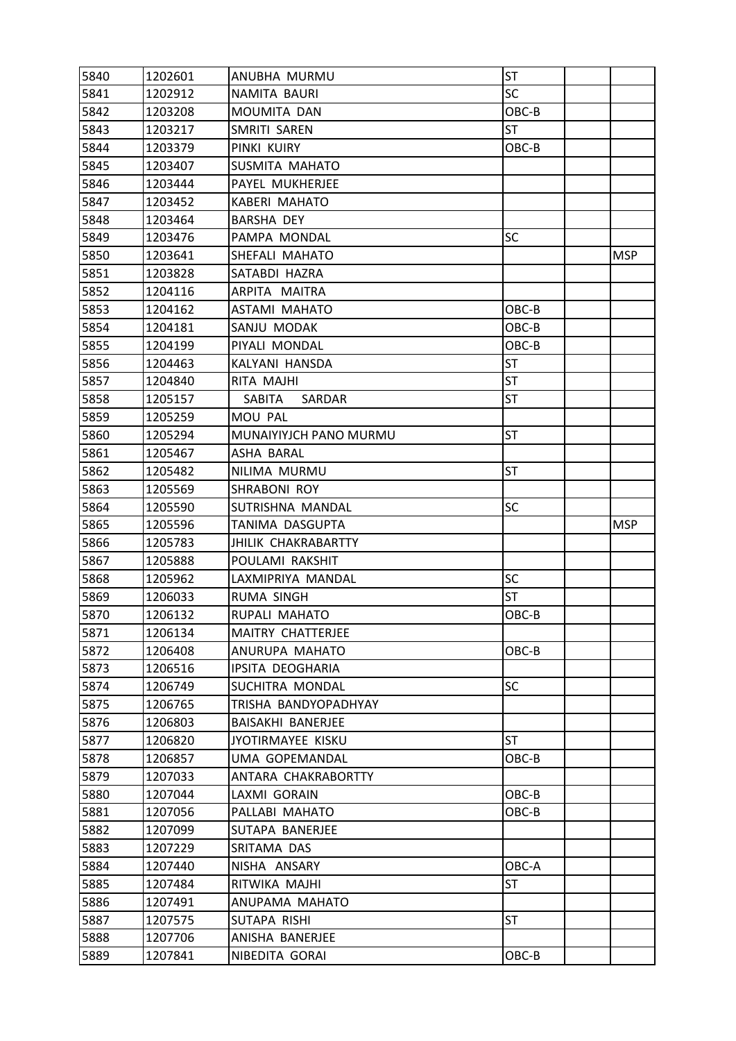| 5840         | 1202601 | ANUBHA MURMU             | <b>ST</b> |            |
|--------------|---------|--------------------------|-----------|------------|
| 5841         | 1202912 | NAMITA BAURI             | <b>SC</b> |            |
| 5842         | 1203208 | MOUMITA DAN              | OBC-B     |            |
| 5843         | 1203217 | SMRITI SAREN             | ST        |            |
| 5844         | 1203379 | PINKI KUIRY              | OBC-B     |            |
| 5845         | 1203407 | SUSMITA MAHATO           |           |            |
| 5846         | 1203444 | PAYEL MUKHERJEE          |           |            |
| 5847         | 1203452 | <b>KABERI MAHATO</b>     |           |            |
| 5848         | 1203464 | <b>BARSHA DEY</b>        |           |            |
| 5849         | 1203476 | PAMPA MONDAL             | <b>SC</b> |            |
| 5850         | 1203641 | SHEFALI MAHATO           |           | <b>MSP</b> |
| 5851         | 1203828 | SATABDI HAZRA            |           |            |
| 5852         | 1204116 | ARPITA MAITRA            |           |            |
| 5853         | 1204162 | <b>ASTAMI MAHATO</b>     | OBC-B     |            |
| 5854         | 1204181 | SANJU MODAK              | OBC-B     |            |
| 5855         | 1204199 | PIYALI MONDAL            | OBC-B     |            |
| 5856         | 1204463 | KALYANI HANSDA           | <b>ST</b> |            |
| 5857         | 1204840 | RITA MAJHI               | <b>ST</b> |            |
| 5858         | 1205157 | SABITA<br>SARDAR         | <b>ST</b> |            |
| 5859         | 1205259 | MOU PAL                  |           |            |
| 5860         | 1205294 | MUNAIYIYJCH PANO MURMU   | <b>ST</b> |            |
| 5861         | 1205467 | ASHA BARAL               |           |            |
| 5862         | 1205482 | NILIMA MURMU             | <b>ST</b> |            |
| 5863         | 1205569 | SHRABONI ROY             |           |            |
| 5864         | 1205590 | SUTRISHNA MANDAL         | SC        |            |
|              |         |                          |           |            |
| 5865         | 1205596 | TANIMA DASGUPTA          |           | <b>MSP</b> |
| 5866         | 1205783 | JHILIK CHAKRABARTTY      |           |            |
| 5867         | 1205888 | POULAMI RAKSHIT          |           |            |
| 5868         | 1205962 | LAXMIPRIYA MANDAL        | SC        |            |
| 5869         | 1206033 | RUMA SINGH               | ST        |            |
| 5870         | 1206132 | RUPALI MAHATO            | OBC-B     |            |
| 5871         | 1206134 | <b>MAITRY CHATTERJEE</b> |           |            |
| 5872         | 1206408 | ANURUPA MAHATO           | OBC-B     |            |
| 5873         | 1206516 | IPSITA DEOGHARIA         |           |            |
| 5874         | 1206749 | SUCHITRA MONDAL          | <b>SC</b> |            |
| 5875         | 1206765 | TRISHA BANDYOPADHYAY     |           |            |
| 5876         | 1206803 | BAISAKHI BANERJEE        |           |            |
| 5877         | 1206820 | JYOTIRMAYEE KISKU        | ST        |            |
| 5878         | 1206857 | UMA GOPEMANDAL           | OBC-B     |            |
| 5879         | 1207033 | ANTARA CHAKRABORTTY      |           |            |
| 5880         | 1207044 | LAXMI GORAIN             | OBC-B     |            |
| 5881         | 1207056 | PALLABI MAHATO           | OBC-B     |            |
| 5882         | 1207099 | SUTAPA BANERJEE          |           |            |
| 5883         | 1207229 | SRITAMA DAS              |           |            |
| 5884         | 1207440 | NISHA ANSARY             | OBC-A     |            |
| 5885         | 1207484 | RITWIKA MAJHI            | <b>ST</b> |            |
| 5886         | 1207491 | ANUPAMA MAHATO           |           |            |
| 5887         | 1207575 | SUTAPA RISHI             | <b>ST</b> |            |
| 5888<br>5889 | 1207706 | ANISHA BANERJEE          | OBC-B     |            |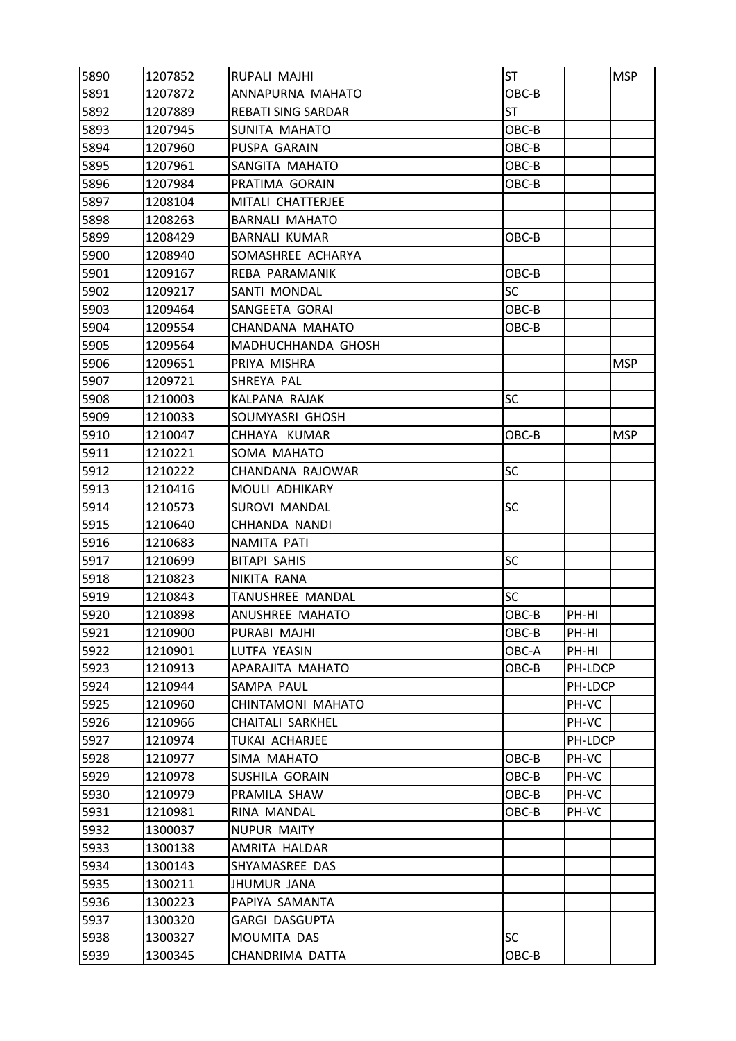| 5890 | 1207852 | RUPALI MAJHI              | <b>ST</b> |         | <b>MSP</b> |
|------|---------|---------------------------|-----------|---------|------------|
| 5891 | 1207872 | ANNAPURNA MAHATO          | OBC-B     |         |            |
| 5892 | 1207889 | <b>REBATI SING SARDAR</b> | <b>ST</b> |         |            |
| 5893 | 1207945 | SUNITA MAHATO             | OBC-B     |         |            |
| 5894 | 1207960 | PUSPA GARAIN              | OBC-B     |         |            |
| 5895 | 1207961 | SANGITA MAHATO            | OBC-B     |         |            |
| 5896 | 1207984 | PRATIMA GORAIN            | OBC-B     |         |            |
| 5897 | 1208104 | MITALI CHATTERJEE         |           |         |            |
| 5898 | 1208263 | <b>BARNALI MAHATO</b>     |           |         |            |
| 5899 | 1208429 | <b>BARNALI KUMAR</b>      | OBC-B     |         |            |
| 5900 | 1208940 | SOMASHREE ACHARYA         |           |         |            |
| 5901 | 1209167 | REBA PARAMANIK            | OBC-B     |         |            |
| 5902 | 1209217 | SANTI MONDAL              | <b>SC</b> |         |            |
| 5903 | 1209464 | SANGEETA GORAI            | OBC-B     |         |            |
| 5904 | 1209554 | CHANDANA MAHATO           | OBC-B     |         |            |
| 5905 | 1209564 | MADHUCHHANDA GHOSH        |           |         |            |
| 5906 | 1209651 | PRIYA MISHRA              |           |         | <b>MSP</b> |
| 5907 | 1209721 | SHREYA PAL                |           |         |            |
| 5908 | 1210003 | KALPANA RAJAK             | SC        |         |            |
| 5909 | 1210033 | SOUMYASRI GHOSH           |           |         |            |
| 5910 | 1210047 | CHHAYA KUMAR              | OBC-B     |         | <b>MSP</b> |
| 5911 | 1210221 | SOMA MAHATO               |           |         |            |
| 5912 | 1210222 | CHANDANA RAJOWAR          | <b>SC</b> |         |            |
| 5913 | 1210416 | MOULI ADHIKARY            |           |         |            |
| 5914 | 1210573 | <b>SUROVI MANDAL</b>      | SC        |         |            |
| 5915 | 1210640 | CHHANDA NANDI             |           |         |            |
| 5916 | 1210683 | NAMITA PATI               |           |         |            |
| 5917 | 1210699 | <b>BITAPI SAHIS</b>       | <b>SC</b> |         |            |
| 5918 | 1210823 | NIKITA RANA               |           |         |            |
| 5919 | 1210843 | TANUSHREE MANDAL          | <b>SC</b> |         |            |
| 5920 | 1210898 | ANUSHREE MAHATO           | OBC-B     | PH-HI   |            |
| 5921 | 1210900 | PURABI MAJHI              | OBC-B     | PH-HI   |            |
| 5922 | 1210901 | LUTFA YEASIN              | OBC-A     | PH-HI   |            |
| 5923 | 1210913 | APARAJITA MAHATO          | OBC-B     | PH-LDCP |            |
| 5924 | 1210944 | SAMPA PAUL                |           | PH-LDCP |            |
| 5925 | 1210960 | CHINTAMONI MAHATO         |           | PH-VC   |            |
| 5926 | 1210966 | <b>CHAITALI SARKHEL</b>   |           | PH-VC   |            |
| 5927 | 1210974 | TUKAI ACHARJEE            |           | PH-LDCP |            |
| 5928 | 1210977 | SIMA MAHATO               | OBC-B     | PH-VC   |            |
| 5929 | 1210978 | SUSHILA GORAIN            | OBC-B     | PH-VC   |            |
| 5930 | 1210979 | PRAMILA SHAW              | OBC-B     | PH-VC   |            |
| 5931 | 1210981 | RINA MANDAL               | OBC-B     | PH-VC   |            |
| 5932 | 1300037 | <b>NUPUR MAITY</b>        |           |         |            |
| 5933 | 1300138 | AMRITA HALDAR             |           |         |            |
| 5934 | 1300143 | SHYAMASREE DAS            |           |         |            |
| 5935 | 1300211 | JHUMUR JANA               |           |         |            |
| 5936 | 1300223 | PAPIYA SAMANTA            |           |         |            |
| 5937 | 1300320 | <b>GARGI DASGUPTA</b>     |           |         |            |
| 5938 | 1300327 | MOUMITA DAS               | <b>SC</b> |         |            |
| 5939 | 1300345 | CHANDRIMA DATTA           | OBC-B     |         |            |
|      |         |                           |           |         |            |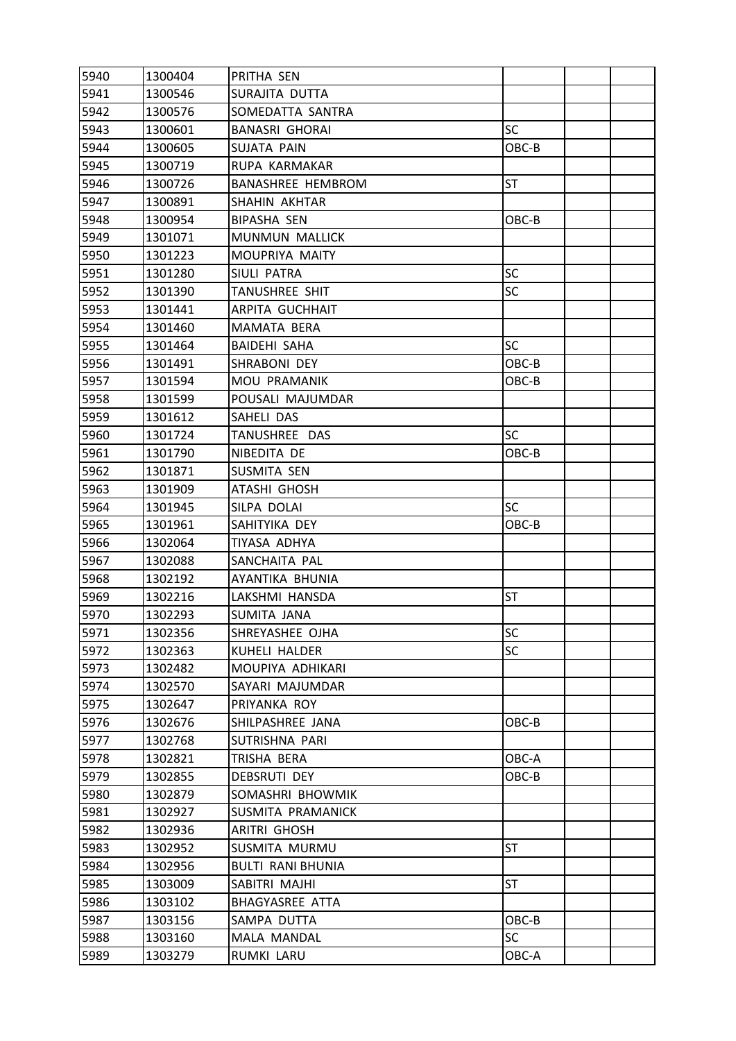| 5940 | 1300404 | PRITHA SEN               |           |  |
|------|---------|--------------------------|-----------|--|
| 5941 | 1300546 | SURAJITA DUTTA           |           |  |
| 5942 | 1300576 | SOMEDATTA SANTRA         |           |  |
| 5943 | 1300601 | <b>BANASRI GHORAI</b>    | <b>SC</b> |  |
| 5944 | 1300605 | SUJATA PAIN              | OBC-B     |  |
| 5945 | 1300719 | RUPA KARMAKAR            |           |  |
| 5946 | 1300726 | <b>BANASHREE HEMBROM</b> | <b>ST</b> |  |
| 5947 | 1300891 | SHAHIN AKHTAR            |           |  |
| 5948 | 1300954 | <b>BIPASHA SEN</b>       | OBC-B     |  |
| 5949 | 1301071 | <b>MUNMUN MALLICK</b>    |           |  |
| 5950 | 1301223 | MOUPRIYA MAITY           |           |  |
| 5951 | 1301280 | SIULI PATRA              | <b>SC</b> |  |
| 5952 | 1301390 | <b>TANUSHREE SHIT</b>    | SC        |  |
| 5953 | 1301441 | ARPITA GUCHHAIT          |           |  |
| 5954 | 1301460 | MAMATA BERA              |           |  |
| 5955 | 1301464 | <b>BAIDEHI SAHA</b>      | <b>SC</b> |  |
| 5956 | 1301491 | SHRABONI DEY             | OBC-B     |  |
| 5957 | 1301594 | <b>MOU PRAMANIK</b>      | OBC-B     |  |
| 5958 | 1301599 | POUSALI MAJUMDAR         |           |  |
| 5959 | 1301612 | SAHELI DAS               |           |  |
| 5960 | 1301724 | TANUSHREE DAS            | <b>SC</b> |  |
| 5961 | 1301790 | NIBEDITA DE              | OBC-B     |  |
| 5962 | 1301871 | SUSMITA SEN              |           |  |
| 5963 | 1301909 | ATASHI GHOSH             |           |  |
| 5964 | 1301945 | SILPA DOLAI              | <b>SC</b> |  |
| 5965 | 1301961 | SAHITYIKA DEY            | OBC-B     |  |
| 5966 | 1302064 | TIYASA ADHYA             |           |  |
| 5967 | 1302088 | SANCHAITA PAL            |           |  |
| 5968 | 1302192 | AYANTIKA BHUNIA          |           |  |
| 5969 | 1302216 | LAKSHMI HANSDA           | <b>ST</b> |  |
| 5970 | 1302293 | <b>SUMITA JANA</b>       |           |  |
| 5971 | 1302356 | SHREYASHEE OJHA          | SC        |  |
| 5972 | 1302363 | KUHELI HALDER            | <b>SC</b> |  |
| 5973 | 1302482 | MOUPIYA ADHIKARI         |           |  |
| 5974 | 1302570 | SAYARI MAJUMDAR          |           |  |
| 5975 | 1302647 | PRIYANKA ROY             |           |  |
| 5976 | 1302676 | SHILPASHREE JANA         | OBC-B     |  |
| 5977 | 1302768 | SUTRISHNA PARI           |           |  |
| 5978 | 1302821 | TRISHA BERA              | OBC-A     |  |
| 5979 | 1302855 | DEBSRUTI DEY             | OBC-B     |  |
| 5980 | 1302879 | SOMASHRI BHOWMIK         |           |  |
| 5981 | 1302927 | SUSMITA PRAMANICK        |           |  |
| 5982 | 1302936 | ARITRI GHOSH             |           |  |
| 5983 | 1302952 | SUSMITA MURMU            | ST        |  |
| 5984 | 1302956 | <b>BULTI RANI BHUNIA</b> |           |  |
| 5985 | 1303009 | SABITRI MAJHI            | <b>ST</b> |  |
| 5986 | 1303102 | <b>BHAGYASREE ATTA</b>   |           |  |
| 5987 | 1303156 | SAMPA DUTTA              | OBC-B     |  |
| 5988 | 1303160 | MALA MANDAL              | <b>SC</b> |  |
| 5989 | 1303279 | RUMKI LARU               | OBC-A     |  |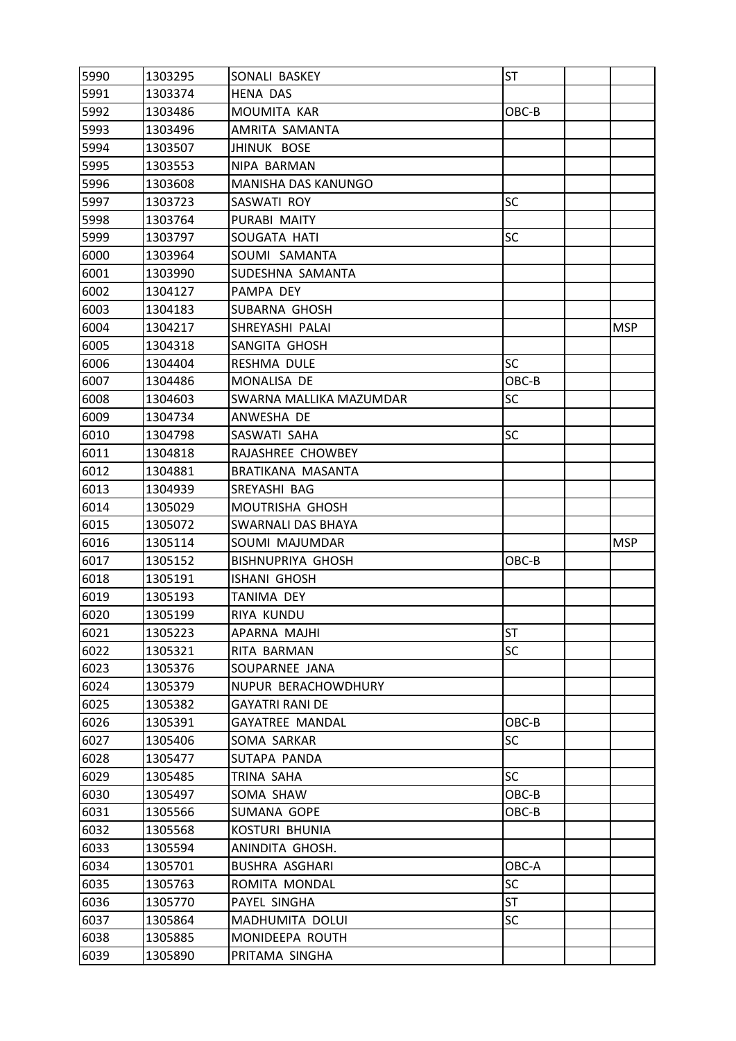| 5990 | 1303295 | SONALI BASKEY            | ST        |            |
|------|---------|--------------------------|-----------|------------|
| 5991 | 1303374 | <b>HENA DAS</b>          |           |            |
| 5992 | 1303486 | MOUMITA KAR              | OBC-B     |            |
| 5993 | 1303496 | AMRITA SAMANTA           |           |            |
| 5994 | 1303507 | <b>JHINUK BOSE</b>       |           |            |
| 5995 | 1303553 | NIPA BARMAN              |           |            |
| 5996 | 1303608 | MANISHA DAS KANUNGO      |           |            |
| 5997 | 1303723 | SASWATI ROY              | <b>SC</b> |            |
| 5998 | 1303764 | PURABI MAITY             |           |            |
| 5999 | 1303797 | SOUGATA HATI             | <b>SC</b> |            |
| 6000 | 1303964 | SOUMI SAMANTA            |           |            |
| 6001 | 1303990 | SUDESHNA SAMANTA         |           |            |
| 6002 | 1304127 | PAMPA DEY                |           |            |
| 6003 | 1304183 | SUBARNA GHOSH            |           |            |
| 6004 | 1304217 | SHREYASHI PALAI          |           | <b>MSP</b> |
| 6005 | 1304318 | SANGITA GHOSH            |           |            |
| 6006 | 1304404 | RESHMA DULE              | <b>SC</b> |            |
| 6007 | 1304486 | MONALISA DE              | OBC-B     |            |
| 6008 | 1304603 | SWARNA MALLIKA MAZUMDAR  | <b>SC</b> |            |
| 6009 | 1304734 | ANWESHA DE               |           |            |
| 6010 | 1304798 | SASWATI SAHA             | <b>SC</b> |            |
| 6011 | 1304818 | RAJASHREE CHOWBEY        |           |            |
| 6012 | 1304881 | BRATIKANA MASANTA        |           |            |
| 6013 | 1304939 | SREYASHI BAG             |           |            |
| 6014 | 1305029 | MOUTRISHA GHOSH          |           |            |
| 6015 | 1305072 | SWARNALI DAS BHAYA       |           |            |
| 6016 | 1305114 | SOUMI MAJUMDAR           |           | <b>MSP</b> |
| 6017 | 1305152 | <b>BISHNUPRIYA GHOSH</b> | OBC-B     |            |
| 6018 | 1305191 | ISHANI GHOSH             |           |            |
| 6019 | 1305193 | TANIMA DEY               |           |            |
| 6020 | 1305199 | RIYA KUNDU               |           |            |
| 6021 | 1305223 | APARNA MAJHI             | ST        |            |
| 6022 | 1305321 | RITA BARMAN              | <b>SC</b> |            |
| 6023 | 1305376 | SOUPARNEE JANA           |           |            |
| 6024 | 1305379 | NUPUR BERACHOWDHURY      |           |            |
| 6025 | 1305382 | <b>GAYATRI RANI DE</b>   |           |            |
| 6026 | 1305391 | <b>GAYATREE MANDAL</b>   | OBC-B     |            |
| 6027 | 1305406 | SOMA SARKAR              | <b>SC</b> |            |
| 6028 | 1305477 | SUTAPA PANDA             |           |            |
| 6029 | 1305485 | TRINA SAHA               | <b>SC</b> |            |
| 6030 | 1305497 | SOMA SHAW                | OBC-B     |            |
| 6031 | 1305566 | SUMANA GOPE              | OBC-B     |            |
| 6032 | 1305568 | KOSTURI BHUNIA           |           |            |
| 6033 | 1305594 | ANINDITA GHOSH.          |           |            |
| 6034 | 1305701 | <b>BUSHRA ASGHARI</b>    | OBC-A     |            |
| 6035 | 1305763 | ROMITA MONDAL            | <b>SC</b> |            |
| 6036 | 1305770 | PAYEL SINGHA             | <b>ST</b> |            |
| 6037 | 1305864 | MADHUMITA DOLUI          | <b>SC</b> |            |
| 6038 | 1305885 | MONIDEEPA ROUTH          |           |            |
| 6039 | 1305890 | PRITAMA SINGHA           |           |            |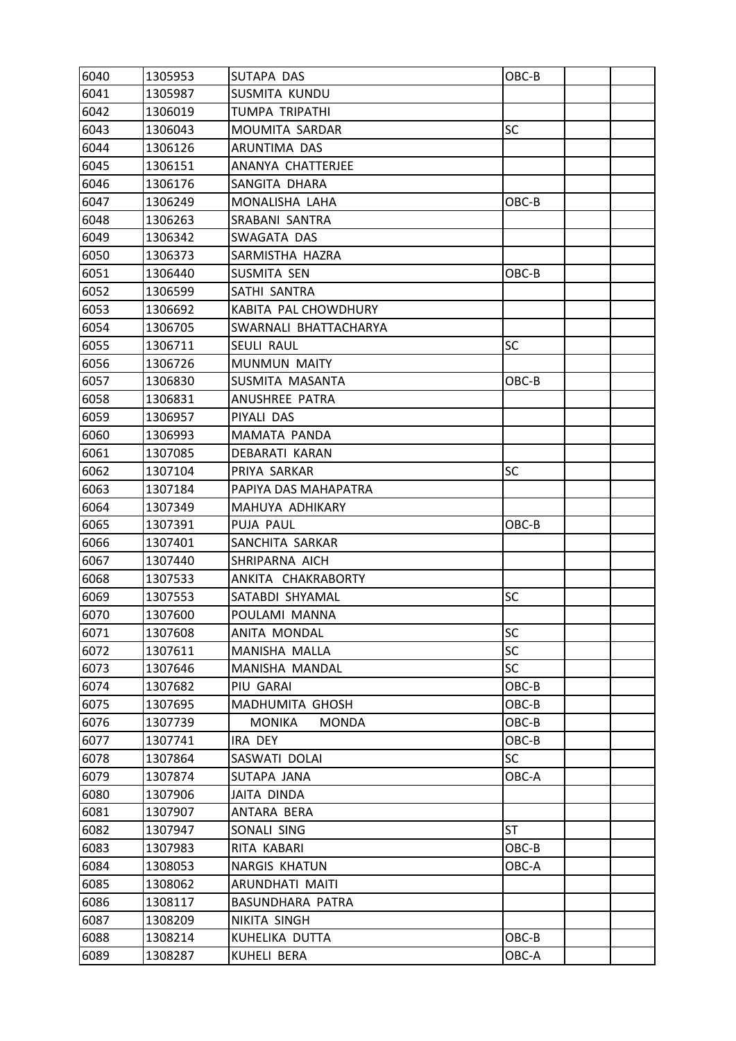| 6040 | 1305953 | SUTAPA DAS                    | OBC-B     |  |
|------|---------|-------------------------------|-----------|--|
| 6041 | 1305987 | <b>SUSMITA KUNDU</b>          |           |  |
| 6042 | 1306019 | TUMPA TRIPATHI                |           |  |
| 6043 | 1306043 | MOUMITA SARDAR                | <b>SC</b> |  |
| 6044 | 1306126 | ARUNTIMA DAS                  |           |  |
| 6045 | 1306151 | ANANYA CHATTERJEE             |           |  |
| 6046 | 1306176 | SANGITA DHARA                 |           |  |
| 6047 | 1306249 | MONALISHA LAHA                | OBC-B     |  |
| 6048 | 1306263 | SRABANI SANTRA                |           |  |
| 6049 | 1306342 | SWAGATA DAS                   |           |  |
| 6050 | 1306373 | SARMISTHA HAZRA               |           |  |
| 6051 | 1306440 | SUSMITA SEN                   | OBC-B     |  |
| 6052 | 1306599 | SATHI SANTRA                  |           |  |
| 6053 | 1306692 | KABITA PAL CHOWDHURY          |           |  |
| 6054 | 1306705 | SWARNALI BHATTACHARYA         |           |  |
| 6055 | 1306711 | SEULI RAUL                    | <b>SC</b> |  |
| 6056 | 1306726 | <b>MUNMUN MAITY</b>           |           |  |
| 6057 | 1306830 | SUSMITA MASANTA               | OBC-B     |  |
| 6058 | 1306831 | ANUSHREE PATRA                |           |  |
| 6059 | 1306957 | PIYALI DAS                    |           |  |
| 6060 | 1306993 | MAMATA PANDA                  |           |  |
| 6061 | 1307085 | DEBARATI KARAN                |           |  |
| 6062 | 1307104 | PRIYA SARKAR                  | <b>SC</b> |  |
| 6063 | 1307184 | PAPIYA DAS MAHAPATRA          |           |  |
| 6064 | 1307349 | MAHUYA ADHIKARY               |           |  |
| 6065 | 1307391 | PUJA PAUL                     | OBC-B     |  |
| 6066 | 1307401 | SANCHITA SARKAR               |           |  |
| 6067 | 1307440 | SHRIPARNA AICH                |           |  |
| 6068 | 1307533 | ANKITA CHAKRABORTY            |           |  |
| 6069 | 1307553 | SATABDI SHYAMAL               | SC        |  |
| 6070 | 1307600 | POULAMI MANNA                 |           |  |
| 6071 | 1307608 | ANITA MONDAL                  | SC        |  |
| 6072 | 1307611 | MANISHA MALLA                 | <b>SC</b> |  |
| 6073 | 1307646 | MANISHA MANDAL                | <b>SC</b> |  |
| 6074 | 1307682 | PIU GARAI                     | OBC-B     |  |
| 6075 | 1307695 | MADHUMITA GHOSH               | OBC-B     |  |
| 6076 | 1307739 | <b>MONIKA</b><br><b>MONDA</b> | OBC-B     |  |
| 6077 | 1307741 | IRA DEY                       | OBC-B     |  |
| 6078 | 1307864 | SASWATI DOLAI                 | <b>SC</b> |  |
| 6079 | 1307874 | SUTAPA JANA                   | OBC-A     |  |
| 6080 | 1307906 | JAITA DINDA                   |           |  |
| 6081 | 1307907 | ANTARA BERA                   |           |  |
| 6082 | 1307947 | SONALI SING                   | <b>ST</b> |  |
| 6083 | 1307983 | RITA KABARI                   | OBC-B     |  |
| 6084 | 1308053 | <b>NARGIS KHATUN</b>          | OBC-A     |  |
| 6085 | 1308062 | ARUNDHATI MAITI               |           |  |
| 6086 | 1308117 | BASUNDHARA PATRA              |           |  |
| 6087 | 1308209 | NIKITA SINGH                  |           |  |
| 6088 | 1308214 | KUHELIKA DUTTA                | OBC-B     |  |
| 6089 | 1308287 | KUHELI BERA                   | OBC-A     |  |
|      |         |                               |           |  |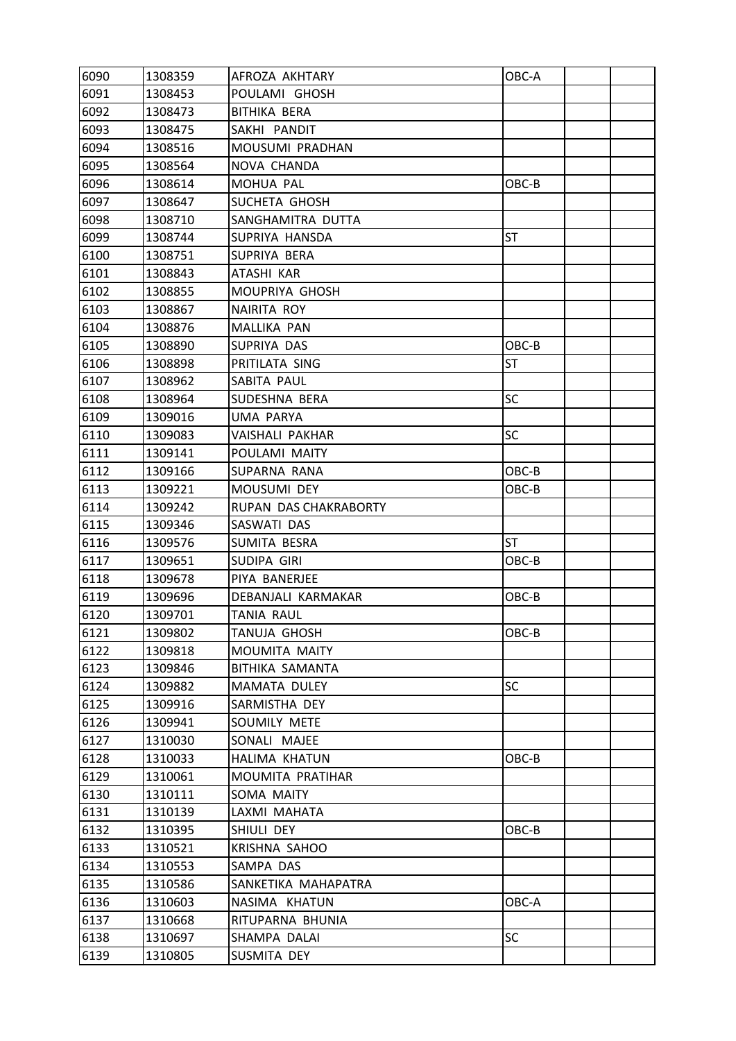| 6090 | 1308359 | AFROZA AKHTARY        | OBC-A     |  |
|------|---------|-----------------------|-----------|--|
| 6091 | 1308453 | POULAMI GHOSH         |           |  |
| 6092 | 1308473 | <b>BITHIKA BERA</b>   |           |  |
| 6093 | 1308475 | SAKHI PANDIT          |           |  |
| 6094 | 1308516 | MOUSUMI PRADHAN       |           |  |
| 6095 | 1308564 | NOVA CHANDA           |           |  |
| 6096 | 1308614 | MOHUA PAL             | OBC-B     |  |
| 6097 | 1308647 | SUCHETA GHOSH         |           |  |
| 6098 | 1308710 | SANGHAMITRA DUTTA     |           |  |
| 6099 | 1308744 | SUPRIYA HANSDA        | <b>ST</b> |  |
| 6100 | 1308751 | SUPRIYA BERA          |           |  |
| 6101 | 1308843 | ATASHI KAR            |           |  |
| 6102 | 1308855 | MOUPRIYA GHOSH        |           |  |
| 6103 | 1308867 | NAIRITA ROY           |           |  |
| 6104 | 1308876 | MALLIKA PAN           |           |  |
| 6105 | 1308890 | SUPRIYA DAS           | OBC-B     |  |
| 6106 | 1308898 | PRITILATA SING        | <b>ST</b> |  |
| 6107 | 1308962 | SABITA PAUL           |           |  |
| 6108 | 1308964 | SUDESHNA BERA         | <b>SC</b> |  |
| 6109 | 1309016 | UMA PARYA             |           |  |
| 6110 | 1309083 | VAISHALI PAKHAR       | <b>SC</b> |  |
| 6111 | 1309141 | POULAMI MAITY         |           |  |
| 6112 | 1309166 | SUPARNA RANA          | OBC-B     |  |
| 6113 | 1309221 | <b>MOUSUMI DEY</b>    | OBC-B     |  |
| 6114 | 1309242 | RUPAN DAS CHAKRABORTY |           |  |
| 6115 | 1309346 | SASWATI DAS           |           |  |
| 6116 | 1309576 | SUMITA BESRA          | <b>ST</b> |  |
| 6117 | 1309651 | SUDIPA GIRI           | $OBC-B$   |  |
| 6118 | 1309678 | PIYA BANERJEE         |           |  |
| 6119 | 1309696 | DEBANJALI KARMAKAR    | OBC-B     |  |
| 6120 | 1309701 | <b>TANIA RAUL</b>     |           |  |
| 6121 | 1309802 | TANUJA GHOSH          | OBC-B     |  |
| 6122 | 1309818 | MOUMITA MAITY         |           |  |
| 6123 | 1309846 | BITHIKA SAMANTA       |           |  |
| 6124 | 1309882 | MAMATA DULEY          | <b>SC</b> |  |
| 6125 | 1309916 | SARMISTHA DEY         |           |  |
| 6126 | 1309941 | SOUMILY METE          |           |  |
| 6127 | 1310030 | SONALI MAJEE          |           |  |
| 6128 | 1310033 | HALIMA KHATUN         | OBC-B     |  |
| 6129 | 1310061 | MOUMITA PRATIHAR      |           |  |
| 6130 | 1310111 | SOMA MAITY            |           |  |
| 6131 | 1310139 | LAXMI MAHATA          |           |  |
| 6132 | 1310395 | SHIULI DEY            | $OBC-B$   |  |
| 6133 | 1310521 | KRISHNA SAHOO         |           |  |
| 6134 | 1310553 | SAMPA DAS             |           |  |
| 6135 | 1310586 | SANKETIKA MAHAPATRA   |           |  |
| 6136 | 1310603 | NASIMA KHATUN         | OBC-A     |  |
| 6137 | 1310668 | RITUPARNA BHUNIA      |           |  |
| 6138 | 1310697 | SHAMPA DALAI          | <b>SC</b> |  |
| 6139 | 1310805 | SUSMITA DEY           |           |  |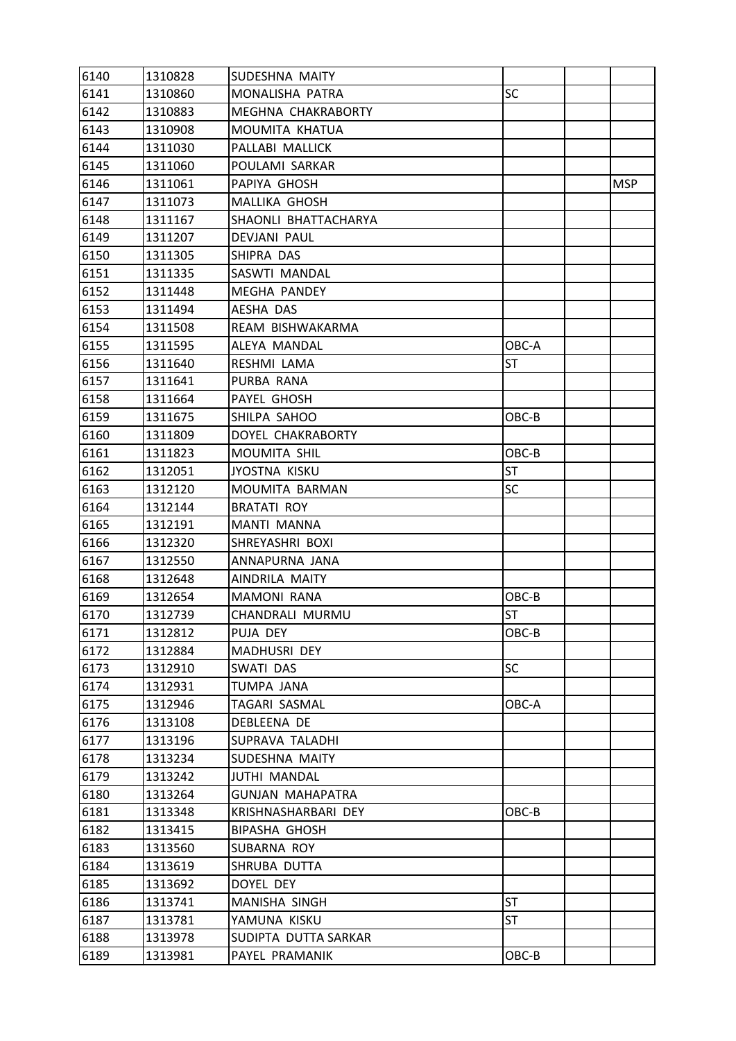| 6140 | 1310828 | SUDESHNA MAITY          |           |            |
|------|---------|-------------------------|-----------|------------|
| 6141 | 1310860 | MONALISHA PATRA         | SC        |            |
| 6142 | 1310883 | MEGHNA CHAKRABORTY      |           |            |
| 6143 | 1310908 | MOUMITA KHATUA          |           |            |
| 6144 | 1311030 | PALLABI MALLICK         |           |            |
| 6145 | 1311060 | POULAMI SARKAR          |           |            |
| 6146 | 1311061 | PAPIYA GHOSH            |           | <b>MSP</b> |
| 6147 | 1311073 | MALLIKA GHOSH           |           |            |
| 6148 | 1311167 | SHAONLI BHATTACHARYA    |           |            |
| 6149 | 1311207 | DEVJANI PAUL            |           |            |
| 6150 | 1311305 | SHIPRA DAS              |           |            |
| 6151 | 1311335 | SASWTI MANDAL           |           |            |
| 6152 | 1311448 | <b>MEGHA PANDEY</b>     |           |            |
| 6153 | 1311494 | AESHA DAS               |           |            |
| 6154 | 1311508 | REAM BISHWAKARMA        |           |            |
| 6155 | 1311595 | ALEYA MANDAL            | OBC-A     |            |
| 6156 | 1311640 | RESHMI LAMA             | <b>ST</b> |            |
| 6157 | 1311641 | PURBA RANA              |           |            |
| 6158 | 1311664 | PAYEL GHOSH             |           |            |
| 6159 | 1311675 | SHILPA SAHOO            | OBC-B     |            |
| 6160 | 1311809 | DOYEL CHAKRABORTY       |           |            |
| 6161 | 1311823 | MOUMITA SHIL            | OBC-B     |            |
| 6162 | 1312051 | JYOSTNA KISKU           | <b>ST</b> |            |
| 6163 | 1312120 | MOUMITA BARMAN          | <b>SC</b> |            |
| 6164 | 1312144 | <b>BRATATI ROY</b>      |           |            |
| 6165 | 1312191 | MANTI MANNA             |           |            |
| 6166 | 1312320 | SHREYASHRI BOXI         |           |            |
| 6167 | 1312550 | ANNAPURNA JANA          |           |            |
| 6168 | 1312648 | AINDRILA MAITY          |           |            |
| 6169 | 1312654 | <b>MAMONI RANA</b>      | OBC-B     |            |
| 6170 | 1312739 | CHANDRALI MURMU         | <b>ST</b> |            |
| 6171 | 1312812 | PUJA DEY                | OBC-B     |            |
| 6172 | 1312884 | MADHUSRI DEY            |           |            |
| 6173 | 1312910 | SWATI DAS               | <b>SC</b> |            |
| 6174 | 1312931 | TUMPA JANA              |           |            |
| 6175 | 1312946 | TAGARI SASMAL           | OBC-A     |            |
| 6176 | 1313108 | DEBLEENA DE             |           |            |
| 6177 | 1313196 | SUPRAVA TALADHI         |           |            |
| 6178 | 1313234 | SUDESHNA MAITY          |           |            |
| 6179 | 1313242 | <b>JUTHI MANDAL</b>     |           |            |
| 6180 | 1313264 | <b>GUNJAN MAHAPATRA</b> |           |            |
| 6181 | 1313348 | KRISHNASHARBARI DEY     | OBC-B     |            |
| 6182 | 1313415 | <b>BIPASHA GHOSH</b>    |           |            |
| 6183 | 1313560 | SUBARNA ROY             |           |            |
| 6184 | 1313619 | SHRUBA DUTTA            |           |            |
| 6185 | 1313692 | DOYEL DEY               |           |            |
| 6186 | 1313741 | MANISHA SINGH           | <b>ST</b> |            |
| 6187 | 1313781 | YAMUNA KISKU            | <b>ST</b> |            |
| 6188 | 1313978 | SUDIPTA DUTTA SARKAR    |           |            |
| 6189 | 1313981 | PAYEL PRAMANIK          | $OBC-B$   |            |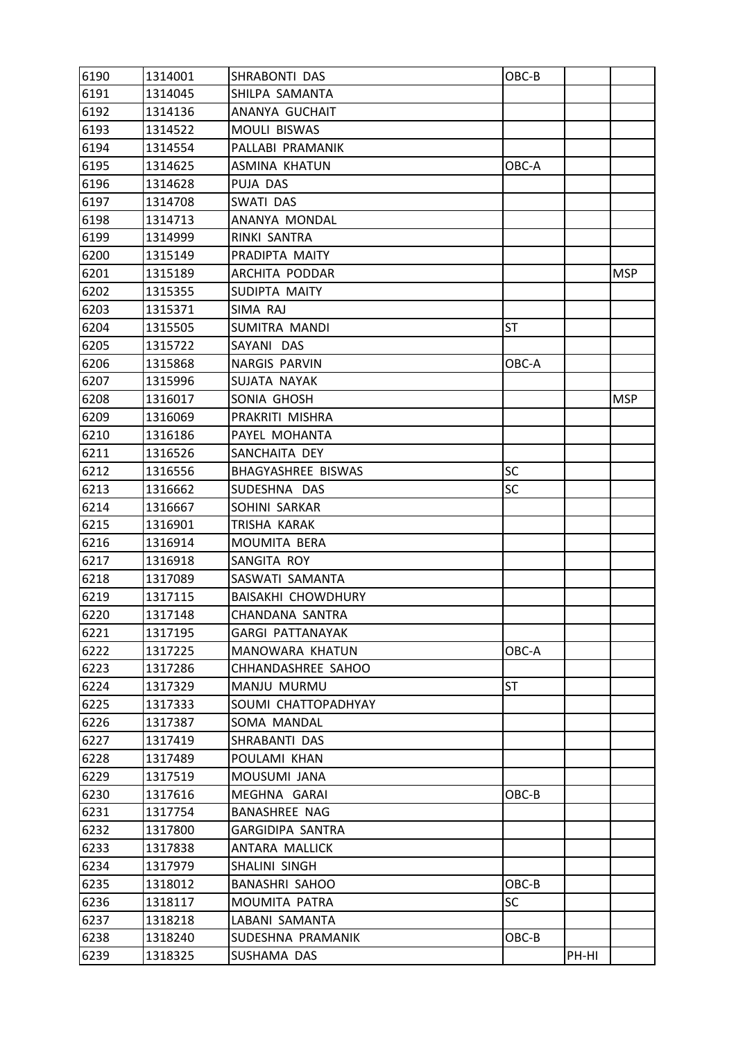| 6190 | 1314001 | SHRABONTI DAS             | OBC-B     |       |            |
|------|---------|---------------------------|-----------|-------|------------|
| 6191 | 1314045 | SHILPA SAMANTA            |           |       |            |
| 6192 | 1314136 | ANANYA GUCHAIT            |           |       |            |
| 6193 | 1314522 | <b>MOULI BISWAS</b>       |           |       |            |
| 6194 | 1314554 | PALLABI PRAMANIK          |           |       |            |
| 6195 | 1314625 | <b>ASMINA KHATUN</b>      | OBC-A     |       |            |
| 6196 | 1314628 | PUJA DAS                  |           |       |            |
| 6197 | 1314708 | SWATI DAS                 |           |       |            |
| 6198 | 1314713 | ANANYA MONDAL             |           |       |            |
| 6199 | 1314999 | RINKI SANTRA              |           |       |            |
| 6200 | 1315149 | PRADIPTA MAITY            |           |       |            |
| 6201 | 1315189 | ARCHITA PODDAR            |           |       | <b>MSP</b> |
| 6202 | 1315355 | SUDIPTA MAITY             |           |       |            |
| 6203 | 1315371 | SIMA RAJ                  |           |       |            |
| 6204 | 1315505 | SUMITRA MANDI             | ST        |       |            |
| 6205 | 1315722 | SAYANI DAS                |           |       |            |
| 6206 | 1315868 | <b>NARGIS PARVIN</b>      | OBC-A     |       |            |
| 6207 | 1315996 | SUJATA NAYAK              |           |       |            |
| 6208 | 1316017 | SONIA GHOSH               |           |       | <b>MSP</b> |
| 6209 | 1316069 | PRAKRITI MISHRA           |           |       |            |
| 6210 | 1316186 | PAYEL MOHANTA             |           |       |            |
| 6211 | 1316526 | SANCHAITA DEY             |           |       |            |
| 6212 | 1316556 | BHAGYASHREE BISWAS        | <b>SC</b> |       |            |
| 6213 | 1316662 | SUDESHNA DAS              | <b>SC</b> |       |            |
| 6214 | 1316667 | SOHINI SARKAR             |           |       |            |
| 6215 | 1316901 | TRISHA KARAK              |           |       |            |
| 6216 | 1316914 | MOUMITA BERA              |           |       |            |
| 6217 | 1316918 | SANGITA ROY               |           |       |            |
| 6218 | 1317089 | SASWATI SAMANTA           |           |       |            |
| 6219 | 1317115 | <b>BAISAKHI CHOWDHURY</b> |           |       |            |
| 6220 | 1317148 | CHANDANA SANTRA           |           |       |            |
| 6221 | 1317195 | <b>GARGI PATTANAYAK</b>   |           |       |            |
| 6222 | 1317225 | MANOWARA KHATUN           | OBC-A     |       |            |
| 6223 | 1317286 | CHHANDASHREE SAHOO        |           |       |            |
| 6224 | 1317329 | MANJU MURMU               | ST        |       |            |
| 6225 | 1317333 | SOUMI CHATTOPADHYAY       |           |       |            |
| 6226 | 1317387 | SOMA MANDAL               |           |       |            |
| 6227 | 1317419 | SHRABANTI DAS             |           |       |            |
| 6228 | 1317489 | POULAMI KHAN              |           |       |            |
| 6229 | 1317519 | MOUSUMI JANA              |           |       |            |
| 6230 | 1317616 | MEGHNA GARAI              | OBC-B     |       |            |
| 6231 | 1317754 | <b>BANASHREE NAG</b>      |           |       |            |
| 6232 | 1317800 | GARGIDIPA SANTRA          |           |       |            |
| 6233 | 1317838 | ANTARA MALLICK            |           |       |            |
| 6234 | 1317979 | SHALINI SINGH             |           |       |            |
| 6235 | 1318012 | <b>BANASHRI SAHOO</b>     | OBC-B     |       |            |
| 6236 | 1318117 | MOUMITA PATRA             | SC        |       |            |
| 6237 | 1318218 | LABANI SAMANTA            |           |       |            |
| 6238 | 1318240 | SUDESHNA PRAMANIK         | OBC-B     |       |            |
| 6239 | 1318325 | SUSHAMA DAS               |           | PH-HI |            |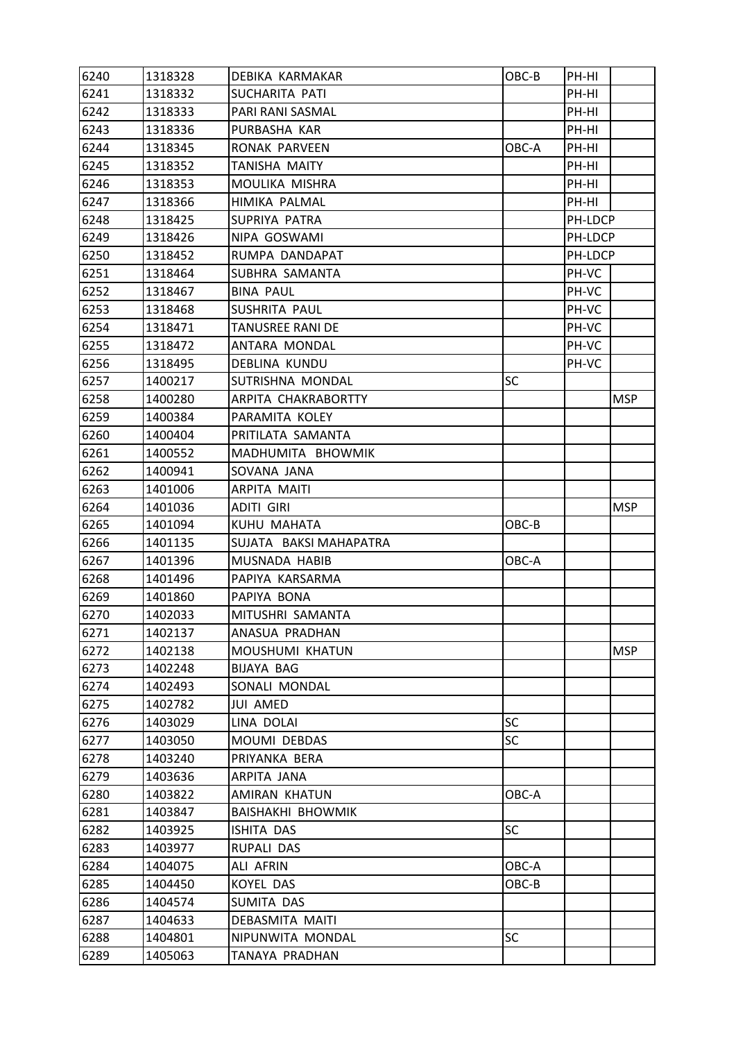| 6240 | 1318328 | DEBIKA KARMAKAR          | OBC-B     | PH-HI   |            |
|------|---------|--------------------------|-----------|---------|------------|
| 6241 | 1318332 | SUCHARITA PATI           |           | PH-HI   |            |
| 6242 | 1318333 | PARI RANI SASMAL         |           | PH-HI   |            |
| 6243 | 1318336 | PURBASHA KAR             |           | PH-HI   |            |
| 6244 | 1318345 | RONAK PARVEEN            | OBC-A     | PH-HI   |            |
| 6245 | 1318352 | TANISHA MAITY            |           | PH-HI   |            |
| 6246 | 1318353 | MOULIKA MISHRA           |           | PH-HI   |            |
| 6247 | 1318366 | HIMIKA PALMAL            |           | PH-HI   |            |
| 6248 | 1318425 | SUPRIYA PATRA            |           | PH-LDCP |            |
| 6249 | 1318426 | NIPA GOSWAMI             |           | PH-LDCP |            |
| 6250 | 1318452 | RUMPA DANDAPAT           |           | PH-LDCP |            |
| 6251 | 1318464 | SUBHRA SAMANTA           |           | PH-VC   |            |
| 6252 | 1318467 | <b>BINA PAUL</b>         |           | PH-VC   |            |
| 6253 | 1318468 | SUSHRITA PAUL            |           | PH-VC   |            |
| 6254 | 1318471 | TANUSREE RANI DE         |           | PH-VC   |            |
| 6255 | 1318472 | ANTARA MONDAL            |           | PH-VC   |            |
| 6256 | 1318495 | DEBLINA KUNDU            |           | PH-VC   |            |
| 6257 | 1400217 | SUTRISHNA MONDAL         | SC        |         |            |
| 6258 | 1400280 | ARPITA CHAKRABORTTY      |           |         | <b>MSP</b> |
| 6259 | 1400384 | PARAMITA KOLEY           |           |         |            |
| 6260 | 1400404 | PRITILATA SAMANTA        |           |         |            |
| 6261 | 1400552 | MADHUMITA BHOWMIK        |           |         |            |
| 6262 | 1400941 | SOVANA JANA              |           |         |            |
| 6263 | 1401006 | ARPITA MAITI             |           |         |            |
| 6264 | 1401036 | ADITI GIRI               |           |         | <b>MSP</b> |
| 6265 | 1401094 | KUHU MAHATA              | OBC-B     |         |            |
| 6266 | 1401135 | SUJATA BAKSI MAHAPATRA   |           |         |            |
| 6267 | 1401396 | MUSNADA HABIB            | OBC-A     |         |            |
| 6268 | 1401496 | PAPIYA KARSARMA          |           |         |            |
| 6269 | 1401860 | PAPIYA BONA              |           |         |            |
| 6270 | 1402033 | MITUSHRI SAMANTA         |           |         |            |
| 6271 | 1402137 | ANASUA PRADHAN           |           |         |            |
| 6272 | 1402138 | MOUSHUMI KHATUN          |           |         | <b>MSP</b> |
| 6273 | 1402248 | BIJAYA BAG               |           |         |            |
| 6274 | 1402493 | SONALI MONDAL            |           |         |            |
| 6275 | 1402782 | <b>JUI AMED</b>          |           |         |            |
| 6276 | 1403029 | LINA DOLAI               | <b>SC</b> |         |            |
| 6277 | 1403050 | MOUMI DEBDAS             | <b>SC</b> |         |            |
| 6278 | 1403240 | PRIYANKA BERA            |           |         |            |
| 6279 | 1403636 | ARPITA JANA              |           |         |            |
| 6280 | 1403822 | AMIRAN KHATUN            | OBC-A     |         |            |
| 6281 | 1403847 | <b>BAISHAKHI BHOWMIK</b> |           |         |            |
| 6282 | 1403925 | ISHITA DAS               | <b>SC</b> |         |            |
| 6283 | 1403977 | RUPALI DAS               |           |         |            |
| 6284 | 1404075 | <b>ALI AFRIN</b>         | OBC-A     |         |            |
| 6285 | 1404450 | KOYEL DAS                | OBC-B     |         |            |
| 6286 | 1404574 | SUMITA DAS               |           |         |            |
| 6287 | 1404633 | DEBASMITA MAITI          |           |         |            |
| 6288 | 1404801 | NIPUNWITA MONDAL         | <b>SC</b> |         |            |
| 6289 | 1405063 | TANAYA PRADHAN           |           |         |            |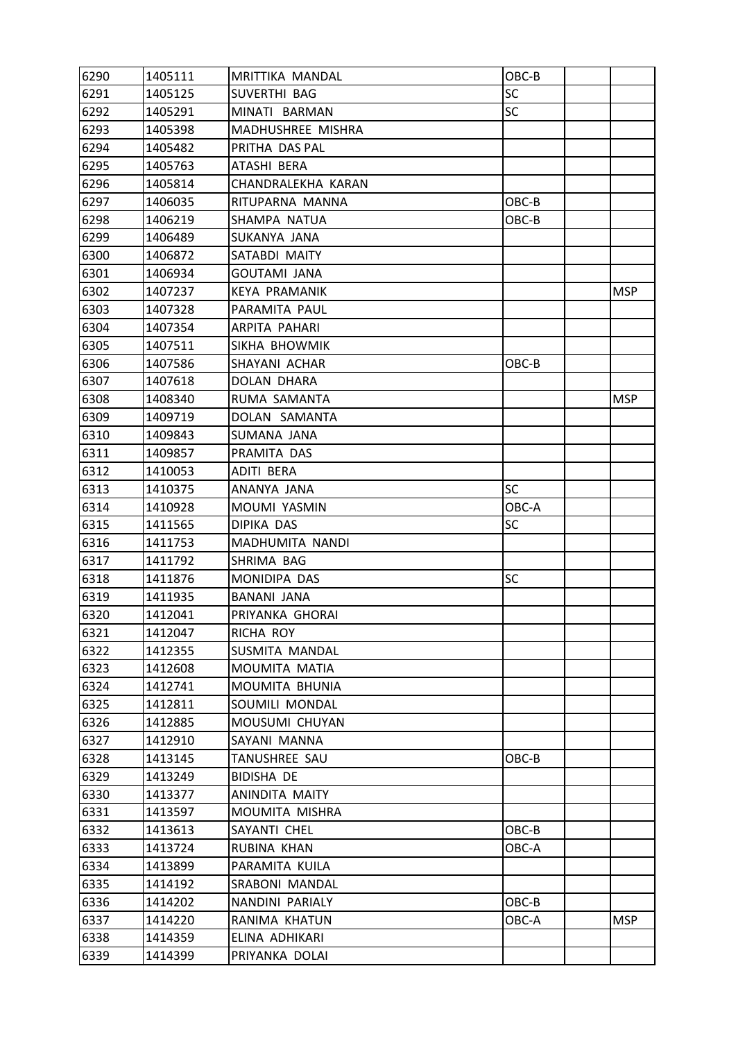| 6290 | 1405111 | MRITTIKA MANDAL    | OBC-B     |            |
|------|---------|--------------------|-----------|------------|
| 6291 | 1405125 | SUVERTHI BAG       | SC        |            |
| 6292 | 1405291 | MINATI BARMAN      | <b>SC</b> |            |
| 6293 | 1405398 | MADHUSHREE MISHRA  |           |            |
| 6294 | 1405482 | PRITHA DAS PAL     |           |            |
| 6295 | 1405763 | ATASHI BERA        |           |            |
| 6296 | 1405814 | CHANDRALEKHA KARAN |           |            |
| 6297 | 1406035 | RITUPARNA MANNA    | OBC-B     |            |
| 6298 | 1406219 | SHAMPA NATUA       | OBC-B     |            |
| 6299 | 1406489 | SUKANYA JANA       |           |            |
| 6300 | 1406872 | SATABDI MAITY      |           |            |
| 6301 | 1406934 | GOUTAMI JANA       |           |            |
| 6302 | 1407237 | KEYA PRAMANIK      |           | <b>MSP</b> |
| 6303 | 1407328 | PARAMITA PAUL      |           |            |
| 6304 | 1407354 | ARPITA PAHARI      |           |            |
| 6305 | 1407511 | SIKHA BHOWMIK      |           |            |
| 6306 | 1407586 | SHAYANI ACHAR      | $OBC-B$   |            |
| 6307 | 1407618 | DOLAN DHARA        |           |            |
| 6308 | 1408340 | RUMA SAMANTA       |           | <b>MSP</b> |
| 6309 | 1409719 | DOLAN SAMANTA      |           |            |
| 6310 | 1409843 | SUMANA JANA        |           |            |
| 6311 | 1409857 | PRAMITA DAS        |           |            |
| 6312 | 1410053 | ADITI BERA         |           |            |
| 6313 | 1410375 | ANANYA JANA        | <b>SC</b> |            |
| 6314 | 1410928 | MOUMI YASMIN       | OBC-A     |            |
| 6315 | 1411565 | DIPIKA DAS         | <b>SC</b> |            |
| 6316 | 1411753 | MADHUMITA NANDI    |           |            |
| 6317 | 1411792 | SHRIMA BAG         |           |            |
| 6318 | 1411876 | MONIDIPA DAS       | <b>SC</b> |            |
| 6319 | 1411935 | BANANI JANA        |           |            |
| 6320 | 1412041 | PRIYANKA GHORAI    |           |            |
| 6321 | 1412047 | RICHA ROY          |           |            |
| 6322 | 1412355 | SUSMITA MANDAL     |           |            |
| 6323 | 1412608 | MOUMITA MATIA      |           |            |
| 6324 | 1412741 | MOUMITA BHUNIA     |           |            |
| 6325 | 1412811 | SOUMILI MONDAL     |           |            |
| 6326 | 1412885 | MOUSUMI CHUYAN     |           |            |
| 6327 | 1412910 | SAYANI MANNA       |           |            |
| 6328 | 1413145 | TANUSHREE SAU      | OBC-B     |            |
| 6329 | 1413249 | <b>BIDISHA DE</b>  |           |            |
| 6330 | 1413377 | ANINDITA MAITY     |           |            |
| 6331 | 1413597 | MOUMITA MISHRA     |           |            |
| 6332 | 1413613 | SAYANTI CHEL       | OBC-B     |            |
| 6333 | 1413724 | RUBINA KHAN        | OBC-A     |            |
| 6334 | 1413899 | PARAMITA KUILA     |           |            |
| 6335 | 1414192 | SRABONI MANDAL     |           |            |
| 6336 | 1414202 | NANDINI PARIALY    | OBC-B     |            |
| 6337 | 1414220 | RANIMA KHATUN      | OBC-A     | <b>MSP</b> |
| 6338 | 1414359 | ELINA ADHIKARI     |           |            |
| 6339 | 1414399 | PRIYANKA DOLAI     |           |            |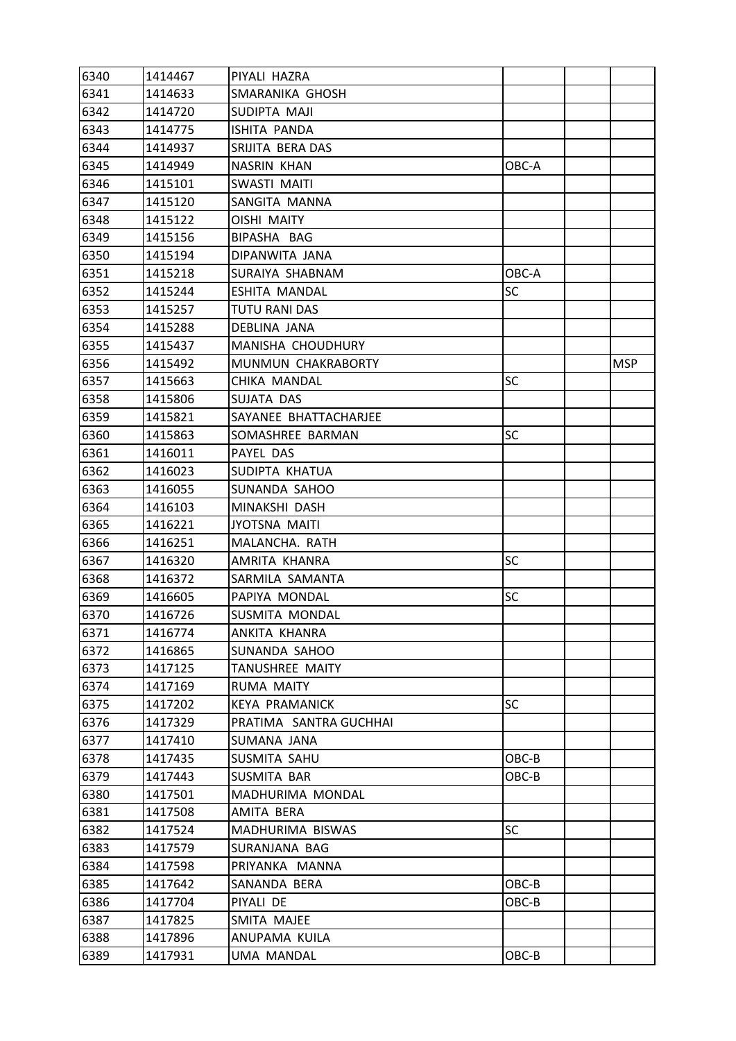| 6340 | 1414467 | PIYALI HAZRA           |           |            |
|------|---------|------------------------|-----------|------------|
| 6341 | 1414633 | SMARANIKA GHOSH        |           |            |
| 6342 | 1414720 | SUDIPTA MAJI           |           |            |
| 6343 | 1414775 | ISHITA PANDA           |           |            |
| 6344 | 1414937 | SRIJITA BERA DAS       |           |            |
| 6345 | 1414949 | NASRIN KHAN            | OBC-A     |            |
| 6346 | 1415101 | SWASTI MAITI           |           |            |
| 6347 | 1415120 | SANGITA MANNA          |           |            |
| 6348 | 1415122 | <b>OISHI MAITY</b>     |           |            |
| 6349 | 1415156 | BIPASHA BAG            |           |            |
| 6350 | 1415194 | DIPANWITA JANA         |           |            |
| 6351 | 1415218 | SURAIYA SHABNAM        | OBC-A     |            |
| 6352 | 1415244 | ESHITA MANDAL          | SC        |            |
| 6353 | 1415257 | TUTU RANI DAS          |           |            |
| 6354 | 1415288 | DEBLINA JANA           |           |            |
| 6355 | 1415437 | MANISHA CHOUDHURY      |           |            |
| 6356 | 1415492 | MUNMUN CHAKRABORTY     |           | <b>MSP</b> |
| 6357 | 1415663 | CHIKA MANDAL           | SC        |            |
| 6358 | 1415806 | SUJATA DAS             |           |            |
| 6359 | 1415821 | SAYANEE BHATTACHARJEE  |           |            |
| 6360 | 1415863 | SOMASHREE BARMAN       | <b>SC</b> |            |
| 6361 | 1416011 | PAYEL DAS              |           |            |
| 6362 | 1416023 | SUDIPTA KHATUA         |           |            |
| 6363 | 1416055 | SUNANDA SAHOO          |           |            |
| 6364 | 1416103 | MINAKSHI DASH          |           |            |
| 6365 | 1416221 | <b>JYOTSNA MAITI</b>   |           |            |
| 6366 | 1416251 | MALANCHA. RATH         |           |            |
| 6367 | 1416320 | AMRITA KHANRA          | SC        |            |
| 6368 | 1416372 | SARMILA SAMANTA        |           |            |
| 6369 | 1416605 | PAPIYA MONDAL          | SC        |            |
| 6370 | 1416726 | SUSMITA MONDAL         |           |            |
| 6371 | 1416774 | ANKITA KHANRA          |           |            |
| 6372 | 1416865 | SUNANDA SAHOO          |           |            |
| 6373 | 1417125 | TANUSHREE MAITY        |           |            |
| 6374 | 1417169 | RUMA MAITY             |           |            |
| 6375 | 1417202 | <b>KEYA PRAMANICK</b>  | <b>SC</b> |            |
| 6376 | 1417329 | PRATIMA SANTRA GUCHHAI |           |            |
| 6377 | 1417410 | SUMANA JANA            |           |            |
| 6378 | 1417435 | SUSMITA SAHU           | OBC-B     |            |
| 6379 | 1417443 | SUSMITA BAR            | OBC-B     |            |
| 6380 | 1417501 | MADHURIMA MONDAL       |           |            |
| 6381 | 1417508 | AMITA BERA             |           |            |
| 6382 | 1417524 | MADHURIMA BISWAS       | <b>SC</b> |            |
| 6383 | 1417579 | SURANJANA BAG          |           |            |
| 6384 | 1417598 | PRIYANKA MANNA         |           |            |
| 6385 | 1417642 | SANANDA BERA           | OBC-B     |            |
| 6386 | 1417704 | PIYALI DE              | OBC-B     |            |
| 6387 | 1417825 | SMITA MAJEE            |           |            |
| 6388 | 1417896 | ANUPAMA KUILA          |           |            |
| 6389 | 1417931 | UMA MANDAL             | OBC-B     |            |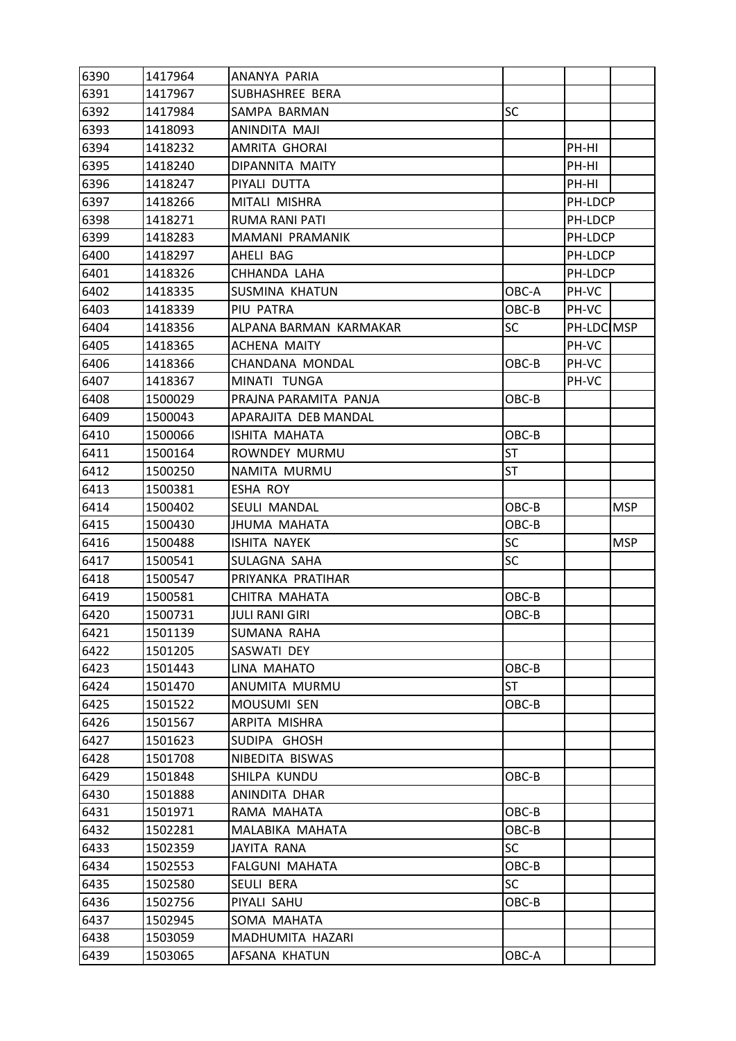| 6390 | 1417964 | ANANYA PARIA           |           |            |            |
|------|---------|------------------------|-----------|------------|------------|
| 6391 | 1417967 | SUBHASHREE BERA        |           |            |            |
| 6392 | 1417984 | SAMPA BARMAN           | <b>SC</b> |            |            |
| 6393 | 1418093 | ANINDITA MAJI          |           |            |            |
| 6394 | 1418232 | AMRITA GHORAI          |           | PH-HI      |            |
| 6395 | 1418240 | DIPANNITA MAITY        |           | PH-HI      |            |
| 6396 | 1418247 | PIYALI DUTTA           |           | PH-HI      |            |
| 6397 | 1418266 | MITALI MISHRA          |           | PH-LDCP    |            |
| 6398 | 1418271 | <b>RUMA RANI PATI</b>  |           | PH-LDCP    |            |
| 6399 | 1418283 | MAMANI PRAMANIK        |           | PH-LDCP    |            |
| 6400 | 1418297 | AHELI BAG              |           | PH-LDCP    |            |
| 6401 | 1418326 | CHHANDA LAHA           |           | PH-LDCP    |            |
| 6402 | 1418335 | <b>SUSMINA KHATUN</b>  | OBC-A     | PH-VC      |            |
| 6403 | 1418339 | PIU PATRA              | OBC-B     | PH-VC      |            |
| 6404 | 1418356 | ALPANA BARMAN KARMAKAR | <b>SC</b> | PH-LDC MSP |            |
| 6405 | 1418365 | <b>ACHENA MAITY</b>    |           | PH-VC      |            |
| 6406 | 1418366 | CHANDANA MONDAL        | OBC-B     | PH-VC      |            |
| 6407 | 1418367 | MINATI TUNGA           |           | PH-VC      |            |
| 6408 | 1500029 | PRAJNA PARAMITA PANJA  | OBC-B     |            |            |
| 6409 | 1500043 | APARAJITA DEB MANDAL   |           |            |            |
| 6410 | 1500066 | ISHITA MAHATA          | OBC-B     |            |            |
| 6411 | 1500164 | ROWNDEY MURMU          | <b>ST</b> |            |            |
| 6412 | 1500250 | NAMITA MURMU           | ST        |            |            |
| 6413 | 1500381 | ESHA ROY               |           |            |            |
| 6414 | 1500402 | SEULI MANDAL           | OBC-B     |            | <b>MSP</b> |
| 6415 | 1500430 | <b>JHUMA MAHATA</b>    | OBC-B     |            |            |
| 6416 | 1500488 | ISHITA NAYEK           | SC        |            | <b>MSP</b> |
| 6417 | 1500541 | SULAGNA SAHA           | SC        |            |            |
| 6418 | 1500547 | PRIYANKA PRATIHAR      |           |            |            |
| 6419 | 1500581 | CHITRA MAHATA          | OBC-B     |            |            |
| 6420 | 1500731 | <b>JULI RANI GIRI</b>  | OBC-B     |            |            |
| 6421 | 1501139 | SUMANA RAHA            |           |            |            |
| 6422 | 1501205 | SASWATI DEY            |           |            |            |
| 6423 | 1501443 | LINA MAHATO            | OBC-B     |            |            |
| 6424 | 1501470 | ANUMITA MURMU          | <b>ST</b> |            |            |
| 6425 | 1501522 | MOUSUMI SEN            | OBC-B     |            |            |
| 6426 | 1501567 | ARPITA MISHRA          |           |            |            |
| 6427 | 1501623 | SUDIPA GHOSH           |           |            |            |
| 6428 | 1501708 | NIBEDITA BISWAS        |           |            |            |
| 6429 | 1501848 | SHILPA KUNDU           | OBC-B     |            |            |
| 6430 | 1501888 | ANINDITA DHAR          |           |            |            |
| 6431 | 1501971 | RAMA MAHATA            | OBC-B     |            |            |
| 6432 | 1502281 | MALABIKA MAHATA        | OBC-B     |            |            |
| 6433 | 1502359 | <b>JAYITA RANA</b>     | <b>SC</b> |            |            |
| 6434 | 1502553 | <b>FALGUNI MAHATA</b>  | OBC-B     |            |            |
| 6435 | 1502580 | SEULI BERA             | <b>SC</b> |            |            |
| 6436 | 1502756 | PIYALI SAHU            | OBC-B     |            |            |
| 6437 | 1502945 | SOMA MAHATA            |           |            |            |
| 6438 | 1503059 | MADHUMITA HAZARI       |           |            |            |
| 6439 | 1503065 | AFSANA KHATUN          | OBC-A     |            |            |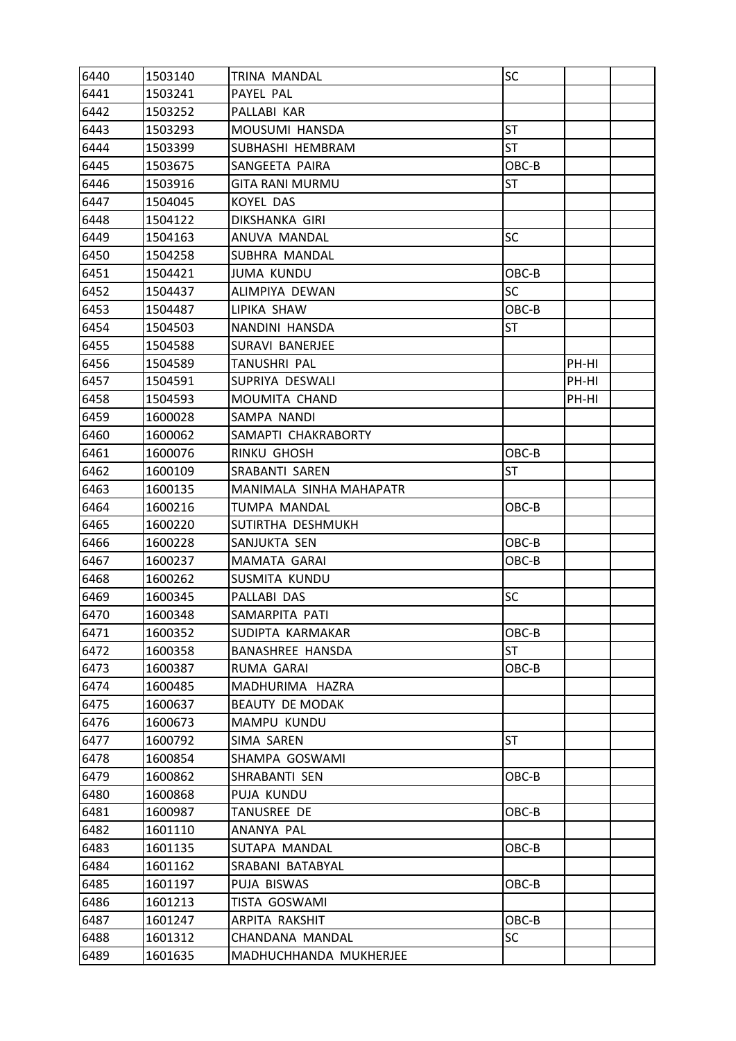| 6440 | 1503140 | TRINA MANDAL            | SC        |       |  |
|------|---------|-------------------------|-----------|-------|--|
| 6441 | 1503241 | PAYEL PAL               |           |       |  |
| 6442 | 1503252 | PALLABI KAR             |           |       |  |
| 6443 | 1503293 | MOUSUMI HANSDA          | ST        |       |  |
| 6444 | 1503399 | SUBHASHI HEMBRAM        | <b>ST</b> |       |  |
| 6445 | 1503675 | SANGEETA PAIRA          | OBC-B     |       |  |
| 6446 | 1503916 | <b>GITA RANI MURMU</b>  | <b>ST</b> |       |  |
| 6447 | 1504045 | KOYEL DAS               |           |       |  |
| 6448 | 1504122 | DIKSHANKA GIRI          |           |       |  |
| 6449 | 1504163 | ANUVA MANDAL            | <b>SC</b> |       |  |
| 6450 | 1504258 | SUBHRA MANDAL           |           |       |  |
| 6451 | 1504421 | <b>JUMA KUNDU</b>       | OBC-B     |       |  |
| 6452 | 1504437 | ALIMPIYA DEWAN          | <b>SC</b> |       |  |
| 6453 | 1504487 | LIPIKA SHAW             | OBC-B     |       |  |
| 6454 | 1504503 | NANDINI HANSDA          | <b>ST</b> |       |  |
| 6455 | 1504588 | <b>SURAVI BANERJEE</b>  |           |       |  |
| 6456 | 1504589 | TANUSHRI PAL            |           | PH-HI |  |
| 6457 | 1504591 | SUPRIYA DESWALI         |           | PH-HI |  |
| 6458 | 1504593 | MOUMITA CHAND           |           | PH-HI |  |
| 6459 | 1600028 | SAMPA NANDI             |           |       |  |
| 6460 | 1600062 | SAMAPTI CHAKRABORTY     |           |       |  |
| 6461 | 1600076 | RINKU GHOSH             | OBC-B     |       |  |
| 6462 | 1600109 | SRABANTI SAREN          | ST        |       |  |
| 6463 | 1600135 | MANIMALA SINHA MAHAPATR |           |       |  |
| 6464 | 1600216 | TUMPA MANDAL            | OBC-B     |       |  |
| 6465 | 1600220 | SUTIRTHA DESHMUKH       |           |       |  |
| 6466 | 1600228 | SANJUKTA SEN            | OBC-B     |       |  |
| 6467 | 1600237 | MAMATA GARAI            | OBC-B     |       |  |
| 6468 | 1600262 | SUSMITA KUNDU           |           |       |  |
| 6469 | 1600345 | PALLABI DAS             | SC        |       |  |
| 6470 | 1600348 | SAMARPITA PATI          |           |       |  |
| 6471 | 1600352 | SUDIPTA KARMAKAR        | OBC-B     |       |  |
| 6472 | 1600358 | <b>BANASHREE HANSDA</b> | <b>ST</b> |       |  |
| 6473 | 1600387 | RUMA GARAI              | OBC-B     |       |  |
| 6474 | 1600485 | MADHURIMA HAZRA         |           |       |  |
| 6475 | 1600637 | <b>BEAUTY DE MODAK</b>  |           |       |  |
| 6476 | 1600673 | MAMPU KUNDU             |           |       |  |
| 6477 | 1600792 | SIMA SAREN              | <b>ST</b> |       |  |
| 6478 | 1600854 | SHAMPA GOSWAMI          |           |       |  |
| 6479 | 1600862 | SHRABANTI SEN           | OBC-B     |       |  |
| 6480 | 1600868 | PUJA KUNDU              |           |       |  |
| 6481 | 1600987 | TANUSREE DE             | OBC-B     |       |  |
| 6482 | 1601110 | ANANYA PAL              |           |       |  |
| 6483 | 1601135 | SUTAPA MANDAL           | OBC-B     |       |  |
| 6484 | 1601162 | SRABANI BATABYAL        |           |       |  |
| 6485 | 1601197 | PUJA BISWAS             | OBC-B     |       |  |
| 6486 | 1601213 | TISTA GOSWAMI           |           |       |  |
| 6487 | 1601247 | ARPITA RAKSHIT          | OBC-B     |       |  |
| 6488 | 1601312 | CHANDANA MANDAL         | SC        |       |  |
| 6489 | 1601635 | MADHUCHHANDA MUKHERJEE  |           |       |  |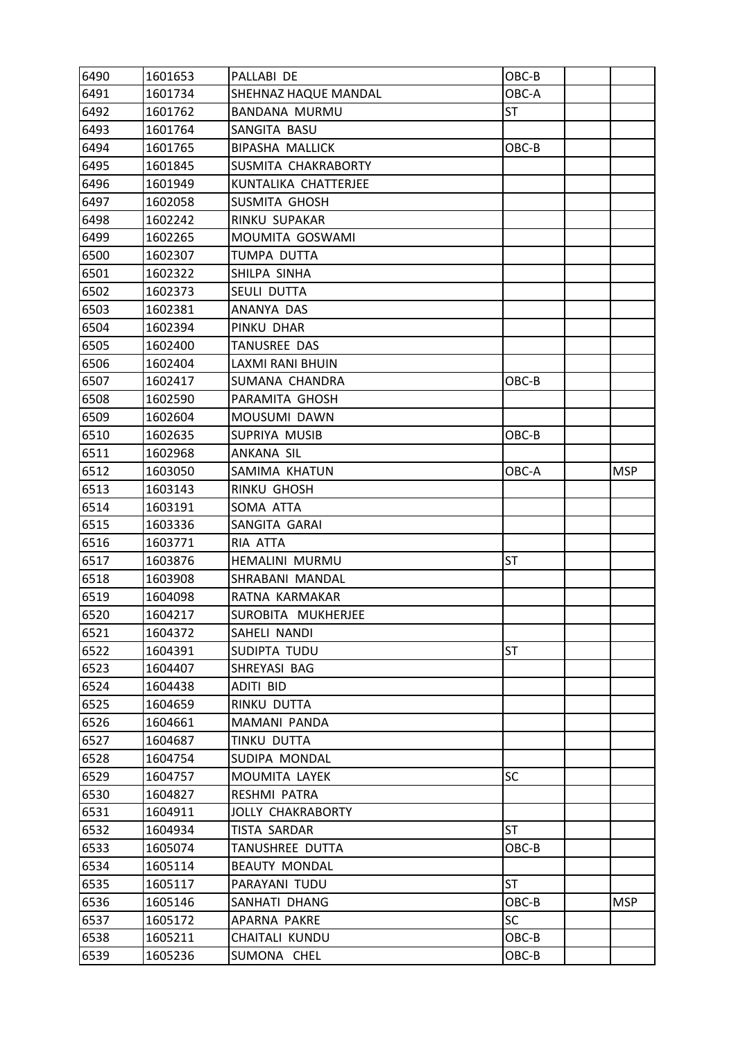| 6490 | 1601653 | PALLABI DE               | OBC-B     |            |
|------|---------|--------------------------|-----------|------------|
| 6491 | 1601734 | SHEHNAZ HAQUE MANDAL     | OBC-A     |            |
| 6492 | 1601762 | <b>BANDANA MURMU</b>     | <b>ST</b> |            |
| 6493 | 1601764 | SANGITA BASU             |           |            |
| 6494 | 1601765 | <b>BIPASHA MALLICK</b>   | OBC-B     |            |
| 6495 | 1601845 | SUSMITA CHAKRABORTY      |           |            |
| 6496 | 1601949 | KUNTALIKA CHATTERJEE     |           |            |
| 6497 | 1602058 | <b>SUSMITA GHOSH</b>     |           |            |
| 6498 | 1602242 | RINKU SUPAKAR            |           |            |
| 6499 | 1602265 | MOUMITA GOSWAMI          |           |            |
| 6500 | 1602307 | TUMPA DUTTA              |           |            |
| 6501 | 1602322 | SHILPA SINHA             |           |            |
| 6502 | 1602373 | SEULI DUTTA              |           |            |
| 6503 | 1602381 | ANANYA DAS               |           |            |
| 6504 | 1602394 | PINKU DHAR               |           |            |
| 6505 | 1602400 | <b>TANUSREE DAS</b>      |           |            |
| 6506 | 1602404 | <b>LAXMI RANI BHUIN</b>  |           |            |
| 6507 | 1602417 | SUMANA CHANDRA           | OBC-B     |            |
| 6508 | 1602590 | PARAMITA GHOSH           |           |            |
| 6509 | 1602604 | MOUSUMI DAWN             |           |            |
| 6510 | 1602635 | SUPRIYA MUSIB            | OBC-B     |            |
| 6511 | 1602968 | ANKANA SIL               |           |            |
| 6512 | 1603050 | SAMIMA KHATUN            | OBC-A     | <b>MSP</b> |
| 6513 | 1603143 | <b>RINKU GHOSH</b>       |           |            |
| 6514 | 1603191 | SOMA ATTA                |           |            |
| 6515 | 1603336 | SANGITA GARAI            |           |            |
| 6516 | 1603771 | RIA ATTA                 |           |            |
| 6517 | 1603876 | HEMALINI MURMU           | ST        |            |
| 6518 | 1603908 | SHRABANI MANDAL          |           |            |
| 6519 | 1604098 | RATNA KARMAKAR           |           |            |
| 6520 | 1604217 | SUROBITA MUKHERJEE       |           |            |
| 6521 | 1604372 | SAHELI NANDI             |           |            |
| 6522 | 1604391 | SUDIPTA TUDU             | ST        |            |
| 6523 | 1604407 | SHREYASI BAG             |           |            |
| 6524 | 1604438 | <b>ADITI BID</b>         |           |            |
| 6525 | 1604659 | RINKU DUTTA              |           |            |
| 6526 | 1604661 | MAMANI PANDA             |           |            |
| 6527 | 1604687 | TINKU DUTTA              |           |            |
| 6528 | 1604754 | SUDIPA MONDAL            |           |            |
| 6529 | 1604757 | MOUMITA LAYEK            | SC        |            |
| 6530 | 1604827 | RESHMI PATRA             |           |            |
| 6531 | 1604911 | <b>JOLLY CHAKRABORTY</b> |           |            |
| 6532 | 1604934 | TISTA SARDAR             | <b>ST</b> |            |
| 6533 | 1605074 | TANUSHREE DUTTA          | OBC-B     |            |
| 6534 | 1605114 | <b>BEAUTY MONDAL</b>     |           |            |
| 6535 | 1605117 | PARAYANI TUDU            | <b>ST</b> |            |
| 6536 | 1605146 | SANHATI DHANG            | OBC-B     | <b>MSP</b> |
| 6537 | 1605172 | APARNA PAKRE             | <b>SC</b> |            |
| 6538 | 1605211 | CHAITALI KUNDU           | OBC-B     |            |
| 6539 | 1605236 | SUMONA CHEL              | OBC-B     |            |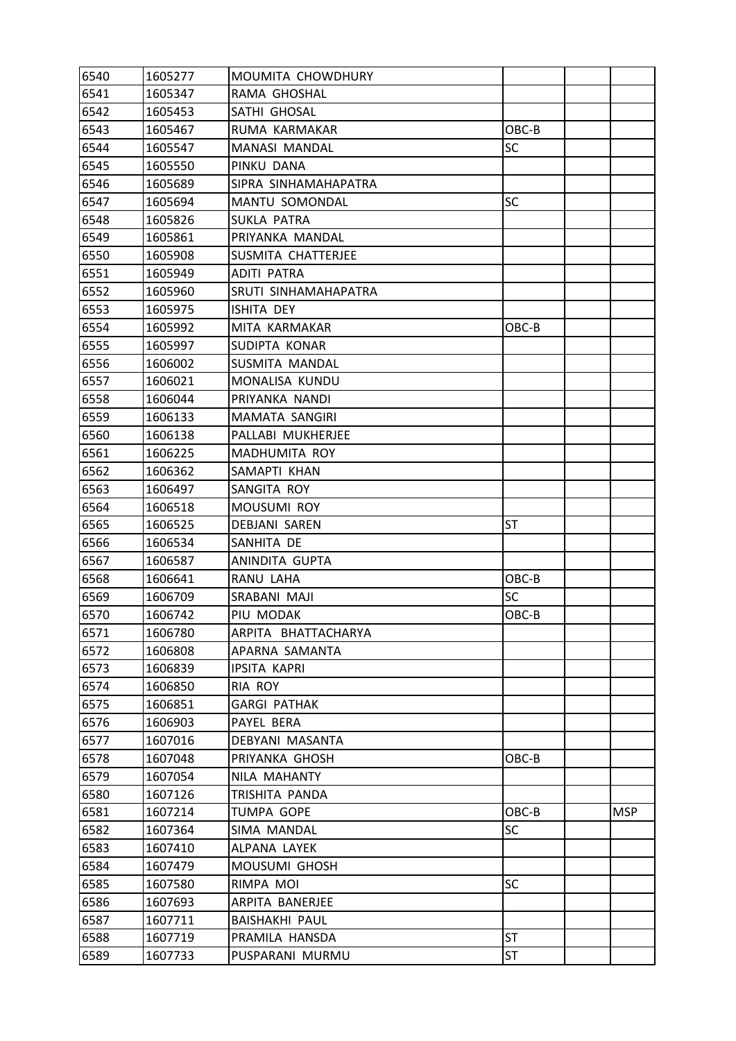| 6540 | 1605277 | MOUMITA CHOWDHURY     |           |            |
|------|---------|-----------------------|-----------|------------|
| 6541 | 1605347 | RAMA GHOSHAL          |           |            |
| 6542 | 1605453 | SATHI GHOSAL          |           |            |
| 6543 | 1605467 | RUMA KARMAKAR         | OBC-B     |            |
| 6544 | 1605547 | <b>MANASI MANDAL</b>  | <b>SC</b> |            |
| 6545 | 1605550 | PINKU DANA            |           |            |
| 6546 | 1605689 | SIPRA SINHAMAHAPATRA  |           |            |
| 6547 | 1605694 | <b>MANTU SOMONDAL</b> | <b>SC</b> |            |
| 6548 | 1605826 | <b>SUKLA PATRA</b>    |           |            |
| 6549 | 1605861 | PRIYANKA MANDAL       |           |            |
| 6550 | 1605908 | SUSMITA CHATTERJEE    |           |            |
| 6551 | 1605949 | <b>ADITI PATRA</b>    |           |            |
| 6552 | 1605960 | SRUTI SINHAMAHAPATRA  |           |            |
| 6553 | 1605975 | ISHITA DEY            |           |            |
| 6554 | 1605992 | MITA KARMAKAR         | OBC-B     |            |
| 6555 | 1605997 | SUDIPTA KONAR         |           |            |
| 6556 | 1606002 | SUSMITA MANDAL        |           |            |
| 6557 | 1606021 | MONALISA KUNDU        |           |            |
| 6558 | 1606044 | PRIYANKA NANDI        |           |            |
| 6559 | 1606133 | MAMATA SANGIRI        |           |            |
| 6560 | 1606138 | PALLABI MUKHERJEE     |           |            |
| 6561 | 1606225 | MADHUMITA ROY         |           |            |
| 6562 | 1606362 | SAMAPTI KHAN          |           |            |
| 6563 | 1606497 | SANGITA ROY           |           |            |
| 6564 | 1606518 | <b>MOUSUMI ROY</b>    |           |            |
| 6565 | 1606525 | <b>DEBJANI SAREN</b>  | ST        |            |
| 6566 | 1606534 | SANHITA DE            |           |            |
| 6567 | 1606587 | ANINDITA GUPTA        |           |            |
| 6568 | 1606641 | RANU LAHA             | OBC-B     |            |
| 6569 | 1606709 | SRABANI MAJI          | <b>SC</b> |            |
| 6570 | 1606742 | PIU MODAK             | OBC-B     |            |
| 6571 | 1606780 | ARPITA BHATTACHARYA   |           |            |
| 6572 | 1606808 | APARNA SAMANTA        |           |            |
| 6573 | 1606839 | <b>IPSITA KAPRI</b>   |           |            |
| 6574 | 1606850 | RIA ROY               |           |            |
| 6575 | 1606851 | <b>GARGI PATHAK</b>   |           |            |
| 6576 | 1606903 | PAYEL BERA            |           |            |
| 6577 | 1607016 | DEBYANI MASANTA       |           |            |
| 6578 | 1607048 | PRIYANKA GHOSH        | OBC-B     |            |
| 6579 | 1607054 | NILA MAHANTY          |           |            |
| 6580 | 1607126 | TRISHITA PANDA        |           |            |
| 6581 | 1607214 | TUMPA GOPE            | OBC-B     | <b>MSP</b> |
| 6582 | 1607364 | SIMA MANDAL           | <b>SC</b> |            |
| 6583 | 1607410 | ALPANA LAYEK          |           |            |
| 6584 | 1607479 | MOUSUMI GHOSH         |           |            |
| 6585 | 1607580 | RIMPA MOI             | <b>SC</b> |            |
| 6586 | 1607693 | ARPITA BANERJEE       |           |            |
| 6587 | 1607711 | <b>BAISHAKHI PAUL</b> |           |            |
| 6588 | 1607719 | PRAMILA HANSDA        | <b>ST</b> |            |
| 6589 | 1607733 | PUSPARANI MURMU       | <b>ST</b> |            |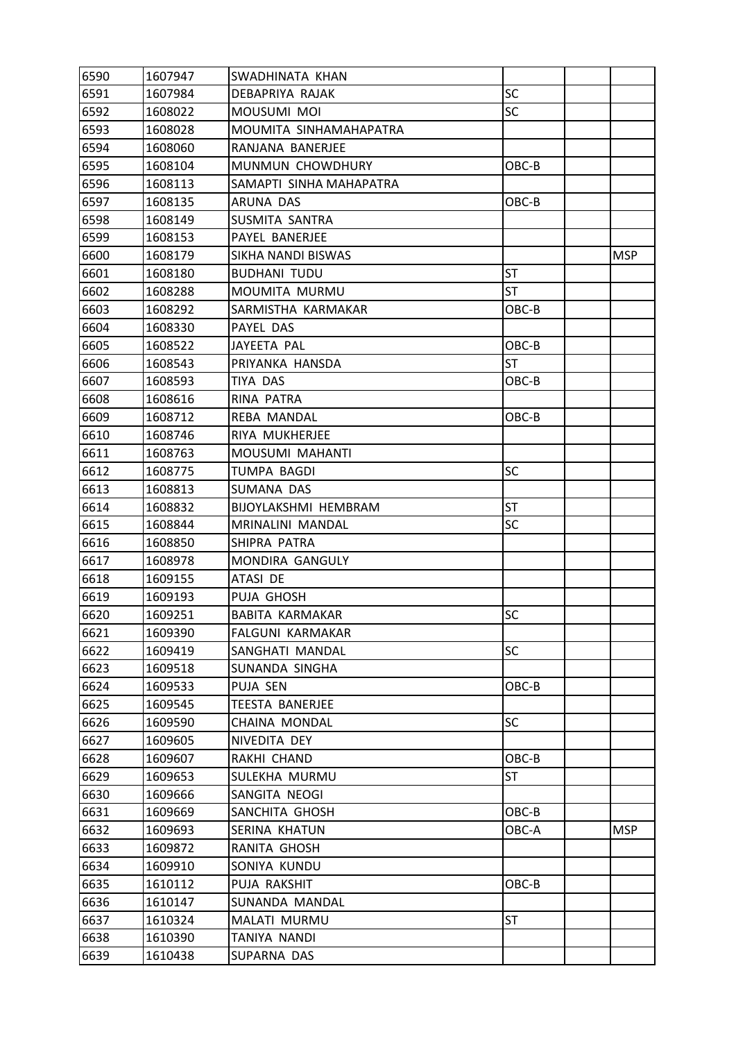| 6590 | 1607947 | SWADHINATA KHAN         |           |            |
|------|---------|-------------------------|-----------|------------|
| 6591 | 1607984 | DEBAPRIYA RAJAK         | SC        |            |
| 6592 | 1608022 | MOUSUMI MOI             | <b>SC</b> |            |
| 6593 | 1608028 | MOUMITA SINHAMAHAPATRA  |           |            |
| 6594 | 1608060 | RANJANA BANERJEE        |           |            |
| 6595 | 1608104 | MUNMUN CHOWDHURY        | OBC-B     |            |
| 6596 | 1608113 | SAMAPTI SINHA MAHAPATRA |           |            |
| 6597 | 1608135 | ARUNA DAS               | OBC-B     |            |
| 6598 | 1608149 | SUSMITA SANTRA          |           |            |
| 6599 | 1608153 | PAYEL BANERJEE          |           |            |
| 6600 | 1608179 | SIKHA NANDI BISWAS      |           | <b>MSP</b> |
| 6601 | 1608180 | <b>BUDHANI TUDU</b>     | <b>ST</b> |            |
| 6602 | 1608288 | MOUMITA MURMU           | ST        |            |
| 6603 | 1608292 | SARMISTHA KARMAKAR      | OBC-B     |            |
| 6604 | 1608330 | PAYEL DAS               |           |            |
| 6605 | 1608522 | JAYEETA PAL             | OBC-B     |            |
| 6606 | 1608543 | PRIYANKA HANSDA         | <b>ST</b> |            |
| 6607 | 1608593 | TIYA DAS                | OBC-B     |            |
| 6608 | 1608616 | RINA PATRA              |           |            |
| 6609 | 1608712 | REBA MANDAL             | OBC-B     |            |
| 6610 | 1608746 | RIYA MUKHERJEE          |           |            |
| 6611 | 1608763 | MOUSUMI MAHANTI         |           |            |
| 6612 | 1608775 | TUMPA BAGDI             | <b>SC</b> |            |
| 6613 | 1608813 | SUMANA DAS              |           |            |
| 6614 | 1608832 | BIJOYLAKSHMI HEMBRAM    | <b>ST</b> |            |
| 6615 | 1608844 | MRINALINI MANDAL        | <b>SC</b> |            |
| 6616 | 1608850 | SHIPRA PATRA            |           |            |
| 6617 | 1608978 | MONDIRA GANGULY         |           |            |
| 6618 | 1609155 | ATASI DE                |           |            |
| 6619 | 1609193 | PUJA GHOSH              |           |            |
| 6620 | 1609251 | <b>BABITA KARMAKAR</b>  | <b>SC</b> |            |
| 6621 | 1609390 | FALGUNI KARMAKAR        |           |            |
| 6622 | 1609419 | SANGHATI MANDAL         | <b>SC</b> |            |
| 6623 | 1609518 | SUNANDA SINGHA          |           |            |
| 6624 | 1609533 | PUJA SEN                | OBC-B     |            |
| 6625 | 1609545 | <b>TEESTA BANERJEE</b>  |           |            |
| 6626 | 1609590 | CHAINA MONDAL           | <b>SC</b> |            |
| 6627 | 1609605 | NIVEDITA DEY            |           |            |
| 6628 | 1609607 | RAKHI CHAND             | OBC-B     |            |
| 6629 | 1609653 | SULEKHA MURMU           | <b>ST</b> |            |
| 6630 | 1609666 | SANGITA NEOGI           |           |            |
| 6631 | 1609669 | SANCHITA GHOSH          | OBC-B     |            |
| 6632 | 1609693 | SERINA KHATUN           | OBC-A     | <b>MSP</b> |
| 6633 | 1609872 | RANITA GHOSH            |           |            |
| 6634 | 1609910 | SONIYA KUNDU            |           |            |
| 6635 | 1610112 | PUJA RAKSHIT            | OBC-B     |            |
| 6636 | 1610147 | SUNANDA MANDAL          |           |            |
| 6637 | 1610324 | MALATI MURMU            | <b>ST</b> |            |
| 6638 | 1610390 | TANIYA NANDI            |           |            |
| 6639 | 1610438 | SUPARNA DAS             |           |            |
|      |         |                         |           |            |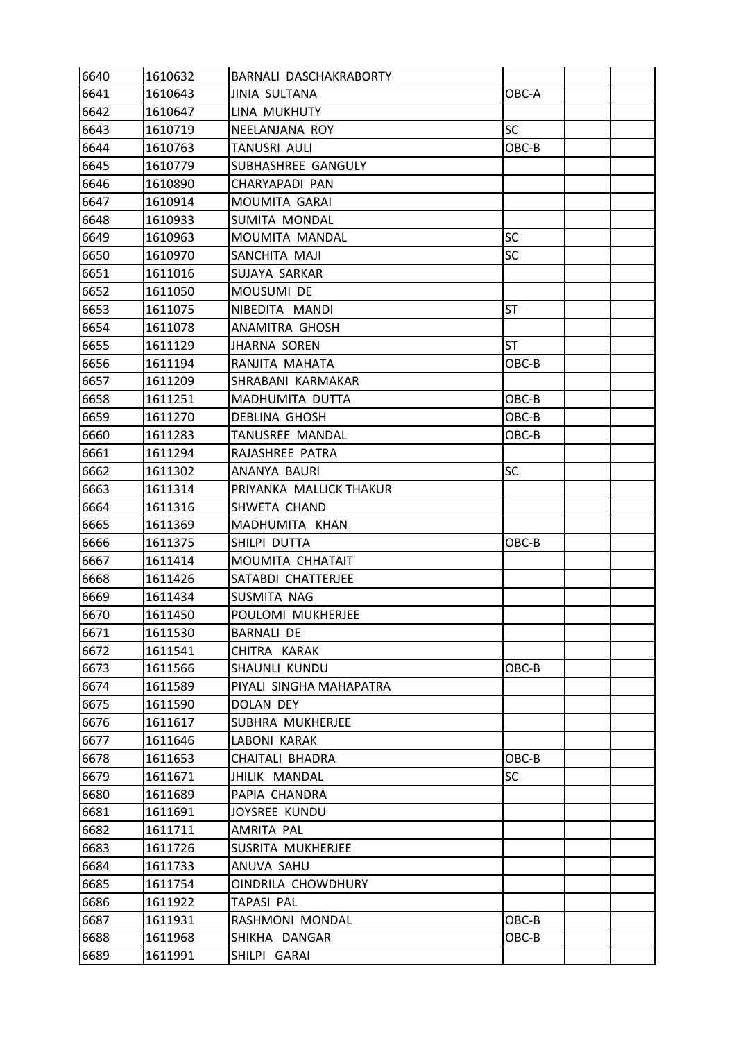| 6641<br>1610643<br><b>JINIA SULTANA</b><br>OBC-A   |  |
|----------------------------------------------------|--|
| 6642<br>1610647<br>LINA MUKHUTY                    |  |
| <b>SC</b><br>6643<br>1610719<br>NEELANJANA ROY     |  |
| 6644<br>1610763<br><b>TANUSRI AULI</b><br>OBC-B    |  |
| 6645<br>1610779<br>SUBHASHREE GANGULY              |  |
| 6646<br>1610890<br>CHARYAPADI PAN                  |  |
| 6647<br>1610914<br>MOUMITA GARAI                   |  |
| 6648<br>1610933<br>SUMITA MONDAL                   |  |
| SC<br>6649<br>1610963<br>MOUMITA MANDAL            |  |
| SC<br>6650<br>1610970<br>SANCHITA MAJI             |  |
| 6651<br>1611016<br>SUJAYA SARKAR                   |  |
| 6652<br>1611050<br>MOUSUMI DE                      |  |
| 6653<br>1611075<br>NIBEDITA MANDI<br><b>ST</b>     |  |
| 6654<br><b>ANAMITRA GHOSH</b><br>1611078           |  |
| 6655<br>1611129<br><b>JHARNA SOREN</b><br>ST       |  |
| 6656<br>1611194<br>RANJITA MAHATA<br>OBC-B         |  |
| 6657<br>1611209<br>SHRABANI KARMAKAR               |  |
| 6658<br>1611251<br>MADHUMITA DUTTA<br>OBC-B        |  |
| 6659<br>1611270<br><b>DEBLINA GHOSH</b><br>OBC-B   |  |
| 6660<br>1611283<br>TANUSREE MANDAL<br>OBC-B        |  |
| 6661<br>1611294<br>RAJASHREE PATRA                 |  |
| 6662<br>1611302<br>SC<br>ANANYA BAURI              |  |
| 6663<br>1611314<br>PRIYANKA MALLICK THAKUR         |  |
| 6664<br>1611316<br>SHWETA CHAND                    |  |
| 6665<br>1611369<br>MADHUMITA KHAN                  |  |
| 6666<br>SHILPI DUTTA<br>1611375<br>OBC-B           |  |
| 6667<br>1611414<br>MOUMITA CHHATAIT                |  |
| 6668<br>1611426<br>SATABDI CHATTERJEE              |  |
| 6669<br>1611434<br>SUSMITA NAG                     |  |
| 6670<br>POULOMI MUKHERJEE<br>1611450               |  |
| 6671<br>1611530<br><b>BARNALI DE</b>               |  |
| 6672<br>1611541<br>CHITRA KARAK                    |  |
| 6673<br>1611566<br>SHAUNLI KUNDU<br>OBC-B          |  |
| 6674<br>1611589<br>PIYALI SINGHA MAHAPATRA         |  |
| 6675<br>1611590<br>DOLAN DEY                       |  |
| 6676<br>SUBHRA MUKHERJEE<br>1611617                |  |
| 6677<br>1611646<br>LABONI KARAK                    |  |
| 6678<br>1611653<br><b>CHAITALI BHADRA</b><br>OBC-B |  |
| 6679<br>1611671<br>JHILIK MANDAL<br>SC             |  |
| 6680<br>1611689<br>PAPIA CHANDRA                   |  |
| 6681<br>1611691<br>JOYSREE KUNDU                   |  |
| 6682<br>1611711<br>AMRITA PAL                      |  |
| 6683<br>1611726<br>SUSRITA MUKHERJEE               |  |
| 6684<br>1611733<br>ANUVA SAHU                      |  |
| 6685<br>OINDRILA CHOWDHURY<br>1611754              |  |
| 6686<br>1611922<br>TAPASI PAL                      |  |
| 6687<br>1611931<br>RASHMONI MONDAL<br>OBC-B        |  |
| 6688<br>1611968<br>SHIKHA DANGAR<br>OBC-B          |  |
| 6689<br>1611991<br>SHILPI GARAI                    |  |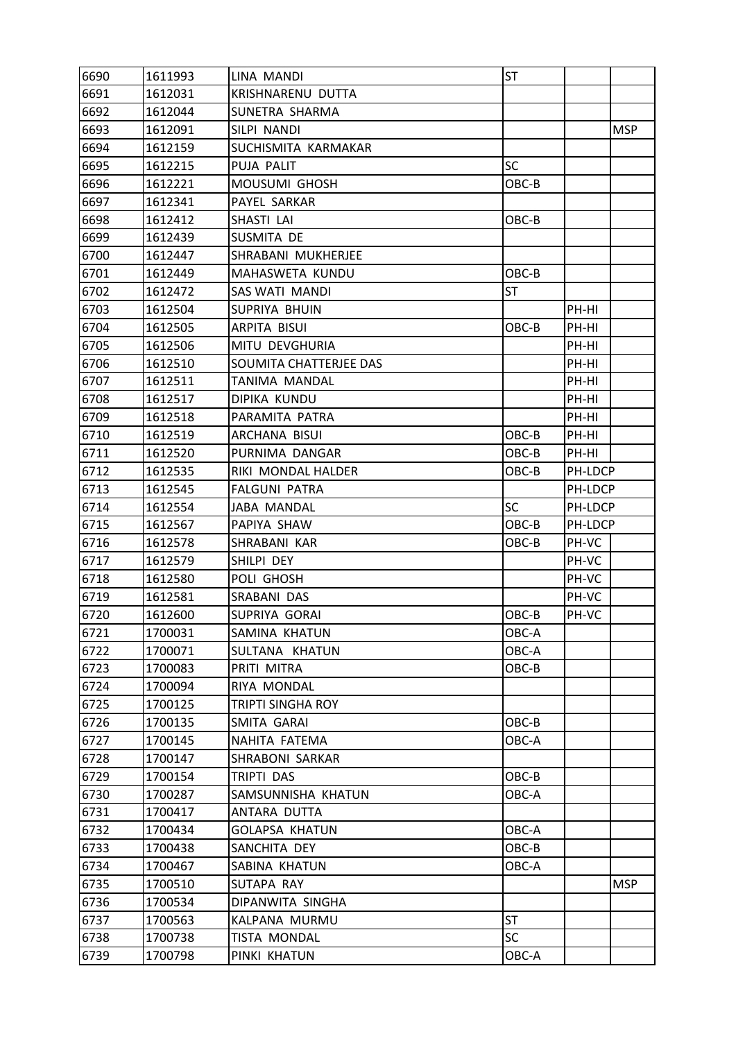| 6690 | 1611993 | LINA MANDI               | <b>ST</b> |         |            |
|------|---------|--------------------------|-----------|---------|------------|
| 6691 | 1612031 | KRISHNARENU DUTTA        |           |         |            |
| 6692 | 1612044 | SUNETRA SHARMA           |           |         |            |
| 6693 | 1612091 | SILPI NANDI              |           |         | <b>MSP</b> |
| 6694 | 1612159 | SUCHISMITA KARMAKAR      |           |         |            |
| 6695 | 1612215 | PUJA PALIT               | <b>SC</b> |         |            |
| 6696 | 1612221 | MOUSUMI GHOSH            | OBC-B     |         |            |
| 6697 | 1612341 | PAYEL SARKAR             |           |         |            |
| 6698 | 1612412 | SHASTI LAI               | OBC-B     |         |            |
| 6699 | 1612439 | SUSMITA DE               |           |         |            |
| 6700 | 1612447 | SHRABANI MUKHERJEE       |           |         |            |
| 6701 | 1612449 | MAHASWETA KUNDU          | OBC-B     |         |            |
| 6702 | 1612472 | SAS WATI MANDI           | <b>ST</b> |         |            |
| 6703 | 1612504 | SUPRIYA BHUIN            |           | PH-HI   |            |
| 6704 | 1612505 | ARPITA BISUI             | OBC-B     | PH-HI   |            |
| 6705 | 1612506 | MITU DEVGHURIA           |           | PH-HI   |            |
| 6706 | 1612510 | SOUMITA CHATTERJEE DAS   |           | PH-HI   |            |
| 6707 | 1612511 | TANIMA MANDAL            |           | PH-HI   |            |
| 6708 | 1612517 | DIPIKA KUNDU             |           | PH-HI   |            |
| 6709 | 1612518 | PARAMITA PATRA           |           | PH-HI   |            |
| 6710 | 1612519 | ARCHANA BISUI            | OBC-B     | PH-HI   |            |
| 6711 | 1612520 | PURNIMA DANGAR           | OBC-B     | PH-HI   |            |
| 6712 | 1612535 | RIKI MONDAL HALDER       | OBC-B     | PH-LDCP |            |
| 6713 | 1612545 | <b>FALGUNI PATRA</b>     |           | PH-LDCP |            |
| 6714 | 1612554 | JABA MANDAL              | <b>SC</b> | PH-LDCP |            |
| 6715 | 1612567 | PAPIYA SHAW              | OBC-B     | PH-LDCP |            |
| 6716 | 1612578 | SHRABANI KAR             | OBC-B     | PH-VC   |            |
| 6717 | 1612579 | SHILPI DEY               |           | PH-VC   |            |
| 6718 | 1612580 | POLI GHOSH               |           | PH-VC   |            |
| 6719 | 1612581 | SRABANI DAS              |           | PH-VC   |            |
| 6720 | 1612600 | SUPRIYA GORAI            | OBC-B     | PH-VC   |            |
| 6721 | 1700031 | SAMINA KHATUN            | OBC-A     |         |            |
| 6722 | 1700071 | SULTANA KHATUN           | OBC-A     |         |            |
| 6723 | 1700083 | PRITI MITRA              | $OBC-B$   |         |            |
| 6724 | 1700094 | RIYA MONDAL              |           |         |            |
| 6725 | 1700125 | <b>TRIPTI SINGHA ROY</b> |           |         |            |
| 6726 | 1700135 | SMITA GARAI              | OBC-B     |         |            |
| 6727 | 1700145 | NAHITA FATEMA            | OBC-A     |         |            |
| 6728 | 1700147 | SHRABONI SARKAR          |           |         |            |
| 6729 | 1700154 | TRIPTI DAS               | OBC-B     |         |            |
| 6730 | 1700287 | SAMSUNNISHA KHATUN       | OBC-A     |         |            |
| 6731 | 1700417 | ANTARA DUTTA             |           |         |            |
| 6732 | 1700434 | <b>GOLAPSA KHATUN</b>    | OBC-A     |         |            |
| 6733 | 1700438 | SANCHITA DEY             | OBC-B     |         |            |
| 6734 | 1700467 | SABINA KHATUN            | OBC-A     |         |            |
| 6735 | 1700510 | SUTAPA RAY               |           |         | <b>MSP</b> |
| 6736 | 1700534 | DIPANWITA SINGHA         |           |         |            |
| 6737 | 1700563 | KALPANA MURMU            | <b>ST</b> |         |            |
| 6738 | 1700738 | TISTA MONDAL             | <b>SC</b> |         |            |
| 6739 | 1700798 | PINKI KHATUN             | OBC-A     |         |            |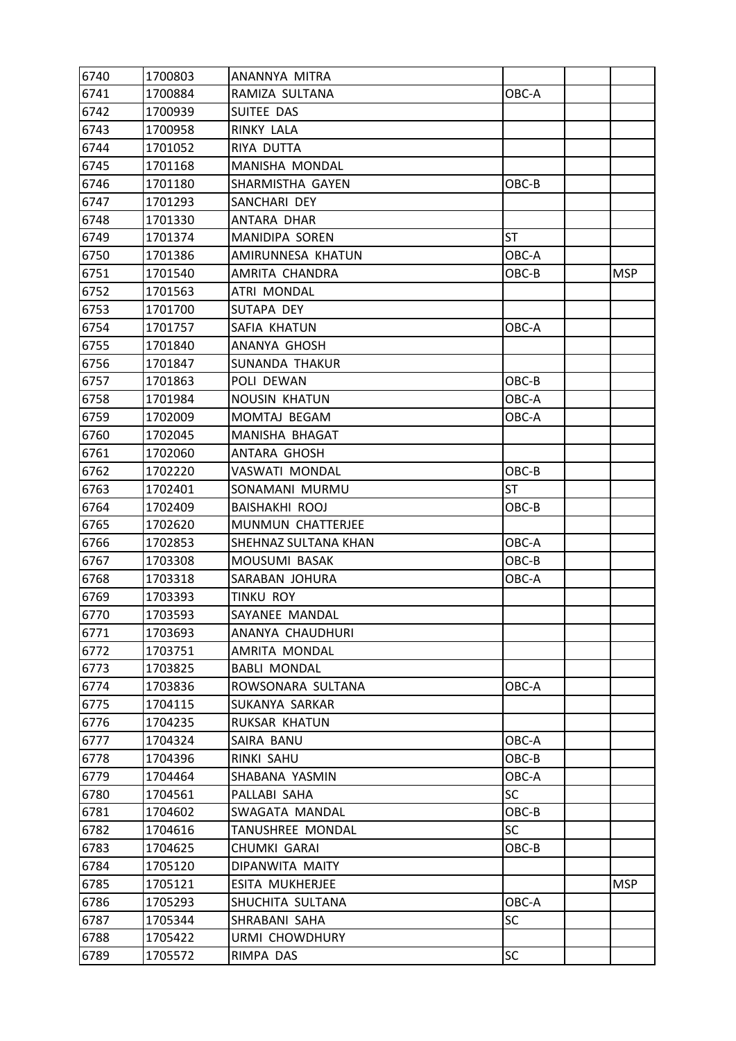| 6740 | 1700803 | ANANNYA MITRA        |           |            |
|------|---------|----------------------|-----------|------------|
| 6741 | 1700884 | RAMIZA SULTANA       | OBC-A     |            |
| 6742 | 1700939 | SUITEE DAS           |           |            |
| 6743 | 1700958 | RINKY LALA           |           |            |
| 6744 | 1701052 | RIYA DUTTA           |           |            |
| 6745 | 1701168 | MANISHA MONDAL       |           |            |
| 6746 | 1701180 | SHARMISTHA GAYEN     | OBC-B     |            |
| 6747 | 1701293 | SANCHARI DEY         |           |            |
| 6748 | 1701330 | ANTARA DHAR          |           |            |
| 6749 | 1701374 | MANIDIPA SOREN       | <b>ST</b> |            |
| 6750 | 1701386 | AMIRUNNESA KHATUN    | OBC-A     |            |
| 6751 | 1701540 | AMRITA CHANDRA       | OBC-B     | <b>MSP</b> |
| 6752 | 1701563 | ATRI MONDAL          |           |            |
| 6753 | 1701700 | SUTAPA DEY           |           |            |
| 6754 | 1701757 | SAFIA KHATUN         | OBC-A     |            |
| 6755 | 1701840 | ANANYA GHOSH         |           |            |
| 6756 | 1701847 | SUNANDA THAKUR       |           |            |
| 6757 | 1701863 | POLI DEWAN           | OBC-B     |            |
| 6758 | 1701984 | <b>NOUSIN KHATUN</b> | OBC-A     |            |
| 6759 | 1702009 | MOMTAJ BEGAM         | OBC-A     |            |
| 6760 | 1702045 | MANISHA BHAGAT       |           |            |
| 6761 | 1702060 | ANTARA GHOSH         |           |            |
| 6762 | 1702220 | VASWATI MONDAL       | OBC-B     |            |
| 6763 | 1702401 | SONAMANI MURMU       | <b>ST</b> |            |
| 6764 | 1702409 | BAISHAKHI ROOJ       | OBC-B     |            |
| 6765 | 1702620 | MUNMUN CHATTERJEE    |           |            |
| 6766 | 1702853 | SHEHNAZ SULTANA KHAN | OBC-A     |            |
| 6767 | 1703308 | MOUSUMI BASAK        | OBC-B     |            |
| 6768 | 1703318 | SARABAN JOHURA       | OBC-A     |            |
| 6769 | 1703393 | TINKU ROY            |           |            |
| 6770 | 1703593 | SAYANEE MANDAL       |           |            |
| 6771 | 1703693 | ANANYA CHAUDHURI     |           |            |
| 6772 | 1703751 | AMRITA MONDAL        |           |            |
| 6773 | 1703825 | <b>BABLI MONDAL</b>  |           |            |
| 6774 | 1703836 | ROWSONARA SULTANA    | OBC-A     |            |
| 6775 | 1704115 | SUKANYA SARKAR       |           |            |
| 6776 | 1704235 | RUKSAR KHATUN        |           |            |
| 6777 | 1704324 | SAIRA BANU           | OBC-A     |            |
| 6778 | 1704396 | RINKI SAHU           | OBC-B     |            |
| 6779 | 1704464 | SHABANA YASMIN       | OBC-A     |            |
| 6780 | 1704561 | PALLABI SAHA         | <b>SC</b> |            |
| 6781 | 1704602 | SWAGATA MANDAL       | $OBC-B$   |            |
| 6782 | 1704616 | TANUSHREE MONDAL     | <b>SC</b> |            |
| 6783 | 1704625 | CHUMKI GARAI         | OBC-B     |            |
| 6784 | 1705120 | DIPANWITA MAITY      |           |            |
| 6785 | 1705121 | ESITA MUKHERJEE      |           | <b>MSP</b> |
| 6786 | 1705293 | SHUCHITA SULTANA     | OBC-A     |            |
| 6787 | 1705344 | SHRABANI SAHA        | <b>SC</b> |            |
| 6788 | 1705422 | URMI CHOWDHURY       |           |            |
| 6789 | 1705572 | RIMPA DAS            | <b>SC</b> |            |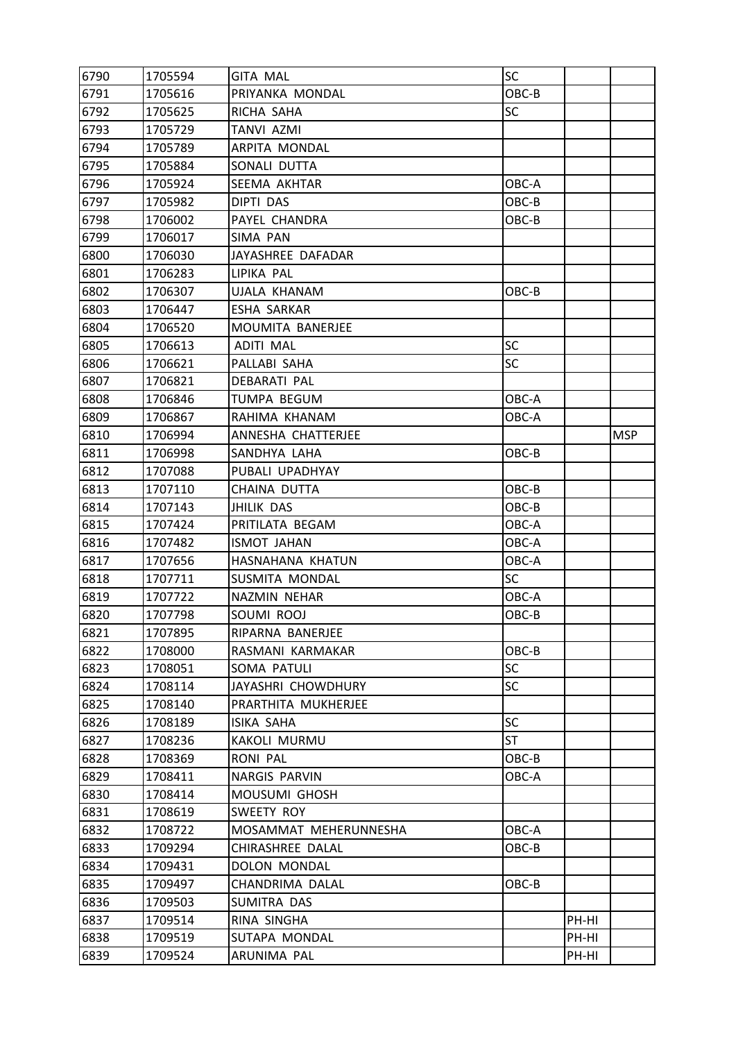| 6790 | 1705594 | <b>GITA MAL</b>       | SC        |       |            |
|------|---------|-----------------------|-----------|-------|------------|
| 6791 | 1705616 | PRIYANKA MONDAL       | OBC-B     |       |            |
| 6792 | 1705625 | RICHA SAHA            | <b>SC</b> |       |            |
| 6793 | 1705729 | <b>TANVI AZMI</b>     |           |       |            |
| 6794 | 1705789 | ARPITA MONDAL         |           |       |            |
| 6795 | 1705884 | SONALI DUTTA          |           |       |            |
| 6796 | 1705924 | SEEMA AKHTAR          | OBC-A     |       |            |
| 6797 | 1705982 | DIPTI DAS             | OBC-B     |       |            |
| 6798 | 1706002 | PAYEL CHANDRA         | OBC-B     |       |            |
| 6799 | 1706017 | SIMA PAN              |           |       |            |
| 6800 | 1706030 | JAYASHREE DAFADAR     |           |       |            |
| 6801 | 1706283 | LIPIKA PAL            |           |       |            |
| 6802 | 1706307 | UJALA KHANAM          | OBC-B     |       |            |
| 6803 | 1706447 | <b>ESHA SARKAR</b>    |           |       |            |
| 6804 | 1706520 | MOUMITA BANERJEE      |           |       |            |
| 6805 | 1706613 | <b>ADITI MAL</b>      | <b>SC</b> |       |            |
| 6806 | 1706621 | PALLABI SAHA          | <b>SC</b> |       |            |
| 6807 | 1706821 | DEBARATI PAL          |           |       |            |
| 6808 | 1706846 | TUMPA BEGUM           | OBC-A     |       |            |
| 6809 | 1706867 | RAHIMA KHANAM         | OBC-A     |       |            |
| 6810 | 1706994 | ANNESHA CHATTERJEE    |           |       | <b>MSP</b> |
| 6811 | 1706998 | SANDHYA LAHA          | OBC-B     |       |            |
| 6812 | 1707088 | PUBALI UPADHYAY       |           |       |            |
| 6813 | 1707110 | CHAINA DUTTA          | OBC-B     |       |            |
| 6814 | 1707143 | JHILIK DAS            | OBC-B     |       |            |
| 6815 | 1707424 | PRITILATA BEGAM       | OBC-A     |       |            |
| 6816 | 1707482 | <b>ISMOT JAHAN</b>    | OBC-A     |       |            |
| 6817 | 1707656 | HASNAHANA KHATUN      | OBC-A     |       |            |
| 6818 | 1707711 | SUSMITA MONDAL        | <b>SC</b> |       |            |
| 6819 | 1707722 | NAZMIN NEHAR          | OBC-A     |       |            |
| 6820 | 1707798 | SOUMI ROOJ            | OBC-B     |       |            |
| 6821 | 1707895 | RIPARNA BANERJEE      |           |       |            |
| 6822 | 1708000 | RASMANI KARMAKAR      | OBC-B     |       |            |
| 6823 | 1708051 | SOMA PATULI           | <b>SC</b> |       |            |
| 6824 | 1708114 | JAYASHRI CHOWDHURY    | <b>SC</b> |       |            |
| 6825 | 1708140 | PRARTHITA MUKHERJEE   |           |       |            |
| 6826 | 1708189 | ISIKA SAHA            | SC        |       |            |
| 6827 | 1708236 | KAKOLI MURMU          | <b>ST</b> |       |            |
| 6828 | 1708369 | <b>RONI PAL</b>       | OBC-B     |       |            |
| 6829 | 1708411 | <b>NARGIS PARVIN</b>  | OBC-A     |       |            |
| 6830 | 1708414 | MOUSUMI GHOSH         |           |       |            |
| 6831 | 1708619 | SWEETY ROY            |           |       |            |
| 6832 | 1708722 | MOSAMMAT MEHERUNNESHA | OBC-A     |       |            |
| 6833 | 1709294 | CHIRASHREE DALAL      | OBC-B     |       |            |
| 6834 | 1709431 | DOLON MONDAL          |           |       |            |
| 6835 | 1709497 | CHANDRIMA DALAL       | OBC-B     |       |            |
| 6836 | 1709503 | SUMITRA DAS           |           |       |            |
| 6837 | 1709514 | RINA SINGHA           |           | PH-HI |            |
| 6838 | 1709519 | SUTAPA MONDAL         |           | PH-HI |            |
| 6839 | 1709524 | ARUNIMA PAL           |           | PH-HI |            |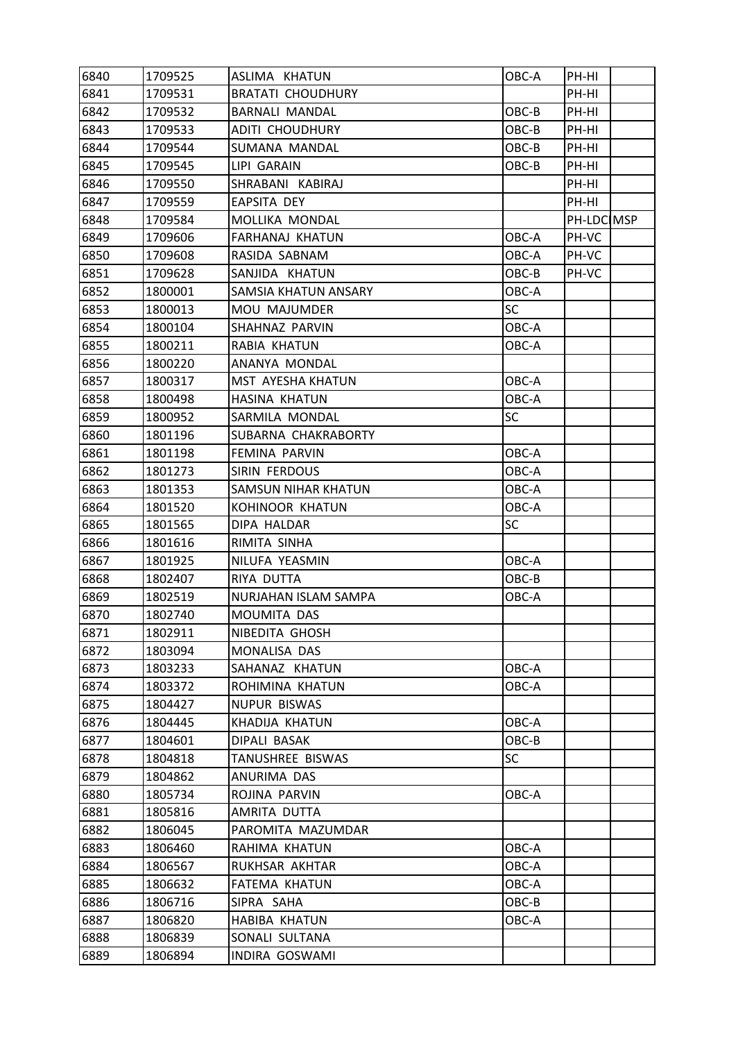| 6840 | 1709525 | ASLIMA KHATUN            | OBC-A     | PH-HI      |  |
|------|---------|--------------------------|-----------|------------|--|
| 6841 | 1709531 | <b>BRATATI CHOUDHURY</b> |           | PH-HI      |  |
| 6842 | 1709532 | <b>BARNALI MANDAL</b>    | OBC-B     | PH-HI      |  |
| 6843 | 1709533 | ADITI CHOUDHURY          | OBC-B     | PH-HI      |  |
| 6844 | 1709544 | SUMANA MANDAL            | OBC-B     | PH-HI      |  |
| 6845 | 1709545 | LIPI GARAIN              | OBC-B     | PH-HI      |  |
| 6846 | 1709550 | SHRABANI KABIRAJ         |           | PH-HI      |  |
| 6847 | 1709559 | <b>EAPSITA DEY</b>       |           | PH-HI      |  |
| 6848 | 1709584 | MOLLIKA MONDAL           |           | PH-LDC MSP |  |
| 6849 | 1709606 | FARHANAJ KHATUN          | OBC-A     | PH-VC      |  |
| 6850 | 1709608 | RASIDA SABNAM            | OBC-A     | PH-VC      |  |
| 6851 | 1709628 | SANJIDA KHATUN           | OBC-B     | PH-VC      |  |
| 6852 | 1800001 | SAMSIA KHATUN ANSARY     | OBC-A     |            |  |
| 6853 | 1800013 | MOU MAJUMDER             | SC        |            |  |
| 6854 | 1800104 | SHAHNAZ PARVIN           | OBC-A     |            |  |
| 6855 | 1800211 | RABIA KHATUN             | OBC-A     |            |  |
| 6856 | 1800220 | ANANYA MONDAL            |           |            |  |
| 6857 | 1800317 | MST AYESHA KHATUN        | OBC-A     |            |  |
| 6858 | 1800498 | <b>HASINA KHATUN</b>     | OBC-A     |            |  |
| 6859 | 1800952 | SARMILA MONDAL           | SC        |            |  |
| 6860 | 1801196 | SUBARNA CHAKRABORTY      |           |            |  |
| 6861 | 1801198 | FEMINA PARVIN            | OBC-A     |            |  |
| 6862 | 1801273 | SIRIN FERDOUS            | OBC-A     |            |  |
| 6863 | 1801353 | SAMSUN NIHAR KHATUN      | OBC-A     |            |  |
| 6864 | 1801520 | KOHINOOR KHATUN          | OBC-A     |            |  |
| 6865 | 1801565 | DIPA HALDAR              | <b>SC</b> |            |  |
| 6866 | 1801616 | RIMITA SINHA             |           |            |  |
| 6867 | 1801925 | NILUFA YEASMIN           | OBC-A     |            |  |
| 6868 | 1802407 | <b>RIYA DUTTA</b>        | OBC-B     |            |  |
| 6869 | 1802519 | NURJAHAN ISLAM SAMPA     | OBC-A     |            |  |
| 6870 | 1802740 | MOUMITA DAS              |           |            |  |
| 6871 | 1802911 | NIBEDITA GHOSH           |           |            |  |
| 6872 | 1803094 | MONALISA DAS             |           |            |  |
| 6873 | 1803233 | SAHANAZ KHATUN           | OBC-A     |            |  |
| 6874 | 1803372 | ROHIMINA KHATUN          | OBC-A     |            |  |
| 6875 | 1804427 | <b>NUPUR BISWAS</b>      |           |            |  |
| 6876 | 1804445 | KHADIJA KHATUN           | OBC-A     |            |  |
| 6877 | 1804601 | DIPALI BASAK             | OBC-B     |            |  |
| 6878 | 1804818 | TANUSHREE BISWAS         | SC        |            |  |
| 6879 | 1804862 | ANURIMA DAS              |           |            |  |
| 6880 | 1805734 | ROJINA PARVIN            | OBC-A     |            |  |
| 6881 | 1805816 | AMRITA DUTTA             |           |            |  |
| 6882 | 1806045 | PAROMITA MAZUMDAR        |           |            |  |
| 6883 | 1806460 | RAHIMA KHATUN            | OBC-A     |            |  |
| 6884 | 1806567 | RUKHSAR AKHTAR           | OBC-A     |            |  |
| 6885 | 1806632 | FATEMA KHATUN            | OBC-A     |            |  |
| 6886 | 1806716 | SIPRA SAHA               | OBC-B     |            |  |
| 6887 | 1806820 | HABIBA KHATUN            | OBC-A     |            |  |
| 6888 | 1806839 | SONALI SULTANA           |           |            |  |
| 6889 | 1806894 | INDIRA GOSWAMI           |           |            |  |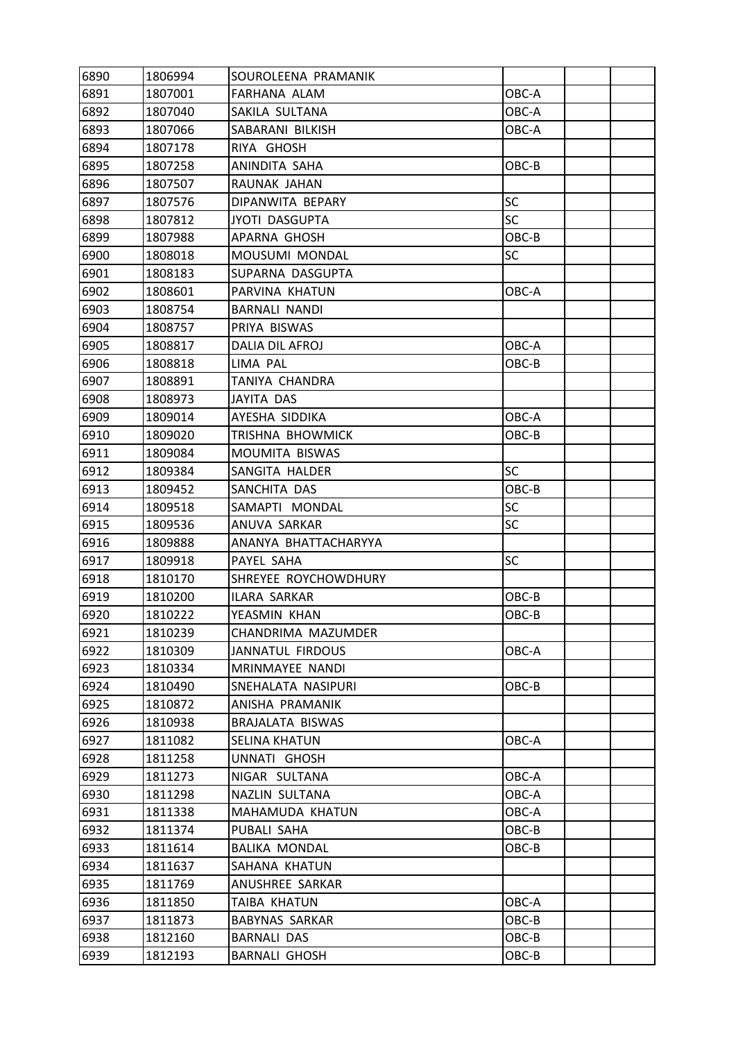| 6890 | 1806994 | SOUROLEENA PRAMANIK     |           |  |
|------|---------|-------------------------|-----------|--|
| 6891 | 1807001 | FARHANA ALAM            | OBC-A     |  |
| 6892 | 1807040 | SAKILA SULTANA          | OBC-A     |  |
| 6893 | 1807066 | SABARANI BILKISH        | OBC-A     |  |
| 6894 | 1807178 | RIYA GHOSH              |           |  |
| 6895 | 1807258 | ANINDITA SAHA           | OBC-B     |  |
| 6896 | 1807507 | RAUNAK JAHAN            |           |  |
| 6897 | 1807576 | DIPANWITA BEPARY        | <b>SC</b> |  |
| 6898 | 1807812 | <b>JYOTI DASGUPTA</b>   | <b>SC</b> |  |
| 6899 | 1807988 | APARNA GHOSH            | OBC-B     |  |
| 6900 | 1808018 | MOUSUMI MONDAL          | <b>SC</b> |  |
| 6901 | 1808183 | SUPARNA DASGUPTA        |           |  |
| 6902 | 1808601 | PARVINA KHATUN          | OBC-A     |  |
| 6903 | 1808754 | <b>BARNALI NANDI</b>    |           |  |
| 6904 | 1808757 | PRIYA BISWAS            |           |  |
| 6905 | 1808817 | <b>DALIA DIL AFROJ</b>  | OBC-A     |  |
| 6906 | 1808818 | LIMA PAL                | OBC-B     |  |
| 6907 | 1808891 | TANIYA CHANDRA          |           |  |
| 6908 | 1808973 | JAYITA DAS              |           |  |
| 6909 | 1809014 | AYESHA SIDDIKA          | OBC-A     |  |
| 6910 | 1809020 | TRISHNA BHOWMICK        | OBC-B     |  |
| 6911 | 1809084 | MOUMITA BISWAS          |           |  |
| 6912 | 1809384 | SANGITA HALDER          | <b>SC</b> |  |
| 6913 | 1809452 | SANCHITA DAS            | OBC-B     |  |
| 6914 | 1809518 | SAMAPTI MONDAL          | SC        |  |
| 6915 | 1809536 | ANUVA SARKAR            | SC        |  |
| 6916 | 1809888 | ANANYA BHATTACHARYYA    |           |  |
| 6917 | 1809918 | PAYEL SAHA              | SC        |  |
| 6918 | 1810170 | SHREYEE ROYCHOWDHURY    |           |  |
| 6919 | 1810200 | ILARA SARKAR            | OBC-B     |  |
| 6920 | 1810222 | YEASMIN KHAN            | OBC-B     |  |
| 6921 | 1810239 | CHANDRIMA MAZUMDER      |           |  |
| 6922 | 1810309 | <b>JANNATUL FIRDOUS</b> | OBC-A     |  |
| 6923 | 1810334 | MRINMAYEE NANDI         |           |  |
| 6924 | 1810490 | SNEHALATA NASIPURI      | OBC-B     |  |
| 6925 | 1810872 | ANISHA PRAMANIK         |           |  |
| 6926 | 1810938 | BRAJALATA BISWAS        |           |  |
| 6927 | 1811082 | <b>SELINA KHATUN</b>    | OBC-A     |  |
| 6928 | 1811258 | UNNATI GHOSH            |           |  |
| 6929 | 1811273 | NIGAR SULTANA           | OBC-A     |  |
| 6930 | 1811298 | NAZLIN SULTANA          | OBC-A     |  |
| 6931 | 1811338 | MAHAMUDA KHATUN         | OBC-A     |  |
| 6932 | 1811374 | PUBALI SAHA             | OBC-B     |  |
| 6933 | 1811614 | <b>BALIKA MONDAL</b>    | OBC-B     |  |
| 6934 | 1811637 | SAHANA KHATUN           |           |  |
| 6935 | 1811769 | ANUSHREE SARKAR         |           |  |
| 6936 | 1811850 | TAIBA KHATUN            | OBC-A     |  |
| 6937 | 1811873 | <b>BABYNAS SARKAR</b>   | OBC-B     |  |
| 6938 | 1812160 | <b>BARNALI DAS</b>      | OBC-B     |  |
| 6939 | 1812193 | <b>BARNALI GHOSH</b>    | OBC-B     |  |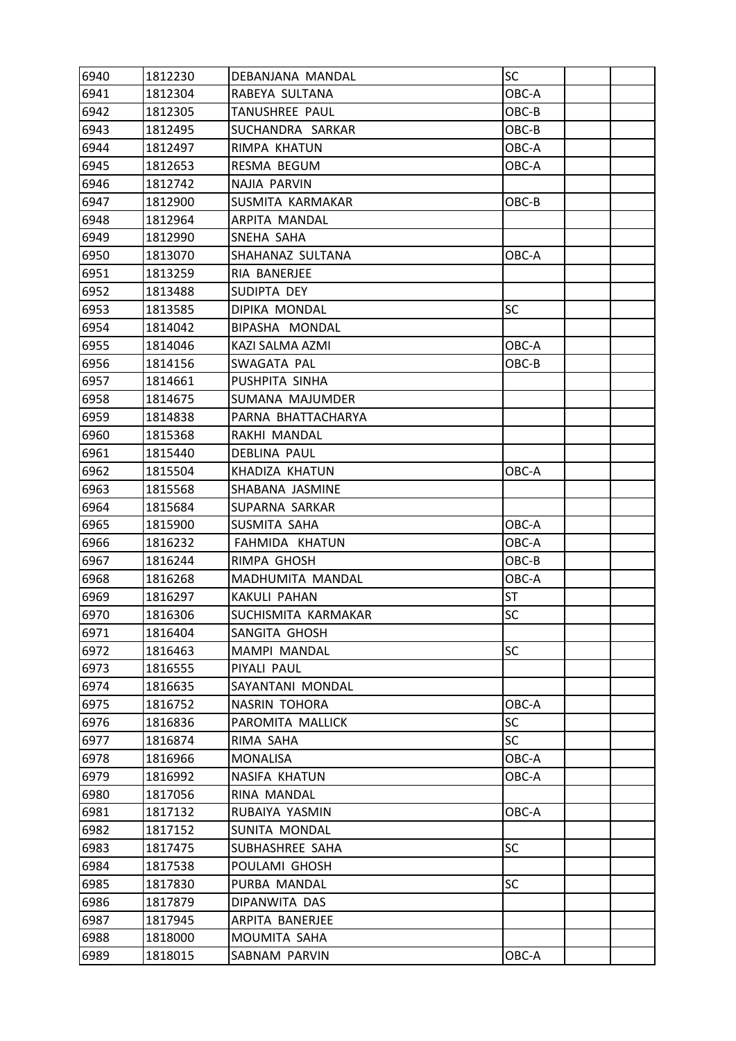| 6940 | 1812230 | DEBANJANA MANDAL     | SC        |  |
|------|---------|----------------------|-----------|--|
| 6941 | 1812304 | RABEYA SULTANA       | OBC-A     |  |
| 6942 | 1812305 | TANUSHREE PAUL       | OBC-B     |  |
| 6943 | 1812495 | SUCHANDRA SARKAR     | OBC-B     |  |
| 6944 | 1812497 | RIMPA KHATUN         | OBC-A     |  |
| 6945 | 1812653 | RESMA BEGUM          | OBC-A     |  |
| 6946 | 1812742 | NAJIA PARVIN         |           |  |
| 6947 | 1812900 | SUSMITA KARMAKAR     | OBC-B     |  |
| 6948 | 1812964 | ARPITA MANDAL        |           |  |
| 6949 | 1812990 | SNEHA SAHA           |           |  |
| 6950 | 1813070 | SHAHANAZ SULTANA     | OBC-A     |  |
| 6951 | 1813259 | RIA BANERJEE         |           |  |
| 6952 | 1813488 | SUDIPTA DEY          |           |  |
| 6953 | 1813585 | DIPIKA MONDAL        | SC        |  |
| 6954 | 1814042 | BIPASHA MONDAL       |           |  |
| 6955 | 1814046 | KAZI SALMA AZMI      | OBC-A     |  |
| 6956 | 1814156 | SWAGATA PAL          | OBC-B     |  |
| 6957 | 1814661 | PUSHPITA SINHA       |           |  |
| 6958 | 1814675 | SUMANA MAJUMDER      |           |  |
| 6959 | 1814838 | PARNA BHATTACHARYA   |           |  |
| 6960 | 1815368 | RAKHI MANDAL         |           |  |
| 6961 | 1815440 | DEBLINA PAUL         |           |  |
| 6962 | 1815504 | KHADIZA KHATUN       | OBC-A     |  |
| 6963 | 1815568 | SHABANA JASMINE      |           |  |
| 6964 | 1815684 | SUPARNA SARKAR       |           |  |
| 6965 | 1815900 | SUSMITA SAHA         | OBC-A     |  |
| 6966 | 1816232 | FAHMIDA KHATUN       | OBC-A     |  |
| 6967 | 1816244 | RIMPA GHOSH          | OBC-B     |  |
| 6968 | 1816268 | MADHUMITA MANDAL     | OBC-A     |  |
| 6969 | 1816297 | <b>KAKULI PAHAN</b>  | <b>ST</b> |  |
| 6970 | 1816306 | SUCHISMITA KARMAKAR  | SC        |  |
| 6971 | 1816404 | SANGITA GHOSH        |           |  |
| 6972 | 1816463 | MAMPI MANDAL         | <b>SC</b> |  |
| 6973 | 1816555 | PIYALI PAUL          |           |  |
| 6974 | 1816635 | SAYANTANI MONDAL     |           |  |
| 6975 | 1816752 | <b>NASRIN TOHORA</b> | OBC-A     |  |
| 6976 | 1816836 | PAROMITA MALLICK     | <b>SC</b> |  |
| 6977 | 1816874 | RIMA SAHA            | <b>SC</b> |  |
| 6978 | 1816966 | MONALISA             | OBC-A     |  |
| 6979 | 1816992 | NASIFA KHATUN        | OBC-A     |  |
| 6980 | 1817056 | RINA MANDAL          |           |  |
| 6981 | 1817132 | RUBAIYA YASMIN       | OBC-A     |  |
| 6982 | 1817152 | SUNITA MONDAL        |           |  |
| 6983 | 1817475 | SUBHASHREE SAHA      | <b>SC</b> |  |
| 6984 | 1817538 | POULAMI GHOSH        |           |  |
| 6985 | 1817830 | PURBA MANDAL         | SC        |  |
| 6986 | 1817879 | DIPANWITA DAS        |           |  |
| 6987 | 1817945 | ARPITA BANERJEE      |           |  |
| 6988 | 1818000 | MOUMITA SAHA         |           |  |
| 6989 | 1818015 | SABNAM PARVIN        | OBC-A     |  |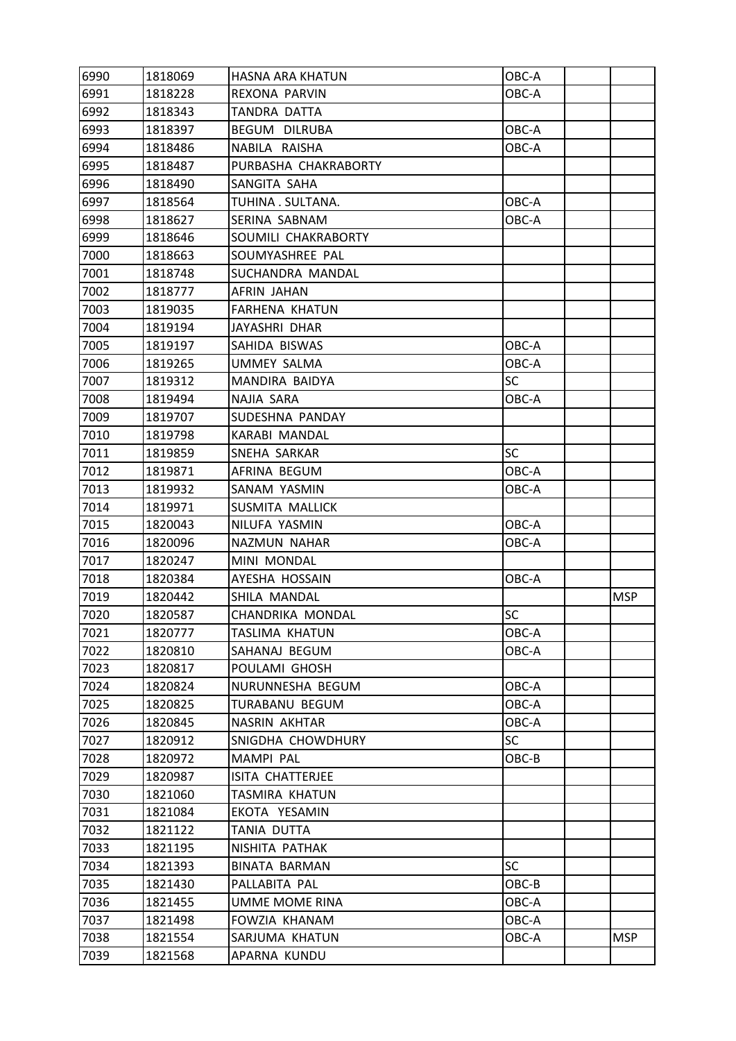| 6990 | 1818069 | HASNA ARA KHATUN      | OBC-A     |            |
|------|---------|-----------------------|-----------|------------|
| 6991 | 1818228 | REXONA PARVIN         | OBC-A     |            |
| 6992 | 1818343 | TANDRA DATTA          |           |            |
| 6993 | 1818397 | BEGUM DILRUBA         | OBC-A     |            |
| 6994 | 1818486 | NABILA RAISHA         | OBC-A     |            |
| 6995 | 1818487 | PURBASHA CHAKRABORTY  |           |            |
| 6996 | 1818490 | SANGITA SAHA          |           |            |
| 6997 | 1818564 | TUHINA . SULTANA.     | OBC-A     |            |
| 6998 | 1818627 | SERINA SABNAM         | OBC-A     |            |
| 6999 | 1818646 | SOUMILI CHAKRABORTY   |           |            |
| 7000 | 1818663 | SOUMYASHREE PAL       |           |            |
| 7001 | 1818748 | SUCHANDRA MANDAL      |           |            |
| 7002 | 1818777 | AFRIN JAHAN           |           |            |
| 7003 | 1819035 | FARHENA KHATUN        |           |            |
| 7004 | 1819194 | JAYASHRI DHAR         |           |            |
| 7005 | 1819197 | SAHIDA BISWAS         | OBC-A     |            |
| 7006 | 1819265 | <b>UMMEY SALMA</b>    | OBC-A     |            |
| 7007 | 1819312 | MANDIRA BAIDYA        | SC        |            |
| 7008 | 1819494 | NAJIA SARA            | OBC-A     |            |
| 7009 | 1819707 | SUDESHNA PANDAY       |           |            |
| 7010 | 1819798 | KARABI MANDAL         |           |            |
| 7011 | 1819859 | SNEHA SARKAR          | <b>SC</b> |            |
| 7012 | 1819871 | AFRINA BEGUM          | OBC-A     |            |
| 7013 | 1819932 | SANAM YASMIN          | OBC-A     |            |
| 7014 | 1819971 | SUSMITA MALLICK       |           |            |
| 7015 | 1820043 | NILUFA YASMIN         | OBC-A     |            |
| 7016 | 1820096 | NAZMUN NAHAR          | OBC-A     |            |
| 7017 | 1820247 | MINI MONDAL           |           |            |
| 7018 | 1820384 | AYESHA HOSSAIN        | OBC-A     |            |
| 7019 | 1820442 | SHILA MANDAL          |           | <b>MSP</b> |
| 7020 | 1820587 | CHANDRIKA MONDAL      | <b>SC</b> |            |
| 7021 | 1820777 | <b>TASLIMA KHATUN</b> | OBC-A     |            |
| 7022 | 1820810 | SAHANAJ BEGUM         | OBC-A     |            |
| 7023 | 1820817 | POULAMI GHOSH         |           |            |
| 7024 | 1820824 | NURUNNESHA BEGUM      | OBC-A     |            |
| 7025 | 1820825 | TURABANU BEGUM        | OBC-A     |            |
| 7026 | 1820845 | NASRIN AKHTAR         | OBC-A     |            |
| 7027 | 1820912 | SNIGDHA CHOWDHURY     | <b>SC</b> |            |
| 7028 | 1820972 | <b>MAMPI PAL</b>      | OBC-B     |            |
| 7029 | 1820987 | ISITA CHATTERJEE      |           |            |
| 7030 | 1821060 | TASMIRA KHATUN        |           |            |
| 7031 | 1821084 | EKOTA YESAMIN         |           |            |
| 7032 | 1821122 | TANIA DUTTA           |           |            |
| 7033 | 1821195 | NISHITA PATHAK        |           |            |
| 7034 | 1821393 | <b>BINATA BARMAN</b>  | SC.       |            |
| 7035 | 1821430 | PALLABITA PAL         | OBC-B     |            |
| 7036 | 1821455 | UMME MOME RINA        | OBC-A     |            |
| 7037 | 1821498 | FOWZIA KHANAM         | OBC-A     |            |
| 7038 | 1821554 | SARJUMA KHATUN        | OBC-A     | <b>MSP</b> |
| 7039 | 1821568 | APARNA KUNDU          |           |            |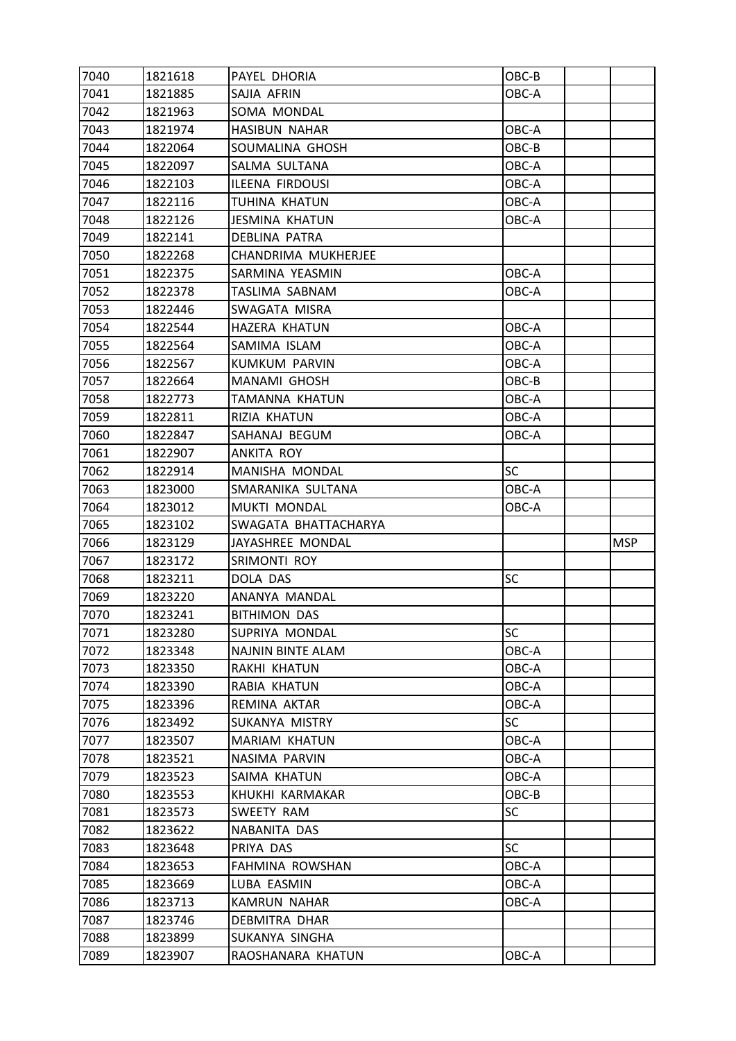| 7040         | 1821618            | PAYEL DHORIA          | OBC-B     |            |
|--------------|--------------------|-----------------------|-----------|------------|
| 7041         | 1821885            | SAJIA AFRIN           | OBC-A     |            |
| 7042         | 1821963            | SOMA MONDAL           |           |            |
| 7043         | 1821974            | <b>HASIBUN NAHAR</b>  | OBC-A     |            |
| 7044         | 1822064            | SOUMALINA GHOSH       | OBC-B     |            |
| 7045         | 1822097            | SALMA SULTANA         | OBC-A     |            |
| 7046         | 1822103            | ILEENA FIRDOUSI       | OBC-A     |            |
| 7047         | 1822116            | TUHINA KHATUN         | OBC-A     |            |
| 7048         | 1822126            | <b>JESMINA KHATUN</b> | OBC-A     |            |
| 7049         | 1822141            | DEBLINA PATRA         |           |            |
| 7050         | 1822268            | CHANDRIMA MUKHERJEE   |           |            |
| 7051         | 1822375            | SARMINA YEASMIN       | OBC-A     |            |
| 7052         | 1822378            | TASLIMA SABNAM        | OBC-A     |            |
| 7053         | 1822446            | SWAGATA MISRA         |           |            |
| 7054         | 1822544            | <b>HAZERA KHATUN</b>  | OBC-A     |            |
| 7055         | 1822564            | SAMIMA ISLAM          | OBC-A     |            |
| 7056         | 1822567            | <b>KUMKUM PARVIN</b>  | OBC-A     |            |
| 7057         | 1822664            | MANAMI GHOSH          | OBC-B     |            |
| 7058         | 1822773            | TAMANNA KHATUN        | OBC-A     |            |
| 7059         | 1822811            | RIZIA KHATUN          | OBC-A     |            |
| 7060         | 1822847            | SAHANAJ BEGUM         | OBC-A     |            |
| 7061         | 1822907            | ANKITA ROY            |           |            |
| 7062         | 1822914            | MANISHA MONDAL        | <b>SC</b> |            |
| 7063         | 1823000            | SMARANIKA SULTANA     | OBC-A     |            |
| 7064         | 1823012            | <b>MUKTI MONDAL</b>   | OBC-A     |            |
|              |                    |                       |           |            |
| 7065         | 1823102            | SWAGATA BHATTACHARYA  |           |            |
| 7066         | 1823129            | JAYASHREE MONDAL      |           | <b>MSP</b> |
| 7067         | 1823172            | SRIMONTI ROY          |           |            |
| 7068         | 1823211            | DOLA DAS              | <b>SC</b> |            |
| 7069         | 1823220            | ANANYA MANDAL         |           |            |
| 7070         | 1823241            | <b>BITHIMON DAS</b>   |           |            |
| 7071         | 1823280            | SUPRIYA MONDAL        | <b>SC</b> |            |
| 7072         | 1823348            | NAJNIN BINTE ALAM     | OBC-A     |            |
| 7073         | 1823350            | RAKHI KHATUN          | OBC-A     |            |
| 7074         | 1823390            | RABIA KHATUN          | OBC-A     |            |
| 7075         | 1823396            | REMINA AKTAR          | OBC-A     |            |
| 7076         | 1823492            | SUKANYA MISTRY        | <b>SC</b> |            |
| 7077         | 1823507            | MARIAM KHATUN         | OBC-A     |            |
| 7078         | 1823521            | NASIMA PARVIN         | OBC-A     |            |
| 7079         | 1823523            | SAIMA KHATUN          | OBC-A     |            |
| 7080         | 1823553            | KHUKHI KARMAKAR       | OBC-B     |            |
| 7081         | 1823573            | SWEETY RAM            | <b>SC</b> |            |
| 7082         | 1823622            | NABANITA DAS          |           |            |
| 7083         | 1823648            | PRIYA DAS             | <b>SC</b> |            |
| 7084         | 1823653            | FAHMINA ROWSHAN       | OBC-A     |            |
| 7085         | 1823669            | LUBA EASMIN           | OBC-A     |            |
| 7086         | 1823713            | <b>KAMRUN NAHAR</b>   | OBC-A     |            |
| 7087         | 1823746            | DEBMITRA DHAR         |           |            |
| 7088<br>7089 | 1823899<br>1823907 | SUKANYA SINGHA        | OBC-A     |            |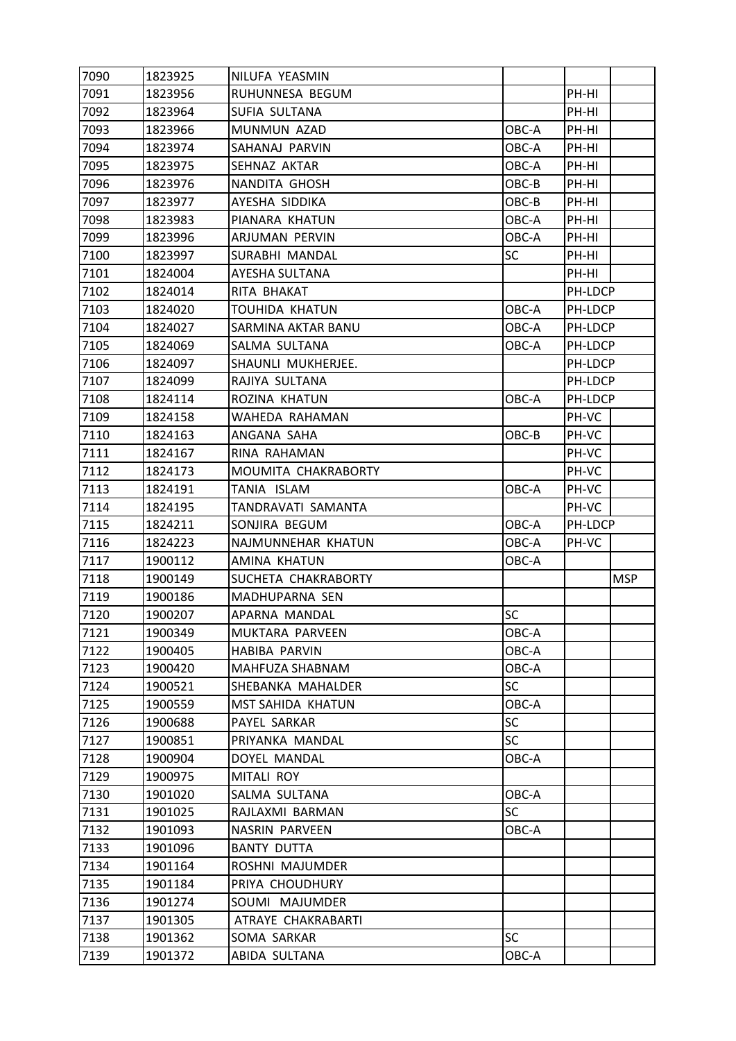| 7090 | 1823925 | NILUFA YEASMIN           |           |         |            |
|------|---------|--------------------------|-----------|---------|------------|
| 7091 | 1823956 | RUHUNNESA BEGUM          |           | PH-HI   |            |
| 7092 | 1823964 | SUFIA SULTANA            |           | PH-HI   |            |
| 7093 | 1823966 | MUNMUN AZAD              | OBC-A     | PH-HI   |            |
| 7094 | 1823974 | SAHANAJ PARVIN           | OBC-A     | PH-HI   |            |
| 7095 | 1823975 | SEHNAZ AKTAR             | OBC-A     | PH-HI   |            |
| 7096 | 1823976 | NANDITA GHOSH            | OBC-B     | PH-HI   |            |
| 7097 | 1823977 | AYESHA SIDDIKA           | OBC-B     | PH-HI   |            |
| 7098 | 1823983 | PIANARA KHATUN           | OBC-A     | PH-HI   |            |
| 7099 | 1823996 | ARJUMAN PERVIN           | OBC-A     | PH-HI   |            |
| 7100 | 1823997 | SURABHI MANDAL           | <b>SC</b> | PH-HI   |            |
| 7101 | 1824004 | AYESHA SULTANA           |           | PH-HI   |            |
| 7102 | 1824014 | RITA BHAKAT              |           | PH-LDCP |            |
| 7103 | 1824020 | TOUHIDA KHATUN           | OBC-A     | PH-LDCP |            |
| 7104 | 1824027 | SARMINA AKTAR BANU       | OBC-A     | PH-LDCP |            |
| 7105 | 1824069 | SALMA SULTANA            | OBC-A     | PH-LDCP |            |
| 7106 | 1824097 | SHAUNLI MUKHERJEE.       |           | PH-LDCP |            |
| 7107 | 1824099 | RAJIYA SULTANA           |           | PH-LDCP |            |
| 7108 | 1824114 | ROZINA KHATUN            | OBC-A     | PH-LDCP |            |
| 7109 | 1824158 | WAHEDA RAHAMAN           |           | PH-VC   |            |
| 7110 | 1824163 | ANGANA SAHA              | OBC-B     | PH-VC   |            |
| 7111 | 1824167 | RINA RAHAMAN             |           | PH-VC   |            |
| 7112 | 1824173 | MOUMITA CHAKRABORTY      |           | PH-VC   |            |
| 7113 | 1824191 | TANIA ISLAM              | OBC-A     | PH-VC   |            |
| 7114 | 1824195 | TANDRAVATI SAMANTA       |           | PH-VC   |            |
| 7115 | 1824211 | SONJIRA BEGUM            | OBC-A     | PH-LDCP |            |
| 7116 | 1824223 | NAJMUNNEHAR KHATUN       | OBC-A     | PH-VC   |            |
| 7117 | 1900112 | AMINA KHATUN             | OBC-A     |         |            |
| 7118 | 1900149 | SUCHETA CHAKRABORTY      |           |         | <b>MSP</b> |
| 7119 | 1900186 | MADHUPARNA SEN           |           |         |            |
| 7120 | 1900207 | APARNA MANDAL            | <b>SC</b> |         |            |
| 7121 | 1900349 | MUKTARA PARVEEN          | OBC-A     |         |            |
| 7122 | 1900405 | HABIBA PARVIN            | OBC-A     |         |            |
| 7123 | 1900420 | MAHFUZA SHABNAM          | OBC-A     |         |            |
| 7124 | 1900521 | SHEBANKA MAHALDER        | <b>SC</b> |         |            |
| 7125 | 1900559 | <b>MST SAHIDA KHATUN</b> | OBC-A     |         |            |
| 7126 | 1900688 | PAYEL SARKAR             | <b>SC</b> |         |            |
| 7127 | 1900851 | PRIYANKA MANDAL          | <b>SC</b> |         |            |
| 7128 | 1900904 | DOYEL MANDAL             | OBC-A     |         |            |
| 7129 | 1900975 | MITALI ROY               |           |         |            |
| 7130 | 1901020 | SALMA SULTANA            | OBC-A     |         |            |
| 7131 | 1901025 | RAJLAXMI BARMAN          | <b>SC</b> |         |            |
| 7132 | 1901093 | <b>NASRIN PARVEEN</b>    | OBC-A     |         |            |
| 7133 | 1901096 | <b>BANTY DUTTA</b>       |           |         |            |
| 7134 | 1901164 | ROSHNI MAJUMDER          |           |         |            |
| 7135 | 1901184 | PRIYA CHOUDHURY          |           |         |            |
| 7136 | 1901274 | SOUMI MAJUMDER           |           |         |            |
| 7137 | 1901305 | ATRAYE CHAKRABARTI       |           |         |            |
| 7138 | 1901362 | SOMA SARKAR              | <b>SC</b> |         |            |
|      |         | ABIDA SULTANA            | OBC-A     |         |            |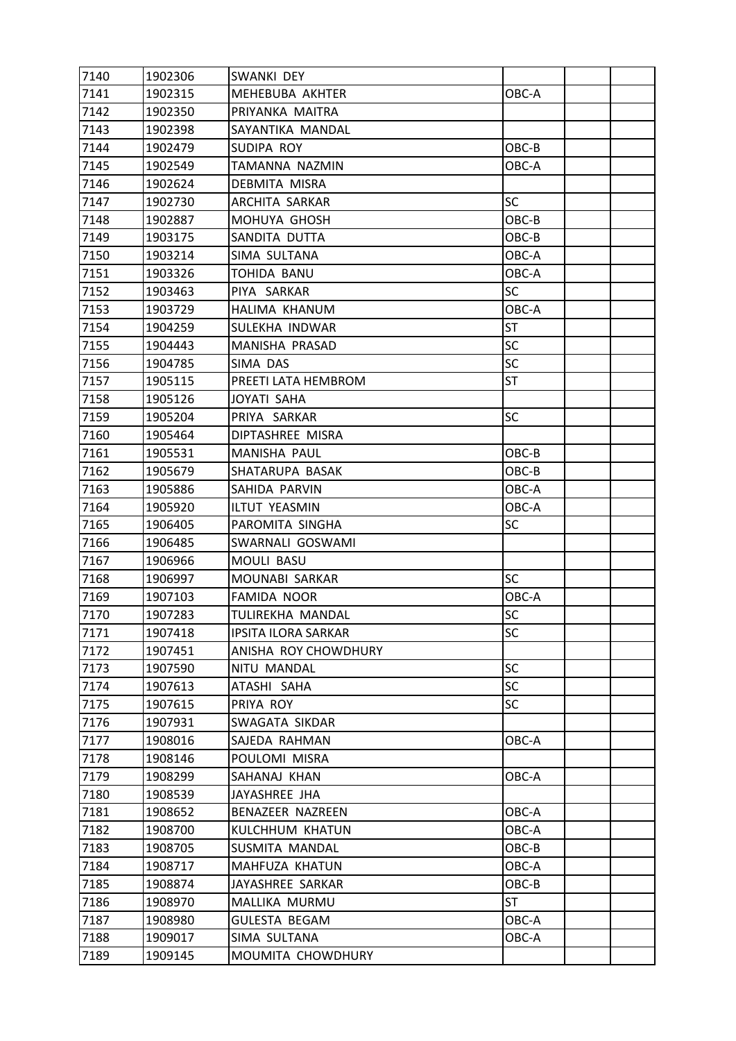| 7140 | 1902306 | SWANKI DEY                 |           |  |
|------|---------|----------------------------|-----------|--|
| 7141 | 1902315 | MEHEBUBA AKHTER            | OBC-A     |  |
| 7142 | 1902350 | PRIYANKA MAITRA            |           |  |
| 7143 | 1902398 | SAYANTIKA MANDAL           |           |  |
| 7144 | 1902479 | SUDIPA ROY                 | OBC-B     |  |
| 7145 | 1902549 | TAMANNA NAZMIN             | OBC-A     |  |
| 7146 | 1902624 | DEBMITA MISRA              |           |  |
| 7147 | 1902730 | ARCHITA SARKAR             | SC        |  |
| 7148 | 1902887 | MOHUYA GHOSH               | OBC-B     |  |
| 7149 | 1903175 | SANDITA DUTTA              | OBC-B     |  |
| 7150 | 1903214 | SIMA SULTANA               | OBC-A     |  |
| 7151 | 1903326 | TOHIDA BANU                | OBC-A     |  |
| 7152 | 1903463 | PIYA SARKAR                | SC        |  |
| 7153 | 1903729 | HALIMA KHANUM              | OBC-A     |  |
| 7154 | 1904259 | SULEKHA INDWAR             | <b>ST</b> |  |
| 7155 | 1904443 | MANISHA PRASAD             | <b>SC</b> |  |
| 7156 | 1904785 | SIMA DAS                   | <b>SC</b> |  |
| 7157 | 1905115 | PREETI LATA HEMBROM        | ST        |  |
| 7158 | 1905126 | <b>JOYATI SAHA</b>         |           |  |
| 7159 | 1905204 | PRIYA SARKAR               | <b>SC</b> |  |
| 7160 | 1905464 | DIPTASHREE MISRA           |           |  |
| 7161 | 1905531 | MANISHA PAUL               | OBC-B     |  |
| 7162 | 1905679 | SHATARUPA BASAK            | OBC-B     |  |
| 7163 | 1905886 | SAHIDA PARVIN              | OBC-A     |  |
| 7164 | 1905920 | ILTUT YEASMIN              | OBC-A     |  |
| 7165 | 1906405 | PAROMITA SINGHA            | SC        |  |
| 7166 | 1906485 | SWARNALI GOSWAMI           |           |  |
| 7167 | 1906966 | <b>MOULI BASU</b>          |           |  |
| 7168 | 1906997 | MOUNABI SARKAR             | <b>SC</b> |  |
| 7169 | 1907103 | <b>FAMIDA NOOR</b>         | OBC-A     |  |
| 7170 | 1907283 | TULIREKHA MANDAL           | <b>SC</b> |  |
| 7171 | 1907418 | <b>IPSITA ILORA SARKAR</b> | SC        |  |
| 7172 | 1907451 | ANISHA ROY CHOWDHURY       |           |  |
| 7173 | 1907590 | NITU MANDAL                | <b>SC</b> |  |
| 7174 | 1907613 | ATASHI SAHA                | <b>SC</b> |  |
| 7175 | 1907615 | PRIYA ROY                  | <b>SC</b> |  |
| 7176 | 1907931 | SWAGATA SIKDAR             |           |  |
| 7177 | 1908016 | SAJEDA RAHMAN              | OBC-A     |  |
| 7178 | 1908146 | POULOMI MISRA              |           |  |
| 7179 | 1908299 | SAHANAJ KHAN               | OBC-A     |  |
| 7180 | 1908539 | JAYASHREE JHA              |           |  |
| 7181 | 1908652 | BENAZEER NAZREEN           | OBC-A     |  |
| 7182 | 1908700 | KULCHHUM KHATUN            | OBC-A     |  |
| 7183 | 1908705 | SUSMITA MANDAL             | OBC-B     |  |
| 7184 | 1908717 | MAHFUZA KHATUN             | OBC-A     |  |
| 7185 | 1908874 | JAYASHREE SARKAR           | OBC-B     |  |
| 7186 | 1908970 | MALLIKA MURMU              | ST        |  |
| 7187 | 1908980 | <b>GULESTA BEGAM</b>       | OBC-A     |  |
| 7188 | 1909017 | SIMA SULTANA               | OBC-A     |  |
| 7189 | 1909145 | MOUMITA CHOWDHURY          |           |  |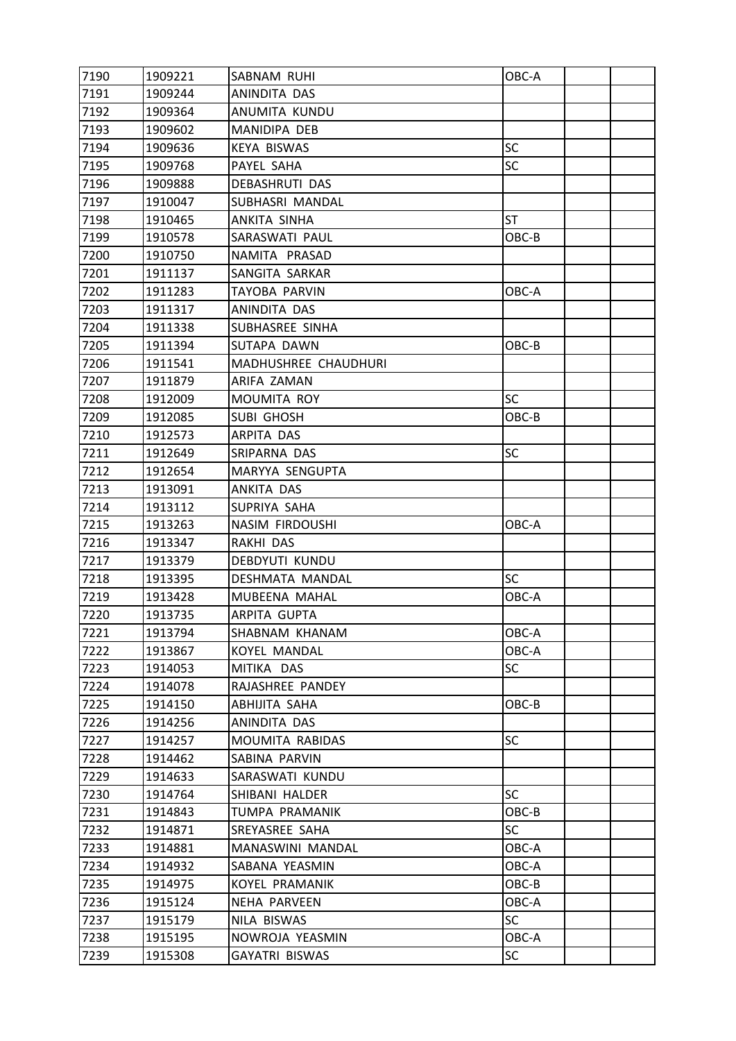| 7190 | 1909221 | SABNAM RUHI           | OBC-A     |  |
|------|---------|-----------------------|-----------|--|
| 7191 | 1909244 | ANINDITA DAS          |           |  |
| 7192 | 1909364 | ANUMITA KUNDU         |           |  |
| 7193 | 1909602 | MANIDIPA DEB          |           |  |
| 7194 | 1909636 | <b>KEYA BISWAS</b>    | <b>SC</b> |  |
| 7195 | 1909768 | PAYEL SAHA            | <b>SC</b> |  |
| 7196 | 1909888 | <b>DEBASHRUTI DAS</b> |           |  |
| 7197 | 1910047 | SUBHASRI MANDAL       |           |  |
| 7198 | 1910465 | ANKITA SINHA          | <b>ST</b> |  |
| 7199 | 1910578 | SARASWATI PAUL        | OBC-B     |  |
| 7200 | 1910750 | NAMITA PRASAD         |           |  |
| 7201 | 1911137 | SANGITA SARKAR        |           |  |
| 7202 | 1911283 | TAYOBA PARVIN         | OBC-A     |  |
| 7203 | 1911317 | ANINDITA DAS          |           |  |
| 7204 | 1911338 | SUBHASREE SINHA       |           |  |
| 7205 | 1911394 | SUTAPA DAWN           | OBC-B     |  |
| 7206 | 1911541 | MADHUSHREE CHAUDHURI  |           |  |
| 7207 | 1911879 | ARIFA ZAMAN           |           |  |
| 7208 | 1912009 | MOUMITA ROY           | <b>SC</b> |  |
| 7209 | 1912085 | <b>SUBI GHOSH</b>     | OBC-B     |  |
| 7210 | 1912573 | ARPITA DAS            |           |  |
| 7211 | 1912649 | SRIPARNA DAS          | <b>SC</b> |  |
| 7212 | 1912654 | MARYYA SENGUPTA       |           |  |
| 7213 | 1913091 | ANKITA DAS            |           |  |
| 7214 | 1913112 | SUPRIYA SAHA          |           |  |
| 7215 | 1913263 | NASIM FIRDOUSHI       | OBC-A     |  |
| 7216 | 1913347 | RAKHI DAS             |           |  |
| 7217 | 1913379 | DEBDYUTI KUNDU        |           |  |
| 7218 | 1913395 | DESHMATA MANDAL       | <b>SC</b> |  |
| 7219 | 1913428 | MUBEENA MAHAL         | OBC-A     |  |
| 7220 | 1913735 | <b>ARPITA GUPTA</b>   |           |  |
| 7221 | 1913794 | SHABNAM KHANAM        | OBC-A     |  |
| 7222 | 1913867 | <b>KOYEL MANDAL</b>   | OBC-A     |  |
| 7223 | 1914053 | MITIKA DAS            | <b>SC</b> |  |
| 7224 | 1914078 | RAJASHREE PANDEY      |           |  |
| 7225 | 1914150 | ABHIJITA SAHA         | OBC-B     |  |
| 7226 | 1914256 | ANINDITA DAS          |           |  |
| 7227 | 1914257 | MOUMITA RABIDAS       | SC        |  |
| 7228 | 1914462 | SABINA PARVIN         |           |  |
| 7229 | 1914633 | SARASWATI KUNDU       |           |  |
| 7230 | 1914764 | SHIBANI HALDER        | <b>SC</b> |  |
| 7231 | 1914843 | TUMPA PRAMANIK        | OBC-B     |  |
| 7232 | 1914871 | SREYASREE SAHA        | <b>SC</b> |  |
| 7233 | 1914881 | MANASWINI MANDAL      | OBC-A     |  |
| 7234 | 1914932 | SABANA YEASMIN        | OBC-A     |  |
| 7235 | 1914975 | <b>KOYEL PRAMANIK</b> | OBC-B     |  |
| 7236 | 1915124 | NEHA PARVEEN          | OBC-A     |  |
| 7237 | 1915179 | NILA BISWAS           | <b>SC</b> |  |
| 7238 | 1915195 | NOWROJA YEASMIN       | OBC-A     |  |
| 7239 | 1915308 | <b>GAYATRI BISWAS</b> | <b>SC</b> |  |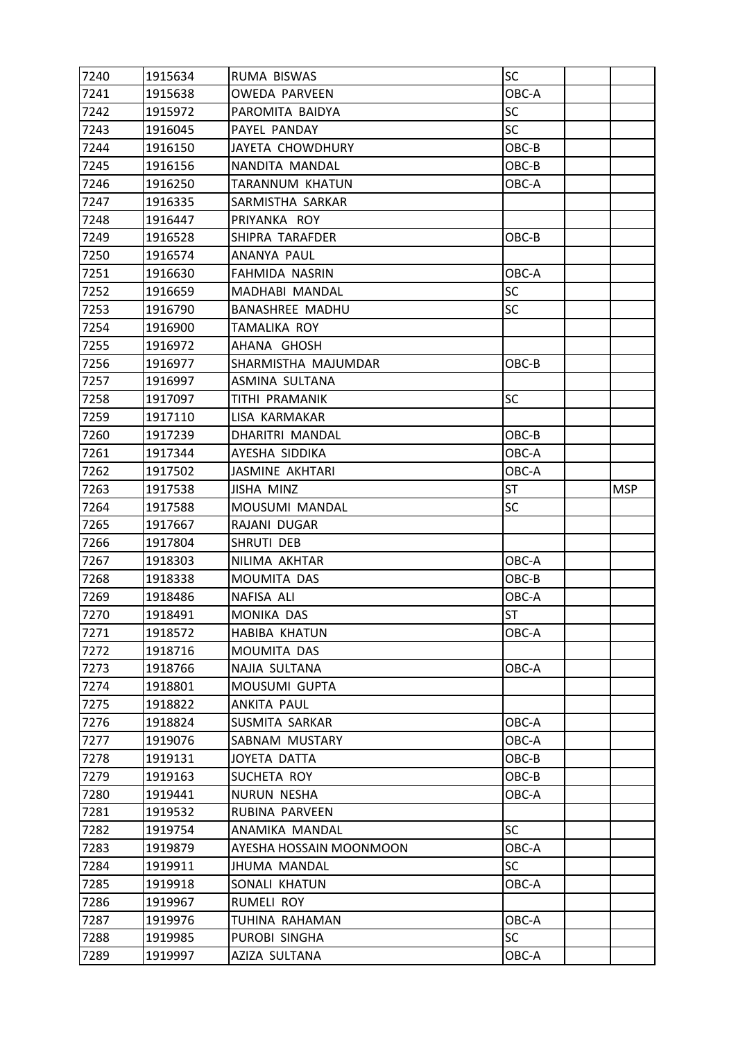| 7240         | 1915634 | RUMA BISWAS                    | SC                 |            |
|--------------|---------|--------------------------------|--------------------|------------|
| 7241         | 1915638 | <b>OWEDA PARVEEN</b>           | OBC-A              |            |
| 7242         | 1915972 | PAROMITA BAIDYA                | <b>SC</b>          |            |
| 7243         | 1916045 | PAYEL PANDAY                   | <b>SC</b>          |            |
| 7244         | 1916150 | JAYETA CHOWDHURY               | OBC-B              |            |
| 7245         | 1916156 | NANDITA MANDAL                 | OBC-B              |            |
| 7246         | 1916250 | TARANNUM KHATUN                | OBC-A              |            |
| 7247         | 1916335 | SARMISTHA SARKAR               |                    |            |
| 7248         | 1916447 | PRIYANKA ROY                   |                    |            |
| 7249         | 1916528 | SHIPRA TARAFDER                | OBC-B              |            |
| 7250         | 1916574 | ANANYA PAUL                    |                    |            |
| 7251         | 1916630 | FAHMIDA NASRIN                 | OBC-A              |            |
| 7252         | 1916659 | MADHABI MANDAL                 | <b>SC</b>          |            |
| 7253         | 1916790 | <b>BANASHREE MADHU</b>         | SC                 |            |
| 7254         | 1916900 | TAMALIKA ROY                   |                    |            |
| 7255         | 1916972 | AHANA GHOSH                    |                    |            |
| 7256         | 1916977 | SHARMISTHA MAJUMDAR            | OBC-B              |            |
| 7257         | 1916997 | ASMINA SULTANA                 |                    |            |
| 7258         | 1917097 | TITHI PRAMANIK                 | <b>SC</b>          |            |
| 7259         | 1917110 | LISA KARMAKAR                  |                    |            |
| 7260         | 1917239 | DHARITRI MANDAL                | OBC-B              |            |
| 7261         | 1917344 | AYESHA SIDDIKA                 | OBC-A              |            |
| 7262         | 1917502 | <b>JASMINE AKHTARI</b>         | OBC-A              |            |
| 7263         | 1917538 | <b>JISHA MINZ</b>              | <b>ST</b>          | <b>MSP</b> |
| 7264         | 1917588 | MOUSUMI MANDAL                 | SC                 |            |
|              |         | RAJANI DUGAR                   |                    |            |
| 7265         | 1917667 |                                |                    |            |
| 7266         | 1917804 | SHRUTI DEB                     |                    |            |
| 7267         | 1918303 | NILIMA AKHTAR                  | OBC-A              |            |
| 7268         | 1918338 | MOUMITA DAS                    | OBC-B              |            |
| 7269         | 1918486 | NAFISA ALI                     | OBC-A              |            |
| 7270         | 1918491 | MONIKA DAS                     | ST                 |            |
| 7271         | 1918572 | <b>HABIBA KHATUN</b>           | OBC-A              |            |
| 7272         | 1918716 | MOUMITA DAS                    |                    |            |
| 7273         | 1918766 | NAJIA SULTANA                  | OBC-A              |            |
| 7274         | 1918801 | MOUSUMI GUPTA                  |                    |            |
| 7275         | 1918822 | ANKITA PAUL                    |                    |            |
| 7276         | 1918824 | SUSMITA SARKAR                 | OBC-A              |            |
| 7277         | 1919076 | SABNAM MUSTARY                 | OBC-A              |            |
| 7278         | 1919131 | JOYETA DATTA                   | OBC-B              |            |
| 7279         | 1919163 | SUCHETA ROY                    | OBC-B              |            |
| 7280         | 1919441 | <b>NURUN NESHA</b>             | OBC-A              |            |
| 7281         | 1919532 | RUBINA PARVEEN                 |                    |            |
| 7282         | 1919754 | ANAMIKA MANDAL                 | <b>SC</b>          |            |
| 7283         | 1919879 | AYESHA HOSSAIN MOONMOON        | OBC-A              |            |
| 7284         | 1919911 | JHUMA MANDAL                   | SC                 |            |
| 7285         | 1919918 | SONALI KHATUN                  | OBC-A              |            |
| 7286         | 1919967 | RUMELI ROY                     |                    |            |
| 7287         | 1919976 | TUHINA RAHAMAN                 | OBC-A              |            |
| 7288<br>7289 | 1919985 | PUROBI SINGHA<br>AZIZA SULTANA | <b>SC</b><br>OBC-A |            |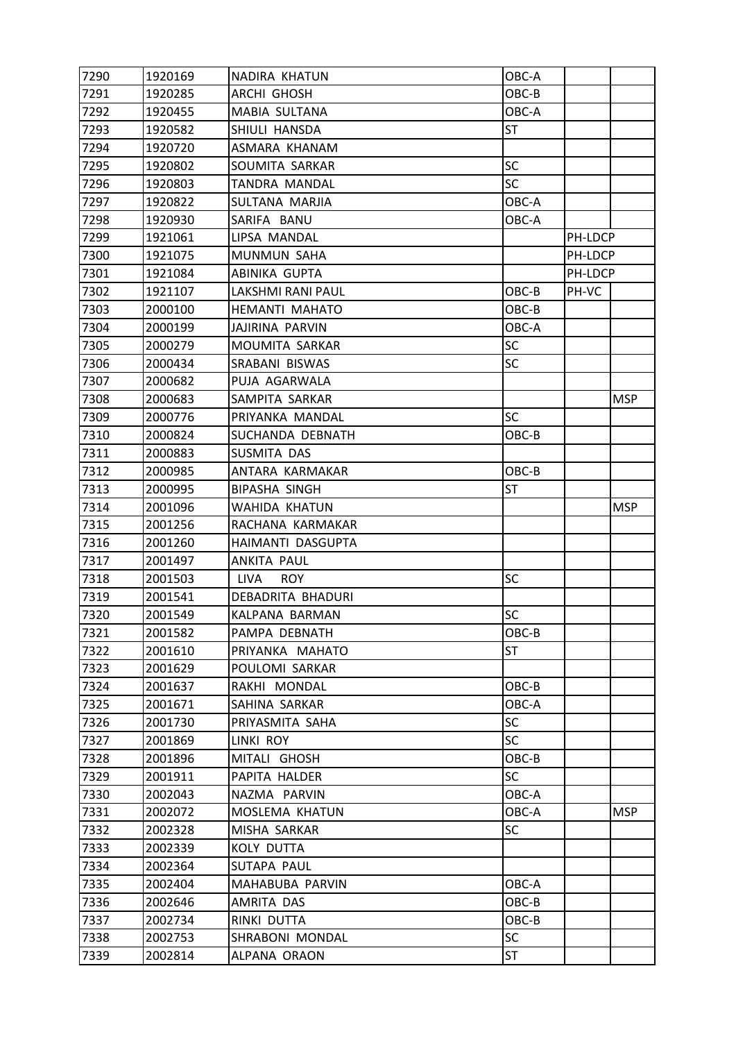| 7290 | 1920169 | NADIRA KHATUN             | OBC-A     |         |            |
|------|---------|---------------------------|-----------|---------|------------|
| 7291 | 1920285 | ARCHI GHOSH               | OBC-B     |         |            |
| 7292 | 1920455 | MABIA SULTANA             | OBC-A     |         |            |
| 7293 | 1920582 | SHIULI HANSDA             | ST        |         |            |
| 7294 | 1920720 | ASMARA KHANAM             |           |         |            |
| 7295 | 1920802 | SOUMITA SARKAR            | SC        |         |            |
| 7296 | 1920803 | TANDRA MANDAL             | <b>SC</b> |         |            |
| 7297 | 1920822 | SULTANA MARJIA            | OBC-A     |         |            |
| 7298 | 1920930 | SARIFA BANU               | OBC-A     |         |            |
| 7299 | 1921061 | LIPSA MANDAL              |           | PH-LDCP |            |
| 7300 | 1921075 | MUNMUN SAHA               |           | PH-LDCP |            |
| 7301 | 1921084 | ABINIKA GUPTA             |           | PH-LDCP |            |
| 7302 | 1921107 | LAKSHMI RANI PAUL         | OBC-B     | PH-VC   |            |
| 7303 | 2000100 | HEMANTI MAHATO            | OBC-B     |         |            |
| 7304 | 2000199 | JAJIRINA PARVIN           | OBC-A     |         |            |
| 7305 | 2000279 | MOUMITA SARKAR            | SC        |         |            |
| 7306 | 2000434 | SRABANI BISWAS            | <b>SC</b> |         |            |
| 7307 | 2000682 | PUJA AGARWALA             |           |         |            |
| 7308 | 2000683 | SAMPITA SARKAR            |           |         | <b>MSP</b> |
| 7309 | 2000776 | PRIYANKA MANDAL           | <b>SC</b> |         |            |
| 7310 | 2000824 | SUCHANDA DEBNATH          | OBC-B     |         |            |
| 7311 | 2000883 | SUSMITA DAS               |           |         |            |
| 7312 | 2000985 | ANTARA KARMAKAR           | OBC-B     |         |            |
| 7313 | 2000995 | <b>BIPASHA SINGH</b>      | ST        |         |            |
| 7314 | 2001096 | WAHIDA KHATUN             |           |         | <b>MSP</b> |
| 7315 | 2001256 | RACHANA KARMAKAR          |           |         |            |
| 7316 | 2001260 | HAIMANTI DASGUPTA         |           |         |            |
| 7317 | 2001497 | ANKITA PAUL               |           |         |            |
| 7318 | 2001503 | <b>LIVA</b><br><b>ROY</b> | <b>SC</b> |         |            |
| 7319 | 2001541 | DEBADRITA BHADURI         |           |         |            |
| 7320 | 2001549 | KALPANA BARMAN            | <b>SC</b> |         |            |
| 7321 | 2001582 | PAMPA DEBNATH             | OBC-B     |         |            |
| 7322 | 2001610 | PRIYANKA MAHATO           | <b>ST</b> |         |            |
| 7323 | 2001629 | POULOMI SARKAR            |           |         |            |
| 7324 | 2001637 | RAKHI MONDAL              | OBC-B     |         |            |
| 7325 | 2001671 | SAHINA SARKAR             | OBC-A     |         |            |
| 7326 | 2001730 | PRIYASMITA SAHA           | SC        |         |            |
| 7327 | 2001869 | LINKI ROY                 | <b>SC</b> |         |            |
| 7328 | 2001896 | MITALI GHOSH              | OBC-B     |         |            |
| 7329 | 2001911 | PAPITA HALDER             | <b>SC</b> |         |            |
| 7330 | 2002043 | NAZMA PARVIN              | OBC-A     |         |            |
| 7331 | 2002072 | MOSLEMA KHATUN            | OBC-A     |         | <b>MSP</b> |
| 7332 | 2002328 | MISHA SARKAR              | <b>SC</b> |         |            |
| 7333 | 2002339 | <b>KOLY DUTTA</b>         |           |         |            |
| 7334 | 2002364 | SUTAPA PAUL               |           |         |            |
| 7335 | 2002404 | MAHABUBA PARVIN           | OBC-A     |         |            |
| 7336 | 2002646 | AMRITA DAS                | OBC-B     |         |            |
| 7337 | 2002734 | RINKI DUTTA               | OBC-B     |         |            |
| 7338 | 2002753 | SHRABONI MONDAL           | <b>SC</b> |         |            |
| 7339 | 2002814 | ALPANA ORAON              | ST        |         |            |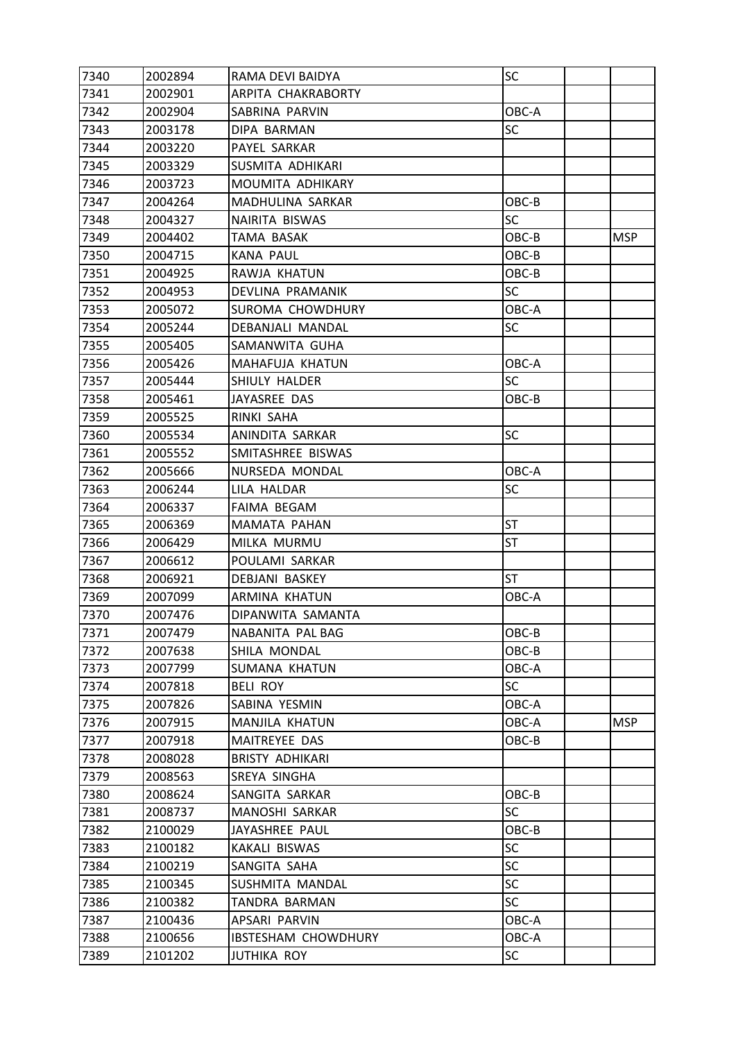| 7340 | 2002894 | RAMA DEVI BAIDYA           | SC        |            |
|------|---------|----------------------------|-----------|------------|
| 7341 | 2002901 | ARPITA CHAKRABORTY         |           |            |
| 7342 | 2002904 | SABRINA PARVIN             | OBC-A     |            |
| 7343 | 2003178 | DIPA BARMAN                | SC        |            |
| 7344 | 2003220 | PAYEL SARKAR               |           |            |
| 7345 | 2003329 | SUSMITA ADHIKARI           |           |            |
| 7346 | 2003723 | MOUMITA ADHIKARY           |           |            |
| 7347 | 2004264 | MADHULINA SARKAR           | OBC-B     |            |
| 7348 | 2004327 | NAIRITA BISWAS             | <b>SC</b> |            |
| 7349 | 2004402 | TAMA BASAK                 | OBC-B     | <b>MSP</b> |
| 7350 | 2004715 | KANA PAUL                  | OBC-B     |            |
| 7351 | 2004925 | RAWJA KHATUN               | OBC-B     |            |
| 7352 | 2004953 | DEVLINA PRAMANIK           | <b>SC</b> |            |
| 7353 | 2005072 | SUROMA CHOWDHURY           | OBC-A     |            |
| 7354 | 2005244 | DEBANJALI MANDAL           | SC        |            |
| 7355 | 2005405 | SAMANWITA GUHA             |           |            |
| 7356 | 2005426 | MAHAFUJA KHATUN            | OBC-A     |            |
| 7357 | 2005444 | SHIULY HALDER              | SC        |            |
| 7358 | 2005461 | JAYASREE DAS               | OBC-B     |            |
| 7359 | 2005525 | RINKI SAHA                 |           |            |
| 7360 | 2005534 | ANINDITA SARKAR            | SC        |            |
| 7361 | 2005552 | SMITASHREE BISWAS          |           |            |
| 7362 | 2005666 | NURSEDA MONDAL             | OBC-A     |            |
| 7363 | 2006244 | LILA HALDAR                | SC        |            |
| 7364 | 2006337 | FAIMA BEGAM                |           |            |
| 7365 | 2006369 | MAMATA PAHAN               | ST        |            |
| 7366 | 2006429 | MILKA MURMU                | ST        |            |
| 7367 | 2006612 | POULAMI SARKAR             |           |            |
| 7368 | 2006921 | DEBJANI BASKEY             | <b>ST</b> |            |
| 7369 | 2007099 | ARMINA KHATUN              | OBC-A     |            |
| 7370 | 2007476 | DIPANWITA SAMANTA          |           |            |
| 7371 | 2007479 | NABANITA PAL BAG           | OBC-B     |            |
| 7372 | 2007638 | SHILA MONDAL               | OBC-B     |            |
| 7373 | 2007799 | <b>SUMANA KHATUN</b>       | OBC-A     |            |
| 7374 | 2007818 | <b>BELI ROY</b>            | <b>SC</b> |            |
| 7375 | 2007826 | SABINA YESMIN              | OBC-A     |            |
| 7376 | 2007915 | MANJILA KHATUN             | OBC-A     | <b>MSP</b> |
| 7377 | 2007918 | MAITREYEE DAS              | OBC-B     |            |
| 7378 | 2008028 | <b>BRISTY ADHIKARI</b>     |           |            |
| 7379 | 2008563 | SREYA SINGHA               |           |            |
| 7380 | 2008624 | SANGITA SARKAR             | OBC-B     |            |
| 7381 | 2008737 | MANOSHI SARKAR             | SC        |            |
| 7382 | 2100029 | JAYASHREE PAUL             | OBC-B     |            |
| 7383 | 2100182 | KAKALI BISWAS              | <b>SC</b> |            |
| 7384 | 2100219 | SANGITA SAHA               | <b>SC</b> |            |
| 7385 | 2100345 | SUSHMITA MANDAL            | <b>SC</b> |            |
| 7386 | 2100382 | TANDRA BARMAN              | <b>SC</b> |            |
| 7387 | 2100436 | APSARI PARVIN              | OBC-A     |            |
| 7388 | 2100656 | <b>IBSTESHAM CHOWDHURY</b> | OBC-A     |            |
| 7389 | 2101202 | <b>JUTHIKA ROY</b>         | <b>SC</b> |            |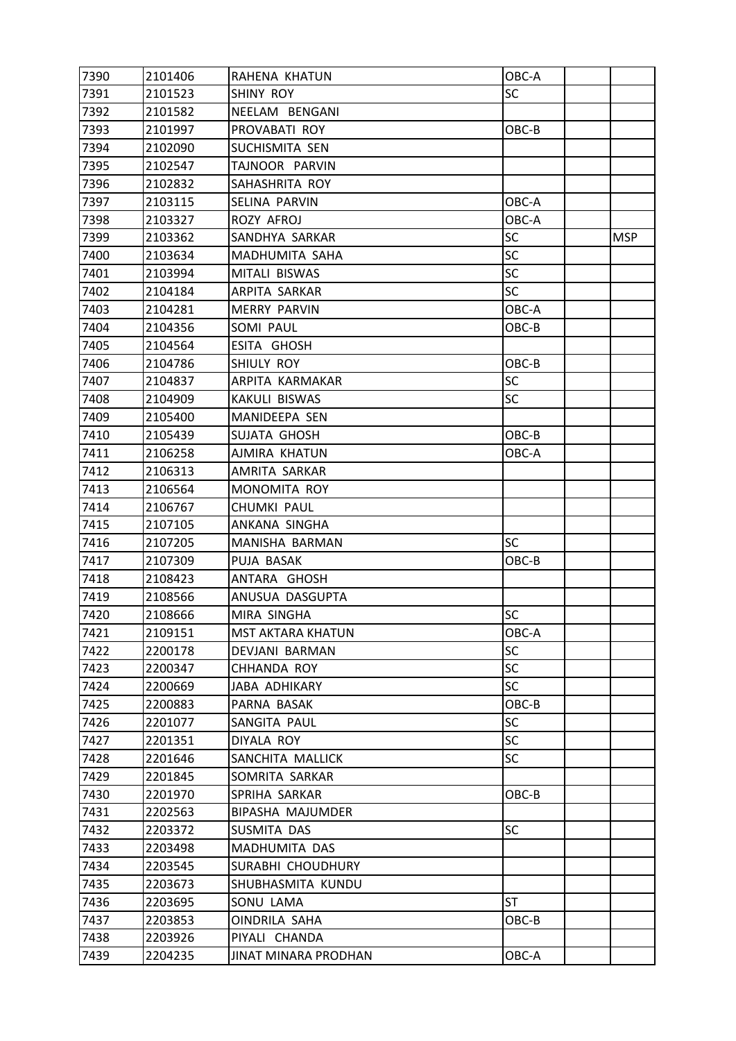| 7390 | 2101406 | RAHENA KHATUN        | OBC-A     |     |
|------|---------|----------------------|-----------|-----|
| 7391 | 2101523 | SHINY ROY            | <b>SC</b> |     |
| 7392 | 2101582 | NEELAM BENGANI       |           |     |
| 7393 | 2101997 | PROVABATI ROY        | OBC-B     |     |
| 7394 | 2102090 | SUCHISMITA SEN       |           |     |
| 7395 | 2102547 | TAJNOOR PARVIN       |           |     |
| 7396 | 2102832 | SAHASHRITA ROY       |           |     |
| 7397 | 2103115 | SELINA PARVIN        | OBC-A     |     |
| 7398 | 2103327 | ROZY AFROJ           | OBC-A     |     |
| 7399 | 2103362 | SANDHYA SARKAR       | <b>SC</b> | MSP |
| 7400 | 2103634 | MADHUMITA SAHA       | <b>SC</b> |     |
| 7401 | 2103994 | MITALI BISWAS        | <b>SC</b> |     |
| 7402 | 2104184 | ARPITA SARKAR        | <b>SC</b> |     |
| 7403 | 2104281 | <b>MERRY PARVIN</b>  | OBC-A     |     |
| 7404 | 2104356 | SOMI PAUL            | OBC-B     |     |
| 7405 | 2104564 | ESITA GHOSH          |           |     |
| 7406 | 2104786 | SHIULY ROY           | OBC-B     |     |
| 7407 | 2104837 | ARPITA KARMAKAR      | <b>SC</b> |     |
| 7408 | 2104909 | KAKULI BISWAS        | <b>SC</b> |     |
| 7409 | 2105400 | MANIDEEPA SEN        |           |     |
| 7410 | 2105439 | SUJATA GHOSH         | OBC-B     |     |
| 7411 | 2106258 | AJMIRA KHATUN        | OBC-A     |     |
| 7412 | 2106313 | AMRITA SARKAR        |           |     |
| 7413 | 2106564 | MONOMITA ROY         |           |     |
| 7414 | 2106767 | CHUMKI PAUL          |           |     |
| 7415 | 2107105 | ANKANA SINGHA        |           |     |
| 7416 | 2107205 | MANISHA BARMAN       | <b>SC</b> |     |
| 7417 | 2107309 | PUJA BASAK           | OBC-B     |     |
| 7418 | 2108423 | ANTARA GHOSH         |           |     |
| 7419 | 2108566 | ANUSUA DASGUPTA      |           |     |
| 7420 | 2108666 | MIRA SINGHA          | <b>SC</b> |     |
| 7421 | 2109151 | MST AKTARA KHATUN    | OBC-A     |     |
| 7422 | 2200178 | DEVJANI BARMAN       | <b>SC</b> |     |
| 7423 | 2200347 | CHHANDA ROY          | <b>SC</b> |     |
| 7424 | 2200669 | <b>JABA ADHIKARY</b> | <b>SC</b> |     |
| 7425 | 2200883 | PARNA BASAK          | OBC-B     |     |
| 7426 | 2201077 | SANGITA PAUL         | <b>SC</b> |     |
| 7427 | 2201351 | DIYALA ROY           | <b>SC</b> |     |
| 7428 | 2201646 | SANCHITA MALLICK     | <b>SC</b> |     |
| 7429 | 2201845 | SOMRITA SARKAR       |           |     |
| 7430 | 2201970 | SPRIHA SARKAR        | OBC-B     |     |
| 7431 | 2202563 | BIPASHA MAJUMDER     |           |     |
| 7432 | 2203372 | SUSMITA DAS          | <b>SC</b> |     |
| 7433 | 2203498 | MADHUMITA DAS        |           |     |
| 7434 | 2203545 | SURABHI CHOUDHURY    |           |     |
| 7435 | 2203673 | SHUBHASMITA KUNDU    |           |     |
| 7436 | 2203695 | SONU LAMA            | <b>ST</b> |     |
| 7437 | 2203853 | OINDRILA SAHA        | OBC-B     |     |
| 7438 | 2203926 | PIYALI CHANDA        |           |     |
| 7439 | 2204235 | JINAT MINARA PRODHAN | OBC-A     |     |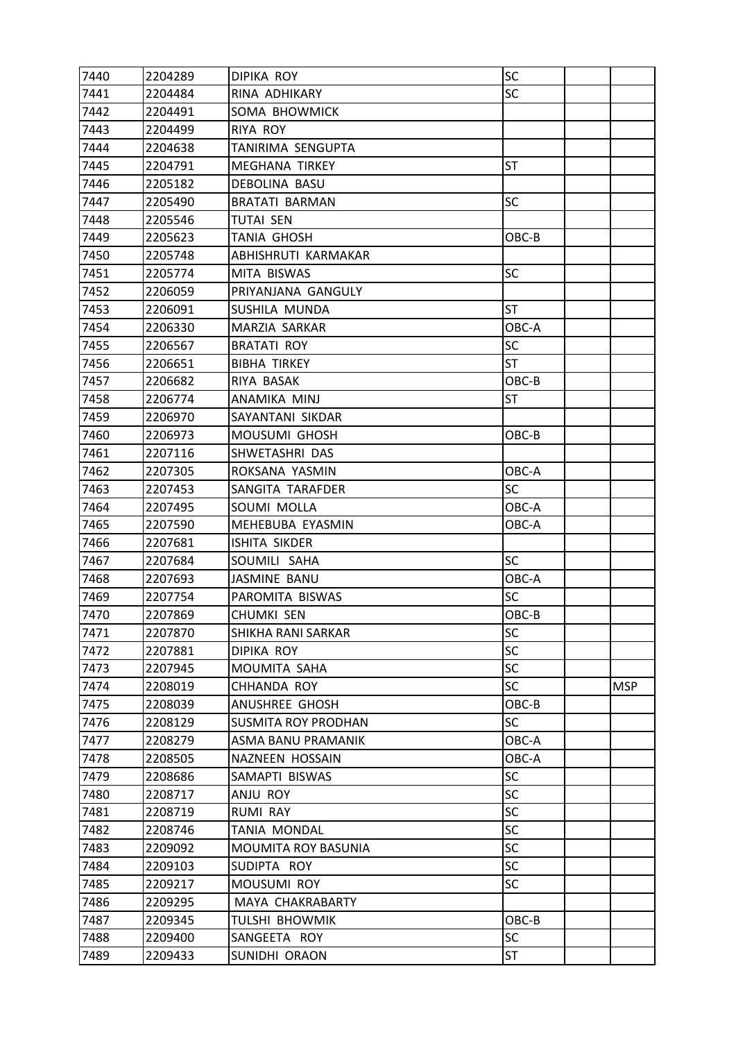| 7440 | 2204289 | DIPIKA ROY                 | SC        |     |
|------|---------|----------------------------|-----------|-----|
| 7441 | 2204484 | RINA ADHIKARY              | <b>SC</b> |     |
| 7442 | 2204491 | SOMA BHOWMICK              |           |     |
| 7443 | 2204499 | <b>RIYA ROY</b>            |           |     |
| 7444 | 2204638 | TANIRIMA SENGUPTA          |           |     |
| 7445 | 2204791 | <b>MEGHANA TIRKEY</b>      | ST        |     |
| 7446 | 2205182 | DEBOLINA BASU              |           |     |
| 7447 | 2205490 | BRATATI BARMAN             | <b>SC</b> |     |
| 7448 | 2205546 | <b>TUTAI SEN</b>           |           |     |
| 7449 | 2205623 | TANIA GHOSH                | OBC-B     |     |
| 7450 | 2205748 | ABHISHRUTI KARMAKAR        |           |     |
| 7451 | 2205774 | MITA BISWAS                | <b>SC</b> |     |
| 7452 | 2206059 | PRIYANJANA GANGULY         |           |     |
| 7453 | 2206091 | SUSHILA MUNDA              | <b>ST</b> |     |
| 7454 | 2206330 | MARZIA SARKAR              | OBC-A     |     |
| 7455 | 2206567 | <b>BRATATI ROY</b>         | <b>SC</b> |     |
| 7456 | 2206651 | <b>BIBHA TIRKEY</b>        | <b>ST</b> |     |
| 7457 | 2206682 | RIYA BASAK                 | OBC-B     |     |
| 7458 | 2206774 | ANAMIKA MINJ               | <b>ST</b> |     |
| 7459 | 2206970 | SAYANTANI SIKDAR           |           |     |
| 7460 | 2206973 | MOUSUMI GHOSH              | OBC-B     |     |
| 7461 | 2207116 | SHWETASHRI DAS             |           |     |
| 7462 | 2207305 | ROKSANA YASMIN             | OBC-A     |     |
| 7463 | 2207453 | SANGITA TARAFDER           | <b>SC</b> |     |
| 7464 | 2207495 | SOUMI MOLLA                | OBC-A     |     |
| 7465 | 2207590 | MEHEBUBA EYASMIN           | OBC-A     |     |
| 7466 | 2207681 | ISHITA SIKDER              |           |     |
| 7467 | 2207684 | SOUMILI SAHA               | SC.       |     |
| 7468 | 2207693 | <b>JASMINE BANU</b>        | OBC-A     |     |
| 7469 | 2207754 | PAROMITA BISWAS            | SC        |     |
| 7470 | 2207869 | CHUMKI SEN                 | OBC-B     |     |
| 7471 | 2207870 | SHIKHA RANI SARKAR         | SC        |     |
| 7472 | 2207881 | DIPIKA ROY                 | <b>SC</b> |     |
| 7473 | 2207945 | MOUMITA SAHA               | <b>SC</b> |     |
| 7474 | 2208019 | CHHANDA ROY                | <b>SC</b> | MSP |
| 7475 | 2208039 | ANUSHREE GHOSH             | OBC-B     |     |
| 7476 | 2208129 | <b>SUSMITA ROY PRODHAN</b> | <b>SC</b> |     |
| 7477 | 2208279 | ASMA BANU PRAMANIK         | OBC-A     |     |
| 7478 | 2208505 | NAZNEEN HOSSAIN            | OBC-A     |     |
| 7479 | 2208686 | SAMAPTI BISWAS             | <b>SC</b> |     |
| 7480 | 2208717 | ANJU ROY                   | <b>SC</b> |     |
| 7481 | 2208719 | RUMI RAY                   | <b>SC</b> |     |
| 7482 | 2208746 | <b>TANIA MONDAL</b>        | <b>SC</b> |     |
| 7483 | 2209092 | <b>MOUMITA ROY BASUNIA</b> | <b>SC</b> |     |
| 7484 | 2209103 | SUDIPTA ROY                | <b>SC</b> |     |
| 7485 | 2209217 | MOUSUMI ROY                | <b>SC</b> |     |
| 7486 | 2209295 | MAYA CHAKRABARTY           |           |     |
| 7487 | 2209345 | TULSHI BHOWMIK             | OBC-B     |     |
| 7488 | 2209400 | SANGEETA ROY               | <b>SC</b> |     |
| 7489 | 2209433 | SUNIDHI ORAON              | ST        |     |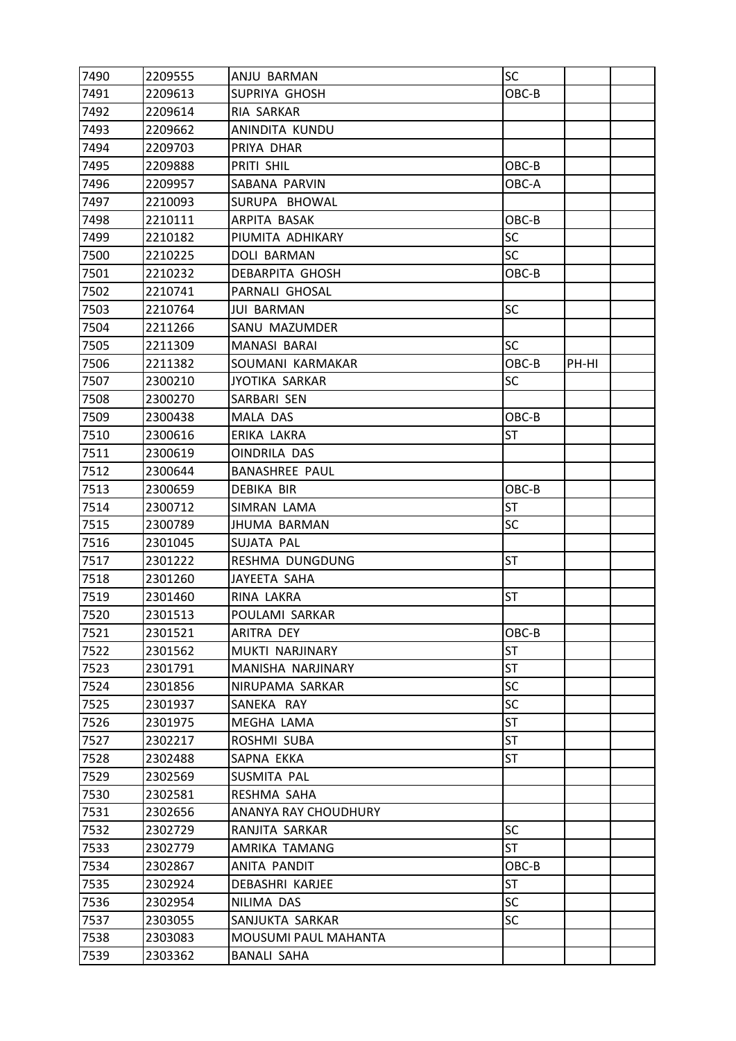| 7490 | 2209555 | ANJU BARMAN           | SC        |       |  |
|------|---------|-----------------------|-----------|-------|--|
| 7491 | 2209613 | SUPRIYA GHOSH         | OBC-B     |       |  |
| 7492 | 2209614 | RIA SARKAR            |           |       |  |
| 7493 | 2209662 | ANINDITA KUNDU        |           |       |  |
| 7494 | 2209703 | PRIYA DHAR            |           |       |  |
| 7495 | 2209888 | PRITI SHIL            | OBC-B     |       |  |
| 7496 | 2209957 | SABANA PARVIN         | OBC-A     |       |  |
| 7497 | 2210093 | SURUPA BHOWAL         |           |       |  |
| 7498 | 2210111 | ARPITA BASAK          | OBC-B     |       |  |
| 7499 | 2210182 | PIUMITA ADHIKARY      | <b>SC</b> |       |  |
| 7500 | 2210225 | DOLI BARMAN           | <b>SC</b> |       |  |
| 7501 | 2210232 | DEBARPITA GHOSH       | OBC-B     |       |  |
| 7502 | 2210741 | PARNALI GHOSAL        |           |       |  |
| 7503 | 2210764 | <b>JUI BARMAN</b>     | SC        |       |  |
| 7504 | 2211266 | SANU MAZUMDER         |           |       |  |
| 7505 | 2211309 | MANASI BARAI          | <b>SC</b> |       |  |
| 7506 | 2211382 | SOUMANI KARMAKAR      | OBC-B     | PH-HI |  |
| 7507 | 2300210 | <b>JYOTIKA SARKAR</b> | SC        |       |  |
| 7508 | 2300270 | SARBARI SEN           |           |       |  |
| 7509 | 2300438 | <b>MALA DAS</b>       | OBC-B     |       |  |
| 7510 | 2300616 | ERIKA LAKRA           | <b>ST</b> |       |  |
| 7511 | 2300619 | OINDRILA DAS          |           |       |  |
| 7512 | 2300644 | <b>BANASHREE PAUL</b> |           |       |  |
| 7513 | 2300659 | <b>DEBIKA BIR</b>     | OBC-B     |       |  |
| 7514 | 2300712 | SIMRAN LAMA           | ST        |       |  |
| 7515 | 2300789 | <b>JHUMA BARMAN</b>   | <b>SC</b> |       |  |
| 7516 | 2301045 | SUJATA PAL            |           |       |  |
| 7517 | 2301222 | RESHMA DUNGDUNG       | ST        |       |  |
| 7518 | 2301260 | JAYEETA SAHA          |           |       |  |
| 7519 | 2301460 | RINA LAKRA            | ST        |       |  |
| 7520 | 2301513 | POULAMI SARKAR        |           |       |  |
| 7521 | 2301521 | ARITRA DEY            | OBC-B     |       |  |
| 7522 | 2301562 | MUKTI NARJINARY       | <b>ST</b> |       |  |
| 7523 | 2301791 | MANISHA NARJINARY     | <b>ST</b> |       |  |
| 7524 | 2301856 | NIRUPAMA SARKAR       | <b>SC</b> |       |  |
| 7525 | 2301937 | SANEKA RAY            | <b>SC</b> |       |  |
| 7526 | 2301975 | MEGHA LAMA            | ST        |       |  |
| 7527 | 2302217 | ROSHMI SUBA           | ST        |       |  |
| 7528 | 2302488 | SAPNA EKKA            | ST        |       |  |
| 7529 | 2302569 | SUSMITA PAL           |           |       |  |
| 7530 | 2302581 | RESHMA SAHA           |           |       |  |
| 7531 | 2302656 | ANANYA RAY CHOUDHURY  |           |       |  |
| 7532 | 2302729 | RANJITA SARKAR        | <b>SC</b> |       |  |
| 7533 | 2302779 | AMRIKA TAMANG         | ST        |       |  |
| 7534 | 2302867 | ANITA PANDIT          | OBC-B     |       |  |
| 7535 | 2302924 | DEBASHRI KARJEE       | <b>ST</b> |       |  |
| 7536 | 2302954 | NILIMA DAS            | SC        |       |  |
| 7537 | 2303055 | SANJUKTA SARKAR       | <b>SC</b> |       |  |
| 7538 | 2303083 | MOUSUMI PAUL MAHANTA  |           |       |  |
| 7539 | 2303362 | <b>BANALI SAHA</b>    |           |       |  |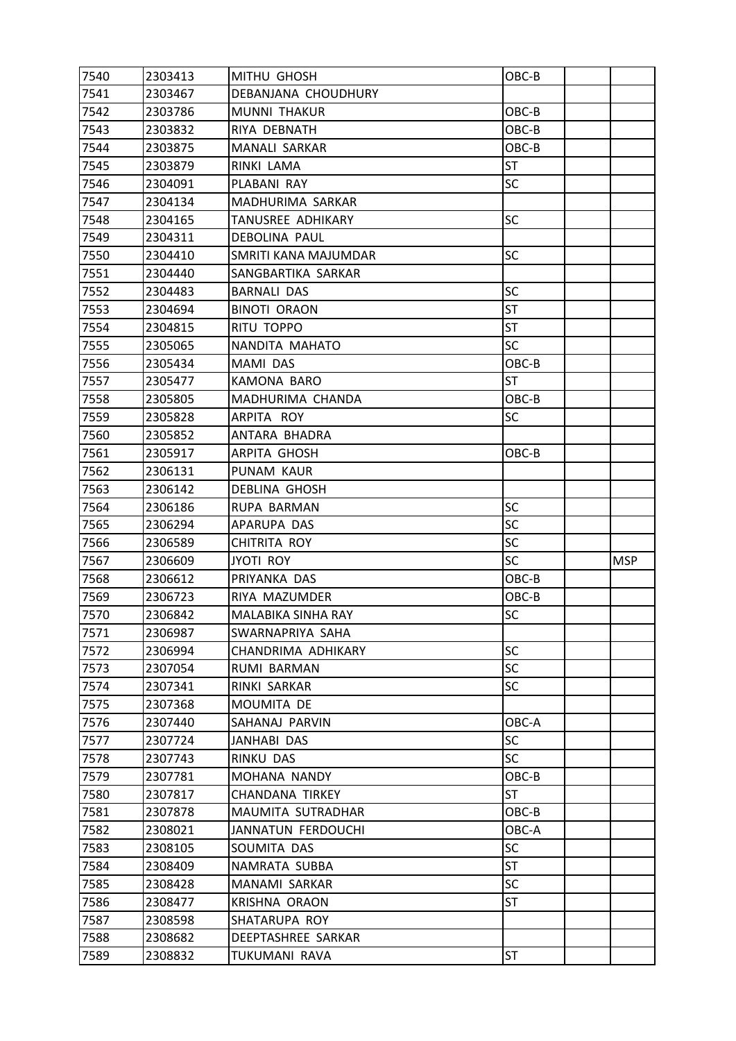| 7540 | 2303413 | MITHU GHOSH          | OBC-B     |            |
|------|---------|----------------------|-----------|------------|
| 7541 | 2303467 | DEBANJANA CHOUDHURY  |           |            |
| 7542 | 2303786 | MUNNI THAKUR         | OBC-B     |            |
| 7543 | 2303832 | RIYA DEBNATH         | OBC-B     |            |
| 7544 | 2303875 | <b>MANALI SARKAR</b> | OBC-B     |            |
| 7545 | 2303879 | RINKI LAMA           | <b>ST</b> |            |
| 7546 | 2304091 | PLABANI RAY          | <b>SC</b> |            |
| 7547 | 2304134 | MADHURIMA SARKAR     |           |            |
| 7548 | 2304165 | TANUSREE ADHIKARY    | <b>SC</b> |            |
| 7549 | 2304311 | <b>DEBOLINA PAUL</b> |           |            |
| 7550 | 2304410 | SMRITI KANA MAJUMDAR | SC        |            |
| 7551 | 2304440 | SANGBARTIKA SARKAR   |           |            |
| 7552 | 2304483 | <b>BARNALI DAS</b>   | <b>SC</b> |            |
| 7553 | 2304694 | <b>BINOTI ORAON</b>  | <b>ST</b> |            |
| 7554 | 2304815 | RITU TOPPO           | <b>ST</b> |            |
| 7555 | 2305065 | NANDITA MAHATO       | <b>SC</b> |            |
| 7556 | 2305434 | MAMI DAS             | OBC-B     |            |
| 7557 | 2305477 | KAMONA BARO          | <b>ST</b> |            |
| 7558 | 2305805 | MADHURIMA CHANDA     | OBC-B     |            |
| 7559 | 2305828 | ARPITA ROY           | SC        |            |
| 7560 | 2305852 | ANTARA BHADRA        |           |            |
| 7561 | 2305917 | ARPITA GHOSH         | OBC-B     |            |
| 7562 | 2306131 | PUNAM KAUR           |           |            |
| 7563 | 2306142 | <b>DEBLINA GHOSH</b> |           |            |
| 7564 | 2306186 | RUPA BARMAN          | <b>SC</b> |            |
| 7565 | 2306294 | APARUPA DAS          | <b>SC</b> |            |
| 7566 | 2306589 | CHITRITA ROY         | SC        |            |
| 7567 | 2306609 | <b>JYOTI ROY</b>     | <b>SC</b> | <b>MSP</b> |
| 7568 | 2306612 | PRIYANKA DAS         | OBC-B     |            |
| 7569 | 2306723 | RIYA MAZUMDER        | OBC-B     |            |
| 7570 | 2306842 | MALABIKA SINHA RAY   | SC        |            |
| 7571 | 2306987 | SWARNAPRIYA SAHA     |           |            |
| 7572 | 2306994 | CHANDRIMA ADHIKARY   | <b>SC</b> |            |
| 7573 | 2307054 | RUMI BARMAN          | <b>SC</b> |            |
| 7574 | 2307341 | RINKI SARKAR         | <b>SC</b> |            |
| 7575 | 2307368 | MOUMITA DE           |           |            |
| 7576 | 2307440 | SAHANAJ PARVIN       | OBC-A     |            |
| 7577 | 2307724 | JANHABI DAS          | <b>SC</b> |            |
| 7578 | 2307743 | RINKU DAS            | <b>SC</b> |            |
| 7579 | 2307781 | MOHANA NANDY         | OBC-B     |            |
| 7580 | 2307817 | CHANDANA TIRKEY      | ST        |            |
| 7581 | 2307878 | MAUMITA SUTRADHAR    | OBC-B     |            |
| 7582 | 2308021 | JANNATUN FERDOUCHI   | OBC-A     |            |
| 7583 | 2308105 | SOUMITA DAS          | SC        |            |
| 7584 | 2308409 | NAMRATA SUBBA        | <b>ST</b> |            |
| 7585 | 2308428 | MANAMI SARKAR        | SC        |            |
| 7586 | 2308477 | <b>KRISHNA ORAON</b> | ST        |            |
| 7587 | 2308598 | SHATARUPA ROY        |           |            |
| 7588 | 2308682 | DEEPTASHREE SARKAR   |           |            |
| 7589 | 2308832 | TUKUMANI RAVA        | ST        |            |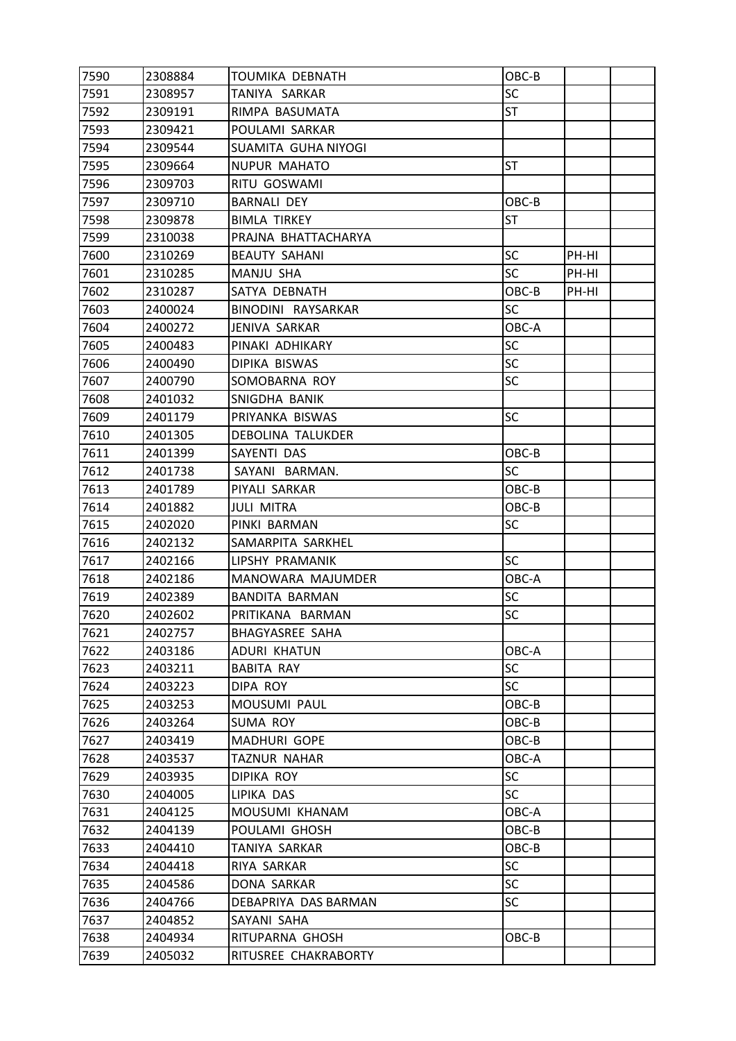| 7590 | 2308884 | <b>TOUMIKA DEBNATH</b> | OBC-B     |       |  |
|------|---------|------------------------|-----------|-------|--|
| 7591 | 2308957 | TANIYA SARKAR          | <b>SC</b> |       |  |
| 7592 | 2309191 | RIMPA BASUMATA         | <b>ST</b> |       |  |
| 7593 | 2309421 | POULAMI SARKAR         |           |       |  |
| 7594 | 2309544 | SUAMITA GUHA NIYOGI    |           |       |  |
| 7595 | 2309664 | <b>NUPUR MAHATO</b>    | ST        |       |  |
| 7596 | 2309703 | RITU GOSWAMI           |           |       |  |
| 7597 | 2309710 | <b>BARNALI DEY</b>     | OBC-B     |       |  |
| 7598 | 2309878 | <b>BIMLA TIRKEY</b>    | <b>ST</b> |       |  |
| 7599 | 2310038 | PRAJNA BHATTACHARYA    |           |       |  |
| 7600 | 2310269 | <b>BEAUTY SAHANI</b>   | <b>SC</b> | PH-HI |  |
| 7601 | 2310285 | MANJU SHA              | <b>SC</b> | PH-HI |  |
| 7602 | 2310287 | SATYA DEBNATH          | OBC-B     | PH-HI |  |
| 7603 | 2400024 | BINODINI RAYSARKAR     | SC        |       |  |
| 7604 | 2400272 | <b>JENIVA SARKAR</b>   | OBC-A     |       |  |
| 7605 | 2400483 | PINAKI ADHIKARY        | <b>SC</b> |       |  |
| 7606 | 2400490 | DIPIKA BISWAS          | <b>SC</b> |       |  |
| 7607 | 2400790 | SOMOBARNA ROY          | <b>SC</b> |       |  |
| 7608 | 2401032 | SNIGDHA BANIK          |           |       |  |
| 7609 | 2401179 | PRIYANKA BISWAS        | SC        |       |  |
| 7610 | 2401305 | DEBOLINA TALUKDER      |           |       |  |
| 7611 | 2401399 | SAYENTI DAS            | OBC-B     |       |  |
| 7612 | 2401738 | SAYANI BARMAN.         | <b>SC</b> |       |  |
| 7613 | 2401789 | PIYALI SARKAR          | OBC-B     |       |  |
| 7614 | 2401882 | <b>JULI MITRA</b>      | OBC-B     |       |  |
| 7615 | 2402020 | PINKI BARMAN           | <b>SC</b> |       |  |
| 7616 | 2402132 | SAMARPITA SARKHEL      |           |       |  |
| 7617 | 2402166 | LIPSHY PRAMANIK        | <b>SC</b> |       |  |
| 7618 | 2402186 | MANOWARA MAJUMDER      | OBC-A     |       |  |
| 7619 | 2402389 | <b>BANDITA BARMAN</b>  | SC        |       |  |
| 7620 | 2402602 | PRITIKANA BARMAN       | SC        |       |  |
| 7621 | 2402757 | <b>BHAGYASREE SAHA</b> |           |       |  |
| 7622 | 2403186 | <b>ADURI KHATUN</b>    | OBC-A     |       |  |
| 7623 | 2403211 | <b>BABITA RAY</b>      | SC        |       |  |
| 7624 | 2403223 | DIPA ROY               | <b>SC</b> |       |  |
| 7625 | 2403253 | MOUSUMI PAUL           | OBC-B     |       |  |
| 7626 | 2403264 | SUMA ROY               | OBC-B     |       |  |
| 7627 | 2403419 | MADHURI GOPE           | OBC-B     |       |  |
| 7628 | 2403537 | TAZNUR NAHAR           | OBC-A     |       |  |
| 7629 | 2403935 | DIPIKA ROY             | <b>SC</b> |       |  |
| 7630 | 2404005 | LIPIKA DAS             | <b>SC</b> |       |  |
| 7631 | 2404125 | MOUSUMI KHANAM         | OBC-A     |       |  |
| 7632 | 2404139 | POULAMI GHOSH          | OBC-B     |       |  |
| 7633 | 2404410 | TANIYA SARKAR          | OBC-B     |       |  |
| 7634 | 2404418 | RIYA SARKAR            | <b>SC</b> |       |  |
| 7635 | 2404586 | DONA SARKAR            | <b>SC</b> |       |  |
| 7636 | 2404766 | DEBAPRIYA DAS BARMAN   | <b>SC</b> |       |  |
| 7637 | 2404852 | SAYANI SAHA            |           |       |  |
| 7638 | 2404934 | RITUPARNA GHOSH        | OBC-B     |       |  |
| 7639 | 2405032 | RITUSREE CHAKRABORTY   |           |       |  |
|      |         |                        |           |       |  |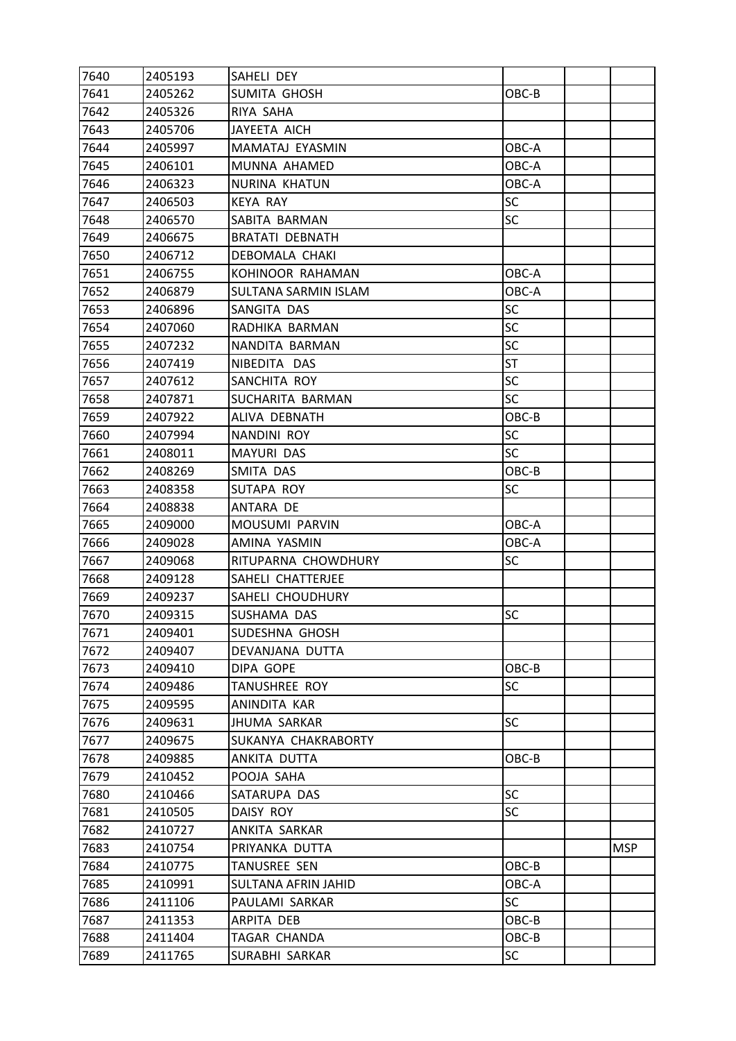| 7640 | 2405193 | SAHELI DEY             |           |            |
|------|---------|------------------------|-----------|------------|
| 7641 | 2405262 | SUMITA GHOSH           | OBC-B     |            |
| 7642 | 2405326 | RIYA SAHA              |           |            |
| 7643 | 2405706 | JAYEETA AICH           |           |            |
| 7644 | 2405997 | MAMATAJ EYASMIN        | OBC-A     |            |
| 7645 | 2406101 | MUNNA AHAMED           | OBC-A     |            |
| 7646 | 2406323 | NURINA KHATUN          | OBC-A     |            |
| 7647 | 2406503 | <b>KEYA RAY</b>        | SC        |            |
| 7648 | 2406570 | SABITA BARMAN          | <b>SC</b> |            |
| 7649 | 2406675 | <b>BRATATI DEBNATH</b> |           |            |
| 7650 | 2406712 | DEBOMALA CHAKI         |           |            |
| 7651 | 2406755 | KOHINOOR RAHAMAN       | OBC-A     |            |
| 7652 | 2406879 | SULTANA SARMIN ISLAM   | OBC-A     |            |
| 7653 | 2406896 | SANGITA DAS            | SC        |            |
| 7654 | 2407060 | RADHIKA BARMAN         | <b>SC</b> |            |
| 7655 | 2407232 | NANDITA BARMAN         | <b>SC</b> |            |
| 7656 | 2407419 | NIBEDITA DAS           | <b>ST</b> |            |
| 7657 | 2407612 | SANCHITA ROY           | <b>SC</b> |            |
| 7658 | 2407871 | SUCHARITA BARMAN       | <b>SC</b> |            |
| 7659 | 2407922 | ALIVA DEBNATH          | OBC-B     |            |
| 7660 | 2407994 | NANDINI ROY            | <b>SC</b> |            |
| 7661 | 2408011 | MAYURI DAS             | <b>SC</b> |            |
| 7662 | 2408269 | SMITA DAS              | OBC-B     |            |
| 7663 | 2408358 | SUTAPA ROY             | SC        |            |
| 7664 | 2408838 | ANTARA DE              |           |            |
| 7665 | 2409000 | MOUSUMI PARVIN         | OBC-A     |            |
| 7666 | 2409028 | AMINA YASMIN           | OBC-A     |            |
| 7667 | 2409068 | RITUPARNA CHOWDHURY    | SC        |            |
| 7668 | 2409128 | SAHELI CHATTERJEE      |           |            |
| 7669 | 2409237 | SAHELI CHOUDHURY       |           |            |
| 7670 | 2409315 | SUSHAMA DAS            | SC        |            |
| 7671 | 2409401 | SUDESHNA GHOSH         |           |            |
| 7672 | 2409407 | DEVANJANA DUTTA        |           |            |
| 7673 | 2409410 | DIPA GOPE              | OBC-B     |            |
| 7674 | 2409486 | TANUSHREE ROY          | SC        |            |
| 7675 | 2409595 | ANINDITA KAR           |           |            |
| 7676 | 2409631 | <b>JHUMA SARKAR</b>    | <b>SC</b> |            |
| 7677 | 2409675 | SUKANYA CHAKRABORTY    |           |            |
| 7678 | 2409885 | ANKITA DUTTA           | OBC-B     |            |
| 7679 | 2410452 | POOJA SAHA             |           |            |
| 7680 | 2410466 | SATARUPA DAS           | SC        |            |
| 7681 | 2410505 | DAISY ROY              | <b>SC</b> |            |
| 7682 | 2410727 | ANKITA SARKAR          |           |            |
| 7683 | 2410754 | PRIYANKA DUTTA         |           | <b>MSP</b> |
| 7684 | 2410775 | TANUSREE SEN           | OBC-B     |            |
| 7685 | 2410991 | SULTANA AFRIN JAHID    | OBC-A     |            |
| 7686 | 2411106 | PAULAMI SARKAR         | SC        |            |
| 7687 | 2411353 | ARPITA DEB             | OBC-B     |            |
| 7688 | 2411404 | TAGAR CHANDA           | OBC-B     |            |
| 7689 | 2411765 | SURABHI SARKAR         | SC        |            |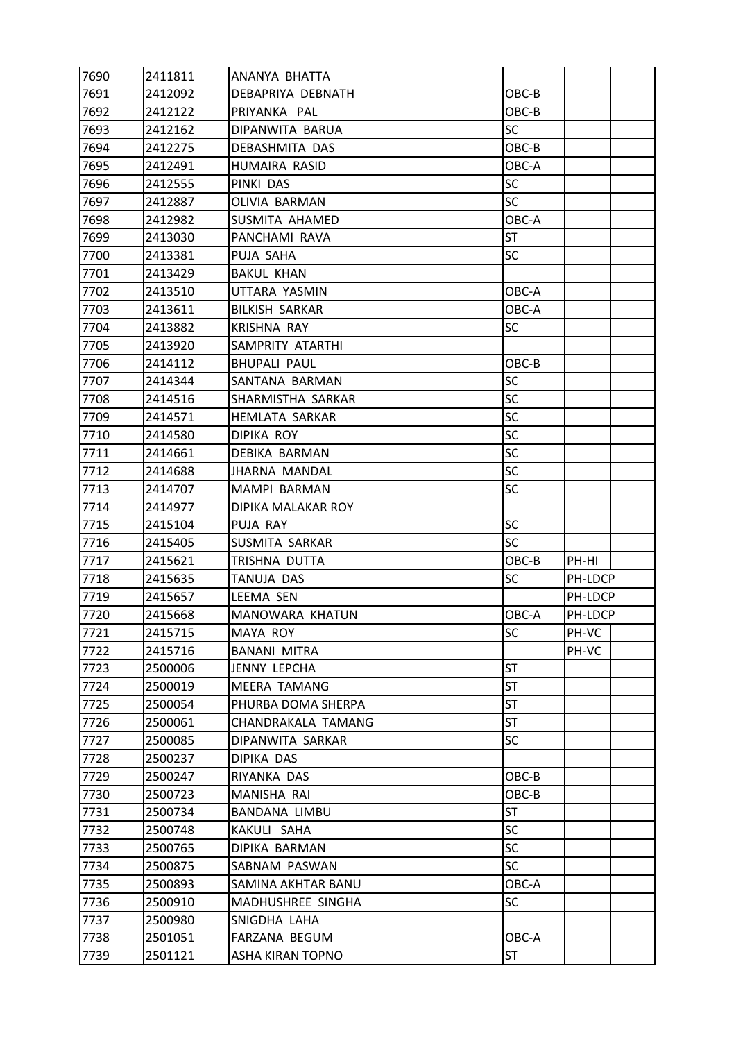| 7690 | 2411811 | ANANYA BHATTA          |           |         |  |
|------|---------|------------------------|-----------|---------|--|
| 7691 | 2412092 | DEBAPRIYA DEBNATH      | OBC-B     |         |  |
| 7692 | 2412122 | PRIYANKA PAL           | OBC-B     |         |  |
| 7693 | 2412162 | DIPANWITA BARUA        | <b>SC</b> |         |  |
| 7694 | 2412275 | <b>DEBASHMITA DAS</b>  | OBC-B     |         |  |
| 7695 | 2412491 | HUMAIRA RASID          | OBC-A     |         |  |
| 7696 | 2412555 | PINKI DAS              | <b>SC</b> |         |  |
| 7697 | 2412887 | OLIVIA BARMAN          | <b>SC</b> |         |  |
| 7698 | 2412982 | SUSMITA AHAMED         | OBC-A     |         |  |
| 7699 | 2413030 | PANCHAMI RAVA          | <b>ST</b> |         |  |
| 7700 | 2413381 | PUJA SAHA              | SC        |         |  |
| 7701 | 2413429 | <b>BAKUL KHAN</b>      |           |         |  |
| 7702 | 2413510 | UTTARA YASMIN          | OBC-A     |         |  |
| 7703 | 2413611 | <b>BILKISH SARKAR</b>  | OBC-A     |         |  |
| 7704 | 2413882 | <b>KRISHNA RAY</b>     | <b>SC</b> |         |  |
| 7705 | 2413920 | SAMPRITY ATARTHI       |           |         |  |
| 7706 | 2414112 | <b>BHUPALI PAUL</b>    | OBC-B     |         |  |
| 7707 | 2414344 | SANTANA BARMAN         | <b>SC</b> |         |  |
| 7708 | 2414516 | SHARMISTHA SARKAR      | SC        |         |  |
| 7709 | 2414571 | <b>HEMLATA SARKAR</b>  | SC        |         |  |
| 7710 | 2414580 | <b>DIPIKA ROY</b>      | <b>SC</b> |         |  |
| 7711 | 2414661 | DEBIKA BARMAN          | SC        |         |  |
| 7712 | 2414688 | <b>JHARNA MANDAL</b>   | <b>SC</b> |         |  |
| 7713 | 2414707 | MAMPI BARMAN           | <b>SC</b> |         |  |
| 7714 | 2414977 | DIPIKA MALAKAR ROY     |           |         |  |
| 7715 | 2415104 | PUJA RAY               | <b>SC</b> |         |  |
| 7716 | 2415405 | SUSMITA SARKAR         | SC        |         |  |
| 7717 | 2415621 | TRISHNA DUTTA          | OBC-B     | PH-HI   |  |
| 7718 | 2415635 | TANUJA DAS             | <b>SC</b> | PH-LDCP |  |
| 7719 | 2415657 | LEEMA SEN              |           | PH-LDCP |  |
| 7720 | 2415668 | <b>MANOWARA KHATUN</b> | OBC-A     | PH-LDCP |  |
| 7721 | 2415715 | MAYA ROY               | SC        | PH-VC   |  |
| 7722 | 2415716 | <b>BANANI MITRA</b>    |           | PH-VC   |  |
| 7723 | 2500006 | JENNY LEPCHA           | <b>ST</b> |         |  |
| 7724 | 2500019 | <b>MEERA TAMANG</b>    | ST        |         |  |
| 7725 | 2500054 | PHURBA DOMA SHERPA     | <b>ST</b> |         |  |
| 7726 | 2500061 | CHANDRAKALA TAMANG     | ST        |         |  |
| 7727 | 2500085 | DIPANWITA SARKAR       | <b>SC</b> |         |  |
| 7728 | 2500237 | DIPIKA DAS             |           |         |  |
| 7729 | 2500247 | RIYANKA DAS            | OBC-B     |         |  |
| 7730 | 2500723 | MANISHA RAI            | OBC-B     |         |  |
| 7731 | 2500734 | BANDANA LIMBU          | ST        |         |  |
| 7732 | 2500748 | KAKULI SAHA            | <b>SC</b> |         |  |
| 7733 | 2500765 | DIPIKA BARMAN          | <b>SC</b> |         |  |
| 7734 | 2500875 | SABNAM PASWAN          | SC        |         |  |
| 7735 | 2500893 | SAMINA AKHTAR BANU     | OBC-A     |         |  |
| 7736 | 2500910 | MADHUSHREE SINGHA      | SC        |         |  |
| 7737 | 2500980 | SNIGDHA LAHA           |           |         |  |
| 7738 | 2501051 | FARZANA BEGUM          | OBC-A     |         |  |
| 7739 | 2501121 | ASHA KIRAN TOPNO       | ST        |         |  |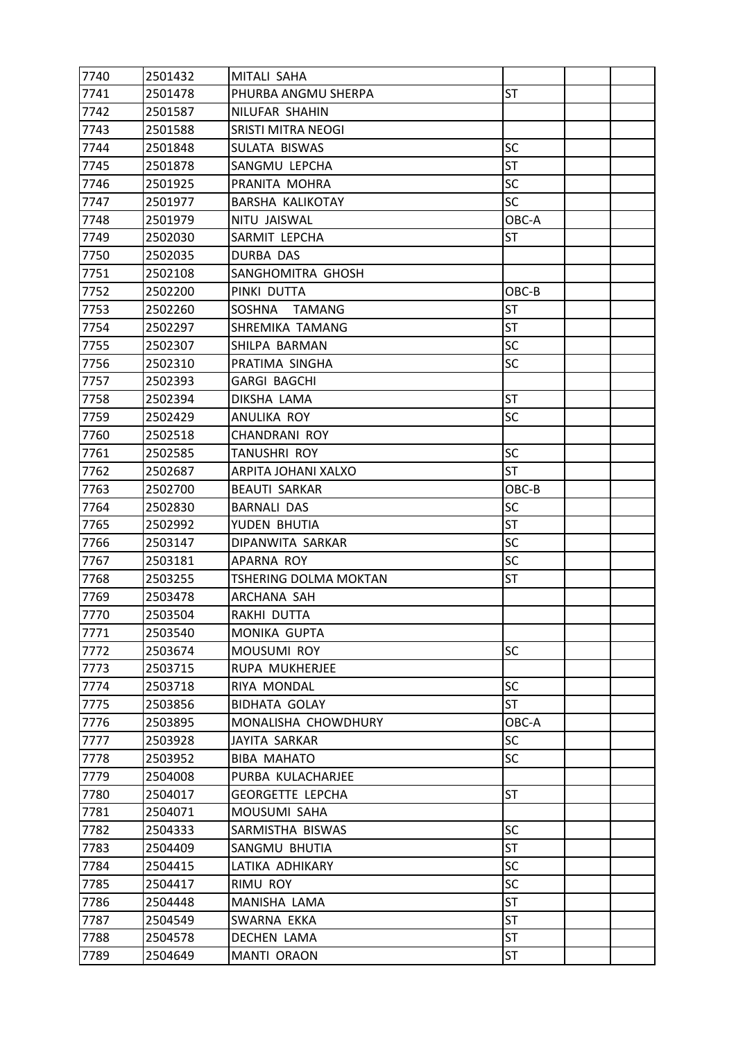| 7740 | 2501432 | MITALI SAHA           |           |  |
|------|---------|-----------------------|-----------|--|
| 7741 | 2501478 | PHURBA ANGMU SHERPA   | <b>ST</b> |  |
| 7742 | 2501587 | NILUFAR SHAHIN        |           |  |
| 7743 | 2501588 | SRISTI MITRA NEOGI    |           |  |
| 7744 | 2501848 | SULATA BISWAS         | <b>SC</b> |  |
| 7745 | 2501878 | SANGMU LEPCHA         | <b>ST</b> |  |
| 7746 | 2501925 | PRANITA MOHRA         | <b>SC</b> |  |
| 7747 | 2501977 | BARSHA KALIKOTAY      | <b>SC</b> |  |
| 7748 | 2501979 | NITU JAISWAL          | OBC-A     |  |
| 7749 | 2502030 | SARMIT LEPCHA         | <b>ST</b> |  |
| 7750 | 2502035 | <b>DURBA DAS</b>      |           |  |
| 7751 | 2502108 | SANGHOMITRA GHOSH     |           |  |
| 7752 | 2502200 | PINKI DUTTA           | OBC-B     |  |
| 7753 | 2502260 | SOSHNA TAMANG         | <b>ST</b> |  |
| 7754 | 2502297 | SHREMIKA TAMANG       | <b>ST</b> |  |
| 7755 | 2502307 | SHILPA BARMAN         | <b>SC</b> |  |
| 7756 | 2502310 | PRATIMA SINGHA        | <b>SC</b> |  |
| 7757 | 2502393 | <b>GARGI BAGCHI</b>   |           |  |
| 7758 | 2502394 | DIKSHA LAMA           | <b>ST</b> |  |
| 7759 | 2502429 | ANULIKA ROY           | <b>SC</b> |  |
| 7760 | 2502518 | <b>CHANDRANI ROY</b>  |           |  |
| 7761 | 2502585 | TANUSHRI ROY          | SC        |  |
| 7762 | 2502687 | ARPITA JOHANI XALXO   | <b>ST</b> |  |
| 7763 | 2502700 | <b>BEAUTI SARKAR</b>  | OBC-B     |  |
| 7764 | 2502830 | <b>BARNALI DAS</b>    | <b>SC</b> |  |
| 7765 | 2502992 | YUDEN BHUTIA          | <b>ST</b> |  |
| 7766 | 2503147 | DIPANWITA SARKAR      | SC        |  |
| 7767 | 2503181 | APARNA ROY            | SC        |  |
| 7768 | 2503255 | TSHERING DOLMA MOKTAN | <b>ST</b> |  |
| 7769 | 2503478 | ARCHANA SAH           |           |  |
| 7770 | 2503504 | RAKHI DUTTA           |           |  |
| 7771 | 2503540 | MONIKA GUPTA          |           |  |
| 7772 | 2503674 | MOUSUMI ROY           | <b>SC</b> |  |
| 7773 | 2503715 | RUPA MUKHERJEE        |           |  |
| 7774 | 2503718 | RIYA MONDAL           | <b>SC</b> |  |
| 7775 | 2503856 | <b>BIDHATA GOLAY</b>  | <b>ST</b> |  |
| 7776 | 2503895 | MONALISHA CHOWDHURY   | OBC-A     |  |
| 7777 | 2503928 | JAYITA SARKAR         | <b>SC</b> |  |
| 7778 | 2503952 | <b>BIBA MAHATO</b>    | <b>SC</b> |  |
| 7779 | 2504008 | PURBA KULACHARJEE     |           |  |
| 7780 | 2504017 | GEORGETTE LEPCHA      | ST        |  |
| 7781 | 2504071 | MOUSUMI SAHA          |           |  |
| 7782 | 2504333 | SARMISTHA BISWAS      | <b>SC</b> |  |
| 7783 | 2504409 | SANGMU BHUTIA         | ST        |  |
| 7784 | 2504415 | LATIKA ADHIKARY       | <b>SC</b> |  |
| 7785 | 2504417 | RIMU ROY              | SC        |  |
| 7786 | 2504448 | MANISHA LAMA          | ST        |  |
| 7787 | 2504549 | SWARNA EKKA           | <b>ST</b> |  |
| 7788 | 2504578 | DECHEN LAMA           | ST        |  |
| 7789 | 2504649 | MANTI ORAON           | ST        |  |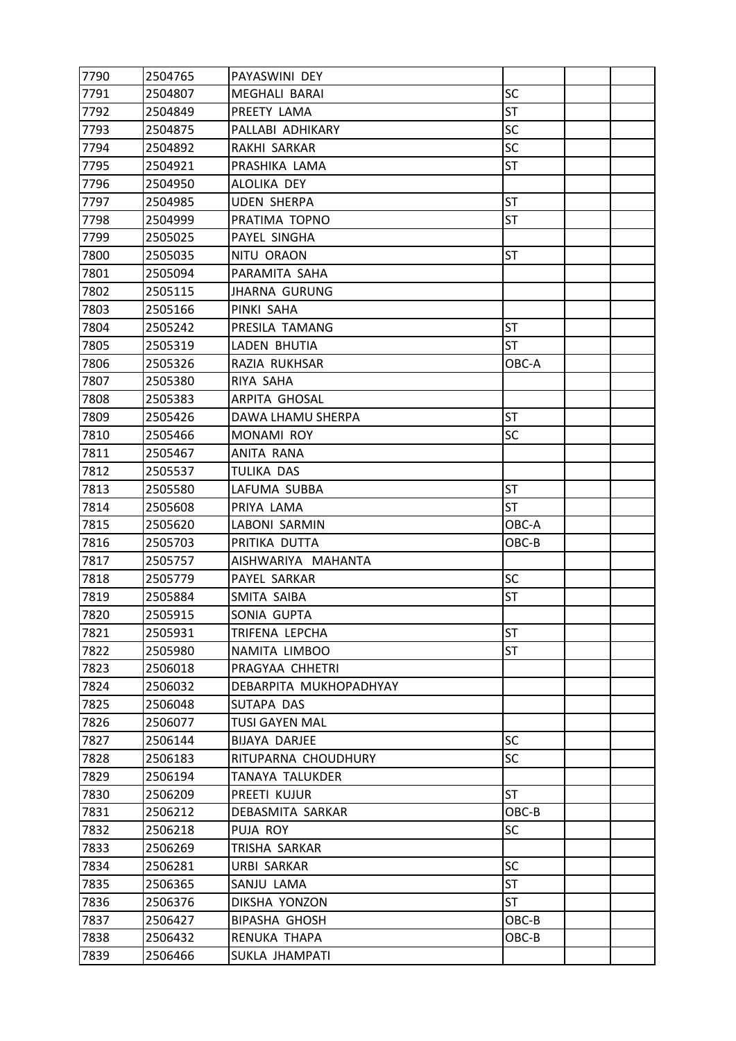| 7790 | 2504765 | PAYASWINI DEY          |           |  |
|------|---------|------------------------|-----------|--|
| 7791 | 2504807 | MEGHALI BARAI          | SC        |  |
| 7792 | 2504849 | PREETY LAMA            | <b>ST</b> |  |
| 7793 | 2504875 | PALLABI ADHIKARY       | <b>SC</b> |  |
| 7794 | 2504892 | RAKHI SARKAR           | SC        |  |
| 7795 | 2504921 | PRASHIKA LAMA          | ST        |  |
| 7796 | 2504950 | ALOLIKA DEY            |           |  |
| 7797 | 2504985 | <b>UDEN SHERPA</b>     | <b>ST</b> |  |
| 7798 | 2504999 | PRATIMA TOPNO          | ST        |  |
| 7799 | 2505025 | PAYEL SINGHA           |           |  |
| 7800 | 2505035 | <b>NITU ORAON</b>      | ST        |  |
| 7801 | 2505094 | PARAMITA SAHA          |           |  |
| 7802 | 2505115 | <b>JHARNA GURUNG</b>   |           |  |
| 7803 | 2505166 | PINKI SAHA             |           |  |
| 7804 | 2505242 | PRESILA TAMANG         | <b>ST</b> |  |
| 7805 | 2505319 | LADEN BHUTIA           | <b>ST</b> |  |
| 7806 | 2505326 | RAZIA RUKHSAR          | OBC-A     |  |
| 7807 | 2505380 | RIYA SAHA              |           |  |
| 7808 | 2505383 | ARPITA GHOSAL          |           |  |
| 7809 | 2505426 | DAWA LHAMU SHERPA      | <b>ST</b> |  |
| 7810 | 2505466 | MONAMI ROY             | <b>SC</b> |  |
| 7811 | 2505467 | ANITA RANA             |           |  |
| 7812 | 2505537 | TULIKA DAS             |           |  |
| 7813 | 2505580 | LAFUMA SUBBA           | <b>ST</b> |  |
| 7814 | 2505608 | PRIYA LAMA             | ST        |  |
| 7815 | 2505620 | LABONI SARMIN          | OBC-A     |  |
| 7816 | 2505703 | PRITIKA DUTTA          | OBC-B     |  |
| 7817 | 2505757 | AISHWARIYA MAHANTA     |           |  |
| 7818 | 2505779 | PAYEL SARKAR           | SC        |  |
| 7819 | 2505884 | SMITA SAIBA            | <b>ST</b> |  |
| 7820 | 2505915 | SONIA GUPTA            |           |  |
| 7821 | 2505931 | TRIFENA LEPCHA         | <b>ST</b> |  |
| 7822 | 2505980 | NAMITA LIMBOO          | ST        |  |
| 7823 | 2506018 | PRAGYAA CHHETRI        |           |  |
| 7824 | 2506032 | DEBARPITA MUKHOPADHYAY |           |  |
| 7825 | 2506048 | SUTAPA DAS             |           |  |
| 7826 | 2506077 | <b>TUSI GAYEN MAL</b>  |           |  |
| 7827 | 2506144 | BIJAYA DARJEE          | <b>SC</b> |  |
| 7828 | 2506183 | RITUPARNA CHOUDHURY    | <b>SC</b> |  |
| 7829 | 2506194 | TANAYA TALUKDER        |           |  |
| 7830 | 2506209 | PREETI KUJUR           | ST        |  |
| 7831 | 2506212 | DEBASMITA SARKAR       | OBC-B     |  |
| 7832 | 2506218 | PUJA ROY               | SC        |  |
| 7833 | 2506269 | TRISHA SARKAR          |           |  |
| 7834 | 2506281 | <b>URBI SARKAR</b>     | <b>SC</b> |  |
| 7835 | 2506365 | SANJU LAMA             | <b>ST</b> |  |
| 7836 | 2506376 | DIKSHA YONZON          | ST        |  |
| 7837 | 2506427 | <b>BIPASHA GHOSH</b>   | OBC-B     |  |
| 7838 | 2506432 | RENUKA THAPA           | OBC-B     |  |
| 7839 | 2506466 | SUKLA JHAMPATI         |           |  |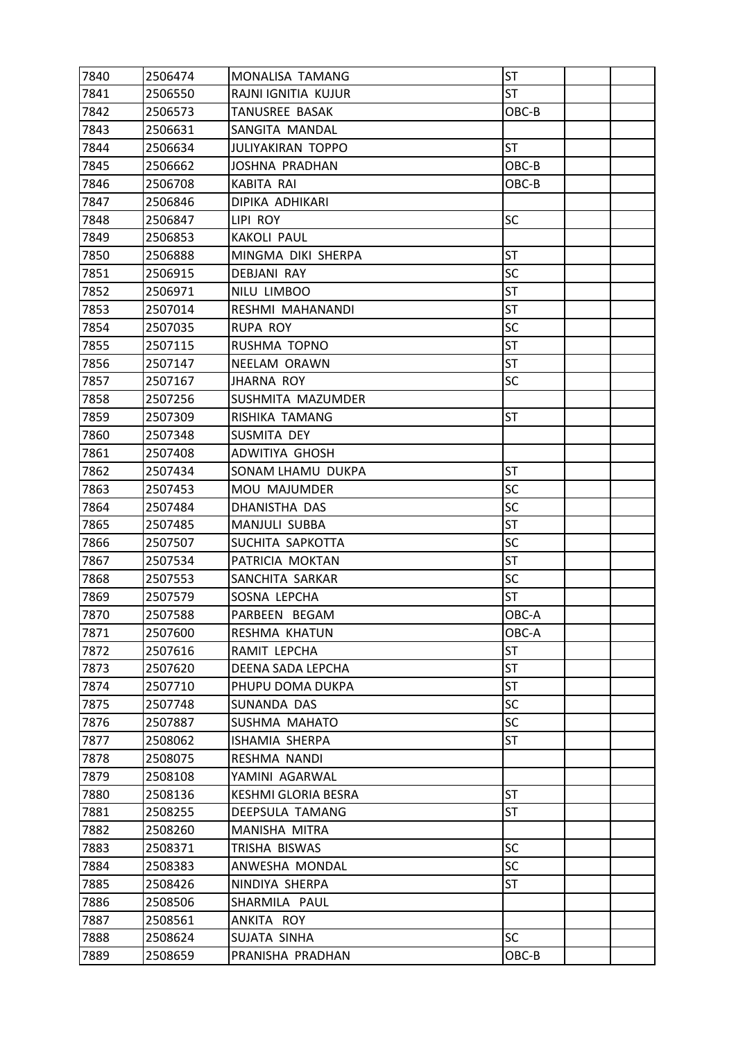| 7840 | 2506474 | MONALISA TAMANG          | <b>ST</b> |  |
|------|---------|--------------------------|-----------|--|
| 7841 | 2506550 | RAJNI IGNITIA KUJUR      | <b>ST</b> |  |
| 7842 | 2506573 | TANUSREE BASAK           | OBC-B     |  |
| 7843 | 2506631 | SANGITA MANDAL           |           |  |
| 7844 | 2506634 | <b>JULIYAKIRAN TOPPO</b> | <b>ST</b> |  |
| 7845 | 2506662 | <b>JOSHNA PRADHAN</b>    | OBC-B     |  |
| 7846 | 2506708 | KABITA RAI               | OBC-B     |  |
| 7847 | 2506846 | DIPIKA ADHIKARI          |           |  |
| 7848 | 2506847 | LIPI ROY                 | <b>SC</b> |  |
| 7849 | 2506853 | <b>KAKOLI PAUL</b>       |           |  |
| 7850 | 2506888 | MINGMA DIKI SHERPA       | <b>ST</b> |  |
| 7851 | 2506915 | DEBJANI RAY              | SC        |  |
| 7852 | 2506971 | NILU LIMBOO              | <b>ST</b> |  |
| 7853 | 2507014 | RESHMI MAHANANDI         | <b>ST</b> |  |
| 7854 | 2507035 | <b>RUPA ROY</b>          | SC        |  |
| 7855 | 2507115 | RUSHMA TOPNO             | <b>ST</b> |  |
| 7856 | 2507147 | NEELAM ORAWN             | <b>ST</b> |  |
| 7857 | 2507167 | JHARNA ROY               | SC        |  |
| 7858 | 2507256 | SUSHMITA MAZUMDER        |           |  |
| 7859 | 2507309 | RISHIKA TAMANG           | <b>ST</b> |  |
| 7860 | 2507348 | SUSMITA DEY              |           |  |
| 7861 | 2507408 | ADWITIYA GHOSH           |           |  |
| 7862 | 2507434 | SONAM LHAMU DUKPA        | <b>ST</b> |  |
| 7863 | 2507453 | <b>MOU MAJUMDER</b>      | SC        |  |
| 7864 | 2507484 | DHANISTHA DAS            | SC        |  |
| 7865 | 2507485 | MANJULI SUBBA            | <b>ST</b> |  |
| 7866 | 2507507 | SUCHITA SAPKOTTA         | SC        |  |
| 7867 | 2507534 | PATRICIA MOKTAN          | <b>ST</b> |  |
| 7868 | 2507553 | SANCHITA SARKAR          | SC        |  |
| 7869 | 2507579 | SOSNA LEPCHA             | <b>ST</b> |  |
| 7870 | 2507588 | PARBEEN BEGAM            | OBC-A     |  |
| 7871 | 2507600 | RESHMA KHATUN            | OBC-A     |  |
| 7872 | 2507616 | RAMIT LEPCHA             | <b>ST</b> |  |
| 7873 | 2507620 | DEENA SADA LEPCHA        | <b>ST</b> |  |
| 7874 | 2507710 | PHUPU DOMA DUKPA         | ST        |  |
| 7875 | 2507748 | SUNANDA DAS              | <b>SC</b> |  |
| 7876 | 2507887 | SUSHMA MAHATO            | SC        |  |
| 7877 | 2508062 | ISHAMIA SHERPA           | ST        |  |
| 7878 | 2508075 | RESHMA NANDI             |           |  |
| 7879 | 2508108 | YAMINI AGARWAL           |           |  |
| 7880 | 2508136 | KESHMI GLORIA BESRA      | <b>ST</b> |  |
| 7881 | 2508255 | DEEPSULA TAMANG          | ST        |  |
| 7882 | 2508260 | MANISHA MITRA            |           |  |
| 7883 | 2508371 | TRISHA BISWAS            | <b>SC</b> |  |
| 7884 | 2508383 | ANWESHA MONDAL           | <b>SC</b> |  |
| 7885 | 2508426 | NINDIYA SHERPA           | ST        |  |
| 7886 | 2508506 | SHARMILA PAUL            |           |  |
| 7887 | 2508561 | ANKITA ROY               |           |  |
| 7888 | 2508624 | SUJATA SINHA             | <b>SC</b> |  |
| 7889 | 2508659 | PRANISHA PRADHAN         | OBC-B     |  |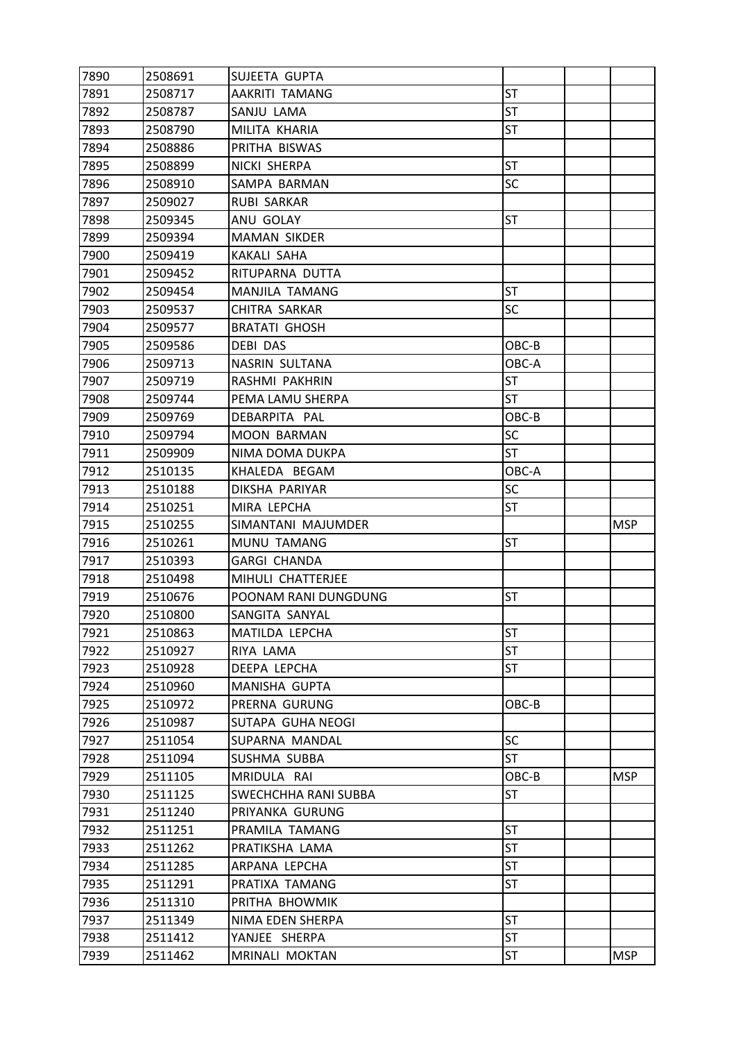| 7890 | 2508691 | SUJEETA GUPTA         |           |            |
|------|---------|-----------------------|-----------|------------|
| 7891 | 2508717 | <b>AAKRITI TAMANG</b> | <b>ST</b> |            |
| 7892 | 2508787 | SANJU LAMA            | <b>ST</b> |            |
| 7893 | 2508790 | MILITA KHARIA         | ST        |            |
| 7894 | 2508886 | PRITHA BISWAS         |           |            |
| 7895 | 2508899 | NICKI SHERPA          | <b>ST</b> |            |
| 7896 | 2508910 | SAMPA BARMAN          | SC        |            |
| 7897 | 2509027 | <b>RUBI SARKAR</b>    |           |            |
| 7898 | 2509345 | ANU GOLAY             | <b>ST</b> |            |
| 7899 | 2509394 | <b>MAMAN SIKDER</b>   |           |            |
| 7900 | 2509419 | <b>KAKALI SAHA</b>    |           |            |
| 7901 | 2509452 | RITUPARNA DUTTA       |           |            |
| 7902 | 2509454 | <b>MANJILA TAMANG</b> | <b>ST</b> |            |
| 7903 | 2509537 | CHITRA SARKAR         | <b>SC</b> |            |
| 7904 | 2509577 | <b>BRATATI GHOSH</b>  |           |            |
| 7905 | 2509586 | DEBI DAS              | OBC-B     |            |
| 7906 | 2509713 | NASRIN SULTANA        | OBC-A     |            |
| 7907 | 2509719 | RASHMI PAKHRIN        | <b>ST</b> |            |
| 7908 | 2509744 | PEMA LAMU SHERPA      | <b>ST</b> |            |
| 7909 | 2509769 | DEBARPITA PAL         | OBC-B     |            |
| 7910 | 2509794 | <b>MOON BARMAN</b>    | <b>SC</b> |            |
| 7911 | 2509909 | NIMA DOMA DUKPA       | <b>ST</b> |            |
| 7912 | 2510135 | KHALEDA BEGAM         | OBC-A     |            |
| 7913 | 2510188 | DIKSHA PARIYAR        | SC        |            |
| 7914 | 2510251 | MIRA LEPCHA           | ST        |            |
| 7915 | 2510255 | SIMANTANI MAJUMDER    |           | <b>MSP</b> |
|      |         |                       |           |            |
| 7916 | 2510261 | MUNU TAMANG           | <b>ST</b> |            |
| 7917 | 2510393 | <b>GARGI CHANDA</b>   |           |            |
| 7918 | 2510498 | MIHULI CHATTERJEE     |           |            |
| 7919 | 2510676 | POONAM RANI DUNGDUNG  | <b>ST</b> |            |
| 7920 | 2510800 | SANGITA SANYAL        |           |            |
| 7921 | 2510863 | MATILDA LEPCHA        | <b>ST</b> |            |
| 7922 | 2510927 | RIYA LAMA             | <b>ST</b> |            |
| 7923 | 2510928 | DEEPA LEPCHA          | ST        |            |
| 7924 | 2510960 | MANISHA GUPTA         |           |            |
| 7925 | 2510972 | PRERNA GURUNG         | OBC-B     |            |
| 7926 | 2510987 | SUTAPA GUHA NEOGI     |           |            |
| 7927 | 2511054 | SUPARNA MANDAL        | <b>SC</b> |            |
| 7928 | 2511094 | SUSHMA SUBBA          | ST        |            |
| 7929 | 2511105 | MRIDULA RAI           | OBC-B     | <b>MSP</b> |
| 7930 | 2511125 | SWECHCHHA RANI SUBBA  | ST        |            |
| 7931 | 2511240 | PRIYANKA GURUNG       |           |            |
| 7932 | 2511251 | PRAMILA TAMANG        | <b>ST</b> |            |
| 7933 | 2511262 | PRATIKSHA LAMA        | <b>ST</b> |            |
| 7934 | 2511285 | ARPANA LEPCHA         | ST        |            |
| 7935 | 2511291 | PRATIXA TAMANG        | ST        |            |
| 7936 | 2511310 | PRITHA BHOWMIK        |           |            |
| 7937 | 2511349 | NIMA EDEN SHERPA      | <b>ST</b> |            |
| 7938 | 2511412 | YANJEE SHERPA         | ST        |            |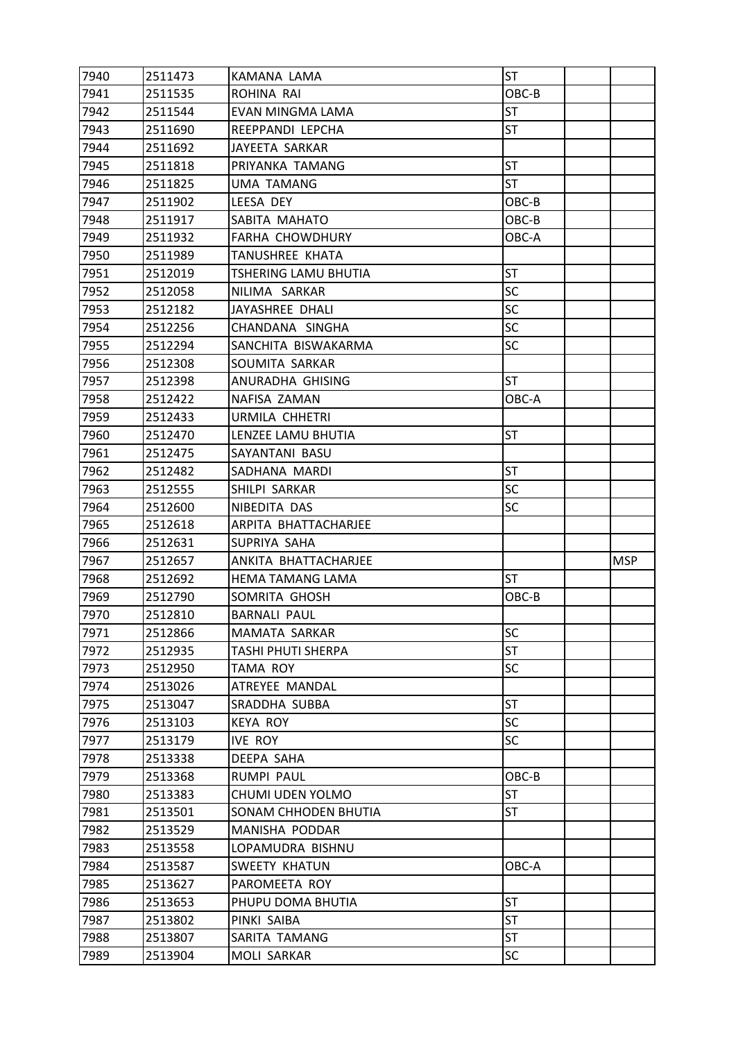| 7940 | 2511473 | KAMANA LAMA                 | <b>ST</b> |            |
|------|---------|-----------------------------|-----------|------------|
| 7941 | 2511535 | ROHINA RAI                  | OBC-B     |            |
| 7942 | 2511544 | EVAN MINGMA LAMA            | <b>ST</b> |            |
| 7943 | 2511690 | REEPPANDI LEPCHA            | <b>ST</b> |            |
| 7944 | 2511692 | JAYEETA SARKAR              |           |            |
| 7945 | 2511818 | PRIYANKA TAMANG             | <b>ST</b> |            |
| 7946 | 2511825 | <b>UMA TAMANG</b>           | <b>ST</b> |            |
| 7947 | 2511902 | LEESA DEY                   | OBC-B     |            |
| 7948 | 2511917 | SABITA MAHATO               | OBC-B     |            |
| 7949 | 2511932 | <b>FARHA CHOWDHURY</b>      | OBC-A     |            |
| 7950 | 2511989 | TANUSHREE KHATA             |           |            |
| 7951 | 2512019 | <b>TSHERING LAMU BHUTIA</b> | <b>ST</b> |            |
| 7952 | 2512058 | NILIMA SARKAR               | SC        |            |
| 7953 | 2512182 | JAYASHREE DHALI             | <b>SC</b> |            |
| 7954 | 2512256 | CHANDANA SINGHA             | SC        |            |
| 7955 | 2512294 | SANCHITA BISWAKARMA         | <b>SC</b> |            |
| 7956 | 2512308 | SOUMITA SARKAR              |           |            |
| 7957 | 2512398 | ANURADHA GHISING            | <b>ST</b> |            |
| 7958 | 2512422 | NAFISA ZAMAN                | OBC-A     |            |
| 7959 | 2512433 | URMILA CHHETRI              |           |            |
| 7960 | 2512470 | LENZEE LAMU BHUTIA          | <b>ST</b> |            |
| 7961 | 2512475 | SAYANTANI BASU              |           |            |
| 7962 | 2512482 | SADHANA MARDI               | <b>ST</b> |            |
| 7963 | 2512555 | SHILPI SARKAR               | <b>SC</b> |            |
| 7964 | 2512600 | NIBEDITA DAS                | SC        |            |
| 7965 | 2512618 | ARPITA BHATTACHARJEE        |           |            |
| 7966 | 2512631 | SUPRIYA SAHA                |           |            |
| 7967 | 2512657 | ANKITA BHATTACHARJEE        |           | <b>MSP</b> |
| 7968 | 2512692 | <b>HEMA TAMANG LAMA</b>     | <b>ST</b> |            |
|      |         |                             |           |            |
| 7969 | 2512790 | SOMRITA GHOSH               | OBC-B     |            |
| 7970 | 2512810 | <b>BARNALI PAUL</b>         |           |            |
| 7971 | 2512866 | MAMATA SARKAR               | SC        |            |
| 7972 | 2512935 | <b>TASHI PHUTI SHERPA</b>   | <b>ST</b> |            |
| 7973 | 2512950 | TAMA ROY                    | <b>SC</b> |            |
| 7974 | 2513026 | ATREYEE MANDAL              |           |            |
| 7975 | 2513047 | SRADDHA SUBBA               | <b>ST</b> |            |
| 7976 | 2513103 | <b>KEYA ROY</b>             | <b>SC</b> |            |
| 7977 | 2513179 | <b>IVE ROY</b>              | <b>SC</b> |            |
| 7978 | 2513338 | DEEPA SAHA                  |           |            |
| 7979 | 2513368 | RUMPI PAUL                  | OBC-B     |            |
| 7980 | 2513383 | CHUMI UDEN YOLMO            | <b>ST</b> |            |
| 7981 | 2513501 | SONAM CHHODEN BHUTIA        | ST        |            |
| 7982 | 2513529 | MANISHA PODDAR              |           |            |
| 7983 | 2513558 | LOPAMUDRA BISHNU            |           |            |
| 7984 | 2513587 | SWEETY KHATUN               | OBC-A     |            |
| 7985 | 2513627 | PAROMEETA ROY               |           |            |
| 7986 | 2513653 | PHUPU DOMA BHUTIA           | <b>ST</b> |            |
| 7987 | 2513802 | PINKI SAIBA                 | ST        |            |
| 7988 | 2513807 | SARITA TAMANG               | ST<br>SC  |            |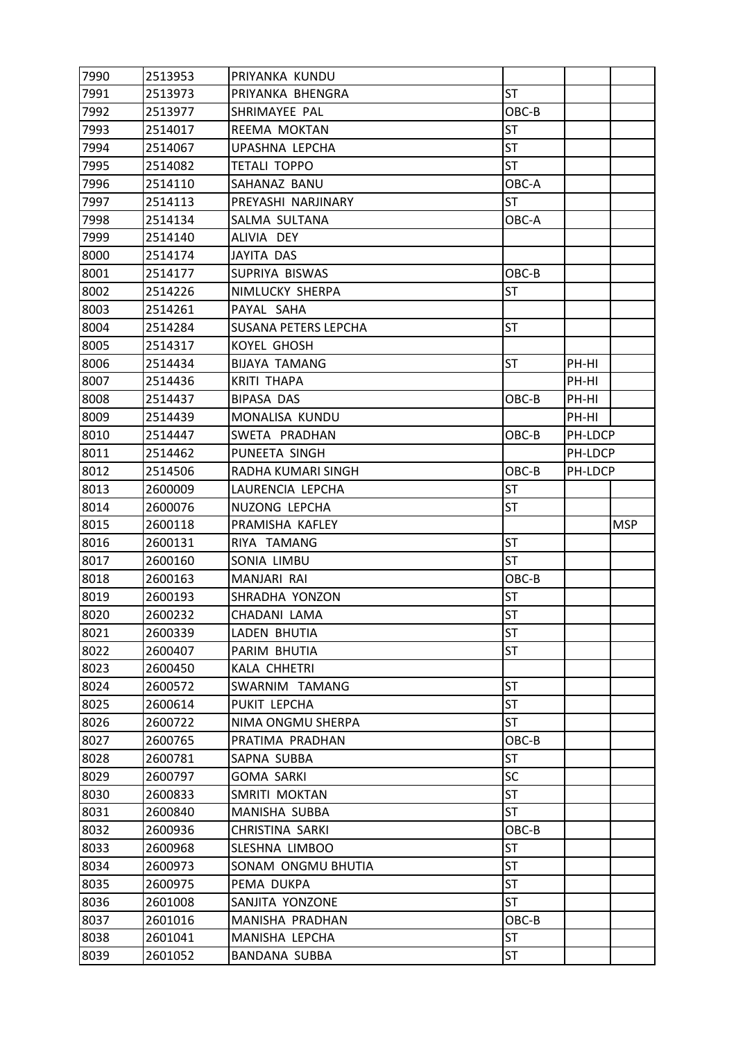| 7990         | 2513953 | PRIYANKA KUNDU                         |           |         |            |
|--------------|---------|----------------------------------------|-----------|---------|------------|
| 7991         | 2513973 | PRIYANKA BHENGRA                       | <b>ST</b> |         |            |
| 7992         | 2513977 | SHRIMAYEE PAL                          | OBC-B     |         |            |
| 7993         | 2514017 | REEMA MOKTAN                           | <b>ST</b> |         |            |
| 7994         | 2514067 | <b>UPASHNA LEPCHA</b>                  | <b>ST</b> |         |            |
| 7995         | 2514082 | <b>TETALI TOPPO</b>                    | <b>ST</b> |         |            |
| 7996         | 2514110 | SAHANAZ BANU                           | OBC-A     |         |            |
| 7997         | 2514113 | PREYASHI NARJINARY                     | <b>ST</b> |         |            |
| 7998         | 2514134 | SALMA SULTANA                          | OBC-A     |         |            |
| 7999         | 2514140 | ALIVIA DEY                             |           |         |            |
| 8000         | 2514174 | JAYITA DAS                             |           |         |            |
| 8001         | 2514177 | SUPRIYA BISWAS                         | OBC-B     |         |            |
| 8002         | 2514226 | NIMLUCKY SHERPA                        | <b>ST</b> |         |            |
| 8003         | 2514261 | PAYAL SAHA                             |           |         |            |
| 8004         | 2514284 | SUSANA PETERS LEPCHA                   | <b>ST</b> |         |            |
| 8005         | 2514317 | <b>KOYEL GHOSH</b>                     |           |         |            |
| 8006         | 2514434 | <b>BIJAYA TAMANG</b>                   | <b>ST</b> | PH-HI   |            |
| 8007         | 2514436 | <b>KRITI THAPA</b>                     |           | PH-HI   |            |
| 8008         | 2514437 | BIPASA DAS                             | OBC-B     | PH-HI   |            |
| 8009         | 2514439 | MONALISA KUNDU                         |           | PH-HI   |            |
| 8010         | 2514447 | SWETA PRADHAN                          | OBC-B     | PH-LDCP |            |
| 8011         | 2514462 | PUNEETA SINGH                          |           | PH-LDCP |            |
| 8012         | 2514506 | RADHA KUMARI SINGH                     | OBC-B     | PH-LDCP |            |
| 8013         | 2600009 | LAURENCIA LEPCHA                       | <b>ST</b> |         |            |
| 8014         | 2600076 | NUZONG LEPCHA                          | ST        |         |            |
|              |         |                                        |           |         |            |
| 8015         | 2600118 | PRAMISHA KAFLEY                        |           |         | <b>MSP</b> |
| 8016         | 2600131 | RIYA TAMANG                            | <b>ST</b> |         |            |
| 8017         | 2600160 | SONIA LIMBU                            | <b>ST</b> |         |            |
| 8018         | 2600163 | MANJARI RAI                            | OBC-B     |         |            |
| 8019         | 2600193 | SHRADHA YONZON                         | ST        |         |            |
| 8020         | 2600232 | CHADANI LAMA                           | <b>ST</b> |         |            |
| 8021         | 2600339 | LADEN BHUTIA                           | <b>ST</b> |         |            |
| 8022         | 2600407 | PARIM BHUTIA                           | ST        |         |            |
| 8023         | 2600450 | KALA CHHETRI                           |           |         |            |
| 8024         | 2600572 | SWARNIM TAMANG                         | <b>ST</b> |         |            |
| 8025         | 2600614 | PUKIT LEPCHA                           | <b>ST</b> |         |            |
| 8026         | 2600722 | NIMA ONGMU SHERPA                      | ST        |         |            |
| 8027         | 2600765 | PRATIMA PRADHAN                        | OBC-B     |         |            |
| 8028         | 2600781 | SAPNA SUBBA                            | <b>ST</b> |         |            |
| 8029         | 2600797 | <b>GOMA SARKI</b>                      | <b>SC</b> |         |            |
| 8030         | 2600833 | SMRITI MOKTAN                          | ST        |         |            |
| 8031         | 2600840 | MANISHA SUBBA                          | ST        |         |            |
| 8032         | 2600936 | <b>CHRISTINA SARKI</b>                 | OBC-B     |         |            |
| 8033         | 2600968 | SLESHNA LIMBOO                         | <b>ST</b> |         |            |
| 8034         | 2600973 | SONAM ONGMU BHUTIA                     | <b>ST</b> |         |            |
| 8035         | 2600975 | PEMA DUKPA                             | ST        |         |            |
| 8036         | 2601008 | SANJITA YONZONE                        | ST        |         |            |
| 8037         | 2601016 | MANISHA PRADHAN                        | OBC-B     |         |            |
| 8038<br>8039 | 2601041 | MANISHA LEPCHA<br><b>BANDANA SUBBA</b> | ST<br>ST  |         |            |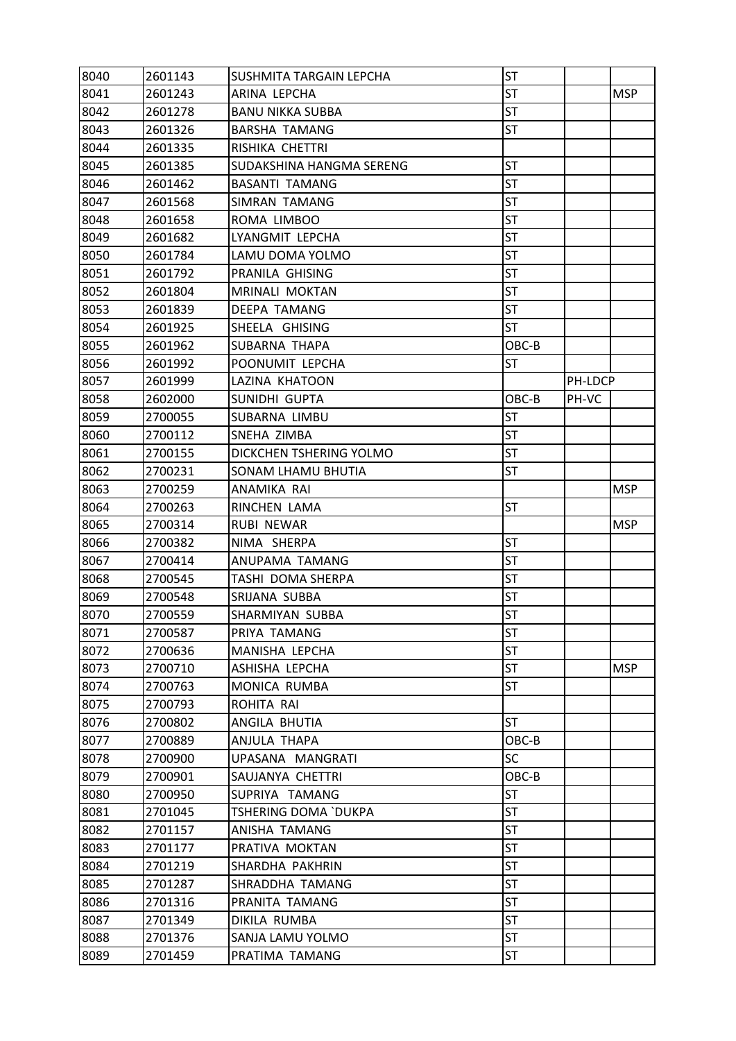| 8040 | 2601143 | SUSHMITA TARGAIN LEPCHA     | ST        |         |            |
|------|---------|-----------------------------|-----------|---------|------------|
| 8041 | 2601243 | ARINA LEPCHA                | <b>ST</b> |         | <b>MSP</b> |
| 8042 | 2601278 | <b>BANU NIKKA SUBBA</b>     | <b>ST</b> |         |            |
| 8043 | 2601326 | <b>BARSHA TAMANG</b>        | ST        |         |            |
| 8044 | 2601335 | RISHIKA CHETTRI             |           |         |            |
| 8045 | 2601385 | SUDAKSHINA HANGMA SERENG    | <b>ST</b> |         |            |
| 8046 | 2601462 | <b>BASANTI TAMANG</b>       | <b>ST</b> |         |            |
| 8047 | 2601568 | SIMRAN TAMANG               | <b>ST</b> |         |            |
| 8048 | 2601658 | ROMA LIMBOO                 | <b>ST</b> |         |            |
| 8049 | 2601682 | LYANGMIT LEPCHA             | <b>ST</b> |         |            |
| 8050 | 2601784 | LAMU DOMA YOLMO             | <b>ST</b> |         |            |
| 8051 | 2601792 | PRANILA GHISING             | <b>ST</b> |         |            |
| 8052 | 2601804 | MRINALI MOKTAN              | <b>ST</b> |         |            |
| 8053 | 2601839 | DEEPA TAMANG                | <b>ST</b> |         |            |
| 8054 | 2601925 | SHEELA GHISING              | <b>ST</b> |         |            |
| 8055 | 2601962 | SUBARNA THAPA               | OBC-B     |         |            |
| 8056 | 2601992 | POONUMIT LEPCHA             | <b>ST</b> |         |            |
| 8057 | 2601999 | LAZINA KHATOON              |           | PH-LDCP |            |
| 8058 | 2602000 | SUNIDHI GUPTA               | OBC-B     | PH-VC   |            |
| 8059 | 2700055 | SUBARNA LIMBU               | <b>ST</b> |         |            |
| 8060 | 2700112 | SNEHA ZIMBA                 | <b>ST</b> |         |            |
| 8061 | 2700155 | DICKCHEN TSHERING YOLMO     | <b>ST</b> |         |            |
| 8062 | 2700231 | SONAM LHAMU BHUTIA          | ST        |         |            |
| 8063 | 2700259 | ANAMIKA RAI                 |           |         | <b>MSP</b> |
| 8064 | 2700263 | RINCHEN LAMA                | <b>ST</b> |         |            |
| 8065 | 2700314 | <b>RUBI NEWAR</b>           |           |         | <b>MSP</b> |
| 8066 | 2700382 | NIMA SHERPA                 | <b>ST</b> |         |            |
| 8067 | 2700414 | ANUPAMA TAMANG              | <b>ST</b> |         |            |
| 8068 | 2700545 | TASHI DOMA SHERPA           | <b>ST</b> |         |            |
| 8069 | 2700548 | SRIJANA SUBBA               | <b>ST</b> |         |            |
| 8070 | 2700559 | SHARMIYAN SUBBA             | <b>ST</b> |         |            |
| 8071 | 2700587 | PRIYA TAMANG                | <b>ST</b> |         |            |
| 8072 | 2700636 | MANISHA LEPCHA              | <b>ST</b> |         |            |
| 8073 | 2700710 | ASHISHA LEPCHA              | <b>ST</b> |         | <b>MSP</b> |
| 8074 | 2700763 | MONICA RUMBA                | <b>ST</b> |         |            |
| 8075 | 2700793 | ROHITA RAI                  |           |         |            |
| 8076 | 2700802 | ANGILA BHUTIA               | ST        |         |            |
| 8077 | 2700889 | ANJULA THAPA                | OBC-B     |         |            |
| 8078 | 2700900 | UPASANA MANGRATI            | <b>SC</b> |         |            |
| 8079 | 2700901 | SAUJANYA CHETTRI            | OBC-B     |         |            |
| 8080 | 2700950 | SUPRIYA TAMANG              | <b>ST</b> |         |            |
| 8081 | 2701045 | <b>TSHERING DOMA `DUKPA</b> | <b>ST</b> |         |            |
| 8082 | 2701157 | ANISHA TAMANG               | <b>ST</b> |         |            |
| 8083 | 2701177 | PRATIVA MOKTAN              | <b>ST</b> |         |            |
| 8084 | 2701219 | SHARDHA PAKHRIN             | <b>ST</b> |         |            |
| 8085 | 2701287 | SHRADDHA TAMANG             | <b>ST</b> |         |            |
| 8086 | 2701316 | PRANITA TAMANG              | <b>ST</b> |         |            |
| 8087 | 2701349 | DIKILA RUMBA                | <b>ST</b> |         |            |
| 8088 | 2701376 | SANJA LAMU YOLMO            | <b>ST</b> |         |            |
| 8089 | 2701459 | PRATIMA TAMANG              | <b>ST</b> |         |            |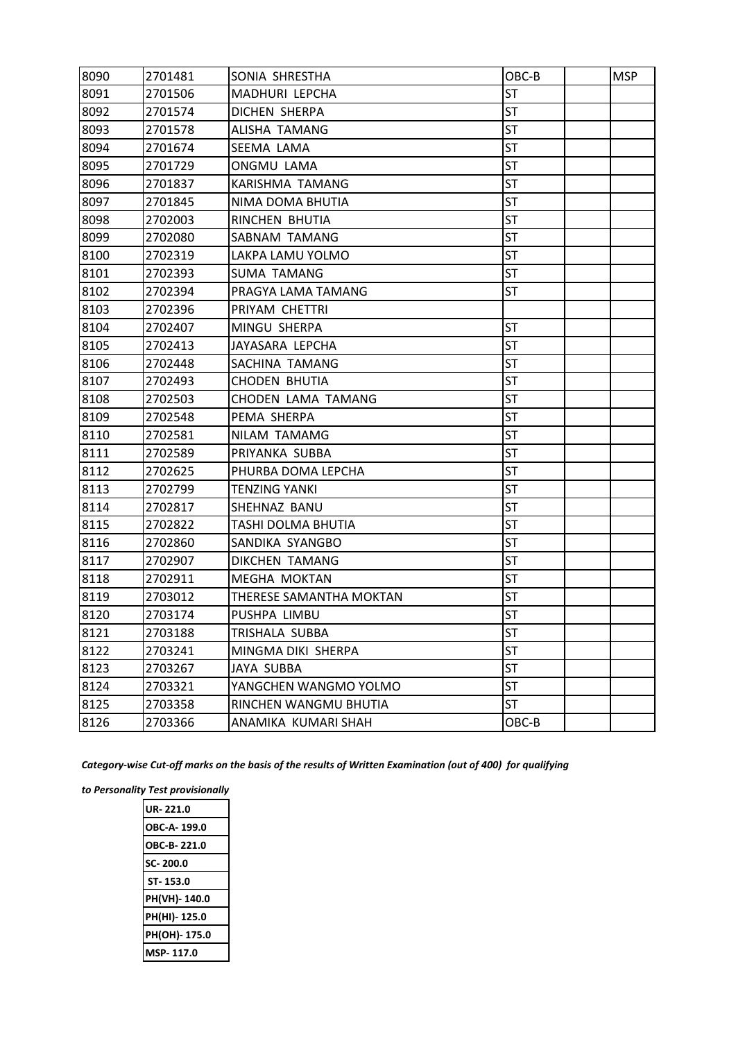| 8090 | 2701481 | SONIA SHRESTHA          | OBC-B     | <b>MSP</b> |
|------|---------|-------------------------|-----------|------------|
| 8091 | 2701506 | MADHURI LEPCHA          | <b>ST</b> |            |
| 8092 | 2701574 | DICHEN SHERPA           | ST        |            |
| 8093 | 2701578 | ALISHA TAMANG           | <b>ST</b> |            |
| 8094 | 2701674 | SEEMA LAMA              | <b>ST</b> |            |
| 8095 | 2701729 | <b>ONGMU LAMA</b>       | <b>ST</b> |            |
| 8096 | 2701837 | KARISHMA TAMANG         | <b>ST</b> |            |
| 8097 | 2701845 | NIMA DOMA BHUTIA        | ST        |            |
| 8098 | 2702003 | RINCHEN BHUTIA          | <b>ST</b> |            |
| 8099 | 2702080 | SABNAM TAMANG           | <b>ST</b> |            |
| 8100 | 2702319 | LAKPA LAMU YOLMO        | <b>ST</b> |            |
| 8101 | 2702393 | <b>SUMA TAMANG</b>      | <b>ST</b> |            |
| 8102 | 2702394 | PRAGYA LAMA TAMANG      | <b>ST</b> |            |
| 8103 | 2702396 | PRIYAM CHETTRI          |           |            |
| 8104 | 2702407 | MINGU SHERPA            | ST        |            |
| 8105 | 2702413 | JAYASARA LEPCHA         | <b>ST</b> |            |
| 8106 | 2702448 | SACHINA TAMANG          | <b>ST</b> |            |
| 8107 | 2702493 | <b>CHODEN BHUTIA</b>    | <b>ST</b> |            |
| 8108 | 2702503 | CHODEN LAMA TAMANG      | <b>ST</b> |            |
| 8109 | 2702548 | PEMA SHERPA             | <b>ST</b> |            |
| 8110 | 2702581 | NILAM TAMAMG            | ST        |            |
| 8111 | 2702589 | PRIYANKA SUBBA          | ST        |            |
| 8112 | 2702625 | PHURBA DOMA LEPCHA      | <b>ST</b> |            |
| 8113 | 2702799 | <b>TENZING YANKI</b>    | <b>ST</b> |            |
| 8114 | 2702817 | SHEHNAZ BANU            | <b>ST</b> |            |
| 8115 | 2702822 | TASHI DOLMA BHUTIA      | <b>ST</b> |            |
| 8116 | 2702860 | SANDIKA SYANGBO         | ST        |            |
| 8117 | 2702907 | DIKCHEN TAMANG          | ST        |            |
| 8118 | 2702911 | <b>MEGHA MOKTAN</b>     | <b>ST</b> |            |
| 8119 | 2703012 | THERESE SAMANTHA MOKTAN | <b>ST</b> |            |
| 8120 | 2703174 | PUSHPA LIMBU            | <b>ST</b> |            |
| 8121 | 2703188 | TRISHALA SUBBA          | <b>ST</b> |            |
| 8122 | 2703241 | MINGMA DIKI SHERPA      | <b>ST</b> |            |
| 8123 | 2703267 | JAYA SUBBA              | <b>ST</b> |            |
| 8124 | 2703321 | YANGCHEN WANGMO YOLMO   | <b>ST</b> |            |
| 8125 | 2703358 | RINCHEN WANGMU BHUTIA   | <b>ST</b> |            |
| 8126 | 2703366 | ANAMIKA KUMARI SHAH     | OBC-B     |            |

*Category-wise Cut-off marks on the basis of the results of Written Examination (out of 400) for qualifying* 

*to Personality Test provisionally*

| UR-221.0     |
|--------------|
| OBC-A-199.0  |
| OBC-B-221.0  |
| SC-200.0     |
| ST-153.0     |
| PH(VH)-140.0 |
| PH(HI)-125.0 |
| PH(OH)-175.0 |
| ISP-117.0    |